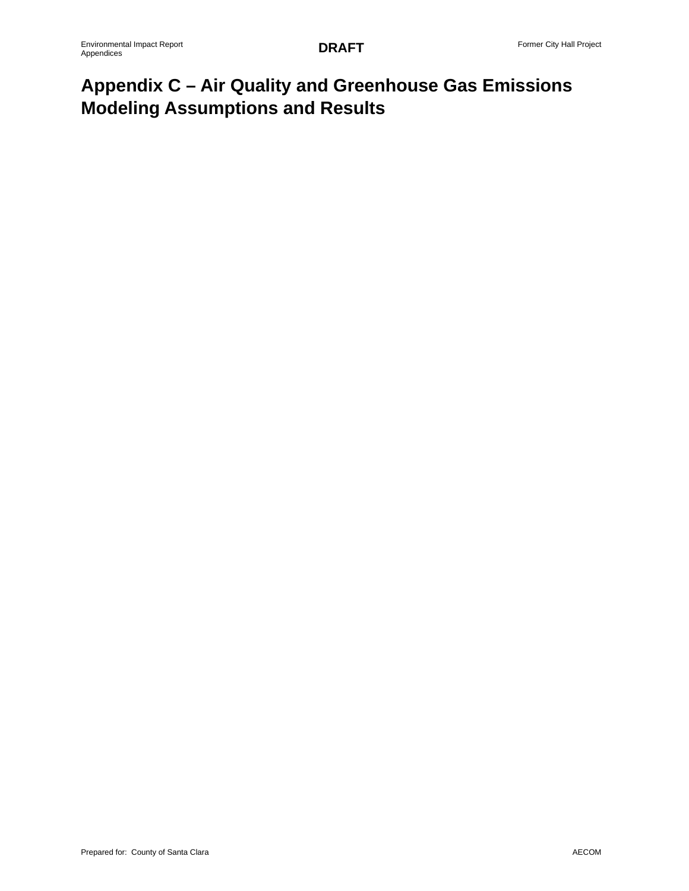# **Appendix C – Air Quality and Greenhouse Gas Emissions Modeling Assumptions and Results**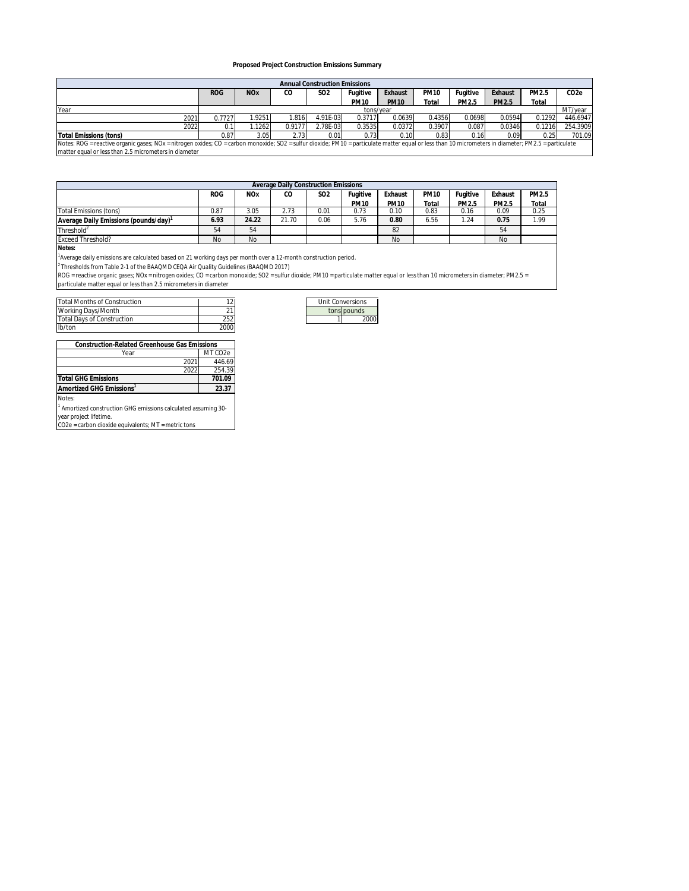#### **Proposed Project Construction Emissions Summary**

| <b>Annual Construction Emissions</b>                                                                                                                                                                 |            |                       |        |                 |             |             |             |          |         |        |          |
|------------------------------------------------------------------------------------------------------------------------------------------------------------------------------------------------------|------------|-----------------------|--------|-----------------|-------------|-------------|-------------|----------|---------|--------|----------|
|                                                                                                                                                                                                      | <b>ROG</b> | <b>NO<sub>x</sub></b> | CO     | SO <sub>2</sub> | Fugitive    | Exhaust     | <b>PM10</b> | Fugitive | Exhaust | PM2.5  | CO2e     |
|                                                                                                                                                                                                      |            |                       |        |                 | <b>PM10</b> | <b>PM10</b> | Total       | PM2.5    | PM2.5   | Total  |          |
| Year                                                                                                                                                                                                 |            | tons/vear             |        |                 |             |             |             | MT/year  |         |        |          |
| 2021                                                                                                                                                                                                 | 0.7727     | 1.9251                | .816   | 4.91E-03        | 0.3717      | 0.0639      | 0.4356      | 0.0698   | 0.0594  | 0.1292 | 446.6947 |
| 2022                                                                                                                                                                                                 |            | .1262                 | 0.9177 | 2.78F-03        | 0.3535      | 0.0372      | 0.3907      | 0.087    | 0.0346  | 0.1216 | 254.3909 |
| Total Emissions (tons)                                                                                                                                                                               | 0.87       | 3.05                  | 2.73   | 0.01            | 0.73        | 0.10        | 0.83        | 0.16     | 0.09    | 0.25   | 701.09   |
| Notes: ROG = reactive organic gases; NOx = nitrogen oxides; CO = carbon monoxide; SO2 = sulfur dioxide; PM10 = particulate matter equal or less than 10 micrometers in diameter; PM2.5 = particulate |            |                       |        |                 |             |             |             |          |         |        |          |
| the contract of the contract of the contract of the contract of the contract of the contract of the contract of                                                                                      |            |                       |        |                 |             |             |             |          |         |        |          |

matter equal or less than 2.5 micrometers in diameter

| Average Daily Construction Emissions |            |                       |             |            |             |             |             |          |           |       |
|--------------------------------------|------------|-----------------------|-------------|------------|-------------|-------------|-------------|----------|-----------|-------|
|                                      | <b>ROG</b> | <b>NO<sub>x</sub></b> | $_{\rm CO}$ | <b>SO2</b> | Fugitive    | Exhaust     | <b>PM10</b> | Fugitive | Exhaust   | PM2.5 |
|                                      |            |                       |             |            | <b>PM10</b> | <b>PM10</b> | Total       | PM2.5    | PM2.5     | Total |
| Total Emissions (tons)               | 0.87       | 3.05                  | 2.73        | 0.01       | 0.73        | 0.10        | 0.83        | 0.16     | 0.09      | 0.25  |
| Average Daily Emissions (pounds/day) | 6.93       | 24.22                 | 21.70       | 0.06       | 5.76        | 0.80        | 6.56        | .24      | 0.75      | 1.99  |
| Threshold <sup>2</sup>               | 54         | 54                    |             |            |             | 82          |             |          | 54        |       |
| <b>Exceed Threshold?</b>             | No         | No                    |             |            |             | No          |             |          | <b>No</b> |       |

**Notes:**

1 Average daily emissions are calculated based on 21 working days per month over a 12-month construction period.

<sup>2</sup> Thresholds from Table 2-1 of the BAAQMD CEQA Air Quality Guidelines (BAAQMD 2017)

ROG = reactive organic gases; NOx = nitrogen oxides; CO = carbon monoxide; SO2 = sulfur dioxide; PM10 = particulate matter equal or less than 10 micrometers in diameter; PM2.5 =<br>particulate matter equal or less than 2.5 mi

| Total Months of Construction |      |  | Unit Conversions |
|------------------------------|------|--|------------------|
| Working Days/Month           |      |  | tons bounds      |
| Total Davs of Construction   | 252  |  | 2000             |
| lb/ton                       | 2000 |  |                  |

| Unit Conversions |             |  |  |  |
|------------------|-------------|--|--|--|
|                  | tons pounds |  |  |  |
|                  | 2000        |  |  |  |

| Construction-Related Greenhouse Gas Emissions |      |                      |
|-----------------------------------------------|------|----------------------|
| Year                                          |      | MT CO <sub>2</sub> e |
|                                               | 2021 | 446.69               |
|                                               | 2022 | 254.39               |
| <b>Total GHG Emissions</b>                    |      | 701.09               |
| Amortized GHG Emissions <sup>1</sup>          |      | 23.37                |
| Notes:                                        |      |                      |

Notes:<br><sup>1</sup> Amortized construction GHG emissions calculated assuming 30-<br>year project lifetime.<br>CO2e = carbon dioxide equivalents; MT = metric tons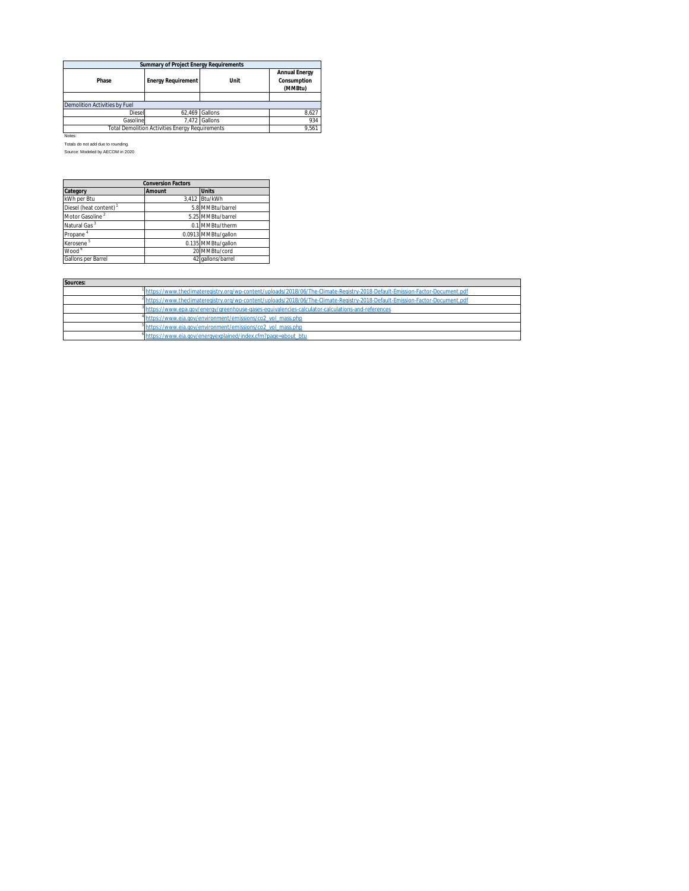| Summary of Project Energy Requirements                 |                           |                |                                         |  |  |  |  |
|--------------------------------------------------------|---------------------------|----------------|-----------------------------------------|--|--|--|--|
| Phase                                                  | <b>Energy Requirement</b> | Unit           | Annual Energy<br>Consumption<br>(MMBtu) |  |  |  |  |
|                                                        |                           |                |                                         |  |  |  |  |
| <b>Demolition Activities by Fuel</b>                   |                           |                |                                         |  |  |  |  |
| <b>Diesel</b>                                          |                           | 62.469 Gallons | 8.627                                   |  |  |  |  |
| Gasoline                                               |                           | 7.472 Gallons  | 934                                     |  |  |  |  |
| <b>Total Demolition Activities Energy Requirements</b> | 9.561                     |                |                                         |  |  |  |  |

Notes: Totals do not add due to rounding.

Source: Modeled by AECOM in 2020

| <b>Conversion Factors</b>          |        |                     |  |  |  |
|------------------------------------|--------|---------------------|--|--|--|
| Category                           | Amount | Units               |  |  |  |
| kWh per Btu                        |        | 3.412 Btu/kWh       |  |  |  |
| Diesel (heat content) <sup>1</sup> |        | 5.8 MMBtu/barrel    |  |  |  |
| Motor Gasoline <sup>2</sup>        |        | 5.25 MMBtu/barrel   |  |  |  |
| Natural Gas <sup>3</sup>           |        | 0.1 MMBtu/therm     |  |  |  |
| Propane <sup>4</sup>               |        | 0.0913 MMBtu/gallon |  |  |  |
| Kerosene <sup>5</sup>              |        | 0.135 MMBtu/gallon  |  |  |  |
| Wood °                             |        | 20 MMBtu/cord       |  |  |  |
| Gallons per Barrel                 |        | 42 gallons/barrel   |  |  |  |

| Sources: |                                                                                                                               |
|----------|-------------------------------------------------------------------------------------------------------------------------------|
|          | https://www.theclimateregistry.org/wp-content/uploads/2018/06/The-Climate-Registry-2018-Default-Emission-Factor-Document.pdf  |
|          | 1https://www.theclimateregistry.org/wp-content/uploads/2018/06/The-Climate-Registry-2018-Default-Emission-Factor-Document.pdf |
|          | alphttps://www.epa.gov/energy/greenhouse-gases-equivalencies-calculator-calculations-and-references                           |
|          | <sup>4</sup> https://www.eia.gov/environment/emissions/co2_vol_mass.php                                                       |
|          | https://www.eia.gov/environment/emissions/co2_vol_mass.php                                                                    |
|          | <sup>o</sup> https://www.eia.gov/energyexplained/index.cfm?page=about_btu                                                     |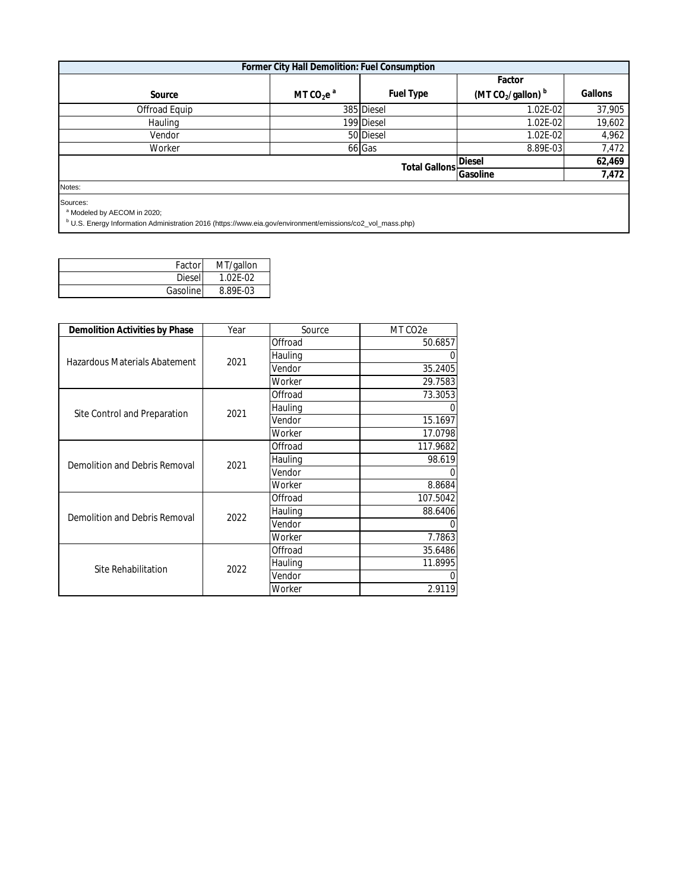|                                                    | Former City Hall Demolition: Fuel Consumption |            |                                 |         |
|----------------------------------------------------|-----------------------------------------------|------------|---------------------------------|---------|
|                                                    |                                               |            | Factor                          |         |
| Source                                             | MT $CO2ea$                                    | Fuel Type  | (MT $CO2/gallon$ ) <sup>b</sup> | Gallons |
| Offroad Equip                                      |                                               | 385 Diesel | 1.02E-02                        | 37,905  |
| Hauling                                            |                                               | 199 Diesel | $1.02E-02$                      | 19,602  |
| Vendor                                             |                                               | 50 Diesel  | $1.02E-02$                      | 4,962   |
| Worker                                             |                                               | 66 Gas     | 8.89E-03                        | 7,472   |
| Diesel<br><b>Total Gallons</b><br>Gasoline         |                                               |            |                                 |         |
|                                                    |                                               |            |                                 |         |
| Sources:<br><sup>a</sup> Modeled by AECOM in 2020; |                                               |            |                                 |         |

| <sup>b</sup> U.S. Energy Information Administration 2016 (https://www.eia.gov/environment/emissions/co2_vol_mass.php) |  |  |
|-----------------------------------------------------------------------------------------------------------------------|--|--|
|-----------------------------------------------------------------------------------------------------------------------|--|--|

| Factor        | MT/gallon    |
|---------------|--------------|
| <b>Diesel</b> | $1.02F - 02$ |
| Gasoline      | 8.89E-03     |

| Demolition Activities by Phase | Year | Source  | MT CO <sub>2</sub> e |
|--------------------------------|------|---------|----------------------|
|                                |      | Offroad | 50.6857              |
| Hazardous Materials Abatement  | 2021 | Hauling | $\Omega$             |
|                                |      | Vendor  | 35.2405              |
|                                |      | Worker  | 29.7583              |
|                                |      | Offroad | 73.3053              |
| Site Control and Preparation   | 2021 | Hauling | 0                    |
|                                |      | Vendor  | 15.1697              |
|                                |      | Worker  | 17.0798              |
|                                | 2021 | Offroad | 117.9682             |
| Demolition and Debris Removal  |      | Hauling | 98.619               |
|                                |      | Vendor  | $\Omega$             |
|                                |      | Worker  | 8.8684               |
|                                |      | Offroad | 107.5042             |
| Demolition and Debris Removal  |      | Hauling | 88.6406              |
|                                | 2022 | Vendor  | $\Omega$             |
|                                |      | Worker  | 7.7863               |
|                                |      | Offroad | 35.6486              |
|                                | 2022 | Hauling | 11.8995              |
| Site Rehabilitation            |      | Vendor  | 0                    |
|                                |      | Worker  | 2.9119               |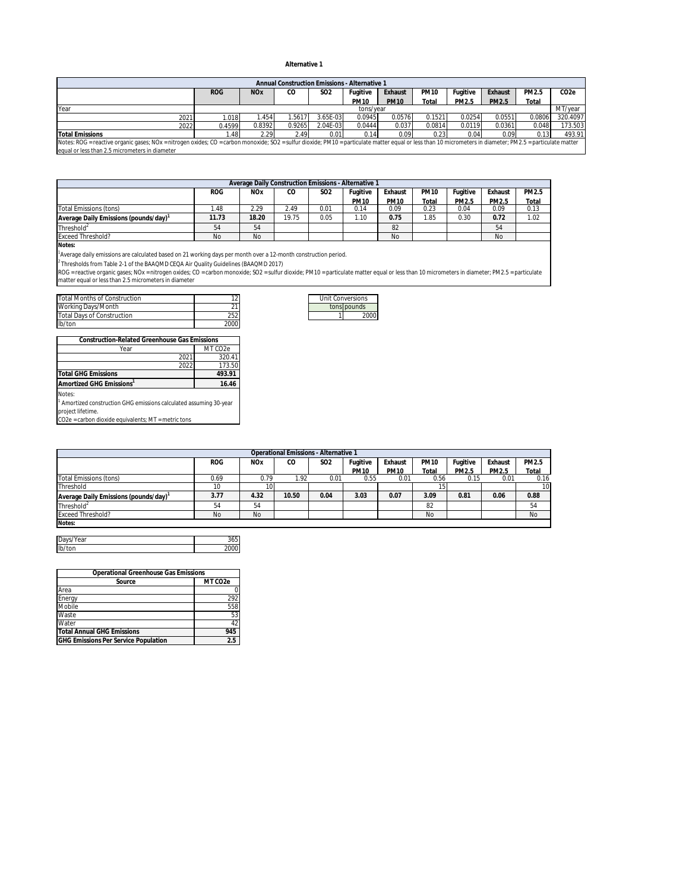#### **Alternative 1**

|                                                                                                                                                                                                             |                  |                       | Annual Construction Emissions - Alternative 1 |                 |             |             |             |          |         |        |                   |
|-------------------------------------------------------------------------------------------------------------------------------------------------------------------------------------------------------------|------------------|-----------------------|-----------------------------------------------|-----------------|-------------|-------------|-------------|----------|---------|--------|-------------------|
|                                                                                                                                                                                                             | <b>ROG</b>       | <b>NO<sub>x</sub></b> | CO                                            | SO <sub>2</sub> | Fugitive    | Exhaust     | <b>PM10</b> | Fugitive | Exhaust | PM2.5  | CO <sub>2</sub> e |
|                                                                                                                                                                                                             |                  |                       |                                               |                 | <b>PM10</b> | <b>PM10</b> | Tota        | PM2.5    | PM2.5   | Total  |                   |
| Year                                                                                                                                                                                                        |                  | tons/vear             |                                               |                 |             |             |             | MT/vear  |         |        |                   |
| 2021                                                                                                                                                                                                        | .018             | . 454                 | .5617                                         | $3.65E-03$      | 0.0945      | 0.0576      | 0.1521      | 0.0254   | 0.0551  | 0.0806 | 320.4097          |
| 2022                                                                                                                                                                                                        | 0.4599           | 0.8392                | 0.9265                                        | 2.04E-03        | 0.0444      | 0.037       | 0.0814      | 0.0119   | 0.0361  | 0.048  | 173.503           |
| <b>Total Emissions</b>                                                                                                                                                                                      | .48 <sub>1</sub> | 2.29                  | 2.49                                          | 0.01            | 0.14        | 0.09        | 0.23        | 0.04     | 0.09    | 0.13   | 493.91            |
| Notes: ROG = reactive organic gases; NOx = nitrogen oxides; CO = carbon monoxide; SO2 = sulfur dioxide; PM10 = particulate matter equal or less than 10 micrometers in diameter; PM2.5 = particulate matter |                  |                       |                                               |                 |             |             |             |          |         |        |                   |
| equal or less than 2.5 micrometers in diameter                                                                                                                                                              |                  |                       |                                               |                 |             |             |             |          |         |        |                   |

| Average Daily Construction Emissions - Alternative 1 |            |                       |       |            |             |             |             |          |         |       |
|------------------------------------------------------|------------|-----------------------|-------|------------|-------------|-------------|-------------|----------|---------|-------|
|                                                      | <b>ROG</b> | <b>NO<sub>X</sub></b> | CO    | <b>SO2</b> | Fugitive    | Exhaust     | <b>PM10</b> | Fuaitive | Exhaust | PM2.5 |
|                                                      |            |                       |       |            | <b>PM10</b> | <b>PM10</b> | Total       | PM2.5    | PM2.5   | Total |
| Total Emissions (tons)                               | .48        | 2.29                  | 2.49  | 0.01       | 0.14        | 0.09        | 0.23        | 0.04     | 0.09    | 0.13  |
| Average Daily Emissions (pounds/day)                 | 11.73      | 18.20                 | 19.75 | 0.05       | 1.10        | 0.75        | 1.85        | 0.30     | 0.72    | 1.02  |
| Threshold <sup>2</sup>                               | 54         | 54                    |       |            |             | 82          |             |          | 54      |       |
| <b>Exceed Threshold?</b>                             | No         | <b>No</b>             |       |            |             | No          |             |          | No      |       |

**Notes:**

1 Average daily emissions are calculated based on 21 working days per month over a 12-month construction period.

<sup>2</sup> Thresholds from Table 2-1 of the BAAQMD CEQA Air Quality Guidelines (BAAQMD 2017)<br>ROG = reactive organic gases; NOx = nitrogen oxides; CO = carbon monoxide; SO2 = sulfur dioxide; PM10 = particulate matter equal or less

| Total Months of Construction |      | Unit Conversions |
|------------------------------|------|------------------|
| Working Days/Month           |      | tons pounds      |
| Total Davs of Construction   | 252  | 2000             |
| lb/ton                       | 2000 |                  |

| <b>Construction-Related Greenhouse Gas Emissions</b>                        |                      |  |  |  |  |
|-----------------------------------------------------------------------------|----------------------|--|--|--|--|
| Year                                                                        | MT CO <sub>2</sub> e |  |  |  |  |
| 2021                                                                        | 320.41               |  |  |  |  |
| 2022                                                                        | 173.50               |  |  |  |  |
| <b>Total GHG Emissions</b>                                                  | 493.91               |  |  |  |  |
| Amortized GHG Emissions <sup>1</sup>                                        | 16.46                |  |  |  |  |
| Notes:                                                                      |                      |  |  |  |  |
| Associational constitutions CHO content and colorated convention OO control |                      |  |  |  |  |

<sup>1</sup> Amortized construction GHG emissions calculated assuming 30-year project lifetime. CO2e = carbon dioxide equivalents; MT = metric tons

| <b>Operational Emissions - Alternative 1</b> |            |            |       |                 |             |             |              |          |         |           |
|----------------------------------------------|------------|------------|-------|-----------------|-------------|-------------|--------------|----------|---------|-----------|
|                                              | <b>ROG</b> | <b>NOx</b> | CО    | SO <sub>2</sub> | Fuaitive    | Exhaust     | <b>PM10</b>  | Fugitive | Exhaust | PM2.5     |
|                                              |            |            |       |                 | <b>PM10</b> | <b>PM10</b> | <b>Total</b> | PM2.5    | PM2.5   | Total     |
| Total Emissions (tons)                       | 0.69       | 0.79       | 1.92  | 0.01            | 0.55        | 0.01        | 0.56         | 0.15     | 0.01    | 0.16      |
| Threshold                                    | 10         |            |       |                 |             |             |              |          |         | 10        |
| Average Daily Emissions (pounds/day)         | 3.77       | 4.32       | 10.50 | 0.04            | 3.03        | 0.07        | 3.09         | 0.81     | 0.06    | 0.88      |
| Threshold <sup>2</sup>                       | 54         | 54         |       |                 |             |             | 82           |          |         | 54        |
| <b>Exceed Threshold?</b>                     | No         | No         |       |                 |             |             | No           |          |         | <b>No</b> |
| Notes:                                       |            |            |       |                 |             |             |              |          |         |           |

| ear     |  |
|---------|--|
| Ib<br>w |  |

| <b>Operational Greenhouse Gas Emissions</b> |                     |  |  |
|---------------------------------------------|---------------------|--|--|
| Source                                      | MT CO <sub>2e</sub> |  |  |
| Area                                        |                     |  |  |
| Energy                                      | วดว                 |  |  |
| Mobile                                      | 558                 |  |  |
| <b>Waste</b>                                | 53                  |  |  |
| Water                                       | 42                  |  |  |
| <b>Total Annual GHG Emissions</b>           | 945                 |  |  |
| <b>GHG Emissions Per Service Population</b> | 2.5                 |  |  |

| <b>Unit Conversions</b> |             |  |  |  |  |
|-------------------------|-------------|--|--|--|--|
|                         | tons pounds |  |  |  |  |
|                         | 2000        |  |  |  |  |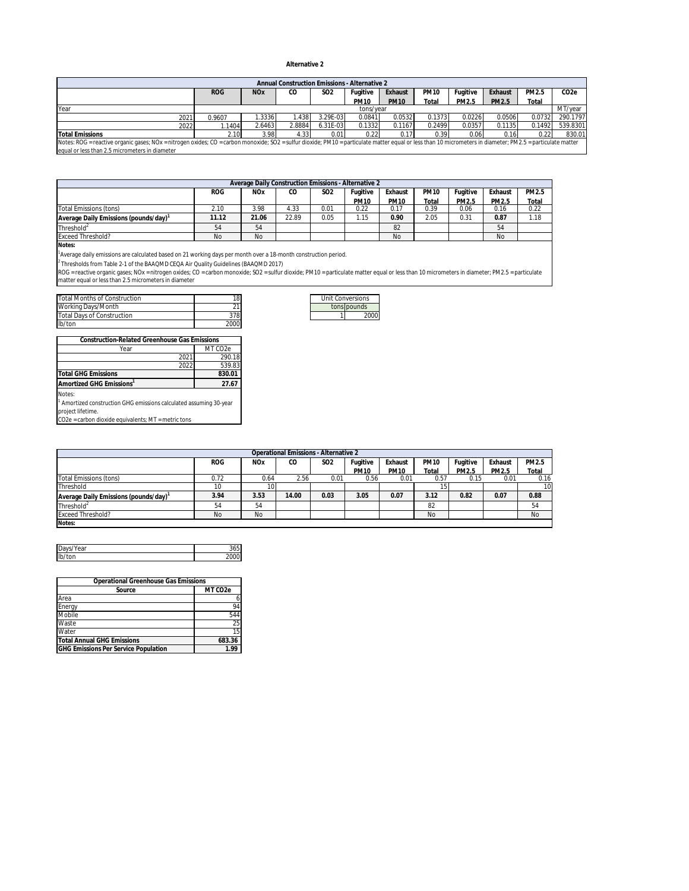#### **Alternative 2**

|                                                                                                                                                                                                             |            |                       | Annual Construction Emissions - Alternative 2 |                 |             |             |             |          |         |        |                   |
|-------------------------------------------------------------------------------------------------------------------------------------------------------------------------------------------------------------|------------|-----------------------|-----------------------------------------------|-----------------|-------------|-------------|-------------|----------|---------|--------|-------------------|
|                                                                                                                                                                                                             | <b>ROG</b> | <b>NO<sub>x</sub></b> | CO                                            | SO <sub>2</sub> | Fugitive    | Exhaust     | <b>PM10</b> | Fugitive | Exhaust | PM2.5  | CO <sub>2</sub> e |
|                                                                                                                                                                                                             |            |                       |                                               |                 | <b>PM10</b> | <b>PM10</b> | Total       | PM2.5    | PM2.5   | Total  |                   |
| Year                                                                                                                                                                                                        |            | tons/vear             |                                               |                 |             |             |             | MT/vear  |         |        |                   |
| 2021                                                                                                                                                                                                        | 0.9607     | .3336                 | 1.438                                         | 3.29E-03        | 0.0841      | 0.0532      | 0.1373      | 0.0226   | 0.0506  | 0.0732 | 290.1797          |
| 2022                                                                                                                                                                                                        | .1404      | 2.6463                | 2.8884                                        | $6.31E-03$      | 0.1332      | 0.1167      | 0.2499      | 0.0357   | 0.1135  | 0.1492 | 539.8301          |
| <b>Total Emissions</b>                                                                                                                                                                                      | 2.10       | 3.98                  | 4.33                                          | 0.01            | 0.22        | 0.17        | 0.39        | 0.06     | 0.16    | 0.22   | 830.01            |
| Notes: ROG = reactive organic gases; NOx = nitrogen oxides; CO = carbon monoxide; SO2 = sulfur dioxide; PM10 = particulate matter equal or less than 10 micrometers in diameter; PM2.5 = particulate matter |            |                       |                                               |                 |             |             |             |          |         |        |                   |
| equal or less than 2.5 micrometers in diameter                                                                                                                                                              |            |                       |                                               |                 |             |             |             |          |         |        |                   |

| Average Daily Construction Emissions - Alternative 2 |            |            |       |                 |             |             |             |          |         |       |
|------------------------------------------------------|------------|------------|-------|-----------------|-------------|-------------|-------------|----------|---------|-------|
|                                                      | <b>ROG</b> | <b>NOx</b> | CO    | SO <sub>2</sub> | Fugitive    | Exhaust     | <b>PM10</b> | Fugitive | Exhaust | PM2.5 |
|                                                      |            |            |       |                 | <b>PM10</b> | <b>PM10</b> | Total       | PM2.5    | PM2.5   | Total |
| Total Emissions (tons)                               | 2.10       | 3.98       | 4.33  | 0.01            | 0.22        | 0.17        | 0.39        | 0.06     | 0.16    | 0.22  |
| Average Daily Emissions (pounds/day)                 | 11.12      | 21.06      | 22.89 | 0.05            | 1.15        | 0.90        | 2.05        | 0.31     | 0.87    | 1.18  |
| Threshold <sup>2</sup>                               | 54         | 54         |       |                 |             | 82          |             |          | 54      |       |
| <b>Exceed Threshold?</b>                             | No         | No         |       |                 |             | No          |             |          | No      |       |

**Notes:**

1 Average daily emissions are calculated based on 21 working days per month over a 18-month construction period.

<sup>2</sup> Thresholds from Table 2-1 of the BAAQMD CEQA Air Quality Guidelines (BAAQMD 2017)<br>ROG = reactive organic gases; NOx = nitrogen oxides; CO = carbon monoxide; SO2 = sulfur dioxide; PM10 = particulate matter equal or less

| <b>Total Months of Construction</b> | 18   |  | Unit Conversions |
|-------------------------------------|------|--|------------------|
| Working Days/Month                  |      |  | tons bounds      |
| <b>Total Davs of Construction</b>   | 378  |  | 2000             |
| lb/ton                              | 2000 |  |                  |

| <b>Construction-Related Greenhouse Gas Emissions</b> |      |                      |  |  |
|------------------------------------------------------|------|----------------------|--|--|
| Year                                                 |      | MT CO <sub>2</sub> e |  |  |
|                                                      | 2021 | 290.18               |  |  |
|                                                      | 2022 | 539.83               |  |  |
| <b>Total GHG Emissions</b>                           |      | 830.01               |  |  |
| Amortized GHG Emissions <sup>1</sup>                 |      | 27.67                |  |  |
| Notes:                                               |      |                      |  |  |

<sup>1</sup> Amortized construction GHG emissions calculated assuming 30-year project lifetime. CO2e = carbon dioxide equivalents; MT = metric tons

| Operational Emissions - Alternative 2 |            |                       |       |                 |             |             |             |          |         |           |
|---------------------------------------|------------|-----------------------|-------|-----------------|-------------|-------------|-------------|----------|---------|-----------|
|                                       | <b>ROG</b> | <b>NO<sub>x</sub></b> | CO    | SO <sub>2</sub> | Fugitive    | Exhaust     | <b>PM10</b> | Fugitive | Exhaust | PM2.5     |
|                                       |            |                       |       |                 | <b>PM10</b> | <b>PM10</b> | Total       | PM2.5    | PM2.5   | Total     |
| <b>Total Emissions (tons)</b>         | 0.72       | 0.64                  | 2.56  | 0.01            | 0.56        | 0.01        | 0.57        | 0.15     | 0.01    | 0.16      |
| Threshold                             | 10         | 10                    |       |                 |             |             |             |          |         | 10        |
| Average Daily Emissions (pounds/day)  | 3.94       | 3.53                  | 14.00 | 0.03            | 3.05        | 0.07        | 3.12        | 0.82     | 0.07    | 0.88      |
| Threshold <sup>2</sup>                | 54         | 54                    |       |                 |             |             | 82          |          |         | 54        |
| <b>Exceed Threshold?</b>              | No         | No                    |       |                 |             |             | No          |          |         | <b>No</b> |
| Notes:                                |            |                       |       |                 |             |             |             |          |         |           |

| Da<br>ear<br>v<br>ند |  |
|----------------------|--|
| lb/ton               |  |
|                      |  |

| <b>Operational Greenhouse Gas Emissions</b> |                      |  |  |  |  |
|---------------------------------------------|----------------------|--|--|--|--|
| Source                                      | MT CO <sub>2</sub> e |  |  |  |  |
| Area                                        |                      |  |  |  |  |
| Energy                                      | 94                   |  |  |  |  |
| Mobile                                      | 544                  |  |  |  |  |
| Waste                                       | 25                   |  |  |  |  |
| Water                                       | 15                   |  |  |  |  |
| <b>Total Annual GHG Emissions</b>           | 683.36               |  |  |  |  |
| <b>GHG Emissions Per Service Population</b> | 19                   |  |  |  |  |

| Unit Conversions |             |  |  |  |  |  |
|------------------|-------------|--|--|--|--|--|
|                  | tons pounds |  |  |  |  |  |
|                  | 2000        |  |  |  |  |  |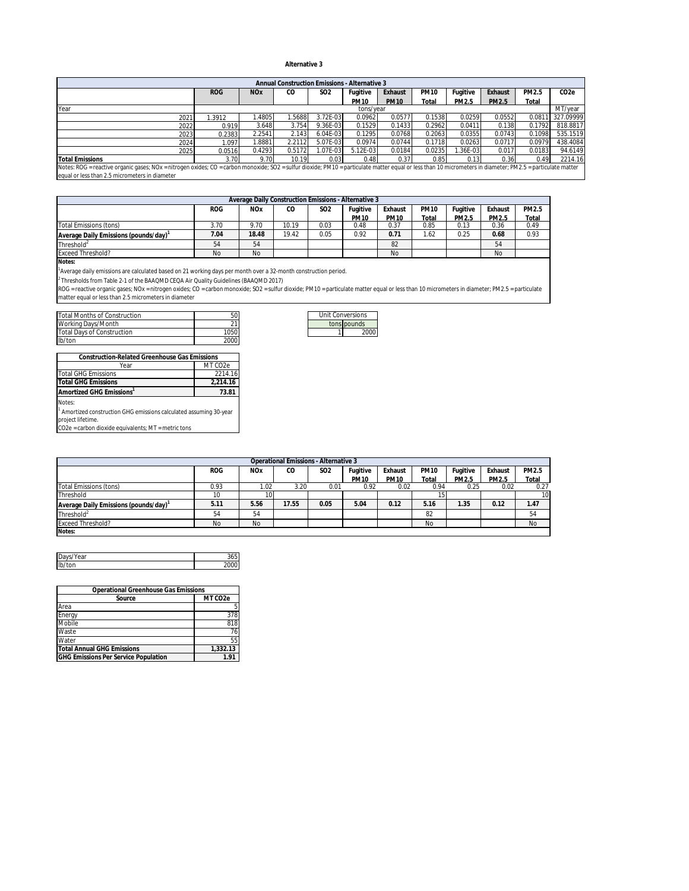#### **Alternative 3**

| Annual Construction Emissions - Alternative 3                                                                                                                                                               |            |                       |        |                 |             |             |             |          |         |        |                  |
|-------------------------------------------------------------------------------------------------------------------------------------------------------------------------------------------------------------|------------|-----------------------|--------|-----------------|-------------|-------------|-------------|----------|---------|--------|------------------|
|                                                                                                                                                                                                             | <b>ROG</b> | <b>NO<sub>x</sub></b> | CO     | SO <sub>2</sub> | Fugitive    | Exhaust     | <b>PM10</b> | Fugitive | Exhaust | PM2.5  | CO <sub>2e</sub> |
|                                                                                                                                                                                                             |            |                       |        |                 | <b>PM10</b> | <b>PM10</b> | Total       | PM2.5    | PM2.5   | Total  |                  |
| Year                                                                                                                                                                                                        |            | tons/vear             |        |                 |             |             |             |          | MT/year |        |                  |
| 2021                                                                                                                                                                                                        | 1.3912     | .4805                 | .5688  | 3.72E-03        | 0.0962      | 0.0577      | 0.1538      | 0.0259   | 0.0552  | 0.081  | 327.09999        |
| 2022                                                                                                                                                                                                        | 0.919      | 3.648                 | 3.754  | 9.36E-03        | 0.1529      | 0.1433      | 0.2962      | 0.041    | 0.138   | 0.1792 | 818.8817         |
| 2023                                                                                                                                                                                                        | 0.2383     | 2.2541                | 2.143  | 6.04E-03        | 0.1295      | 0.0768      | 0.2063      | 0.0355   | 0.0743  | 0.1098 | 535.1519         |
| 2024                                                                                                                                                                                                        | 1.097      | .8881                 | 2.2112 | 5.07E-03        | 0.0974      | 0.0744      | 0.1718      | 0.0263   | 0.0717  | 0.0979 | 438.4084         |
| 2025                                                                                                                                                                                                        | 0.0516     | 0.4293                | 0.5172 | L07E-03         | $5.12E-03$  | 0.0184      | 0.0235      | 1.36E-03 | 0.017   | 0.0183 | 94.6149          |
| <b>Total Emissions</b>                                                                                                                                                                                      | 3.70       | 9.70                  | 10.19  | 0.03            | 0.48        | 0.37        | 0.85        | 0.13     | 0.36    | 0.49   | 2214.16          |
| Notes: ROG = reactive organic gases; NOx = nitrogen oxides; CO = carbon monoxide; SO2 = sulfur dioxide; PM10 = particulate matter equal or less than 10 micrometers in diameter; PM2.5 = particulate matter |            |                       |        |                 |             |             |             |          |         |        |                  |
| equal or less than 2.5 micrometers in diameter                                                                                                                                                              |            |                       |        |                 |             |             |             |          |         |        |                  |

| Average Daily Construction Emissions - Alternative 3 |            |                       |       |                 |             |             |             |          |         |       |
|------------------------------------------------------|------------|-----------------------|-------|-----------------|-------------|-------------|-------------|----------|---------|-------|
|                                                      | <b>ROG</b> | <b>NO<sub>x</sub></b> | CO    | SO <sub>2</sub> | Fuaitive    | Exhaust     | <b>PM10</b> | Fugitive | Exhaust | PM2.5 |
|                                                      |            |                       |       |                 | <b>PM10</b> | <b>PM10</b> | Total       | PM2.5    | PM2.5   | Total |
| <b>Total Emissions (tons)</b>                        | 3.70       | 9.70                  | 10.19 | 0.03            | 0.48        | 0.37        | 0.85        | 0.13     | 0.36    | 0.49  |
| Average Daily Emissions (pounds/day) <sup>1</sup>    | 7.04       | 18.48                 | 19.42 | 0.05            | 0.92        | 0.71        | 1.62        | 0.25     | 0.68    | 0.93  |
| Threshold <sup>2</sup>                               | 54         | 54                    |       |                 |             | 82          |             |          | 54      |       |
| <b>Exceed Threshold?</b>                             | No         | No                    |       |                 |             | No          |             |          | No      |       |
| $\cdots$                                             |            |                       |       |                 |             |             |             |          |         |       |

**Notes:**

<sup>1</sup>Average daily emissions are calculated based on 21 working days per month over a 32-month construction period.<br><sup>2</sup> Thresholds from Table 2-1 of the BAAQMD CEQA Air Quality Guidelines (BAAQMD 2017)<br>ROG = reactive organic

| Total Months of Construction | 50   | Unit Conversions |
|------------------------------|------|------------------|
| Working Days/Month           |      | tons pounds      |
| Total Days of Construction   | 1050 | 2000             |
| lb/ton                       | 2000 |                  |

| <b>Construction-Related Greenhouse Gas Emissions</b>                          |                      |  |  |  |  |  |
|-------------------------------------------------------------------------------|----------------------|--|--|--|--|--|
| Year                                                                          | MT CO <sub>2</sub> e |  |  |  |  |  |
| <b>Total GHG Emissions</b>                                                    | 2214.16              |  |  |  |  |  |
| <b>Total GHG Emissions</b>                                                    | 2.214.16             |  |  |  |  |  |
| Amortized GHG Emissions'                                                      | 73.81                |  |  |  |  |  |
| Notes:                                                                        |                      |  |  |  |  |  |
| <sup>1</sup> Amortized construction GHG emissions calculated assuming 30-year |                      |  |  |  |  |  |
| project lifetime.                                                             |                      |  |  |  |  |  |
| CO2e = carbon dioxide equivalents; MT = metric tons                           |                      |  |  |  |  |  |

| <b>Unit Conversions</b> |             |  |  |  |  |
|-------------------------|-------------|--|--|--|--|
|                         | tons pounds |  |  |  |  |
|                         | 2000        |  |  |  |  |

| Operational Emissions - Alternative 3 |            |                       |       |                 |             |             |             |              |         |                 |
|---------------------------------------|------------|-----------------------|-------|-----------------|-------------|-------------|-------------|--------------|---------|-----------------|
|                                       | <b>ROG</b> | <b>NO<sub>x</sub></b> | CO    | SO <sub>2</sub> | Fuaitive    | Exhaust     | <b>PM10</b> | Fugitive     | Exhaust | PM2.5           |
|                                       |            |                       |       |                 | <b>PM10</b> | <b>PM10</b> | Total       | <b>PM2.5</b> | PM2.5   | Total           |
| Total Emissions (tons)                | 0.93       | 1.02                  | 3.20  | 0.01            | 0.92        | 0.02        | 0.94        | 0.25         | 0.02    | 0.27            |
| Threshold                             | 10         | 10                    |       |                 |             |             |             |              |         | 10 <sup>1</sup> |
| Average Daily Emissions (pounds/day)  | 5.11       | 5.56                  | 17.55 | 0.05            | 5.04        | 0.12        | 5.16        | 1.35         | 0.12    | 1.47            |
| Threshold <sup>2</sup>                | 54         | 54                    |       |                 |             |             | 82          |              |         | 54              |
| <b>Exceed Threshold?</b>              | No         | No                    |       |                 |             |             | <b>No</b>   |              |         | <b>No</b>       |
| Notes:                                |            |                       |       |                 |             |             |             |              |         |                 |

| ID<br>ear |  |
|-----------|--|
| Ib<br>w   |  |

| Operational Greenhouse Gas Emissions        |                      |  |  |  |  |
|---------------------------------------------|----------------------|--|--|--|--|
| Source                                      | MT CO <sub>2</sub> e |  |  |  |  |
| Area                                        | 5                    |  |  |  |  |
| Energy                                      | 378                  |  |  |  |  |
| Mobile                                      | 818                  |  |  |  |  |
| Waste                                       | 76                   |  |  |  |  |
| Water                                       | 55                   |  |  |  |  |
| <b>Total Annual GHG Emissions</b>           | 1.332.13             |  |  |  |  |
| <b>GHG Emissions Per Service Population</b> | 191                  |  |  |  |  |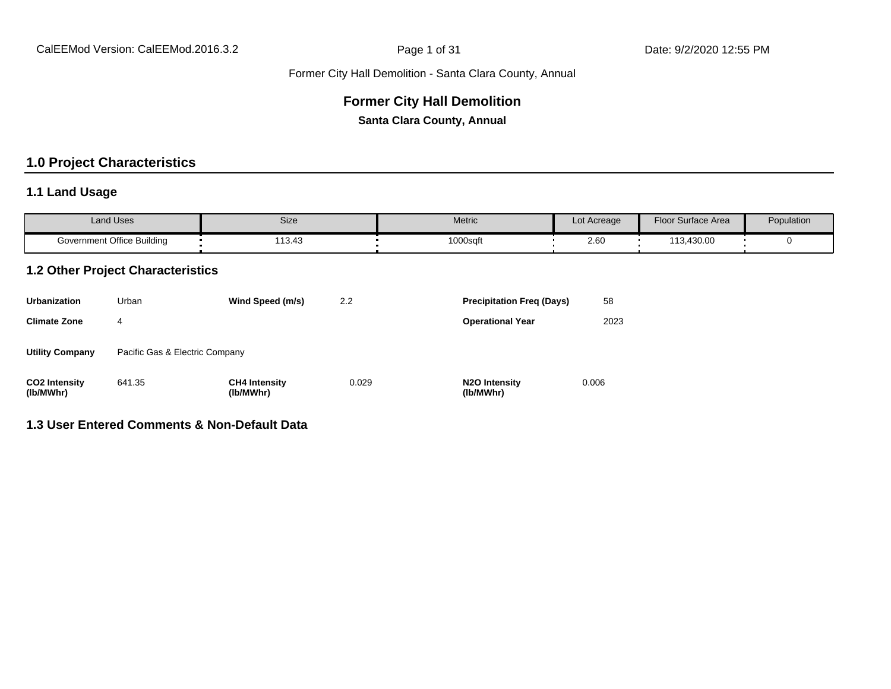#### **Former City Hall Demolition**

**Santa Clara County, Annual**

# **1.0 Project Characteristics**

#### **1.1 Land Usage**

| <b>Land Uses</b>           | Size  | Metric   | Lot Acreage | Floor Surface Area | Population |
|----------------------------|-------|----------|-------------|--------------------|------------|
| Government Office Building | 13.43 | 1000sqft | 2.60        | 113,430.00         |            |

#### **1.2 Other Project Characteristics**

| <b>Urbanization</b>               | Urban                          | Wind Speed (m/s)                  | 2.2   | <b>Precipitation Freg (Days)</b>        | 58    |
|-----------------------------------|--------------------------------|-----------------------------------|-------|-----------------------------------------|-------|
| <b>Climate Zone</b>               | 4                              |                                   |       | <b>Operational Year</b>                 | 2023  |
| <b>Utility Company</b>            | Pacific Gas & Electric Company |                                   |       |                                         |       |
| <b>CO2 Intensity</b><br>(lb/MWhr) | 641.35                         | <b>CH4 Intensity</b><br>(lb/MWhr) | 0.029 | N <sub>2</sub> O Intensity<br>(lb/MWhr) | 0.006 |

#### **1.3 User Entered Comments & Non-Default Data**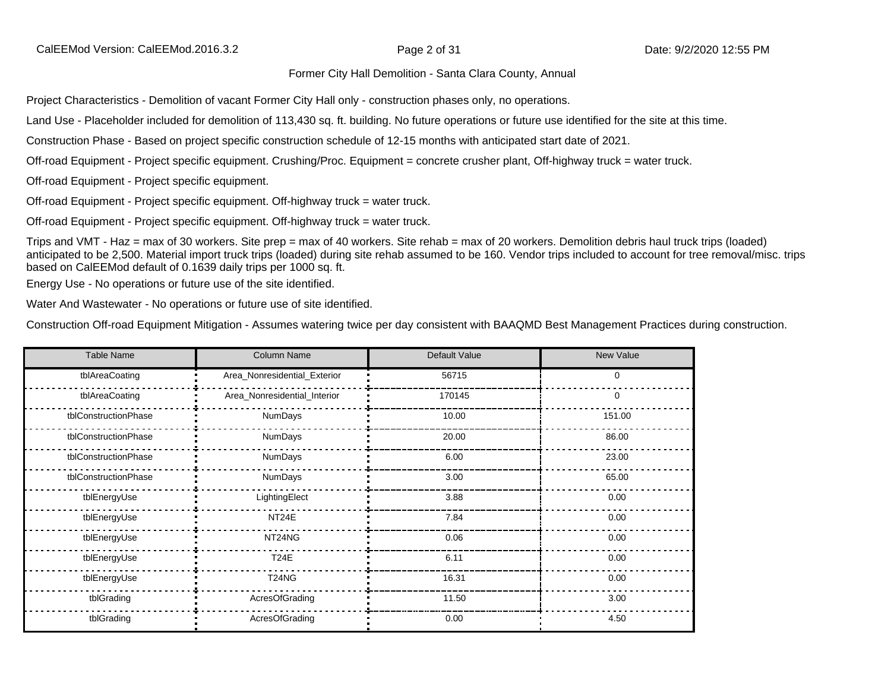Project Characteristics - Demolition of vacant Former City Hall only - construction phases only, no operations.

Land Use - Placeholder included for demolition of 113,430 sq. ft. building. No future operations or future use identified for the site at this time.

Construction Phase - Based on project specific construction schedule of 12-15 months with anticipated start date of 2021.

Off-road Equipment - Project specific equipment. Crushing/Proc. Equipment = concrete crusher plant, Off-highway truck = water truck.

Off-road Equipment - Project specific equipment.

Off-road Equipment - Project specific equipment. Off-highway truck = water truck.

Off-road Equipment - Project specific equipment. Off-highway truck = water truck.

Trips and VMT - Haz = max of 30 workers. Site prep = max of 40 workers. Site rehab = max of 20 workers. Demolition debris haul truck trips (loaded) anticipated to be 2,500. Material import truck trips (loaded) during site rehab assumed to be 160. Vendor trips included to account for tree removal/misc. trips based on CalEEMod default of 0.1639 daily trips per 1000 sq. ft.

Energy Use - No operations or future use of the site identified.

Water And Wastewater - No operations or future use of site identified.

Construction Off-road Equipment Mitigation - Assumes watering twice per day consistent with BAAQMD Best Management Practices during construction.

| <b>Table Name</b>    | Column Name                  | Default Value | New Value |
|----------------------|------------------------------|---------------|-----------|
| tblAreaCoating       | Area_Nonresidential_Exterior | 56715         | 0         |
| tblAreaCoating       | Area_Nonresidential_Interior | 170145        | 0         |
| tblConstructionPhase | NumDays                      | 10.00         | 151.00    |
| tblConstructionPhase | NumDays                      | 20.00         | 86.00     |
| tblConstructionPhase | NumDays                      | 6.00          | 23.00     |
| tblConstructionPhase | <b>NumDays</b>               | 3.00          | 65.00     |
| tblEnergyUse         | LightingElect                | 3.88          | 0.00      |
| tblEnergyUse         | NT24E                        | 7.84          | 0.00      |
| tblEnergyUse         | NT24NG                       | 0.06          | 0.00      |
| tblEnergyUse         | <b>T24E</b>                  | 6.11          | 0.00      |
| tblEnergyUse         | T24NG                        | 16.31         | 0.00      |
| tblGrading           | AcresOfGrading               | 11.50         | 3.00      |
| tblGrading           | AcresOfGrading               | 0.00          | 4.50      |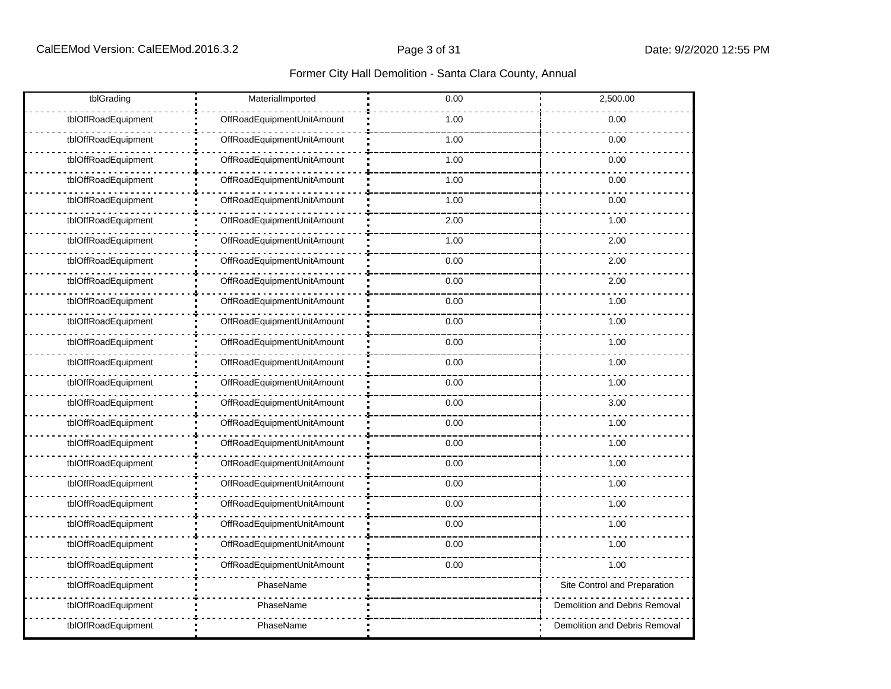| tblGrading          | MaterialImported           | 0.00 | 2,500.00                      |
|---------------------|----------------------------|------|-------------------------------|
| tblOffRoadEquipment | OffRoadEquipmentUnitAmount | 1.00 | 0.00                          |
| tblOffRoadEquipment | OffRoadEquipmentUnitAmount | 1.00 | 0.00                          |
| tblOffRoadEquipment | OffRoadEquipmentUnitAmount | 1.00 | 0.00                          |
| tblOffRoadEquipment | OffRoadEquipmentUnitAmount | 1.00 | 0.00                          |
| tblOffRoadEquipment | OffRoadEquipmentUnitAmount | 1.00 | 0.00                          |
| tblOffRoadEquipment | OffRoadEquipmentUnitAmount | 2.00 | 1.00                          |
| tblOffRoadEquipment | OffRoadEquipmentUnitAmount | 1.00 | 2.00                          |
| tblOffRoadEquipment | OffRoadEquipmentUnitAmount | 0.00 | 2.00                          |
| tblOffRoadEquipment | OffRoadEquipmentUnitAmount | 0.00 | 2.00                          |
| tblOffRoadEquipment | OffRoadEquipmentUnitAmount | 0.00 | 1.00                          |
| tblOffRoadEquipment | OffRoadEquipmentUnitAmount | 0.00 | 1.00                          |
| tblOffRoadEquipment | OffRoadEquipmentUnitAmount | 0.00 | 1.00                          |
| tblOffRoadEquipment | OffRoadEquipmentUnitAmount | 0.00 | 1.00                          |
| tblOffRoadEquipment | OffRoadEquipmentUnitAmount | 0.00 | 1.00                          |
| tblOffRoadEquipment | OffRoadEquipmentUnitAmount | 0.00 | 3.00                          |
| tblOffRoadEquipment | OffRoadEquipmentUnitAmount | 0.00 | 1.00                          |
| tblOffRoadEquipment | OffRoadEquipmentUnitAmount | 0.00 | 1.00                          |
| tblOffRoadEquipment | OffRoadEquipmentUnitAmount | 0.00 | 1.00                          |
| tblOffRoadEquipment | OffRoadEquipmentUnitAmount | 0.00 | 1.00                          |
| tblOffRoadEquipment | OffRoadEquipmentUnitAmount | 0.00 | 1.00                          |
| tblOffRoadEquipment | OffRoadEquipmentUnitAmount | 0.00 | 1.00                          |
| tblOffRoadEquipment | OffRoadEquipmentUnitAmount | 0.00 | 1.00                          |
| tblOffRoadEquipment | OffRoadEquipmentUnitAmount | 0.00 | 1.00                          |
| tblOffRoadEquipment | PhaseName                  |      | Site Control and Preparation  |
| tblOffRoadEquipment | PhaseName                  |      | Demolition and Debris Removal |
| tblOffRoadEquipment | PhaseName                  |      | Demolition and Debris Removal |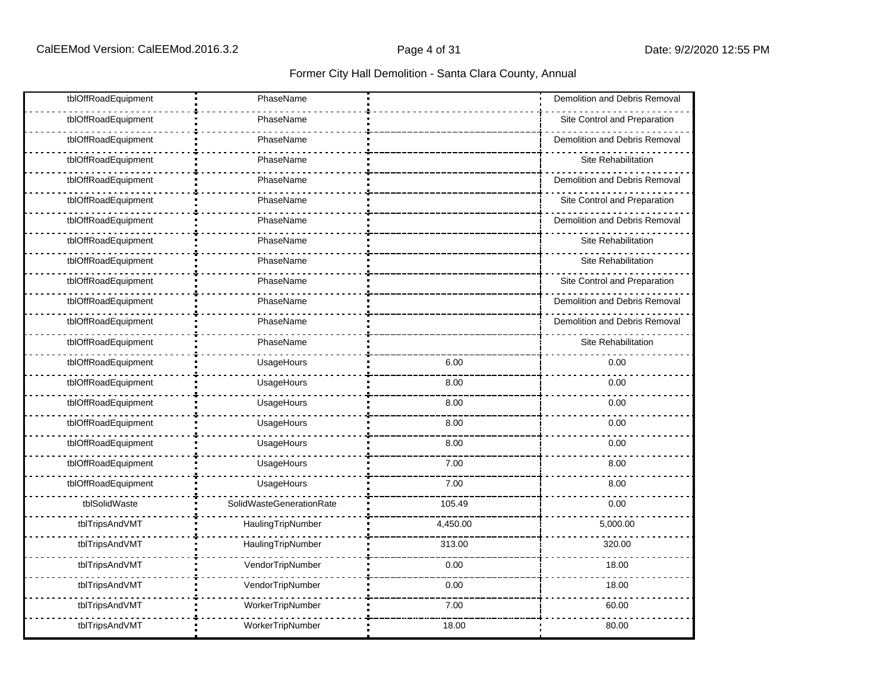| tblOffRoadEquipment | PhaseName                |          | Demolition and Debris Removal |
|---------------------|--------------------------|----------|-------------------------------|
| tblOffRoadEquipment | PhaseName                |          | Site Control and Preparation  |
| tblOffRoadEquipment | PhaseName                |          | Demolition and Debris Removal |
| tblOffRoadEquipment | PhaseName                |          | Site Rehabilitation           |
| tblOffRoadEquipment | PhaseName                |          | Demolition and Debris Removal |
| tblOffRoadEquipment | PhaseName                |          | Site Control and Preparation  |
| tblOffRoadEquipment | PhaseName                |          | Demolition and Debris Removal |
| tblOffRoadEquipment | PhaseName                |          | Site Rehabilitation           |
| tblOffRoadEquipment | PhaseName                |          | Site Rehabilitation           |
| tblOffRoadEquipment | PhaseName                |          | Site Control and Preparation  |
| tblOffRoadEquipment | PhaseName                |          | Demolition and Debris Removal |
| tblOffRoadEquipment | PhaseName                |          | Demolition and Debris Removal |
| tblOffRoadEquipment | PhaseName                |          | Site Rehabilitation           |
| tblOffRoadEquipment | UsageHours               | 6.00     | 0.00                          |
| tblOffRoadEquipment | UsageHours               | 8.00     | 0.00                          |
| tblOffRoadEquipment | UsageHours               | 8.00     | 0.00                          |
| tblOffRoadEquipment | UsageHours               | 8.00     | 0.00                          |
| tblOffRoadEquipment | UsageHours               | 8.00     | 0.00                          |
| tblOffRoadEquipment | UsageHours               | 7.00     | 8.00                          |
| tblOffRoadEquipment | UsageHours               | 7.00     | 8.00                          |
| tblSolidWaste       | SolidWasteGenerationRate | 105.49   | 0.00                          |
| tblTripsAndVMT      | HaulingTripNumber        | 4,450.00 | 5,000.00                      |
| tblTripsAndVMT      | HaulingTripNumber        | 313.00   | 320.00                        |
| tblTripsAndVMT      | VendorTripNumber         | 0.00     | 18.00                         |
| tblTripsAndVMT      | VendorTripNumber         | 0.00     | 18.00                         |
| tblTripsAndVMT      | WorkerTripNumber         | 7.00     | 60.00                         |
| tblTripsAndVMT      | WorkerTripNumber         | 18.00    | 80.00                         |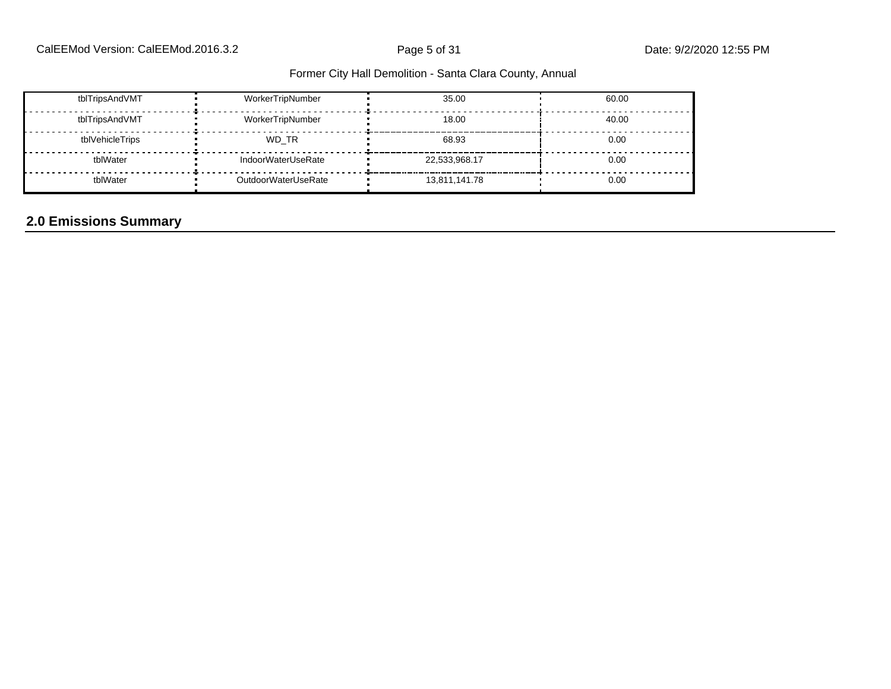| tblTripsAndVMT  | WorkerTripNumber    | 35.00         | 60.00 |
|-----------------|---------------------|---------------|-------|
| tblTripsAndVMT  | WorkerTripNumber    | 18.00         | 40.00 |
| tblVehicleTrips | WD TR               | 68.93         | 0.00  |
| tblWater        | IndoorWaterUseRate  | 22,533,968.17 | 0.00  |
| tblWater        | OutdoorWaterUseRate | 13,811,141.78 | 0.00  |

# **2.0 Emissions Summary**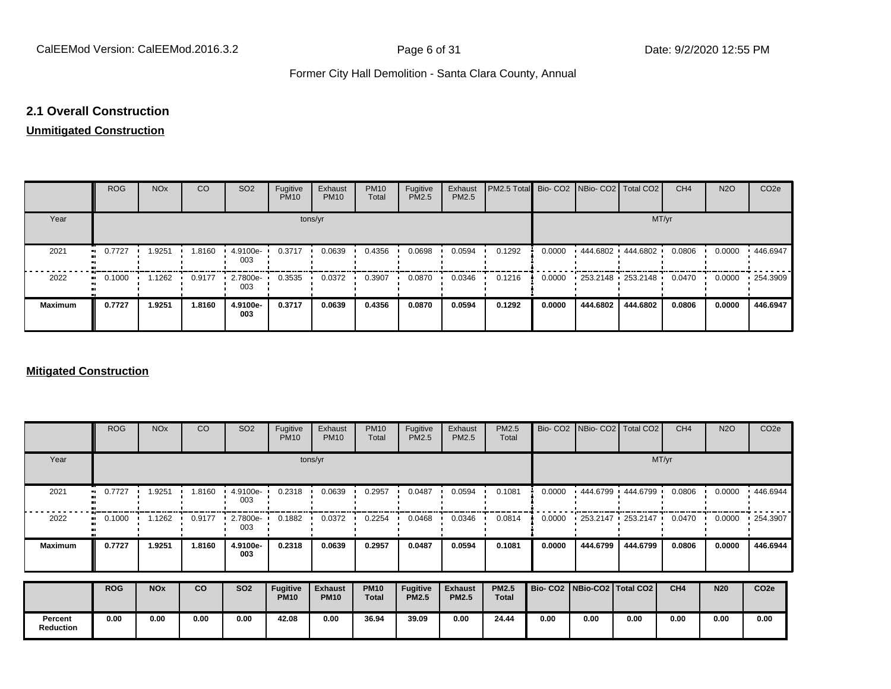#### **2.1 Overall Construction**

#### **Unmitigated Construction**

|                | <b>ROG</b>          | <b>NO<sub>x</sub></b> | CO     | SO <sub>2</sub> | Fugitive<br><b>PM10</b> | Exhaust<br><b>PM10</b> | <b>PM10</b><br>Total | Fugitive<br>PM2.5 | Exhaust<br>PM2.5 | PM2.5 Total Bio- CO2 NBio- CO2 Total CO2 |        |                                           |          | CH <sub>4</sub> | <b>N2O</b> | CO <sub>2e</sub> |  |  |  |  |
|----------------|---------------------|-----------------------|--------|-----------------|-------------------------|------------------------|----------------------|-------------------|------------------|------------------------------------------|--------|-------------------------------------------|----------|-----------------|------------|------------------|--|--|--|--|
| Year           | tons/yr             |                       |        |                 |                         |                        |                      |                   |                  |                                          | MT/yr  |                                           |          |                 |            |                  |  |  |  |  |
| 2021           | 0.7727<br>$\bullet$ | 1.9251                | 1.8160 | 4.9100e-<br>003 | 0.3717                  | 0.0639                 | 0.4356               | 0.0698            | 0.0594           | 0.1292                                   | 0.0000 | $+444.6802 + 444.6802$                    |          | 0.0806          | 0.0000     | 446.6947         |  |  |  |  |
| 2022           | 0.1000<br>          | 1.1262                | 0.9177 | 2.7800e-<br>003 | 0.3535                  | 0.0372                 | 0.3907               | 0.0870            | 0.0346           | 0.1216                                   | 0.0000 | $\cdot$ 253.2148 $\cdot$ 253.2148 $\cdot$ |          | 0.0470          | 0.0000     | .254.3909        |  |  |  |  |
| <b>Maximum</b> | 0.7727              | 1.9251                | 1.8160 | 4.9100e-<br>003 | 0.3717                  | 0.0639                 | 0.4356               | 0.0870            | 0.0594           | 0.1292                                   | 0.0000 | 444.6802                                  | 444.6802 | 0.0806          | 0.0000     | 446.6947         |  |  |  |  |

#### **Mitigated Construction**

|                             | <b>ROG</b> | <b>NO<sub>x</sub></b> | CO     | SO <sub>2</sub> | Fugitive<br><b>PM10</b> | Exhaust<br><b>PM10</b> | <b>PM10</b><br>Total | Fugitive<br>PM2.5 | Exhaust<br><b>PM2.5</b> | PM2.5<br>Total |                                 |          | Bio- CO2   NBio- CO2   Total CO2          | CH <sub>4</sub> | <b>N2O</b> | CO <sub>2</sub> e |
|-----------------------------|------------|-----------------------|--------|-----------------|-------------------------|------------------------|----------------------|-------------------|-------------------------|----------------|---------------------------------|----------|-------------------------------------------|-----------------|------------|-------------------|
| Year                        |            |                       |        |                 | tons/yr                 | MT/yr                  |                      |                   |                         |                |                                 |          |                                           |                 |            |                   |
| 2021                        | 0.7727<br> | 1.9251                | 1.8160 | 4.9100e-<br>003 | 0.2318                  | 0.0639                 | 0.2957               | 0.0487            | 0.0594                  | 0.1081         | 0.0000                          |          | 444.6799 444.6799 '                       | 0.0806          | 0.0000     | 446.6944          |
| 2022                        | 0.1000     | 1.1262                | 0.9177 | 2.7800e-<br>003 | 0.1882                  | 0.0372                 | 0.2254               | 0.0468            | 0.0346                  | 0.0814         | 0.0000                          |          | $\cdot$ 253.2147 $\cdot$ 253.2147 $\cdot$ | 0.0470          | 0.0000     | $\cdot$ 254.3907  |
| <b>Maximum</b>              | 0.7727     | 1.9251                | 1.8160 | 4.9100e-<br>003 | 0.2318                  | 0.0639                 | 0.2957               | 0.0487            | 0.0594                  | 0.1081         | 0.0000                          | 444.6799 | 444.6799                                  | 0.0806          | 0.0000     | 446.6944          |
|                             | <b>ROG</b> | <b>NO<sub>x</sub></b> | CO     | <b>SO2</b>      | <b>Fugitive</b>         | <b>Exhaust</b>         | <b>PM10</b>          | <b>Fugitive</b>   | <b>Exhaust</b>          | <b>PM2.5</b>   | Bio- CO2   NBio-CO2   Total CO2 |          |                                           | CH4             | <b>N20</b> | CO <sub>2e</sub>  |
|                             |            |                       |        |                 | <b>PM10</b>             | <b>PM10</b>            | <b>Total</b>         | <b>PM2.5</b>      | <b>PM2.5</b>            | <b>Total</b>   |                                 |          |                                           |                 |            |                   |
| Percent<br><b>Reduction</b> | 0.00       | 0.00                  | 0.00   | 0.00            | 42.08                   | 0.00                   | 36.94                | 39.09             | 0.00                    | 24.44          | 0.00                            | 0.00     | 0.00                                      | 0.00            | 0.00       | 0.00              |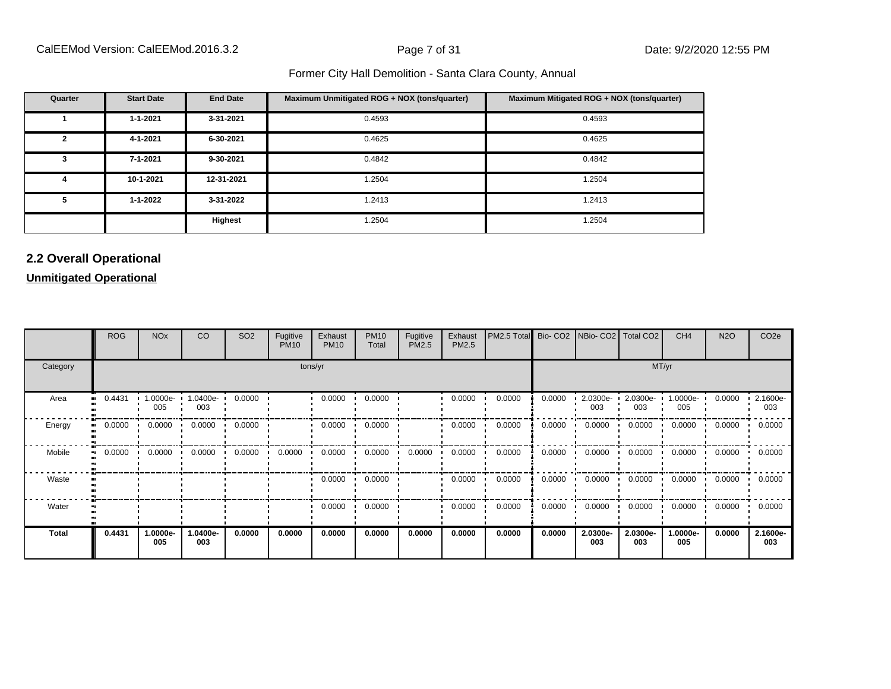| Quarter | <b>Start Date</b> | <b>End Date</b> | Maximum Unmitigated ROG + NOX (tons/quarter) | Maximum Mitigated ROG + NOX (tons/quarter) |
|---------|-------------------|-----------------|----------------------------------------------|--------------------------------------------|
|         | $1 - 1 - 2021$    | 3-31-2021       | 0.4593                                       | 0.4593                                     |
| 2       | 4-1-2021          | 6-30-2021       | 0.4625                                       | 0.4625                                     |
| 3       | 7-1-2021          | 9-30-2021       | 0.4842                                       | 0.4842                                     |
| 4       | 10-1-2021         | 12-31-2021      | 1.2504                                       | 1.2504                                     |
| 5       | 1-1-2022          | 3-31-2022       | 1.2413                                       | 1.2413                                     |
|         |                   | Highest         | 1.2504                                       | 1.2504                                     |

#### **2.2 Overall Operational**

**Unmitigated Operational**

|              | <b>ROG</b>   | <b>NO<sub>x</sub></b> | CO              | SO <sub>2</sub> | Fugitive<br><b>PM10</b> | Exhaust<br><b>PM10</b> | <b>PM10</b><br>Total | Fugitive<br>PM2.5 | Exhaust<br>PM2.5 | PM2.5 Total |        |                 | Bio- CO2   NBio- CO2   Total CO2 | CH <sub>4</sub> | <b>N2O</b> | CO <sub>2</sub> e |
|--------------|--------------|-----------------------|-----------------|-----------------|-------------------------|------------------------|----------------------|-------------------|------------------|-------------|--------|-----------------|----------------------------------|-----------------|------------|-------------------|
| Category     |              |                       |                 |                 | tons/yr                 |                        |                      |                   | MT/yr            |             |        |                 |                                  |                 |            |                   |
| Area         | 0.4431<br>   | 1.0000e-<br>005       | 1.0400e-<br>003 | 0.0000          |                         | 0.0000                 | 0.0000               |                   | 0.0000           | 0.0000      | 0.0000 | 2.0300e-<br>003 | 2.0300e-<br>003                  | 1.0000e-<br>005 | 0.0000     | 2.1600e-<br>003   |
| Energy       | 0.0000<br>   | 0.0000                | 0.0000          | 0.0000          |                         | 0.0000                 | 0.0000               |                   | 0.0000           | 0.0000      | 0.0000 | 0.0000          | 0.0000                           | 0.0000          | 0.0000     | 0.0000            |
| Mobile       | 0.0000<br>ш. | 0.0000                | 0.0000          | 0.0000          | 0.0000                  | 0.0000                 | 0.0000               | 0.0000            | 0.0000           | 0.0000      | 0.0000 | 0.0000          | 0.0000                           | 0.0000          | 0.0000     | 0.0000            |
| Waste        |              |                       |                 |                 |                         | 0.0000                 | 0.0000               |                   | 0.0000           | 0.0000      | 0.0000 | 0.0000          | 0.0000                           | 0.0000          | 0.0000     | 0.0000            |
| Water        |              |                       |                 |                 |                         | 0.0000                 | 0.0000               |                   | 0.0000           | 0.0000      | 0.0000 | 0.0000          | 0.0000                           | 0.0000          | 0.0000     | 0.0000            |
| <b>Total</b> | 0.4431       | 1.0000e-<br>005       | .0400e-<br>003  | 0.0000          | 0.0000                  | 0.0000                 | 0.0000               | 0.0000            | 0.0000           | 0.0000      | 0.0000 | 2.0300e-<br>003 | 2.0300e-<br>003                  | 1.0000e-<br>005 | 0.0000     | 2.1600e-<br>003   |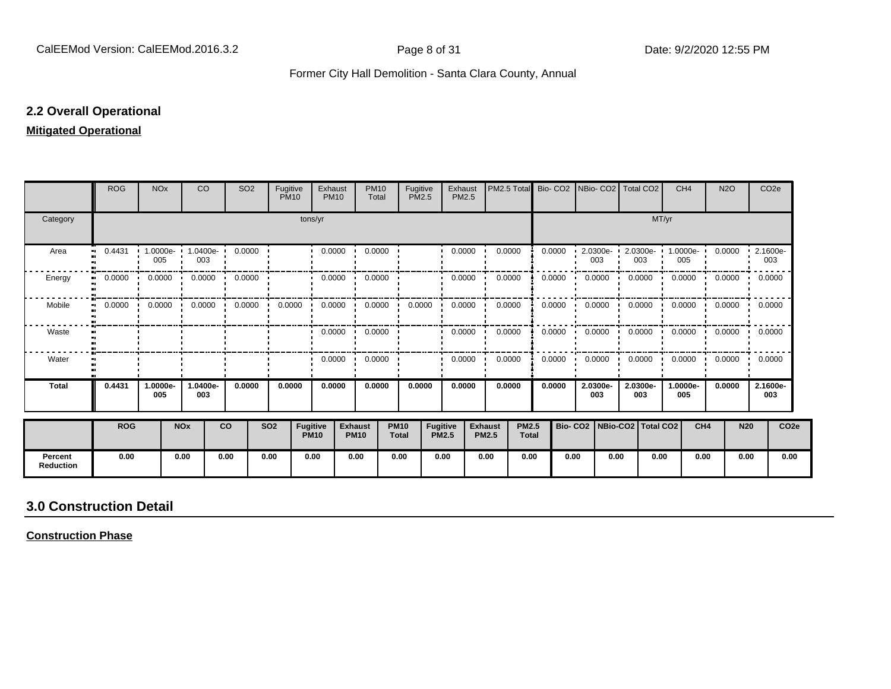#### **2.2 Overall Operational**

#### **Mitigated Operational**

|                             | <b>ROG</b>                 | <b>NO<sub>x</sub></b> |            | <b>CO</b>       | SO <sub>2</sub>                  |            | Fugitive<br><b>PM10</b>        | Exhaust<br><b>PM10</b>  | <b>PM10</b><br>Total               |                             | Fugitive<br>PM2.5        | Exhaust<br>PM2.5 | PM2.5 Total                    |                              | Bio-CO <sub>2</sub> |      |                         | NBio- CO2   Total CO2           |       | CH <sub>4</sub> | <b>N2O</b>                 | CO <sub>2</sub> e |                  |
|-----------------------------|----------------------------|-----------------------|------------|-----------------|----------------------------------|------------|--------------------------------|-------------------------|------------------------------------|-----------------------------|--------------------------|------------------|--------------------------------|------------------------------|---------------------|------|-------------------------|---------------------------------|-------|-----------------|----------------------------|-------------------|------------------|
| Category                    |                            |                       |            |                 |                                  |            | tons/yr                        |                         |                                    |                             |                          |                  |                                |                              |                     |      |                         |                                 | MT/yr |                 |                            |                   |                  |
| Area                        | 0.4431<br>$\bullet\bullet$ | 1.0000e-<br>005       |            | 1.0400e-<br>003 | 0.0000                           |            |                                | 0.0000                  | 0.0000                             |                             |                          | 0.0000           | 0.0000                         |                              | 0.0000              |      | $2.0300e - 1$<br>003    | 2.0300e-<br>003                 |       | 1.0000e-<br>005 | 0.0000                     | 2.1600e-<br>003   |                  |
| Energy                      | 0.0000<br>$\blacksquare$   | 0.0000                |            | 0.0000          | 0.0000                           |            |                                | 0.0000                  | 0.0000                             |                             |                          | 0.0000           | 0.0000                         |                              | 0.0000              |      | 0.0000                  | 0.0000                          |       | 0.0000          | 0.0000                     | 0.0000            |                  |
| Mobile                      | 0.0000<br>$\blacksquare$   |                       | 0.0000     |                 | $0.0000$ $0.0000$ $\blacksquare$ |            | $0.0000$ $\cdot$               |                         | $0.0000 \cdot 0.0000 \cdot 0.0000$ |                             |                          | 0.0000           | 0.0000                         |                              | 0.0000              |      | $0.0000$ $\blacksquare$ | 0.0000                          |       |                 | $0.0000$ $0.0000$ $0.0000$ |                   |                  |
| Waste                       |                            |                       |            |                 |                                  |            |                                | $0.0000$ $\blacksquare$ | 0.0000                             |                             |                          | 0.0000           | 0.0000                         |                              | 0.0000              |      | 0.0000                  | 0.0000                          |       | 0.0000          | $0.0000 \cdot 0.0000$      |                   |                  |
| Water                       |                            |                       |            |                 |                                  |            |                                | 0.0000                  | 0.0000<br>$\cdot$                  |                             |                          | 0.0000           | 0.0000                         |                              | 0.0000              |      | 0.0000                  | 0.0000                          |       | 0.0000          | 0.0000                     | 0.0000            |                  |
| <b>Total</b>                | 0.4431                     | 1.0000e-<br>005       |            | 1.0400e-<br>003 | 0.0000                           |            | 0.0000                         | 0.0000                  | 0.0000                             |                             | 0.0000                   | 0.0000           | 0.0000                         |                              | 0.0000              |      | 2.0300e-<br>003         | 2.0300e-<br>003                 |       | 1.0000e-<br>005 | 0.0000                     | 2.1600e-<br>003   |                  |
|                             | <b>ROG</b>                 |                       | <b>NOx</b> |                 | <b>CO</b>                        | <b>SO2</b> | <b>Fugitive</b><br><b>PM10</b> |                         | <b>Exhaust</b><br><b>PM10</b>      | <b>PM10</b><br><b>Total</b> | Fugitive<br><b>PM2.5</b> |                  | <b>Exhaust</b><br><b>PM2.5</b> | <b>PM2.5</b><br><b>Total</b> |                     |      |                         | Bio- CO2   NBio-CO2   Total CO2 |       | CH <sub>4</sub> |                            | <b>N20</b>        | CO <sub>2e</sub> |
| Percent<br><b>Reduction</b> | 0.00                       |                       | 0.00       |                 | 0.00                             | 0.00       |                                | 0.00                    | 0.00                               | 0.00                        | 0.00                     |                  | 0.00                           | 0.00                         |                     | 0.00 | 0.00                    |                                 | 0.00  | 0.00            |                            | 0.00              | 0.00             |

## **3.0 Construction Detail**

**Construction Phase**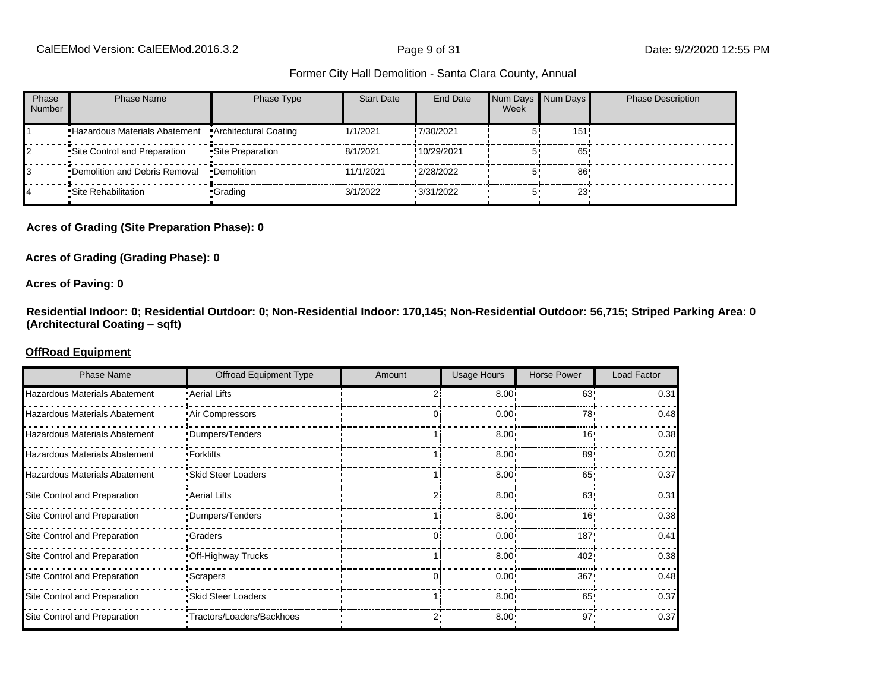| Phase<br><b>Number</b> | Phase Name                     | Phase Type            | <b>Start Date</b> | End Date          | Week | Num Days Num Days | <b>Phase Description</b> |
|------------------------|--------------------------------|-----------------------|-------------------|-------------------|------|-------------------|--------------------------|
|                        | •Hazardous Materials Abatement | Architectural Coating | 1/1/2021          | !7/30/2021        |      | 151               |                          |
|                        | Site Control and Preparation   | •Site Preparation     | 18/1/2021         | !10/29/2021       |      | 65'               |                          |
|                        | •Demolition and Debris Removal | •Demolition           | 11/1/2021         | !2/28/2022        |      | 86                |                          |
|                        | •Site Rehabilitation           | •Grading              | $\cdot$ 3/1/2022  | $\cdot$ 3/31/2022 |      | 23                |                          |

#### **Acres of Grading (Site Preparation Phase): 0**

#### **Acres of Grading (Grading Phase): 0**

#### **Acres of Paving: 0**

**Residential Indoor: 0; Residential Outdoor: 0; Non-Residential Indoor: 170,145; Non-Residential Outdoor: 56,715; Striped Parking Area: 0 (Architectural Coating ±sqft)**

#### **OffRoad Equipment**

| <b>Phase Name</b>                    | <b>Offroad Equipment Type</b> | Amount | <b>Usage Hours</b> | <b>Horse Power</b> | <b>Load Factor</b> |
|--------------------------------------|-------------------------------|--------|--------------------|--------------------|--------------------|
| Hazardous Materials Abatement        | Aerial Lifts                  |        | $8.00 -$           | 63'                | 0.31               |
| Hazardous Materials Abatement        | Air Compressors               |        | 0.00               | 78                 | 0.48               |
| <b>Hazardous Materials Abatement</b> | •Dumpers/Tenders              |        | 8.00 <sub>1</sub>  | 16                 | 0.38               |
| Hazardous Materials Abatement        | •Forklifts                    |        | 8.00 <sub>1</sub>  | 89                 | 0.20               |
| Hazardous Materials Abatement        | • Skid Steer Loaders          |        | 8.00 <sub>1</sub>  | 65                 | 0.37               |
| Site Control and Preparation         | • Aerial Lifts                |        | 8.00               | 63                 | 0.31               |
| Site Control and Preparation         | •Dumpers/Tenders              |        | 8.00               | 16'                | 0.38               |
| Site Control and Preparation         | •Graders                      |        | 0.00 <sub>1</sub>  | 187                | 0.41               |
| Site Control and Preparation         | .Off-Highway Trucks           |        | 8.00 <sub>1</sub>  | 402                | 0.38               |
| Site Control and Preparation         | •Scrapers                     |        | 0.00               | 367                | 0.48               |
| Site Control and Preparation         | • Skid Steer Loaders          |        | $8.00 \cdot$       | 65                 | 0.37               |
| Site Control and Preparation         | •Tractors/Loaders/Backhoes    |        | $8.00 \cdot$       | 97                 | 0.37               |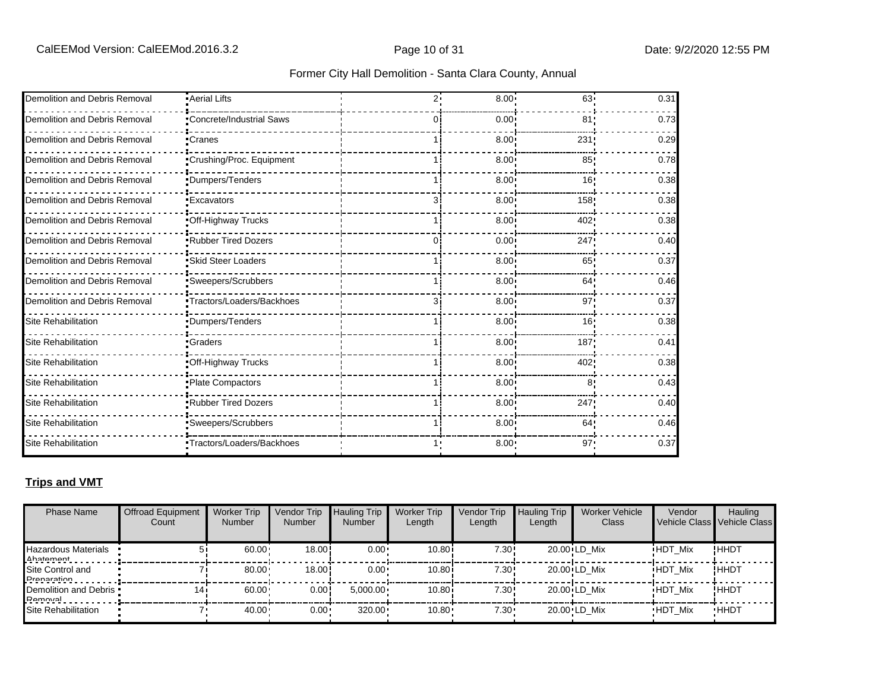| Former City Hall Demolition - Santa Clara County, Annual |
|----------------------------------------------------------|
|----------------------------------------------------------|

| Demolition and Debris Removal | -Aerial Lifts                   | 2٠  | 8.00              | $63 -$           | 0.31 |
|-------------------------------|---------------------------------|-----|-------------------|------------------|------|
| Demolition and Debris Removal | <b>Concrete/Industrial Saws</b> | Ωi  | 0.00 <sub>1</sub> | 81 <sub>1</sub>  | 0.73 |
| Demolition and Debris Removal | •Cranes                         |     | 8.00 <sub>1</sub> | 231              | 0.29 |
| Demolition and Debris Removal | "Crushing/Proc. Equipment       |     | 8.00              | 85               | 0.78 |
| Demolition and Debris Removal | <i>•</i> Dumpers/Tenders        |     | 8.00 <sub>1</sub> | 16'              | 0.38 |
| Demolition and Debris Removal | <b>Excavators</b>               | 31  | 8.00              | 158!             | 0.38 |
| Demolition and Debris Removal | Off-Highway Trucks              |     | 8.00 <sub>1</sub> | 402              | 0.38 |
| Demolition and Debris Removal | <b>Rubber Tired Dozers</b>      | 0 i | 0.00 <sup>1</sup> | 247              | 0.40 |
| Demolition and Debris Removal | <b>Skid Steer Loaders</b>       |     | 8.00 <sup>1</sup> | 65               | 0.37 |
| Demolition and Debris Removal | •Sweepers/Scrubbers             |     | 8.00 <sub>1</sub> | 64!              | 0.46 |
| Demolition and Debris Removal | •Tractors/Loaders/Backhoes      | 3   | 8.00 <sub>1</sub> | 97!              | 0.37 |
| Site Rehabilitation           | Dumpers/Tenders                 |     | 8.00 <sub>1</sub> | 16!              | 0.38 |
| Site Rehabilitation           | •Graders                        |     | 8.00              | 187 <sub>1</sub> | 0.41 |
| Site Rehabilitation           | Off-Highway Trucks              |     | $8.00^{\circ}$    | 402              | 0.38 |
| <b>Site Rehabilitation</b>    | Plate Compactors                |     | 8.00              | 8'               | 0.43 |
| <b>Site Rehabilitation</b>    | .Rubber Tired Dozers            |     | 8.00 <sup>1</sup> | 247              | 0.40 |
| Site Rehabilitation           | Sweepers/Scrubbers              |     | 8.00 <sub>1</sub> | 64               | 0.46 |
| <b>Site Rehabilitation</b>    | •Tractors/Loaders/Backhoes      |     | 8.00              | $97 -$           | 0.37 |

#### **Trips and VMT**

| <b>Phase Name</b>                         | <b>Offroad Equipment</b><br>Count | <b>Worker Trip</b><br><b>Number</b> | Vendor Trip<br><b>Number</b> | <b>Hauling Trip</b><br><b>Number</b> | <b>Worker Trip</b><br>Length | Vendor Trip<br>Length | <b>Hauling Trip</b><br>Length | <b>Worker Vehicle</b><br>Class | Vendor         | Hauling<br>Vehicle Class Vehicle Class |
|-------------------------------------------|-----------------------------------|-------------------------------------|------------------------------|--------------------------------------|------------------------------|-----------------------|-------------------------------|--------------------------------|----------------|----------------------------------------|
| <b>Hazardous Materials</b><br>Ahatamant   |                                   | 60.00                               | 18.00                        | $0.00 \cdot$                         | 10.80 <sub>1</sub>           | 7.30!                 |                               | 20.00 LD Mix                   | <b>HDT Mix</b> | !HHDT                                  |
| Site Control and<br><b>Drangration</b>    |                                   | 80.00                               | 18.00                        | $0.00 \cdot$                         | 10.80 <sub>1</sub>           | 7.30!                 |                               | 20.00 LD Mix                   | <b>HDT Mix</b> | !HHDT                                  |
| Demolition and Debris .<br><b>Damoval</b> | 14                                | 60.00                               | 0.00!                        | $5.000.00 \cdot$                     | 10.80i                       | 7.30!                 |                               | 20.00 LD Mix                   | <b>HDT Mix</b> | !HHDT                                  |
| Site Rehabilitation                       |                                   | 40.00                               | $0.00 -$                     | 320.00                               | 10.80                        | $7.30 \cdot$          |                               | 20.00 LD Mix                   | <b>HDT Mix</b> | <b>HHDT</b>                            |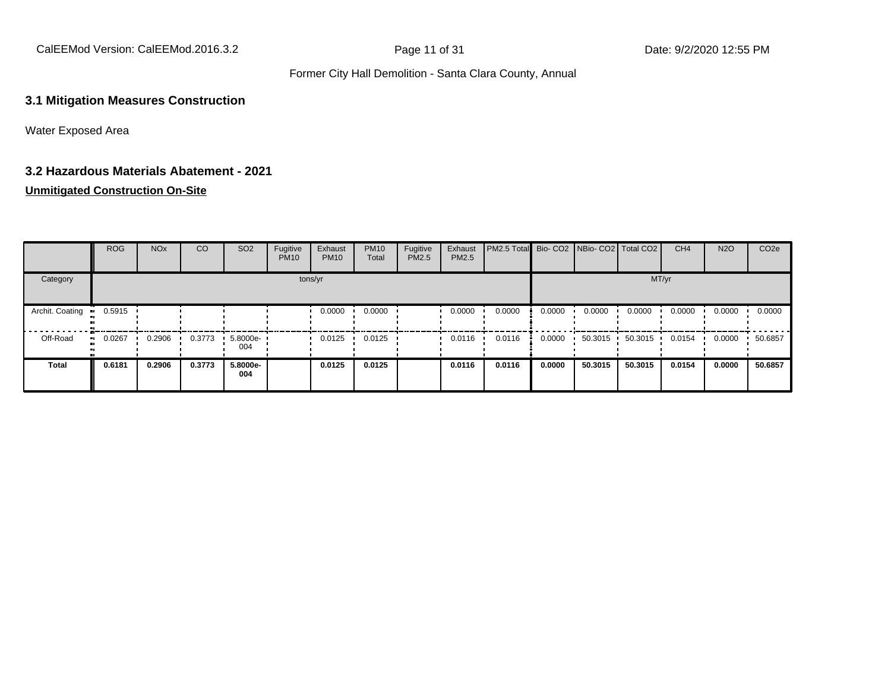CalEEMod Version: CalEEMod.2016.3.2 **Page 11 of 31** Page 11 of 31 Date: 9/2/2020 12:55 PM

#### Former City Hall Demolition - Santa Clara County, Annual

#### **3.1 Mitigation Measures Construction**

Water Exposed Area

#### **3.2 Hazardous Materials Abatement - 2021**

#### **Unmitigated Construction On-Site**

|                 | ROG    | <b>NO<sub>x</sub></b> | CO     | SO <sub>2</sub> | Fugitive<br><b>PM10</b> | Exhaust<br><b>PM10</b> | <b>PM10</b><br>Total | Fugitive<br>PM2.5 | Exhaust<br>PM2.5 | <b>PM2.5 Total</b> Bio- CO2 NBio- CO2 Total CO2 |        |         |         | CH <sub>4</sub> | <b>N2O</b> | CO <sub>2e</sub> |
|-----------------|--------|-----------------------|--------|-----------------|-------------------------|------------------------|----------------------|-------------------|------------------|-------------------------------------------------|--------|---------|---------|-----------------|------------|------------------|
| Category        |        |                       |        |                 |                         | tons/yr                |                      |                   |                  |                                                 |        |         |         | MT/yr           |            |                  |
| Archit. Coating | 0.5915 |                       |        |                 |                         | 0.0000                 | 0.0000               |                   | 0.0000           | 0.0000                                          | 0.0000 | 0.0000  | 0.0000  | 0.0000          | 0.0000     | 0.0000           |
| Off-Road        | 0.0267 | 0.2906                | 0.3773 | 5.8000e-<br>004 |                         | 0.0125                 | 0.0125               |                   | 0.0116           | 0.0116                                          | 0.0000 | 50.3015 | 50.3015 | 0.0154          | 0.0000     | 50.6857          |
| <b>Total</b>    | 0.6181 | 0.2906                | 0.3773 | 5.8000e-<br>004 |                         | 0.0125                 | 0.0125               |                   | 0.0116           | 0.0116                                          | 0.0000 | 50,3015 | 50.3015 | 0.0154          | 0.0000     | 50.6857          |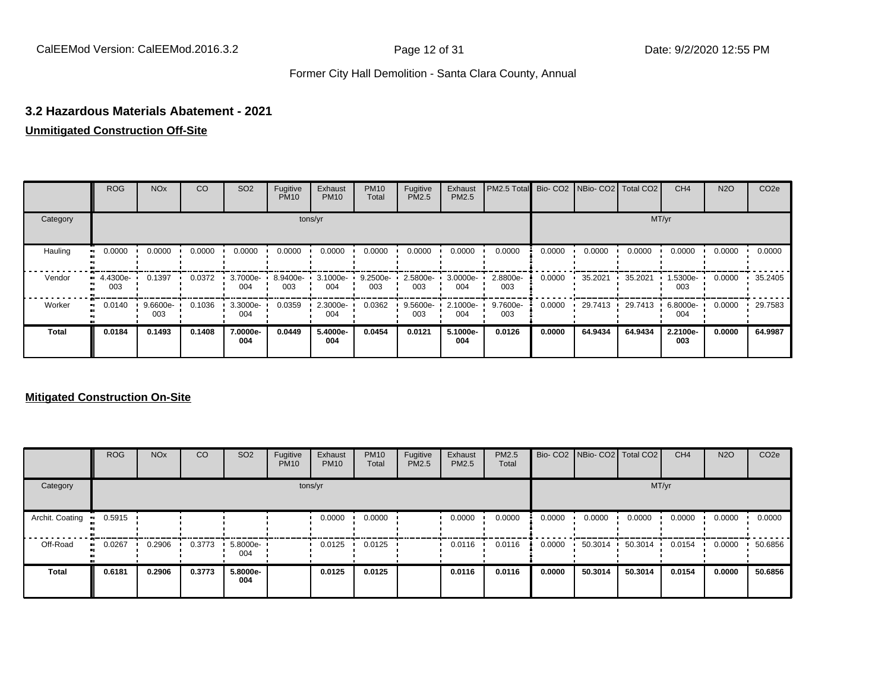#### **3.2 Hazardous Materials Abatement - 2021**

#### **Unmitigated Construction Off-Site**

|              | <b>ROG</b>      | <b>NO<sub>x</sub></b> | CO     | SO <sub>2</sub> | Fugitive<br><b>PM10</b> | Exhaust<br><b>PM10</b> | <b>PM10</b><br>Total | Fugitive<br><b>PM2.5</b> | Exhaust<br>PM2.5 | PM2.5 Total Bio- CO2 NBio- CO2 Total CO2 |        |         |         | CH <sub>4</sub> | <b>N2O</b> | CO <sub>2e</sub> |
|--------------|-----------------|-----------------------|--------|-----------------|-------------------------|------------------------|----------------------|--------------------------|------------------|------------------------------------------|--------|---------|---------|-----------------|------------|------------------|
| Category     |                 |                       |        |                 |                         | tons/yr                |                      |                          |                  |                                          |        |         |         | MT/yr           |            |                  |
| Hauling      | 0.0000          | 0.0000                | 0.0000 | 0.0000          | 0.0000                  | 0.0000                 | 0.0000               | 0.0000                   | 0.0000           | 0.0000                                   | 0.0000 | 0.0000  | 0.0000  | 0.0000          | 0.0000     | 0.0000           |
| Vendor       | 4.4300e-<br>003 | 0.1397                | 0.0372 | 3.7000e-<br>004 | 8.9400e-<br>003         | 3.1000e-<br>004        | $9.2500e -$<br>003   | 2.5800e-<br>003          | 3.0000e-<br>004  | 2.8800e-<br>003                          | 0.0000 | 35.2021 | 35.2021 | 1.5300e-<br>003 | 0.0000     | 35.2405          |
| Worker       | 0.0140          | 9.6600e-<br>003       | 0.1036 | 3.3000e-<br>004 | 0.0359                  | 2.3000e-<br>004        | 0.0362               | 9.5600e-<br>003          | 2.1000e-<br>004  | 9.7600e-<br>003                          | 0.0000 | 29.7413 | 29.7413 | 6.8000e-<br>004 | 0.0000     | 29.7583          |
| <b>Total</b> | 0.0184          | 0.1493                | 0.1408 | 7.0000e-<br>004 | 0.0449                  | 5.4000e-<br>004        | 0.0454               | 0.0121                   | 5.1000e-<br>004  | 0.0126                                   | 0.0000 | 64.9434 | 64.9434 | 2.2100e-<br>003 | 0.0000     | 64.9987          |

#### **Mitigated Construction On-Site**

|                 | <b>ROG</b>   | <b>NO<sub>x</sub></b> | <b>CO</b> | SO <sub>2</sub> | Fugitive<br><b>PM10</b> | Exhaust<br><b>PM10</b> | <b>PM10</b><br>Total | Fugitive<br>PM2.5 | Exhaust<br><b>PM2.5</b> | PM2.5<br>Total |        | Bio- CO2 NBio- CO2 Total CO2 |         | CH <sub>4</sub> | <b>N2O</b> | CO <sub>2e</sub> |
|-----------------|--------------|-----------------------|-----------|-----------------|-------------------------|------------------------|----------------------|-------------------|-------------------------|----------------|--------|------------------------------|---------|-----------------|------------|------------------|
| Category        |              |                       |           |                 |                         | tons/yr                |                      |                   |                         |                |        |                              | MT/yr   |                 |            |                  |
| Archit. Coating | 0.5915       |                       |           |                 |                         | 0.0000                 | 0.0000               |                   | 0.0000                  | 0.0000         | 0.0000 | 0.0000                       | 0.0000  | 0.0000          | 0.0000     | 0.0000           |
| Off-Road        | 0.0267<br>ш. | 0.2906                | 0.3773    | 5.8000e-<br>004 |                         | 0.0125                 | 0.0125               |                   | 0.0116                  | 0.0116         | 0.0000 | 50.3014                      | 50.3014 | 0.0154          | 0.0000     | 50.6856          |
| <b>Total</b>    | 0.6181       | 0.2906                | 0.3773    | 5.8000e-<br>004 |                         | 0.0125                 | 0.0125               |                   | 0.0116                  | 0.0116         | 0.0000 | 50.3014                      | 50.3014 | 0.0154          | 0.0000     | 50.6856          |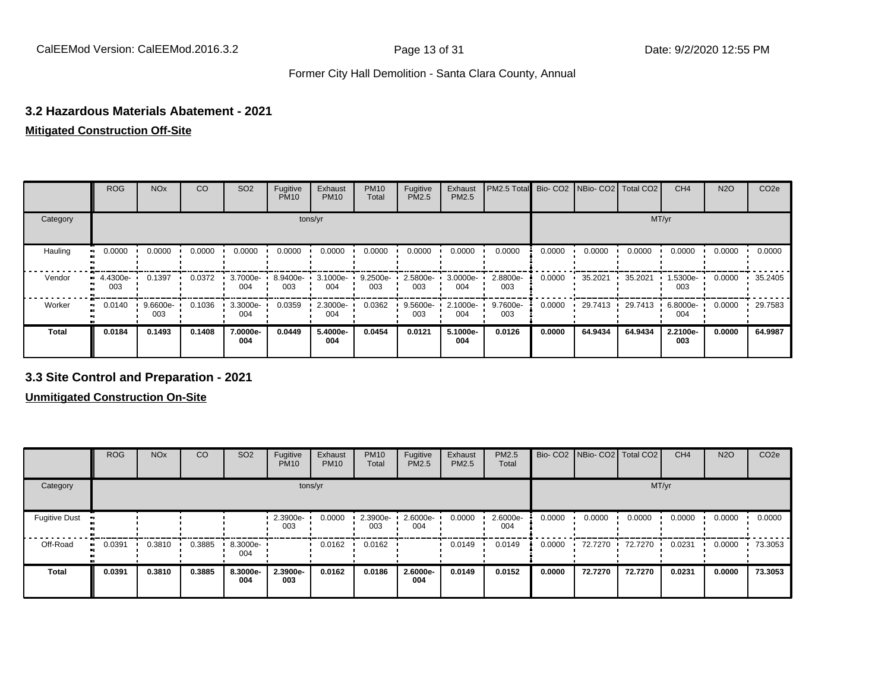#### **3.2 Hazardous Materials Abatement - 2021**

#### **Mitigated Construction Off-Site**

|              | <b>ROG</b>      | <b>NO<sub>x</sub></b> | CO     | SO <sub>2</sub>    | Fugitive<br><b>PM10</b> | Exhaust<br><b>PM10</b> | <b>PM10</b><br>Total | Fugitive<br><b>PM2.5</b> | Exhaust<br>PM2.5 | PM2.5 Total Bio- CO2 NBio- CO2 Total CO2 |        |         |         | CH <sub>4</sub> | <b>N2O</b> | CO <sub>2e</sub> |
|--------------|-----------------|-----------------------|--------|--------------------|-------------------------|------------------------|----------------------|--------------------------|------------------|------------------------------------------|--------|---------|---------|-----------------|------------|------------------|
| Category     |                 |                       |        |                    |                         | tons/yr                |                      |                          |                  |                                          |        |         |         | MT/yr           |            |                  |
| Hauling      | 0.0000          | 0.0000                | 0.0000 | 0.0000             | 0.0000                  | 0.0000                 | 0.0000               | 0.0000                   | 0.0000           | 0.0000                                   | 0.0000 | 0.0000  | 0.0000  | 0.0000          | 0.0000     | 0.0000           |
| Vendor       | 4.4300e-<br>003 | 0.1397                | 0.0372 | $3.7000e -$<br>004 | 8.9400e-<br>003         | 3.1000e-<br>004        | $9.2500e -$<br>003   | 2.5800e-<br>003          | 3.0000e-<br>004  | 2.8800e-<br>003                          | 0.0000 | 35.2021 | 35.2021 | 1.5300e-<br>003 | 0.0000     | 35.2405          |
| Worker       | 0.0140          | 9.6600e-<br>003       | 0.1036 | 3.3000e-<br>004    | 0.0359                  | 2.3000e-<br>004        | 0.0362               | 9.5600e-<br>003          | 2.1000e-<br>004  | 9.7600e-<br>003                          | 0.0000 | 29.7413 | 29.7413 | 6.8000e-<br>004 | 0.0000     | 29.7583          |
| <b>Total</b> | 0.0184          | 0.1493                | 0.1408 | 7.0000e-<br>004    | 0.0449                  | 5.4000e-<br>004        | 0.0454               | 0.0121                   | 5.1000e-<br>004  | 0.0126                                   | 0.0000 | 64.9434 | 64.9434 | 2.2100e-<br>003 | 0.0000     | 64.9987          |

#### **3.3 Site Control and Preparation - 2021**

**Unmitigated Construction On-Site**

|                      | <b>ROG</b> | <b>NO<sub>x</sub></b> | CO     | SO <sub>2</sub> | Fugitive<br><b>PM10</b> | Exhaust<br><b>PM10</b> | <b>PM10</b><br>Total | Fugitive<br>PM2.5 | Exhaust<br><b>PM2.5</b> | PM2.5<br>Total  |        | Bio- CO2   NBio- CO2   Total CO2 |         | CH <sub>4</sub> | <b>N2O</b> | CO <sub>2e</sub> |
|----------------------|------------|-----------------------|--------|-----------------|-------------------------|------------------------|----------------------|-------------------|-------------------------|-----------------|--------|----------------------------------|---------|-----------------|------------|------------------|
| Category             |            |                       |        |                 | tons/yr                 |                        |                      |                   |                         |                 |        |                                  | MT/yr   |                 |            |                  |
| <b>Fugitive Dust</b> |            |                       |        |                 | 2.3900e-<br>003         | 0.0000                 | 2.3900e-<br>003      | 2.6000e-<br>004   | 0.0000                  | 2.6000e-<br>004 | 0.0000 | 0.0000                           | 0.0000  | 0.0000          | 0.0000     | 0.0000           |
| Off-Road<br>ш        | 0.0391     | 0.3810                | 0.3885 | 8.3000e-<br>004 |                         | 0.0162                 | 0.0162               |                   | 0.0149                  | 0.0149          | 0.0000 | 72.7270                          | 72.7270 | 0.0231          | 0.0000     | 73.3053          |
| <b>Total</b>         | 0.0391     | 0.3810                | 0.3885 | 8.3000e-<br>004 | 2.3900e-<br>003         | 0.0162                 | 0.0186               | 2.6000e-<br>004   | 0.0149                  | 0.0152          | 0.0000 | 72.7270                          | 72.7270 | 0.0231          | 0.0000     | 73.3053          |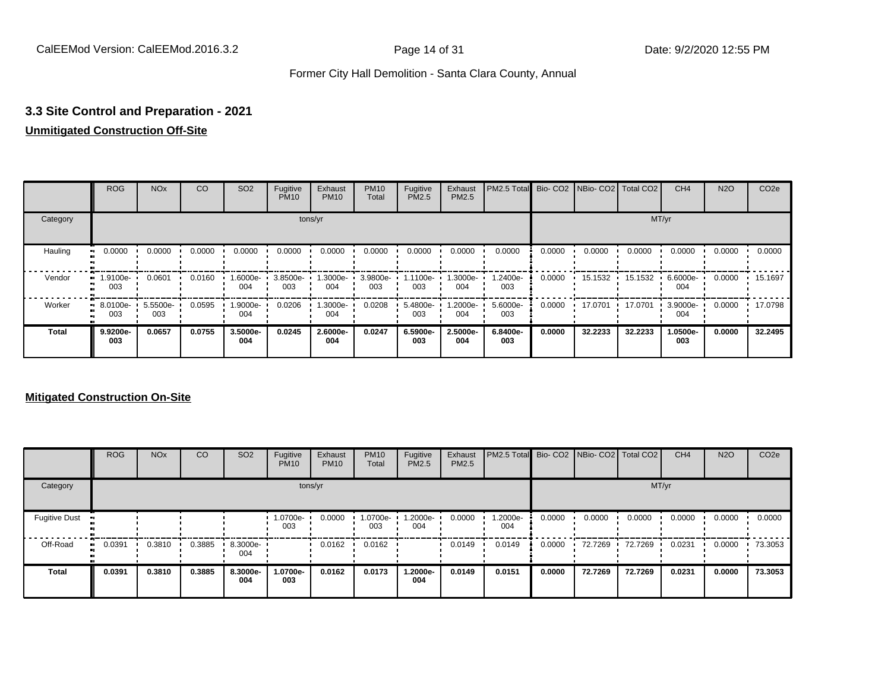### **3.3 Site Control and Preparation - 2021**

#### **Unmitigated Construction Off-Site**

|              | <b>ROG</b>      | <b>NO<sub>x</sub></b> | CO     | SO <sub>2</sub> | Fugitive<br><b>PM10</b> | Exhaust<br><b>PM10</b> | <b>PM10</b><br>Total | Fugitive<br><b>PM2.5</b> | Exhaust<br>PM2.5 | PM2.5 Total Bio- CO2 NBio- CO2 Total CO2 |        |         |         | CH <sub>4</sub> | <b>N2O</b> | CO <sub>2e</sub> |
|--------------|-----------------|-----------------------|--------|-----------------|-------------------------|------------------------|----------------------|--------------------------|------------------|------------------------------------------|--------|---------|---------|-----------------|------------|------------------|
| Category     |                 |                       |        |                 |                         | tons/yr                |                      |                          |                  |                                          |        |         |         | MT/yr           |            |                  |
| Hauling      | 0.0000          | 0.0000                | 0.0000 | 0.0000          | 0.0000                  | 0.0000                 | 0.0000               | 0.0000                   | 0.0000           | 0.0000                                   | 0.0000 | 0.0000  | 0.0000  | 0.0000          | 0.0000     | 0.0000           |
| Vendor       | 1.9100e-<br>003 | 0.0601                | 0.0160 | -6000e.<br>004  | 3.8500e-<br>003         | 1.3000e-<br>004        | 3.9800e-<br>003      | 1.1100e-<br>003          | 1.3000e-<br>004  | 1.2400e-<br>003                          | 0.0000 | 15.1532 | 15.1532 | 6.6000e-<br>004 | 0.0000     | 15.1697          |
| Worker       | 8.0100e-<br>003 | 5.5500e-<br>003       | 0.0595 | .9000e-<br>004  | 0.0206                  | 1.3000e-<br>004        | 0.0208               | 5.4800e-<br>003          | -2000e.<br>004   | 5.6000e-<br>003                          | 0.0000 | 17.0701 | 17.0701 | 3.9000e-<br>004 | 0.0000     | 17.0798          |
| <b>Total</b> | 9.9200e-<br>003 | 0.0657                | 0.0755 | 3.5000e-<br>004 | 0.0245                  | 2.6000e-<br>004        | 0.0247               | 6.5900e-<br>003          | 2.5000e-<br>004  | 6.8400e-<br>003                          | 0.0000 | 32.2233 | 32.2233 | 1.0500e-<br>003 | 0.0000     | 32.2495          |

#### **Mitigated Construction On-Site**

|                      | <b>ROG</b> | <b>NO<sub>x</sub></b> | CO     | SO <sub>2</sub> | Fugitive<br><b>PM10</b> | Exhaust<br><b>PM10</b> | <b>PM10</b><br>Total | Fugitive<br><b>PM2.5</b> | Exhaust<br><b>PM2.5</b> | PM2.5 Total Bio-CO2 NBio-CO2 Total CO2 |        |         |         | CH <sub>4</sub> | <b>N2O</b> | CO <sub>2e</sub> |
|----------------------|------------|-----------------------|--------|-----------------|-------------------------|------------------------|----------------------|--------------------------|-------------------------|----------------------------------------|--------|---------|---------|-----------------|------------|------------------|
| Category             |            |                       |        |                 |                         | tons/yr                |                      |                          |                         |                                        |        |         | MT/yr   |                 |            |                  |
| <b>Fugitive Dust</b> |            |                       |        |                 | 1.0700e-<br>003         | 0.0000                 | 1.0700e-<br>003      | 1.2000e-<br>004          | 0.0000                  | -2000e-<br>004                         | 0.0000 | 0.0000  | 0.0000  | 0.0000          | 0.0000     | 0.0000           |
| Off-Road             | 0.0391     | 0.3810                | 0.3885 | 8.3000e-<br>004 |                         | 0.0162                 | 0.0162               |                          | 0.0149                  | 0.0149                                 | 0.0000 | 72.7269 | 72.7269 | 0.0231          | 0.0000     | 73.3053          |
| <b>Total</b>         | 0.0391     | 0.3810                | 0.3885 | 8.3000e-<br>004 | 1.0700e-<br>003         | 0.0162                 | 0.0173               | 1.2000e-<br>004          | 0.0149                  | 0.0151                                 | 0.0000 | 72.7269 | 72.7269 | 0.0231          | 0.0000     | 73.3053          |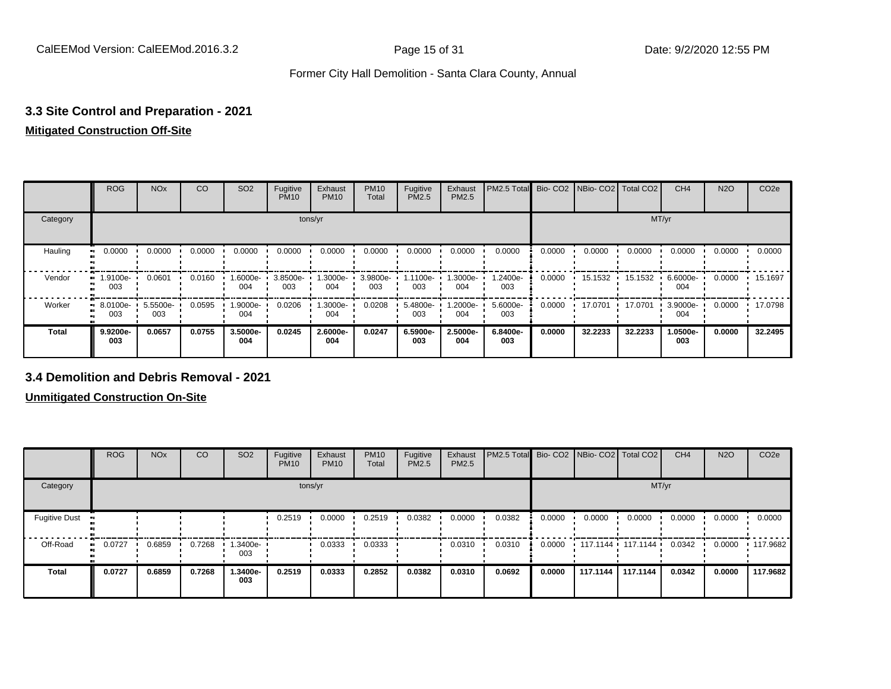### **3.3 Site Control and Preparation - 2021**

#### **Mitigated Construction Off-Site**

|              | <b>ROG</b>                   | <b>NO<sub>x</sub></b> | CO     | SO <sub>2</sub> | Fugitive<br><b>PM10</b> | Exhaust<br><b>PM10</b> | <b>PM10</b><br>Total | Fugitive<br><b>PM2.5</b> | Exhaust<br>PM2.5 | PM2.5 Total Bio- CO2 NBio- CO2 Total CO2 |        |         |         | CH <sub>4</sub> | <b>N2O</b> | CO <sub>2e</sub> |
|--------------|------------------------------|-----------------------|--------|-----------------|-------------------------|------------------------|----------------------|--------------------------|------------------|------------------------------------------|--------|---------|---------|-----------------|------------|------------------|
| Category     |                              |                       |        |                 | tons/yr                 |                        |                      |                          |                  |                                          |        |         | MT/yr   |                 |            |                  |
| Hauling      | 0.0000                       | 0.0000                | 0.0000 | 0.0000          | 0.0000                  | 0.0000                 | 0.0000               | 0.0000                   | 0.0000           | 0.0000                                   | 0.0000 | 0.0000  | 0.0000  | 0.0000          | 0.0000     | 0.0000           |
| Vendor<br>п. | 1.9100e-<br>003              | 0.0601                | 0.0160 | -.6000e<br>004  | 3.8500e-<br>003         | 1.3000e-<br>004        | 3.9800e-<br>003      | 1.1100e-<br>003          | 1.3000e-<br>004  | 1.2400e-<br>003                          | 0.0000 | 15.1532 | 15.1532 | 6.6000e-<br>004 | 0.0000     | $+ 15.1697$      |
| Worker       | 8.0100e-<br>$\bullet$<br>003 | 5.5500e-<br>003       | 0.0595 | -9000e.<br>004  | 0.0206                  | -3000e-<br>004         | 0.0208               | 5.4800e-<br>003          | -2000e.<br>004   | 5.6000e-<br>003                          | 0.0000 | 17.0701 | 17.0701 | 3.9000e-<br>004 | 0.0000     | 17.0798          |
| <b>Total</b> | 9.9200e-<br>003              | 0.0657                | 0.0755 | 3.5000e-<br>004 | 0.0245                  | 2.6000e-<br>004        | 0.0247               | 6.5900e-<br>003          | 2.5000e-<br>004  | 6.8400e-<br>003                          | 0.0000 | 32.2233 | 32.2233 | 1.0500e-<br>003 | 0.0000     | 32.2495          |

#### **3.4 Demolition and Debris Removal - 2021**

**Unmitigated Construction On-Site**

|                      | <b>ROG</b>   | <b>NO<sub>x</sub></b> | CO     | SO <sub>2</sub> | Fugitive<br><b>PM10</b> | Exhaust<br><b>PM10</b> | <b>PM10</b><br>Total | Fugitive<br><b>PM2.5</b> | Exhaust<br><b>PM2.5</b> | PM2.5 Total Bio- CO2 NBio- CO2   Total CO2 |        |                     |          | CH <sub>4</sub> | <b>N2O</b> | CO <sub>2e</sub> |
|----------------------|--------------|-----------------------|--------|-----------------|-------------------------|------------------------|----------------------|--------------------------|-------------------------|--------------------------------------------|--------|---------------------|----------|-----------------|------------|------------------|
| Category             |              |                       |        |                 |                         | tons/yr                |                      |                          |                         |                                            |        |                     | MT/yr    |                 |            |                  |
| <b>Fugitive Dust</b> |              |                       |        |                 | 0.2519                  | 0.0000                 | 0.2519               | 0.0382                   | 0.0000                  | 0.0382                                     | 0.0000 | 0.0000              | 0.0000   | 0.0000          | 0.0000     | 0.0000           |
| Off-Road             | 0.0727<br>ш. | 0.6859                | 0.7268 | 1.3400e-<br>003 |                         | 0.0333                 | 0.0333               |                          | 0.0310                  | 0.0310                                     | 0.0000 | $117.1144$ 117.1144 |          | 0.0342          | 0.0000     | $\cdot$ 117.9682 |
| <b>Total</b>         | 0.0727       | 0.6859                | 0.7268 | 1.3400e-<br>003 | 0.2519                  | 0.0333                 | 0.2852               | 0.0382                   | 0.0310                  | 0.0692                                     | 0.0000 | 117.1144            | 117.1144 | 0.0342          | 0.0000     | 117.9682         |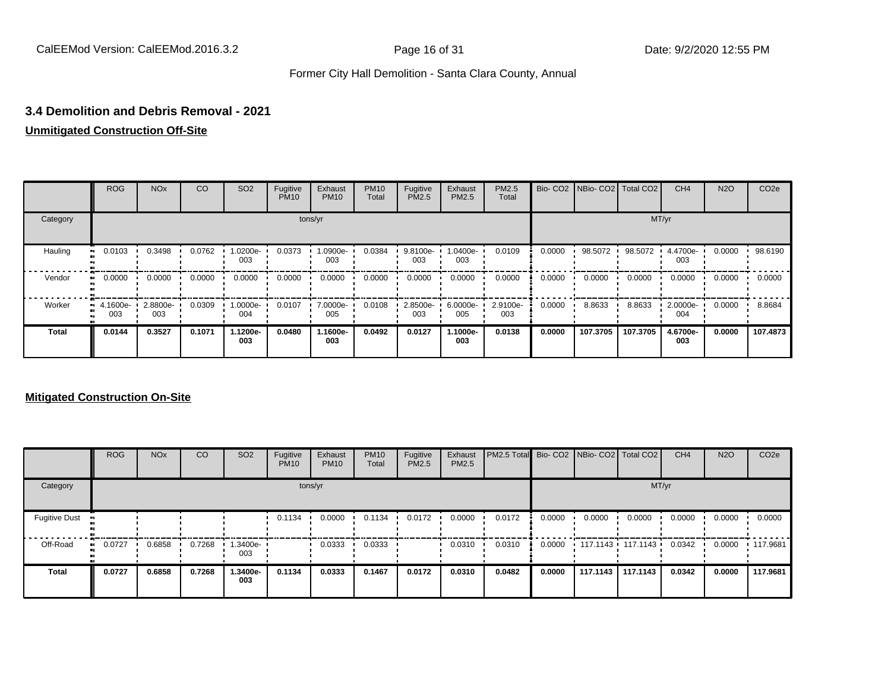#### **3.4 Demolition and Debris Removal - 2021**

#### **Unmitigated Construction Off-Site**

|              | <b>ROG</b>         | <b>NO<sub>x</sub></b> | CO     | SO <sub>2</sub> | Fugitive<br><b>PM10</b> | Exhaust<br><b>PM10</b> | <b>PM10</b><br>Total | Fugitive<br><b>PM2.5</b> | Exhaust<br>PM2.5 | <b>PM2.5</b><br>Total |        | Bio- CO2   NBio- CO2   Total CO2 |          | CH <sub>4</sub> | <b>N2O</b> | CO <sub>2e</sub> |
|--------------|--------------------|-----------------------|--------|-----------------|-------------------------|------------------------|----------------------|--------------------------|------------------|-----------------------|--------|----------------------------------|----------|-----------------|------------|------------------|
| Category     |                    |                       |        |                 |                         | tons/yr                |                      |                          |                  |                       |        |                                  | MT/yr    |                 |            |                  |
| Hauling      | 0.0103             | 0.3498                | 0.0762 | -.0200e<br>003  | 0.0373                  | 1.0900e-<br>003        | 0.0384               | 9.8100e-<br>003          | -0400e-<br>003   | 0.0109                | 0.0000 | 98.5072                          | 98.5072  | 4.4700e-<br>003 | 0.0000     | 98.6190          |
| Vendor       | 0.0000<br>ш.       | 0.0000                | 0.0000 | 0.0000          | 0.0000                  | 0.0000                 | 0.0000               | 0.0000                   | 0.0000           | 0.0000                | 0.0000 | 0.0000                           | 0.0000   | 0.0000          | 0.0000     | 0.0000           |
| Worker       | $-4.1600e-$<br>003 | 2.8800e-<br>003       | 0.0309 | -.0000e<br>004  | 0.0107                  | 7.0000e-<br>005        | 0.0108               | 2.8500e-<br>003          | 6.0000e-<br>005  | 2.9100e-<br>003       | 0.0000 | 8.8633                           | 8.8633   | 2.0000e-<br>004 | 0.0000     | 8.8684           |
| <b>Total</b> | 0.0144             | 0.3527                | 0.1071 | 1.1200e-<br>003 | 0.0480                  | 1.1600e-<br>003        | 0.0492               | 0.0127                   | 1.1000e-<br>003  | 0.0138                | 0.0000 | 107.3705                         | 107.3705 | 4.6700e-<br>003 | 0.0000     | 107.4873         |

#### **Mitigated Construction On-Site**

|                      | <b>ROG</b> | <b>NO<sub>x</sub></b> | CO     | SO <sub>2</sub> | Fugitive<br><b>PM10</b> | Exhaust<br><b>PM10</b> | <b>PM10</b><br>Total | Fugitive<br><b>PM2.5</b> | Exhaust<br><b>PM2.5</b> | PM2.5 Total Bio- CO2 NBio- CO2   Total CO2 |        |          |                     | CH <sub>4</sub> | <b>N2O</b> | CO <sub>2e</sub> |
|----------------------|------------|-----------------------|--------|-----------------|-------------------------|------------------------|----------------------|--------------------------|-------------------------|--------------------------------------------|--------|----------|---------------------|-----------------|------------|------------------|
| Category             |            |                       |        |                 |                         | tons/yr                |                      |                          |                         |                                            |        |          | MT/yr               |                 |            |                  |
| <b>Fugitive Dust</b> |            |                       |        |                 | 0.1134                  | 0.0000                 | 0.1134               | 0.0172                   | 0.0000                  | 0.0172                                     | 0.0000 | 0.0000   | 0.0000              | 0.0000          | 0.0000     | 0.0000           |
| Off-Road             | 0.0727     | 0.6858                | 0.7268 | .3400e-<br>003  |                         | 0.0333                 | 0.0333               |                          | 0.0310                  | 0.0310                                     | 0.0000 |          | $117.1143$ 117.1143 | 0.0342          | 0.0000     | $\cdot$ 117.9681 |
| <b>Total</b>         | 0.0727     | 0.6858                | 0.7268 | 1.3400e-<br>003 | 0.1134                  | 0.0333                 | 0.1467               | 0.0172                   | 0.0310                  | 0.0482                                     | 0.0000 | 117.1143 | 117.1143            | 0.0342          | 0.0000     | 117.9681         |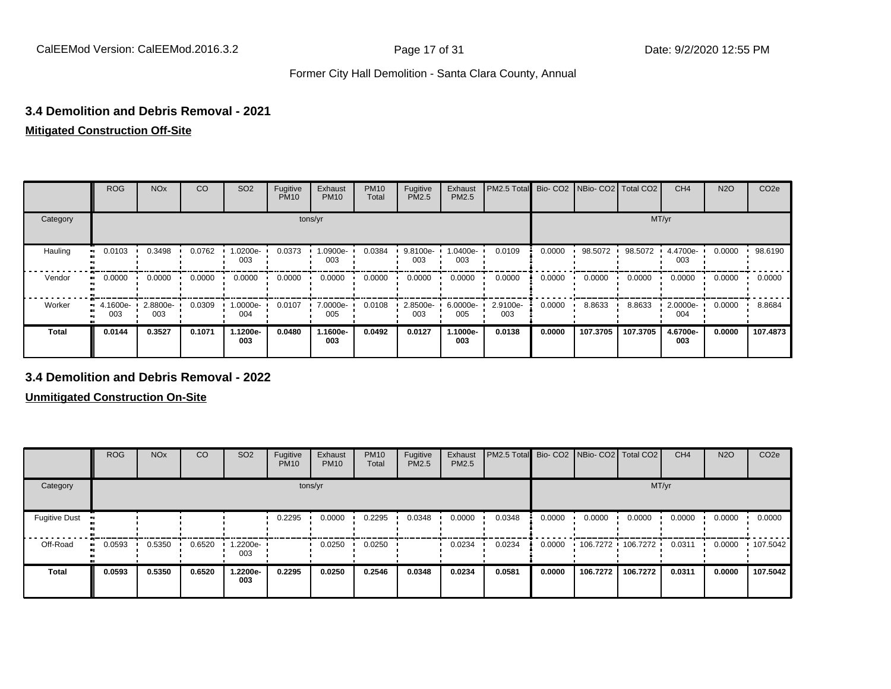#### **3.4 Demolition and Debris Removal - 2021**

#### **Mitigated Construction Off-Site**

|          | <b>ROG</b>      | <b>NO<sub>x</sub></b> | CO     | SO <sub>2</sub> | Fugitive<br><b>PM10</b> | Exhaust<br><b>PM10</b> | <b>PM10</b><br>Total | Fugitive<br><b>PM2.5</b> | Exhaust<br>PM2.5 | PM2.5 Total Bio- CO2 NBio- CO2 Total CO2 |        |          |          | CH <sub>4</sub> | <b>N2O</b> | CO <sub>2e</sub> |
|----------|-----------------|-----------------------|--------|-----------------|-------------------------|------------------------|----------------------|--------------------------|------------------|------------------------------------------|--------|----------|----------|-----------------|------------|------------------|
| Category |                 |                       |        |                 |                         | tons/yr                |                      |                          |                  |                                          |        |          | MT/yr    |                 |            |                  |
| Hauling  | 0.0103          | 0.3498                | 0.0762 | -.0200e<br>003  | 0.0373                  | 1.0900e-<br>003        | 0.0384               | 9.8100e-<br>003          | --0400e<br>003   | 0.0109                                   | 0.0000 | 98.5072  | 98.5072  | 4.4700e-<br>003 | 0.0000     | 98.6190          |
| Vendor   | 0.0000          | 0.0000                | 0.0000 | 0.0000          | 0.0000                  | 0.0000                 | 0.0000               | 0.0000                   | 0.0000           | 0.0000                                   | 0.0000 | 0.0000   | 0.0000   | 0.0000          | 0.0000     | 0.0000           |
| Worker   | 4.1600e-<br>003 | 2.8800e-<br>003       | 0.0309 | -.0000e<br>004  | 0.0107                  | 7.0000e-<br>005        | 0.0108               | 2.8500e-<br>003          | 6.0000e-<br>005  | 2.9100e-<br>003                          | 0.0000 | 8.8633   | 8.8633   | 2.0000e-<br>004 | 0.0000     | 8.8684           |
| Total    | 0.0144          | 0.3527                | 0.1071 | 1.1200e-<br>003 | 0.0480                  | 1.1600e-<br>003        | 0.0492               | 0.0127                   | 1.1000e-<br>003  | 0.0138                                   | 0.0000 | 107.3705 | 107.3705 | 4.6700e-<br>003 | 0.0000     | 107.4873         |

#### **3.4 Demolition and Debris Removal - 2022**

**Unmitigated Construction On-Site**

|                      | <b>ROG</b>          | <b>NO<sub>x</sub></b> | CO     | SO <sub>2</sub> | Fugitive<br><b>PM10</b> | Exhaust<br><b>PM10</b> | <b>PM10</b><br>Total | Fugitive<br><b>PM2.5</b> | Exhaust<br><b>PM2.5</b> | PM2.5 Total Bio- CO2 NBio- CO2   Total CO2 |        |                     |          | CH <sub>4</sub> | <b>N2O</b> | CO <sub>2e</sub> |
|----------------------|---------------------|-----------------------|--------|-----------------|-------------------------|------------------------|----------------------|--------------------------|-------------------------|--------------------------------------------|--------|---------------------|----------|-----------------|------------|------------------|
| Category             |                     |                       |        |                 |                         | tons/yr                |                      |                          |                         |                                            |        |                     | MT/yr    |                 |            |                  |
| <b>Fugitive Dust</b> |                     |                       |        |                 | 0.2295                  | 0.0000                 | 0.2295               | 0.0348                   | 0.0000                  | 0.0348                                     | 0.0000 | 0.0000              | 0.0000   | 0.0000          | 0.0000     | 0.0000           |
| Off-Road             | 0.0593<br>$\bullet$ | 0.5350                | 0.6520 | 1.2200e-<br>003 |                         | 0.0250                 | 0.0250               |                          | 0.0234                  | 0.0234                                     | 0.0000 | $106.7272$ 106.7272 |          | 0.0311          | 0.0000     | 107.5042         |
| <b>Total</b>         | 0.0593              | 0.5350                | 0.6520 | 1.2200e-<br>003 | 0.2295                  | 0.0250                 | 0.2546               | 0.0348                   | 0.0234                  | 0.0581                                     | 0.0000 | 106.7272            | 106.7272 | 0.0311          | 0.0000     | 107.5042         |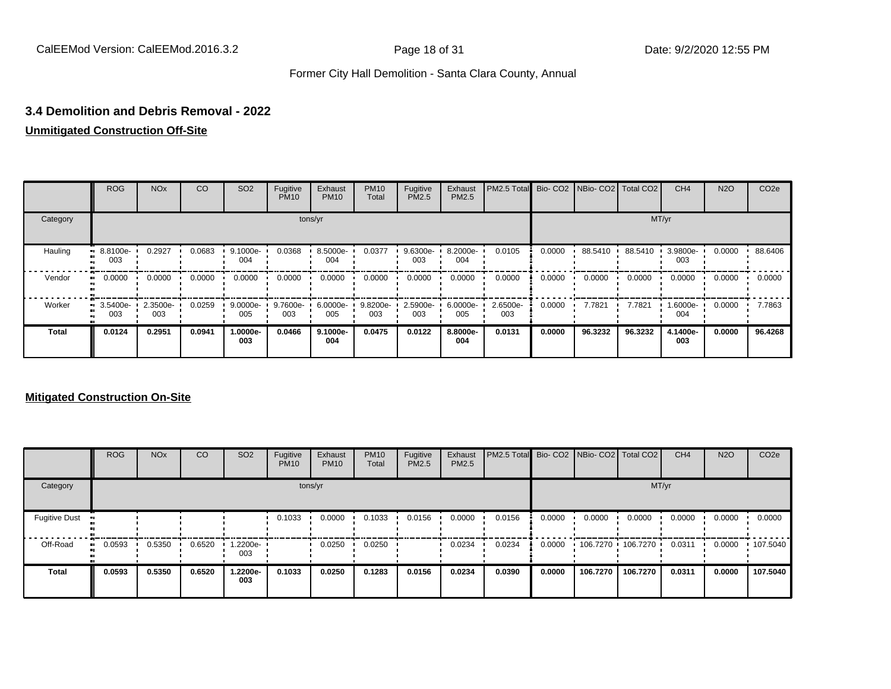#### **3.4 Demolition and Debris Removal - 2022**

#### **Unmitigated Construction Off-Site**

|              | <b>ROG</b>              | <b>NO<sub>x</sub></b> | CO     | SO <sub>2</sub> | Fugitive<br><b>PM10</b> | Exhaust<br><b>PM10</b> | <b>PM10</b><br>Total | Fugitive<br><b>PM2.5</b> | Exhaust<br>PM2.5 | PM2.5 Total     |        | Bio- CO2   NBio- CO2   Total CO2 |         | CH <sub>4</sub> | <b>N2O</b> | CO <sub>2e</sub> |
|--------------|-------------------------|-----------------------|--------|-----------------|-------------------------|------------------------|----------------------|--------------------------|------------------|-----------------|--------|----------------------------------|---------|-----------------|------------|------------------|
| Category     |                         |                       |        |                 |                         | tons/yr                |                      |                          |                  |                 |        |                                  |         | MT/yr           |            |                  |
| Hauling      | $-8.8100e-$<br>003      | 0.2927                | 0.0683 | 9.1000e-<br>004 | 0.0368                  | 8.5000e-<br>004        | 0.0377               | 9.6300e-<br>003          | 8.2000e-<br>004  | 0.0105          | 0.0000 | 88.5410                          | 88.5410 | 3.9800e-<br>003 | 0.0000     | 88.6406          |
| Vendor       | 0.0000<br>              | 0.0000                | 0.0000 | 0.0000          | 0.0000                  | 0.0000                 | 0.0000               | 0.0000                   | 0.0000           | 0.0000          | 0.0000 | 0.0000                           | 0.0000  | 0.0000          | 0.0000     | 0.0000           |
| Worker       | $\cdot$ 3.5400e-<br>003 | 2.3500e-<br>003       | 0.0259 | 9.0000e-<br>005 | 9.7600e-<br>003         | 6.0000e-<br>005        | 9.8200e-<br>003      | 2.5900e-<br>003          | 6.0000e-<br>005  | 2.6500e-<br>003 | 0.0000 | 7.7821                           | 7.7821  | 1.6000e-<br>004 | 0.0000     | 7.7863           |
| <b>Total</b> | 0.0124                  | 0.2951                | 0.0941 | -.0000e<br>003  | 0.0466                  | 9.1000e-<br>004        | 0.0475               | 0.0122                   | 8.8000e-<br>004  | 0.0131          | 0.0000 | 96.3232                          | 96.3232 | 4.1400e-<br>003 | 0.0000     | 96.4268          |

#### **Mitigated Construction On-Site**

|                      | <b>ROG</b> | <b>NO<sub>x</sub></b> | <b>CO</b> | SO <sub>2</sub> | Fugitive<br><b>PM10</b> | Exhaust<br><b>PM10</b> | <b>PM10</b><br>Total | Fugitive<br><b>PM2.5</b> | Exhaust<br><b>PM2.5</b> | PM2.5 Total Bio- CO2 NBio- CO2 Total CO2 |        |          |                     | CH <sub>4</sub> | <b>N2O</b> | CO <sub>2e</sub> |
|----------------------|------------|-----------------------|-----------|-----------------|-------------------------|------------------------|----------------------|--------------------------|-------------------------|------------------------------------------|--------|----------|---------------------|-----------------|------------|------------------|
| Category             |            |                       |           |                 |                         | tons/yr                |                      |                          |                         |                                          |        |          | MT/yr               |                 |            |                  |
| <b>Fugitive Dust</b> |            |                       |           |                 | 0.1033                  | 0.0000                 | 0.1033               | 0.0156                   | 0.0000                  | 0.0156                                   | 0.0000 | 0.0000   | 0.0000              | 0.0000          | 0.0000     | 0.0000           |
| Off-Road             | 0.0593<br> | 0.5350                | 0.6520    | 1.2200e-<br>003 |                         | 0.0250                 | 0.0250               |                          | 0.0234                  | 0.0234                                   | 0.0000 |          | $106.7270$ 106.7270 | 0.0311          | 0.0000     | .107.5040        |
| <b>Total</b>         | 0.0593     | 0.5350                | 0.6520    | 1.2200e-<br>003 | 0.1033                  | 0.0250                 | 0.1283               | 0.0156                   | 0.0234                  | 0.0390                                   | 0.0000 | 106.7270 | 106.7270            | 0.0311          | 0.0000     | 107.5040         |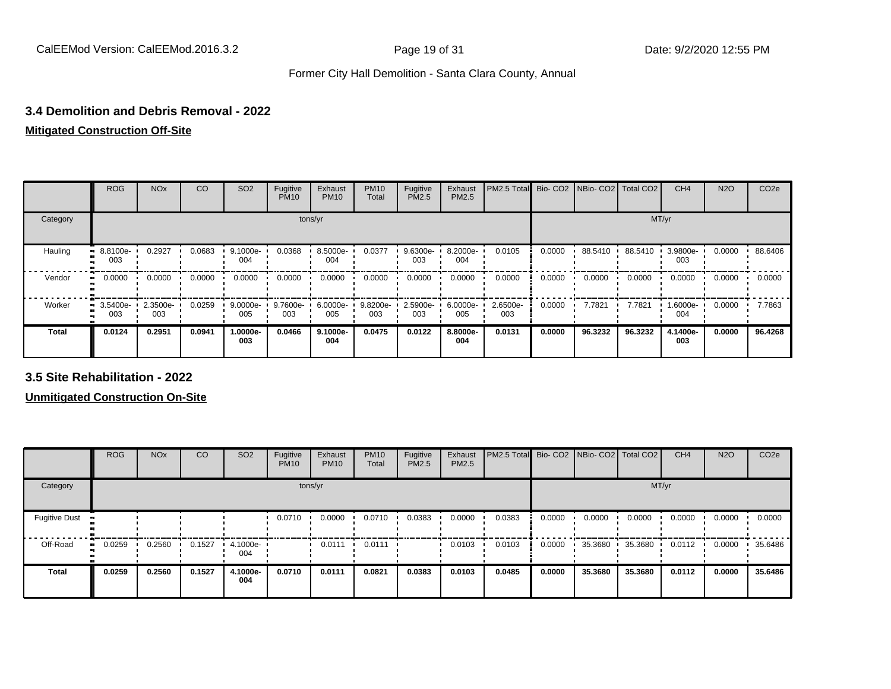#### **3.4 Demolition and Debris Removal - 2022**

#### **Mitigated Construction Off-Site**

|              | <b>ROG</b>         | <b>NO<sub>x</sub></b> | CO     | SO <sub>2</sub> | Fugitive<br><b>PM10</b> | Exhaust<br><b>PM10</b> | <b>PM10</b><br>Total | Fugitive<br><b>PM2.5</b> | Exhaust<br>PM2.5 | PM2.5 Total Bio- CO2 NBio- CO2 Total CO2 |        |           |         | CH <sub>4</sub> | <b>N2O</b> | CO <sub>2e</sub> |
|--------------|--------------------|-----------------------|--------|-----------------|-------------------------|------------------------|----------------------|--------------------------|------------------|------------------------------------------|--------|-----------|---------|-----------------|------------|------------------|
| Category     |                    |                       |        |                 | tons/yr                 |                        |                      |                          |                  |                                          |        |           | MT/yr   |                 |            |                  |
| Hauling      | $-8.8100e-$<br>003 | 0.2927                | 0.0683 | 9.1000e-<br>004 | 0.0368                  | 8.5000e-<br>004        | 0.0377               | 9.6300e-<br>003          | 8.2000e-<br>004  | 0.0105                                   | 0.0000 | 88.5410 · | 88.5410 | 3.9800e-<br>003 | 0.0000     | 88.6406          |
| Vendor       | 0.0000             | 0.0000                | 0.0000 | 0.0000          | 0.0000                  | 0.0000                 | 0.0000               | 0.0000                   | 0.0000           | 0.0000                                   | 0.0000 | 0.0000    | 0.0000  | 0.0000          | 0.0000     | 0.0000           |
| Worker       | 3.5400e-<br>003    | 2.3500e-<br>003       | 0.0259 | 9.0000e-<br>005 | 9.7600e-<br>003         | 6.0000e-<br>005        | 9.8200e-<br>003      | 2.5900e-<br>003          | 6.0000e-<br>005  | 2.6500e-<br>003                          | 0.0000 | 7.7821    | 7.7821  | 1.6000e-<br>004 | 0.0000     | 7.7863           |
| <b>Total</b> | 0.0124             | 0.2951                | 0.0941 | 1.0000e-<br>003 | 0.0466                  | 9.1000e-<br>004        | 0.0475               | 0.0122                   | 8.8000e-<br>004  | 0.0131                                   | 0.0000 | 96.3232   | 96.3232 | 4.1400e-<br>003 | 0.0000     | 96.4268          |

**3.5 Site Rehabilitation - 2022**

**Unmitigated Construction On-Site**

|                              | <b>ROG</b> | <b>NO<sub>x</sub></b> | CO     | SO <sub>2</sub> | Fugitive<br><b>PM10</b> | Exhaust<br><b>PM10</b> | <b>PM10</b><br>Total | Fugitive<br><b>PM2.5</b> | Exhaust<br>PM2.5 | PM2.5 Total Bio- CO2 NBio- CO2 Total CO2 |        |         |         | CH <sub>4</sub> | <b>N2O</b> | CO <sub>2e</sub> |
|------------------------------|------------|-----------------------|--------|-----------------|-------------------------|------------------------|----------------------|--------------------------|------------------|------------------------------------------|--------|---------|---------|-----------------|------------|------------------|
| Category                     |            |                       |        |                 |                         | tons/yr                |                      |                          |                  |                                          |        |         | MT/yr   |                 |            |                  |
| <b>Fugitive Dust</b>         |            |                       |        |                 | 0.0710                  | 0.0000                 | 0.0710               | 0.0383                   | 0.0000           | 0.0383                                   | 0.0000 | 0.0000  | 0.0000  | 0.0000          | 0.0000     | 0.0000           |
| Off-Road<br>$\bullet\bullet$ | 0.0259     | 0.2560                | 0.1527 | 4.1000e-<br>004 |                         | 0.0111                 | 0.0111               |                          | 0.0103           | 0.0103                                   | 0.0000 | 35.3680 | 35.3680 | 0.0112          | 0.0000     | 35.6486          |
| Total                        | 0.0259     | 0.2560                | 0.1527 | 4.1000e-<br>004 | 0.0710                  | 0.0111                 | 0.0821               | 0.0383                   | 0.0103           | 0.0485                                   | 0.0000 | 35.3680 | 35.3680 | 0.0112          | 0.0000     | 35.6486          |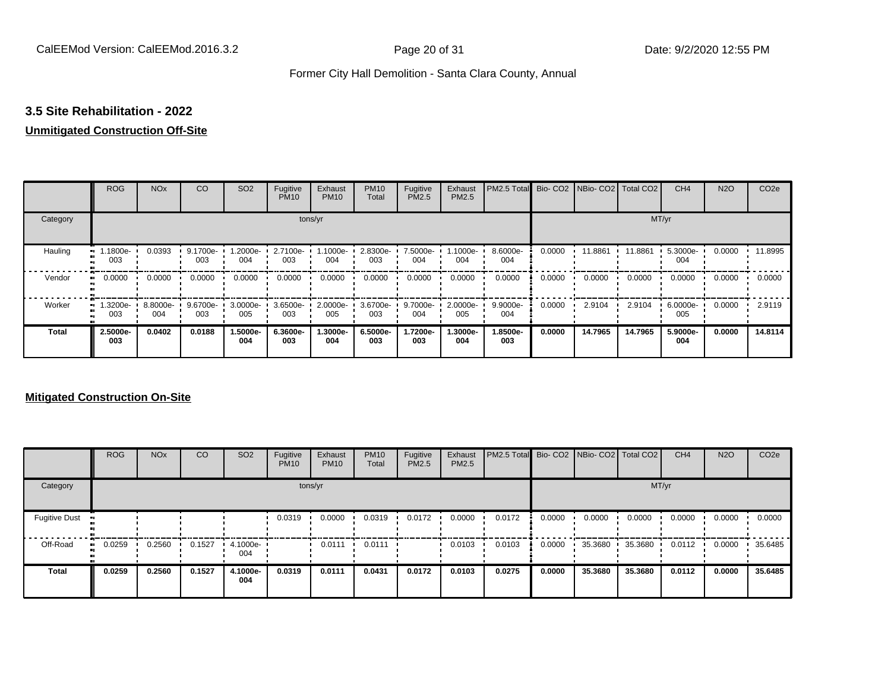#### **3.5 Site Rehabilitation - 2022**

#### **Unmitigated Construction Off-Site**

|              | <b>ROG</b>      | <b>NO<sub>x</sub></b> | CO                 | SO <sub>2</sub> | Fugitive<br><b>PM10</b> | Exhaust<br><b>PM10</b> | <b>PM10</b><br>Total | Fugitive<br>PM2.5 | Exhaust<br>PM2.5 | PM2.5 Total Bio- CO2 NBio- CO2 Total CO2 |        |         |         | CH <sub>4</sub> | <b>N2O</b> | CO <sub>2e</sub> |
|--------------|-----------------|-----------------------|--------------------|-----------------|-------------------------|------------------------|----------------------|-------------------|------------------|------------------------------------------|--------|---------|---------|-----------------|------------|------------------|
| Category     |                 |                       |                    |                 |                         | tons/yr                |                      |                   |                  |                                          |        |         | MT/yr   |                 |            |                  |
| Hauling      | .1800e-<br>003  | 0.0393                | $9.1700e -$<br>003 | -2000e-<br>004  | 2.7100e-<br>003         | 1.1000e-<br>004        | 2.8300e-<br>003      | 7.5000e-<br>004   | -1000e.<br>004   | 8.6000e-<br>004                          | 0.0000 | 11.8861 | 11.8861 | 5.3000e-<br>004 | 0.0000     | 11.8995          |
| Vendor       | 0.0000          | 0.0000                | 0.0000             | 0.0000          | 0.0000                  | 0.0000                 | 0.0000               | 0.0000            | 0.0000           | 0.0000                                   | 0.0000 | 0.0000  | 0.0000  | 0.0000          | 0.0000     | 0.0000           |
| Worker       | .3200e-<br>003  | 8.8000e-<br>004       | 9.6700e-<br>003    | 3.0000e-<br>005 | 3.6500e-<br>003         | 2.0000e-<br>005        | 3.6700e-<br>003      | 9.7000e-<br>004   | 2.0000e-<br>005  | 9.9000e-<br>004                          | 0.0000 | 2.9104  | 2.9104  | 6.0000e-<br>005 | 0.0000     | 2.9119           |
| <b>Total</b> | 2.5000e-<br>003 | 0.0402                | 0.0188             | 1.5000e-<br>004 | 6.3600e-<br>003         | 1.3000e-<br>004        | 6.5000e-<br>003      | 1.7200e-<br>003   | -.3000e<br>004   | 1.8500e-<br>003                          | 0.0000 | 14.7965 | 14.7965 | 5.9000e-<br>004 | 0.0000     | 14.8114          |

#### **Mitigated Construction On-Site**

|                      | <b>ROG</b>   | <b>NO<sub>x</sub></b> | CO     | SO <sub>2</sub> | Fugitive<br><b>PM10</b> | Exhaust<br><b>PM10</b> | <b>PM10</b><br>Total | Fugitive<br>PM2.5 | Exhaust<br>PM2.5 | PM2.5 Total Bio- CO2 NBio- CO2 Total CO2 |        |         |         | CH <sub>4</sub> | <b>N2O</b> | CO <sub>2e</sub> |
|----------------------|--------------|-----------------------|--------|-----------------|-------------------------|------------------------|----------------------|-------------------|------------------|------------------------------------------|--------|---------|---------|-----------------|------------|------------------|
| Category             |              |                       |        |                 |                         | tons/yr                |                      |                   |                  |                                          |        |         | MT/yr   |                 |            |                  |
| <b>Fugitive Dust</b> | $\bullet$    |                       |        |                 | 0.0319                  | 0.0000                 | 0.0319               | 0.0172            | 0.0000           | 0.0172                                   | 0.0000 | 0.0000  | 0.0000  | 0.0000          | 0.0000     | 0.0000           |
| Off-Road             | 0.0259<br>ш. | 0.2560                | 0.1527 | 4.1000e-<br>004 |                         | 0.0111                 | 0.0111               |                   | 0.0103           | 0.0103                                   | 0.0000 | 35.3680 | 35.3680 | 0.0112          | 0.0000     | 35.6485          |
| <b>Total</b>         | 0.0259       | 0.2560                | 0.1527 | 4.1000e-<br>004 | 0.0319                  | 0.0111                 | 0.0431               | 0.0172            | 0.0103           | 0.0275                                   | 0.0000 | 35.3680 | 35.3680 | 0.0112          | 0.0000     | 35.6485          |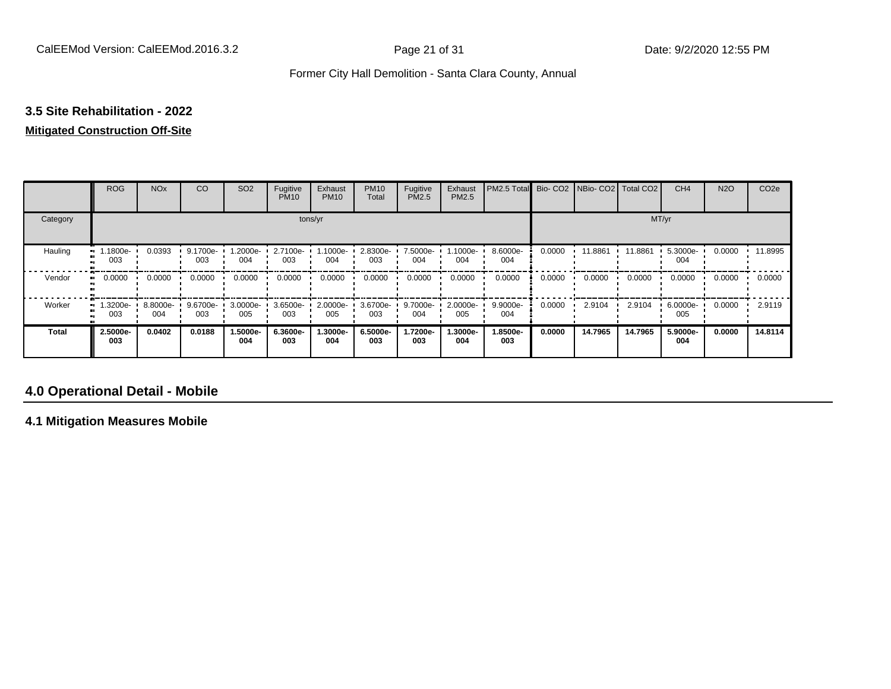## **3.5 Site Rehabilitation - 2022**

#### **Mitigated Construction Off-Site**

|              | <b>ROG</b>      | <b>NO<sub>x</sub></b> | <b>CO</b>       | SO <sub>2</sub> | Fugitive<br><b>PM10</b> | Exhaust<br><b>PM10</b> | <b>PM10</b><br>Total | Fugitive<br>PM2.5 | Exhaust<br>PM2.5 | PM2.5 Total     | Bio-CO <sub>2</sub> | NBio-CO2   Total CO2 |         | CH <sub>4</sub> | <b>N2O</b> | CO <sub>2e</sub> |
|--------------|-----------------|-----------------------|-----------------|-----------------|-------------------------|------------------------|----------------------|-------------------|------------------|-----------------|---------------------|----------------------|---------|-----------------|------------|------------------|
| Category     |                 |                       |                 |                 |                         | tons/yr                |                      |                   |                  |                 |                     |                      | MT/yr   |                 |            |                  |
| Hauling      | .1800e-<br>003  | 0.0393                | 9.1700e-<br>003 | .2000e-<br>004  | 2.7100e-<br>003         | 1.1000e-<br>004        | 2.8300e-<br>003      | 7.5000e-<br>004   | 1.1000e-<br>004  | 8.6000e-<br>004 | 0.0000              | 11.8861              | 11.8861 | 5.3000e-<br>004 | 0.0000     | 11.8995          |
| Vendor       | 0.0000          | 0.0000                | 0.0000          | 0.0000          | 0.0000                  | 0.0000                 | 0.0000               | 0.0000            | 0.0000           | 0.0000          | 0.0000              | 0.0000               | 0.0000  | 0.0000          | 0.0000     | 0.0000           |
| Worker       | .3200e-<br>003  | 8.8000e-<br>004       | 9.6700e-<br>003 | 3.0000e-<br>005 | 3.6500e-<br>003         | 2.0000e-<br>005        | 3.6700e-<br>003      | 9.7000e-<br>004   | 2.0000e-<br>005  | 9.9000e-<br>004 | 0.0000              | 2.9104               | 2.9104  | 6.0000e-<br>005 | 0.0000     | 2.9119           |
| <b>Total</b> | 2.5000e-<br>003 | 0.0402                | 0.0188          | 1.5000e-<br>004 | 6.3600e-<br>003         | 1.3000e-<br>004        | 6.5000e-<br>003      | 1.7200e-<br>003   | 1.3000e-<br>004  | 1.8500e-<br>003 | 0.0000              | 14.7965              | 14.7965 | 5.9000e-<br>004 | 0.0000     | 14.8114          |

### **4.0 Operational Detail - Mobile**

**4.1 Mitigation Measures Mobile**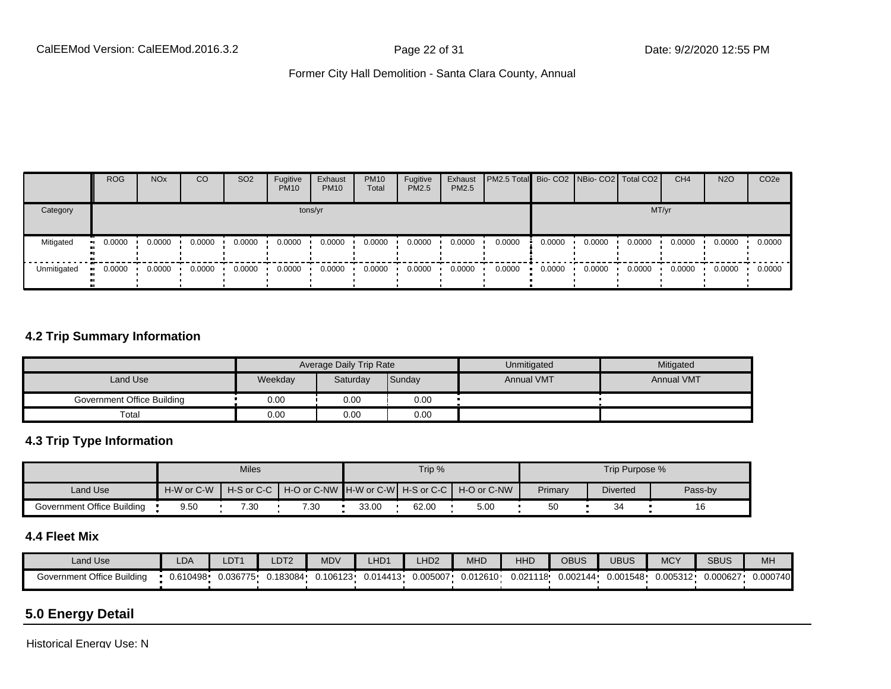|             | <b>ROG</b>           | <b>NO<sub>x</sub></b> | CO     | SO <sub>2</sub> | Fugitive<br><b>PM10</b> | Exhaust<br><b>PM10</b> | <b>PM10</b><br>Total | Fugitive<br><b>PM2.5</b> | Exhaust<br>PM2.5 | PM2.5 Total Bio- CO2   NBio- CO2   Total CO2 |        |        |        | CH <sub>4</sub> | <b>N2O</b> | CO <sub>2e</sub> |
|-------------|----------------------|-----------------------|--------|-----------------|-------------------------|------------------------|----------------------|--------------------------|------------------|----------------------------------------------|--------|--------|--------|-----------------|------------|------------------|
| Category    |                      |                       |        |                 |                         | tons/yr                |                      |                          |                  |                                              |        |        | MT/yr  |                 |            |                  |
| Mitigated   | 0.0000<br><b>ALC</b> | 0.0000                | 0.0000 | 0.0000          | 0.0000                  | 0.0000                 | 0.0000               | 0.0000                   | 0.0000           | 0.0000                                       | 0.0000 | 0.0000 | 0.0000 | 0.0000          | 0.0000     | 0.0000           |
| Unmitigated | 0.0000               | 0.0000                | 0.0000 | 0.0000          | 0.0000                  | 0.0000                 | 0.0000               | 0.0000                   | 0.0000           | 0.0000                                       | 0.0000 | 0.0000 | 0.0000 | 0.0000          | 0.0000     | 0.0000           |

#### **4.2 Trip Summary Information**

|                            |         | Average Daily Trip Rate |        | Unmitigated       | Mitigated         |
|----------------------------|---------|-------------------------|--------|-------------------|-------------------|
| Land Use                   | Weekday | Saturday                | Sunday | <b>Annual VMT</b> | <b>Annual VMT</b> |
| Government Office Building | 0.00    | 0.00                    | 0.00   |                   |                   |
| Total                      | 0.00    | 0.00                    | 0.00   |                   |                   |

#### **4.3 Trip Type Information**

|                            |            | <b>Miles</b> |      |       | Trip % |                                                                  |         | Trip Purpose %  |         |
|----------------------------|------------|--------------|------|-------|--------|------------------------------------------------------------------|---------|-----------------|---------|
| Land Use                   | H-W or C-W |              |      |       |        | │ H-S or C-C │ H-O or C-NW ┃H-W or C-W┃ H-S or C-C ┃ H-O or C-NW | Primary | <b>Diverted</b> | Pass-by |
| Government Office Building | 9.50       | 7.30         | 7.30 | 33.00 | 62.00  | 5.00                                                             | 50      |                 | 16      |

#### **4.4 Fleet Mix**

| Land Use                   | LDA      | LDT <sub>1</sub> | LDT <sub>2</sub> | <b>MDV</b> | HD1      | _HD <sub>2</sub> | <b>MHD</b> | HHD      | OBUS     | <b>UBUS</b> | <b>MCY</b> | <b>SBUS</b> | MH       |
|----------------------------|----------|------------------|------------------|------------|----------|------------------|------------|----------|----------|-------------|------------|-------------|----------|
| Government Office Building | 0.610498 | 0.036775         | 0.183084         | 0.106123   | 0.014413 | 0.005007         | 0.012610   | 0.021118 | 0.002144 | 0.001548    | 0.005312   | 0.000627    | 0.000740 |

## **5.0 Energy Detail**

Historical Energy Use: N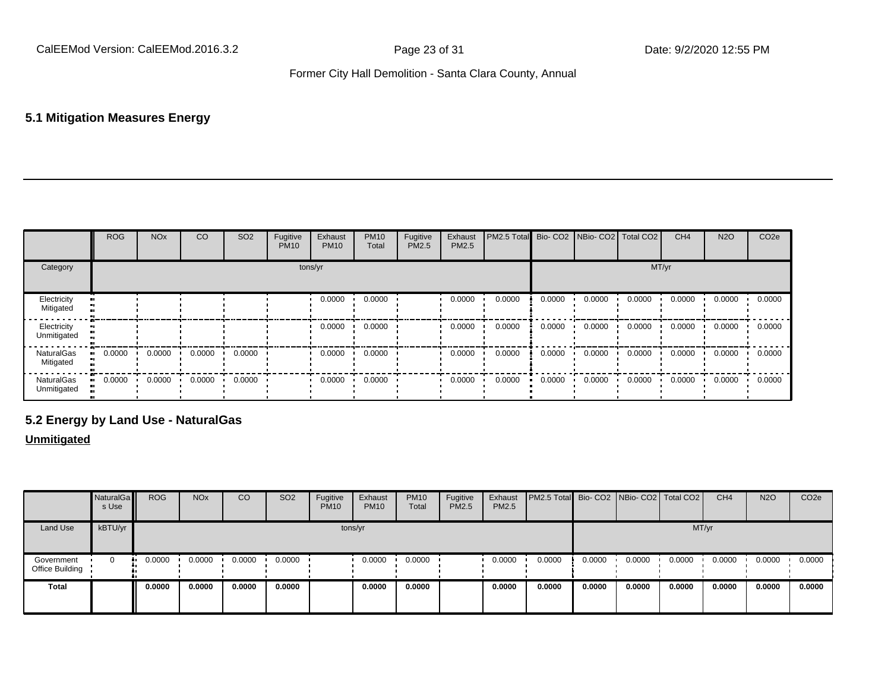#### **5.1 Mitigation Measures Energy**

|                            | ROG    | <b>NO<sub>x</sub></b> | CO     | SO <sub>2</sub> | Fugitive<br><b>PM10</b> | Exhaust<br><b>PM10</b> | <b>PM10</b><br>Total | Fugitive<br>PM2.5 | Exhaust<br>PM2.5 | <b>PM2.5 Total</b> Bio- CO2 NBio- CO2 Total CO2 |        |        |        | CH <sub>4</sub> | <b>N2O</b> | CO <sub>2e</sub> |
|----------------------------|--------|-----------------------|--------|-----------------|-------------------------|------------------------|----------------------|-------------------|------------------|-------------------------------------------------|--------|--------|--------|-----------------|------------|------------------|
| Category                   |        |                       |        |                 |                         | tons/yr                |                      |                   |                  |                                                 |        |        | MT/yr  |                 |            |                  |
| Electricity<br>Mitigated   |        |                       |        |                 |                         | 0.0000                 | 0.0000               |                   | 0.0000           | 0.0000                                          | 0.0000 | 0.0000 | 0.0000 | 0.0000          | 0.0000     | 0.0000           |
| Electricity<br>Unmitigated |        |                       |        |                 |                         | 0.0000                 | 0.0000               |                   | 0.0000           | 0.0000                                          | 0.0000 | 0.0000 | 0.0000 | 0.0000          | 0.0000     | 0.0000           |
| NaturalGas<br>Mitigated    | 0.0000 | 0.0000                | 0.0000 | 0.0000          |                         | 0.0000                 | 0.0000               |                   | 0.0000           | 0.0000                                          | 0.0000 | 0.0000 | 0.0000 | 0.0000          | 0.0000     | 0.0000           |
| NaturalGas<br>Unmitigated  | 0.0000 | 0.0000                | 0.0000 | 0.0000          |                         | 0.0000                 | 0.0000               |                   | 0.0000           | 0.0000                                          | 0.0000 | 0.0000 | 0.0000 | 0.0000          | 0.0000     | 0.0000           |

### **5.2 Energy by Land Use - NaturalGas**

#### **Unmitigated**

|                               | NaturalGa<br>s Use | <b>ROG</b> | <b>NO<sub>x</sub></b> | CO     | SO <sub>2</sub> | Fugitive<br><b>PM10</b> | Exhaust<br><b>PM10</b> | <b>PM10</b><br>Total | Fugitive<br>PM2.5 | Exhaust<br>PM2.5 | <b>PM2.5 Total</b> Bio- CO2 NBio- CO2 Total CO2 |        |        |        | CH <sub>4</sub> | <b>N2O</b> | CO <sub>2e</sub> |
|-------------------------------|--------------------|------------|-----------------------|--------|-----------------|-------------------------|------------------------|----------------------|-------------------|------------------|-------------------------------------------------|--------|--------|--------|-----------------|------------|------------------|
| Land Use                      | kBTU/yr            |            |                       |        |                 |                         | tons/yr                |                      |                   |                  |                                                 |        |        | MT/yr  |                 |            |                  |
| Government<br>Office Building | 0                  | 0.0000     | 0.0000                | 0.0000 | 0.0000          |                         | 0.0000                 | 0.0000               |                   | 0.0000           | 0.0000                                          | 0.0000 | 0.0000 | 0.0000 | 0.0000          | 0.0000     | 0.0000           |
| <b>Total</b>                  |                    | 0.0000     | 0.0000                | 0.0000 | 0.0000          |                         | 0.0000                 | 0.0000               |                   | 0.0000           | 0.0000                                          | 0.0000 | 0.0000 | 0.0000 | 0.0000          | 0.0000     | 0.0000           |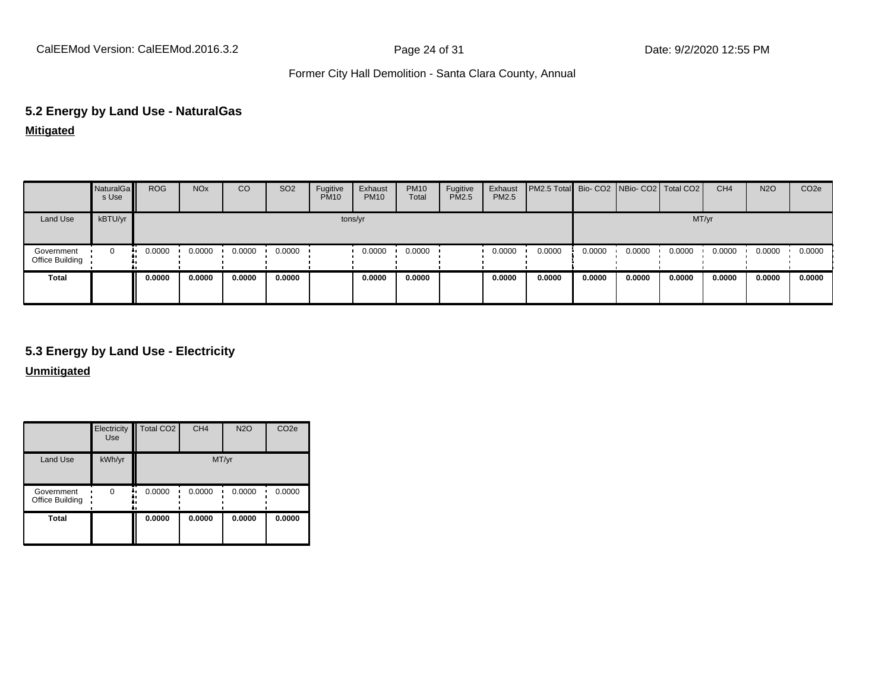CalEEMod Version: CalEEMod.2016.3.2 **Page 24 of 31** Page 24 of 31 Date: 9/2/2020 12:55 PM

#### Former City Hall Demolition - Santa Clara County, Annual

# **5.2 Energy by Land Use - NaturalGas**

**Mitigated**

|                               | NaturalGa<br>s Use | <b>ROG</b> | <b>NO<sub>x</sub></b> | CO     | SO <sub>2</sub> | Fugitive<br><b>PM10</b> | Exhaust<br><b>PM10</b> | <b>PM10</b><br>Total | Fugitive<br>PM2.5 | Exhaust<br>PM2.5 | PM2.5 Total Bio- CO2 NBio- CO2 Total CO2 |        |        |        | CH <sub>4</sub> | <b>N2O</b> | CO <sub>2</sub> e |
|-------------------------------|--------------------|------------|-----------------------|--------|-----------------|-------------------------|------------------------|----------------------|-------------------|------------------|------------------------------------------|--------|--------|--------|-----------------|------------|-------------------|
| Land Use                      | kBTU/yr            |            |                       |        |                 | tons/yr                 |                        |                      |                   |                  |                                          |        |        | MT/yr  |                 |            |                   |
| Government<br>Office Building | 0                  | 0.0000     | 0.0000                | 0.0000 | 0.0000          |                         | 0.0000                 | 0.0000               |                   | 0.0000           | 0.0000                                   | 0.0000 | 0.0000 | 0.0000 | 0.0000          | 0.0000     | 0.0000            |
| <b>Total</b>                  |                    | 0.0000     | 0.0000                | 0.0000 | 0.0000          |                         | 0.0000                 | 0.0000               |                   | 0.0000           | 0.0000                                   | 0.0000 | 0.0000 | 0.0000 | 0.0000          | 0.0000     | 0.0000            |

#### **5.3 Energy by Land Use - Electricity**

**Unmitigated**

|                               | Electricity<br><b>Use</b> | Total CO <sub>2</sub> | CH <sub>4</sub> | <b>N2O</b> | CO <sub>2e</sub> |
|-------------------------------|---------------------------|-----------------------|-----------------|------------|------------------|
| Land Use                      | kWh/yr                    |                       | MT/yr           |            |                  |
| Government<br>Office Building | O                         | 0.0000                | 0.0000          | 0.0000     | 0.0000           |
| <b>Total</b>                  |                           | 0.0000                | 0.0000          | 0.0000     | 0.0000           |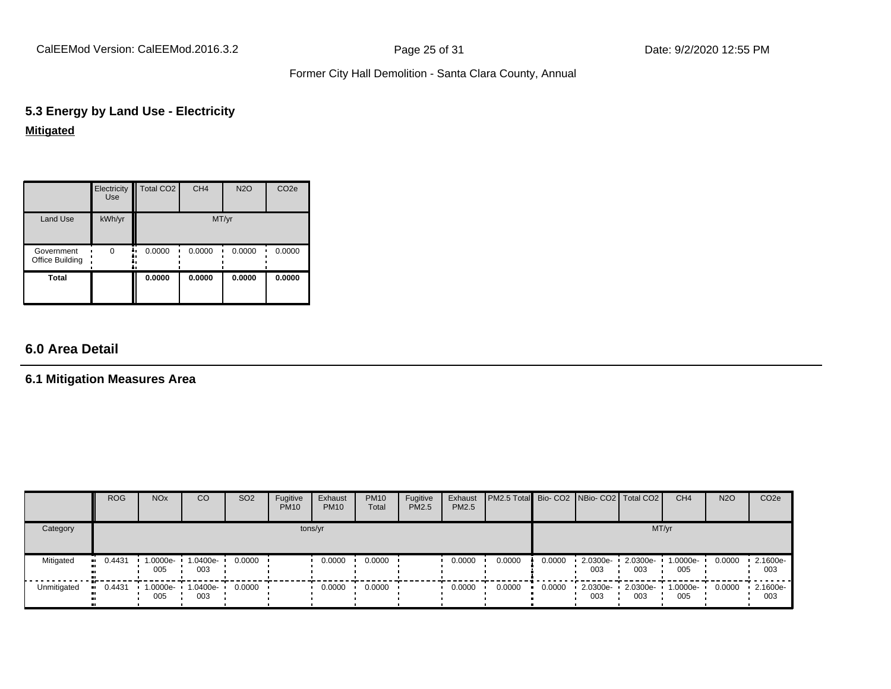CalEEMod Version: CalEEMod.2016.3.2 **Page 25 of 31** Page 25 of 31 Date: 9/2/2020 12:55 PM

#### Former City Hall Demolition - Santa Clara County, Annual

## **5.3 Energy by Land Use - Electricity Mitigated**

|                                      | Electricity<br><b>Use</b> | Total CO <sub>2</sub> | CH <sub>4</sub> | <b>N2O</b> | CO <sub>2e</sub> |
|--------------------------------------|---------------------------|-----------------------|-----------------|------------|------------------|
| Land Use                             | kWh/yr                    |                       | MT/yr           |            |                  |
| Government<br><b>Office Building</b> | 0                         | 0.0000<br>۰.<br>۰.    | 0.0000          | 0.0000     | 0.0000           |
| <b>Total</b>                         |                           | 0.0000                | 0.0000          | 0.0000     | 0.0000           |

## **6.0 Area Detail**

#### **6.1 Mitigation Measures Area**

|             | <b>ROG</b> | <b>NO<sub>x</sub></b> | CO                       | SO <sub>2</sub> | Fugitive<br><b>PM10</b> | Exhaust<br><b>PM10</b> | <b>PM10</b><br>Total | Fugitive<br><b>PM2.5</b> | Exhaust<br><b>PM2.5</b> | PM2.5 Total Bio- CO2 NBio- CO2 Total CO2 |        |                                  |                 | CH <sub>4</sub> | <b>N2O</b> | CO <sub>2</sub> e |
|-------------|------------|-----------------------|--------------------------|-----------------|-------------------------|------------------------|----------------------|--------------------------|-------------------------|------------------------------------------|--------|----------------------------------|-----------------|-----------------|------------|-------------------|
| Category    |            |                       |                          |                 | tons/yr                 |                        |                      |                          |                         |                                          |        |                                  | MT/yr           |                 |            |                   |
| Mitigated   | $-0.4431$  | 1.0000e-<br>005       | 1.0400e-<br>003          | 0.0000          |                         | 0.0000                 | 0.0000               |                          | 0.0000                  | 0.0000                                   | 0.0000 | $-2.0300e-$<br>003               | 2.0300e-<br>003 | 1.0000e-<br>005 | 0.0000     | 2.1600e-<br>003   |
| Unmitigated | $-0.4431$  | 005                   | 1.0000e- 1.0400e-<br>003 | 0.0000          |                         | 0.0000                 | 0.0000               |                          | 0.0000                  | 0.0000                                   | 0.0000 | $\cdot$ 2.0300e- 2.0300e-<br>003 | 003             | 1.0000e-<br>005 | 0.0000     | 2.1600e-<br>003   |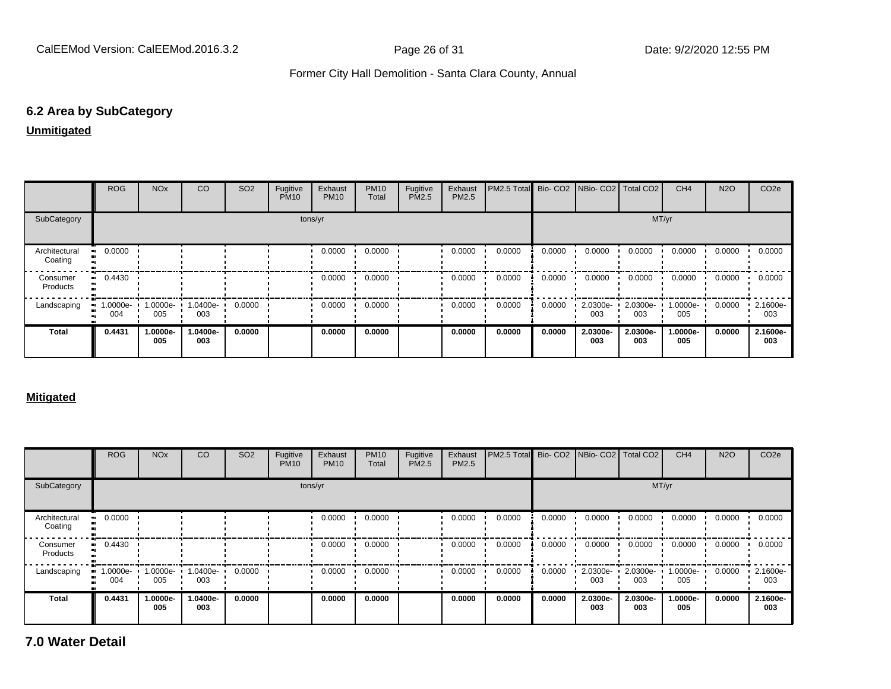#### **6.2 Area by SubCategory**

#### **Unmitigated**

|                          | <b>ROG</b>      | <b>NO<sub>x</sub></b> | <sub>CO</sub>   | SO <sub>2</sub> | Fugitive<br><b>PM10</b> | Exhaust<br><b>PM10</b> | <b>PM10</b><br>Total | Fugitive<br>PM2.5 | Exhaust<br><b>PM2.5</b> | PM2.5 Total Bio- CO2 NBio- CO2 Total CO2 |        |                 |                 | CH <sub>4</sub> | <b>N2O</b> | CO <sub>2e</sub> |
|--------------------------|-----------------|-----------------------|-----------------|-----------------|-------------------------|------------------------|----------------------|-------------------|-------------------------|------------------------------------------|--------|-----------------|-----------------|-----------------|------------|------------------|
| SubCategory              |                 |                       |                 |                 |                         | tons/yr                |                      |                   |                         |                                          |        |                 | MT/yr           |                 |            |                  |
| Architectural<br>Coating | 0.0000          |                       |                 |                 |                         | 0.0000                 | 0.0000               |                   | 0.0000                  | 0.0000                                   | 0.0000 | 0.0000          | 0.0000          | 0.0000          | 0.0000     | 0.0000           |
| Consumer<br>Products     | $-0.4430$       |                       |                 |                 |                         | 0.0000                 | 0.0000               |                   | 0.0000                  | 0.0000                                   | 0.0000 | 0.0000          | 0.0000          | 0.0000          | 0.0000     | 0.0000           |
| Landscaping              | 1.0000e-<br>004 | $1.0000e - 1$<br>005  | 1.0400e-<br>003 | 0.0000          |                         | 0.0000                 | 0.0000               |                   | 0.0000                  | 0.0000                                   | 0.0000 | 2.0300e-<br>003 | 2.0300e-<br>003 | 1.0000e-<br>005 | 0.0000     | 2.1600e-<br>003  |
| <b>Total</b>             | 0.4431          | 1.0000e-<br>005       | -.0400e<br>003  | 0.0000          |                         | 0.0000                 | 0.0000               |                   | 0.0000                  | 0.0000                                   | 0.0000 | 2.0300e-<br>003 | 2.0300e-<br>003 | 1.0000e-<br>005 | 0.0000     | 2.1600e-<br>003  |

#### **Mitigated**

|                          | ROG                                           | <b>NO<sub>x</sub></b> | <sub>CO</sub>   | SO <sub>2</sub> | Fugitive<br><b>PM10</b> | Exhaust<br><b>PM10</b> | <b>PM10</b><br>Total | Fugitive<br><b>PM2.5</b> | Exhaust<br><b>PM2.5</b> | <b>PM2.5 Total</b> Bio- CO2 NBio- CO2 Total CO2 |        |                 |                 | CH <sub>4</sub> | <b>N2O</b> | CO <sub>2e</sub> |
|--------------------------|-----------------------------------------------|-----------------------|-----------------|-----------------|-------------------------|------------------------|----------------------|--------------------------|-------------------------|-------------------------------------------------|--------|-----------------|-----------------|-----------------|------------|------------------|
| SubCategory              |                                               |                       |                 |                 |                         | tons/yr                |                      |                          |                         |                                                 |        |                 | MT/yr           |                 |            |                  |
| Architectural<br>Coating | 0.0000                                        |                       |                 |                 |                         | 0.0000                 | 0.0000               |                          | 0.0000                  | 0.0000                                          | 0.0000 | 0.0000          | 0.0000          | 0.0000          | 0.0000     | 0.0000           |
| Consumer<br>Products     | 0.4430                                        |                       |                 |                 |                         | 0.0000                 | 0.0000               |                          | 0.0000                  | 0.0000                                          | 0.0000 | 0.0000          | 0.0000          | 0.0000          | 0.0000     | 0.0000           |
| Landscaping              | $\blacksquare$ 1.0000e- $\blacksquare$<br>004 | 1.0000e- L<br>005     | 1.0400e-<br>003 | 0.0000          |                         | 0.0000                 | 0.0000               |                          | 0.0000                  | 0.0000                                          | 0.0000 | 2.0300e-<br>003 | 2.0300e-<br>003 | 1.0000e-<br>005 | 0.0000     | 2.1600e-<br>003  |
| <b>Total</b>             | 0.4431                                        | 1.0000e-<br>005       | -.0400e<br>003  | 0.0000          |                         | 0.0000                 | 0.0000               |                          | 0.0000                  | 0.0000                                          | 0.0000 | 2.0300e-<br>003 | 2.0300e-<br>003 | 1.0000e-<br>005 | 0.0000     | 2.1600e-<br>003  |

**7.0 Water Detail**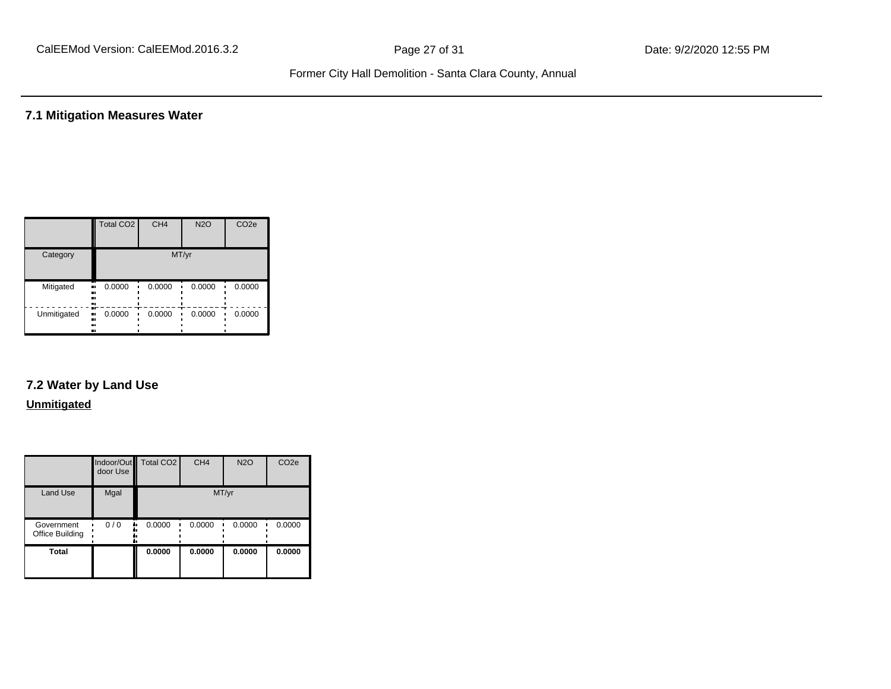#### **7.1 Mitigation Measures Water**

|             | Total CO <sub>2</sub>  | CH <sub>4</sub> | <b>N2O</b> | CO <sub>2e</sub> |  |
|-------------|------------------------|-----------------|------------|------------------|--|
| Category    | MT/yr                  |                 |            |                  |  |
| Mitigated   | 0.0000<br><br><br>     | 0.0000          | 0.0000     | 0.0000           |  |
| Unmitigated | 0.0000<br><br><br><br> | 0.0000          | 0.0000     | 0.0000           |  |

# **7.2 Water by Land Use**

#### **Unmitigated**

|                               | door Use | Indoor/Out Total CO2 | CH <sub>4</sub> | <b>N2O</b> | CO <sub>2e</sub> |
|-------------------------------|----------|----------------------|-----------------|------------|------------------|
| Land Use                      | Mgal     |                      |                 | MT/yr      |                  |
| Government<br>Office Building | 0/0      | 0.0000               | 0.0000          | 0.0000     | 0.0000           |
| Total                         |          | 0.0000               | 0.0000          | 0.0000     | 0.0000           |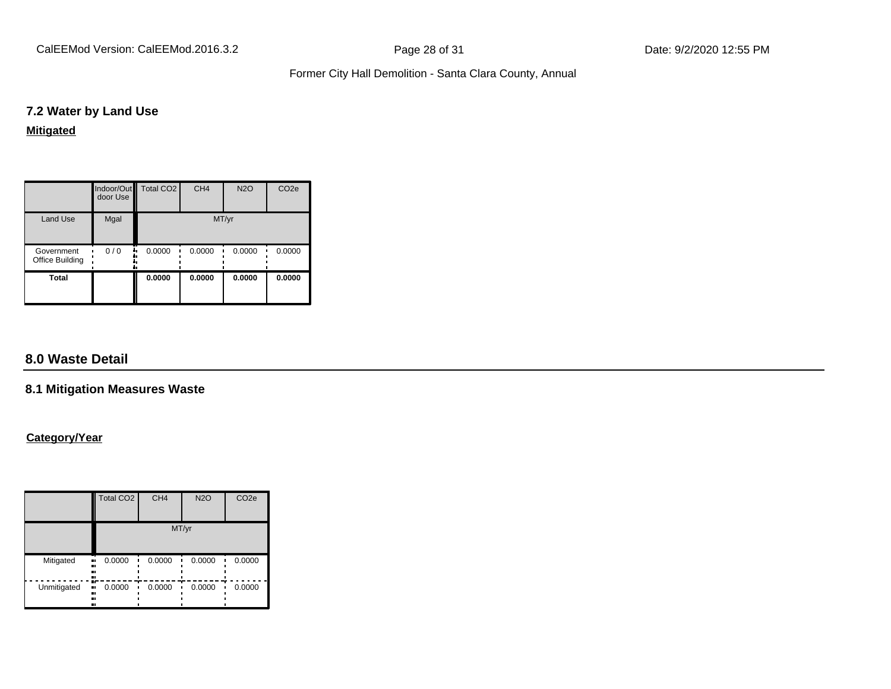CalEEMod Version: CalEEMod.2016.3.2 **Page 28 of 31** Page 28 of 31 Date: 9/2/2020 12:55 PM

#### Former City Hall Demolition - Santa Clara County, Annual

#### **7.2 Water by Land Use**

#### **Mitigated**

|                               | door Use | Indoor/Out Total CO2 | CH <sub>4</sub> | <b>N2O</b> | CO <sub>2e</sub> |
|-------------------------------|----------|----------------------|-----------------|------------|------------------|
| <b>Land Use</b>               | Mgal     |                      | MT/yr           |            |                  |
| Government<br>Office Building | 0/0      | 0.0000               | 0.0000          | 0.0000     | 0.0000           |
| <b>Total</b>                  |          | 0.0000               | 0.0000          | 0.0000     | 0.0000           |

### **8.0 Waste Detail**

#### **8.1 Mitigation Measures Waste**

#### **Category/Year**

|             | <b>Total CO2</b>              | CH <sub>4</sub> | <b>N2O</b> | CO <sub>2e</sub> |  |  |
|-------------|-------------------------------|-----------------|------------|------------------|--|--|
|             | MT/yr                         |                 |            |                  |  |  |
| Mitigated   | 0.0000<br><br><br><br>        | 0.0000          | 0.0000     | 0.0000           |  |  |
| Unmitigated | æ<br>0.0000<br>ш,<br><br><br> | 0.0000          | 0.0000     | 0.0000           |  |  |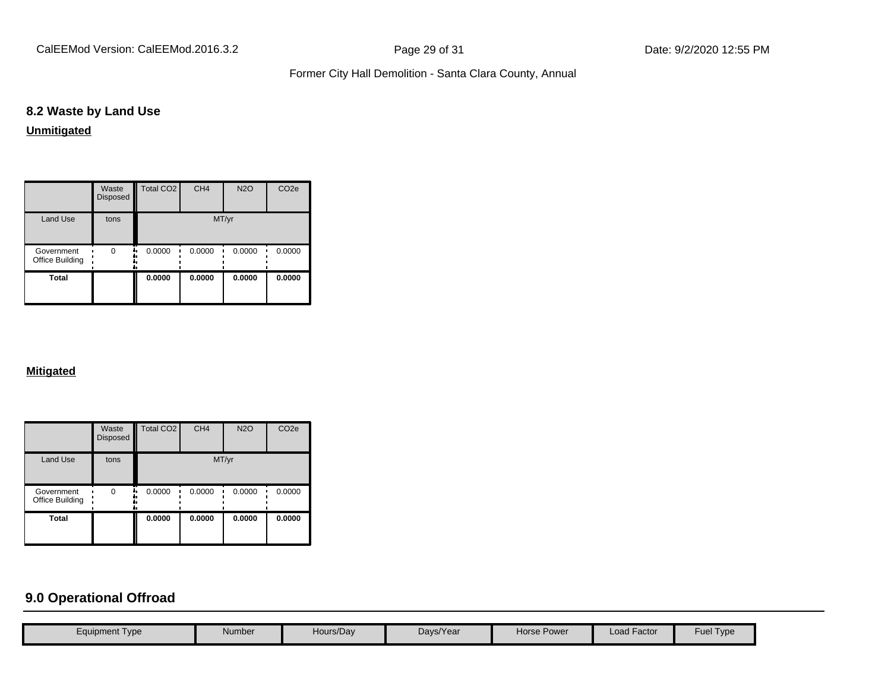CalEEMod Version: CalEEMod.2016.3.2 **Page 29 of 31** Page 29 of 31 Date: 9/2/2020 12:55 PM

#### Former City Hall Demolition - Santa Clara County, Annual

#### **8.2 Waste by Land Use**

**Unmitigated**

|                               | Waste<br>Disposed | Total CO <sub>2</sub> | CH <sub>4</sub> | <b>N2O</b> | CO <sub>2e</sub> |
|-------------------------------|-------------------|-----------------------|-----------------|------------|------------------|
| <b>Land Use</b>               | tons              | MT/yr                 |                 |            |                  |
| Government<br>Office Building | $\Omega$          | 0.0000                | 0.0000          | 0.0000     | 0.0000           |
| Total                         |                   | 0.0000                | 0.0000          | 0.0000     | 0.0000           |

#### **Mitigated**

|                               | Waste<br>Disposed | <b>Total CO2</b> | CH <sub>4</sub> | <b>N2O</b> | CO <sub>2e</sub> |
|-------------------------------|-------------------|------------------|-----------------|------------|------------------|
| <b>Land Use</b>               | tons              |                  |                 | MT/yr      |                  |
| Government<br>Office Building | 0                 | 0.0000           | 0.0000          | 0.0000     | 0.0000           |
| <b>Total</b>                  |                   | 0.0000           | 0.0000          | 0.0000     | 0.0000           |

# **9.0 Operational Offroad**

| <b>Load Factor</b><br>Hours/Day<br>Days/Year<br>Horse Power<br>Number<br>Equipment Type |  |  |  |           |
|-----------------------------------------------------------------------------------------|--|--|--|-----------|
|                                                                                         |  |  |  | Fuel Type |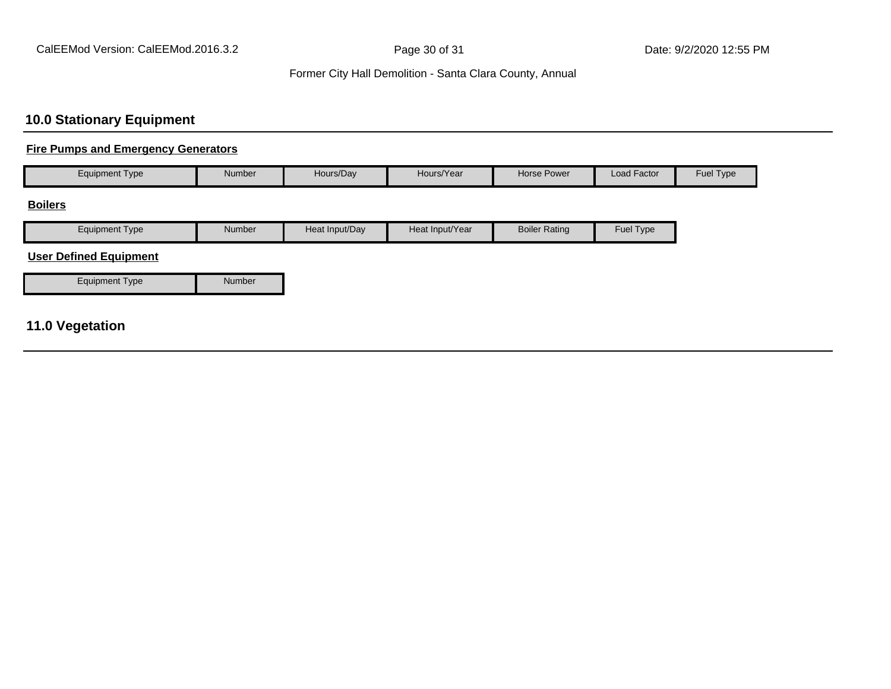### Former City Hall Demolition - Santa Clara County, Annual

### **10.0 Stationary Equipment**

#### **Fire Pumps and Emergency Generators**

| Equipment Type                | Number        | Hours/Day      | Hours/Year      | Horse Power          | Load Factor | Fuel Type |
|-------------------------------|---------------|----------------|-----------------|----------------------|-------------|-----------|
| <b>Boilers</b>                |               |                |                 |                      |             |           |
| <b>Equipment Type</b>         | Number        | Heat Input/Day | Heat Input/Year | <b>Boiler Rating</b> | Fuel Type   |           |
| <b>User Defined Equipment</b> |               |                |                 |                      |             |           |
| <b>Equipment Type</b>         | <b>Number</b> |                |                 |                      |             |           |

### **11.0 Vegetation**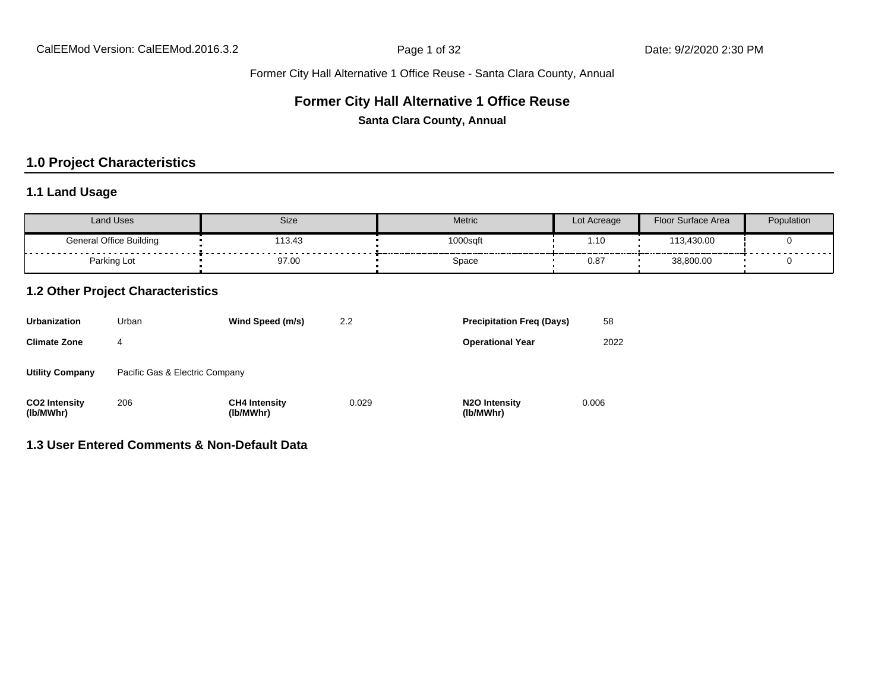### **Former City Hall Alternative 1 Office Reuse**

**Santa Clara County, Annual**

### **1.0 Project Characteristics**

#### **1.1 Land Usage**

| Land Uses                      | <b>Size</b>                | <b>Metric</b> | Lot Acreage | Floor Surface Area | Population |
|--------------------------------|----------------------------|---------------|-------------|--------------------|------------|
| <b>General Office Building</b> | 13.43<br>.<br>------------ | 1000sqft      | .10         | 113,430.00         | .          |
| Parking Lot                    | 97.00                      | Space         | 0.8         | 38,800.00          |            |

#### **1.2 Other Project Characteristics**

| <b>Urbanization</b>               | Urban                          | Wind Speed (m/s)                  | 2.2   | <b>Precipitation Freg (Days)</b>        | 58    |
|-----------------------------------|--------------------------------|-----------------------------------|-------|-----------------------------------------|-------|
| <b>Climate Zone</b>               | 4                              |                                   |       | <b>Operational Year</b>                 | 2022  |
| <b>Utility Company</b>            | Pacific Gas & Electric Company |                                   |       |                                         |       |
| <b>CO2 Intensity</b><br>(lb/MWhr) | 206                            | <b>CH4 Intensity</b><br>(lb/MWhr) | 0.029 | N <sub>2</sub> O Intensity<br>(lb/MWhr) | 0.006 |

### **1.3 User Entered Comments & Non-Default Data**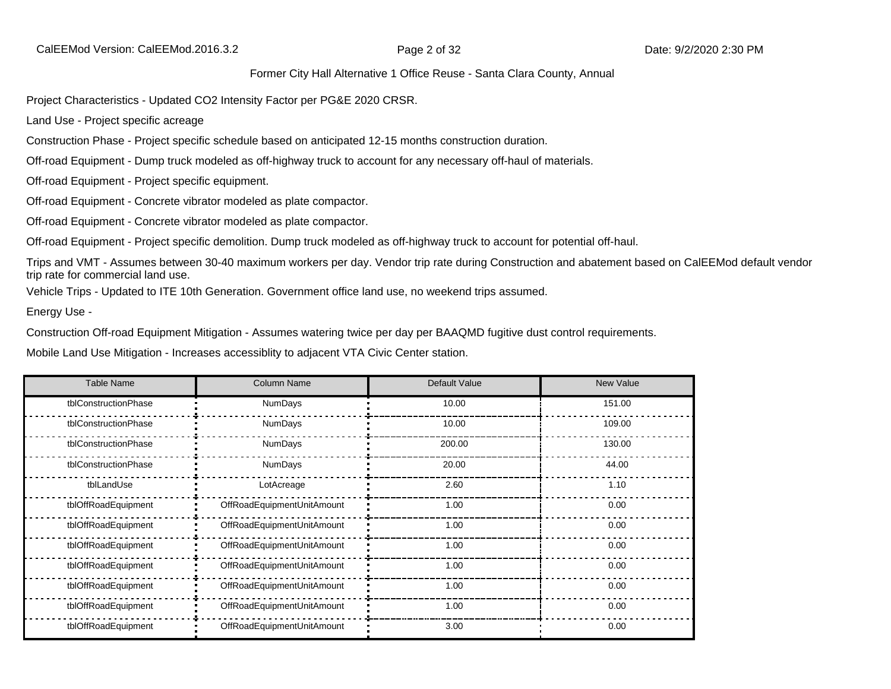Project Characteristics - Updated CO2 Intensity Factor per PG&E 2020 CRSR.

Land Use - Project specific acreage

Construction Phase - Project specific schedule based on anticipated 12-15 months construction duration.

Off-road Equipment - Dump truck modeled as off-highway truck to account for any necessary off-haul of materials.

Off-road Equipment - Project specific equipment.

Off-road Equipment - Concrete vibrator modeled as plate compactor.

Off-road Equipment - Concrete vibrator modeled as plate compactor.

Off-road Equipment - Project specific demolition. Dump truck modeled as off-highway truck to account for potential off-haul.

Trips and VMT - Assumes between 30-40 maximum workers per day. Vendor trip rate during Construction and abatement based on CalEEMod default vendor trip rate for commercial land use.

Vehicle Trips - Updated to ITE 10th Generation. Government office land use, no weekend trips assumed.

Energy Use -

Construction Off-road Equipment Mitigation - Assumes watering twice per day per BAAQMD fugitive dust control requirements.

Mobile Land Use Mitigation - Increases accessiblity to adjacent VTA Civic Center station.

| <b>Table Name</b>    | <b>Column Name</b>         | Default Value | New Value |
|----------------------|----------------------------|---------------|-----------|
| tblConstructionPhase | <b>NumDays</b>             | 10.00         | 151.00    |
| tblConstructionPhase | <b>NumDays</b>             | 10.00         | 109.00    |
| tblConstructionPhase | <b>NumDays</b>             | 200.00        | 130.00    |
| tblConstructionPhase | NumDays                    | 20.00         | 44.00     |
| tblLandUse           | LotAcreage                 | 2.60          | 1.10      |
| tblOffRoadEquipment  | OffRoadEquipmentUnitAmount | 1.00          | 0.00      |
| tblOffRoadEquipment  | OffRoadEquipmentUnitAmount | 1.00          | 0.00      |
| tblOffRoadEquipment  | OffRoadEquipmentUnitAmount | 1.00          | 0.00      |
| tblOffRoadEquipment  | OffRoadEquipmentUnitAmount | 1.00          | 0.00      |
| tblOffRoadEquipment  | OffRoadEquipmentUnitAmount | 1.00          | 0.00      |
| tblOffRoadEquipment  | OffRoadEquipmentUnitAmount | 1.00          | 0.00      |
| tblOffRoadEquipment  | OffRoadEquipmentUnitAmount | 3.00          | 0.00      |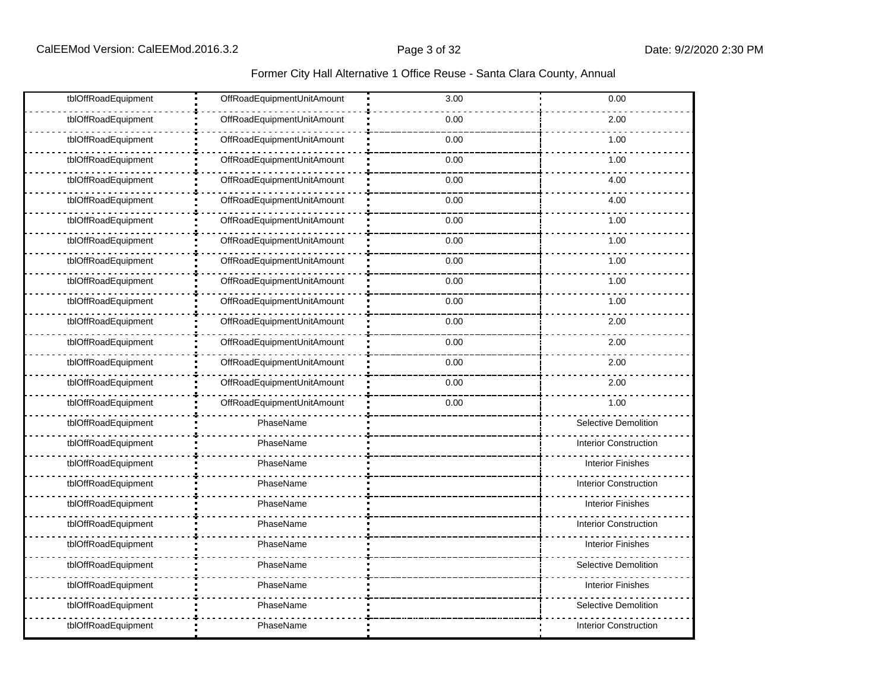| tblOffRoadEquipment | OffRoadEquipmentUnitAmount | 3.00 | 0.00                         |
|---------------------|----------------------------|------|------------------------------|
| tblOffRoadEquipment | OffRoadEquipmentUnitAmount | 0.00 | 2.00                         |
| tblOffRoadEquipment | OffRoadEquipmentUnitAmount | 0.00 | 1.00                         |
| tblOffRoadEquipment | OffRoadEquipmentUnitAmount | 0.00 | 1.00                         |
| tblOffRoadEquipment | OffRoadEquipmentUnitAmount | 0.00 | 4.00                         |
| tblOffRoadEquipment | OffRoadEquipmentUnitAmount | 0.00 | 4.00                         |
| tblOffRoadEquipment | OffRoadEquipmentUnitAmount | 0.00 | 1.00                         |
| tblOffRoadEquipment | OffRoadEquipmentUnitAmount | 0.00 | 1.00                         |
| tblOffRoadEquipment | OffRoadEquipmentUnitAmount | 0.00 | 1.00                         |
| tblOffRoadEquipment | OffRoadEquipmentUnitAmount | 0.00 | 1.00                         |
| tblOffRoadEquipment | OffRoadEquipmentUnitAmount | 0.00 | 1.00                         |
| tblOffRoadEquipment | OffRoadEquipmentUnitAmount | 0.00 | 2.00                         |
| tblOffRoadEquipment | OffRoadEquipmentUnitAmount | 0.00 | 2.00                         |
| tblOffRoadEquipment | OffRoadEquipmentUnitAmount | 0.00 | 2.00                         |
| tblOffRoadEquipment | OffRoadEquipmentUnitAmount | 0.00 | 2.00                         |
| tblOffRoadEquipment | OffRoadEquipmentUnitAmount | 0.00 | 1.00                         |
| tblOffRoadEquipment | PhaseName                  |      | Selective Demolition         |
| tblOffRoadEquipment | PhaseName                  |      | <b>Interior Construction</b> |
| tblOffRoadEquipment | PhaseName                  |      | <b>Interior Finishes</b>     |
| tblOffRoadEquipment | PhaseName                  |      | <b>Interior Construction</b> |
| tblOffRoadEquipment | PhaseName                  |      | <b>Interior Finishes</b>     |
| tblOffRoadEquipment | PhaseName                  |      | <b>Interior Construction</b> |
| tblOffRoadEquipment | PhaseName                  |      | <b>Interior Finishes</b>     |
| tblOffRoadEquipment | PhaseName                  |      | <b>Selective Demolition</b>  |
| tblOffRoadEquipment | PhaseName                  |      | <b>Interior Finishes</b>     |
| tblOffRoadEquipment | PhaseName                  |      | Selective Demolition         |
| tblOffRoadEquipment | PhaseName                  |      | <b>Interior Construction</b> |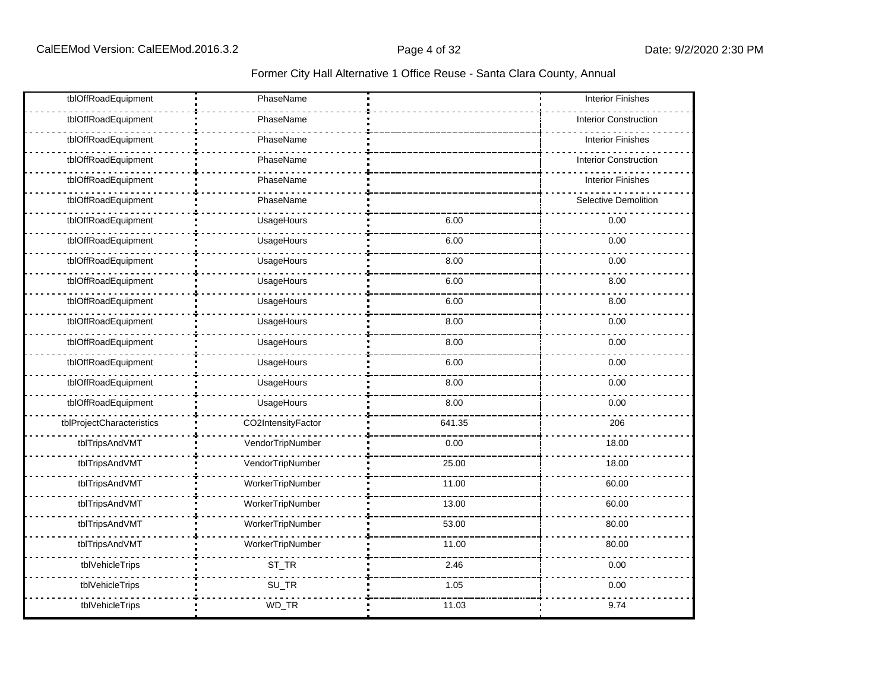| tblOffRoadEquipment       | PhaseName          |        | <b>Interior Finishes</b>     |
|---------------------------|--------------------|--------|------------------------------|
| tblOffRoadEquipment       | PhaseName          |        | <b>Interior Construction</b> |
| tblOffRoadEquipment       | PhaseName          |        | <b>Interior Finishes</b>     |
| tblOffRoadEquipment       | PhaseName          |        | <b>Interior Construction</b> |
| tblOffRoadEquipment       | PhaseName          |        | <b>Interior Finishes</b>     |
| tblOffRoadEquipment       | PhaseName          |        | Selective Demolition         |
| tblOffRoadEquipment       | UsageHours         | 6.00   | 0.00                         |
| tblOffRoadEquipment       | UsageHours         | 6.00   | 0.00                         |
| tblOffRoadEquipment       | UsageHours         | 8.00   | 0.00                         |
| tblOffRoadEquipment       | UsageHours         | 6.00   | 8.00                         |
| tblOffRoadEquipment       | UsageHours         | 6.00   | 8.00                         |
| tblOffRoadEquipment       | UsageHours         | 8.00   | 0.00                         |
| tblOffRoadEquipment       | UsageHours         | 8.00   | 0.00                         |
| tblOffRoadEquipment       | UsageHours         | 6.00   | 0.00                         |
| tblOffRoadEquipment       | UsageHours         | 8.00   | 0.00                         |
| tblOffRoadEquipment       | UsageHours         | 8.00   | 0.00                         |
| tblProjectCharacteristics | CO2IntensityFactor | 641.35 | 206                          |
| tblTripsAndVMT            | VendorTripNumber   | 0.00   | 18.00                        |
| tblTripsAndVMT            | VendorTripNumber   | 25.00  | 18.00                        |
| tblTripsAndVMT            | WorkerTripNumber   | 11.00  | 60.00                        |
| tblTripsAndVMT            | WorkerTripNumber   | 13.00  | 60.00                        |
| tblTripsAndVMT            | WorkerTripNumber   | 53.00  | 80.00                        |
| tblTripsAndVMT            | WorkerTripNumber   | 11.00  | 80.00                        |
| tblVehicleTrips           | $ST_TR$            | 2.46   | 0.00                         |
| tblVehicleTrips           | SU_TR              | 1.05   | 0.00                         |
| tblVehicleTrips           | WD_TR              | 11.03  | 9.74                         |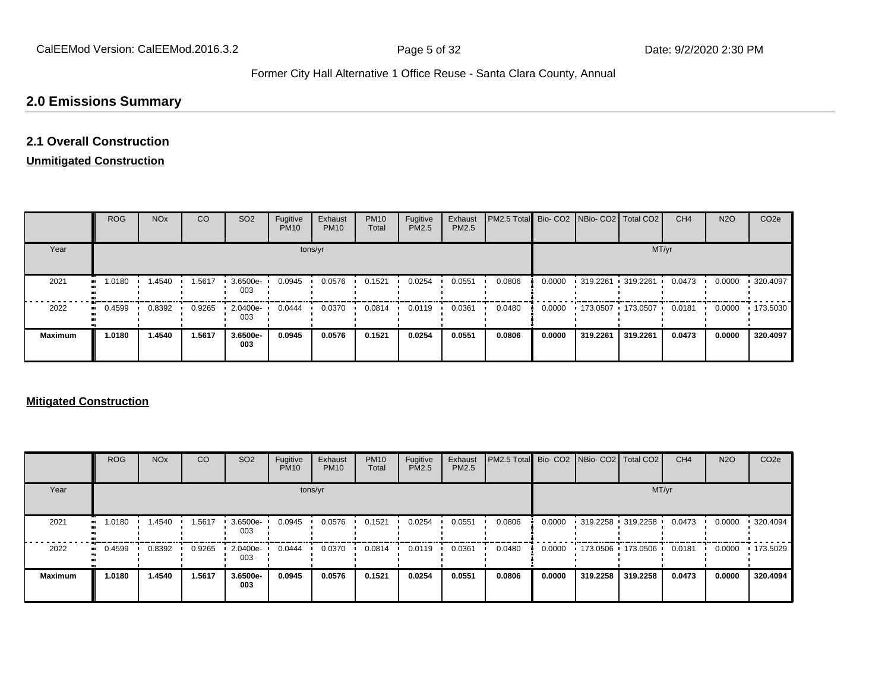### **2.0 Emissions Summary**

### **2.1 Overall Construction**

#### **Unmitigated Construction**

|                   | <b>ROG</b> | <b>NO<sub>x</sub></b> | CO     | SO <sub>2</sub> | Fugitive<br><b>PM10</b> | Exhaust<br><b>PM10</b> | <b>PM10</b><br>Total | Fugitive<br>PM2.5 | Exhaust<br>PM2.5 | PM2.5 Total Bio- CO2 NBio- CO2   Total CO2 |        |                                   |                         | CH <sub>4</sub> | <b>N2O</b> | CO <sub>2e</sub> |
|-------------------|------------|-----------------------|--------|-----------------|-------------------------|------------------------|----------------------|-------------------|------------------|--------------------------------------------|--------|-----------------------------------|-------------------------|-----------------|------------|------------------|
| Year              |            |                       |        |                 | tons/yr                 |                        |                      |                   |                  |                                            |        |                                   | MT/yr                   |                 |            |                  |
| 2021<br>$\bullet$ | 1.0180     | .4540                 | 1.5617 | 3.6500e-<br>003 | 0.0945                  | 0.0576                 | 0.1521               | 0.0254            | 0.0551           | 0.0806                                     | 0.0000 | $\cdot$ 319.2261 $\cdot$ 319.2261 |                         | 0.0473          | 0.0000     | 320.4097         |
| 2022              | 0.4599     | 0.8392                | 0.9265 | 2.0400e-<br>003 | 0.0444                  | 0.0370                 | 0.0814               | 0.0119            | 0.0361           | 0.0480                                     | 0.0000 |                                   | • 173.0507 • 173.0507 • | 0.0181          | 0.0000     | 173.5030         |
| <b>Maximum</b>    | 1.0180     | 1.4540                | 1.5617 | 3.6500e-<br>003 | 0.0945                  | 0.0576                 | 0.1521               | 0.0254            | 0.0551           | 0.0806                                     | 0.0000 | 319,2261                          | 319,2261                | 0.0473          | 0.0000     | 320.4097         |

#### **Mitigated Construction**

|                | <b>ROG</b> | <b>NO<sub>x</sub></b> | CO     | SO <sub>2</sub> | Fugitive<br><b>PM10</b> | Exhaust<br><b>PM10</b> | <b>PM10</b><br>Total | Fugitive<br>PM2.5 | Exhaust<br>PM2.5 | <b>PM2.5 Total</b> Bio- CO2 NBio- CO2 Total CO2 |        |          |                         | CH <sub>4</sub> | <b>N2O</b> | CO <sub>2e</sub> |
|----------------|------------|-----------------------|--------|-----------------|-------------------------|------------------------|----------------------|-------------------|------------------|-------------------------------------------------|--------|----------|-------------------------|-----------------|------------|------------------|
| Year           |            |                       |        |                 |                         | tons/yr                |                      |                   |                  |                                                 |        |          | MT/yr                   |                 |            |                  |
| 2021           | 1.0180     | .4540                 | 1.5617 | 3.6500e-<br>003 | 0.0945                  | 0.0576                 | 0.1521               | 0.0254            | 0.0551           | 0.0806                                          | 0.0000 |          | • 319.2258 • 319.2258 • | 0.0473          | 0.0000     | 320.4094         |
| 2022           | 0.4599     | 0.8392                | 0.9265 | 2.0400e-<br>003 | 0.0444                  | 0.0370                 | 0.0814               | 0.0119            | 0.0361           | 0.0480                                          | 0.0000 |          | • 173.0506 • 173.0506 • | 0.0181          | 0.0000     | 173.5029         |
| <b>Maximum</b> | 1.0180     | 1.4540                | 1.5617 | 3.6500e-<br>003 | 0.0945                  | 0.0576                 | 0.1521               | 0.0254            | 0.0551           | 0.0806                                          | 0.0000 | 319.2258 | 319,2258                | 0.0473          | 0.0000     | 320.4094         |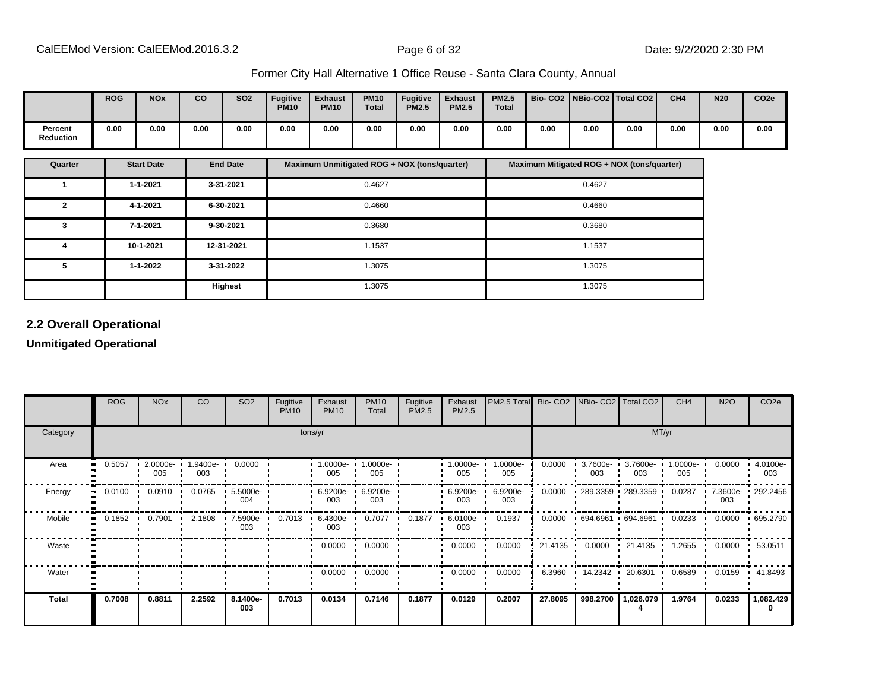|                             | <b>ROG</b> | <b>NOx</b> | co   | <b>SO2</b> | <b>Fugitive</b><br><b>PM10</b> | <b>Exhaust</b><br><b>PM10</b> | <b>PM10</b><br><b>Total</b> | <b>Fugitive</b><br><b>PM2.5</b> | <b>Exhaust</b><br><b>PM2.5</b> | <b>PM2.5</b><br><b>Total</b> | Bio- CO2   NBio-CO2   Total CO2 |      |      | CH <sub>4</sub> | <b>N20</b> | CO <sub>2e</sub> |
|-----------------------------|------------|------------|------|------------|--------------------------------|-------------------------------|-----------------------------|---------------------------------|--------------------------------|------------------------------|---------------------------------|------|------|-----------------|------------|------------------|
| Percent<br><b>Reduction</b> | 0.00       | 0.00       | 0.00 | 0.00       | 0.00                           | 0.00                          | 0.00                        | 0.00                            | 0.00                           | 0.00                         | 0.00                            | 0.00 | 0.00 | 0.00            | 0.00       | 0.00             |

| Quarter        | <b>Start Date</b> | <b>End Date</b> | Maximum Unmitigated ROG + NOX (tons/quarter) | Maximum Mitigated ROG + NOX (tons/quarter) |
|----------------|-------------------|-----------------|----------------------------------------------|--------------------------------------------|
|                | $1 - 1 - 2021$    | 3-31-2021       | 0.4627                                       | 0.4627                                     |
| $\overline{2}$ | 4-1-2021          | 6-30-2021       | 0.4660                                       | 0.4660                                     |
| 3              | 7-1-2021          | 9-30-2021       | 0.3680                                       | 0.3680                                     |
| 4              | 10-1-2021         | 12-31-2021      | 1.1537                                       | 1.1537                                     |
| 5              | $1 - 1 - 2022$    | 3-31-2022       | 1.3075                                       | 1.3075                                     |
|                |                   | Highest         | 1.3075                                       | 1.3075                                     |

#### **2.2 Overall Operational**

#### **Unmitigated Operational**

|              | <b>ROG</b> | <b>NO<sub>x</sub></b> | <b>CO</b>       | SO <sub>2</sub> | Fugitive<br><b>PM10</b> | Exhaust<br><b>PM10</b> | <b>PM10</b><br>Total | Fugitive<br>PM2.5 | Exhaust<br>PM2.5 | PM2.5 Total Bio- CO2 NBio- CO2 Total CO2 |         |                    |                            | CH <sub>4</sub> | <b>N2O</b> | CO <sub>2</sub> e |  |  |  |
|--------------|------------|-----------------------|-----------------|-----------------|-------------------------|------------------------|----------------------|-------------------|------------------|------------------------------------------|---------|--------------------|----------------------------|-----------------|------------|-------------------|--|--|--|
| Category     |            | tons/yr               |                 |                 |                         |                        |                      |                   |                  |                                          |         | MT/yr              |                            |                 |            |                   |  |  |  |
| Area         | 0.5057     | 2.0000e-<br>005       | 1.9400e-<br>003 | 0.0000          |                         | $1.0000e-$<br>005      | 1.0000e-<br>005      |                   | 1.0000e-<br>005  | 1.0000e-<br>005                          | 0.0000  | $3.7600e -$<br>003 | 3.7600e-<br>003            | 1.0000e-<br>005 | 0.0000     | 4.0100e-<br>003   |  |  |  |
| Energy       | 0.0100     | 0.0910                | 0.0765          | 5.5000e-<br>004 |                         | 6.9200e- '<br>003      | 6.9200e-<br>003      |                   | 6.9200e-<br>003  | 6.9200e-<br>003                          | 0.0000  |                    | $-289.3359 - 289.3359$     | 0.0287          | 003        | 7.3600e- 292.2456 |  |  |  |
| Mobile       | 0.1852     | 0.7901                | 2.1808          | 7.5900e-<br>003 | 0.7013                  | $6.4300e -$<br>003     | 0.7077               | 0.1877            | 6.0100e-<br>003  | 0.1937                                   | 0.0000  |                    | $.694.6961 \cdot 694.6961$ | 0.0233          | 0.0000     | .695.2790         |  |  |  |
| Waste        |            |                       |                 |                 |                         | 0.0000                 | 0.0000               |                   | 0.0000           | 0.0000                                   |         |                    | 21.4135 0.0000 21.4135     | 1.2655          | 0.0000     | 53.0511           |  |  |  |
| Water        |            |                       |                 |                 |                         | 0.0000                 | 0.0000               |                   | 0.0000           | 0.0000                                   | 6.3960  | 14.2342 ·          | 20.6301                    | 0.6589          | 0.0159     | $\cdot$ 41.8493   |  |  |  |
| <b>Total</b> | 0.7008     | 0.8811                | 2.2592          | 8.1400e-<br>003 | 0.7013                  | 0.0134                 | 0.7146               | 0.1877            | 0.0129           | 0.2007                                   | 27.8095 | 998.2700           | 1,026.079                  | 1.9764          | 0.0233     | 1,082.429         |  |  |  |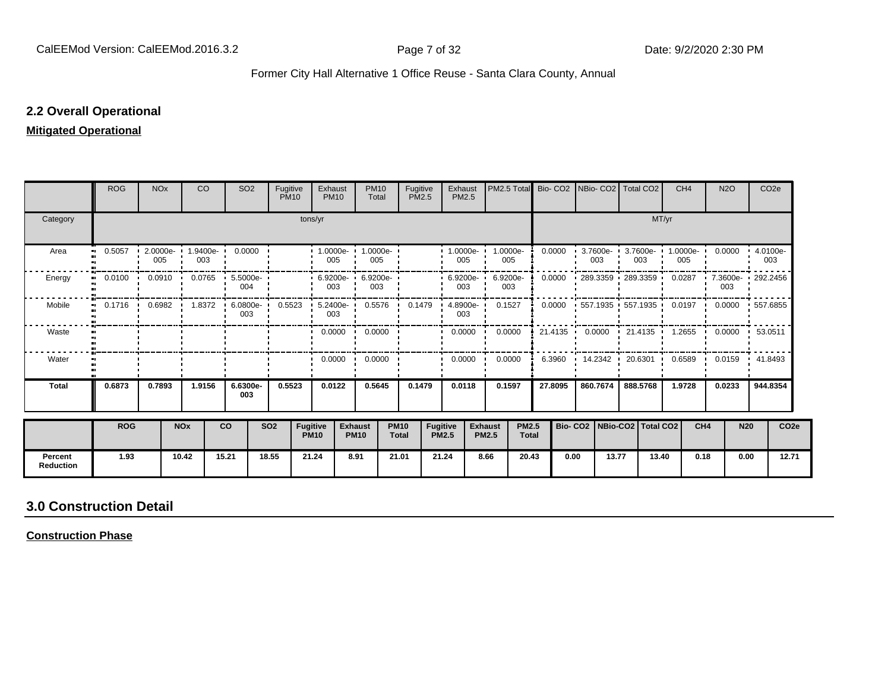#### **2.2 Overall Operational**

#### **Mitigated Operational**

|                             | <b>ROG</b>                 | <b>NO<sub>x</sub></b> |            | <b>CO</b> | SO <sub>2</sub>                                                           | Fugitive<br><b>PM10</b> |                                | Exhaust<br><b>PM10</b> | <b>PM10</b><br>Total                     | Fugitive<br><b>PM2.5</b>    |                                 | Exhaust<br><b>PM2.5</b> | PM2.5 Total                                    |              |                        | Bio- CO2 INBio- CO2 Total CO2                          |                 |       | CH <sub>4</sub> | N <sub>2</sub> O         | CO <sub>2e</sub> |                  |
|-----------------------------|----------------------------|-----------------------|------------|-----------|---------------------------------------------------------------------------|-------------------------|--------------------------------|------------------------|------------------------------------------|-----------------------------|---------------------------------|-------------------------|------------------------------------------------|--------------|------------------------|--------------------------------------------------------|-----------------|-------|-----------------|--------------------------|------------------|------------------|
| Category                    |                            |                       |            |           |                                                                           |                         | tons/yr                        |                        |                                          |                             |                                 |                         |                                                |              |                        |                                                        |                 | MT/yr |                 |                          |                  |                  |
| Area                        | 0.5057<br>$\bullet\bullet$ | 005                   |            | 003       | $\cdot$ 2.0000e- 1.9400e- 0.0000                                          |                         |                                | 005                    | 1.0000e- 1.0000e- 1<br>005               |                             |                                 | $1.0000e -$<br>005      | 1.0000e-<br>005                                |              | 0.0000                 | $3.7600e -$<br>003                                     | 3.7600e-<br>003 |       | 1.0000e-<br>005 | $0.0000 + 4.0100e$       | 003              |                  |
| Energy                      | 0.0100                     |                       |            |           | $0.0910$ 0.0765 5.5000e<br>004                                            |                         |                                | 003                    | $\cdot$ 6.9200e- $\cdot$ 6.9200e-<br>003 |                             |                                 | $.6.9200e -$<br>003     | 6.9200e-<br>003                                |              | 0.0000                 | 289.3359 289.3359                                      |                 |       | 0.0287          | 7.3600e- 292.2456<br>003 |                  |                  |
| Mobile                      |                            |                       |            |           | 0.1716  0.6982  1.8372  6.0800e-  0.5523  5.2400e-  0.5576  0.1479<br>003 |                         |                                | 003                    |                                          |                             |                                 | $4.8900e -$<br>003      | 0.1527                                         |              | 0.0000                 | 1557.1935 1557.1935 10.0197 10.0000 1557.6855          |                 |       |                 |                          |                  |                  |
| Waste                       |                            |                       |            |           |                                                                           |                         |                                |                        | $0.0000 \cdot 0.0000$                    |                             | $\mathbf{L}$                    | $0.0000$ $\blacksquare$ | 0.0000                                         |              |                        | 21.4135 • 0.0000 • 21.4135 • 1.2655 • 0.0000 • 53.0511 |                 |       |                 |                          |                  |                  |
| Water                       |                            |                       |            |           |                                                                           |                         |                                | $0.0000$ $\cdot$       | 0.0000                                   |                             | $\mathbf{r}$                    | 0.0000                  | 0.0000<br>. .                                  |              | 6.3960<br>$\mathbf{r}$ | 14.2342 ·                                              | 20.6301         |       | 0.6589<br>. .   | $0.0159$ $\cdot$ 41.8493 |                  |                  |
| Total                       | 0.6873                     | 0.7893                |            | 1.9156    | 6.6300e-<br>003                                                           | 0.5523                  |                                | 0.0122                 | 0.5645                                   | 0.1479                      |                                 | 0.0118                  | 0.1597                                         |              | 27.8095                | 860.7674                                               | 888.5768        |       | 1.9728          | 0.0233                   | 944.8354         |                  |
|                             | <b>ROG</b>                 |                       | <b>NOx</b> |           | <b>CO</b>                                                                 | <b>SO2</b>              | <b>Fugitive</b><br><b>PM10</b> |                        | <b>Exhaust</b><br><b>PM10</b>            | <b>PM10</b><br><b>Total</b> | <b>Fugitive</b><br><b>PM2.5</b> |                         | <b>PM2.5</b><br><b>Exhaust</b><br><b>PM2.5</b> | <b>Total</b> |                        | Bio- CO2   NBio-CO2   Total CO2                        |                 |       | CH <sub>4</sub> |                          | <b>N20</b>       | CO <sub>2e</sub> |
| Percent<br><b>Reduction</b> | 1.93                       |                       | 10.42      |           | 15.21                                                                     | 18.55                   | 21.24                          |                        | 8.91                                     | 21.01                       | 21.24                           |                         | 8.66<br>20.43                                  |              | 0.00                   | 13.77                                                  |                 | 13.40 | 0.18            |                          | 0.00             | 12.71            |

## **3.0 Construction Detail**

**Construction Phase**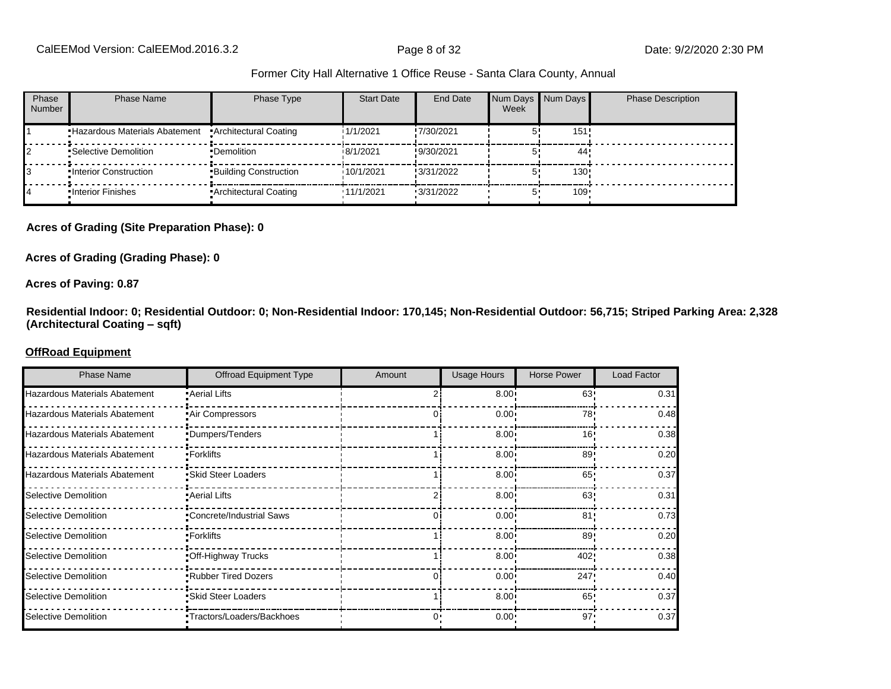| Phase<br><b>Number</b> | Phase Name                                             | Phase Type                   | <b>Start Date</b> | End Date   | Week | Num Days Num Days | <b>Phase Description</b> |
|------------------------|--------------------------------------------------------|------------------------------|-------------------|------------|------|-------------------|--------------------------|
|                        | "Hazardous Materials Abatement "Architectural Coating" |                              | 1/1/2021          | !7/30/2021 |      | 151 <sub>1</sub>  |                          |
|                        | •Selective Demolition                                  | •Demolition                  | 18/1/2021         | !9/30/2021 |      | 44'               |                          |
|                        | .Interior Construction                                 | <b>Building Construction</b> | 10/1/2021         | !3/31/2022 |      | 130:              |                          |
|                        | .Interior Finishes                                     | Architectural Coating        | .11/1/2021        | 13/31/2022 |      | $109 -$           |                          |

#### **Acres of Grading (Site Preparation Phase): 0**

#### **Acres of Grading (Grading Phase): 0**

#### **Acres of Paving: 0.87**

**Residential Indoor: 0; Residential Outdoor: 0; Non-Residential Indoor: 170,145; Non-Residential Outdoor: 56,715; Striped Parking Area: 2,328 (Architectural Coating ±sqft)**

#### **OffRoad Equipment**

| <b>Phase Name</b>                    | <b>Offroad Equipment Type</b>    | Amount | <b>Usage Hours</b> | <b>Horse Power</b> | Load Factor |
|--------------------------------------|----------------------------------|--------|--------------------|--------------------|-------------|
| <b>Hazardous Materials Abatement</b> | • Aerial Lifts                   |        | $8.00 -$           | 63'                | 0.31        |
| Hazardous Materials Abatement        | .Air Compressors                 |        | 0.00 <sub>1</sub>  | 78                 | 0.48        |
| Hazardous Materials Abatement        | •Dumpers/Tenders                 |        | 8.00 <sub>1</sub>  | 16 <sup>1</sup>    | 0.38        |
| Hazardous Materials Abatement        | •Forklifts                       |        | 8.00               | 89                 | 0.20        |
| Hazardous Materials Abatement        | •Skid Steer Loaders              |        | $8.00 \cdot$       | 65                 | 0.37        |
| Selective Demolition                 | • Aerial Lifts                   |        | $8.00 \cdot$       | 63                 | 0.31        |
| Selective Demolition                 | •Concrete/Industrial Saws        |        | 0.00 <sub>1</sub>  | 81'                | 0.73        |
| Selective Demolition                 | •Forklifts                       |        | 8.00 <sub>1</sub>  | 89'                | 0.20        |
| Selective Demolition                 | Off-Highway Trucks               |        | 8.00 <sub>1</sub>  | 402!               | 0.38        |
| Selective Demolition                 | .Rubber Tired Dozers             | Ωi     | $0.00 \cdot$       | 247                | 0.40        |
| Selective Demolition                 | •Skid Steer Loaders              |        | $8.00 \cdot$       | 65                 | 0.37        |
| Selective Demolition                 | <b>Tractors/Loaders/Backhoes</b> | ∩•     | $0.00 \cdot$       | $97 -$             | 0.37        |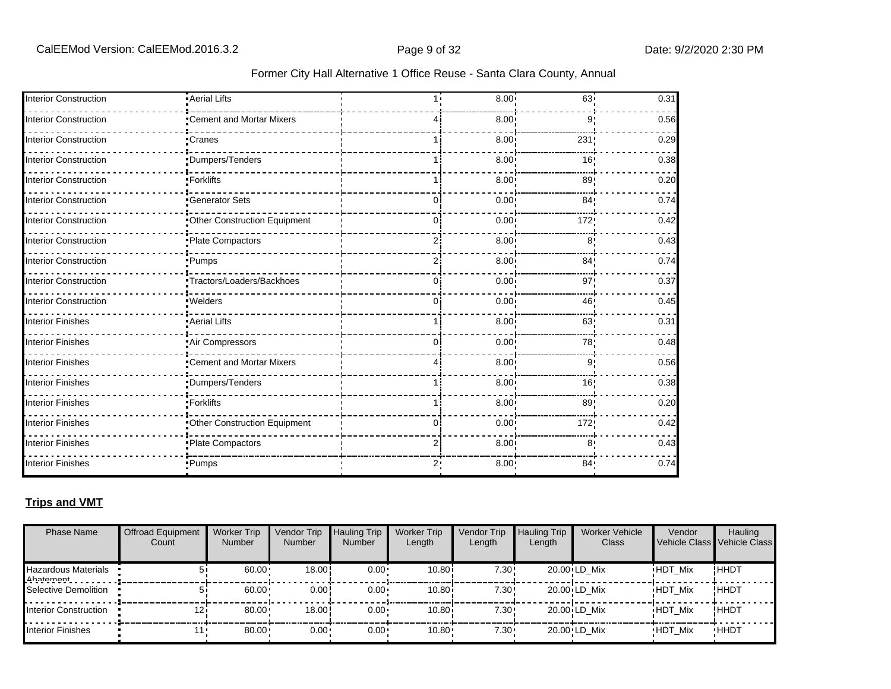| <b>Interior Construction</b> | -Aerial Lifts                |                | 8.00              | 63 <sub>1</sub> | 0.31 |
|------------------------------|------------------------------|----------------|-------------------|-----------------|------|
| <b>Interior Construction</b> | •Cement and Mortar Mixers    |                | 8.00 <sup>1</sup> | 9!              | 0.56 |
| <b>Interior Construction</b> | •Cranes                      |                | 8.00 <sup>1</sup> | 231             | 0.29 |
| <b>Interior Construction</b> | Dumpers/Tenders              |                | 8.00 <sup>1</sup> | 16!             | 0.38 |
| <b>Interior Construction</b> | •Forklifts                   |                | 8.00 <sup>1</sup> | 89              | 0.20 |
| <b>Interior Construction</b> | -Generator Sets              | 0              | 0.00              | 84 <sub>1</sub> | 0.74 |
| <b>Interior Construction</b> | Other Construction Equipment | 0              | 0.00              | 172             | 0.42 |
| <b>Interior Construction</b> | Plate Compactors             | 2              | 8.00 <sup>1</sup> | 8 <sub>1</sub>  | 0.43 |
| <b>Interior Construction</b> | •Pumps                       | 2              | 8.00 <sub>1</sub> | 84!             | 0.74 |
| <b>Interior Construction</b> | Tractors/Loaders/Backhoes    | 0              | 0.00              | 97:             | 0.37 |
| <b>Interior Construction</b> | · Welders                    | O.             | 0.00 <sub>1</sub> | 46!             | 0.45 |
| <b>Interior Finishes</b>     | Aerial Lifts                 |                | 8.00 <sub>1</sub> | 63              | 0.31 |
| <b>Interior Finishes</b>     | Air Compressors              | 0              | 0.00 <sup>1</sup> | 78!             | 0.48 |
| <b>Interior Finishes</b>     | "Cement and Mortar Mixers    |                | 8.00              | 9'              | 0.56 |
| <b>Interior Finishes</b>     | <i>•</i> Dumpers/Tenders     |                | 8.00              | 16!             | 0.38 |
| <b>Interior Finishes</b>     | •Forklifts                   |                | 8.00 <sup>1</sup> | 89              | 0.20 |
| <b>Interior Finishes</b>     | Other Construction Equipment | $\overline{0}$ | 0.00              | 172;            | 0.42 |
| <b>Interior Finishes</b>     | -Plate Compactors            | 2              | 8.00              | 8               | 0.43 |
| <b>Interior Finishes</b>     | •Pumps                       | ر2             | 8.00 <sub>1</sub> | 84 <sub>1</sub> | 0.74 |

#### **Trips and VMT**

| <b>Phase Name</b>                | <b>Offroad Equipment</b><br>Count | <b>Worker Trip</b><br><b>Number</b> | Vendor Trip<br><b>Number</b> | <b>Hauling Trip</b><br><b>Number</b> | <b>Worker Trip</b><br>Length | Vendor Trip<br>Length | <b>Hauling Trip</b><br>Length | Worker Vehicle<br>Class | Vendor         | Hauling<br>Vehicle Class Vehicle Class |
|----------------------------------|-----------------------------------|-------------------------------------|------------------------------|--------------------------------------|------------------------------|-----------------------|-------------------------------|-------------------------|----------------|----------------------------------------|
| Hazardous Materials<br>Ahatamant |                                   | 60.00                               | 18.00!                       | $0.00 \cdot$                         | 10.80i                       | 7.30!                 |                               | 20.00 LD Mix            | <b>HDT Mix</b> | !HHDT                                  |
| Selective Demolition             |                                   | 60.00                               | 0.00!                        | $0.00 \cdot$                         | 10.80i                       | 7.30!                 |                               | 20.00 LD Mix            | <b>HDT Mix</b> | !ннот                                  |
| Interior Construction            | 121                               | 80.00                               | 18.00                        | $0.00 \cdot$                         | 10.80i                       | 7.30!                 |                               | 20.00 LD Mix            | <b>HDT Mix</b> | !HHDT                                  |
| Interior Finishes                |                                   | 80.00                               | $0.00 -$                     | $0.00 \cdot$                         | 10.80                        | $7.30 \cdot$          |                               | 20.00 LD Mix            | <b>HDT Mix</b> | <b>HHDT</b>                            |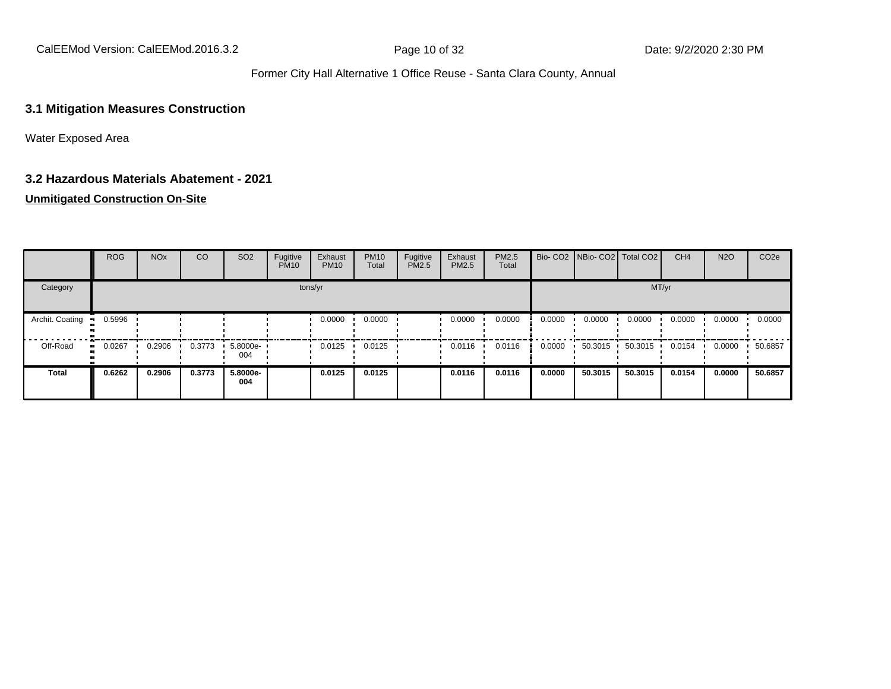CalEEMod Version: CalEEMod.2016.3.2 **Page 10 of 32** Page 10 of 32 Date: 9/2/2020 2:30 PM

#### Former City Hall Alternative 1 Office Reuse - Santa Clara County, Annual

#### **3.1 Mitigation Measures Construction**

Water Exposed Area

#### **3.2 Hazardous Materials Abatement - 2021**

#### **Unmitigated Construction On-Site**

|                 | <b>ROG</b> | <b>NO<sub>x</sub></b> | CO     | SO <sub>2</sub> | Fugitive<br><b>PM10</b> | Exhaust<br><b>PM10</b> | <b>PM10</b><br>Total | Fugitive<br>PM2.5 | Exhaust<br><b>PM2.5</b> | PM2.5<br>Total |        |         | Bio- CO2   NBio- CO2   Total CO2 | CH <sub>4</sub> | <b>N2O</b> | CO <sub>2e</sub> |
|-----------------|------------|-----------------------|--------|-----------------|-------------------------|------------------------|----------------------|-------------------|-------------------------|----------------|--------|---------|----------------------------------|-----------------|------------|------------------|
| Category        |            |                       |        |                 | tons/yr                 |                        |                      |                   |                         |                |        |         | MT/yr                            |                 |            |                  |
| Archit. Coating | 0.5996     |                       |        |                 |                         | 0.0000                 | 0.0000               |                   | 0.0000                  | 0.0000         | 0.0000 | 0.0000  | 0.0000                           | 0.0000          | 0.0000     | 0.0000           |
| Off-Road        | 0.0267     | 0.2906                | 0.3773 | 5.8000e-<br>004 |                         | 0.0125                 | 0.0125               |                   | 0.0116                  | 0.0116         | 0.0000 | 50.3015 | 50.3015                          | 0.0154          | 0.0000     | 50.6857          |
| <b>Total</b>    | 0.6262     | 0.2906                | 0.3773 | 5.8000e-<br>004 |                         | 0.0125                 | 0.0125               |                   | 0.0116                  | 0.0116         | 0.0000 | 50.3015 | 50.3015                          | 0.0154          | 0.0000     | 50.6857          |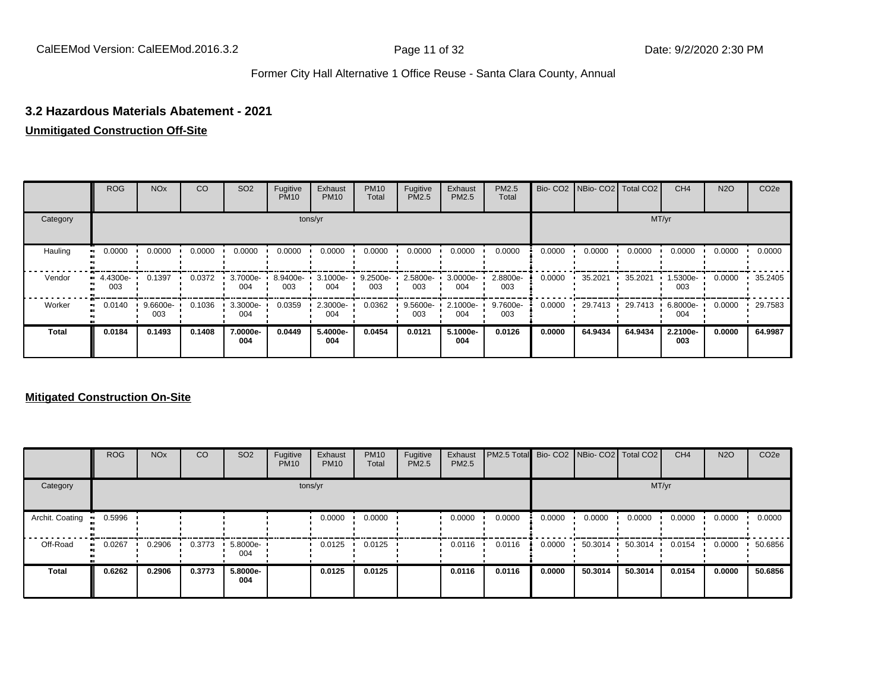#### **3.2 Hazardous Materials Abatement - 2021**

#### **Unmitigated Construction Off-Site**

|              | <b>ROG</b>         | <b>NO<sub>x</sub></b> | CO     | SO <sub>2</sub> | Fugitive<br><b>PM10</b> | Exhaust<br><b>PM10</b> | <b>PM10</b><br>Total | Fugitive<br><b>PM2.5</b> | Exhaust<br>PM2.5 | <b>PM2.5</b><br>Total |        | Bio- CO2   NBio- CO2   Total CO2 |         | CH <sub>4</sub> | <b>N2O</b> | CO <sub>2e</sub> |
|--------------|--------------------|-----------------------|--------|-----------------|-------------------------|------------------------|----------------------|--------------------------|------------------|-----------------------|--------|----------------------------------|---------|-----------------|------------|------------------|
| Category     |                    |                       |        |                 |                         | tons/yr                |                      |                          |                  |                       |        |                                  |         | MT/yr           |            |                  |
| Hauling      | 0.0000             | 0.0000                | 0.0000 | 0.0000          | 0.0000                  | 0.0000                 | 0.0000               | 0.0000                   | 0.0000           | 0.0000                | 0.0000 | 0.0000                           | 0.0000  | 0.0000          | 0.0000     | 0.0000           |
| Vendor       | $-4.4300e-$<br>003 | 0.1397                | 0.0372 | 3.7000e-<br>004 | 8.9400e-<br>003         | 3.1000e-<br>004        | 9.2500e-<br>003      | 2.5800e-<br>003          | 3.0000e-<br>004  | 2.8800e-<br>003       | 0.0000 | 35.2021                          | 35.2021 | 1.5300e-<br>003 | 0.0000     | 35.2405          |
| Worker       | 0.0140<br>ш.       | 9.6600e-<br>003       | 0.1036 | 3.3000e-<br>004 | 0.0359                  | 2.3000e-<br>004        | 0.0362               | 9.5600e-<br>003          | 2.1000e-<br>004  | 9.7600e-<br>003       | 0.0000 | 29.7413                          | 29.7413 | 6.8000e-<br>004 | 0.0000     | 29.7583          |
| <b>Total</b> | 0.0184             | 0.1493                | 0.1408 | 7.0000e-<br>004 | 0.0449                  | 5.4000e-<br>004        | 0.0454               | 0.0121                   | 5.1000e-<br>004  | 0.0126                | 0.0000 | 64.9434                          | 64.9434 | 2.2100e-<br>003 | 0.0000     | 64.9987          |

#### **Mitigated Construction On-Site**

|                 | <b>ROG</b>   | <b>NO<sub>x</sub></b> | <b>CO</b> | SO <sub>2</sub> | Fugitive<br><b>PM10</b> | Exhaust<br><b>PM10</b> | <b>PM10</b><br>Total | Fugitive<br>PM2.5 | Exhaust<br>PM2.5 | PM2.5 Total Bio- CO2 NBio- CO2 Total CO2 |        |         |         | CH <sub>4</sub> | <b>N2O</b> | CO <sub>2e</sub> |
|-----------------|--------------|-----------------------|-----------|-----------------|-------------------------|------------------------|----------------------|-------------------|------------------|------------------------------------------|--------|---------|---------|-----------------|------------|------------------|
| Category        |              |                       |           |                 |                         | tons/yr                |                      |                   |                  |                                          |        |         | MT/yr   |                 |            |                  |
| Archit. Coating | 0.5996       |                       |           |                 |                         | 0.0000                 | 0.0000               |                   | 0.0000           | 0.0000                                   | 0.0000 | 0.0000  | 0.0000  | 0.0000          | 0.0000     | 0.0000           |
| Off-Road        | 0.0267<br>ш. | 0.2906                | 0.3773    | 5.8000e-<br>004 |                         | 0.0125                 | 0.0125               |                   | 0.0116           | 0.0116                                   | 0.0000 | 50.3014 | 50.3014 | 0.0154          | 0.0000     | 50.6856          |
| Total           | 0.6262       | 0.2906                | 0.3773    | 5.8000e-<br>004 |                         | 0.0125                 | 0.0125               |                   | 0.0116           | 0.0116                                   | 0.0000 | 50.3014 | 50.3014 | 0.0154          | 0.0000     | 50.6856          |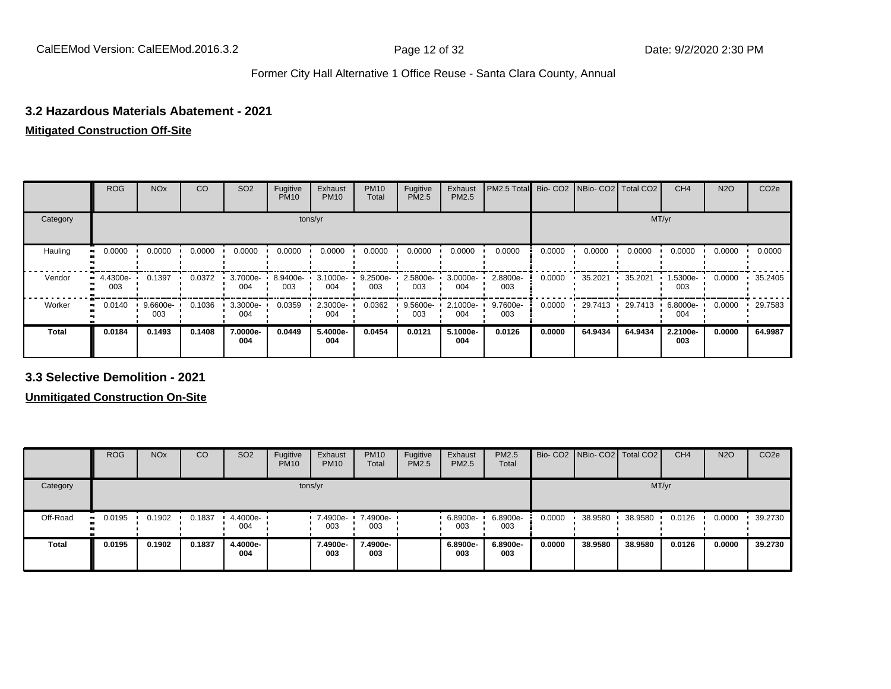#### **3.2 Hazardous Materials Abatement - 2021**

### **Mitigated Construction Off-Site**

|          | <b>ROG</b>      | <b>NO<sub>x</sub></b> | CO     | SO <sub>2</sub> | Fugitive<br><b>PM10</b> | Exhaust<br><b>PM10</b> | <b>PM10</b><br>Total | Fugitive<br><b>PM2.5</b> | Exhaust<br>PM2.5 | PM2.5 Total Bio- CO2 NBio- CO2 Total CO2 |        |         |         | CH <sub>4</sub> | <b>N2O</b> | CO <sub>2e</sub> |
|----------|-----------------|-----------------------|--------|-----------------|-------------------------|------------------------|----------------------|--------------------------|------------------|------------------------------------------|--------|---------|---------|-----------------|------------|------------------|
| Category |                 |                       |        |                 |                         | tons/yr                |                      |                          |                  |                                          |        |         | MT/yr   |                 |            |                  |
| Hauling  | 0.0000          | 0.0000                | 0.0000 | 0.0000          | 0.0000                  | 0.0000                 | 0.0000               | 0.0000                   | 0.0000           | 0.0000                                   | 0.0000 | 0.0000  | 0.0000  | 0.0000          | 0.0000     | 0.0000           |
| Vendor   | 4.4300e-<br>003 | 0.1397                | 0.0372 | 3.7000e-<br>004 | 8.9400e-<br>003         | 3.1000e-<br>004        | 9.2500e-<br>003      | 2.5800e-<br>003          | 3.0000e-<br>004  | 2.8800e-<br>003                          | 0.0000 | 35.2021 | 35.2021 | 1.5300e-<br>003 | 0.0000     | 35.2405          |
| Worker   | 0.0140          | 9.6600e-<br>003       | 0.1036 | 3.3000e-<br>004 | 0.0359                  | 2.3000e-<br>004        | 0.0362               | 9.5600e-<br>003          | 2.1000e-<br>004  | 9.7600e-<br>003                          | 0.0000 | 29.7413 | 29.7413 | 6.8000e-<br>004 | 0.0000     | 29.7583          |
| Total    | 0.0184          | 0.1493                | 0.1408 | 7.0000e-<br>004 | 0.0449                  | 5.4000e-<br>004        | 0.0454               | 0.0121                   | 5.1000e-<br>004  | 0.0126                                   | 0.0000 | 64.9434 | 64.9434 | 2.2100e-<br>003 | 0.0000     | 64.9987          |

**3.3 Selective Demolition - 2021**

**Unmitigated Construction On-Site**

|              | <b>ROG</b>          | <b>NO<sub>x</sub></b> | CO     | SO <sub>2</sub> | Fugitive<br><b>PM10</b> | Exhaust<br><b>PM10</b> | <b>PM10</b><br><b>Total</b> | Fugitive<br><b>PM2.5</b> | Exhaust<br><b>PM2.5</b> | <b>PM2.5</b><br>Total |        | Bio- CO2   NBio- CO2   Total CO2 |         | CH <sub>4</sub> | <b>N2O</b> | CO <sub>2e</sub> |
|--------------|---------------------|-----------------------|--------|-----------------|-------------------------|------------------------|-----------------------------|--------------------------|-------------------------|-----------------------|--------|----------------------------------|---------|-----------------|------------|------------------|
| Category     |                     |                       |        |                 |                         | tons/yr                |                             |                          |                         |                       |        |                                  | MT/yr   |                 |            |                  |
| Off-Road     | 0.0195<br><b>BI</b> | 0.1902                | 0.1837 | 4.4000e-<br>004 |                         | 7.4900e-<br>003        | 7.4900e-<br>003             |                          | $.68900e-$<br>003       | 6.8900e-<br>003       | 0.0000 | 38.9580                          | 38.9580 | 0.0126          | 0.0000     | 39.2730          |
| <b>Total</b> | 0.0195              | 0.1902                | 0.1837 | 4.4000e-<br>004 |                         | 7.4900e-<br>003        | 7.4900e-<br>003             |                          | 6.8900e-<br>003         | 6.8900e-<br>003       | 0.0000 | 38.9580                          | 38.9580 | 0.0126          | 0.0000     | 39.2730          |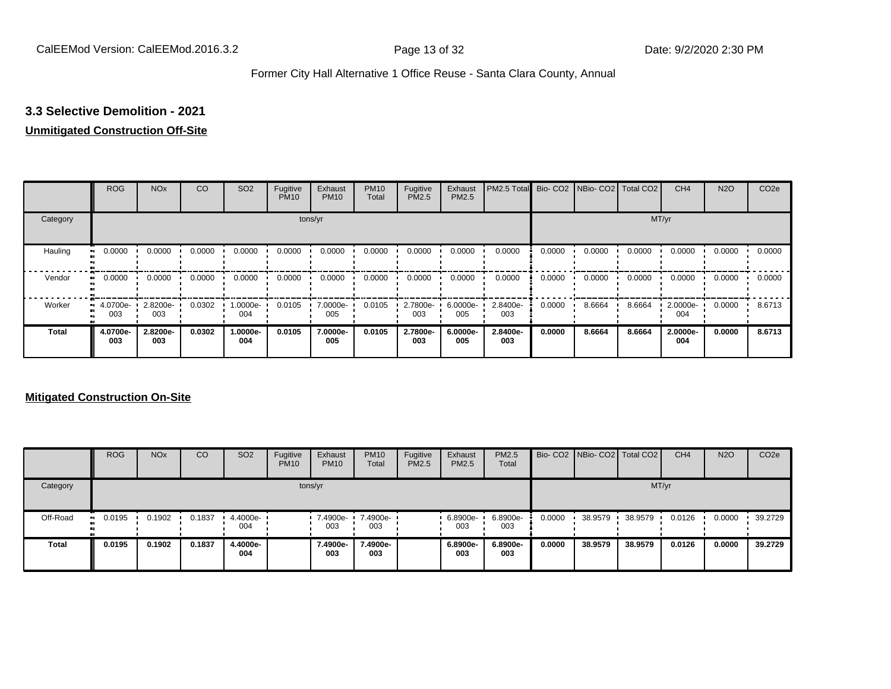### **3.3 Selective Demolition - 2021**

#### **Unmitigated Construction Off-Site**

|              | <b>ROG</b>                   | <b>NO<sub>x</sub></b> | CO     | SO <sub>2</sub> | Fugitive<br><b>PM10</b> | Exhaust<br><b>PM10</b> | <b>PM10</b><br>Total | Fugitive<br><b>PM2.5</b> | Exhaust<br>PM2.5 | PM2.5 Total Bio- CO2 NBio- CO2 Total CO2 |        |        |        | CH <sub>4</sub> | <b>N2O</b> | CO <sub>2e</sub> |
|--------------|------------------------------|-----------------------|--------|-----------------|-------------------------|------------------------|----------------------|--------------------------|------------------|------------------------------------------|--------|--------|--------|-----------------|------------|------------------|
| Category     |                              |                       |        |                 |                         | tons/yr                |                      |                          |                  |                                          |        |        | MT/yr  |                 |            |                  |
| Hauling      | 0.0000<br>œ                  | 0.0000                | 0.0000 | 0.0000          | 0.0000                  | 0.0000                 | 0.0000               | 0.0000                   | 0.0000           | 0.0000                                   | 0.0000 | 0.0000 | 0.0000 | 0.0000          | 0.0000     | 0.0000           |
| Vendor       | 0.0000<br>$\bullet$          | 0.0000                | 0.0000 | 0.0000          | 0.0000                  | 0.0000                 | 0.0000               | 0.0000                   | 0.0000           | 0.0000                                   | 0.0000 | 0.0000 | 0.0000 | 0.0000          | 0.0000     | 0.0000           |
| Worker       | 4.0700e-<br>$\bullet$<br>003 | 2.8200e-<br>003       | 0.0302 | -.0000e<br>004  | 0.0105                  | 7.0000e-<br>005        | 0.0105               | 2.7800e-<br>003          | 6.0000e-<br>005  | 2.8400e-<br>003                          | 0.0000 | 8.6664 | 8.6664 | 2.0000e-<br>004 | 0.0000     | 8.6713           |
| <b>Total</b> | 4.0700e-<br>003              | 2.8200e-<br>003       | 0.0302 | 1.0000e-<br>004 | 0.0105                  | 7.0000e-<br>005        | 0.0105               | 2.7800e-<br>003          | 6.0000e-<br>005  | 2.8400e-<br>003                          | 0.0000 | 8.6664 | 8.6664 | 2.0000e-<br>004 | 0.0000     | 8.6713           |

#### **Mitigated Construction On-Site**

|          | <b>ROG</b>           | <b>NO<sub>x</sub></b> | CO     | SO <sub>2</sub>    | Fugitive<br><b>PM10</b> | Exhaust<br><b>PM10</b> | <b>PM10</b><br><b>Total</b> | Fugitive<br><b>PM2.5</b> | Exhaust<br><b>PM2.5</b> | PM2.5<br>Total  |        | Bio- CO2   NBio- CO2   Total CO2 |         | CH <sub>4</sub> | <b>N2O</b> | CO <sub>2e</sub> |
|----------|----------------------|-----------------------|--------|--------------------|-------------------------|------------------------|-----------------------------|--------------------------|-------------------------|-----------------|--------|----------------------------------|---------|-----------------|------------|------------------|
| Category |                      |                       |        |                    |                         | tons/yr                |                             |                          |                         |                 |        |                                  | MT/yr   |                 |            |                  |
| Off-Road | 0.0195<br><b>ALC</b> | 0.1902                | 0.1837 | $4.4000e -$<br>004 |                         | 7.4900e-<br>003        | 7.4900e-<br>003             |                          | 6.8900e-<br>003         | 6.8900e-<br>003 | 0.0000 | 38.9579                          | 38.9579 | 0.0126          | 0.0000     | 39.2729          |
| Total    | 0.0195               | 0.1902                | 0.1837 | 4.4000e-<br>004    |                         | 7.4900e-<br>003        | 7.4900e-<br>003             |                          | 6.8900e-<br>003         | 6.8900e-<br>003 | 0.0000 | 38.9579                          | 38,9579 | 0.0126          | 0.0000     | 39.2729          |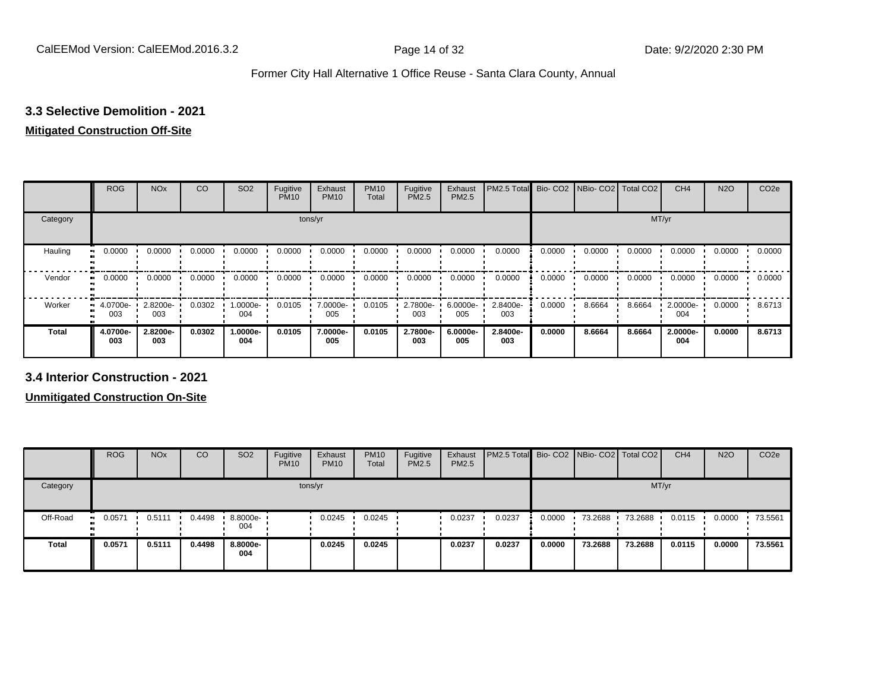#### **3.3 Selective Demolition - 2021**

### **Mitigated Construction Off-Site**

|                     | <b>ROG</b>      | <b>NO<sub>x</sub></b> | CO     | SO <sub>2</sub> | Fugitive<br><b>PM10</b> | Exhaust<br><b>PM10</b> | <b>PM10</b><br>Total | Fugitive<br><b>PM2.5</b> | Exhaust<br>PM2.5 | PM2.5 Total Bio- CO2 NBio- CO2 Total CO2 |        |        |        | CH <sub>4</sub> | <b>N2O</b> | CO <sub>2e</sub> |
|---------------------|-----------------|-----------------------|--------|-----------------|-------------------------|------------------------|----------------------|--------------------------|------------------|------------------------------------------|--------|--------|--------|-----------------|------------|------------------|
| Category            |                 |                       |        |                 |                         | tons/yr                |                      |                          |                  | MT/yr                                    |        |        |        |                 |            |                  |
| Hauling<br>œ        | 0.0000          | 0.0000                | 0.0000 | 0.0000          | 0.0000                  | 0.0000                 | 0.0000               | 0.0000                   | 0.0000           | 0.0000                                   | 0.0000 | 0.0000 | 0.0000 | 0.0000          | 0.0000     | 0.0000           |
| Vendor<br>$\bullet$ | 0.0000          | 0.0000                | 0.0000 | 0.0000          | 0.0000                  | 0.0000                 | 0.0000               | 0.0000                   | 0.0000           | 0.0000                                   | 0.0000 | 0.0000 | 0.0000 | 0.0000          | 0.0000     | 0.0000           |
| Worker<br>$\bullet$ | 4.0700e-<br>003 | 2.8200e-<br>003       | 0.0302 | -:0000e<br>004  | 0.0105                  | 7.0000e-<br>005        | 0.0105               | 2.7800e-<br>003          | 6.0000e-<br>005  | 2.8400e-<br>003                          | 0.0000 | 8.6664 | 8.6664 | 2.0000e-<br>004 | 0.0000     | 8.6713           |
| <b>Total</b>        | 4.0700e-<br>003 | 2.8200e-<br>003       | 0.0302 | -.0000e<br>004  | 0.0105                  | 7.0000e-<br>005        | 0.0105               | 2.7800e-<br>003          | 6.0000e-<br>005  | 2.8400e-<br>003                          | 0.0000 | 8.6664 | 8.6664 | 2.0000e-<br>004 | 0.0000     | 8.6713           |

**3.4 Interior Construction - 2021**

**Unmitigated Construction On-Site**

|              | <b>ROG</b>           | <b>NO<sub>x</sub></b> | CO     | SO <sub>2</sub> | Fugitive<br><b>PM10</b> | Exhaust<br><b>PM10</b> | <b>PM10</b><br><b>Total</b> | Fugitive<br><b>PM2.5</b> | Exhaust<br><b>PM2.5</b> | <b>PM2.5 Total</b> Bio- CO2 NBio- CO2 Total CO2 |        |         |         | CH <sub>4</sub> | <b>N2O</b> | CO <sub>2e</sub> |
|--------------|----------------------|-----------------------|--------|-----------------|-------------------------|------------------------|-----------------------------|--------------------------|-------------------------|-------------------------------------------------|--------|---------|---------|-----------------|------------|------------------|
| Category     |                      |                       |        |                 |                         | tons/yr                |                             |                          |                         |                                                 |        |         |         | MT/yr           |            |                  |
| Off-Road     | 0.0571<br><b>ALC</b> | 0.5111                | 0.4498 | 8.8000e-<br>004 |                         | 0.0245                 | 0.0245                      |                          | 0.0237                  | 0.0237                                          | 0.0000 | 73.2688 | 73.2688 | 0.0115          | 0.0000     | 73.5561          |
| <b>Total</b> | 0.0571               | 0.5111                | 0.4498 | 8.8000e-<br>004 |                         | 0.0245                 | 0.0245                      |                          | 0.0237                  | 0.0237                                          | 0.0000 | 73.2688 | 73.2688 | 0.0115          | 0.0000     | 73.5561          |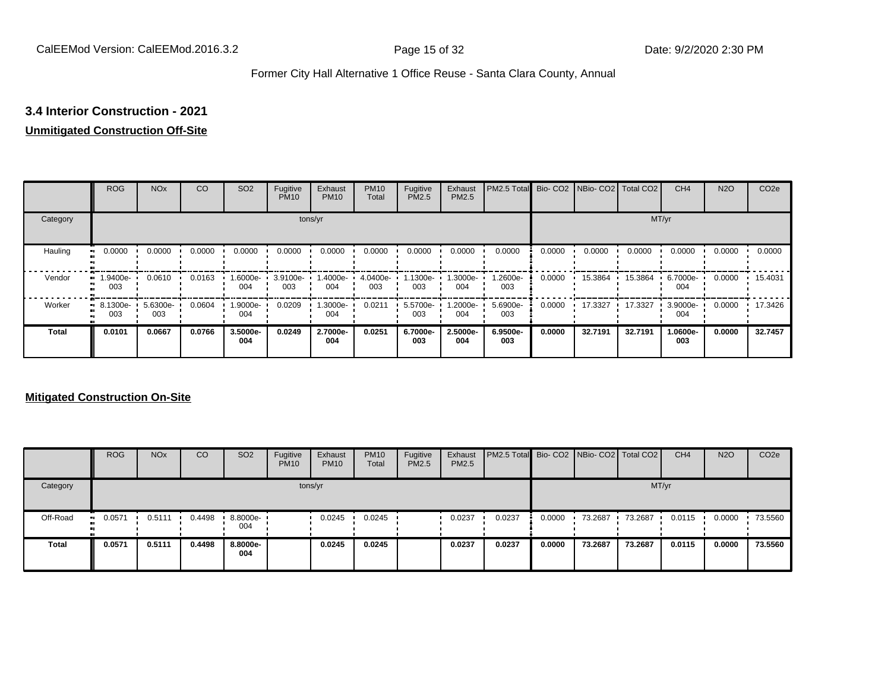### **3.4 Interior Construction - 2021**

#### **Unmitigated Construction Off-Site**

|          | <b>ROG</b>                     | <b>NO<sub>x</sub></b> | CO     | SO <sub>2</sub> | Fugitive<br><b>PM10</b> | Exhaust<br><b>PM10</b> | <b>PM10</b><br>Total | Fugitive<br><b>PM2.5</b> | Exhaust<br>PM2.5 | PM2.5 Total Bio- CO2 NBio- CO2 Total CO2 |        |         |         | CH <sub>4</sub> | <b>N2O</b> | CO <sub>2e</sub> |
|----------|--------------------------------|-----------------------|--------|-----------------|-------------------------|------------------------|----------------------|--------------------------|------------------|------------------------------------------|--------|---------|---------|-----------------|------------|------------------|
| Category |                                |                       |        |                 |                         | tons/yr                |                      |                          |                  |                                          |        |         |         | MT/yr           |            |                  |
| Hauling  | 0.0000<br>œ                    | 0.0000                | 0.0000 | 0.0000          | 0.0000                  | 0.0000                 | 0.0000               | 0.0000                   | 0.0000           | 0.0000                                   | 0.0000 | 0.0000  | 0.0000  | 0.0000          | 0.0000     | 0.0000           |
| Vendor   | .9400e-<br>œ<br>003            | 0.0610                | 0.0163 | -6000e.<br>004  | 3.9100e-<br>003         | 1.4000e-<br>004        | 4.0400e-<br>003      | 1.1300e-<br>003          | 1.3000e-<br>004  | 1.2600e-<br>003                          | 0.0000 | 15.3864 | 15.3864 | 6.7000e-<br>004 | 0.0000     | 15.4031          |
| Worker   | $\blacksquare$ 8.1300e-<br>003 | 5.6300e-<br>003       | 0.0604 | -9000e.<br>004  | 0.0209                  | 1.3000e-<br>004        | 0.0211               | 5.5700e-<br>003          | -2000e.<br>004   | 5.6900e-<br>003                          | 0.0000 | 17.3327 | 17.3327 | 3.9000e-<br>004 | 0.0000     | 17.3426          |
| Total    | 0.0101                         | 0.0667                | 0.0766 | 3.5000e-<br>004 | 0.0249                  | 2.7000e-<br>004        | 0.0251               | 6.7000e-<br>003          | 2.5000e-<br>004  | 6.9500e-<br>003                          | 0.0000 | 32.7191 | 32.7191 | 1.0600e-<br>003 | 0.0000     | 32.7457          |

#### **Mitigated Construction On-Site**

|              | <b>ROG</b>    | <b>NO<sub>x</sub></b> | CO     | SO <sub>2</sub> | Fugitive<br><b>PM10</b> | Exhaust<br><b>PM10</b> | <b>PM10</b><br><b>Total</b> | Fugitive<br><b>PM2.5</b> | Exhaust<br><b>PM2.5</b> | PM2.5 Total Bio- CO2 NBio- CO2 Total CO2 |        |         |         | CH <sub>4</sub> | <b>N2O</b> | CO <sub>2e</sub> |
|--------------|---------------|-----------------------|--------|-----------------|-------------------------|------------------------|-----------------------------|--------------------------|-------------------------|------------------------------------------|--------|---------|---------|-----------------|------------|------------------|
| Category     |               |                       |        |                 |                         | tons/yr                |                             |                          |                         |                                          |        |         |         | MT/yr           |            |                  |
| Off-Road     | 0.0571<br>. . | 0.5111                | 0.4498 | 8.8000e-<br>004 |                         | 0.0245                 | 0.0245                      |                          | 0.0237                  | 0.0237                                   | 0.0000 | 73.2687 | 73.2687 | 0.0115          | 0.0000     | 73.5560          |
| <b>Total</b> | 0.0571        | 0.5111                | 0.4498 | 8.8000e-<br>004 |                         | 0.0245                 | 0.0245                      |                          | 0.0237                  | 0.0237                                   | 0.0000 | 73.2687 | 73.2687 | 0.0115          | 0.0000     | 73.5560          |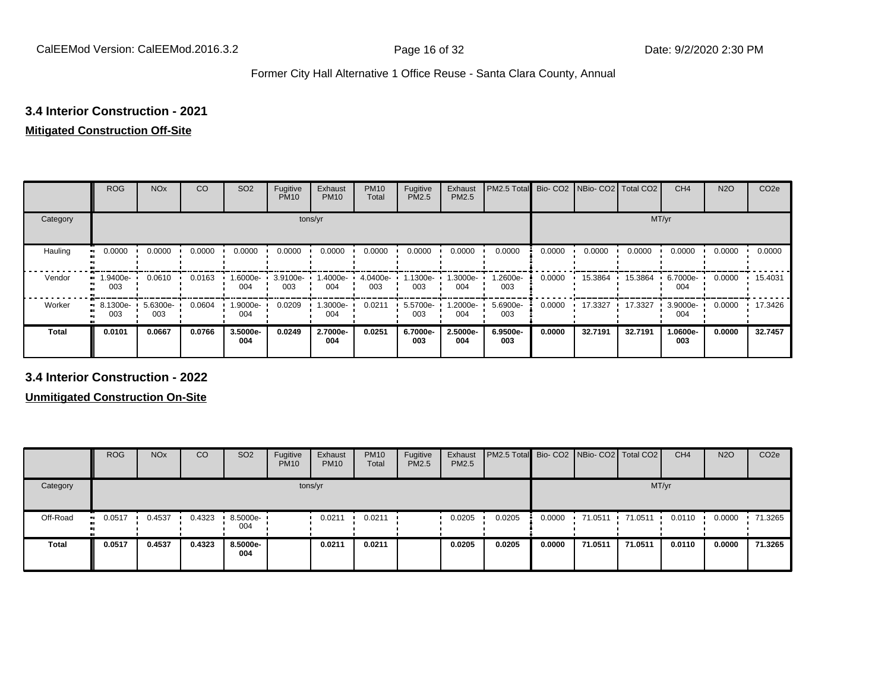### **3.4 Interior Construction - 2021**

### **Mitigated Construction Off-Site**

|          | <b>ROG</b>                     | <b>NO<sub>x</sub></b> | CO     | SO <sub>2</sub> | Fugitive<br><b>PM10</b> | Exhaust<br><b>PM10</b> | <b>PM10</b><br>Total | Fugitive<br>PM2.5 | Exhaust<br>PM2.5 | PM2.5 Total     | Bio-CO <sub>2</sub> | NBio- CO2   Total CO2 |         | CH <sub>4</sub> | <b>N2O</b> | CO <sub>2e</sub> |
|----------|--------------------------------|-----------------------|--------|-----------------|-------------------------|------------------------|----------------------|-------------------|------------------|-----------------|---------------------|-----------------------|---------|-----------------|------------|------------------|
| Category |                                |                       |        |                 | tons/yr                 |                        |                      |                   |                  |                 |                     |                       | MT/yr   |                 |            |                  |
| Hauling  | 0.0000<br>$\blacksquare$       | 0.0000                | 0.0000 | 0.0000          | 0.0000                  | 0.0000                 | 0.0000               | 0.0000            | 0.0000           | 0.0000          | 0.0000              | 0.0000                | 0.0000  | 0.0000          | 0.0000     | 0.0000           |
| Vendor   | 1.9400e-<br>ш.<br>003          | 0.0610                | 0.0163 | -.6000e<br>004  | 3.9100e-<br>003         | 1.4000e-<br>004        | 4.0400e-<br>003      | 1300e-<br>003     | .3000e-<br>004   | 1.2600e-<br>003 | 0.0000              | 15.3864               | 15.3864 | 6.7000e-<br>004 | 0.0000     | 15.4031          |
| Worker   | $\blacksquare$ 8.1300e-<br>003 | 5.6300e-<br>003       | 0.0604 | -9000e-<br>004  | 0.0209                  | 1.3000e-<br>004        | 0.0211               | 5.5700e-<br>003   | .2000e-<br>004   | 5.6900e-<br>003 | 0.0000              | 17.3327               | 17.3327 | 3.9000e-<br>004 | 0.0000     | 17.3426          |
| Total    | 0.0101                         | 0.0667                | 0.0766 | 3.5000e-<br>004 | 0.0249                  | 2.7000e-<br>004        | 0.0251               | 6.7000e-<br>003   | 2.5000e-<br>004  | 6.9500e-<br>003 | 0.0000              | 32.7191               | 32.7191 | 1.0600e-<br>003 | 0.0000     | 32.7457          |

**3.4 Interior Construction - 2022**

**Unmitigated Construction On-Site**

|              | <b>ROG</b>  | <b>NO<sub>x</sub></b> | CO     | SO <sub>2</sub>   | Fugitive<br><b>PM10</b> | Exhaust<br><b>PM10</b> | <b>PM10</b><br>Total | Fugitive<br><b>PM2.5</b> | Exhaust<br><b>PM2.5</b> | <b>PM2.5 Total</b> Bio- CO2 NBio- CO2 Total CO2 |        |         |         | CH <sub>4</sub> | <b>N2O</b> | CO <sub>2e</sub> |
|--------------|-------------|-----------------------|--------|-------------------|-------------------------|------------------------|----------------------|--------------------------|-------------------------|-------------------------------------------------|--------|---------|---------|-----------------|------------|------------------|
| Category     |             |                       |        |                   |                         | tons/yr                |                      |                          |                         |                                                 |        |         |         | MT/yr           |            |                  |
| Off-Road     | 0.0517<br>. | 0.4537                | 0.4323 | $.5000e -$<br>004 |                         | 0.0211                 | 0.0211               |                          | 0.0205                  | 0.0205                                          | 0.0000 | 71.0511 | 71.0511 | 0.0110          | 0.0000     | 71.3265          |
| <b>Total</b> | 0.0517      | 0.4537                | 0.4323 | 8.5000e-<br>004   |                         | 0.0211                 | 0.0211               |                          | 0.0205                  | 0.0205                                          | 0.0000 | 71.0511 | 71.0511 | 0.0110          | 0.0000     | 71.3265          |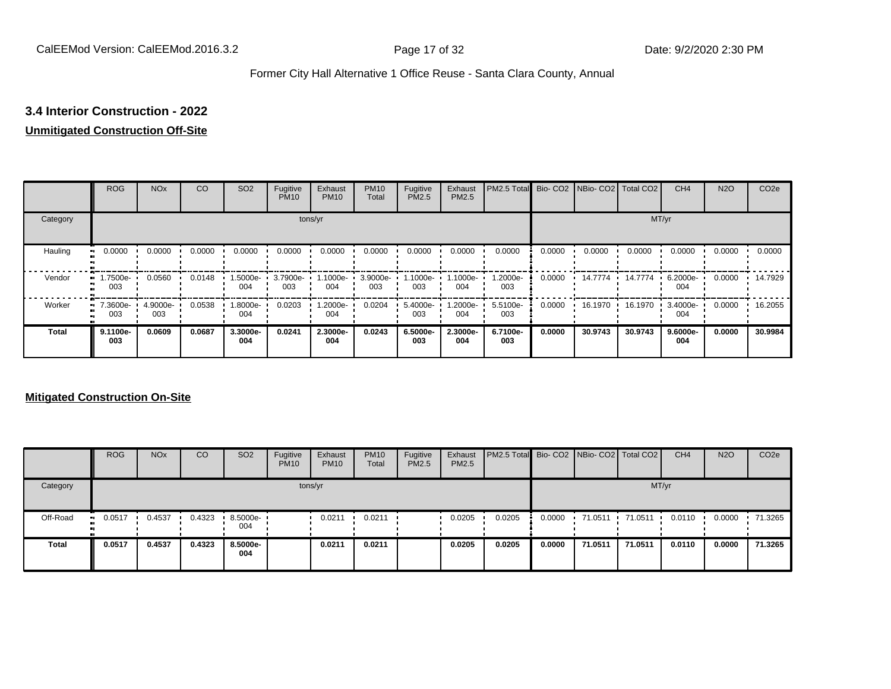### **3.4 Interior Construction - 2022**

#### **Unmitigated Construction Off-Site**

|          | <b>ROG</b>            | <b>NO<sub>x</sub></b> | CO     | SO <sub>2</sub> | Fugitive<br><b>PM10</b> | Exhaust<br><b>PM10</b> | <b>PM10</b><br>Total | Fugitive<br><b>PM2.5</b> | Exhaust<br>PM2.5 | PM2.5 Total Bio- CO2 NBio- CO2 Total CO2 |        |         |         | CH <sub>4</sub> | <b>N2O</b> | CO <sub>2e</sub> |
|----------|-----------------------|-----------------------|--------|-----------------|-------------------------|------------------------|----------------------|--------------------------|------------------|------------------------------------------|--------|---------|---------|-----------------|------------|------------------|
| Category |                       |                       |        |                 |                         | tons/yr                |                      |                          |                  |                                          |        |         |         | MT/yr           |            |                  |
| Hauling  | 0.0000<br>œ           | 0.0000                | 0.0000 | 0.0000          | 0.0000                  | 0.0000                 | 0.0000               | 0.0000                   | 0.0000           | 0.0000                                   | 0.0000 | 0.0000  | 0.0000  | 0.0000          | 0.0000     | 0.0000           |
| Vendor   | -.7500e<br>œ<br>003   | 0.0560                | 0.0148 | -5000e-<br>004  | 3.7900e-<br>003         | 1000e-<br>004          | 3.9000e-<br>003      | 1.1000e-<br>003          | --1000e<br>004   | 1.2000e-<br>003                          | 0.0000 | 14.7774 | 14.7774 | 6.2000e-<br>004 | 0.0000     | 14.7929          |
| Worker   | 7.3600e-<br>ш.<br>003 | 4.9000e-<br>003       | 0.0538 | -8000e.<br>004  | 0.0203                  | 1.2000e-<br>004        | 0.0204               | 5.4000e-<br>003          | -2000e.<br>004   | 5.5100e-<br>003                          | 0.0000 | 16.1970 | 16.1970 | 3.4000e-<br>004 | 0.0000     | 16.2055          |
| Total    | 9.1100e-<br>003       | 0.0609                | 0.0687 | 3.3000e-<br>004 | 0.0241                  | 2.3000e-<br>004        | 0.0243               | 6.5000e-<br>003          | 2.3000e-<br>004  | 6.7100e-<br>003                          | 0.0000 | 30.9743 | 30.9743 | 9.6000e-<br>004 | 0.0000     | 30.9984          |

#### **Mitigated Construction On-Site**

|              | <b>ROG</b>    | <b>NO<sub>x</sub></b> | CO     | SO <sub>2</sub>                 | Fugitive<br><b>PM10</b> | Exhaust<br><b>PM10</b> | <b>PM10</b><br><b>Total</b> | Fugitive<br><b>PM2.5</b> | Exhaust<br><b>PM2.5</b> | <b>PM2.5 Total</b> Bio- CO2 NBio- CO2 Total CO2 |        |            |         | CH <sub>4</sub> | <b>N2O</b> | CO <sub>2e</sub> |
|--------------|---------------|-----------------------|--------|---------------------------------|-------------------------|------------------------|-----------------------------|--------------------------|-------------------------|-------------------------------------------------|--------|------------|---------|-----------------|------------|------------------|
| Category     |               |                       |        |                                 |                         | tons/yr                |                             |                          |                         |                                                 |        |            |         | MT/yr           |            |                  |
| Off-Road     | 0.0517<br>. . | 0.4537                | 0.4323 | $\cdot$ 8.5000e- $\cdot$<br>004 |                         | 0.0211                 | 0.0211                      |                          | 0.0205                  | 0.0205                                          | 0.0000 | $-71.0511$ | 71.0511 | 0.0110          | 0.0000     | 71.3265          |
| <b>Total</b> | 0.0517        | 0.4537                | 0.4323 | 8.5000e-<br>004                 |                         | 0.0211                 | 0.0211                      |                          | 0.0205                  | 0.0205                                          | 0.0000 | 71.0511    | 71.0511 | 0.0110          | 0.0000     | 71.3265          |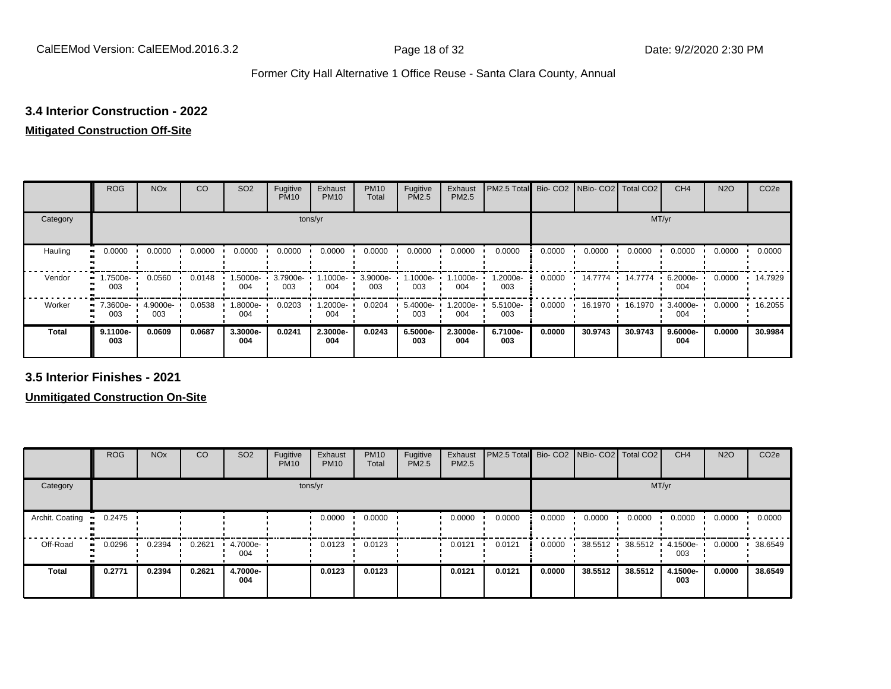### **3.4 Interior Construction - 2022**

#### **Mitigated Construction Off-Site**

|              | <b>ROG</b>                   | <b>NO<sub>x</sub></b> | CO     | SO <sub>2</sub> | Fugitive<br><b>PM10</b> | Exhaust<br><b>PM10</b> | <b>PM10</b><br>Total | Fugitive<br>PM2.5 | Exhaust<br>PM2.5 | PM2.5 Total     |        | Bio- CO2   NBio- CO2   Total CO2 |         | CH <sub>4</sub>    | N <sub>2</sub> O | CO <sub>2e</sub> |
|--------------|------------------------------|-----------------------|--------|-----------------|-------------------------|------------------------|----------------------|-------------------|------------------|-----------------|--------|----------------------------------|---------|--------------------|------------------|------------------|
| Category     |                              |                       |        |                 |                         | tons/yr                |                      |                   |                  |                 |        |                                  | MT/yr   |                    |                  |                  |
| Hauling<br>œ | 0.0000                       | 0.0000                | 0.0000 | 0.0000          | 0.0000                  | 0.0000                 | 0.0000               | 0.0000            | 0.0000           | 0.0000          | 0.0000 | 0.0000                           | 0.0000  | 0.0000             | 0.0000           | 0.0000           |
| Vendor       | 1.7500e-<br>$\bullet$<br>003 | 0.0560                | 0.0148 | .5000e-<br>004  | 3.7900e-<br>003         | 1.1000e-<br>004        | 3.9000e-<br>003      | -.1000e<br>003    | .1000e-<br>004   | 1.2000e-<br>003 | 0.0000 | 14.7774                          | 14.7774 | 6.2000e-<br>004    | 0.0000           | 14.7929          |
| Worker       | 7.3600e-<br>.,<br>003        | 4.9000e-<br>003       | 0.0538 | .8000e-<br>004  | 0.0203                  | 1.2000e-<br>004        | 0.0204               | 5.4000e-<br>003   | .2000e-<br>004   | 5.5100e-<br>003 | 0.0000 | 16.1970                          | 16.1970 | $3.4000e -$<br>004 | 0.0000           | 16.2055          |
| <b>Total</b> | 9.1100e-<br>003              | 0.0609                | 0.0687 | 3.3000e-<br>004 | 0.0241                  | 2.3000e-<br>004        | 0.0243               | 6.5000e-<br>003   | 2.3000e-<br>004  | 6.7100e-<br>003 | 0.0000 | 30.9743                          | 30.9743 | 9.6000e-<br>004    | 0.0000           | 30.9984          |

**3.5 Interior Finishes - 2021**

**Unmitigated Construction On-Site**

|                 | <b>ROG</b> | <b>NO<sub>x</sub></b> | CO     | SO <sub>2</sub> | Fugitive<br><b>PM10</b> | Exhaust<br><b>PM10</b> | <b>PM10</b><br>Total | Fugitive<br><b>PM2.5</b> | Exhaust<br><b>PM2.5</b> | PM2.5 Total Bio- CO2 NBio- CO2 Total CO2 |        |         |         | CH <sub>4</sub> | <b>N2O</b> | CO <sub>2e</sub> |
|-----------------|------------|-----------------------|--------|-----------------|-------------------------|------------------------|----------------------|--------------------------|-------------------------|------------------------------------------|--------|---------|---------|-----------------|------------|------------------|
| Category        |            |                       |        |                 |                         | tons/yr                |                      |                          |                         |                                          |        |         | MT/yr   |                 |            |                  |
| Archit. Coating | 0.2475     |                       |        |                 |                         | 0.0000                 | 0.0000               |                          | 0.0000                  | 0.0000                                   | 0.0000 | 0.0000  | 0.0000  | 0.0000          | 0.0000     | 0.0000           |
| Off-Road        | 0.0296     | 0.2394                | 0.2621 | 4.7000e<br>004  |                         | 0.0123                 | 0.0123               |                          | 0.0121                  | 0.0121                                   | 0.0000 | 38.5512 | 38.5512 | 4.1500e-<br>003 | 0.0000     | 38.6549          |
| <b>Total</b>    | 0.2771     | 0.2394                | 0.2621 | 4.7000e-<br>004 |                         | 0.0123                 | 0.0123               |                          | 0.0121                  | 0.0121                                   | 0.0000 | 38.5512 | 38.5512 | 4.1500e-<br>003 | 0.0000     | 38.6549          |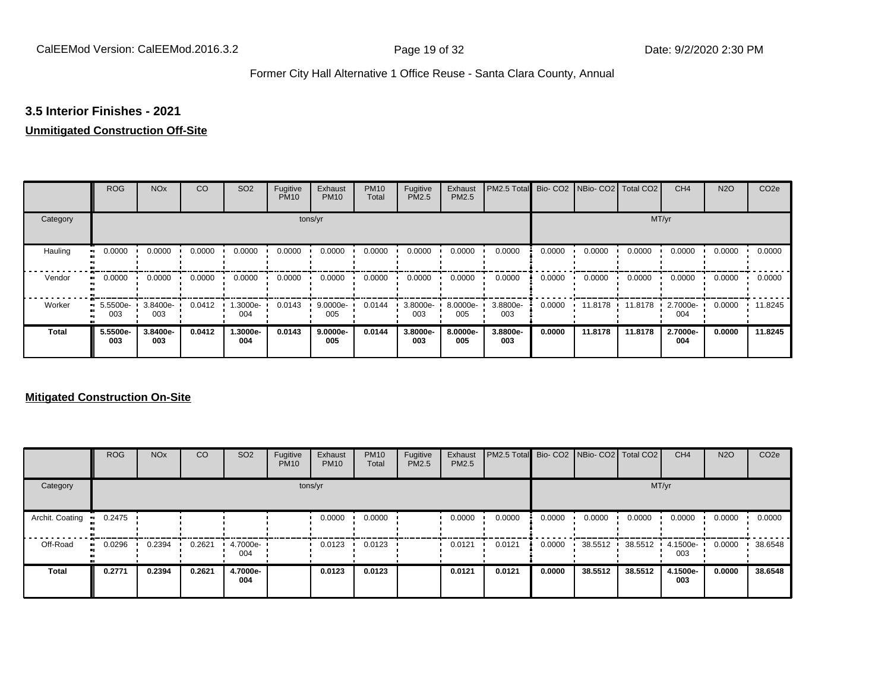#### **3.5 Interior Finishes - 2021**

#### **Unmitigated Construction Off-Site**

|                      | <b>ROG</b>                   | <b>NO<sub>x</sub></b> | CO     | SO <sub>2</sub> | Fugitive<br><b>PM10</b> | Exhaust<br><b>PM10</b> | <b>PM10</b><br>Total | Fugitive<br>PM2.5 | Exhaust<br>PM2.5 | PM2.5 Total     |        | Bio- CO2   NBio- CO2   Total CO2 |         | CH <sub>4</sub> | <b>N2O</b> | CO <sub>2e</sub> |
|----------------------|------------------------------|-----------------------|--------|-----------------|-------------------------|------------------------|----------------------|-------------------|------------------|-----------------|--------|----------------------------------|---------|-----------------|------------|------------------|
| Category             |                              |                       |        |                 |                         | tons/yr                |                      |                   |                  |                 |        |                                  | MT/yr   |                 |            |                  |
| Hauling<br>$\bullet$ | 0.0000                       | 0.0000                | 0.0000 | 0.0000          | 0.0000                  | 0.0000                 | 0.0000               | 0.0000            | 0.0000           | 0.0000          | 0.0000 | 0.0000                           | 0.0000  | 0.0000          | 0.0000     | 0.0000           |
| Vendor               | 0.0000<br>$\bullet\bullet$   | 0.0000                | 0.0000 | 0.0000          | 0.0000                  | 0.0000                 | 0.0000               | 0.0000            | 0.0000           | 0.0000          | 0.0000 | 0.0000                           | 0.0000  | 0.0000          | 0.0000     | 0.0000           |
| Worker               | 5.5500e-<br>$\bullet$<br>003 | 3.8400e-<br>003       | 0.0412 | 1.3000e-<br>004 | 0.0143                  | 9.0000e-<br>005        | 0.0144               | 3.8000e-<br>003   | 8.0000e-<br>005  | 3.8800e-<br>003 | 0.0000 | 11.8178                          | 11.8178 | 2.7000e-<br>004 | 0.0000     | 11.8245          |
| <b>Total</b>         | 5.5500e-<br>003              | 3.8400e-<br>003       | 0.0412 | 1.3000e-<br>004 | 0.0143                  | 9.0000e-<br>005        | 0.0144               | 3.8000e-<br>003   | 8.0000e-<br>005  | 3.8800e-<br>003 | 0.0000 | 11.8178                          | 11.8178 | 2.7000e-<br>004 | 0.0000     | 11.8245          |

#### **Mitigated Construction On-Site**

|                 | <b>ROG</b>   | <b>NO<sub>x</sub></b> | CO     | SO <sub>2</sub> | Fugitive<br><b>PM10</b> | Exhaust<br><b>PM10</b> | <b>PM10</b><br>Total | Fugitive<br>PM2.5 | Exhaust<br><b>PM2.5</b> | <b>PM2.5 Total</b> Bio- CO2 NBio- CO2 Total CO2 |        |         |         | CH <sub>4</sub> | <b>N2O</b> | CO <sub>2e</sub> |
|-----------------|--------------|-----------------------|--------|-----------------|-------------------------|------------------------|----------------------|-------------------|-------------------------|-------------------------------------------------|--------|---------|---------|-----------------|------------|------------------|
| Category        |              |                       |        |                 |                         | tons/yr                |                      |                   |                         |                                                 |        |         | MT/yr   |                 |            |                  |
| Archit. Coating | 0.2475       |                       |        |                 |                         | 0.0000                 | 0.0000               |                   | 0.0000                  | 0.0000                                          | 0.0000 | 0.0000  | 0.0000  | 0.0000          | 0.0000     | 0.0000           |
| Off-Road        | 0.0296<br>ш. | 0.2394                | 0.2621 | 4.7000e-<br>004 |                         | 0.0123                 | 0.0123               |                   | 0.0121                  | 0.0121                                          | 0.0000 | 38.5512 | 38.5512 | 4.1500e-<br>003 | 0.0000     | 38.6548          |
| <b>Total</b>    | 0.2771       | 0.2394                | 0.2621 | 4.7000e-<br>004 |                         | 0.0123                 | 0.0123               |                   | 0.0121                  | 0.0121                                          | 0.0000 | 38.5512 | 38.5512 | 4.1500e-<br>003 | 0.0000     | 38.6548          |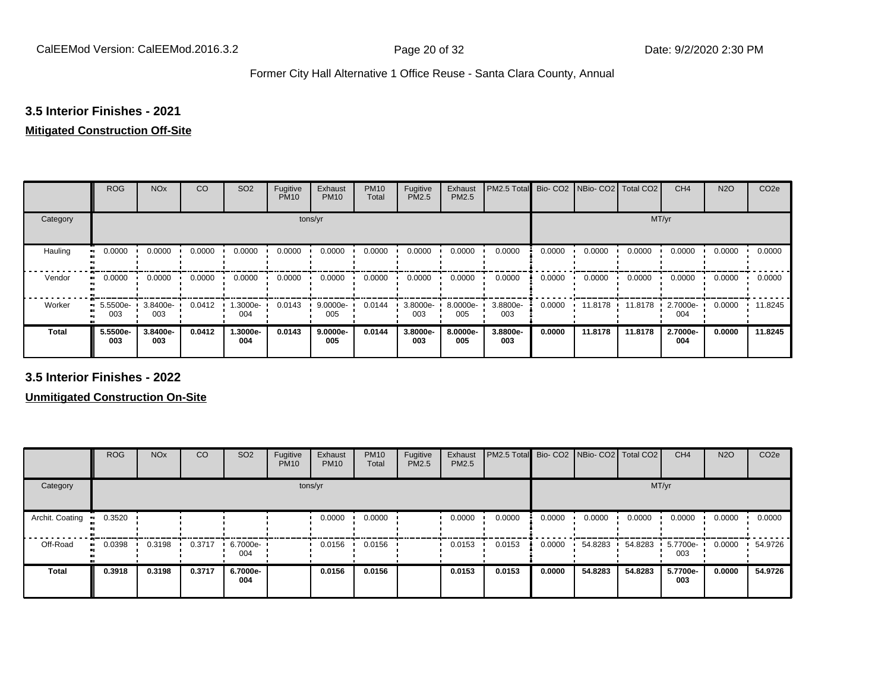### **3.5 Interior Finishes - 2021**

#### **Mitigated Construction Off-Site**

|                | <b>ROG</b>      | <b>NO<sub>x</sub></b> | CO     | SO <sub>2</sub> | Fugitive<br><b>PM10</b> | Exhaust<br><b>PM10</b> | <b>PM10</b><br>Total | Fugitive<br>PM2.5 | Exhaust<br>PM2.5 | PM2.5 Total     |        | Bio-CO2 NBio-CO2 Total CO2 |         | CH <sub>4</sub> | <b>N2O</b> | CO <sub>2e</sub> |
|----------------|-----------------|-----------------------|--------|-----------------|-------------------------|------------------------|----------------------|-------------------|------------------|-----------------|--------|----------------------------|---------|-----------------|------------|------------------|
| Category       |                 |                       |        |                 | tons/yr                 |                        |                      |                   |                  |                 |        |                            | MT/yr   |                 |            |                  |
| Hauling<br>. . | 0.0000          | 0.0000                | 0.0000 | 0.0000          | 0.0000                  | 0.0000                 | 0.0000               | 0.0000            | 0.0000           | 0.0000          | 0.0000 | 0.0000                     | 0.0000  | 0.0000          | 0.0000     | 0.0000           |
| Vendor<br>. .  | 0.0000          | 0.0000                | 0.0000 | 0.0000          | 0.0000                  | 0.0000                 | 0.0000               | 0.0000            | 0.0000           | 0.0000          | 0.0000 | 0.0000                     | 0.0000  | 0.0000          | 0.0000     | 0.0000           |
| Worker         | 5.5500e-<br>003 | 3.8400e-<br>003       | 0.0412 | 1.3000e-<br>004 | 0.0143                  | $9.0000e -$<br>005     | 0.0144               | 3.8000e-<br>003   | 8.0000e-<br>005  | 3.8800e-<br>003 | 0.0000 | 11.8178                    | 11.8178 | 2.7000e-<br>004 | 0.0000     | 11.8245          |
| <b>Total</b>   | 5.5500e-<br>003 | 3.8400e-<br>003       | 0.0412 | 1.3000e-<br>004 | 0.0143                  | 9.0000e-<br>005        | 0.0144               | 3.8000e-<br>003   | 8.0000e-<br>005  | 3.8800e-<br>003 | 0.0000 | 11.8178                    | 11.8178 | 2.7000e-<br>004 | 0.0000     | 11.8245          |

**3.5 Interior Finishes - 2022**

**Unmitigated Construction On-Site**

|                 | <b>ROG</b>          | <b>NO<sub>x</sub></b> | CO     | SO <sub>2</sub> | Fugitive<br><b>PM10</b> | Exhaust<br><b>PM10</b> | <b>PM10</b><br>Total | Fugitive<br><b>PM2.5</b> | Exhaust<br>PM2.5 | PM2.5 Total Bio- CO2 NBio- CO2 Total CO2 |        |         |         | CH <sub>4</sub> | <b>N2O</b> | CO <sub>2e</sub> |
|-----------------|---------------------|-----------------------|--------|-----------------|-------------------------|------------------------|----------------------|--------------------------|------------------|------------------------------------------|--------|---------|---------|-----------------|------------|------------------|
| Category        |                     |                       |        |                 | tons/yr                 |                        |                      |                          |                  |                                          |        |         | MT/yr   |                 |            |                  |
| Archit. Coating | 0.3520              |                       |        |                 |                         | 0.0000                 | 0.0000               |                          | 0.0000           | 0.0000                                   | 0.0000 | 0.0000  | 0.0000  | 0.0000          | 0.0000     | 0.0000           |
| Off-Road        | 0.0398<br>$\bullet$ | 0.3198                | 0.3717 | 6.7000e-<br>004 |                         | 0.0156                 | 0.0156               |                          | 0.0153           | 0.0153                                   | 0.0000 | 54.8283 | 54.8283 | 5.7700e-<br>003 | 0.0000     | 54.9726          |
| <b>Total</b>    | 0.3918              | 0.3198                | 0.3717 | 6.7000e-<br>004 |                         | 0.0156                 | 0.0156               |                          | 0.0153           | 0.0153                                   | 0.0000 | 54.8283 | 54.8283 | 5.7700e-<br>003 | 0.0000     | 54.9726          |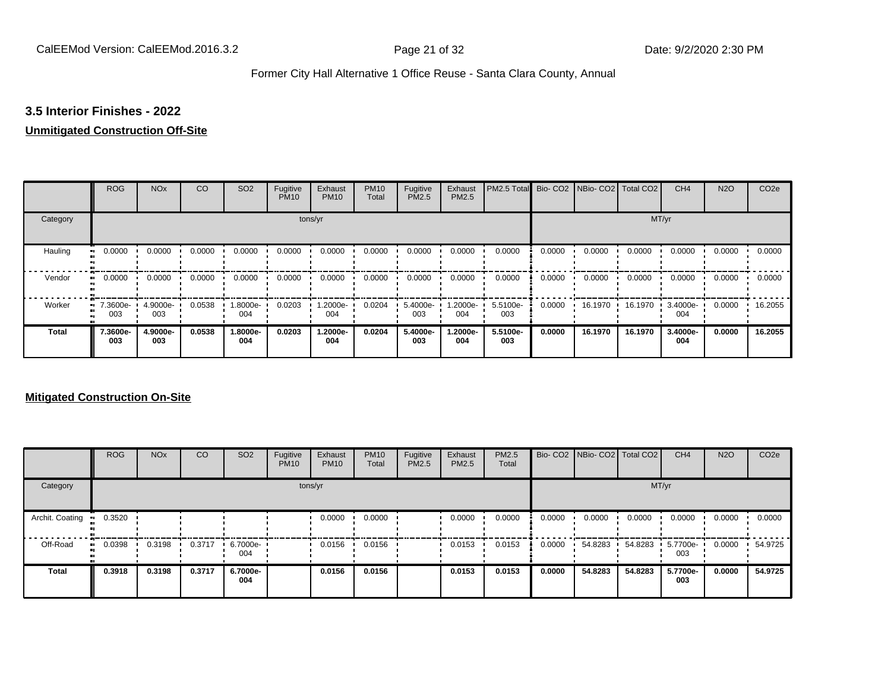#### **3.5 Interior Finishes - 2022**

#### **Unmitigated Construction Off-Site**

|              | <b>ROG</b>                   | <b>NO<sub>x</sub></b> | CO     | SO <sub>2</sub> | Fugitive<br><b>PM10</b> | Exhaust<br><b>PM10</b> | <b>PM10</b><br>Total | Fugitive<br><b>PM2.5</b> | Exhaust<br>PM2.5 | PM2.5 Total Bio- CO2 NBio- CO2 Total CO2 |        |         |         | CH <sub>4</sub> | <b>N2O</b> | CO <sub>2e</sub> |
|--------------|------------------------------|-----------------------|--------|-----------------|-------------------------|------------------------|----------------------|--------------------------|------------------|------------------------------------------|--------|---------|---------|-----------------|------------|------------------|
| Category     |                              |                       |        |                 |                         | tons/yr                |                      |                          |                  |                                          |        |         | MT/yr   |                 |            |                  |
| Hauling<br>œ | 0.0000                       | 0.0000                | 0.0000 | 0.0000          | 0.0000                  | 0.0000                 | 0.0000               | 0.0000                   | 0.0000           | 0.0000                                   | 0.0000 | 0.0000  | 0.0000  | 0.0000          | 0.0000     | 0.0000           |
| Vendor       | 0.0000<br>$\bullet$          | 0.0000                | 0.0000 | 0.0000          | 0.0000                  | 0.0000                 | 0.0000               | 0.0000                   | 0.0000           | 0.0000                                   | 0.0000 | 0.0000  | 0.0000  | 0.0000          | 0.0000     | 0.0000           |
| Worker       | 7.3600e-<br>$\bullet$<br>003 | 4.9000e-<br>003       | 0.0538 | -8000e.<br>004  | 0.0203                  | -2000e.<br>004         | 0.0204               | 5.4000e-<br>003          | -2000e.<br>004   | 5.5100e-<br>003                          | 0.0000 | 16.1970 | 16.1970 | 3.4000e-<br>004 | 0.0000     | 16.2055          |
| <b>Total</b> | 7.3600e-<br>003              | 4.9000e-<br>003       | 0.0538 | 1.8000e-<br>004 | 0.0203                  | 1.2000e-<br>004        | 0.0204               | 5.4000e-<br>003          | -2000e.<br>004   | 5.5100e-<br>003                          | 0.0000 | 16.1970 | 16.1970 | 3.4000e-<br>004 | 0.0000     | 16.2055          |

#### **Mitigated Construction On-Site**

|                 | <b>ROG</b>   | <b>NO<sub>x</sub></b> | CO     | SO <sub>2</sub> | Fugitive<br><b>PM10</b> | Exhaust<br><b>PM10</b> | <b>PM10</b><br>Total | Fugitive<br>PM2.5 | Exhaust<br>PM2.5 | PM2.5<br>Total |        | Bio- CO2   NBio- CO2   Total CO2 |         | CH <sub>4</sub> | <b>N2O</b> | CO <sub>2e</sub> |
|-----------------|--------------|-----------------------|--------|-----------------|-------------------------|------------------------|----------------------|-------------------|------------------|----------------|--------|----------------------------------|---------|-----------------|------------|------------------|
| Category        |              |                       |        |                 |                         | tons/yr                |                      |                   |                  |                |        |                                  | MT/yr   |                 |            |                  |
| Archit. Coating | 0.3520       |                       |        |                 |                         | 0.0000                 | 0.0000               |                   | 0.0000           | 0.0000         | 0.0000 | 0.0000                           | 0.0000  | 0.0000          | 0.0000     | 0.0000           |
| Off-Road        | 0.0398<br>ш. | 0.3198                | 0.3717 | 6.7000e-<br>004 |                         | 0.0156                 | 0.0156               |                   | 0.0153           | 0.0153         | 0.0000 | 54.8283                          | 54.8283 | 5.7700e-<br>003 | 0.0000     | 54.9725          |
| <b>Total</b>    | 0.3918       | 0.3198                | 0.3717 | 6.7000e-<br>004 |                         | 0.0156                 | 0.0156               |                   | 0.0153           | 0.0153         | 0.0000 | 54.8283                          | 54.8283 | 5.7700e-<br>003 | 0.0000     | 54.9725          |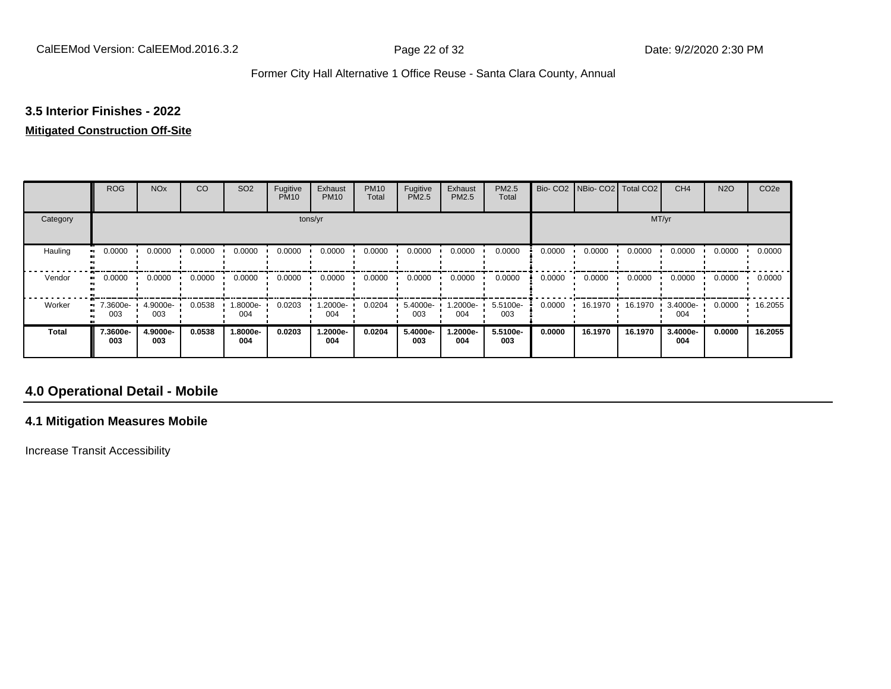#### **3.5 Interior Finishes - 2022**

#### **Mitigated Construction Off-Site**

|                      | <b>ROG</b>                 | <b>NO<sub>x</sub></b> | CO     | SO <sub>2</sub> | Fugitive<br><b>PM10</b> | Exhaust<br><b>PM10</b> | <b>PM10</b><br>Total | Fugitive<br>PM2.5 | Exhaust<br>PM2.5 | PM2.5<br>Total  | Bio-CO <sub>2</sub> | NBio- CO2   Total CO2 |         | CH <sub>4</sub> | <b>N2O</b> | CO <sub>2e</sub> |
|----------------------|----------------------------|-----------------------|--------|-----------------|-------------------------|------------------------|----------------------|-------------------|------------------|-----------------|---------------------|-----------------------|---------|-----------------|------------|------------------|
| Category             |                            |                       |        |                 |                         | tons/yr                |                      |                   |                  |                 |                     |                       | MT/yr   |                 |            |                  |
| Hauling<br>$\bullet$ | 0.0000                     | 0.0000                | 0.0000 | 0.0000          | 0.0000                  | 0.0000                 | 0.0000               | 0.0000            | 0.0000           | 0.0000          | 0.0000              | 0.0000                | 0.0000  | 0.0000          | 0.0000     | 0.0000           |
| Vendor               | 0.0000<br>$\bullet\bullet$ | 0.0000                | 0.0000 | 0.0000          | 0.0000                  | 0.0000                 | 0.0000               | 0.0000            | 0.0000           | 0.0000          | 0.0000              | 0.0000                | 0.0000  | 0.0000          | 0.0000     | 0.0000           |
| Worker               | 7.3600e-<br>. .<br>003     | 4.9000e-<br>003       | 0.0538 | 1.8000e-<br>004 | 0.0203                  | 1.2000e-<br>004        | 0.0204               | 5.4000e-<br>003   | .2000e-<br>004   | 5.5100e-<br>003 | 0.0000              | 16.1970               | 16.1970 | 3.4000e-<br>004 | 0.0000     | 16.2055          |
| <b>Total</b>         | 7.3600e-<br>003            | 4.9000e-<br>003       | 0.0538 | 1.8000e-<br>004 | 0.0203                  | 1.2000e-<br>004        | 0.0204               | 5.4000e-<br>003   | -2000e.<br>004   | 5.5100e-<br>003 | 0.0000              | 16.1970               | 16.1970 | 3.4000e-<br>004 | 0.0000     | 16.2055          |

### **4.0 Operational Detail - Mobile**

#### **4.1 Mitigation Measures Mobile**

Increase Transit Accessibility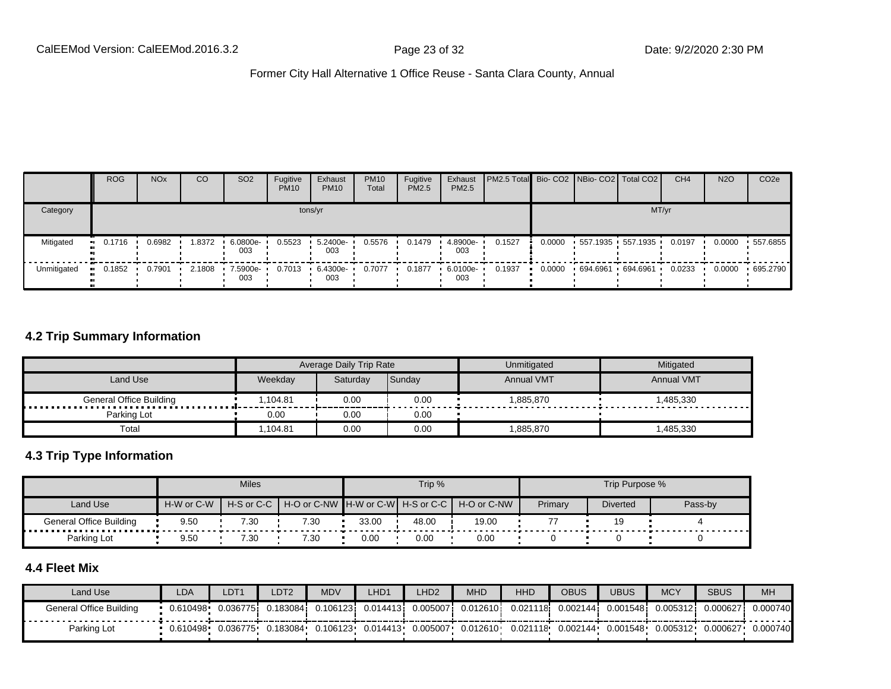|             | <b>ROG</b> | <b>NO<sub>x</sub></b> | CO     | SO <sub>2</sub>    | Fugitive<br><b>PM10</b> | Exhaust<br><b>PM10</b> | <b>PM10</b><br>Total | Fugitive<br>PM2.5 | Exhaust<br>PM2.5  | <b>PM2.5 Total Bio-CO2 NBio-CO2 Total CO2</b> |        |                   |       | CH <sub>4</sub> | <b>N2O</b> | CO <sub>2e</sub> |
|-------------|------------|-----------------------|--------|--------------------|-------------------------|------------------------|----------------------|-------------------|-------------------|-----------------------------------------------|--------|-------------------|-------|-----------------|------------|------------------|
| Category    |            |                       |        |                    |                         | tons/yr                |                      |                   |                   |                                               |        |                   | MT/yr |                 |            |                  |
| Mitigated   | $-0.1716$  | 0.6982                | 1.8372 | 6.0800e-<br>003    | 0.5523                  | 5.2400e-<br>003        | 0.5576               | 0.1479            | 4.8900e-<br>003   | 0.1527                                        | 0.0000 | 557.1935 557.1935 |       | 0.0197          | 0.0000     | $+557.6855$      |
| Unmitigated | 0.1852     | 0.7901                | 2.1808 | $-7.5900e-$<br>003 | 0.7013                  | 6.4300e-<br>003        | 0.7077               | 0.1877            | ■ 6.0100e-<br>003 | 0.1937                                        | 0.0000 | 694.6961 694.6961 |       | 0.0233          | 0.0000     | $+695.2790$      |

#### **4.2 Trip Summary Information**

|                         |         | Average Daily Trip Rate |        | Unmitigated       | Mitigated         |
|-------------------------|---------|-------------------------|--------|-------------------|-------------------|
| Land Use                | Weekday | Saturday                | Sunday | <b>Annual VMT</b> | <b>Annual VMT</b> |
| General Office Building | .104.81 | 0.00                    | 0.00   | 1.885.870         | 1.485.330         |
| Parking Lot             | 0.00    | 0.00                    | 0.00   |                   |                   |
| Total                   | .104.81 | 0.00                    | 0.00   | 1,885,870         | ,485,330          |

#### **4.3 Trip Type Information**

|                         |            | <b>Miles</b> |      |       | Trip % |                                                                |         | Trip Purpose %  |         |
|-------------------------|------------|--------------|------|-------|--------|----------------------------------------------------------------|---------|-----------------|---------|
| Land Use                | H-W or C-W |              |      |       |        | H-S or C-C I H-O or C-NW IH-W or C-WI H-S or C-C I H-O or C-NW | Primary | <b>Diverted</b> | Pass-by |
| General Office Building | 9.50       | 7.30         | 7.30 | 33.00 | 48.00  | 19.00                                                          |         |                 |         |
| Parking Lot             | 9.50       | 7.30         | 7.30 | 0.00  | 0.00   | 0.00                                                           |         |                 |         |

### **4.4 Fleet Mix**

| Land Use                | LDA      | DT1       | DT2      | <b>MDV</b> | LHD1      | LHD <sub>2</sub> | <b>MHD</b> | <b>HHD</b> | OBUS                            | JBUS      | <b>MCY</b> | <b>SBUS</b> | <b>MH</b> |
|-------------------------|----------|-----------|----------|------------|-----------|------------------|------------|------------|---------------------------------|-----------|------------|-------------|-----------|
| General Office Building | 0.610498 | 0.0367751 | 0.183084 | 0.106123i  | 0.014413i | 0.005007i        | 0.012610   |            | 0.021118 0.002144               | 0.001548i | 0.005312   | 0.000627    | 0.000740  |
| Parking Lot             | 0.610498 | 0.036775  | 0.183084 | 0.106123   | 0.014413  | 0.005007         | 0.012610   |            | $0.021118 \cdot 0.002144 \cdot$ | 0.001548  | 0.005312   | 0.000627    | 0.000740  |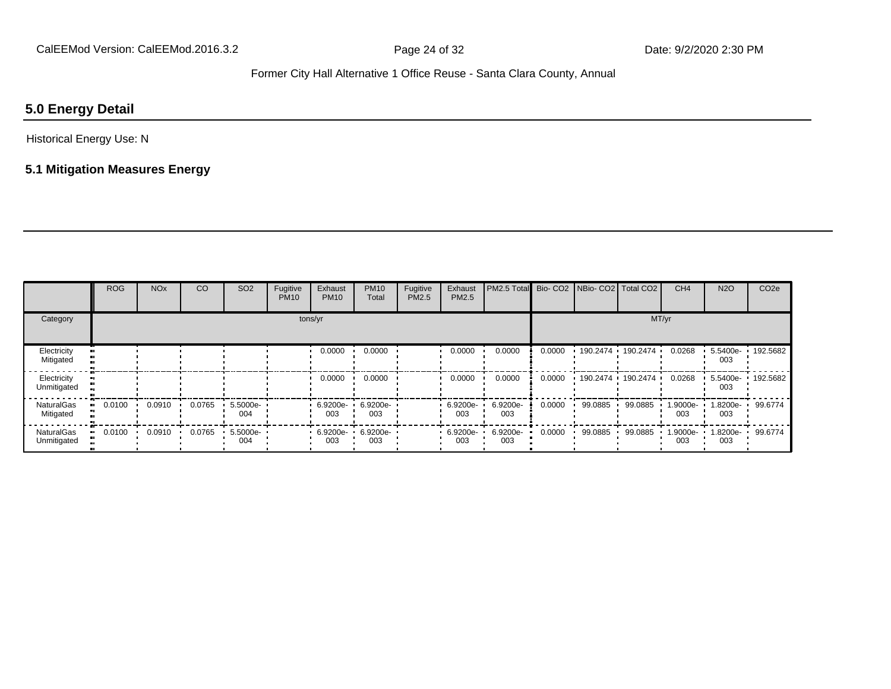### **5.0 Energy Detail**

#### Historical Energy Use: N

#### **5.1 Mitigation Measures Energy**

|                                  | <b>ROG</b> | <b>NO<sub>x</sub></b> | CO     | SO <sub>2</sub> | Fugitive<br><b>PM10</b> | Exhaust<br><b>PM10</b> | <b>PM10</b><br>Total | Fugitive<br>PM2.5 | Exhaust<br>PM2.5 | PM2.5 Total     |        | Bio- CO2 NBio- CO2 Total CO2 |                  | CH <sub>4</sub> | <b>N2O</b>      | CO <sub>2e</sub> |
|----------------------------------|------------|-----------------------|--------|-----------------|-------------------------|------------------------|----------------------|-------------------|------------------|-----------------|--------|------------------------------|------------------|-----------------|-----------------|------------------|
| Category                         |            |                       |        |                 |                         | tons/yr                |                      |                   |                  |                 |        |                              | MT/yr            |                 |                 |                  |
| Electricity<br>Mitigated         |            |                       |        |                 |                         | 0.0000                 | 0.0000               |                   | 0.0000           | 0.0000          | 0.0000 | 190.2474 190.2474            |                  | 0.0268          | 5.5400e-<br>003 | 192.5682         |
| Electricity<br>Unmitigated       |            |                       |        |                 |                         | 0.0000                 | 0.0000               |                   | 0.0000           | 0.0000          | 0.0000 | 190.2474                     | $\cdot$ 190.2474 | 0.0268          | 5.5400e-<br>003 | 192.5682         |
| NaturalGas<br>Mitigated          | 0.0100     | 0.0910                | 0.0765 | 5.5000e-<br>004 |                         | 6.9200e-<br>003        | 6.9200e-<br>003      |                   | 6.9200e-<br>003  | 6.9200e-<br>003 | 0.0000 | 99.0885                      | 99.0885          | 1.9000e-<br>003 | 1.8200e-<br>003 | 99.6774          |
| <b>NaturalGas</b><br>Unmitigated | 0.0100     | 0.0910                | 0.0765 | 5.5000e-<br>004 |                         | 6.9200e-<br>003        | 6.9200e-<br>003      |                   | 6.9200e-<br>003  | 6.9200e-<br>003 | 0.0000 | 99.0885                      | 99.0885          | 1.9000e-<br>003 | 1.8200e-<br>003 | 99.6774          |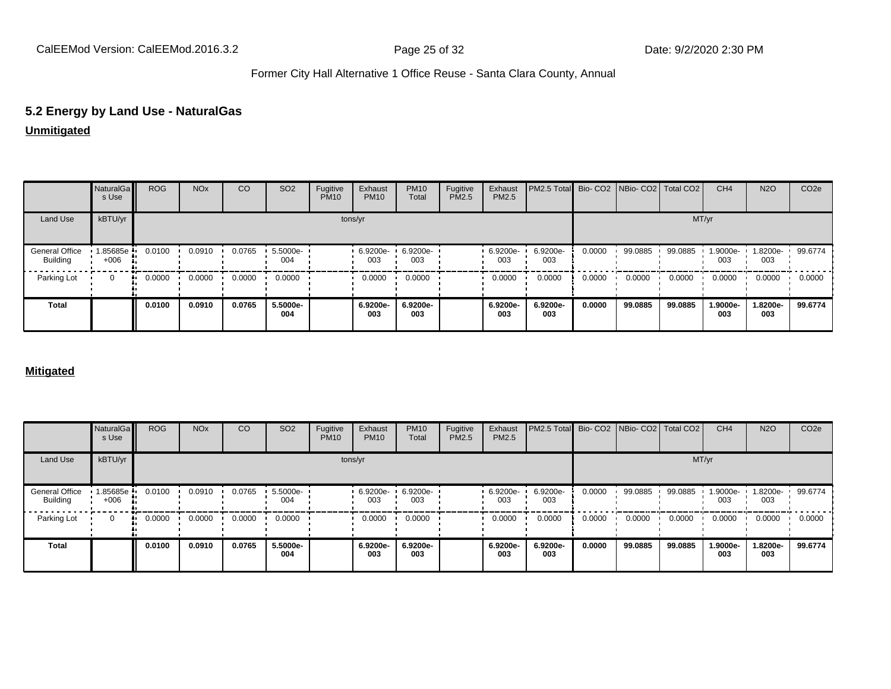## **5.2 Energy by Land Use - NaturalGas**

#### **Unmitigated**

|                                          | NaturalGa<br>s Use | <b>ROG</b> | <b>NO<sub>x</sub></b> | CO     | SO <sub>2</sub> | Fugitive<br><b>PM10</b> | Exhaust<br><b>PM10</b> | <b>PM10</b><br>Total | Fugitive<br>PM2.5 | Exhaust<br>PM2.5 | PM2.5 Total Bio- CO2 NBio- CO2 Total CO2 |        |         |         | CH <sub>4</sub> | <b>N2O</b>      | CO <sub>2e</sub> |
|------------------------------------------|--------------------|------------|-----------------------|--------|-----------------|-------------------------|------------------------|----------------------|-------------------|------------------|------------------------------------------|--------|---------|---------|-----------------|-----------------|------------------|
| Land Use                                 | kBTU/yr            |            |                       |        |                 |                         | tons/yr                |                      |                   |                  |                                          |        |         |         | MT/yr           |                 |                  |
| <b>General Office</b><br><b>Building</b> | 1.85685e<br>$+006$ | 0.0100     | 0.0910                | 0.0765 | 5.5000e-<br>004 |                         | 6.9200e-<br>003        | 6.9200e-<br>003      |                   | 6.9200e-<br>003  | 6.9200e-<br>003                          | 0.0000 | 99.0885 | 99.0885 | 1.9000e-<br>003 | 1.8200e-<br>003 | 99.6774          |
| Parking Lot                              | $\Omega$           | 0.0000     | 0.0000                | 0.0000 | 0.0000          |                         | 0.0000                 | 0.0000               |                   | 0.0000           | 0.0000                                   | 0.0000 | 0.0000  | 0.0000  | 0.0000          | 0.0000          | 0.0000           |
| <b>Total</b>                             |                    | 0.0100     | 0.0910                | 0.0765 | 5.5000e-<br>004 |                         | 6.9200e-<br>003        | 6.9200e-<br>003      |                   | 6.9200e-<br>003  | 6.9200e-<br>003                          | 0.0000 | 99.0885 | 99.0885 | 1.9000e-<br>003 | 1.8200e-<br>003 | 99.6774          |

#### **Mitigated**

|                                          | NaturalGa<br>s Use | <b>ROG</b> | <b>NO<sub>x</sub></b> | CO     | SO <sub>2</sub> | Fugitive<br><b>PM10</b> | Exhaust<br><b>PM10</b> | <b>PM10</b><br>Total | Fugitive<br><b>PM2.5</b> | Exhaust<br>PM2.5 | PM2.5 Total Bio- CO2 NBio- CO2 Total CO2 |        |         |         | CH <sub>4</sub> | <b>N2O</b>      | CO <sub>2</sub> e |
|------------------------------------------|--------------------|------------|-----------------------|--------|-----------------|-------------------------|------------------------|----------------------|--------------------------|------------------|------------------------------------------|--------|---------|---------|-----------------|-----------------|-------------------|
| Land Use                                 | kBTU/yr            |            |                       |        |                 |                         | tons/yr                |                      |                          |                  |                                          |        |         | MT/yr   |                 |                 |                   |
| <b>General Office</b><br><b>Building</b> | 1.85685e<br>$+006$ | 0.0100     | 0.0910                | 0.0765 | 5.5000e-<br>004 |                         | 6.9200e-<br>003        | 6.9200e-<br>003      |                          | 6.9200e-<br>003  | 6.9200e-<br>003                          | 0.0000 | 99.0885 | 99.0885 | 1.9000e-<br>003 | 1.8200e-<br>003 | 99.6774           |
| Parking Lot                              | $\Omega$           | 0.0000<br> | 0.0000                | 0.0000 | 0.0000          |                         | 0.0000                 | 0.0000               |                          | 0.0000           | 0.0000                                   | 0.0000 | 0.0000  | 0.0000  | 0.0000          | 0.0000          | 0.0000            |
| <b>Total</b>                             |                    | 0.0100     | 0.0910                | 0.0765 | 5.5000e-<br>004 |                         | 6.9200e-<br>003        | 6.9200e-<br>003      |                          | 6.9200e-<br>003  | 6.9200e-<br>003                          | 0.0000 | 99.0885 | 99.0885 | 1.9000e-<br>003 | 1.8200e-<br>003 | 99.6774           |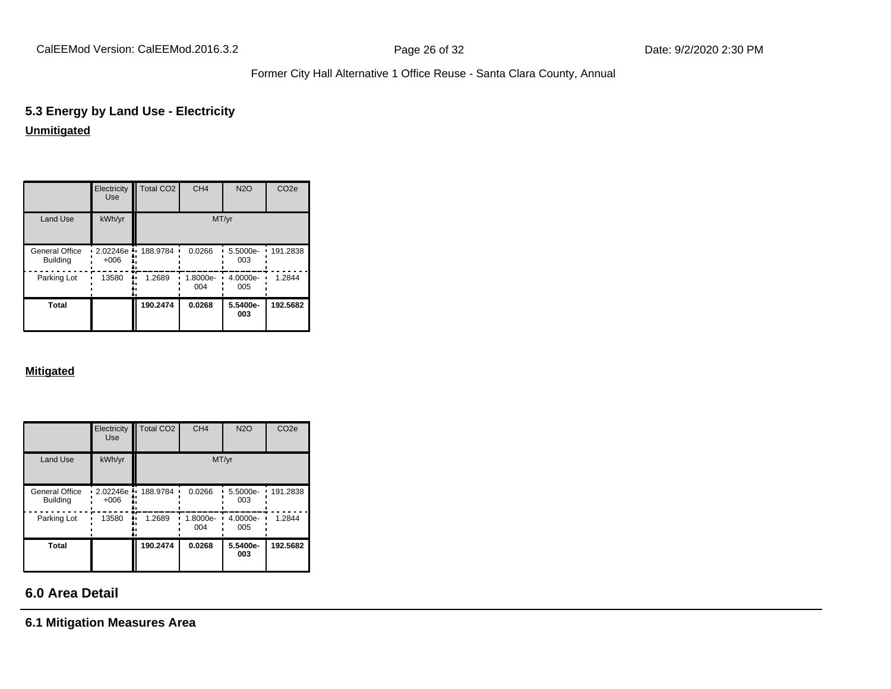# **5.3 Energy by Land Use - Electricity**

### **Unmitigated**

|                                   | Electricity<br><b>Use</b> | Total CO <sub>2</sub> | CH <sub>4</sub> | <b>N2O</b>      | CO <sub>2e</sub> |
|-----------------------------------|---------------------------|-----------------------|-----------------|-----------------|------------------|
| Land Use                          | kWh/yr                    |                       |                 | MT/yr           |                  |
| General Office<br><b>Building</b> | 2.02246e<br>$+006$        | 188.9784<br>n         | 0.0266          | 5.5000e-<br>003 | 191.2838         |
| Parking Lot                       | 13580                     | 1.2689                | 1.8000e-<br>004 | 4.0000e-<br>005 | 1.2844           |
| Total                             |                           | 190.2474              | 0.0268          | 5.5400e-<br>003 | 192.5682         |

#### **Mitigated**

|                                   | Electricity<br><b>Use</b> | Total CO <sub>2</sub> | CH <sub>4</sub> | <b>N2O</b>      | CO <sub>2e</sub> |
|-----------------------------------|---------------------------|-----------------------|-----------------|-----------------|------------------|
| Land Use                          | kWh/yr                    |                       | MT/yr           |                 |                  |
| General Office<br><b>Building</b> | 2.02246e<br>$+006$        | 188.9784<br>n         | 0.0266          | 5.5000e-<br>003 | 191.2838         |
| Parking Lot                       | 13580                     | 1.2689                | 1.8000e-<br>004 | 4.0000e-<br>005 | 1.2844           |
| <b>Total</b>                      |                           | 190.2474              | 0.0268          | 5.5400e-<br>003 | 192.5682         |

### **6.0 Area Detail**

**6.1 Mitigation Measures Area**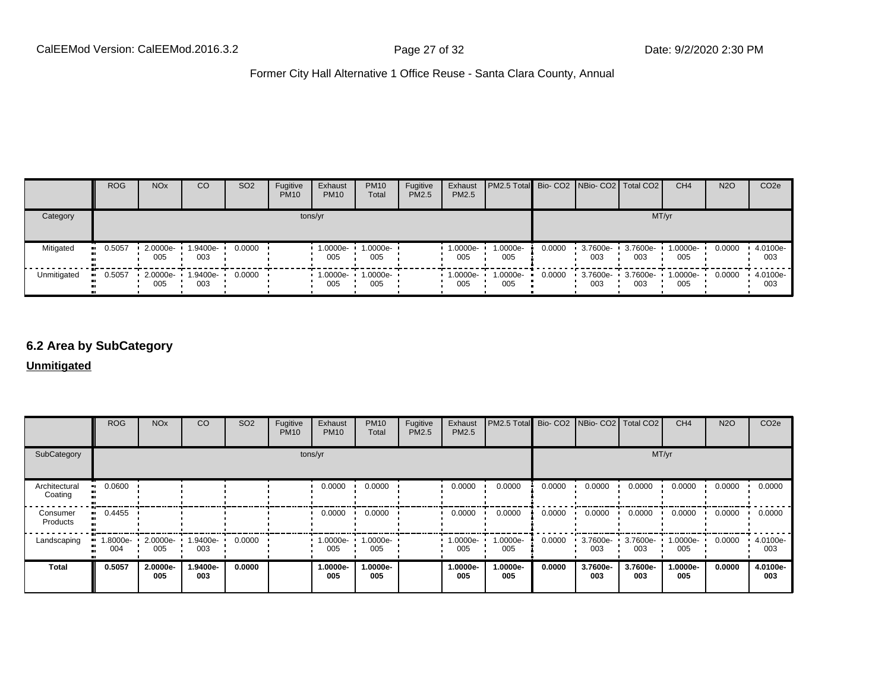|             | <b>ROG</b>            | <b>NO<sub>x</sub></b> | CO              | SO <sub>2</sub> | Fugitive<br><b>PM10</b> | Exhaust<br><b>PM10</b> | <b>PM10</b><br>Total | Fugitive<br><b>PM2.5</b> | Exhaust<br>PM2.5 | <b>PM2.5 Total Bio- CO2 NBio- CO2   Total CO2  </b> |        |                 |                 | CH <sub>4</sub> | <b>N2O</b> | CO <sub>2e</sub> |
|-------------|-----------------------|-----------------------|-----------------|-----------------|-------------------------|------------------------|----------------------|--------------------------|------------------|-----------------------------------------------------|--------|-----------------|-----------------|-----------------|------------|------------------|
| Category    |                       |                       |                 |                 | tons/yr                 |                        |                      |                          |                  |                                                     |        |                 | MT/yr           |                 |            |                  |
| Mitigated   | $\blacksquare$ 0.5057 | 2.0000e-<br>005       | 1.9400e-<br>003 | 0.0000          |                         | 1.0000e-<br>005        | 1.0000e-<br>005      |                          | 1.0000e-<br>005  | 1.0000e-<br>005                                     | 0.0000 | 3.7600e-<br>003 | 3.7600e-<br>003 | 1.0000e-<br>005 | 0.0000     | 4.0100e-<br>003  |
| Unmitigated | 0.5057                | 2.0000e-<br>005       | 1.9400e-<br>003 | 0.0000          |                         | 1.0000e-<br>005        | 1.0000e-<br>005      |                          | 1.0000e-<br>005  | 1.0000e-<br>005                                     | 0.0000 | 3.7600e-<br>003 | 3.7600e-<br>003 | 1.0000e-<br>005 | 0.0000     | 4.0100e-<br>003  |

### **6.2 Area by SubCategory**

**Unmitigated**

|                          | <b>ROG</b>     | <b>NO<sub>x</sub></b> | CO              | SO <sub>2</sub> | Fugitive<br><b>PM10</b> | Exhaust<br><b>PM10</b> | <b>PM10</b><br>Total | Fugitive<br>PM2.5 | Exhaust<br>PM2.5 | PM2.5 Total Bio- CO2 NBio- CO2 Total CO2 |        |                 |                 | CH <sub>4</sub> | <b>N2O</b> | CO <sub>2</sub> e |
|--------------------------|----------------|-----------------------|-----------------|-----------------|-------------------------|------------------------|----------------------|-------------------|------------------|------------------------------------------|--------|-----------------|-----------------|-----------------|------------|-------------------|
| SubCategory              |                | tons/yr               |                 |                 |                         |                        |                      |                   | MT/yr            |                                          |        |                 |                 |                 |            |                   |
| Architectural<br>Coating | 0.0600         |                       |                 |                 |                         | 0.0000                 | 0.0000               |                   | 0.0000           | 0.0000                                   | 0.0000 | 0.0000          | 0.0000          | 0.0000          | 0.0000     | 0.0000            |
| Consumer<br>Products     | 0.4455         |                       |                 |                 |                         | 0.0000                 | 0.0000               |                   | 0.0000           | 0.0000                                   | 0.0000 | 0.0000          | 0.0000          | 0.0000          | 0.0000     | 0.0000            |
| Landscaping              | -8000e.<br>004 | 2.0000e-<br>005       | 1.9400e-<br>003 | 0.0000          |                         | 1.0000e-<br>005        | 1.0000e-<br>005      |                   | 1.0000e-<br>005  | 1.0000e-<br>005                          | 0.0000 | 3.7600e-<br>003 | 3.7600e-<br>003 | -0000e-<br>005  | 0.0000     | 4.0100e-<br>003   |
| <b>Total</b>             | 0.5057         | 2.0000e-<br>005       | 1.9400e-<br>003 | 0.0000          |                         | 1.0000e-<br>005        | 1.0000e-<br>005      |                   | 1.0000e-<br>005  | 1.0000e-<br>005                          | 0.0000 | 3.7600e-<br>003 | 3.7600e-<br>003 | 1.0000e-<br>005 | 0.0000     | 4.0100e-<br>003   |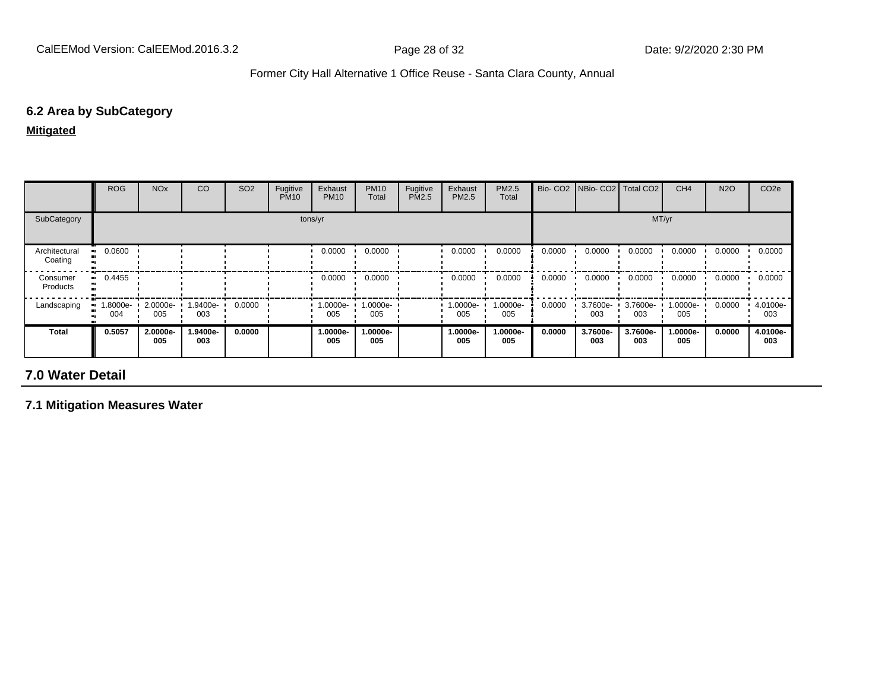### **6.2 Area by SubCategory**

**Mitigated**

|                          | <b>ROG</b>      | <b>NO<sub>x</sub></b> | CO              | SO <sub>2</sub> | Fugitive<br><b>PM10</b> | Exhaust<br><b>PM10</b> | <b>PM10</b><br>Total | Fugitive<br>PM2.5 | Exhaust<br>PM2.5 | <b>PM2.5</b><br>Total | Bio-CO <sub>2</sub> | NBio- CO2   Total CO2 |                 | CH <sub>4</sub> | <b>N2O</b> | CO <sub>2e</sub> |
|--------------------------|-----------------|-----------------------|-----------------|-----------------|-------------------------|------------------------|----------------------|-------------------|------------------|-----------------------|---------------------|-----------------------|-----------------|-----------------|------------|------------------|
| SubCategory              |                 |                       |                 |                 |                         | tons/yr                |                      |                   |                  |                       |                     |                       | MT/yr           |                 |            |                  |
| Architectural<br>Coating | 0.0600          |                       |                 |                 |                         | 0.0000                 | 0.0000               |                   | 0.0000           | 0.0000                | 0.0000              | 0.0000                | 0.0000          | 0.0000          | 0.0000     | 0.0000           |
| Consumer<br>Products     | $-0.4455$       |                       |                 |                 |                         | 0.0000                 | 0.0000               |                   | 0.0000           | 0.0000                | 0.0000              | 0.0000                | 0.0000          | 0.0000          | 0.0000     | 0.0000           |
| Landscaping              | 1.8000e-<br>004 | 2.0000e-<br>005       | 1.9400e-<br>003 | 0.0000          |                         | 1.0000e-<br>005        | 1.0000e-<br>005      |                   | 1.0000e-<br>005  | 1.0000e-<br>005       | 0.0000              | 3.7600e-<br>003       | 3.7600e-<br>003 | 1.0000e-<br>005 | 0.0000     | 4.0100e-<br>003  |
| <b>Total</b>             | 0.5057          | 2.0000e-<br>005       | 1.9400e-<br>003 | 0.0000          |                         | 1.0000e-<br>005        | 1.0000e-<br>005      |                   | 1.0000e-<br>005  | 1.0000e-<br>005       | 0.0000              | 3.7600e-<br>003       | 3.7600e-<br>003 | 1.0000e-<br>005 | 0.0000     | 4.0100e-<br>003  |

## **7.0 Water Detail**

**7.1 Mitigation Measures Water**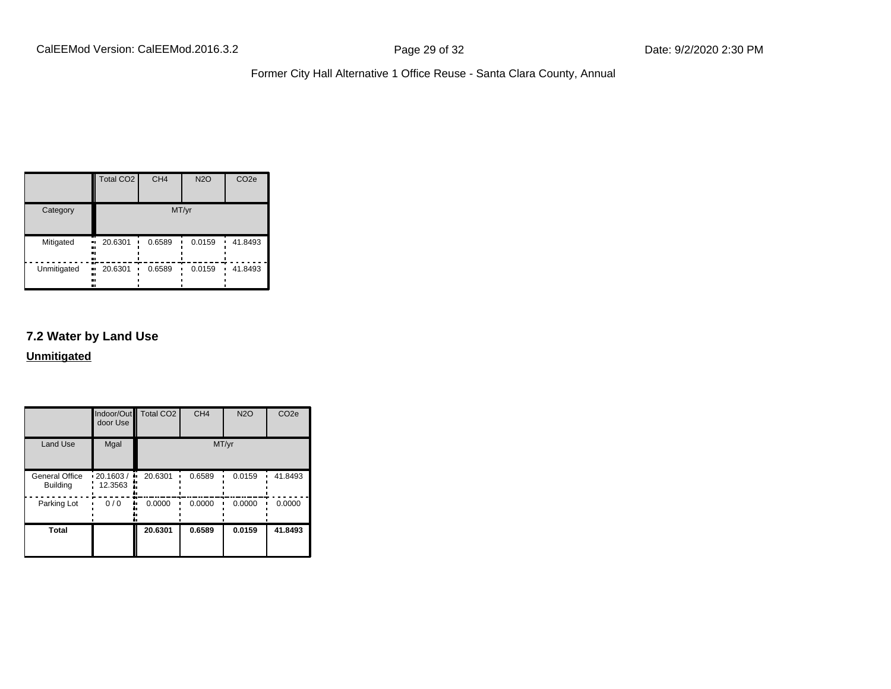|             | <b>Total CO2</b>           | CH <sub>4</sub> | <b>N2O</b> | CO <sub>2e</sub> |
|-------------|----------------------------|-----------------|------------|------------------|
| Category    |                            |                 | MT/yr      |                  |
| Mitigated   | 20.6301<br>.,<br><br>      | 0.6589          | 0.0159     | 41.8493          |
| Unmitigated | 20.6301<br>.,<br><br><br>ш | 0.6589          | 0.0159     | 41.8493          |

#### **7.2 Water by Land Use**

**Unmitigated**

|                                          | door Use                           | Indoor/Out Total CO2 | CH <sub>4</sub> | <b>N2O</b> | CO <sub>2e</sub> |
|------------------------------------------|------------------------------------|----------------------|-----------------|------------|------------------|
| <b>Land Use</b>                          | Mgal                               |                      |                 | MT/yr      |                  |
| <b>General Office</b><br><b>Building</b> | $\cdot$ 20.1603 /<br>٠.<br>12.3563 | 20.6301              | 0.6589          | 0.0159     | 41.8493          |
| Parking Lot                              | 0/0                                | 0.0000               | 0.0000          | 0.0000     | 0.0000           |
| <b>Total</b>                             |                                    | 20.6301              | 0.6589          | 0.0159     | 41.8493          |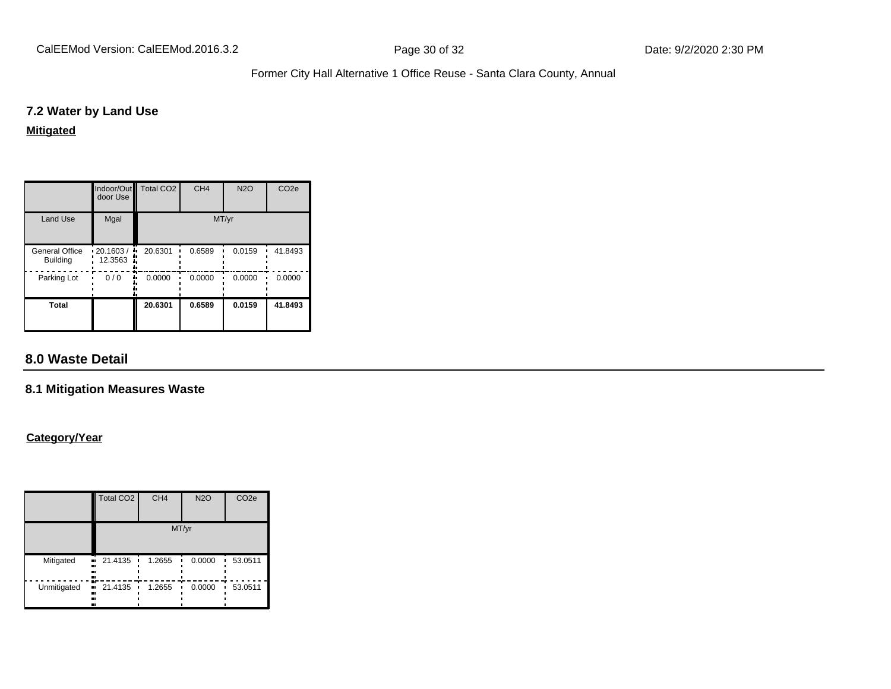#### **7.2 Water by Land Use**

#### **Mitigated**

|                                   | door Use            | Indoor/Out Total CO2 | CH <sub>4</sub> | <b>N2O</b> | CO <sub>2e</sub> |
|-----------------------------------|---------------------|----------------------|-----------------|------------|------------------|
| <b>Land Use</b>                   | Mgal                |                      | MT/yr           |            |                  |
| General Office<br><b>Building</b> | 20.1603/<br>12.3563 | 20.6301              | 0.6589          | 0.0159     | 41.8493          |
| Parking Lot                       | 0/0                 | 0.0000               | 0.0000          | 0.0000     | 0.0000           |
| <b>Total</b>                      |                     | 20.6301              | 0.6589          | 0.0159     | 41.8493          |

### **8.0 Waste Detail**

#### **8.1 Mitigation Measures Waste**

#### **Category/Year**

|               | Total CO <sub>2</sub>            | CH <sub>4</sub> | <b>N2O</b> | CO <sub>2e</sub> |  |  |  |  |
|---------------|----------------------------------|-----------------|------------|------------------|--|--|--|--|
|               | MT/yr                            |                 |            |                  |  |  |  |  |
| Mitigated<br> | 21.4135<br>$\bullet$<br>n<br>n   | 1.2655          | 0.0000     | 53.0511          |  |  |  |  |
| Unmitigated   | п.<br>21.4135<br><br>ı<br>ı.<br> | 1.2655          | 0.0000     | 53.0511          |  |  |  |  |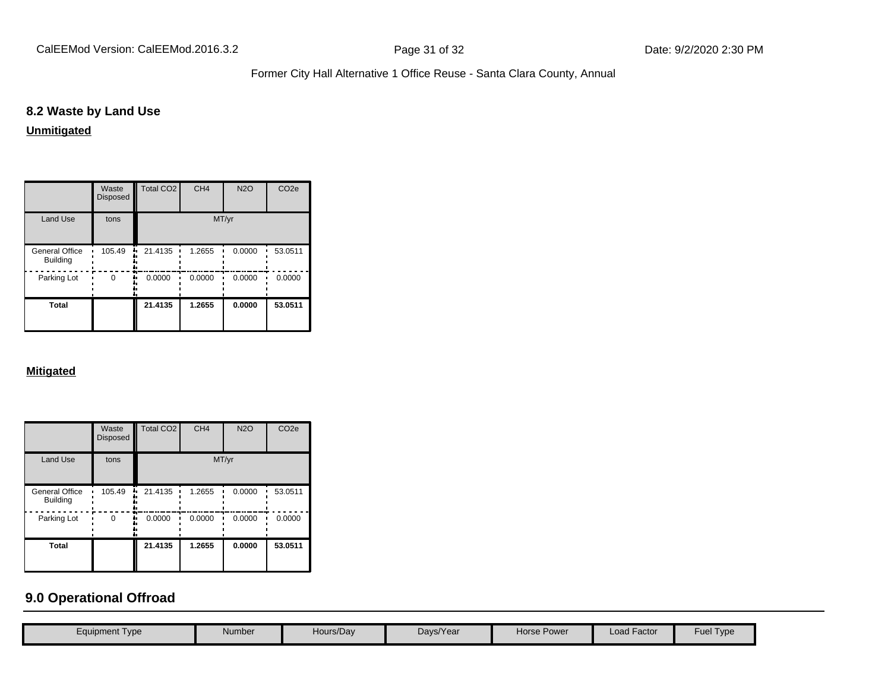### **8.2 Waste by Land Use**

**Unmitigated**

|                                          | Waste<br><b>Disposed</b> | <b>Total CO2</b> | CH <sub>4</sub> | <b>N2O</b> | CO <sub>2e</sub> |
|------------------------------------------|--------------------------|------------------|-----------------|------------|------------------|
| <b>Land Use</b>                          | tons                     |                  |                 | MT/yr      |                  |
| <b>General Office</b><br><b>Building</b> | 105.49                   | 21.4135          | 1.2655          | 0.0000     | 53.0511          |
| Parking Lot                              | 0                        | 0.0000           | 0.0000          | 0.0000     | 0.0000           |
| Total                                    |                          | 21.4135          | 1.2655          | 0.0000     | 53.0511          |

#### **Mitigated**

|                                          | Waste<br><b>Disposed</b> | Total CO <sub>2</sub> | CH <sub>4</sub> | <b>N2O</b> | CO <sub>2e</sub> |
|------------------------------------------|--------------------------|-----------------------|-----------------|------------|------------------|
| <b>Land Use</b>                          | tons                     |                       |                 | MT/yr      |                  |
| <b>General Office</b><br><b>Building</b> | 105.49                   | 21.4135<br>ā,         | 1.2655          | 0.0000     | 53.0511          |
| Parking Lot                              | 0                        | 0.0000                | 0.0000          | 0.0000     | 0.0000           |
| <b>Total</b>                             |                          | 21.4135               | 1.2655          | 0.0000     | 53.0511          |

## **9.0 Operational Offroad**

| Equipment Type | Number | Hours/Day | Days/Year | Horse Power | Load Factor | <b>Fuel Type</b> |
|----------------|--------|-----------|-----------|-------------|-------------|------------------|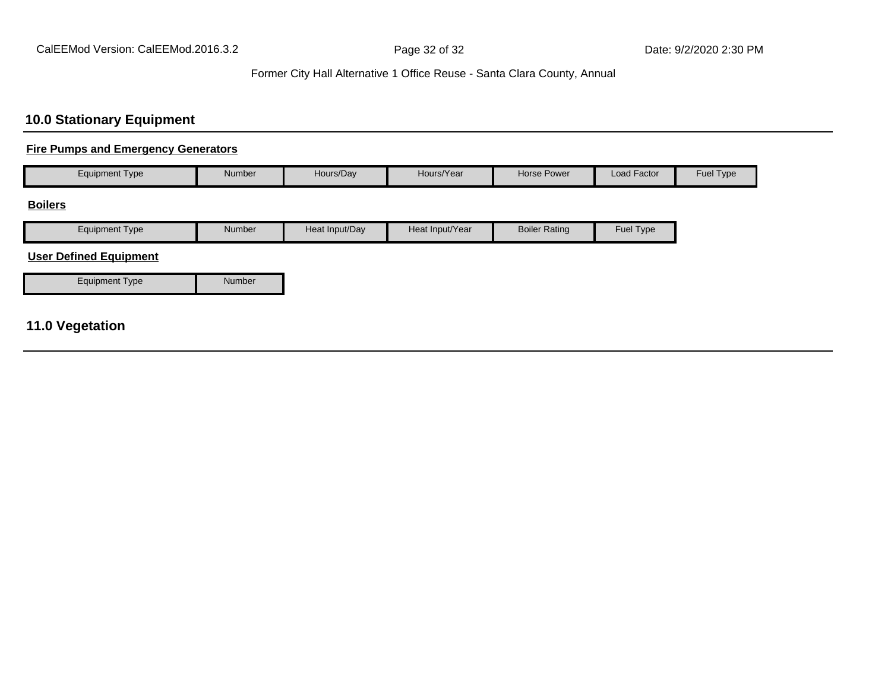### **10.0 Stationary Equipment**

### **Fire Pumps and Emergency Generators**

| Equipment Type | <b>Number</b> | Hours/Day      | Hours/Year      | Horse Power          | Load Factor | Fuel Type |
|----------------|---------------|----------------|-----------------|----------------------|-------------|-----------|
| <b>Boilers</b> |               |                |                 |                      |             |           |
| Equipment Type | <b>Number</b> | Heat Input/Day | Heat Input/Year | <b>Boiler Rating</b> | Fuel Type   |           |

#### **User Defined Equipment**

| Equipment Type | Number |
|----------------|--------|

### **11.0 Vegetation**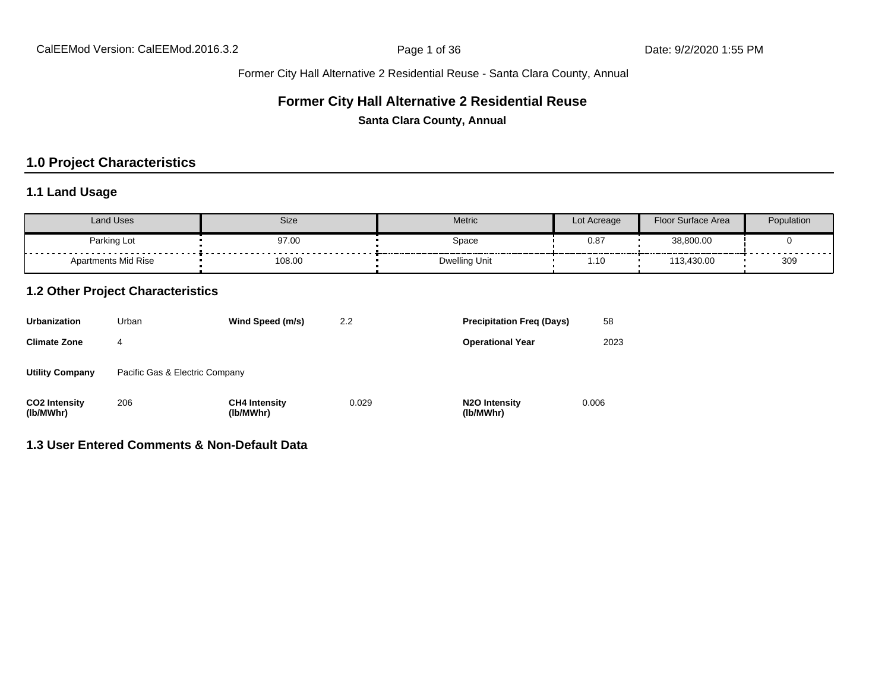#### Former City Hall Alternative 2 Residential Reuse - Santa Clara County, Annual

#### **Former City Hall Alternative 2 Residential Reuse**

**Santa Clara County, Annual**

### **1.0 Project Characteristics**

### **1.1 Land Usage**

| <b>Land Uses</b>    | Size                                          | Metric               | Lot Acreage   | Floor Surface Area | Population          |
|---------------------|-----------------------------------------------|----------------------|---------------|--------------------|---------------------|
| Parking Lot         | 97.00                                         | Space                | $0.8^{\circ}$ | 38,800.00          |                     |
| Apartments Mid Rise | - - - - - - - - - - - - - - - - - -<br>108.00 | <b>Dwelling Unit</b> | . 10.         | 113,430.00         | ------------<br>309 |

#### **1.2 Other Project Characteristics**

| <b>Urbanization</b>               | Urban                          | Wind Speed (m/s)                  | 2.2   | <b>Precipitation Freg (Days)</b>        | 58    |
|-----------------------------------|--------------------------------|-----------------------------------|-------|-----------------------------------------|-------|
| <b>Climate Zone</b>               | 4                              |                                   |       | <b>Operational Year</b>                 | 2023  |
| <b>Utility Company</b>            | Pacific Gas & Electric Company |                                   |       |                                         |       |
| <b>CO2 Intensity</b><br>(lb/MWhr) | 206                            | <b>CH4 Intensity</b><br>(lb/MWhr) | 0.029 | N <sub>2</sub> O Intensity<br>(lb/MWhr) | 0.006 |

### **1.3 User Entered Comments & Non-Default Data**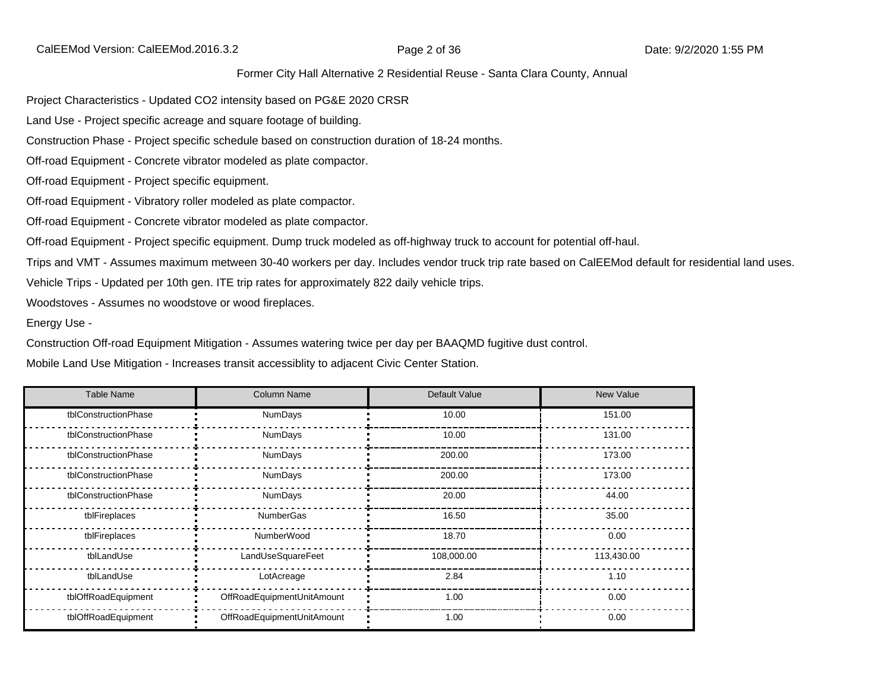CalEEMod Version: CalEEMod.2016.3.2 **Page 2 of 36** Page 2 of 36 Date: 9/2/2020 1:55 PM

#### Former City Hall Alternative 2 Residential Reuse - Santa Clara County, Annual

Project Characteristics - Updated CO2 intensity based on PG&E 2020 CRSR

Land Use - Project specific acreage and square footage of building.

Construction Phase - Project specific schedule based on construction duration of 18-24 months.

Off-road Equipment - Concrete vibrator modeled as plate compactor.

Off-road Equipment - Project specific equipment.

Off-road Equipment - Vibratory roller modeled as plate compactor.

Off-road Equipment - Concrete vibrator modeled as plate compactor.

Off-road Equipment - Project specific equipment. Dump truck modeled as off-highway truck to account for potential off-haul.

Trips and VMT - Assumes maximum metween 30-40 workers per day. Includes vendor truck trip rate based on CalEEMod default for residential land uses.

Vehicle Trips - Updated per 10th gen. ITE trip rates for approximately 822 daily vehicle trips.

Woodstoves - Assumes no woodstove or wood fireplaces.

Energy Use -

Construction Off-road Equipment Mitigation - Assumes watering twice per day per BAAQMD fugitive dust control.

Mobile Land Use Mitigation - Increases transit accessiblity to adjacent Civic Center Station.

| <b>Table Name</b>    | <b>Column Name</b>         | Default Value | New Value  |
|----------------------|----------------------------|---------------|------------|
| tblConstructionPhase | NumDays                    | 10.00         | 151.00     |
| tblConstructionPhase | NumDays                    | 10.00         | 131.00     |
| tblConstructionPhase | <b>NumDays</b>             | 200.00        | 173.00     |
| tblConstructionPhase | <b>NumDays</b>             | 200.00        | 173.00     |
| tblConstructionPhase | NumDays                    | 20.00         | 44.00      |
| tblFireplaces        | <b>NumberGas</b>           | 16.50         | 35.00      |
| tblFireplaces        | <b>NumberWood</b>          | 18.70         | 0.00       |
| tblLandUse           | LandUseSquareFeet          | 108,000.00    | 113,430.00 |
| tblLandUse           | LotAcreage                 | 2.84          | 1.10       |
| tblOffRoadEquipment  | OffRoadEquipmentUnitAmount | 1.00          | 0.00       |
| tblOffRoadEquipment  | OffRoadEquipmentUnitAmount | 1.00          | 0.00       |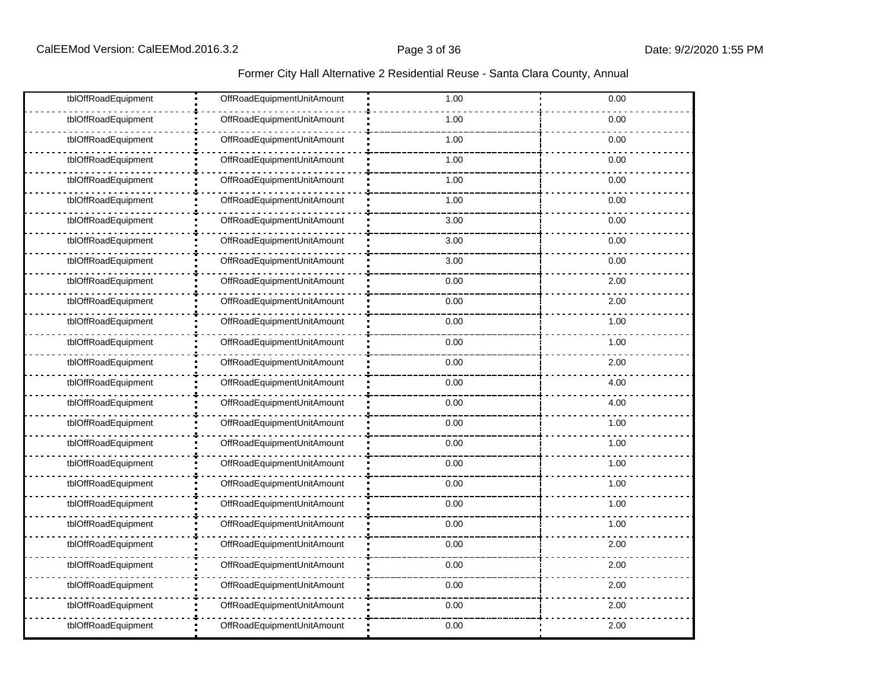#### Former City Hall Alternative 2 Residential Reuse - Santa Clara County, Annual

| tblOffRoadEquipment | OffRoadEquipmentUnitAmount | 1.00 | 0.00 |
|---------------------|----------------------------|------|------|
| tblOffRoadEquipment | OffRoadEquipmentUnitAmount | 1.00 | 0.00 |
| tblOffRoadEquipment | OffRoadEquipmentUnitAmount | 1.00 | 0.00 |
| tblOffRoadEquipment | OffRoadEquipmentUnitAmount | 1.00 | 0.00 |
| tblOffRoadEquipment | OffRoadEquipmentUnitAmount | 1.00 | 0.00 |
| tblOffRoadEquipment | OffRoadEquipmentUnitAmount | 1.00 | 0.00 |
| tblOffRoadEquipment | OffRoadEquipmentUnitAmount | 3.00 | 0.00 |
| tblOffRoadEquipment | OffRoadEquipmentUnitAmount | 3.00 | 0.00 |
| tblOffRoadEquipment | OffRoadEquipmentUnitAmount | 3.00 | 0.00 |
| tblOffRoadEquipment | OffRoadEquipmentUnitAmount | 0.00 | 2.00 |
| tblOffRoadEquipment | OffRoadEquipmentUnitAmount | 0.00 | 2.00 |
| tblOffRoadEquipment | OffRoadEquipmentUnitAmount | 0.00 | 1.00 |
| tblOffRoadEquipment | OffRoadEquipmentUnitAmount | 0.00 | 1.00 |
| tblOffRoadEquipment | OffRoadEquipmentUnitAmount | 0.00 | 2.00 |
| tblOffRoadEquipment | OffRoadEquipmentUnitAmount | 0.00 | 4.00 |
| tblOffRoadEquipment | OffRoadEquipmentUnitAmount | 0.00 | 4.00 |
| tblOffRoadEquipment | OffRoadEquipmentUnitAmount | 0.00 | 1.00 |
| tblOffRoadEquipment | OffRoadEquipmentUnitAmount | 0.00 | 1.00 |
| tblOffRoadEquipment | OffRoadEquipmentUnitAmount | 0.00 | 1.00 |
| tblOffRoadEquipment | OffRoadEquipmentUnitAmount | 0.00 | 1.00 |
| tblOffRoadEquipment | OffRoadEquipmentUnitAmount | 0.00 | 1.00 |
| tblOffRoadEquipment | OffRoadEquipmentUnitAmount | 0.00 | 1.00 |
| tblOffRoadEquipment | OffRoadEquipmentUnitAmount | 0.00 | 2.00 |
| tblOffRoadEquipment | OffRoadEquipmentUnitAmount | 0.00 | 2.00 |
| tblOffRoadEquipment | OffRoadEquipmentUnitAmount | 0.00 | 2.00 |
| tblOffRoadEquipment | OffRoadEquipmentUnitAmount | 0.00 | 2.00 |
| tblOffRoadEquipment | OffRoadEquipmentUnitAmount | 0.00 | 2.00 |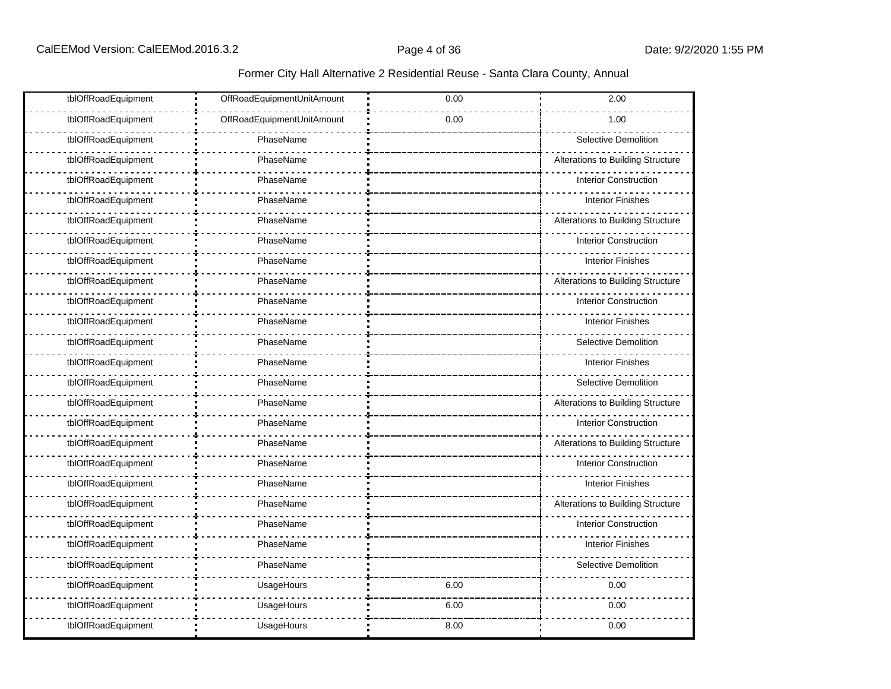| tblOffRoadEquipment | OffRoadEquipmentUnitAmount | 0.00 | 2.00                              |
|---------------------|----------------------------|------|-----------------------------------|
| tblOffRoadEquipment | OffRoadEquipmentUnitAmount | 0.00 | 1.00                              |
| tblOffRoadEquipment | PhaseName                  |      | Selective Demolition              |
| tblOffRoadEquipment | PhaseName                  |      | Alterations to Building Structure |
| tblOffRoadEquipment | PhaseName                  |      | <b>Interior Construction</b>      |
| tblOffRoadEquipment | PhaseName                  |      | <b>Interior Finishes</b>          |
| tblOffRoadEquipment | PhaseName                  |      | Alterations to Building Structure |
| tblOffRoadEquipment | PhaseName                  |      | <b>Interior Construction</b>      |
| tblOffRoadEquipment | PhaseName                  |      | <b>Interior Finishes</b>          |
| tblOffRoadEquipment | PhaseName                  |      | Alterations to Building Structure |
| tblOffRoadEquipment | PhaseName                  |      | <b>Interior Construction</b>      |
| tblOffRoadEquipment | PhaseName                  |      | <b>Interior Finishes</b>          |
| tblOffRoadEquipment | PhaseName                  |      | Selective Demolition              |
| tblOffRoadEquipment | PhaseName                  |      | <b>Interior Finishes</b>          |
| tblOffRoadEquipment | PhaseName                  |      | Selective Demolition              |
| tblOffRoadEquipment | PhaseName                  |      | Alterations to Building Structure |
| tblOffRoadEquipment | PhaseName                  |      | <b>Interior Construction</b>      |
| tblOffRoadEquipment | PhaseName                  |      | Alterations to Building Structure |
| tblOffRoadEquipment | PhaseName                  |      | <b>Interior Construction</b>      |
| tblOffRoadEquipment | PhaseName                  |      | <b>Interior Finishes</b>          |
| tblOffRoadEquipment | PhaseName                  |      | Alterations to Building Structure |
| tblOffRoadEquipment | PhaseName                  |      | <b>Interior Construction</b>      |
| tblOffRoadEquipment | PhaseName                  |      | <b>Interior Finishes</b>          |
| tblOffRoadEquipment | PhaseName                  |      | <b>Selective Demolition</b>       |
| tblOffRoadEquipment | UsageHours                 | 6.00 | 0.00                              |
| tblOffRoadEquipment | UsageHours                 | 6.00 | 0.00                              |
| tblOffRoadEquipment | UsageHours                 | 8.00 | 0.00                              |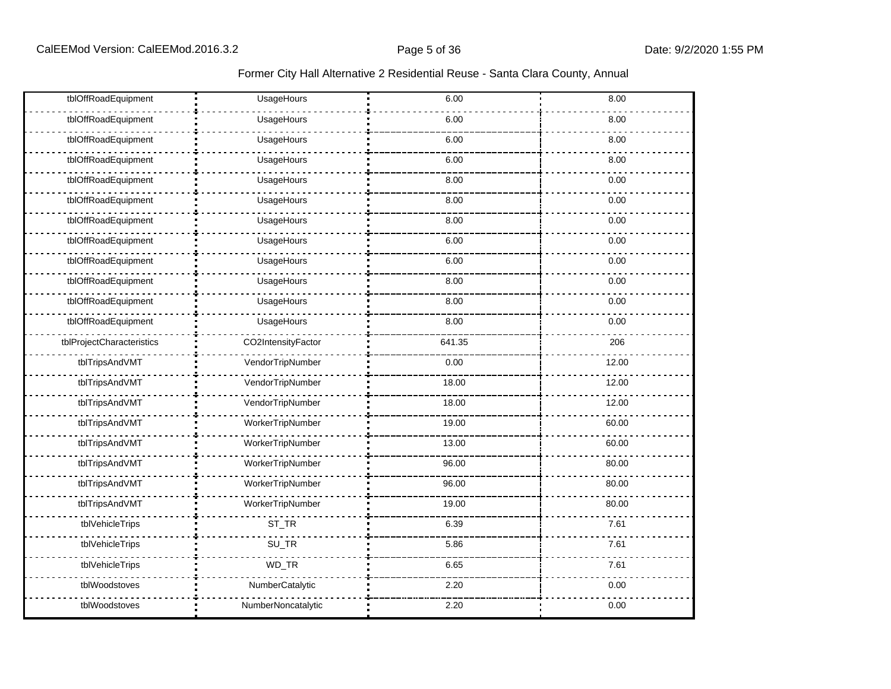| tblOffRoadEquipment       | UsageHours         | 6.00   | 8.00  |
|---------------------------|--------------------|--------|-------|
| tblOffRoadEquipment       | UsageHours         | 6.00   | 8.00  |
| tblOffRoadEquipment       | UsageHours         | 6.00   | 8.00  |
| tblOffRoadEquipment       | UsageHours         | 6.00   | 8.00  |
| tblOffRoadEquipment       | UsageHours         | 8.00   | 0.00  |
| tblOffRoadEquipment       | UsageHours         | 8.00   | 0.00  |
| tblOffRoadEquipment       | UsageHours         | 8.00   | 0.00  |
| tblOffRoadEquipment       | UsageHours         | 6.00   | 0.00  |
| tblOffRoadEquipment       | UsageHours         | 6.00   | 0.00  |
| tblOffRoadEquipment       | UsageHours         | 8.00   | 0.00  |
| tblOffRoadEquipment       | UsageHours         | 8.00   | 0.00  |
| tblOffRoadEquipment       | UsageHours         | 8.00   | 0.00  |
| tblProjectCharacteristics | CO2IntensityFactor | 641.35 | 206   |
| tblTripsAndVMT            | VendorTripNumber   | 0.00   | 12.00 |
| tblTripsAndVMT            | VendorTripNumber   | 18.00  | 12.00 |
| tblTripsAndVMT            | VendorTripNumber   | 18.00  | 12.00 |
| tblTripsAndVMT            | WorkerTripNumber   | 19.00  | 60.00 |
| tblTripsAndVMT            | WorkerTripNumber   | 13.00  | 60.00 |
| tblTripsAndVMT            | WorkerTripNumber   | 96.00  | 80.00 |
| tblTripsAndVMT            | WorkerTripNumber   | 96.00  | 80.00 |
| tblTripsAndVMT            | WorkerTripNumber   | 19.00  | 80.00 |
| tblVehicleTrips           | ST_TR              | 6.39   | 7.61  |
| tblVehicleTrips           | SU_TR              | 5.86   | 7.61  |
| tblVehicleTrips           | WD_TR              | 6.65   | 7.61  |
| tblWoodstoves             | NumberCatalytic    | 2.20   | 0.00  |
| tblWoodstoves             | NumberNoncatalytic | 2.20   | 0.00  |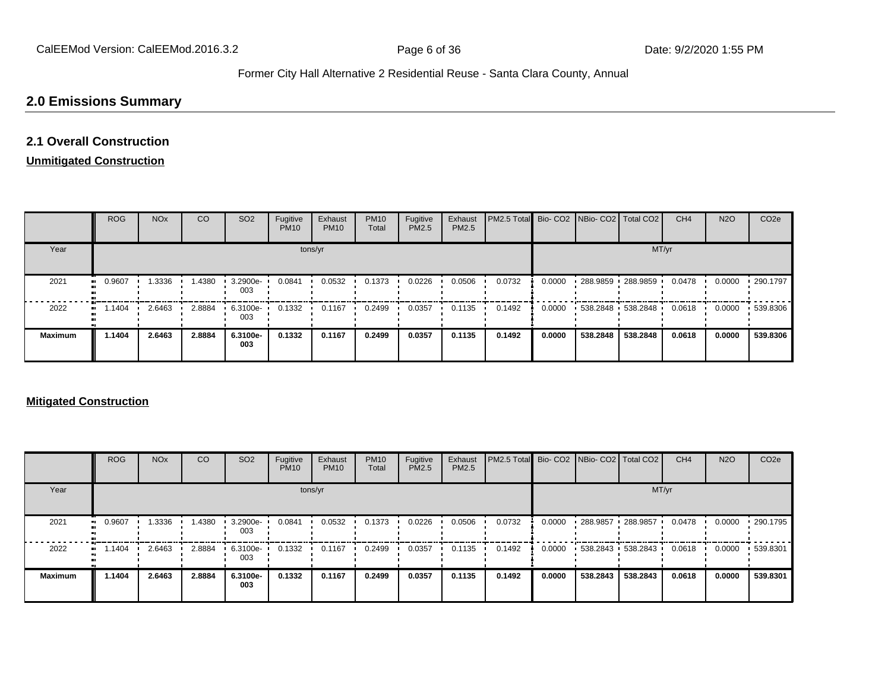# **2.0 Emissions Summary**

# **2.1 Overall Construction**

# **Unmitigated Construction**

|                      | <b>ROG</b> | <b>NO<sub>x</sub></b> | CO     | SO <sub>2</sub> | Fugitive<br><b>PM10</b> | Exhaust<br><b>PM10</b> | <b>PM10</b><br>Total | Fugitive<br><b>PM2.5</b> | Exhaust<br>PM2.5 | PM2.5 Total Bio- CO2 NBio- CO2 Total CO2 |        |                   |          | CH <sub>4</sub> | <b>N2O</b> | CO <sub>2e</sub> |
|----------------------|------------|-----------------------|--------|-----------------|-------------------------|------------------------|----------------------|--------------------------|------------------|------------------------------------------|--------|-------------------|----------|-----------------|------------|------------------|
| Year                 |            |                       |        |                 |                         | tons/yr                |                      |                          |                  |                                          |        |                   | MT/yr    |                 |            |                  |
| 2021<br>$\mathbf{u}$ | 0.9607     | 1.3336                | 1.4380 | 3.2900e-<br>003 | 0.0841                  | 0.0532                 | 0.1373               | 0.0226                   | 0.0506           | 0.0732                                   | 0.0000 | 288.9859 288.9859 |          | 0.0478          | 0.0000     | 290.1797         |
| 2022<br>$\bullet$    | 1.1404     | 2.6463                | 2.8884 | 6.3100e-<br>003 | 0.1332                  | 0.1167                 | 0.2499               | 0.0357                   | 0.1135           | 0.1492                                   | 0.0000 | 538.2848 538.2848 |          | 0.0618          | 0.0000     | 539.8306         |
| <b>Maximum</b>       | 1.1404     | 2.6463                | 2.8884 | 6.3100e-<br>003 | 0.1332                  | 0.1167                 | 0.2499               | 0.0357                   | 0.1135           | 0.1492                                   | 0.0000 | 538,2848          | 538.2848 | 0.0618          | 0.0000     | 539.8306         |

#### **Mitigated Construction**

|                | <b>ROG</b> | <b>NO<sub>x</sub></b> | CO     | SO <sub>2</sub> | Fugitive<br><b>PM10</b> | Exhaust<br><b>PM10</b> | <b>PM10</b><br>Total | Fugitive<br><b>PM2.5</b> | Exhaust<br><b>PM2.5</b> | PM2.5 Total Bio- CO2 NBio- CO2 Total CO2 |        |                   |          | CH <sub>4</sub> | <b>N2O</b> | CO <sub>2e</sub> |
|----------------|------------|-----------------------|--------|-----------------|-------------------------|------------------------|----------------------|--------------------------|-------------------------|------------------------------------------|--------|-------------------|----------|-----------------|------------|------------------|
| Year           |            |                       |        |                 |                         | tons/yr                |                      |                          |                         |                                          |        |                   | MT/yr    |                 |            |                  |
| 2021           | 0.9607     | .3336                 | .4380  | 3.2900e-<br>003 | 0.0841                  | 0.0532                 | 0.1373               | 0.0226                   | 0.0506                  | 0.0732                                   | 0.0000 | 288.9857          | 288.9857 | 0.0478          | 0.0000     | $\cdot$ 290.1795 |
| 2022           | .1404      | 2.6463                | 2.8884 | 6.3100e-<br>003 | 0.1332                  | 0.1167                 | 0.2499               | 0.0357                   | 0.1135                  | 0.1492                                   | 0.0000 | 538.2843 538.2843 |          | 0.0618          | 0.0000     | 539.8301         |
| <b>Maximum</b> | 1.1404     | 2.6463                | 2.8884 | 6.3100e-<br>003 | 0.1332                  | 0.1167                 | 0.2499               | 0.0357                   | 0.1135                  | 0.1492                                   | 0.0000 | 538.2843          | 538.2843 | 0.0618          | 0.0000     | 539.8301         |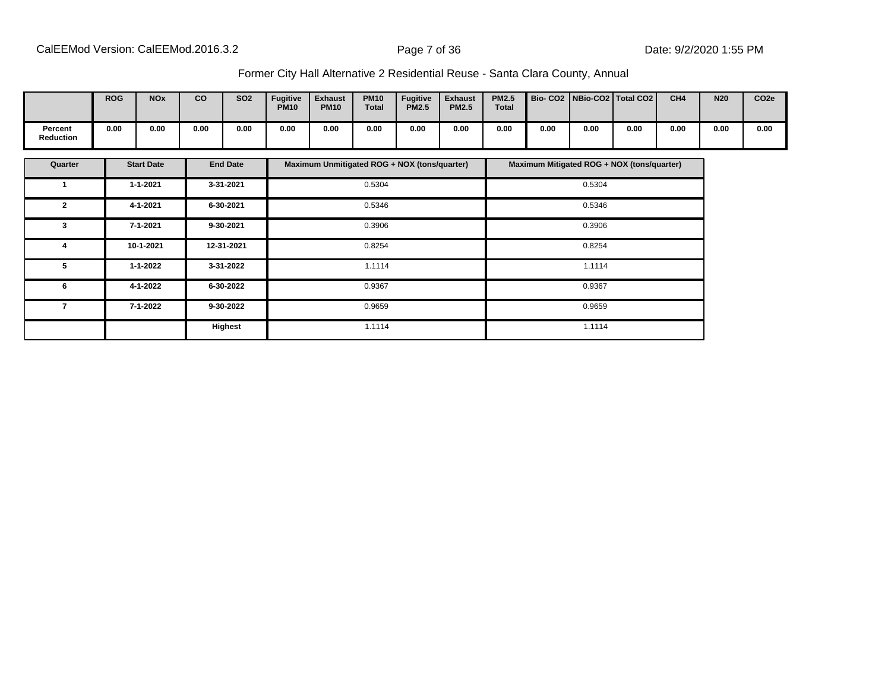|                             | <b>ROG</b> | <b>NO<sub>x</sub></b> | CO   | <b>SO2</b> | <b>Fugitive</b><br><b>PM10</b> | <b>Exhaust</b><br><b>PM10</b> | <b>PM10</b><br><b>Total</b> | <b>Fugitive</b><br><b>PM2.5</b> | <b>Exhaust</b><br><b>PM2.5</b> | <b>PM2.5</b><br><b>Total</b> |      |      | Bio- CO2   NBio-CO2   Total CO2 | CH <sub>4</sub> | <b>N20</b> | CO <sub>2e</sub> |
|-----------------------------|------------|-----------------------|------|------------|--------------------------------|-------------------------------|-----------------------------|---------------------------------|--------------------------------|------------------------------|------|------|---------------------------------|-----------------|------------|------------------|
| Percent<br><b>Reduction</b> | 0.00       | 0.00                  | 0.00 | 0.00       | 0.00                           | 0.00                          | 0.00                        | 0.00                            | 0.00                           | 0.00                         | 0.00 | 0.00 | 0.00                            | 0.00            | 0.00       | 0.00             |

| Quarter                  | <b>Start Date</b> | <b>End Date</b> | Maximum Unmitigated ROG + NOX (tons/quarter) | Maximum Mitigated ROG + NOX (tons/quarter) |
|--------------------------|-------------------|-----------------|----------------------------------------------|--------------------------------------------|
|                          | $1 - 1 - 2021$    | 3-31-2021       | 0.5304                                       | 0.5304                                     |
| $\mathbf{2}$             | 4-1-2021          | 6-30-2021       | 0.5346                                       | 0.5346                                     |
| 3                        | 7-1-2021          | 9-30-2021       | 0.3906                                       | 0.3906                                     |
| 4                        | 10-1-2021         | 12-31-2021      | 0.8254                                       | 0.8254                                     |
| 5                        | 1-1-2022          | 3-31-2022       | 1.1114                                       | 1.1114                                     |
| 6                        | 4-1-2022          | 6-30-2022       | 0.9367                                       | 0.9367                                     |
| $\overline{\phantom{a}}$ | 7-1-2022          | 9-30-2022       | 0.9659                                       | 0.9659                                     |
|                          |                   | <b>Highest</b>  | 1.1114                                       | 1.1114                                     |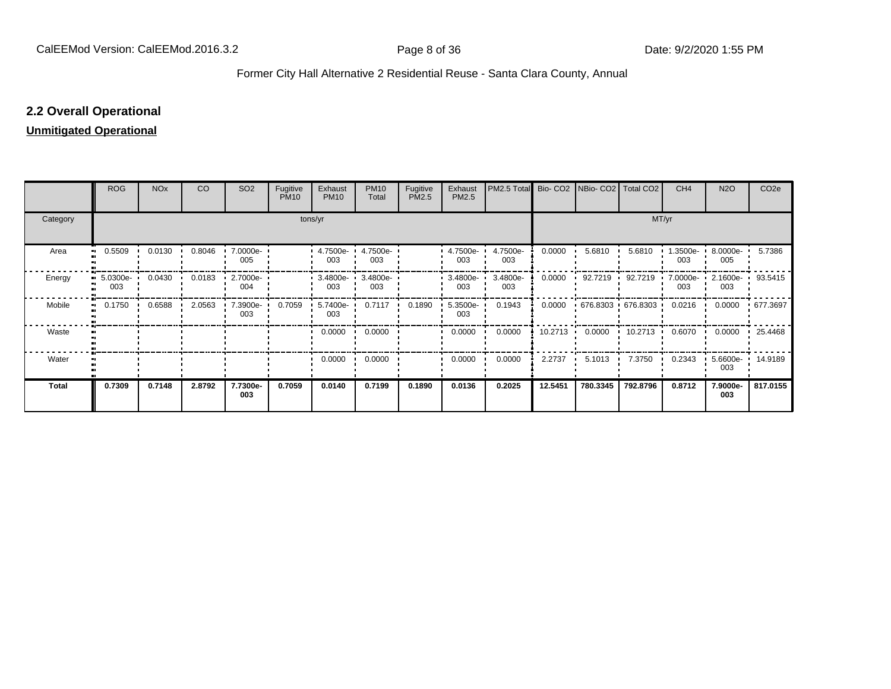## **2.2 Overall Operational**

# **Unmitigated Operational**

|          | <b>ROG</b>               | <b>NO<sub>x</sub></b> | CO     | SO <sub>2</sub> | Fugitive<br><b>PM10</b> | Exhaust<br><b>PM10</b> | <b>PM10</b><br>Total | Fugitive<br>PM2.5 | Exhaust<br>PM2.5   | PM2.5 Total     |                   | Bio- CO2   NBio- CO2   Total CO2 |                   | CH <sub>4</sub> | N <sub>2</sub> O   | CO <sub>2e</sub> |
|----------|--------------------------|-----------------------|--------|-----------------|-------------------------|------------------------|----------------------|-------------------|--------------------|-----------------|-------------------|----------------------------------|-------------------|-----------------|--------------------|------------------|
| Category |                          |                       |        |                 |                         | tons/yr                |                      |                   |                    |                 |                   |                                  | MT/yr             |                 |                    |                  |
| Area     | 0.5509<br>.,             | 0.0130                | 0.8046 | 7.0000e-<br>005 |                         | 4.7500e-<br>003        | 4.7500e-<br>003      |                   | 4.7500e-<br>003    | 4.7500e-<br>003 | 0.0000            | 5.6810                           | 5.6810            | .3500e-<br>003  | 8.0000e-<br>005    | 5.7386           |
| Energy   | $5.0300e - 1$<br><br>003 | 0.0430                | 0.0183 | 2.7000e-<br>004 |                         | $3.4800e -$<br>003     | 3.4800e-<br>003      |                   | $3.4800e -$<br>003 | 3.4800e-<br>003 | 0.0000            | 92.7219                          | 92.7219           | 7.0000e-<br>003 | $2.1600e -$<br>003 | 93.5415          |
| Mobile   | 0.1750<br>               | 0.6588                | 2.0563 | 7.3900e-<br>003 | 0.7059                  | 5.7400e-<br>003        | 0.7117               | 0.1890            | $5.3500e -$<br>003 | 0.1943          | 0.0000            |                                  | 676.8303 676.8303 | 0.0216          | 0.0000             | • 677.3697       |
| Waste    |                          |                       |        |                 |                         | 0.0000                 | 0.0000               |                   | 0.0000             | 0.0000          | $10.2713$ $\cdot$ | 0.0000                           | 10.2713           | 0.6070          | 0.0000             | 25.4468          |
| Water    |                          |                       |        |                 |                         | 0.0000                 | 0.0000               |                   | 0.0000             | 0.0000          | 2.2737            | 5.1013                           | 7.3750            | 0.2343          | 5.6600e-<br>003    | 14.9189          |
| Total    | 0.7309                   | 0.7148                | 2.8792 | 7.7300e-<br>003 | 0.7059                  | 0.0140                 | 0.7199               | 0.1890            | 0.0136             | 0.2025          | 12.5451           | 780.3345                         | 792.8796          | 0.8712          | 7.9000e-<br>003    | 817.0155         |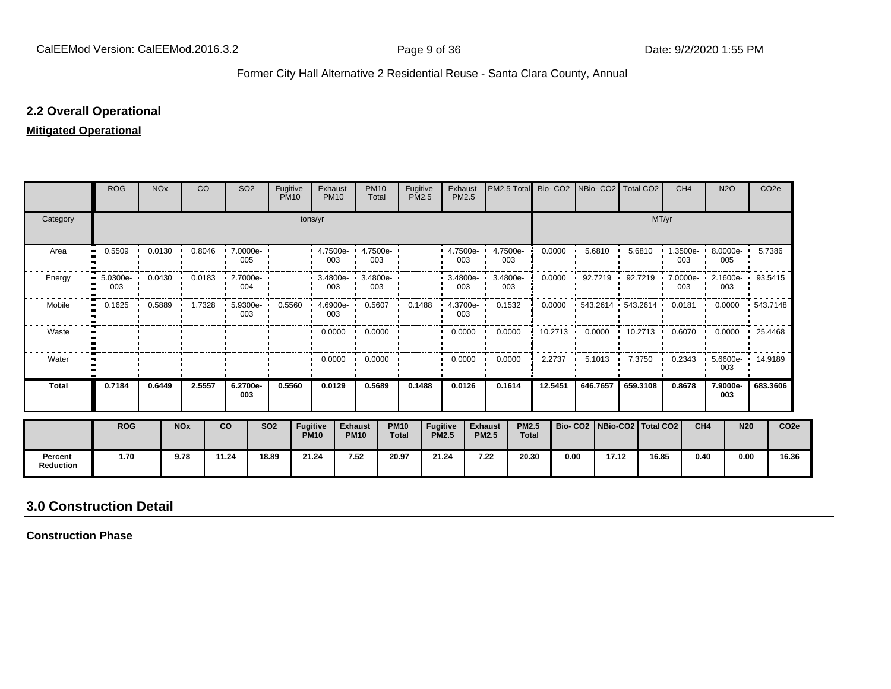### **2.2 Overall Operational**

#### **Mitigated Operational**

|                             | <b>ROG</b>           | <b>NO<sub>x</sub></b> |            | CO     | SO <sub>2</sub>    | Fugitive<br><b>PM10</b> |                                | Exhaust<br><b>PM10</b> | <b>PM10</b><br>Total                                 | Fugitive<br><b>PM2.5</b>    |                                 | Exhaust<br><b>PM2.5</b> | PM2.5 Total                    |                              | Bio- CO2 NBio- CO2 Total CO2 |      |                         |           |                                 | CH <sub>4</sub>   | <b>N2O</b>          |             | CO <sub>2e</sub>                             |                  |
|-----------------------------|----------------------|-----------------------|------------|--------|--------------------|-------------------------|--------------------------------|------------------------|------------------------------------------------------|-----------------------------|---------------------------------|-------------------------|--------------------------------|------------------------------|------------------------------|------|-------------------------|-----------|---------------------------------|-------------------|---------------------|-------------|----------------------------------------------|------------------|
| Category                    |                      |                       |            |        |                    |                         | tons/yr                        |                        |                                                      |                             |                                 |                         |                                |                              |                              |      |                         |           | MT/yr                           |                   |                     |             |                                              |                  |
| Area                        | 0.5509               | 0.0130                |            | 0.8046 | $.70000e -$<br>005 |                         |                                | 003                    | $\cdot$ 4.7500e- $\cdot$ 4.7500e- $\cdot$<br>003     |                             |                                 | $4.7500e -$<br>003      | 4.7500e-<br>003                |                              | 0.0000                       |      | 5.6810                  | 5.6810    | -                               | $1.3500e-$<br>003 | 005                 | $8.0000e -$ | 5.7386                                       |                  |
| Energy                      | $5.0300e - 1$<br>003 | 0.0430                |            | 0.0183 | 2.7000e-<br>004    |                         |                                | $003$ :                | $\cdot$ 3.4800e- $\cdot$ 3.4800e- $\cdot$<br>003     |                             |                                 | $-3.4800e -$<br>003     | 3.4800e-<br>003                |                              | 0.0000                       |      | $\cdot$ 92.7219 $\cdot$ | 92.7219 . |                                 | 003               | 003                 |             | 7.0000e- 2.1600e 93.5415                     |                  |
| Mobile                      | $0.1625$ $\cdot$     |                       |            |        | 003                |                         |                                | 003                    | 0.5889 1.7328 5.9300e- 0.5560 4.6900e- 0.5607 0.1488 |                             |                                 | 4.3700e<br>003          | 0.1532                         |                              | 0.0000                       |      |                         |           |                                 |                   |                     |             | 543.2614 543.2614 0.0181 0.0000 543.7148     |                  |
| Waste                       |                      |                       |            |        |                    |                         |                                |                        | $0.0000 \cdot 0.0000$                                |                             |                                 | $0.0000$ $\blacksquare$ | 0.0000                         |                              |                              |      |                         |           |                                 |                   |                     |             | 10.2713 0.0000 10.2713 0.6070 0.0000 25.4468 |                  |
| Water                       |                      |                       |            |        |                    |                         |                                | $0.0000$ $\cdot$       | 0.0000                                               |                             | $\blacksquare$                  | 0.0000                  | 0.0000                         |                              | 2.2737                       |      | 5.1013                  | 7.3750    | . .                             | 0.2343            | $\mathbf{r}$<br>003 |             | 5.6600e- 14.9189                             |                  |
| <b>Total</b>                | 0.7184               | 0.6449                |            | 2.5557 | 6.2700e-<br>003    | 0.5560                  |                                | 0.0129                 | 0.5689                                               | 0.1488                      |                                 | 0.0126                  | 0.1614                         |                              | 12.5451                      |      | 646.7657                | 659.3108  |                                 | 0.8678            | 7.9000e-<br>003     |             | 683.3606                                     |                  |
|                             | <b>ROG</b>           |                       | <b>NOx</b> |        | <b>CO</b>          | <b>SO2</b>              | <b>Fugitive</b><br><b>PM10</b> |                        | <b>Exhaust</b><br><b>PM10</b>                        | <b>PM10</b><br><b>Total</b> | <b>Fugitive</b><br><b>PM2.5</b> |                         | <b>Exhaust</b><br><b>PM2.5</b> | <b>PM2.5</b><br><b>Total</b> |                              |      |                         |           | Bio- CO2   NBio-CO2   Total CO2 | CH <sub>4</sub>   |                     | <b>N20</b>  |                                              | CO <sub>2e</sub> |
| Percent<br><b>Reduction</b> | 1.70                 |                       | 9.78       |        | 11.24              | 18.89                   |                                | 21.24                  | 7.52                                                 | 20.97                       | 21.24                           |                         | 7.22                           | 20.30                        |                              | 0.00 | 17.12                   |           | 16.85                           | 0.40              |                     | 0.00        |                                              | 16.36            |

# **3.0 Construction Detail**

**Construction Phase**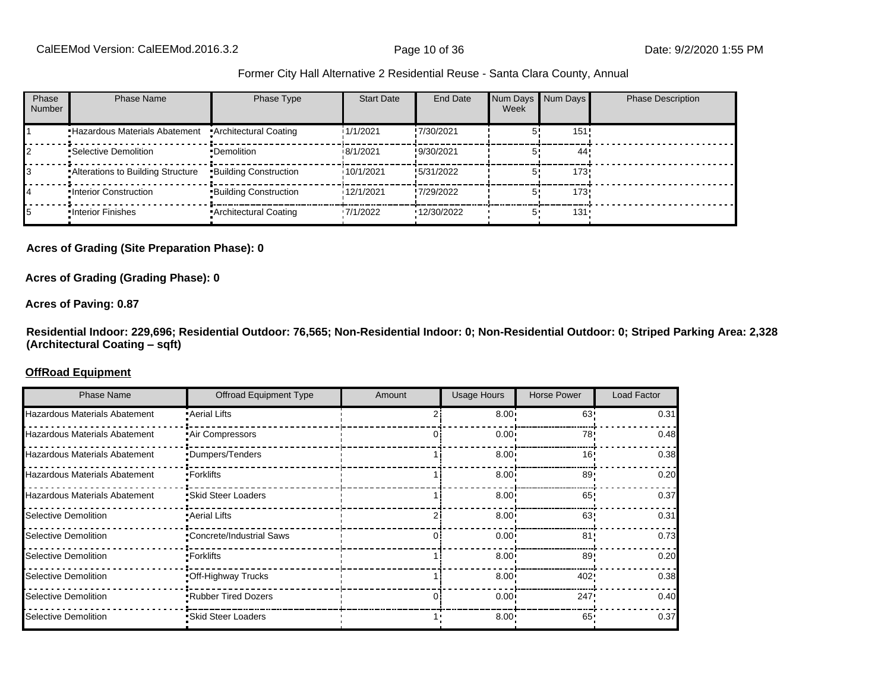| Phase<br><b>Number</b> | Phase Name                           | Phase Type                   | <b>Start Date</b> | End Date    | Num Days Num Days<br>Week |         | <b>Phase Description</b> |
|------------------------|--------------------------------------|------------------------------|-------------------|-------------|---------------------------|---------|--------------------------|
|                        | <b>Hazardous Materials Abatement</b> | • Architectural Coating      | 1/1/2021          | !7/30/2021  |                           | 151!    |                          |
|                        | •Selective Demolition                | •Demolition                  | 18/1/2021         | !9/30/2021  |                           | 44      |                          |
|                        | Alterations to Building Structure    | <b>Building Construction</b> | 10/1/2021         | !5/31/2022  |                           | 173     |                          |
|                        | . Interior Construction              | <b>Building Construction</b> | 12/1/2021         | !7/29/2022  |                           | 173     |                          |
|                        | . Interior Finishes                  | • Architectural Coating      | '7/1/2022         | '12/30/2022 |                           | $131 -$ |                          |

#### **Acres of Grading (Site Preparation Phase): 0**

#### **Acres of Grading (Grading Phase): 0**

#### **Acres of Paving: 0.87**

**Residential Indoor: 229,696; Residential Outdoor: 76,565; Non-Residential Indoor: 0; Non-Residential Outdoor: 0; Striped Parking Area: 2,328 (Architectural Coating ±sqft)**

#### **OffRoad Equipment**

| <b>Phase Name</b>             | <b>Offroad Equipment Type</b> | Amount | <b>Usage Hours</b> | <b>Horse Power</b> | Load Factor |
|-------------------------------|-------------------------------|--------|--------------------|--------------------|-------------|
| Hazardous Materials Abatement | • Aerial Lifts                |        | 8.00 <sup>1</sup>  | 63                 | 0.31        |
| Hazardous Materials Abatement | •Air Compressors              |        | $0.00 \cdot$       | 78                 | 0.48        |
| Hazardous Materials Abatement | •Dumpers/Tenders              |        | $8.00 \cdot$       | 16'                | 0.38        |
| Hazardous Materials Abatement | •Forklifts                    |        | $8.00 -$           | 89                 | 0.20        |
| Hazardous Materials Abatement | •Skid Steer Loaders           |        | 8.00 <sub>1</sub>  | 65                 | 0.37        |
| Selective Demolition          | • Aerial Lifts                |        | $8.00 \cdot$       | 63                 | 0.31        |
| Selective Demolition          | •Concrete/Industrial Saws     |        | 0.00               | 81 <sup>1</sup>    | 0.73        |
| Selective Demolition          | •Forklifts                    |        | $8.00 -$           | 89                 | 0.20        |
| Selective Demolition          | .Off-Highway Trucks           |        | 8.00 <sub>1</sub>  | 402                | 0.38        |
| Selective Demolition          | .Rubber Tired Dozers          |        | 0.00 <sub>1</sub>  | 247                | 0.40        |
| Selective Demolition          | •Skid Steer Loaders           |        | $8.00 \cdot$       | 65'                | 0.37        |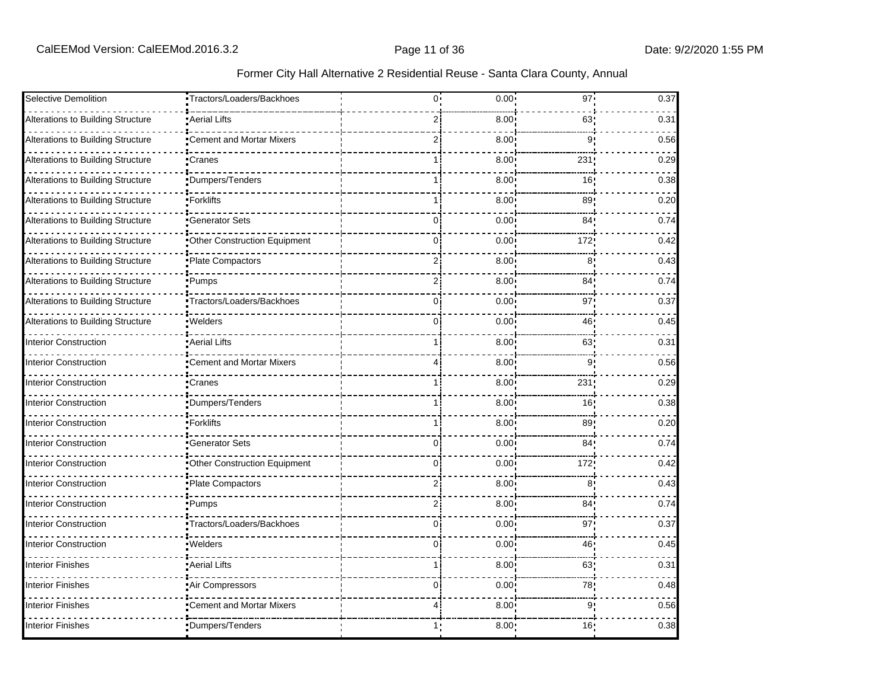| Selective Demolition              | Tractors/Loaders/Backhoes           | 0.  | 0.00 | 97              | 0.37 |
|-----------------------------------|-------------------------------------|-----|------|-----------------|------|
| Alterations to Building Structure | Aerial Lifts                        | 2   | 8.00 | 63              | 0.31 |
| Alterations to Building Structure | Cement and Mortar Mixers            | 2   | 8.00 | 9               | 0.56 |
| Alterations to Building Structure | •Cranes                             | 1 i | 8.00 | 231             | 0.29 |
| Alterations to Building Structure | Dumpers/Tenders                     |     | 8.00 | 16 <sub>1</sub> | 0.38 |
| Alterations to Building Structure | -Forklifts                          |     | 8.00 | 89 <sub>1</sub> | 0.20 |
| Alterations to Building Structure | Generator Sets                      | 0   | 0.00 | 84 <sub>1</sub> | 0.74 |
| Alterations to Building Structure | <b>Other Construction Equipment</b> | 0:  | 0.00 | 172             | 0.42 |
| Alterations to Building Structure | Plate Compactors                    | ا 2 | 8.00 | 8 <sup>1</sup>  | 0.43 |
| Alterations to Building Structure | •Pumps                              | 2   | 8.00 | 84 <sub>1</sub> | 0.74 |
| Alterations to Building Structure | Tractors/Loaders/Backhoes           | 0   | 0.00 | 97              | 0.37 |
| Alterations to Building Structure | Welders                             | 0   | 0.00 | 46              | 0.45 |
| <b>Interior Construction</b>      | <b>Aerial Lifts</b>                 |     | 8.00 | 63              | 0.31 |
| <b>Interior Construction</b>      | Cement and Mortar Mixers            |     | 8.00 | 9 <sup>1</sup>  | 0.56 |
| <b>Interior Construction</b>      | 'Cranes                             |     | 8.00 | 231             | 0.29 |
| Interior Construction             | Dumpers/Tenders                     | 1 i | 8.00 | 16              | 0.38 |
| Interior Construction             | <b>Forklifts</b>                    | 1   | 8.00 | 89              | 0.20 |
| <b>Interior Construction</b>      | <b>Generator Sets</b>               | 0.  | 0.00 | 84 <sub>1</sub> | 0.74 |
| <b>Interior Construction</b>      | Other Construction Equipment        | 0   | 0.00 | 172             | 0.42 |
| <b>Interior Construction</b>      | Plate Compactors                    | 2   | 8.00 | 8               | 0.43 |
| Interior Construction             | •Pumps                              | 2   | 8.00 | 84 <sub>1</sub> | 0.74 |
| <b>Interior Construction</b>      | Tractors/Loaders/Backhoes           | 0   | 0.00 | 97 <sub>1</sub> | 0.37 |
| Interior Construction             | Welders                             | O   | 0.00 | 46              | 0.45 |
| Interior Finishes                 | Aerial Lifts                        |     | 8.00 | 63              | 0.31 |
| Interior Finishes                 | Air Compressors                     | 0i  | 0.00 | 78              | 0.48 |
| Interior Finishes                 | <b>Cement and Mortar Mixers</b>     |     | 8.00 | 9'              | 0.56 |
| Interior Finishes                 | Dumpers/Tenders                     | 1:  | 8.00 | 16!             | 0.38 |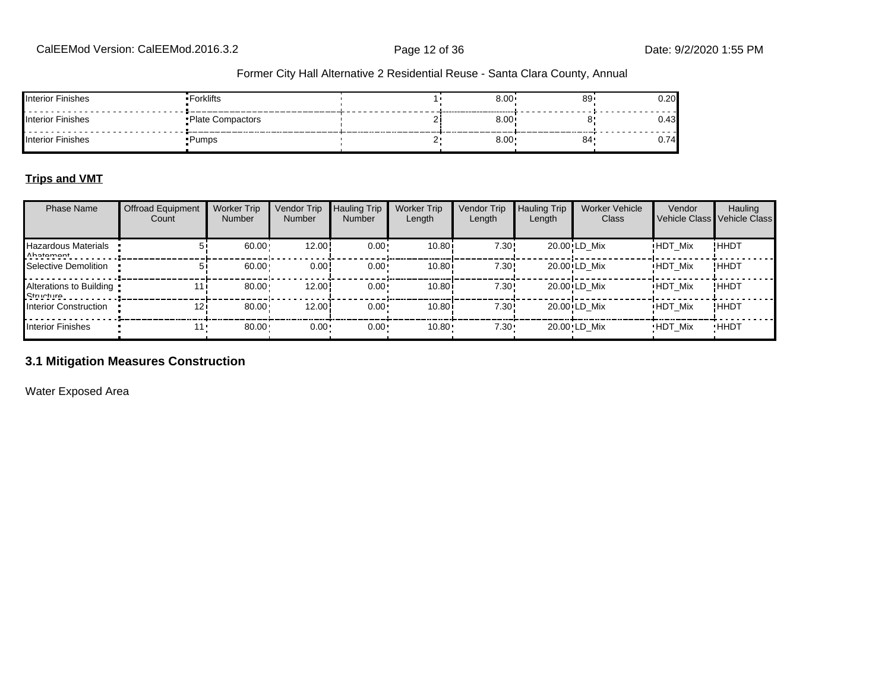| Interior Finishes        | Forklifts          | 8.00 | 89 | 0.20 |
|--------------------------|--------------------|------|----|------|
| <b>Interior Finishes</b> | • Plate Compactors | 8.00 |    |      |
| Interior Finishes        | •Pumps             | 8.00 | 84 |      |

#### **Trips and VMT**

| <b>Phase Name</b>                       | <b>Offroad Equipment</b><br>Count | <b>Worker Trip</b><br><b>Number</b> | Vendor Trip<br><b>Number</b> | <b>Hauling Trip</b><br><b>Number</b> | <b>Worker Trip</b><br>Length | Vendor Trip<br>Length | <b>Hauling Trip</b><br>Length | <b>Worker Vehicle</b><br>Class | Vendor         | Hauling<br>Vehicle Class Vehicle Class |
|-----------------------------------------|-----------------------------------|-------------------------------------|------------------------------|--------------------------------------|------------------------------|-----------------------|-------------------------------|--------------------------------|----------------|----------------------------------------|
| Hazardous Materials<br>Ahatamant        |                                   | 60.00                               | 12.00                        | $0.00 \cdot$                         | 10.80i                       | 7.30!                 |                               | 20.00 LD Mix                   | <b>HDT Mix</b> | !HHDT                                  |
| Selective Demolition                    |                                   | 60.00                               | 0.00!                        | $0.00 \cdot$                         | 10.80i                       | 7.30!                 |                               | 20.00 LD Mix                   | <b>HDT Mix</b> | !ННDТ                                  |
| Alterations to Building<br>$R$ fructuro |                                   | 80.00                               | 12.00                        | $0.00 \cdot$                         | 10.80i                       | 7.30!                 |                               | 20.00 LD Mix                   | <b>HDT Mix</b> | !ННDТ                                  |
| Interior Construction                   | 12 <sub>1</sub>                   | 80.00                               | 12.00                        | $0.00 \cdot$                         | 10.80i                       | 7.30!                 |                               | 20.00 LD Mix                   | <b>HDT Mix</b> | !ННDТ                                  |
| Interior Finishes                       | 11 '                              | 80.00                               | $0.00 -$                     | $0.00 \cdot$                         | 10.80                        | $7.30 \cdot$          |                               | 20.00 LD Mix                   | <b>HDT Mix</b> | <b>HHDT</b>                            |

# **3.1 Mitigation Measures Construction**

Water Exposed Area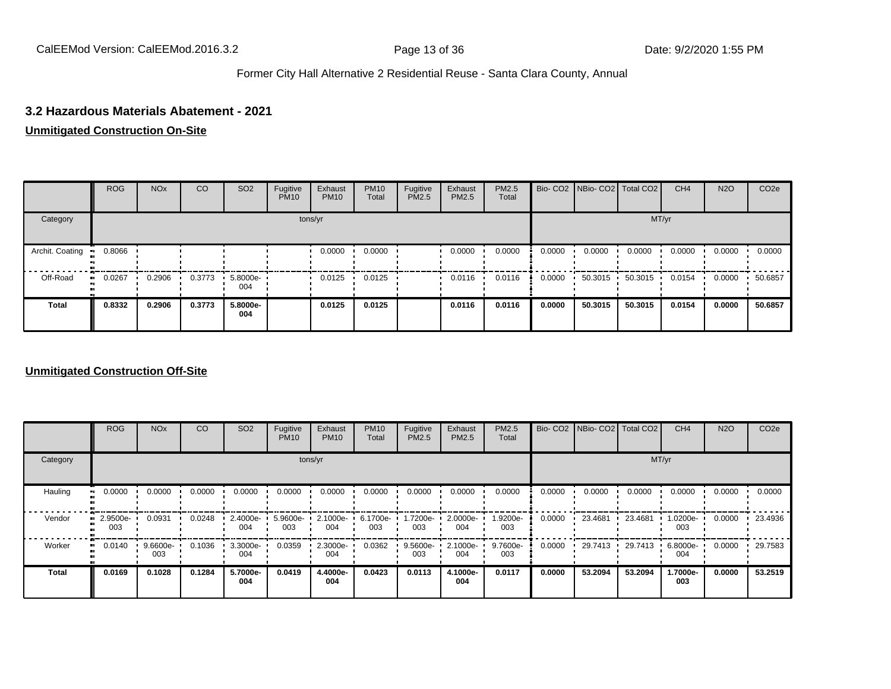#### **3.2 Hazardous Materials Abatement - 2021**

#### **Unmitigated Construction On-Site**

|                        | <b>ROG</b>    | <b>NO<sub>x</sub></b> | CO     | SO <sub>2</sub>    | Fugitive<br><b>PM10</b> | Exhaust<br><b>PM10</b> | <b>PM10</b><br>Total | Fugitive<br><b>PM2.5</b> | Exhaust<br>PM2.5 | PM2.5<br>Total |        | Bio- CO2   NBio- CO2   Total CO2 |         | CH <sub>4</sub> | <b>N2O</b> | CO <sub>2e</sub> |
|------------------------|---------------|-----------------------|--------|--------------------|-------------------------|------------------------|----------------------|--------------------------|------------------|----------------|--------|----------------------------------|---------|-----------------|------------|------------------|
| Category               |               |                       |        |                    | tons/yr                 |                        |                      |                          |                  |                |        |                                  | MT/yr   |                 |            |                  |
| Archit. Coating<br>-99 | 0.8066        |                       |        |                    |                         | 0.0000                 | 0.0000               |                          | 0.0000           | 0.0000         | 0.0000 | 0.0000                           | 0.0000  | 0.0000          | 0.0000     | 0.0000           |
| Off-Road               | 0.0267<br>. . | 0.2906                | 0.3773 | $5.8000e -$<br>004 |                         | 0.0125                 | 0.0125               |                          | 0.0116           | 0.0116         | 0.0000 | 50.3015                          | 50.3015 | 0.0154          | 0.0000     | 50.6857          |
| <b>Total</b>           | 0.8332        | 0.2906                | 0.3773 | 5.8000e-<br>004    |                         | 0.0125                 | 0.0125               |                          | 0.0116           | 0.0116         | 0.0000 | 50.3015                          | 50.3015 | 0.0154          | 0.0000     | 50.6857          |

#### **Unmitigated Construction Off-Site**

|                           | <b>ROG</b>      | <b>NO<sub>x</sub></b> | CO     | SO <sub>2</sub> | Fugitive<br><b>PM10</b> | Exhaust<br><b>PM10</b> | <b>PM10</b><br>Total | Fugitive<br><b>PM2.5</b> | Exhaust<br>PM2.5 | PM2.5<br>Total  |        | Bio- CO2   NBio- CO2   Total CO2 |         | CH <sub>4</sub> | <b>N2O</b> | CO <sub>2e</sub> |
|---------------------------|-----------------|-----------------------|--------|-----------------|-------------------------|------------------------|----------------------|--------------------------|------------------|-----------------|--------|----------------------------------|---------|-----------------|------------|------------------|
| Category                  |                 |                       |        |                 |                         | tons/yr                |                      |                          |                  |                 |        |                                  | MT/yr   |                 |            |                  |
| Hauling<br>$\blacksquare$ | 0.0000          | 0.0000                | 0.0000 | 0.0000          | 0.0000                  | 0.0000                 | 0.0000               | 0.0000                   | 0.0000           | 0.0000          | 0.0000 | 0.0000                           | 0.0000  | 0.0000          | 0.0000     | 0.0000           |
| Vendor<br>m               | 2.9500e-<br>003 | 0.0931                | 0.0248 | 2.4000e-<br>004 | 5.9600e-<br>003         | 2.1000e-<br>004        | 6.1700e-<br>003      | 1.7200e-<br>003          | 2.0000e-<br>004  | 1.9200e-<br>003 | 0.0000 | 23.4681                          | 23.4681 | 1.0200e-<br>003 | 0.0000     | 23.4936          |
| Worker<br>п.              | 0.0140          | 9.6600e-<br>003       | 0.1036 | 3.3000e-<br>004 | 0.0359                  | 2.3000e-<br>004        | 0.0362               | 9.5600e-<br>003          | 2.1000e-<br>004  | 9.7600e-<br>003 | 0.0000 | 29.7413                          | 29.7413 | 6.8000e-<br>004 | 0.0000     | 29.7583          |
| <b>Total</b>              | 0.0169          | 0.1028                | 0.1284 | 5.7000e-<br>004 | 0.0419                  | 4.4000e-<br>004        | 0.0423               | 0.0113                   | 4.1000e-<br>004  | 0.0117          | 0.0000 | 53.2094                          | 53.2094 | 1.7000e-<br>003 | 0.0000     | 53.2519          |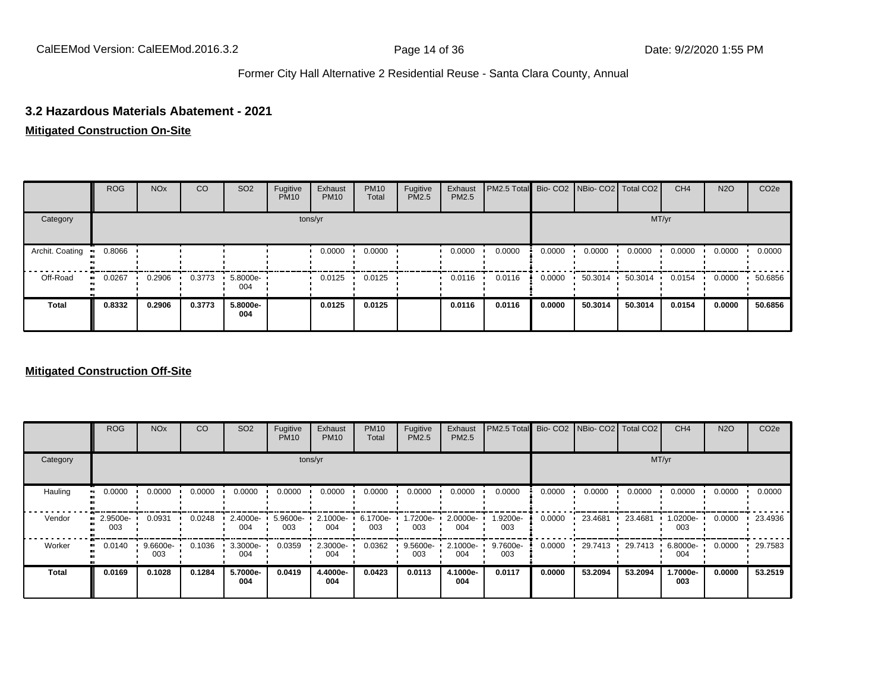#### **3.2 Hazardous Materials Abatement - 2021**

#### **Mitigated Construction On-Site**

|                        | <b>ROG</b>    | <b>NO<sub>x</sub></b> | CO     | SO <sub>2</sub>    | Fugitive<br><b>PM10</b> | Exhaust<br><b>PM10</b> | <b>PM10</b><br>Total | Fugitive<br><b>PM2.5</b> | Exhaust<br>PM2.5 | <b>PM2.5 Total</b> Bio- CO2 NBio- CO2   Total CO2 |        |         |         | CH <sub>4</sub> | <b>N2O</b> | CO <sub>2e</sub> |
|------------------------|---------------|-----------------------|--------|--------------------|-------------------------|------------------------|----------------------|--------------------------|------------------|---------------------------------------------------|--------|---------|---------|-----------------|------------|------------------|
| Category               |               |                       |        |                    |                         | tons/yr                |                      |                          |                  |                                                   |        |         | MT/yr   |                 |            |                  |
| Archit. Coating<br>-99 | 0.8066        |                       |        |                    |                         | 0.0000                 | 0.0000               |                          | 0.0000           | 0.0000                                            | 0.0000 | 0.0000  | 0.0000  | 0.0000          | 0.0000     | 0.0000           |
| Off-Road               | 0.0267<br>. . | 0.2906                | 0.3773 | $5.8000e -$<br>004 |                         | 0.0125                 | 0.0125               |                          | 0.0116           | 0.0116                                            | 0.0000 | 50.3014 | 50.3014 | 0.0154          | 0.0000     | 50.6856          |
| <b>Total</b>           | 0.8332        | 0.2906                | 0.3773 | 5.8000e-<br>004    |                         | 0.0125                 | 0.0125               |                          | 0.0116           | 0.0116                                            | 0.0000 | 50.3014 | 50.3014 | 0.0154          | 0.0000     | 50.6856          |

### **Mitigated Construction Off-Site**

|                           | <b>ROG</b>            | <b>NO<sub>x</sub></b> | CO     | SO <sub>2</sub> | Fugitive<br><b>PM10</b> | Exhaust<br><b>PM10</b> | <b>PM10</b><br>Total | Fugitive<br><b>PM2.5</b> | Exhaust<br>PM2.5 | PM2.5 Total Bio- CO2 NBio- CO2 Total CO2 |        |           |         | CH <sub>4</sub> | <b>N2O</b> | CO <sub>2e</sub> |
|---------------------------|-----------------------|-----------------------|--------|-----------------|-------------------------|------------------------|----------------------|--------------------------|------------------|------------------------------------------|--------|-----------|---------|-----------------|------------|------------------|
| Category                  |                       |                       |        |                 |                         | tons/yr                |                      |                          |                  |                                          |        |           | MT/yr   |                 |            |                  |
| Hauling<br>$\blacksquare$ | 0.0000                | 0.0000                | 0.0000 | 0.0000          | 0.0000                  | 0.0000                 | 0.0000               | 0.0000                   | 0.0000           | 0.0000                                   | 0.0000 | 0.0000    | 0.0000  | 0.0000          | 0.0000     | 0.0000           |
| Vendor                    | 2.9500e-<br>п.<br>003 | 0.0931                | 0.0248 | 2.4000e-<br>004 | 5.9600e-<br>003         | 2.1000e-<br>004        | 6.1700e-<br>003      | 1.7200e-<br>003          | 2.0000e-<br>004  | 1.9200e-<br>003                          | 0.0000 | 23.4681   | 23.4681 | 1.0200e-<br>003 | 0.0000     | 23.4936          |
| Worker<br>$\bullet$       | 0.0140                | $9.6600e-$<br>003     | 0.1036 | 3.3000e-<br>004 | 0.0359                  | 2.3000e-<br>004        | 0.0362               | 9.5600e-<br>003          | 2.1000e-<br>004  | 9.7600e-<br>003                          | 0.0000 | 29.7413 · | 29.7413 | 6.8000e-<br>004 | 0.0000     | 29.7583          |
| <b>Total</b>              | 0.0169                | 0.1028                | 0.1284 | 5.7000e-<br>004 | 0.0419                  | 4.4000e-<br>004        | 0.0423               | 0.0113                   | 4.1000e-<br>004  | 0.0117                                   | 0.0000 | 53.2094   | 53.2094 | 1.7000e-<br>003 | 0.0000     | 53.2519          |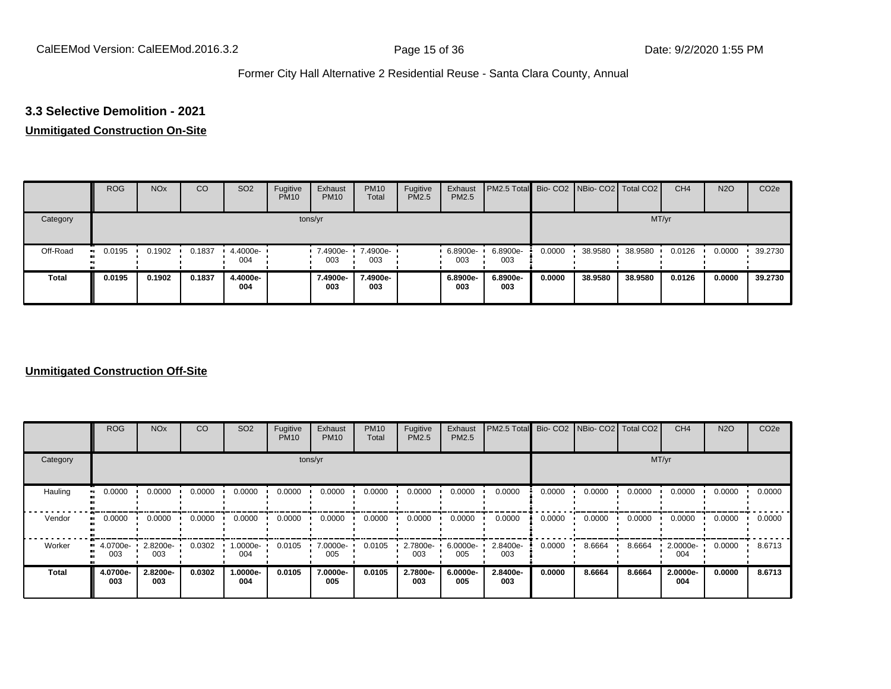### **3.3 Selective Demolition - 2021**

#### **Unmitigated Construction On-Site**

|          | <b>ROG</b> | <b>NO<sub>x</sub></b> | CO     | SO <sub>2</sub> | Fugitive<br><b>PM10</b> | Exhaust<br><b>PM10</b> | <b>PM10</b><br>Total | Fugitive<br><b>PM2.5</b> | Exhaust<br>PM2.5 | <b>PM2.5 Total</b> Bio- CO2 NBio- CO2 Total CO2 |        |         |         | CH <sub>4</sub> | <b>N2O</b> | CO <sub>2e</sub> |
|----------|------------|-----------------------|--------|-----------------|-------------------------|------------------------|----------------------|--------------------------|------------------|-------------------------------------------------|--------|---------|---------|-----------------|------------|------------------|
| Category |            |                       |        |                 |                         | tons/yr                |                      |                          |                  |                                                 |        |         | MT/yr   |                 |            |                  |
| Off-Road | 0.0195     | 0.1902                | 0.1837 | 4.4000e-<br>004 |                         | 7.4900e-<br>003        | 7.4900e-<br>003      |                          | 6.8900e-<br>003  | 6.8900e-<br>003                                 | 0.0000 | 38.9580 | 38.9580 | 0.0126          | 0.0000     | 39.2730          |
| Total    | 0.0195     | 0.1902                | 0.1837 | 4.4000e-<br>004 |                         | 7.4900e-<br>003        | 7.4900e-<br>003      |                          | 6.8900e-<br>003  | 6.8900e-<br>003                                 | 0.0000 | 38.9580 | 38.9580 | 0.0126          | 0.0000     | 39.2730          |

#### **Unmitigated Construction Off-Site**

|              | <b>ROG</b>      | <b>NO<sub>x</sub></b> | CO     | SO <sub>2</sub> | Fugitive<br><b>PM10</b> | Exhaust<br><b>PM10</b> | <b>PM10</b><br>Total | Fugitive<br><b>PM2.5</b> | Exhaust<br>PM2.5 | PM2.5 Total Bio- CO2 NBio- CO2 Total CO2 |        |        |        | CH <sub>4</sub> | <b>N2O</b> | CO <sub>2e</sub> |
|--------------|-----------------|-----------------------|--------|-----------------|-------------------------|------------------------|----------------------|--------------------------|------------------|------------------------------------------|--------|--------|--------|-----------------|------------|------------------|
| Category     |                 |                       |        |                 |                         | tons/yr                |                      |                          |                  |                                          |        |        |        | MT/yr           |            |                  |
| Hauling      | 0.0000          | 0.0000                | 0.0000 | 0.0000          | 0.0000                  | 0.0000                 | 0.0000               | 0.0000                   | 0.0000           | 0.0000                                   | 0.0000 | 0.0000 | 0.0000 | 0.0000          | 0.0000     | 0.0000           |
| Vendor       | 0.0000          | 0.0000                | 0.0000 | 0.0000          | 0.0000                  | 0.0000                 | 0.0000               | 0.0000                   | 0.0000           | 0.0000                                   | 0.0000 | 0.0000 | 0.0000 | 0.0000          | 0.0000     | 0.0000           |
| Worker       | 4.0700e-<br>003 | 2.8200e-<br>003       | 0.0302 | -.0000e<br>004  | 0.0105                  | 7.0000e-<br>005        | 0.0105               | 2.7800e-<br>003          | 6.0000e-<br>005  | 2.8400e-<br>003                          | 0.0000 | 8.6664 | 8.6664 | 2.0000e-<br>004 | 0.0000     | 8.6713           |
| <b>Total</b> | 4.0700e-<br>003 | 2.8200e-<br>003       | 0.0302 | -.0000e<br>004  | 0.0105                  | 7.0000e-<br>005        | 0.0105               | 2.7800e-<br>003          | 6.0000e-<br>005  | 2.8400e-<br>003                          | 0.0000 | 8.6664 | 8.6664 | 2.0000e-<br>004 | 0.0000     | 8.6713           |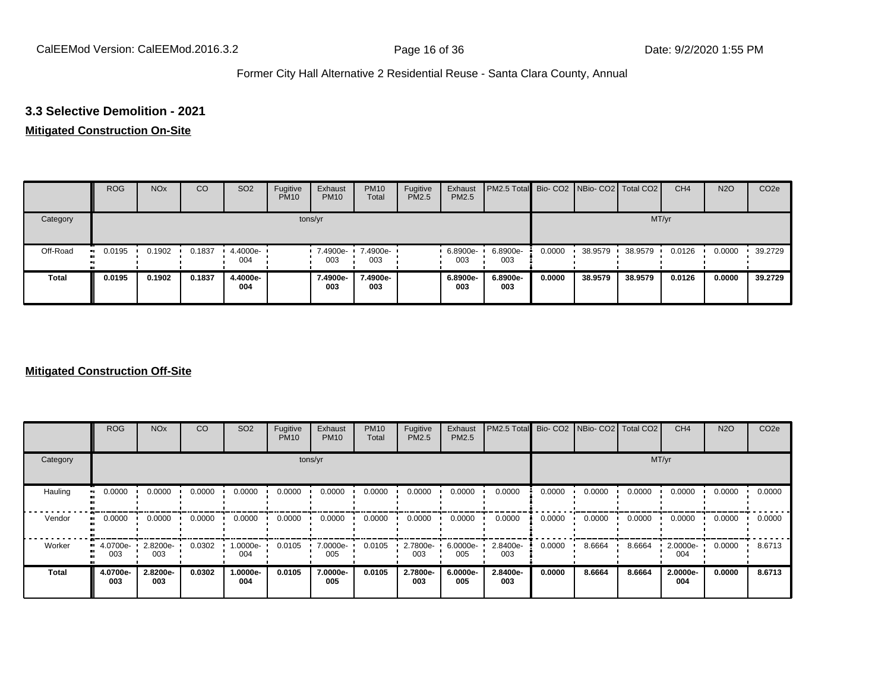#### **3.3 Selective Demolition - 2021**

#### **Mitigated Construction On-Site**

|              | <b>ROG</b>    | <b>NO<sub>x</sub></b> | CO     | SO <sub>2</sub> | Fugitive<br><b>PM10</b> | Exhaust<br><b>PM10</b> | <b>PM10</b><br>Total | Fugitive<br>PM2.5 | Exhaust<br>PM2.5 | PM2.5 Total Bio- CO2 NBio- CO2 Total CO2 |        |         |         | CH <sub>4</sub> | <b>N2O</b> | CO <sub>2e</sub> |
|--------------|---------------|-----------------------|--------|-----------------|-------------------------|------------------------|----------------------|-------------------|------------------|------------------------------------------|--------|---------|---------|-----------------|------------|------------------|
| Category     |               |                       |        |                 |                         | tons/yr                |                      |                   |                  |                                          |        |         | MT/yr   |                 |            |                  |
| Off-Road     | 0.0195<br>. . | 0.1902                | 0.1837 | 4.4000e-<br>004 |                         | 7.4900e-<br>003        | 7.4900e-<br>003      |                   | 6.8900e-<br>003  | 6.8900e-<br>003                          | 0.0000 | 38.9579 | 38.9579 | 0.0126          | 0.0000     | 39.2729          |
| <b>Total</b> | 0.0195        | 0.1902                | 0.1837 | 4.4000e-<br>004 |                         | 7.4900e-<br>003        | 7.4900e-<br>003      |                   | 6.8900e-<br>003  | 6.8900e-<br>003                          | 0.0000 | 38.9579 | 38,9579 | 0.0126          | 0.0000     | 39.2729          |

### **Mitigated Construction Off-Site**

|              | <b>ROG</b>                   | <b>NO<sub>x</sub></b> | CO     | SO <sub>2</sub> | Fugitive<br><b>PM10</b> | Exhaust<br><b>PM10</b> | <b>PM10</b><br>Total | Fugitive<br><b>PM2.5</b> | Exhaust<br>PM2.5 | PM2.5 Total     |        | Bio- CO2   NBio- CO2   Total CO2 |        | CH <sub>4</sub> | <b>N2O</b> | CO <sub>2e</sub> |
|--------------|------------------------------|-----------------------|--------|-----------------|-------------------------|------------------------|----------------------|--------------------------|------------------|-----------------|--------|----------------------------------|--------|-----------------|------------|------------------|
| Category     |                              |                       |        |                 | tons/yr                 |                        |                      |                          |                  |                 |        |                                  | MT/yr  |                 |            |                  |
| Hauling      | 0.0000                       | 0.0000                | 0.0000 | 0.0000          | 0.0000                  | 0.0000                 | 0.0000               | 0.0000                   | 0.0000           | 0.0000          | 0.0000 | 0.0000                           | 0.0000 | 0.0000          | 0.0000     | 0.0000           |
| Vendor       | 0.0000<br>$\bullet$          | 0.0000                | 0.0000 | 0.0000          | 0.0000                  | 0.0000                 | 0.0000               | 0.0000                   | 0.0000           | 0.0000          | 0.0000 | 0.0000                           | 0.0000 | 0.0000          | 0.0000     | 0.0000           |
| Worker       | 4.0700e-<br>$\bullet$<br>003 | 2.8200e-<br>003       | 0.0302 | -:0000e<br>004  | 0.0105                  | 7.0000e-<br>005        | 0.0105               | 2.7800e-<br>003          | 6.0000e-<br>005  | 2.8400e-<br>003 | 0.0000 | 8.6664                           | 8.6664 | 2.0000e-<br>004 | 0.0000     | 8.6713           |
| <b>Total</b> | 4.0700e-<br>003              | 2.8200e-<br>003       | 0.0302 | 1.0000e-<br>004 | 0.0105                  | 7.0000e-<br>005        | 0.0105               | 2.7800e-<br>003          | 6.0000e-<br>005  | 2.8400e-<br>003 | 0.0000 | 8.6664                           | 8.6664 | 2.0000e-<br>004 | 0.0000     | 8.6713           |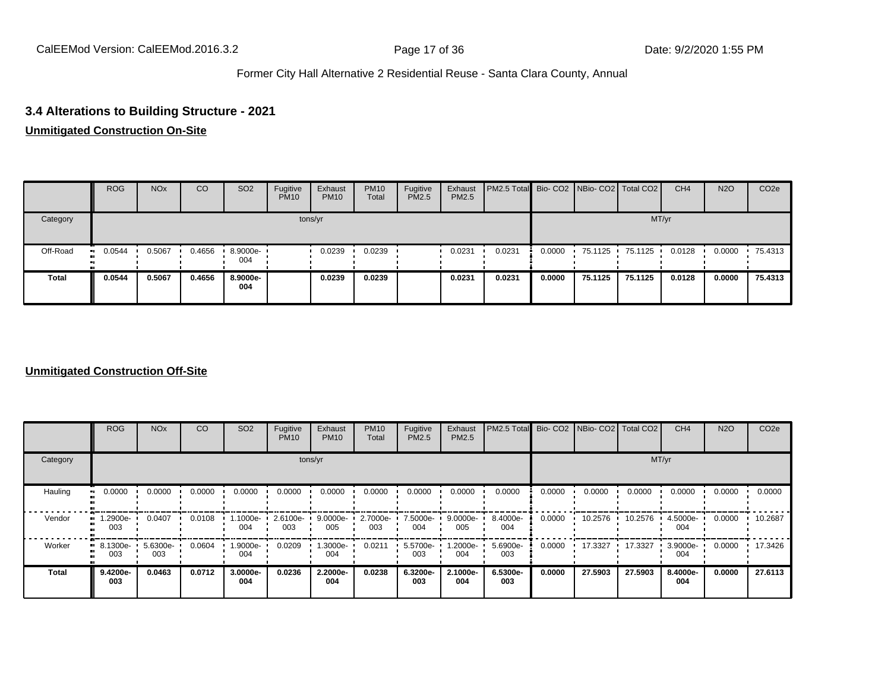# **3.4 Alterations to Building Structure - 2021**

#### **Unmitigated Construction On-Site**

|              | <b>ROG</b>          | <b>NO<sub>x</sub></b> | CO     | SO <sub>2</sub> | Fugitive<br><b>PM10</b> | Exhaust<br><b>PM10</b> | <b>PM10</b><br>Total | Fugitive<br><b>PM2.5</b> | Exhaust<br>PM2.5 | PM2.5 Total Bio- CO2 NBio- CO2   Total CO2 |        |         |         | CH <sub>4</sub> | <b>N2O</b> | CO <sub>2e</sub> |
|--------------|---------------------|-----------------------|--------|-----------------|-------------------------|------------------------|----------------------|--------------------------|------------------|--------------------------------------------|--------|---------|---------|-----------------|------------|------------------|
| Category     |                     |                       |        |                 |                         | tons/yr                |                      |                          |                  |                                            |        |         | MT/yr   |                 |            |                  |
| Off-Road     | 0.0544<br><b>BI</b> | 0.5067                | 0.4656 | 8.9000e-<br>004 |                         | 0.0239                 | 0.0239               |                          | 0.0231           | 0.0231                                     | 0.0000 | 75.1125 | 75.1125 | 0.0128          | 0.0000     | $-75.4313$       |
| <b>Total</b> | 0.0544              | 0.5067                | 0.4656 | 8.9000e-<br>004 |                         | 0.0239                 | 0.0239               |                          | 0.0231           | 0.0231                                     | 0.0000 | 75.1125 | 75.1125 | 0.0128          | 0.0000     | 75.4313          |

### **Unmitigated Construction Off-Site**

|              | <b>ROG</b>      | <b>NO<sub>x</sub></b> | CO     | SO <sub>2</sub> | Fugitive<br><b>PM10</b> | Exhaust<br><b>PM10</b> | <b>PM10</b><br>Total | Fugitive<br><b>PM2.5</b> | Exhaust<br>PM2.5 | PM2.5 Total Bio- CO2 NBio- CO2 Total CO2 |        |         |         | CH <sub>4</sub> | <b>N2O</b> | CO <sub>2e</sub> |
|--------------|-----------------|-----------------------|--------|-----------------|-------------------------|------------------------|----------------------|--------------------------|------------------|------------------------------------------|--------|---------|---------|-----------------|------------|------------------|
| Category     |                 |                       |        |                 |                         | tons/yr                |                      |                          |                  |                                          |        |         | MT/yr   |                 |            |                  |
| Hauling      | 0.0000          | 0.0000                | 0.0000 | 0.0000          | 0.0000                  | 0.0000                 | 0.0000               | 0.0000                   | 0.0000           | 0.0000                                   | 0.0000 | 0.0000  | 0.0000  | 0.0000          | 0.0000     | 0.0000           |
| Vendor       | 1.2900e-<br>003 | 0.0407                | 0.0108 | 1000e-<br>004   | 2.6100e-<br>003         | 9.0000e-<br>005        | 2.7000e-<br>003      | 7.5000e-<br>004          | 9.0000e-<br>005  | 8.4000e-<br>004                          | 0.0000 | 10.2576 | 10.2576 | 4.5000e-<br>004 | 0.0000     | 10.2687          |
| Worker       | 8.1300e-<br>003 | 5.6300e-<br>003       | 0.0604 | .9000e-<br>004  | 0.0209                  | 1.3000e-<br>004        | 0.0211               | 5.5700e-<br>003          | -2000e.<br>004   | 5.6900e-<br>003                          | 0.0000 | 17.3327 | 17.3327 | 3.9000e-<br>004 | 0.0000     | 17.3426          |
| <b>Total</b> | 9.4200e-<br>003 | 0.0463                | 0.0712 | 3.0000e-<br>004 | 0.0236                  | 2.2000e-<br>004        | 0.0238               | 6.3200e-<br>003          | 2.1000e-<br>004  | 6.5300e-<br>003                          | 0.0000 | 27.5903 | 27.5903 | 8.4000e-<br>004 | 0.0000     | 27.6113          |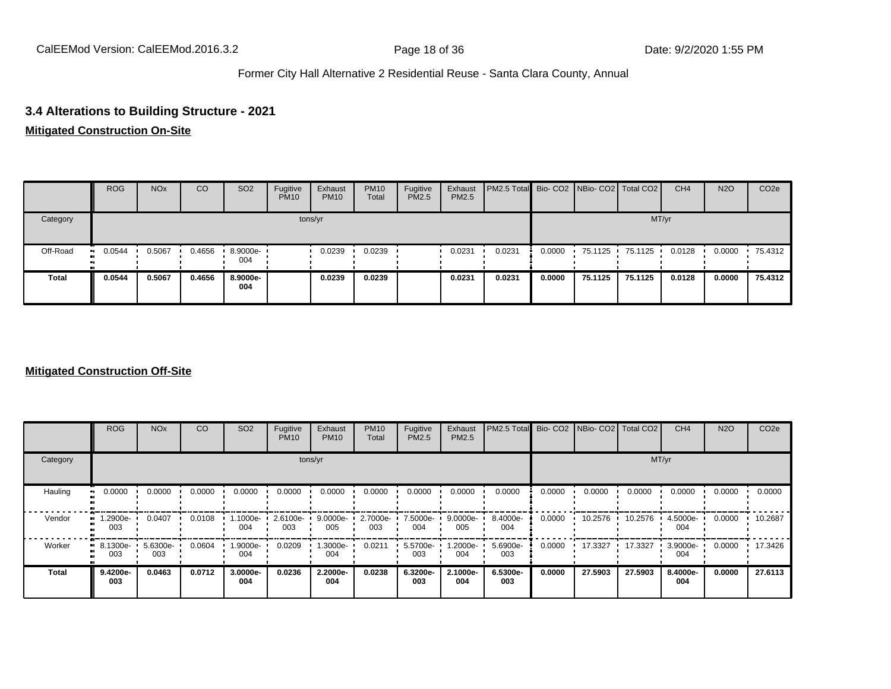### **3.4 Alterations to Building Structure - 2021**

#### **Mitigated Construction On-Site**

|              | <b>ROG</b>              | <b>NO<sub>x</sub></b> | CO     | SO <sub>2</sub> | Fugitive<br><b>PM10</b> | Exhaust<br><b>PM10</b> | <b>PM10</b><br>Total | Fugitive<br><b>PM2.5</b> | Exhaust<br>PM2.5 | <b>PM2.5 Total</b> Bio- CO2 NBio- CO2 Total CO2 |        |         |         | CH <sub>4</sub> | <b>N2O</b> | CO <sub>2</sub> e |
|--------------|-------------------------|-----------------------|--------|-----------------|-------------------------|------------------------|----------------------|--------------------------|------------------|-------------------------------------------------|--------|---------|---------|-----------------|------------|-------------------|
| Category     |                         |                       |        |                 |                         | tons/yr                |                      |                          |                  |                                                 |        |         | MT/yr   |                 |            |                   |
| Off-Road     | 0.0544<br><b>BI</b><br> | 0.5067                | 0.4656 | 8.9000e-<br>004 |                         | 0.0239                 | 0.0239               |                          | 0.0231           | 0.0231                                          | 0.0000 | 75.1125 | 75.1125 | 0.0128          | 0.0000     | 75.4312           |
| <b>Total</b> | 0.0544                  | 0.5067                | 0.4656 | 8.9000e-<br>004 |                         | 0.0239                 | 0.0239               |                          | 0.0231           | 0.0231                                          | 0.0000 | 75.1125 | 75.1125 | 0.0128          | 0.0000     | 75.4312           |

### **Mitigated Construction Off-Site**

|              | <b>ROG</b>      | <b>NO<sub>x</sub></b> | CO     | SO <sub>2</sub> | Fugitive<br><b>PM10</b> | Exhaust<br><b>PM10</b> | <b>PM10</b><br>Total | Fugitive<br><b>PM2.5</b> | Exhaust<br>PM2.5 | PM2.5 Total Bio- CO2 NBio- CO2 Total CO2 |        |         |         | CH <sub>4</sub> | <b>N2O</b> | CO <sub>2e</sub> |
|--------------|-----------------|-----------------------|--------|-----------------|-------------------------|------------------------|----------------------|--------------------------|------------------|------------------------------------------|--------|---------|---------|-----------------|------------|------------------|
| Category     |                 |                       |        |                 |                         | tons/yr                |                      |                          |                  |                                          |        |         | MT/yr   |                 |            |                  |
| Hauling      | 0.0000          | 0.0000                | 0.0000 | 0.0000          | 0.0000                  | 0.0000                 | 0.0000               | 0.0000                   | 0.0000           | 0.0000                                   | 0.0000 | 0.0000  | 0.0000  | 0.0000          | 0.0000     | 0.0000           |
| Vendor       | 1.2900e-<br>003 | 0.0407                | 0.0108 | 1000e-<br>004   | 2.6100e-<br>003         | $9.0000e -$<br>005     | 2.7000e-<br>003      | 7.5000e-<br>004          | 9.0000e-<br>005  | 8.4000e-<br>004                          | 0.0000 | 10.2576 | 10.2576 | 4.5000e-<br>004 | 0.0000     | 10.2687          |
| Worker       | 8.1300e-<br>003 | 5.6300e-<br>003       | 0.0604 | .9000e-<br>004  | 0.0209                  | 1.3000e-<br>004        | 0.0211               | 5.5700e-<br>003          | -2000e.<br>004   | 5.6900e-<br>003                          | 0.0000 | 17.3327 | 17.3327 | 3.9000e-<br>004 | 0.0000     | 17.3426          |
| <b>Total</b> | 9.4200e-<br>003 | 0.0463                | 0.0712 | 3.0000e-<br>004 | 0.0236                  | 2.2000e-<br>004        | 0.0238               | 6.3200e-<br>003          | 2.1000e-<br>004  | 6.5300e-<br>003                          | 0.0000 | 27.5903 | 27.5903 | 8.4000e-<br>004 | 0.0000     | 27.6113          |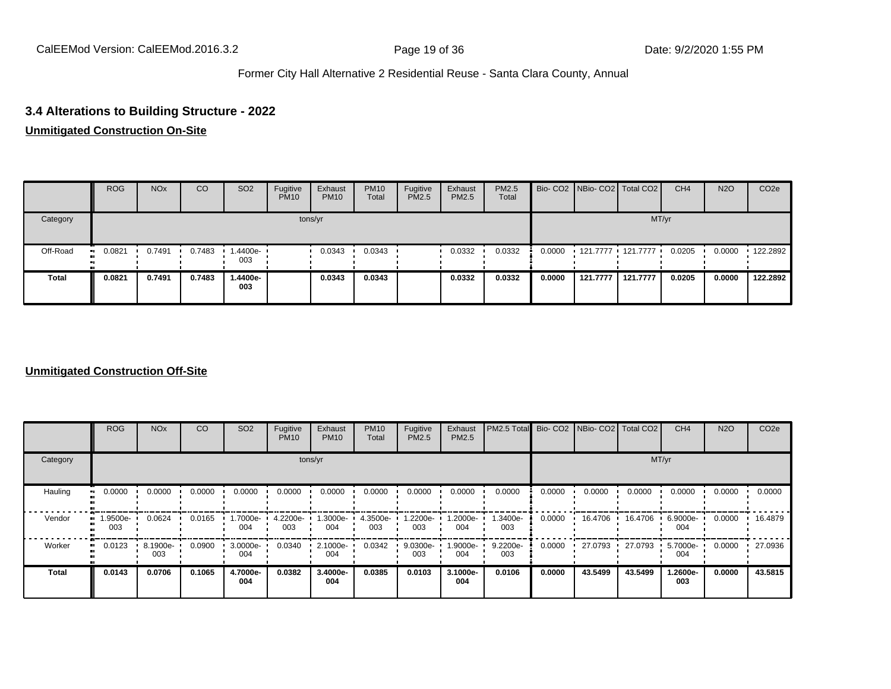### **3.4 Alterations to Building Structure - 2022**

#### **Unmitigated Construction On-Site**

|              | <b>ROG</b>           | <b>NO<sub>x</sub></b> | CO     | SO <sub>2</sub> | Fugitive<br><b>PM10</b> | Exhaust<br><b>PM10</b> | <b>PM10</b><br>Total | Fugitive<br><b>PM2.5</b> | Exhaust<br>PM2.5 | PM2.5<br>Total |        | Bio- CO2   NBio- CO2   Total CO2 |          | CH <sub>4</sub> | <b>N2O</b> | CO <sub>2</sub> e |
|--------------|----------------------|-----------------------|--------|-----------------|-------------------------|------------------------|----------------------|--------------------------|------------------|----------------|--------|----------------------------------|----------|-----------------|------------|-------------------|
| Category     |                      |                       |        |                 |                         | tons/yr                |                      |                          |                  |                |        |                                  | MT/yr    |                 |            |                   |
| Off-Road     | 0.0821<br><b>ALC</b> | 0.7491                | 0.7483 | .4400e-<br>003  |                         | 0.0343                 | 0.0343               |                          | 0.0332           | 0.0332         | 0.0000 | 121.7777 121.7777                |          | 0.0205          | 0.0000     | $\cdot$ 122.2892  |
| <b>Total</b> | 0.0821               | 0.7491                | 0.7483 | -.4400e<br>003  |                         | 0.0343                 | 0.0343               |                          | 0.0332           | 0.0332         | 0.0000 | 121.7777                         | 121.7777 | 0.0205          | 0.0000     | 122.2892          |

### **Unmitigated Construction Off-Site**

|          | <b>ROG</b>      | <b>NO<sub>x</sub></b> | CO     | SO <sub>2</sub> | Fugitive<br><b>PM10</b> | Exhaust<br><b>PM10</b> | <b>PM10</b><br>Total | Fugitive<br><b>PM2.5</b> | Exhaust<br>PM2.5 | PM2.5 Total Bio- CO2 NBio- CO2 Total CO2 |        |         |         | CH <sub>4</sub> | <b>N2O</b> | CO <sub>2e</sub> |
|----------|-----------------|-----------------------|--------|-----------------|-------------------------|------------------------|----------------------|--------------------------|------------------|------------------------------------------|--------|---------|---------|-----------------|------------|------------------|
| Category |                 |                       |        |                 |                         | tons/yr                |                      |                          |                  |                                          |        |         | MT/yr   |                 |            |                  |
| Hauling  | 0.0000          | 0.0000                | 0.0000 | 0.0000          | 0.0000                  | 0.0000                 | 0.0000               | 0.0000                   | 0.0000           | 0.0000                                   | 0.0000 | 0.0000  | 0.0000  | 0.0000          | 0.0000     | 0.0000           |
| Vendor   | 1.9500e-<br>003 | 0.0624                | 0.0165 | .7000e-<br>004  | 4.2200e-<br>003         | 1.3000e-<br>004        | 4.3500e-<br>003      | -2200e.<br>003           | .2000e-<br>004   | 1.3400e-<br>003                          | 0.0000 | 16.4706 | 16.4706 | 6.9000e-<br>004 | 0.0000     | ' 16.4879        |
| Worker   | 0.0123          | 8.1900e-<br>003       | 0.0900 | 3.0000e-<br>004 | 0.0340                  | 2.1000e-<br>004        | 0.0342               | 9.0300e-<br>003          | 1.9000e-<br>004  | 9.2200e-<br>003                          | 0.0000 | 27.0793 | 27.0793 | 5.7000e-<br>004 | 0.0000     | 27.0936          |
| Total    | 0.0143          | 0.0706                | 0.1065 | 4.7000e-<br>004 | 0.0382                  | 3.4000e-<br>004        | 0.0385               | 0.0103                   | 3.1000e-<br>004  | 0.0106                                   | 0.0000 | 43.5499 | 43.5499 | 1.2600e-<br>003 | 0.0000     | 43.5815          |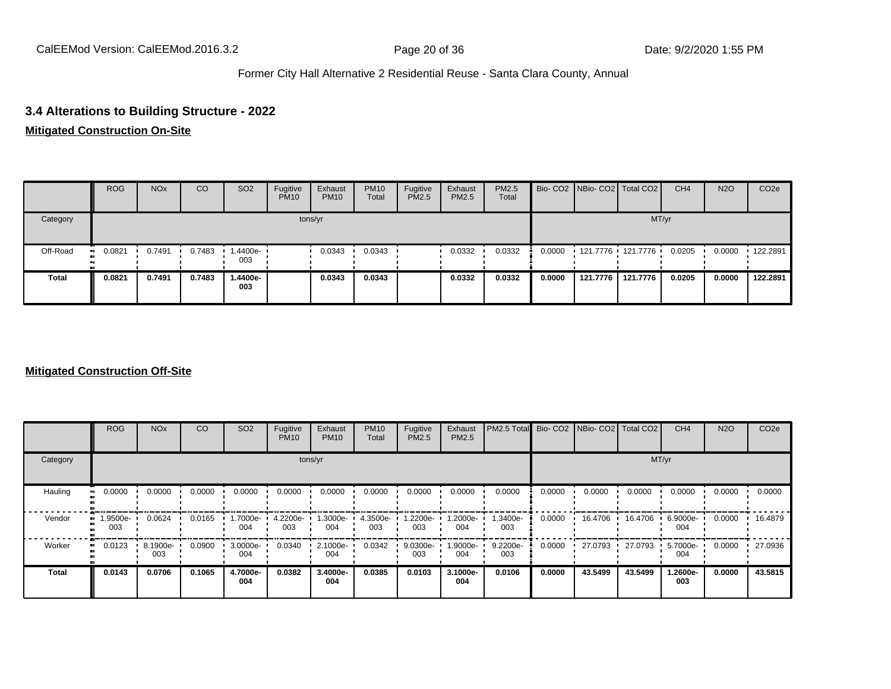### **3.4 Alterations to Building Structure - 2022**

#### **Mitigated Construction On-Site**

|              | <b>ROG</b>           | <b>NO<sub>x</sub></b> | CO     | SO <sub>2</sub> | Fugitive<br><b>PM10</b> | Exhaust<br><b>PM10</b> | <b>PM10</b><br>Total | Fugitive<br><b>PM2.5</b> | Exhaust<br>PM2.5 | <b>PM2.5</b><br>Total |        | Bio- CO2 NBio- CO2 Total CO2 |          | CH <sub>4</sub> | <b>N2O</b> | CO <sub>2e</sub> |
|--------------|----------------------|-----------------------|--------|-----------------|-------------------------|------------------------|----------------------|--------------------------|------------------|-----------------------|--------|------------------------------|----------|-----------------|------------|------------------|
| Category     |                      |                       |        |                 |                         | tons/yr                |                      |                          |                  |                       |        |                              | MT/yr    |                 |            |                  |
| Off-Road     | 0.0821<br><b>ALC</b> | 0.7491                | 0.7483 | .4400e-<br>003  |                         | 0.0343                 | 0.0343               |                          | 0.0332           | 0.0332                | 0.0000 | 121.7776 121.7776            |          | 0.0205          | 0.0000     | $\cdot$ 122.2891 |
| <b>Total</b> | 0.0821               | 0.7491                | 0.7483 | -4400e.<br>003  |                         | 0.0343                 | 0.0343               |                          | 0.0332           | 0.0332                | 0.0000 | 121.7776                     | 121.7776 | 0.0205          | 0.0000     | 122.2891         |

### **Mitigated Construction Off-Site**

|                     | <b>ROG</b>     | <b>NO<sub>x</sub></b> | CO     | SO <sub>2</sub> | Fugitive<br><b>PM10</b> | Exhaust<br><b>PM10</b> | <b>PM10</b><br>Total | Fugitive<br><b>PM2.5</b> | Exhaust<br>PM2.5 | PM2.5 Total Bio- CO2 NBio- CO2 Total CO2 |        |         |         | CH <sub>4</sub> | <b>N2O</b> | CO <sub>2e</sub> |
|---------------------|----------------|-----------------------|--------|-----------------|-------------------------|------------------------|----------------------|--------------------------|------------------|------------------------------------------|--------|---------|---------|-----------------|------------|------------------|
| Category            |                |                       |        |                 |                         | tons/yr                |                      |                          |                  |                                          |        |         | MT/yr   |                 |            |                  |
| Hauling             | 0.0000         | 0.0000                | 0.0000 | 0.0000          | 0.0000                  | 0.0000                 | 0.0000               | 0.0000                   | 0.0000           | 0.0000                                   | 0.0000 | 0.0000  | 0.0000  | 0.0000          | 0.0000     | 0.0000           |
| Vendor<br>m         | -9500e.<br>003 | 0.0624                | 0.0165 | .7000e-<br>004  | 4.2200e-<br>003         | -.3000e<br>004         | 4.3500e-<br>003      | $.2200e-$<br>003         | -2000e.<br>004   | 1.3400e-<br>003                          | 0.0000 | 16.4706 | 16.4706 | 6.9000e-<br>004 | 0.0000     | ' 16.4879        |
| Worker<br>$\bullet$ | 0.0123         | 8.1900e-<br>003       | 0.0900 | 3.0000e-<br>004 | 0.0340                  | 2.1000e-<br>004        | 0.0342               | 9.0300e-<br>003          | -9000e-<br>004   | 9.2200e-<br>003                          | 0.0000 | 27.0793 | 27.0793 | 5.7000e-<br>004 | 0.0000     | 27.0936          |
| <b>Total</b>        | 0.0143         | 0.0706                | 0.1065 | 4.7000e-<br>004 | 0.0382                  | 3.4000e-<br>004        | 0.0385               | 0.0103                   | 3.1000e-<br>004  | 0.0106                                   | 0.0000 | 43.5499 | 43.5499 | 1.2600e-<br>003 | 0.0000     | 43.5815          |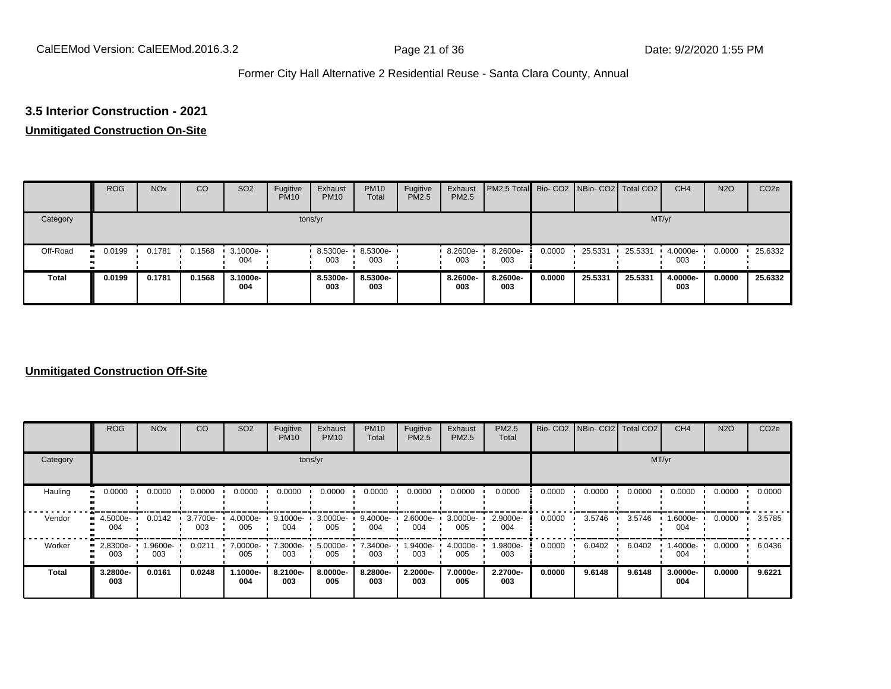# **3.5 Interior Construction - 2021**

#### **Unmitigated Construction On-Site**

|          | <b>ROG</b> | <b>NO<sub>x</sub></b> | CO     | SO <sub>2</sub> | Fugitive<br><b>PM10</b> | Exhaust<br><b>PM10</b> | <b>PM10</b><br>Total | Fugitive<br>PM2.5 | Exhaust<br>PM2.5 | <b>PM2.5 Total</b> Bio- CO2 NBio- CO2 Total CO2 |        |         |         | CH <sub>4</sub> | <b>N2O</b> | CO <sub>2e</sub> |
|----------|------------|-----------------------|--------|-----------------|-------------------------|------------------------|----------------------|-------------------|------------------|-------------------------------------------------|--------|---------|---------|-----------------|------------|------------------|
| Category |            |                       |        |                 |                         | tons/yr                |                      |                   |                  |                                                 |        |         | MT/yr   |                 |            |                  |
| Off-Road | 0.0199     | 0.1781                | 0.1568 | 3.1000e-<br>004 |                         | 8.5300e-<br>003        | 8.5300e-<br>003      |                   | 8.2600e-<br>003  | 8.2600e-<br>003                                 | 0.0000 | 25.5331 | 25.5331 | 4.0000e-<br>003 | 0.0000     | 25.6332          |
| Total    | 0.0199     | 0.1781                | 0.1568 | 3.1000e-<br>004 |                         | 8.5300e-<br>003        | 8.5300e-<br>003      |                   | 8.2600e-<br>003  | 8.2600e-<br>003                                 | 0.0000 | 25.5331 | 25.5331 | 4.0000e-<br>003 | 0.0000     | 25.6332          |

#### **Unmitigated Construction Off-Site**

|              | <b>ROG</b>      | <b>NO<sub>x</sub></b> | CO              | SO <sub>2</sub> | Fugitive<br><b>PM10</b> | Exhaust<br><b>PM10</b> | <b>PM10</b><br>Total | Fugitive<br><b>PM2.5</b> | Exhaust<br>PM2.5 | <b>PM2.5</b><br>Total |        | Bio- CO2   NBio- CO2   Total CO2 |        | CH <sub>4</sub> | <b>N2O</b> | CO <sub>2e</sub> |
|--------------|-----------------|-----------------------|-----------------|-----------------|-------------------------|------------------------|----------------------|--------------------------|------------------|-----------------------|--------|----------------------------------|--------|-----------------|------------|------------------|
| Category     |                 |                       |                 |                 |                         | tons/yr                |                      |                          |                  |                       |        |                                  | MT/yr  |                 |            |                  |
| Hauling      | 0.0000          | 0.0000                | 0.0000          | 0.0000          | 0.0000                  | 0.0000                 | 0.0000               | 0.0000                   | 0.0000           | 0.0000                | 0.0000 | 0.0000                           | 0.0000 | 0.0000          | 0.0000     | 0.0000           |
| Vendor       | 4.5000e-<br>004 | 0.0142                | 3.7700e-<br>003 | 4.0000e-<br>005 | 9.1000e-<br>004         | 3.0000e-<br>005        | 9.4000e-<br>004      | 2.6000e-<br>004          | 3.0000e-<br>005  | 2.9000e-<br>004       | 0.0000 | 3.5746                           | 3.5746 | 1.6000e-<br>004 | 0.0000     | 3.5785           |
| Worker       | 2.8300e-<br>003 | 1.9600e-<br>003       | 0.0211          | 7.0000e-<br>005 | 7.3000e-<br>003         | 5.0000e-<br>005        | 7.3400e-<br>003      | 1.9400e-<br>003          | 4.0000e-<br>005  | 1.9800e-<br>003       | 0.0000 | 6.0402                           | 6.0402 | 1.4000e-<br>004 | 0.0000     | 6.0436           |
| <b>Total</b> | 3.2800e-<br>003 | 0.0161                | 0.0248          | -.1000e<br>004  | 8.2100e-<br>003         | 8.0000e-<br>005        | 8.2800e-<br>003      | 2.2000e-<br>003          | 7.0000e-<br>005  | 2.2700e-<br>003       | 0.0000 | 9.6148                           | 9.6148 | 3.0000e-<br>004 | 0.0000     | 9.6221           |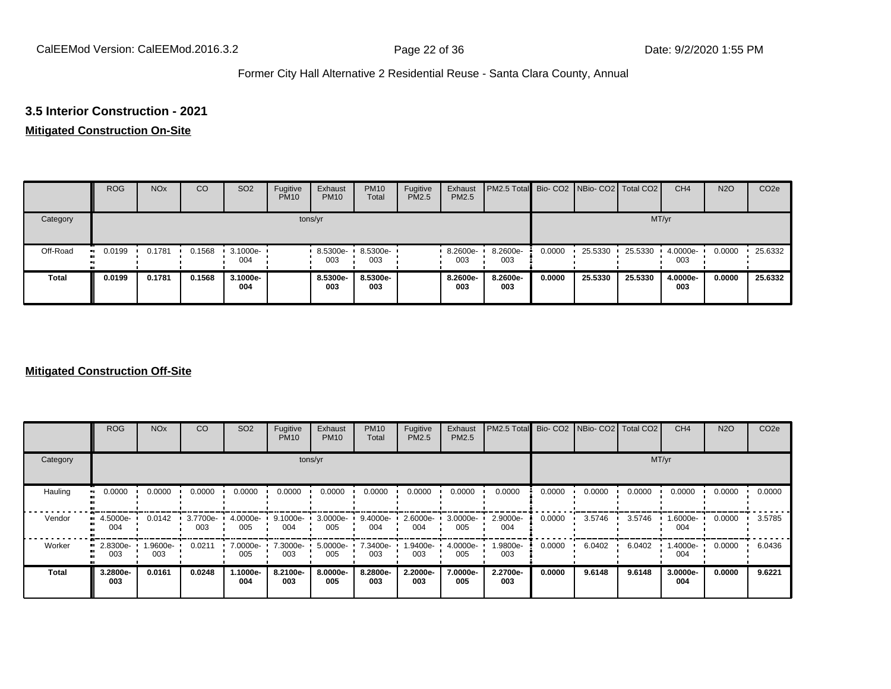#### **3.5 Interior Construction - 2021**

#### **Mitigated Construction On-Site**

|              | <b>ROG</b> | <b>NO<sub>x</sub></b> | CO     | SO <sub>2</sub> | Fugitive<br><b>PM10</b> | Exhaust<br><b>PM10</b> | <b>PM10</b><br>Total | Fugitive<br>PM2.5 | Exhaust<br>PM2.5 | <b>PM2.5 Total</b> Bio- CO2 NBio- CO2 Total CO2 |        |         |         | CH <sub>4</sub> | <b>N2O</b> | CO <sub>2e</sub> |
|--------------|------------|-----------------------|--------|-----------------|-------------------------|------------------------|----------------------|-------------------|------------------|-------------------------------------------------|--------|---------|---------|-----------------|------------|------------------|
| Category     |            |                       |        |                 |                         | tons/yr                |                      |                   |                  |                                                 |        |         | MT/yr   |                 |            |                  |
| Off-Road     | 0.0199     | 0.1781                | 0.1568 | 3.1000e-<br>004 |                         | 8.5300e-<br>003        | 8.5300e-<br>003      |                   | 8.2600e-<br>003  | 8.2600e-<br>003                                 | 0.0000 | 25.5330 | 25.5330 | 4.0000e-<br>003 | 0.0000     | 25.6332          |
| <b>Total</b> | 0.0199     | 0.1781                | 0.1568 | 3.1000e-<br>004 |                         | 8.5300e-<br>003        | 8.5300e-<br>003      |                   | 8.2600e-<br>003  | 8.2600e-<br>003                                 | 0.0000 | 25.5330 | 25.5330 | 4.0000e-<br>003 | 0.0000     | 25.6332          |

### **Mitigated Construction Off-Site**

|          | <b>ROG</b>      | <b>NO<sub>x</sub></b> | CO              | SO <sub>2</sub>   | Fugitive<br><b>PM10</b> | Exhaust<br><b>PM10</b> | <b>PM10</b><br>Total | Fugitive<br><b>PM2.5</b> | Exhaust<br>PM2.5 | PM2.5 Total Bio- CO2 NBio- CO2 Total CO2 |        |        |        | CH <sub>4</sub> | <b>N2O</b> | CO <sub>2e</sub> |
|----------|-----------------|-----------------------|-----------------|-------------------|-------------------------|------------------------|----------------------|--------------------------|------------------|------------------------------------------|--------|--------|--------|-----------------|------------|------------------|
| Category |                 |                       |                 |                   |                         | tons/yr                |                      |                          |                  |                                          |        |        | MT/yr  |                 |            |                  |
| Hauling  | 0.0000          | 0.0000                | 0.0000          | 0.0000            | 0.0000                  | 0.0000                 | 0.0000               | 0.0000                   | 0.0000           | 0.0000                                   | 0.0000 | 0.0000 | 0.0000 | 0.0000          | 0.0000     | 0.0000           |
| Vendor   | 4.5000e-<br>004 | 0.0142                | 3.7700e-<br>003 | 4.0000e-<br>005   | 9.1000e-<br>004         | 3.0000e-<br>005        | 9.4000e-<br>004      | 2.6000e-<br>004          | 3.0000e-<br>005  | 2.9000e-<br>004                          | 0.0000 | 3.5746 | 3.5746 | 1.6000e-<br>004 | 0.0000     | 3.5785           |
| Worker   | 2.8300e-<br>003 | 1.9600e-<br>003       | 0.0211          | 7.0000e- '<br>005 | 7.3000e-<br>003         | 5.0000e-<br>005        | 7.3400e-<br>003      | 1.9400e-<br>003          | 4.0000e-<br>005  | 1.9800e-<br>003                          | 0.0000 | 6.0402 | 6.0402 | 1.4000e-<br>004 | 0.0000     | 6.0436           |
| Total    | 3.2800e-<br>003 | 0.0161                | 0.0248          | -.1000e<br>004    | 8.2100e-<br>003         | 8.0000e-<br>005        | 8.2800e-<br>003      | 2.2000e-<br>003          | 7.0000e-<br>005  | 2.2700e-<br>003                          | 0.0000 | 9.6148 | 9.6148 | 3.0000e-<br>004 | 0.0000     | 9.6221           |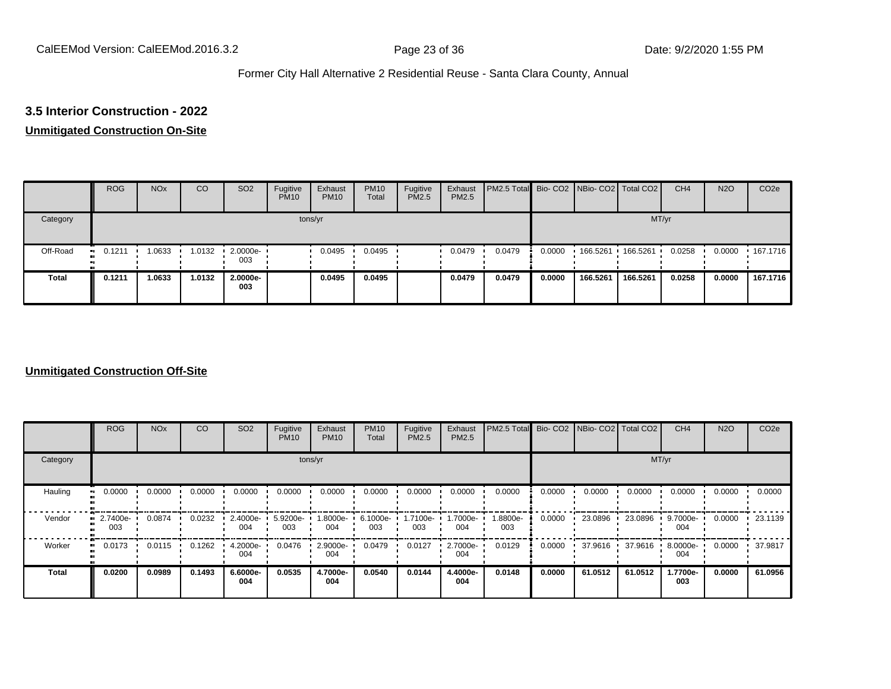# **3.5 Interior Construction - 2022**

## **Unmitigated Construction On-Site**

|              | <b>ROG</b>          | <b>NO<sub>x</sub></b> | CO     | SO <sub>2</sub>    | Fugitive<br><b>PM10</b> | Exhaust<br><b>PM10</b> | <b>PM10</b><br>Total | Fugitive<br><b>PM2.5</b> | Exhaust<br>PM2.5 | PM2.5 Total Bio- CO2 NBio- CO2   Total CO2 |        |          |          | CH <sub>4</sub> | <b>N2O</b> | CO <sub>2e</sub> |
|--------------|---------------------|-----------------------|--------|--------------------|-------------------------|------------------------|----------------------|--------------------------|------------------|--------------------------------------------|--------|----------|----------|-----------------|------------|------------------|
| Category     |                     |                       |        |                    |                         | tons/yr                |                      |                          |                  |                                            |        |          | MT/yr    |                 |            |                  |
| Off-Road     | 0.1211<br>$\bullet$ | 1.0633                | 1.0132 | $2.0000e -$<br>003 |                         | 0.0495                 | 0.0495               |                          | 0.0479           | 0.0479                                     | 0.0000 | 166.5261 | 166.5261 | 0.0258          | 0.0000     | $\cdot$ 167.1716 |
| <b>Total</b> | 0.1211              | 1.0633                | 1.0132 | 2.0000e-<br>003    |                         | 0.0495                 | 0.0495               |                          | 0.0479           | 0.0479                                     | 0.0000 | 166.5261 | 166.5261 | 0.0258          | 0.0000     | 167.1716         |

#### **Unmitigated Construction Off-Site**

|                     | <b>ROG</b>      | <b>NO<sub>x</sub></b> | CO     | SO <sub>2</sub> | Fugitive<br><b>PM10</b> | Exhaust<br><b>PM10</b> | <b>PM10</b><br>Total | Fugitive<br><b>PM2.5</b> | Exhaust<br>PM2.5 | PM2.5 Total Bio- CO2 NBio- CO2 Total CO2 |        |         |         | CH <sub>4</sub> | <b>N2O</b> | CO <sub>2e</sub> |
|---------------------|-----------------|-----------------------|--------|-----------------|-------------------------|------------------------|----------------------|--------------------------|------------------|------------------------------------------|--------|---------|---------|-----------------|------------|------------------|
| Category            |                 |                       |        |                 | tons/yr                 |                        |                      |                          |                  |                                          |        |         | MT/yr   |                 |            |                  |
| Hauling             | 0.0000          | 0.0000                | 0.0000 | 0.0000          | 0.0000                  | 0.0000                 | 0.0000               | 0.0000                   | 0.0000           | 0.0000                                   | 0.0000 | 0.0000  | 0.0000  | 0.0000          | 0.0000     | 0.0000           |
| Vendor              | 2.7400e-<br>003 | 0.0874                | 0.0232 | 2.4000e-<br>004 | 5.9200e-<br>003         | 1.8000e-<br>004        | 6.1000e-<br>003      | 1.7100e-<br>003          | -.7000e<br>004   | 1.8800e-<br>003                          | 0.0000 | 23.0896 | 23.0896 | 9.7000e-<br>004 | 0.0000     | 23.1139          |
| Worker<br>$\bullet$ | 0.0173          | 0.0115                | 0.1262 | 4.2000e-<br>004 | 0.0476                  | 2.9000e-<br>004        | 0.0479               | 0.0127                   | 2.7000e-<br>004  | 0.0129                                   | 0.0000 | 37.9616 | 37.9616 | 8.0000e-<br>004 | 0.0000     | 37.9817          |
| <b>Total</b>        | 0.0200          | 0.0989                | 0.1493 | 6.6000e-<br>004 | 0.0535                  | 4.7000e-<br>004        | 0.0540               | 0.0144                   | 4.4000e-<br>004  | 0.0148                                   | 0.0000 | 61.0512 | 61.0512 | 1.7700e-<br>003 | 0.0000     | 61.0956          |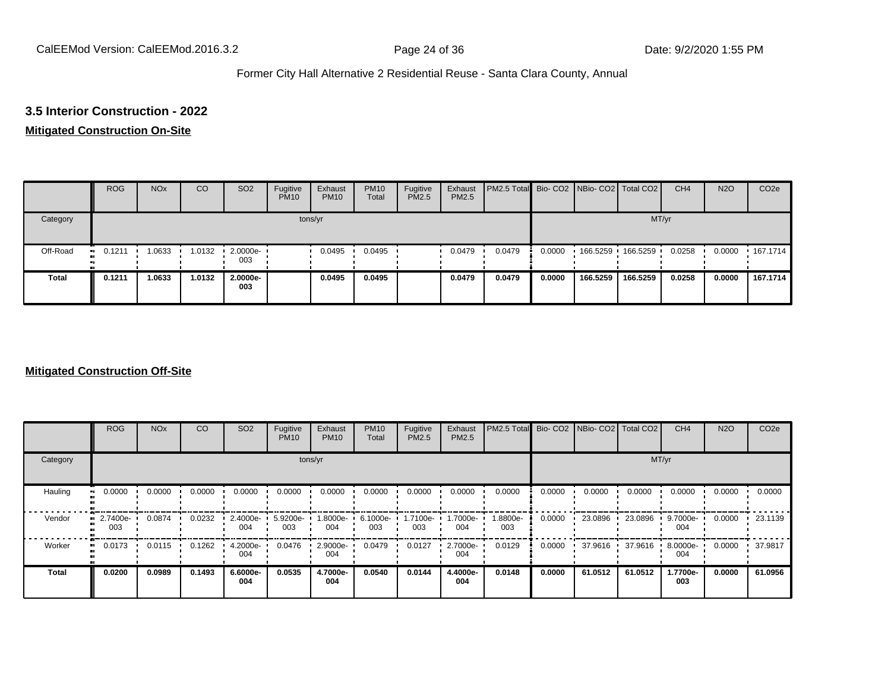#### **3.5 Interior Construction - 2022**

#### **Mitigated Construction On-Site**

|              | <b>ROG</b> | <b>NO<sub>x</sub></b> | CO     | SO <sub>2</sub>         | Fugitive<br><b>PM10</b> | Exhaust<br><b>PM10</b> | <b>PM10</b><br>Total | Fugitive<br><b>PM2.5</b> | Exhaust<br>PM2.5 | PM2.5 Total Bio- CO2 NBio- CO2   Total CO2 |        |          |          | CH <sub>4</sub> | <b>N2O</b> | CO <sub>2e</sub> |
|--------------|------------|-----------------------|--------|-------------------------|-------------------------|------------------------|----------------------|--------------------------|------------------|--------------------------------------------|--------|----------|----------|-----------------|------------|------------------|
| Category     |            |                       |        |                         |                         | tons/yr                |                      |                          |                  |                                            |        |          | MT/yr    |                 |            |                  |
| Off-Road     | 0.1211     | 1.0633                | 1.0132 | $\cdot$ 2.0000e-<br>003 |                         | 0.0495                 | 0.0495               |                          | 0.0479           | 0.0479                                     | 0.0000 |          |          | 0.0258          | 0.0000     | $+167.1714$      |
| <b>Total</b> | 0.1211     | 1.0633                | 1.0132 | 2.0000e-<br>003         |                         | 0.0495                 | 0.0495               |                          | 0.0479           | 0.0479                                     | 0.0000 | 166.5259 | 166.5259 | 0.0258          | 0.0000     | 167.1714         |

### **Mitigated Construction Off-Site**

|          | <b>ROG</b>      | <b>NO<sub>x</sub></b> | CO     | SO <sub>2</sub> | Fugitive<br><b>PM10</b> | Exhaust<br><b>PM10</b> | <b>PM10</b><br>Total | Fugitive<br><b>PM2.5</b> | Exhaust<br>PM2.5 | PM2.5 Total Bio- CO2 NBio- CO2 Total CO2 |        |         |         | CH <sub>4</sub> | <b>N2O</b> | CO <sub>2e</sub> |
|----------|-----------------|-----------------------|--------|-----------------|-------------------------|------------------------|----------------------|--------------------------|------------------|------------------------------------------|--------|---------|---------|-----------------|------------|------------------|
| Category |                 |                       |        |                 |                         | tons/yr                |                      |                          |                  |                                          |        |         | MT/yr   |                 |            |                  |
| Hauling  | 0.0000          | 0.0000                | 0.0000 | 0.0000          | 0.0000                  | 0.0000                 | 0.0000               | 0.0000                   | 0.0000           | 0.0000                                   | 0.0000 | 0.0000  | 0.0000  | 0.0000          | 0.0000     | 0.0000           |
| Vendor   | 2.7400e-<br>003 | 0.0874                | 0.0232 | 2.4000e-<br>004 | 5.9200e-<br>003         | 1.8000e-<br>004        | 6.1000e-<br>003      | 1.7100e-<br>003          | 1.7000e-<br>004  | 1.8800e-<br>003                          | 0.0000 | 23.0896 | 23.0896 | 9.7000e-<br>004 | 0.0000     | 23.1139          |
| Worker   | 0.0173          | 0.0115                | 0.1262 | 4.2000e-<br>004 | 0.0476                  | 2.9000e-<br>004        | 0.0479               | 0.0127                   | 2.7000e-<br>004  | 0.0129                                   | 0.0000 | 37.9616 | 37.9616 | 8.0000e-<br>004 | 0.0000     | 37.9817          |
| Total    | 0.0200          | 0.0989                | 0.1493 | 6.6000e-<br>004 | 0.0535                  | 4.7000e-<br>004        | 0.0540               | 0.0144                   | 4.4000e-<br>004  | 0.0148                                   | 0.0000 | 61.0512 | 61.0512 | 1.7700e-<br>003 | 0.0000     | 61.0956          |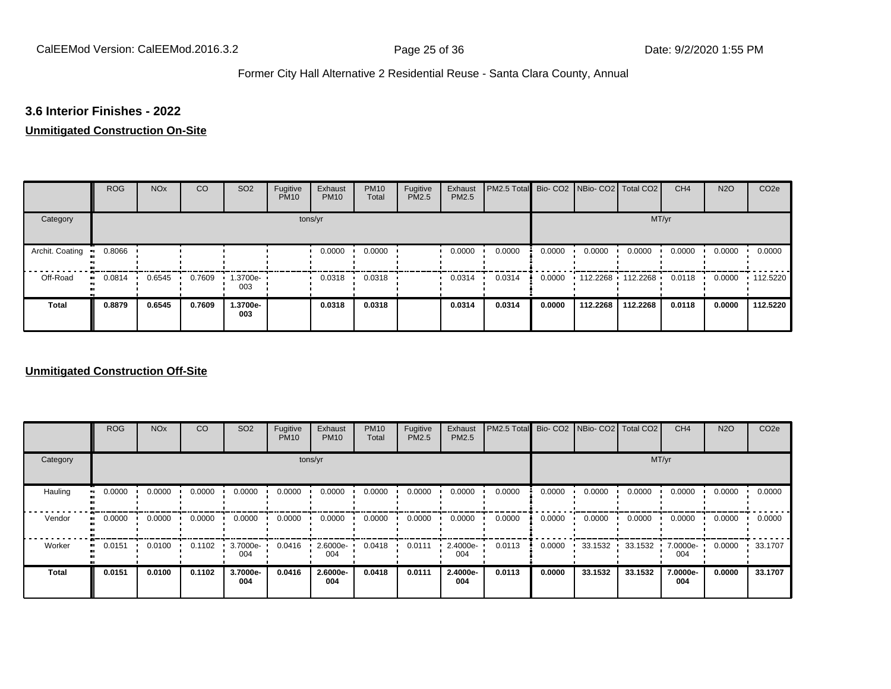#### **3.6 Interior Finishes - 2022**

#### **Unmitigated Construction On-Site**

|                 | <b>ROG</b> | <b>NO<sub>x</sub></b> | CO     | SO <sub>2</sub> | Fugitive<br><b>PM10</b> | Exhaust<br><b>PM10</b> | <b>PM10</b><br>Total | Fugitive<br><b>PM2.5</b> | Exhaust<br>PM2.5 | PM2.5 Total Bio- CO2 NBio- CO2 Total CO2 |        |          |                     | CH <sub>4</sub> | <b>N2O</b> | CO <sub>2e</sub> |
|-----------------|------------|-----------------------|--------|-----------------|-------------------------|------------------------|----------------------|--------------------------|------------------|------------------------------------------|--------|----------|---------------------|-----------------|------------|------------------|
| Category        |            |                       |        |                 |                         | tons/yr                |                      |                          |                  |                                          |        |          | MT/yr               |                 |            |                  |
| Archit. Coating | 0.8066     |                       |        |                 |                         | 0.0000                 | 0.0000               |                          | 0.0000           | 0.0000                                   | 0.0000 | 0.0000   | 0.0000              | 0.0000          | 0.0000     | 0.0000           |
| Off-Road        | 0.0814     | 0.6545                | 0.7609 | 1.3700e-<br>003 |                         | 0.0318                 | 0.0318               |                          | 0.0314           | 0.0314                                   | 0.0000 |          | $112.2268$ 112.2268 | 0.0118          | 0.0000     | $+112.5220$      |
| Total           | 0.8879     | 0.6545                | 0.7609 | 1.3700e-<br>003 |                         | 0.0318                 | 0.0318               |                          | 0.0314           | 0.0314                                   | 0.0000 | 112.2268 | 112.2268            | 0.0118          | 0.0000     | 112.5220         |

#### **Unmitigated Construction Off-Site**

|                     | <b>ROG</b> | <b>NO<sub>x</sub></b> | CO     | SO <sub>2</sub> | Fugitive<br><b>PM10</b> | Exhaust<br><b>PM10</b> | <b>PM10</b><br>Total | Fugitive<br><b>PM2.5</b> | Exhaust<br>PM2.5 | PM2.5 Total |        | Bio- CO2   NBio- CO2   Total CO2 |         | CH <sub>4</sub> | <b>N2O</b> | CO <sub>2e</sub> |
|---------------------|------------|-----------------------|--------|-----------------|-------------------------|------------------------|----------------------|--------------------------|------------------|-------------|--------|----------------------------------|---------|-----------------|------------|------------------|
| Category            |            |                       |        |                 |                         | tons/yr                |                      |                          |                  |             |        |                                  |         | MT/yr           |            |                  |
| Hauling<br>œ        | 0.0000     | 0.0000                | 0.0000 | 0.0000          | 0.0000                  | 0.0000                 | 0.0000               | 0.0000                   | 0.0000           | 0.0000      | 0.0000 | 0.0000                           | 0.0000  | 0.0000          | 0.0000     | 0.0000           |
| Vendor<br>œ         | 0.0000     | 0.0000                | 0.0000 | 0.0000          | 0.0000                  | 0.0000                 | 0.0000               | 0.0000                   | 0.0000           | 0.0000      | 0.0000 | 0.0000                           | 0.0000  | 0.0000          | 0.0000     | 0.0000           |
| Worker<br>$\bullet$ | 0.0151     | 0.0100                | 0.1102 | 3.7000e-<br>004 | 0.0416                  | 2.6000e-<br>004        | 0.0418               | 0.0111                   | 2.4000e-<br>004  | 0.0113      | 0.0000 | 33.1532                          | 33.1532 | 7.0000e-<br>004 | 0.0000     | 33.1707          |
| <b>Total</b>        | 0.0151     | 0.0100                | 0.1102 | 3.7000e-<br>004 | 0.0416                  | 2.6000e-<br>004        | 0.0418               | 0.0111                   | 2.4000e-<br>004  | 0.0113      | 0.0000 | 33.1532                          | 33.1532 | 7.0000e-<br>004 | 0.0000     | 33.1707          |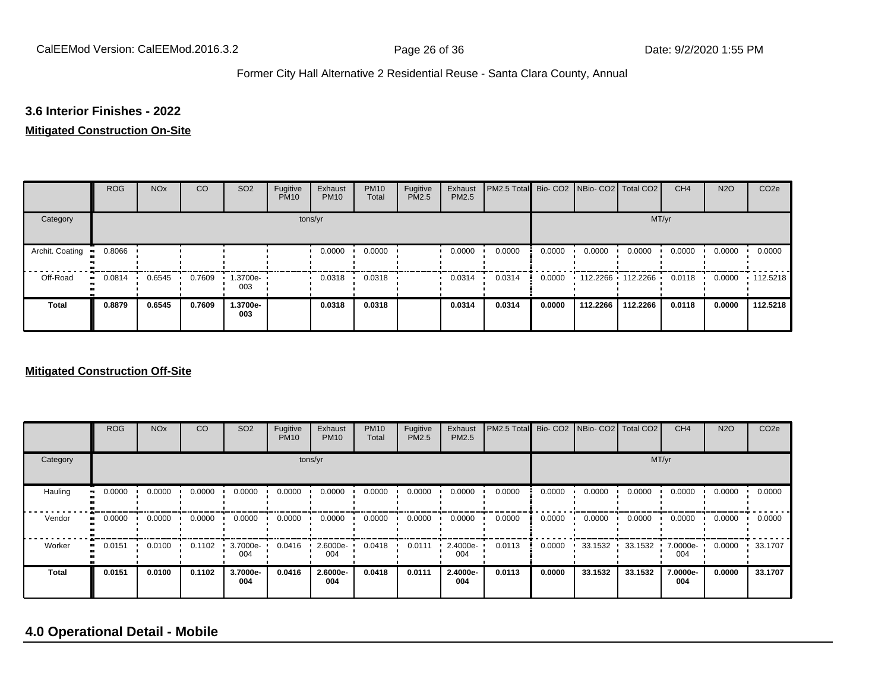### **3.6 Interior Finishes - 2022**

#### **Mitigated Construction On-Site**

|                                 | <b>ROG</b>   | <b>NO<sub>x</sub></b> | CO     | SO <sub>2</sub> | Fugitive<br><b>PM10</b> | Exhaust<br><b>PM10</b> | <b>PM10</b><br>Total | Fugitive<br>PM2.5 | Exhaust<br>PM2.5 | <b>PM2.5 Total</b> Bio- CO2 NBio- CO2   Total CO2 |        |                              |          | CH <sub>4</sub> | <b>N2O</b> | CO <sub>2e</sub> |
|---------------------------------|--------------|-----------------------|--------|-----------------|-------------------------|------------------------|----------------------|-------------------|------------------|---------------------------------------------------|--------|------------------------------|----------|-----------------|------------|------------------|
| Category                        |              |                       |        |                 | tons/yr                 |                        |                      |                   |                  |                                                   |        |                              | MT/yr    |                 |            |                  |
| Archit. Coating<br>$\mathbf{u}$ | 0.8066       |                       |        |                 |                         | 0.0000                 | 0.0000               |                   | 0.0000           | 0.0000                                            | 0.0000 | 0.0000                       | 0.0000   | 0.0000          | 0.0000     | 0.0000           |
| Off-Road                        | 0.0814<br>ш. | 0.6545                | 0.7609 | 1.3700e-<br>003 |                         | 0.0318                 | 0.0318               |                   | 0.0314           | 0.0314                                            |        | $0.0000$ 112.2266 112.2266 1 |          | 0.0118          | 0.0000     | $\cdot$ 112.5218 |
| <b>Total</b>                    | 0.8879       | 0.6545                | 0.7609 | 1.3700e-<br>003 |                         | 0.0318                 | 0.0318               |                   | 0.0314           | 0.0314                                            | 0.0000 | 112.2266                     | 112.2266 | 0.0118          | 0.0000     | 112.5218         |

#### **Mitigated Construction Off-Site**

|                        | <b>ROG</b>   | <b>NO<sub>x</sub></b> | CO     | SO <sub>2</sub> | Fugitive<br><b>PM10</b> | Exhaust<br><b>PM10</b> | <b>PM10</b><br>Total | Fugitive<br><b>PM2.5</b> | Exhaust<br>PM2.5 | PM2.5 Total Bio- CO2 NBio- CO2 Total CO2 |        |         |         | CH <sub>4</sub> | <b>N2O</b> | CO <sub>2e</sub> |
|------------------------|--------------|-----------------------|--------|-----------------|-------------------------|------------------------|----------------------|--------------------------|------------------|------------------------------------------|--------|---------|---------|-----------------|------------|------------------|
| Category               |              |                       |        |                 |                         | tons/yr                |                      |                          |                  |                                          |        |         | MT/yr   |                 |            |                  |
| Hauling<br>œ           | 0.0000       | 0.0000                | 0.0000 | 0.0000          | 0.0000                  | 0.0000                 | 0.0000               | 0.0000                   | 0.0000           | 0.0000                                   | 0.0000 | 0.0000  | 0.0000  | 0.0000          | 0.0000     | 0.0000           |
| Vendor                 | 0.0000<br>ш. | 0.0000                | 0.0000 | 0.0000          | 0.0000                  | 0.0000                 | 0.0000               | 0.0000                   | 0.0000           | 0.0000                                   | 0.0000 | 0.0000  | 0.0000  | 0.0000          | 0.0000     | 0.0000           |
| Worker<br>$\mathbf{u}$ | 0.0151       | 0.0100                | 0.1102 | 3.7000e-<br>004 | 0.0416                  | 2.6000e-<br>004        | 0.0418               | 0.0111                   | 2.4000e-<br>004  | 0.0113                                   | 0.0000 | 33.1532 | 33.1532 | 7.0000e-<br>004 | 0.0000     | 33.1707          |
| Total                  | 0.0151       | 0.0100                | 0.1102 | 3.7000e-<br>004 | 0.0416                  | $2.6000e-$<br>004      | 0.0418               | 0.0111                   | 2.4000e-<br>004  | 0.0113                                   | 0.0000 | 33.1532 | 33.1532 | 7.0000e-<br>004 | 0.0000     | 33.1707          |

# **4.0 Operational Detail - Mobile**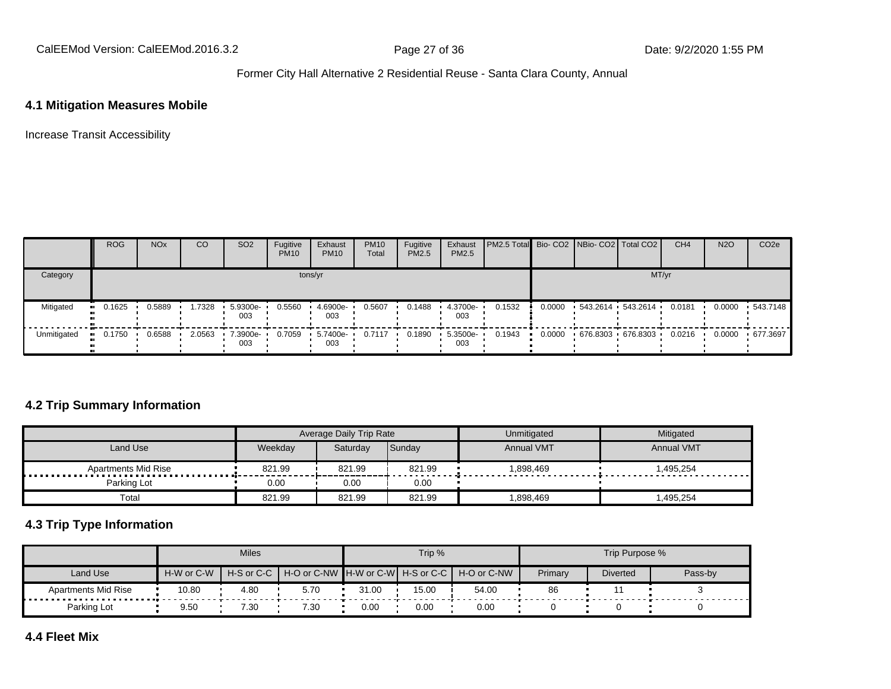CalEEMod Version: CalEEMod.2016.3.2 **Page 27 of 36** Page 27 of 36 Date: 9/2/2020 1:55 PM

# Former City Hall Alternative 2 Residential Reuse - Santa Clara County, Annual

### **4.1 Mitigation Measures Mobile**

Increase Transit Accessibility

|             | <b>ROG</b>            | <b>NO<sub>x</sub></b> | CO     | SO <sub>2</sub>    | Fugitive<br><b>PM10</b> | Exhaust<br><b>PM10</b> | <b>PM10</b><br>Total | Fugitive<br>PM2.5 | Exhaust<br><b>PM2.5</b> | <b>PM2.5 Total</b> Bio- CO2 NBio- CO2   Total CO2 |        |                        | CH <sub>4</sub> | <b>N2O</b> | CO <sub>2e</sub> |
|-------------|-----------------------|-----------------------|--------|--------------------|-------------------------|------------------------|----------------------|-------------------|-------------------------|---------------------------------------------------|--------|------------------------|-----------------|------------|------------------|
| Category    |                       |                       |        |                    | tons/yr                 |                        |                      |                   |                         |                                                   |        | MT/yr                  |                 |            |                  |
| Mitigated   | $\blacksquare$ 0.1625 | 0.5889                | .7328  | 5.9300e-<br>003    | 0.5560                  | 4.6900e-<br>003        | 0.5607               | 0.1488            | 4.3700e-<br>003         | 0.1532                                            | 0.0000 | 543.2614 543.2614      | 0.0181          | 0.0000     | $-543.7148$      |
| Unmitigated | 0.1750<br><b>ALC</b>  | 0.6588                | 2.0563 | $.7.3900e-$<br>003 | 0.7059                  | $-5.7400e-$<br>003     | 0.7117               | 0.1890            | 5.3500e-<br>003         | 0.1943                                            | 0.0000 | $-676.8303 - 676.8303$ | 0.0216          | 0.0000     | ▪ 677.3697       |

### **4.2 Trip Summary Information**

|                     |         | Average Daily Trip Rate |        | Unmitigated       | Mitigated              |
|---------------------|---------|-------------------------|--------|-------------------|------------------------|
| Land Use            | Weekday | Saturday                | Sunday | <b>Annual VMT</b> | <b>Annual VMT</b>      |
| Apartments Mid Rise | 821.99  | 821.99                  | 821.99 | .898.469          | 1,495,254<br>--------- |
| Parking Lot         | 0.00    | 0.00                    | 0.00   |                   |                        |
| Total               | 821.99  | 821.99                  | 821.99 | .898,469          | .495,254               |

### **4.3 Trip Type Information**

|                                      |            | <b>Miles</b>             |                                                    |       | Trip % |       |         | Trip Purpose %  |         |
|--------------------------------------|------------|--------------------------|----------------------------------------------------|-------|--------|-------|---------|-----------------|---------|
| Land Use                             | H-W or C-W | $H-S$ or C-C $\parallel$ | 「H-O or C-NW ┃H-W or C-W┃ H-S or C-C ┃ H-O or C-NW |       |        |       | Primary | <b>Diverted</b> | Pass-by |
| <b>Apartments Mid Rise</b><br>.<br>. | 10.80      | 4.80                     | 5.70                                               | 31.00 | 15.00  | 54.00 | 86      |                 |         |
| Parking Lot                          | 9.50       | 7.30                     | 7.30                                               | 0.00  | 0.00   | 0.00  |         |                 |         |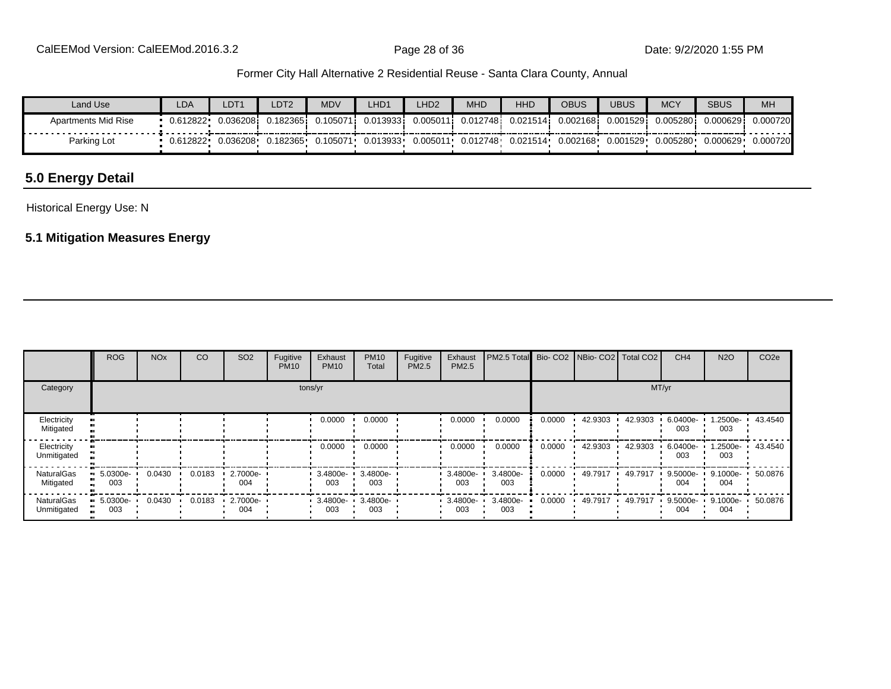| Land Use            | LDA       | LDT <sup>1</sup> | LDT2      | <b>MDV</b> | LHD1     | LHD <sub>2</sub>   | <b>MHD</b> | <b>HHD</b> | OBUS      | <b>UBUS</b> | <b>MCY</b> | <b>SBUS</b> | MH       |
|---------------------|-----------|------------------|-----------|------------|----------|--------------------|------------|------------|-----------|-------------|------------|-------------|----------|
| Apartments Mid Rise | 0.612822  | 0.036208i        | 0.1823651 | 0.105071   | 0.013933 | 0.00501 $^{\circ}$ | 0.0127481  | 0.021514   | 0.0021681 | 0.001529    | 0.005280   | 0.000629i   | 0.000720 |
| Parking Lot         | ∪.612822∙ | 1.036208         | 0.182365  | 0.105071   | 0.013933 | 0.005011           | 0.012748   | 0.021514   | 0.002168  | 0.001529    | 0.005280   | 0.000629    | 0.000720 |

# **5.0 Energy Detail**

Historical Energy Use: N

# **5.1 Mitigation Measures Energy**

|                            | <b>ROG</b>         | <b>NO<sub>x</sub></b> | CO     | SO <sub>2</sub> | Fugitive<br><b>PM10</b> | Exhaust<br><b>PM10</b> | <b>PM10</b><br>Total | Fugitive<br>PM2.5 | Exhaust<br>PM2.5   | PM2.5 Total Bio- CO2 NBio- CO2 Total CO2 |        |         |         | CH <sub>4</sub> | <b>N2O</b>      | CO <sub>2e</sub> |
|----------------------------|--------------------|-----------------------|--------|-----------------|-------------------------|------------------------|----------------------|-------------------|--------------------|------------------------------------------|--------|---------|---------|-----------------|-----------------|------------------|
| Category                   |                    |                       |        |                 |                         | tons/yr                |                      |                   |                    |                                          |        |         |         | MT/yr           |                 |                  |
| Electricity<br>Mitigated   |                    |                       |        |                 |                         | 0.0000                 | 0.0000               |                   | 0.0000             | 0.0000                                   | 0.0000 | 42.9303 | 42.9303 | 6.0400e-<br>003 | -2500e.<br>003  | 43.4540          |
| Electricity<br>Unmitigated |                    |                       |        |                 |                         | 0.0000                 | 0.0000               |                   | 0.0000             | 0.0000                                   | 0.0000 | 42.9303 | 42.9303 | 6.0400e-<br>003 | -2500e.<br>003  | 43.4540          |
| NaturalGas<br>Mitigated    | $-5.0300e-$<br>003 | 0.0430                | 0.0183 | 2.7000e-<br>004 |                         | 3.4800e-<br>003        | 3.4800e-<br>003      |                   | 3.4800e-<br>003    | 3.4800e-<br>003                          | 0.0000 | 49.7917 | 49.7917 | 9.5000e-<br>004 | 9.1000e-<br>004 | 50.0876          |
| NaturalGas<br>Unmitigated  | $-5.0300e-$<br>003 | 0.0430                | 0.0183 | 2.7000e-<br>004 |                         | 3.4800e-<br>003        | 3.4800e-<br>003      |                   | $-3.4800e-$<br>003 | 3.4800e-<br>003                          | 0.0000 | 49.7917 | 49.7917 | 9.5000e-<br>004 | 9.1000e-<br>004 | 50.0876          |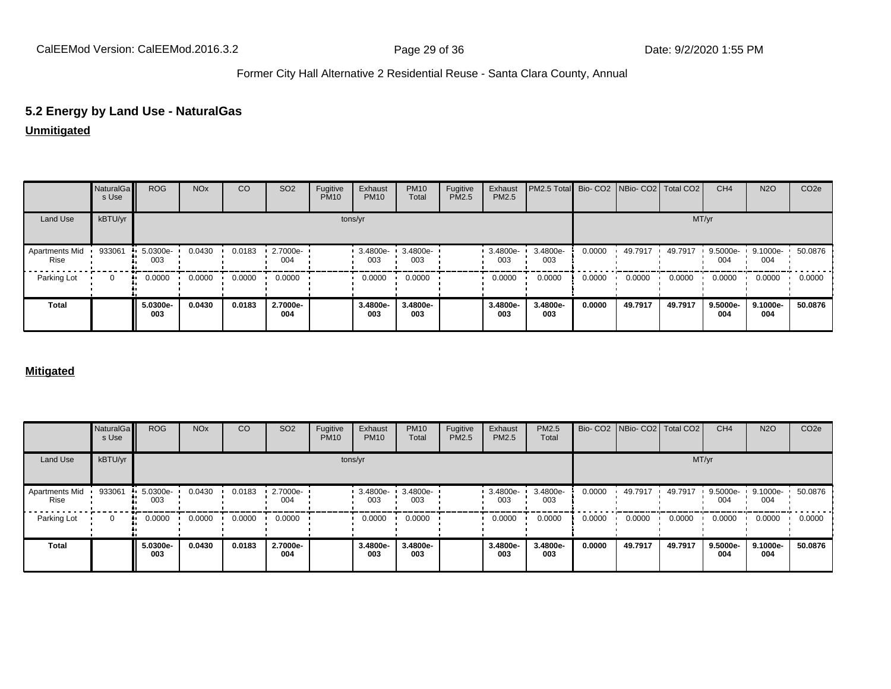# **5.2 Energy by Land Use - NaturalGas**

**Unmitigated**

|                        | NaturalGa<br>s Use | <b>ROG</b>              | <b>NO<sub>x</sub></b> | CO     | SO <sub>2</sub> | Fugitive<br><b>PM10</b> | Exhaust<br><b>PM10</b> | <b>PM10</b><br>Total | Fugitive<br>PM2.5 | Exhaust<br>PM2.5 | PM2.5 Total Bio- CO2 NBio- CO2 Total CO2 |        |         |         | CH <sub>4</sub> | <b>N2O</b>                | CO <sub>2e</sub> |
|------------------------|--------------------|-------------------------|-----------------------|--------|-----------------|-------------------------|------------------------|----------------------|-------------------|------------------|------------------------------------------|--------|---------|---------|-----------------|---------------------------|------------------|
| Land Use               | kBTU/yr            |                         |                       |        |                 |                         | tons/yr                |                      |                   |                  |                                          |        |         | MT/yr   |                 |                           |                  |
| Apartments Mid<br>Rise | 933061             | $\cdot$ 5.0300e-<br>003 | 0.0430                | 0.0183 | 2.7000e-<br>004 |                         | 3.4800e-<br>003        | 3.4800e-<br>003      |                   | 3.4800e-<br>003  | 3.4800e-<br>003                          | 0.0000 | 49.7917 | 49.7917 | 9.5000e-<br>004 | 9.1000e- 1 50.0876<br>004 |                  |
| Parking Lot            | $\Omega$           | 0.0000<br>٠.            | 0.0000                | 0.0000 | 0.0000          |                         | 0.0000                 | 0.0000               |                   | 0.0000           | 0.0000                                   | 0.0000 | 0.0000  | 0.0000  | 0.0000          | 0.0000                    | 0.0000           |
| <b>Total</b>           |                    | 5.0300e-<br>003         | 0.0430                | 0.0183 | 2.7000e-<br>004 |                         | 3.4800e-<br>003        | 3.4800e-<br>003      |                   | 3.4800e-<br>003  | 3.4800e-<br>003                          | 0.0000 | 49.7917 | 49.7917 | 9.5000e-<br>004 | 9.1000e-<br>004           | 50.0876          |

#### **Mitigated**

|                               | NaturalGa<br>s Use | <b>ROG</b>      | <b>NO<sub>x</sub></b> | CO     | SO <sub>2</sub> | Fugitive<br><b>PM10</b> | Exhaust<br><b>PM10</b> | <b>PM10</b><br>Total | Fugitive<br>PM2.5 | Exhaust<br>PM2.5 | PM2.5<br>Total  |        |         | Bio- CO2   NBio- CO2   Total CO2 | CH <sub>4</sub> | <b>N2O</b>      | CO <sub>2</sub> e |
|-------------------------------|--------------------|-----------------|-----------------------|--------|-----------------|-------------------------|------------------------|----------------------|-------------------|------------------|-----------------|--------|---------|----------------------------------|-----------------|-----------------|-------------------|
| Land Use                      | kBTU/yr            |                 |                       |        |                 |                         | tons/yr                |                      |                   |                  |                 |        |         | MT/yr                            |                 |                 |                   |
| <b>Apartments Mid</b><br>Rise | 933061<br>л.       | 5.0300e-<br>003 | 0.0430                | 0.0183 | 2.7000e-<br>004 |                         | 3.4800e-<br>003        | 3.4800e-<br>003      |                   | 3.4800e-<br>003  | 3.4800e-<br>003 | 0.0000 | 49.7917 | 49.7917                          | 9.5000e-<br>004 | 9.1000e-<br>004 | 50.0876           |
| Parking Lot                   | $\Omega$<br>ш.     | 0.0000          | 0.0000                | 0.0000 | 0.0000          |                         | 0.0000                 | 0.0000               |                   | 0.0000           | 0.0000          | 0.0000 | 0.0000  | 0.0000                           | 0.0000          | 0.0000          | 0.0000            |
| Total                         |                    | 5.0300e-<br>003 | 0.0430                | 0.0183 | 2.7000e-<br>004 |                         | 3.4800e-<br>003        | 3.4800e-<br>003      |                   | 3.4800e-<br>003  | 3.4800e-<br>003 | 0.0000 | 49.7917 | 49.7917                          | 9.5000e-<br>004 | 9.1000e-<br>004 | 50.0876           |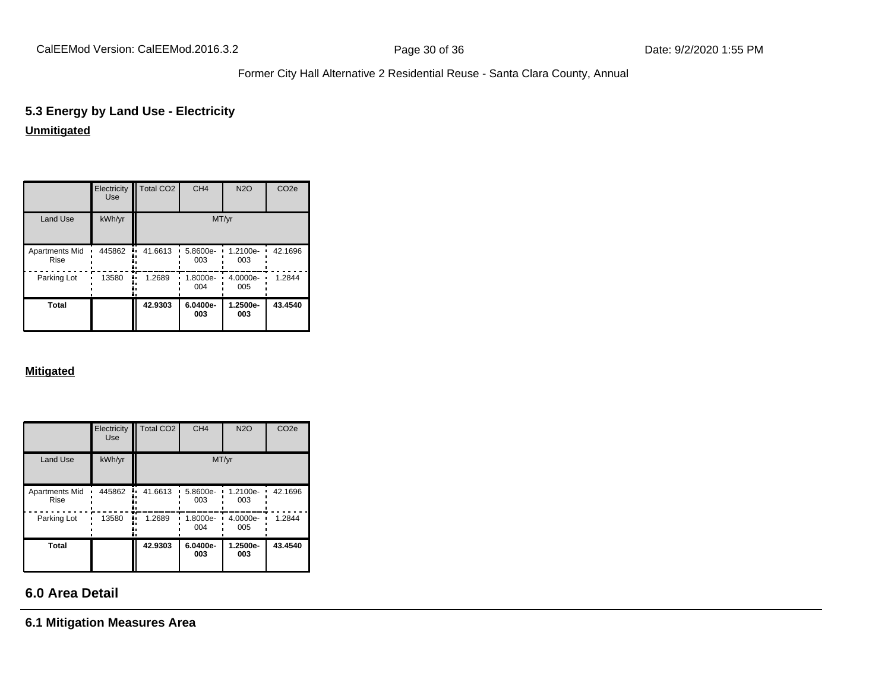# **5.3 Energy by Land Use - Electricity**

# **Unmitigated**

|                                      | Electricity<br><b>Use</b> | Total CO <sub>2</sub> | CH <sub>4</sub> | <b>N2O</b>      | CO <sub>2e</sub> |
|--------------------------------------|---------------------------|-----------------------|-----------------|-----------------|------------------|
| <b>Land Use</b>                      | kWh/yr                    |                       |                 | MT/yr           |                  |
| <b>Apartments Mid</b><br><b>Rise</b> | 445862                    | 41.6613<br>٠.         | 5.8600e-<br>003 | 1.2100e-<br>003 | 42.1696          |
| Parking Lot                          | 13580                     | 1.2689                | 1.8000e-<br>004 | 4.0000e-<br>005 | 1.2844           |
| <b>Total</b>                         |                           | 42.9303               | 6.0400e-<br>003 | 1.2500e-<br>003 | 43.4540          |

#### **Mitigated**

|                                      | Electricity<br><b>Use</b> | <b>Total CO2</b> | CH <sub>4</sub> | <b>N2O</b>      | CO <sub>2e</sub> |
|--------------------------------------|---------------------------|------------------|-----------------|-----------------|------------------|
| <b>Land Use</b>                      | kWh/yr                    |                  |                 | MT/yr           |                  |
| <b>Apartments Mid</b><br><b>Rise</b> | 445862                    | 41.6613          | 5.8600e-<br>003 | 1.2100e-<br>003 | 42.1696          |
| Parking Lot                          | 13580                     | 1.2689           | 1.8000e-<br>004 | 4.0000e-<br>005 | 1.2844           |
| Total                                |                           | 42.9303          | 6.0400e-<br>003 | 1.2500e-<br>003 | 43.4540          |

# **6.0 Area Detail**

**6.1 Mitigation Measures Area**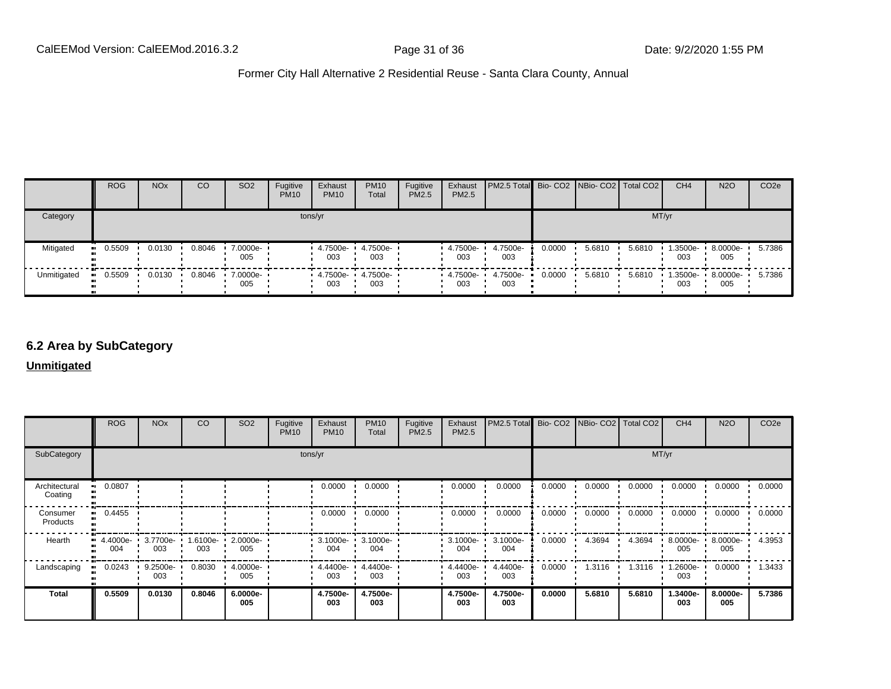|             | <b>ROG</b> | <b>NO<sub>x</sub></b> | CO     | SO <sub>2</sub> | Fugitive<br><b>PM10</b> | Exhaust<br><b>PM10</b> | <b>PM10</b><br>Total | Fugitive<br>PM2.5 | Exhaust<br>PM2.5 | PM2.5 Total  Bio- CO2   NBio- CO2   Total CO2 |        |        |        | CH <sub>4</sub> | <b>N2O</b>      | CO <sub>2e</sub> |
|-------------|------------|-----------------------|--------|-----------------|-------------------------|------------------------|----------------------|-------------------|------------------|-----------------------------------------------|--------|--------|--------|-----------------|-----------------|------------------|
| Category    |            |                       |        |                 | tons/yr                 |                        |                      |                   |                  |                                               |        |        |        | MT/yr           |                 |                  |
| Mitigated   | 0.5509     | 0.0130                | 0.8046 | 7.0000e-<br>005 |                         | 4.7500e-<br>003        | 4.7500e-<br>003      |                   | 4.7500e-<br>003  | 4.7500e-<br>003                               | 0.0000 | 5.6810 | 5.6810 | 1.3500e-<br>003 | 8.0000e-<br>005 | 5.7386           |
| Unmitigated | 0.5509     | 0.0130                | 0.8046 | 7.0000e-<br>005 |                         | 4.7500e-<br>003        | 4.7500e-<br>003      |                   | 4.7500e-<br>003  | 4.7500e-<br>003                               | 0.0000 | 5.6810 | 5.6810 | 1.3500e-<br>003 | 8.0000e-<br>005 | 5.7386           |

# **6.2 Area by SubCategory**

**Unmitigated**

|                          | <b>ROG</b>      | <b>NO<sub>x</sub></b> | CO              | SO <sub>2</sub> | Fugitive<br><b>PM10</b> | Exhaust<br><b>PM10</b>     | <b>PM10</b><br>Total     | Fugitive<br>PM2.5 | Exhaust<br>PM2.5 | PM2.5 Total Bio- CO2 NBio- CO2 Total CO2 |        |        |        | CH <sub>4</sub> | <b>N2O</b>      | CO <sub>2e</sub> |
|--------------------------|-----------------|-----------------------|-----------------|-----------------|-------------------------|----------------------------|--------------------------|-------------------|------------------|------------------------------------------|--------|--------|--------|-----------------|-----------------|------------------|
| SubCategory              |                 |                       |                 |                 |                         | tons/yr                    |                          |                   |                  |                                          |        |        | MT/yr  |                 |                 |                  |
| Architectural<br>Coating | 0.0807          |                       |                 |                 |                         | 0.0000                     | 0.0000                   |                   | 0.0000           | 0.0000                                   | 0.0000 | 0.0000 | 0.0000 | 0.0000          | 0.0000          | 0.0000           |
| Consumer<br>Products     | 0.4455          |                       |                 |                 |                         | 0.0000                     | 0.0000                   |                   | 0.0000           | 0.0000                                   | 0.0000 | 0.0000 | 0.0000 | 0.0000          | 0.0000          | 0.0000           |
| Hearth                   | 4.4000e-<br>004 | 3.7700e-<br>003       | 1.6100e-<br>003 | 2.0000e-<br>005 |                         | 3.1000e- 1 3.1000e-<br>004 | 004                      |                   | 3.1000e-<br>004  | 3.1000e-<br>004                          | 0.0000 | 4.3694 | 4.3694 | 8.0000e-<br>005 | 8.0000e-<br>005 | 4.3953           |
| Landscaping              | 0.0243          | 9.2500e-<br>003       | 0.8030          | 4.0000e-<br>005 |                         | 003                        | 4.4400e- 4.4400e-<br>003 |                   | 4.4400e-<br>003  | 4.4400e-<br>003                          | 0.0000 | 1.3116 | 1.3116 | .2600e-<br>003  | 0.0000          | 1.3433           |
| <b>Total</b>             | 0.5509          | 0.0130                | 0.8046          | 6.0000e-<br>005 |                         | 4.7500e-<br>003            | 4.7500e-<br>003          |                   | 4.7500e-<br>003  | 4.7500e-<br>003                          | 0.0000 | 5.6810 | 5.6810 | 1.3400e-<br>003 | 8.0000e-<br>005 | 5.7386           |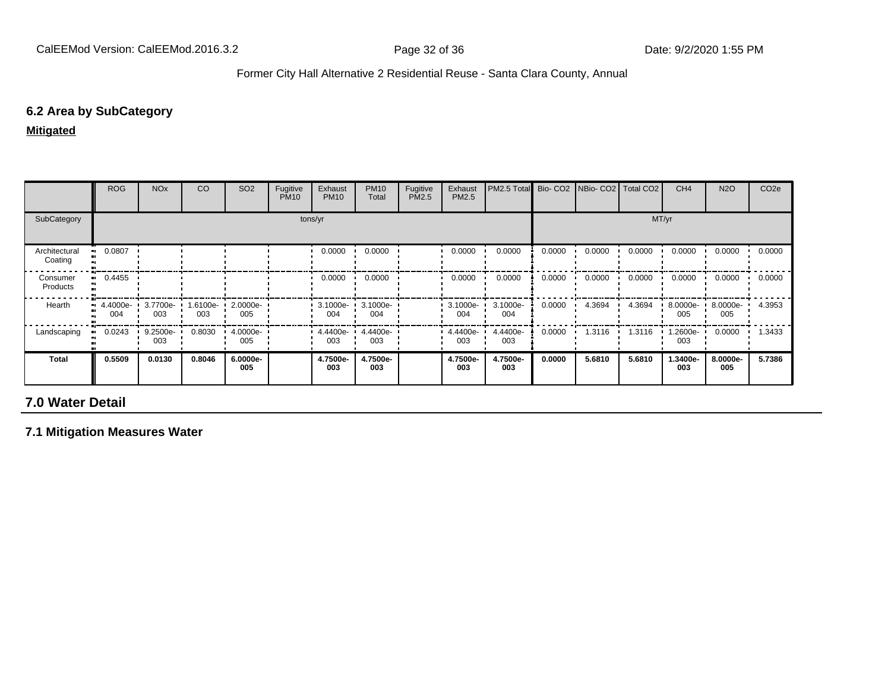# **6.2 Area by SubCategory**

**Mitigated**

|                          | <b>ROG</b>                                    | <b>NO<sub>x</sub></b> | CO              | SO <sub>2</sub>    | Fugitive<br><b>PM10</b> | Exhaust<br><b>PM10</b> | <b>PM10</b><br>Total       | Fugitive<br>PM2.5 | Exhaust<br>PM2.5 | PM2.5 Total     |        | Bio- CO2   NBio- CO2   Total CO2 |        | CH <sub>4</sub> | <b>N2O</b>      | CO <sub>2</sub> e |
|--------------------------|-----------------------------------------------|-----------------------|-----------------|--------------------|-------------------------|------------------------|----------------------------|-------------------|------------------|-----------------|--------|----------------------------------|--------|-----------------|-----------------|-------------------|
| SubCategory              |                                               |                       |                 |                    |                         | tons/yr                |                            |                   |                  |                 |        |                                  |        | MT/yr           |                 |                   |
| Architectural<br>Coating | 0.0807                                        |                       |                 |                    |                         | 0.0000                 | 0.0000                     |                   | 0.0000           | 0.0000          | 0.0000 | 0.0000                           | 0.0000 | 0.0000          | 0.0000          | 0.0000            |
| Consumer<br>Products     | 0.4455                                        |                       |                 |                    |                         | 0.0000                 | 0.0000                     |                   | 0.0000           | 0.0000          | 0.0000 | 0.0000                           | 0.0000 | 0.0000          | 0.0000          | 0.0000            |
| Hearth                   | $\blacksquare$ 4.4000e- $\blacksquare$<br>004 | 3.7700e-<br>003       | 1.6100e-<br>003 | $2.0000e -$<br>005 |                         | 004                    | $3.1000e - 3.1000e$<br>004 |                   | 3.1000e-<br>004  | 3.1000e-<br>004 | 0.0000 | 4.3694                           | 4.3694 | 8.0000e-<br>005 | 8.0000e-<br>005 | 4.3953            |
| Landscaping              | 0.0243                                        | 9.2500e-<br>003       | 0.8030          | $4.0000e -$<br>005 |                         | 4.4400e-<br>003        | 4.4400e-<br>003            |                   | 4.4400e-<br>003  | 4.4400e-<br>003 | 0.0000 | 1.3116                           | 1.3116 | 1.2600e-<br>003 | 0.0000          | 1.3433            |
| Total                    | 0.5509                                        | 0.0130                | 0.8046          | 6.0000e-<br>005    |                         | 4.7500e-<br>003        | 4.7500e-<br>003            |                   | 4.7500e-<br>003  | 4.7500e-<br>003 | 0.0000 | 5.6810                           | 5.6810 | 1.3400e-<br>003 | 8.0000e-<br>005 | 5.7386            |

# **7.0 Water Detail**

**7.1 Mitigation Measures Water**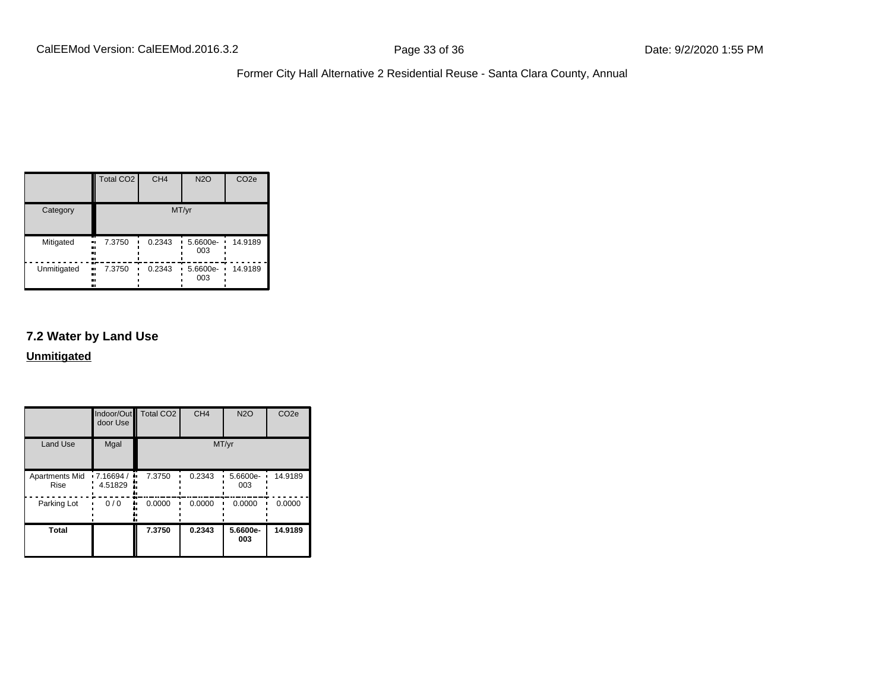|             | <b>Total CO2</b>           | CH <sub>4</sub> | <b>N2O</b>      | CO <sub>2e</sub> |
|-------------|----------------------------|-----------------|-----------------|------------------|
| Category    |                            |                 | MT/yr           |                  |
| Mitigated   | 7.3750<br>.,<br><br>       | 0.2343          | 5.6600e-<br>003 | 14.9189          |
| Unmitigated | 7.3750<br>.,<br><br>.,<br> | 0.2343          | 5.6600e-<br>003 | 14.9189          |

# **7.2 Water by Land Use**

**Unmitigated**

|                               | door Use             | Indoor/Out Total CO2 | CH <sub>4</sub> | <b>N2O</b>      | CO <sub>2e</sub> |
|-------------------------------|----------------------|----------------------|-----------------|-----------------|------------------|
| <b>Land Use</b>               | Mgal                 |                      |                 | MT/yr           |                  |
| <b>Apartments Mid</b><br>Rise | .7.16694/<br>4.51829 | 7.3750               | 0.2343          | 5.6600e-<br>003 | 14.9189          |
| Parking Lot                   | 0/0                  | 0.0000               | 0.0000          | 0.0000          | 0.0000           |
| <b>Total</b>                  |                      | 7.3750               | 0.2343          | 5.6600e-<br>003 | 14.9189          |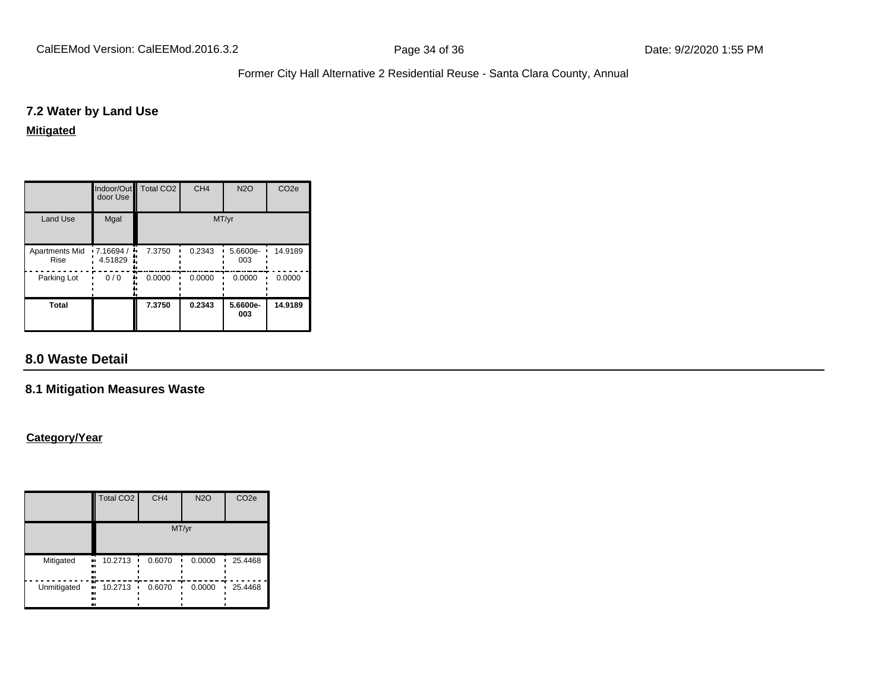### **7.2 Water by Land Use**

#### **Mitigated**

|                               | door Use                     | Indoor/Out Total CO2 | CH <sub>4</sub> | <b>N2O</b>      | CO <sub>2e</sub> |
|-------------------------------|------------------------------|----------------------|-----------------|-----------------|------------------|
| <b>Land Use</b>               | Mgal                         |                      |                 | MT/yr           |                  |
| <b>Apartments Mid</b><br>Rise | $\cdot$ 7.16694 /<br>4.51829 | 7.3750               | 0.2343          | 5.6600e-<br>003 | 14.9189          |
| Parking Lot                   | 0/0                          | 0.0000               | 0.0000          | 0.0000          | 0.0000           |
| <b>Total</b>                  |                              | 7.3750               | 0.2343          | 5.6600e-<br>003 | 14.9189          |

# **8.0 Waste Detail**

### **8.1 Mitigation Measures Waste**

### **Category/Year**

|             | <b>Total CO2</b>                             | CH <sub>4</sub> | <b>N2O</b> | CO <sub>2e</sub> |
|-------------|----------------------------------------------|-----------------|------------|------------------|
|             |                                              |                 | MT/yr      |                  |
| Mitigated   | 10.2713<br>$\bullet$<br><br><br>             | 0.6070          | 0.0000     | 25.4468          |
| Unmitigated | œ<br>10.2713<br>$\bullet\bullet$<br><br><br> | 0.6070          | 0.0000     | 25.4468          |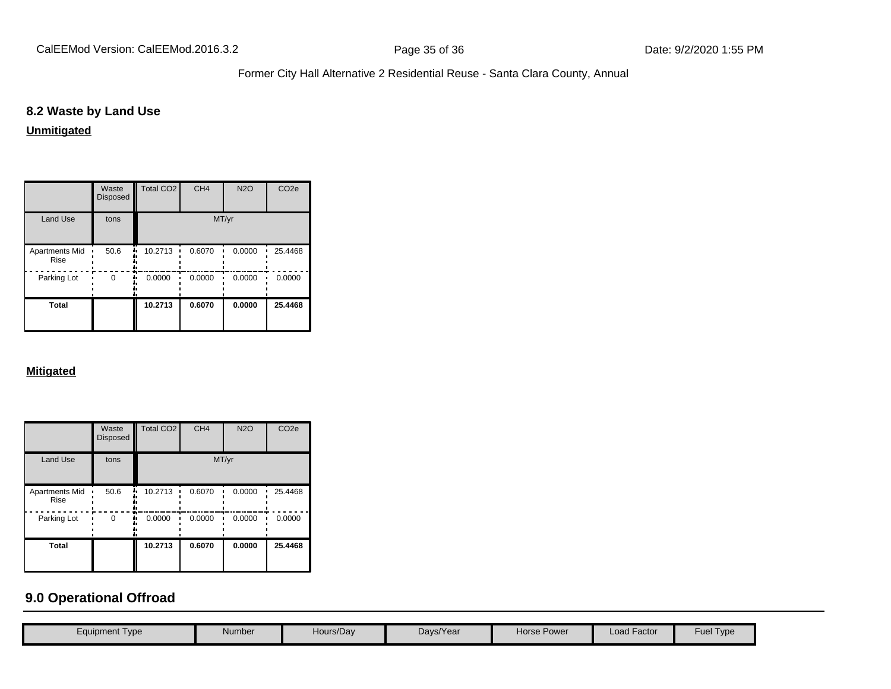# **8.2 Waste by Land Use**

**Unmitigated**

|                               | Waste<br><b>Disposed</b> | Total CO <sub>2</sub> | CH <sub>4</sub> | <b>N2O</b> | CO <sub>2e</sub> |
|-------------------------------|--------------------------|-----------------------|-----------------|------------|------------------|
| <b>Land Use</b>               | tons                     |                       |                 | MT/yr      |                  |
| <b>Apartments Mid</b><br>Rise | 50.6                     | 10.2713               | 0.6070          | 0.0000     | 25.4468          |
| Parking Lot                   | $\Omega$                 | 0.0000                | 0.0000          | 0.0000     | 0.0000           |
| <b>Total</b>                  |                          | 10.2713               | 0.6070          | 0.0000     | 25.4468          |

#### **Mitigated**

|                               | Waste<br><b>Disposed</b> | Total CO <sub>2</sub> | CH <sub>4</sub> | <b>N2O</b> | CO <sub>2e</sub> |
|-------------------------------|--------------------------|-----------------------|-----------------|------------|------------------|
| <b>Land Use</b>               | tons                     |                       | MT/yr           |            |                  |
| <b>Apartments Mid</b><br>Rise | 50.6                     | 10.2713               | 0.6070          | 0.0000     | 25.4468          |
| Parking Lot                   | 0                        | 0.0000                | 0.0000          | 0.0000     | 0.0000           |
| <b>Total</b>                  |                          | 10.2713               | 0.6070          | 0.0000     | 25.4468          |

# **9.0 Operational Offroad**

| Equipment Type | Number | Hours/Day | Days/Year | <b>Horse Power</b> | Load Factor | Fuel Type |
|----------------|--------|-----------|-----------|--------------------|-------------|-----------|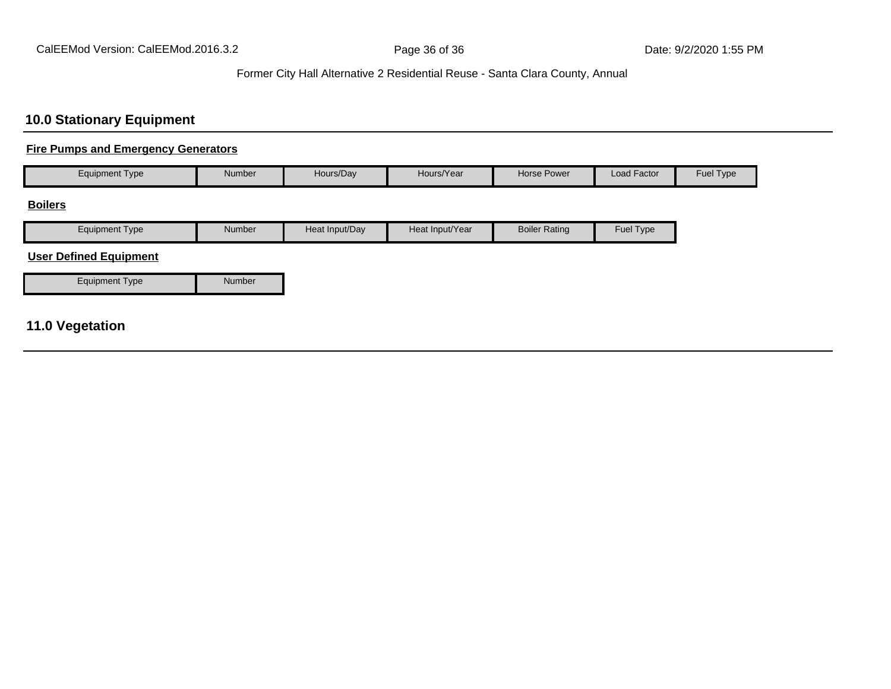# **10.0 Stationary Equipment**

## **Fire Pumps and Emergency Generators**

| <b>Equipment Type</b> | <b>Number</b> | Hours/Day      | Hours/Year      | Horse Power          | Load Factor | Fuel Type |
|-----------------------|---------------|----------------|-----------------|----------------------|-------------|-----------|
| <b>Boilers</b>        |               |                |                 |                      |             |           |
| <b>Equipment Type</b> | <b>Number</b> | Heat Input/Day | Heat Input/Year | <b>Boiler Rating</b> | Fuel Type   |           |

## **User Defined Equipment**

| Equipment Type | Number |
|----------------|--------|

# **11.0 Vegetation**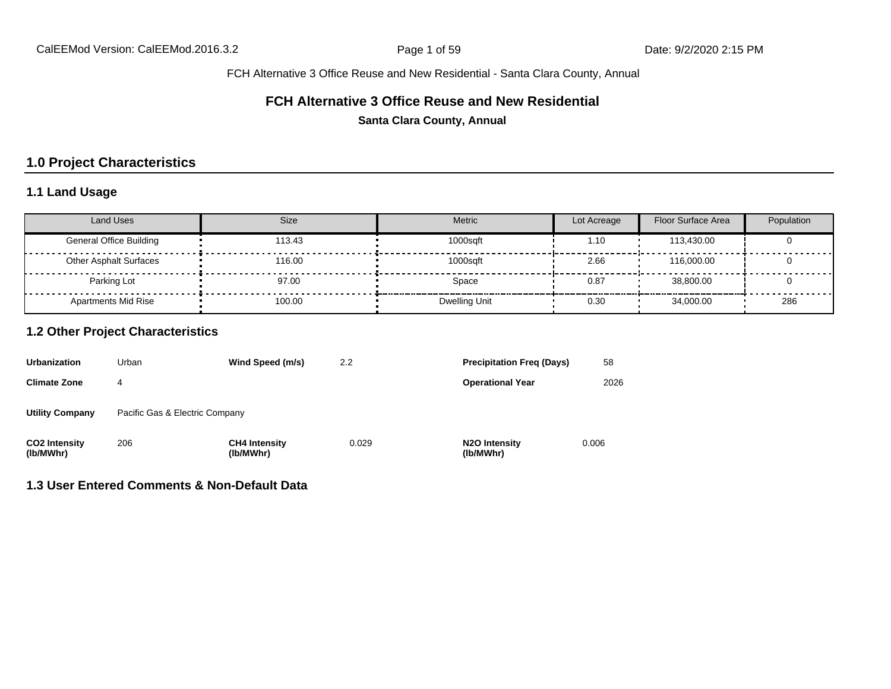FCH Alternative 3 Office Reuse and New Residential - Santa Clara County, Annual

#### **FCH Alternative 3 Office Reuse and New Residential**

**Santa Clara County, Annual**

# **1.0 Project Characteristics**

# **1.1 Land Usage**

| <b>Land Uses</b>               | Size   | Metric        | Lot Acreage | Floor Surface Area | Population |
|--------------------------------|--------|---------------|-------------|--------------------|------------|
| <b>General Office Building</b> | 113.43 | 1000sqft      | 1.10        | 113.430.00         |            |
| <b>Other Asphalt Surfaces</b>  | 116.00 | 1000sqft      | 2.66        | 116,000,00         |            |
| Parking Lot                    | 97.00  | Space         | 0.87        | 38,800.00          |            |
| <b>Apartments Mid Rise</b>     | 100.00 | Dwelling Unit | 0.30        | 34.000.00          | 286        |

### **1.2 Other Project Characteristics**

| <b>Urbanization</b>               | Urban                          | Wind Speed (m/s)                  | 2.2   | <b>Precipitation Freg (Days)</b>        | 58    |
|-----------------------------------|--------------------------------|-----------------------------------|-------|-----------------------------------------|-------|
| <b>Climate Zone</b>               | 4                              |                                   |       | <b>Operational Year</b>                 | 2026  |
| <b>Utility Company</b>            | Pacific Gas & Electric Company |                                   |       |                                         |       |
| <b>CO2 Intensity</b><br>(lb/MWhr) | 206                            | <b>CH4 Intensity</b><br>(lb/MWhr) | 0.029 | N <sub>2</sub> O Intensity<br>(lb/MWhr) | 0.006 |

**1.3 User Entered Comments & Non-Default Data**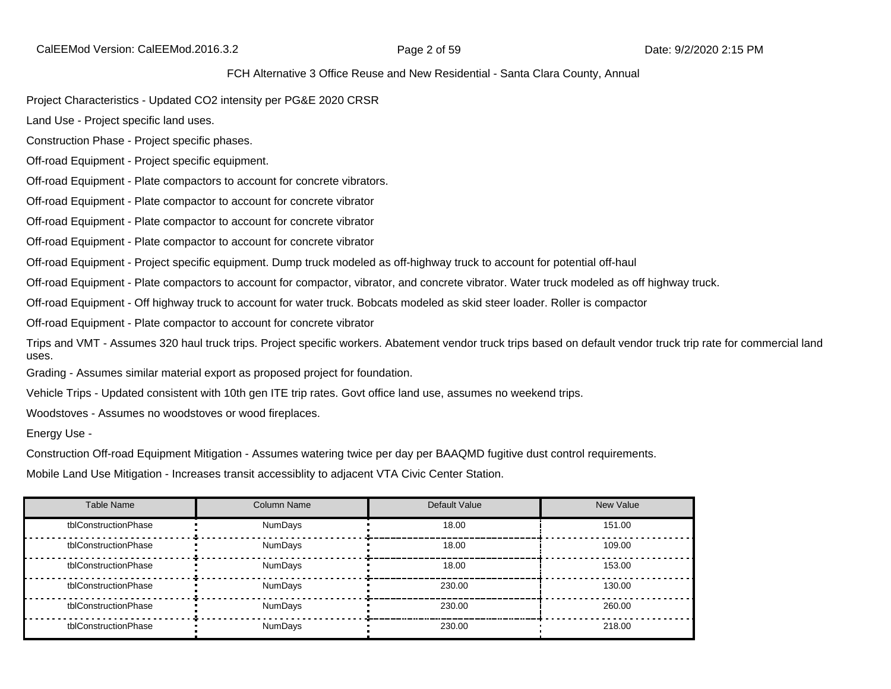CalEEMod Version: CalEEMod.2016.3.2 **Page 2 of 59 Date: 9/2/2020 2:15 PM** 

FCH Alternative 3 Office Reuse and New Residential - Santa Clara County, Annual

Project Characteristics - Updated CO2 intensity per PG&E 2020 CRSR

Land Use - Project specific land uses.

Construction Phase - Project specific phases.

Off-road Equipment - Project specific equipment.

Off-road Equipment - Plate compactors to account for concrete vibrators.

Off-road Equipment - Plate compactor to account for concrete vibrator

Off-road Equipment - Plate compactor to account for concrete vibrator

Off-road Equipment - Plate compactor to account for concrete vibrator

Off-road Equipment - Project specific equipment. Dump truck modeled as off-highway truck to account for potential off-haul

Off-road Equipment - Plate compactors to account for compactor, vibrator, and concrete vibrator. Water truck modeled as off highway truck.

Off-road Equipment - Off highway truck to account for water truck. Bobcats modeled as skid steer loader. Roller is compactor

Off-road Equipment - Plate compactor to account for concrete vibrator

Trips and VMT - Assumes 320 haul truck trips. Project specific workers. Abatement vendor truck trips based on default vendor truck trip rate for commercial land uses.

Grading - Assumes similar material export as proposed project for foundation.

Vehicle Trips - Updated consistent with 10th gen ITE trip rates. Govt office land use, assumes no weekend trips.

Woodstoves - Assumes no woodstoves or wood fireplaces.

Energy Use -

Construction Off-road Equipment Mitigation - Assumes watering twice per day per BAAQMD fugitive dust control requirements.

Mobile Land Use Mitigation - Increases transit accessiblity to adjacent VTA Civic Center Station.

| <b>Table Name</b>    | <b>Column Name</b> | Default Value | New Value |
|----------------------|--------------------|---------------|-----------|
| tblConstructionPhase | NumDays            | 18.00         | 151.00    |
| tblConstructionPhase | NumDays            | 18.00         | 109.00    |
| tblConstructionPhase | <b>NumDavs</b>     | 18.00         | 153.00    |
| tblConstructionPhase | NumDays            | 230.00        | 130.00    |
| tblConstructionPhase | NumDays            | 230.00        | 260.00    |
| tblConstructionPhase | <b>NumDavs</b>     | 230.00        | 218.00    |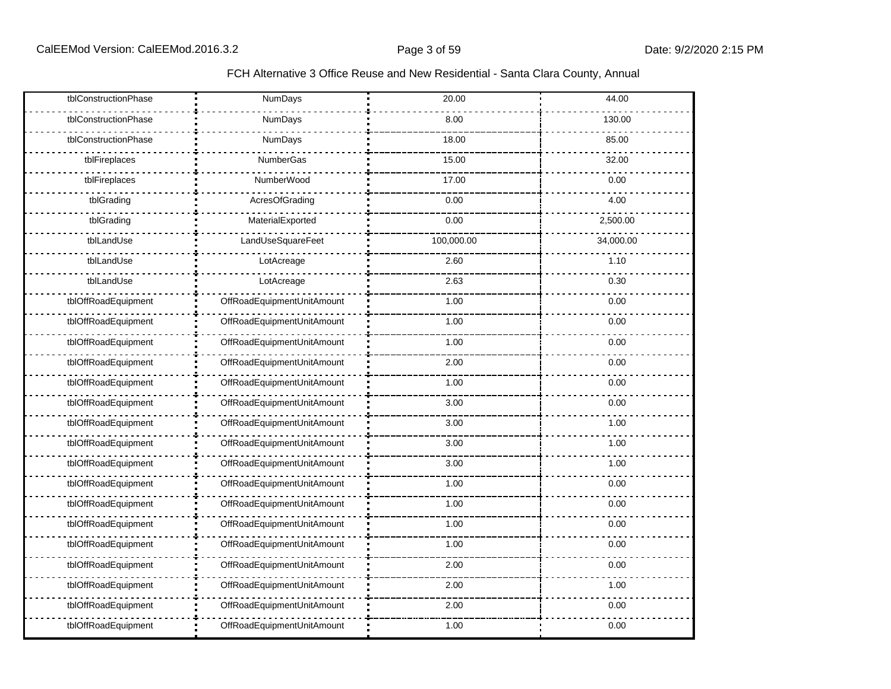### FCH Alternative 3 Office Reuse and New Residential - Santa Clara County, Annual

| tblConstructionPhase | <b>NumDays</b>             | 20.00      | 44.00     |
|----------------------|----------------------------|------------|-----------|
| tblConstructionPhase | NumDays                    | 8.00       | 130.00    |
| tblConstructionPhase | NumDays                    | 18.00      | 85.00     |
| tblFireplaces        | NumberGas                  | 15.00      | 32.00     |
| tblFireplaces        | NumberWood                 | 17.00      | 0.00      |
| tblGrading           | AcresOfGrading             | 0.00       | 4.00      |
| tblGrading           | MaterialExported           | 0.00       | 2,500.00  |
| tblLandUse           | LandUseSquareFeet          | 100,000.00 | 34,000.00 |
| tblLandUse           | LotAcreage                 | 2.60       | 1.10      |
| tblLandUse           | LotAcreage                 | 2.63       | 0.30      |
| tblOffRoadEquipment  | OffRoadEquipmentUnitAmount | 1.00       | 0.00      |
| tblOffRoadEquipment  | OffRoadEquipmentUnitAmount | 1.00       | 0.00      |
| tblOffRoadEquipment  | OffRoadEquipmentUnitAmount | 1.00       | 0.00      |
| tblOffRoadEquipment  | OffRoadEquipmentUnitAmount | 2.00       | 0.00      |
| tblOffRoadEquipment  | OffRoadEquipmentUnitAmount | 1.00       | 0.00      |
| tblOffRoadEquipment  | OffRoadEquipmentUnitAmount | 3.00       | 0.00      |
| tblOffRoadEquipment  | OffRoadEquipmentUnitAmount | 3.00       | 1.00      |
| tblOffRoadEquipment  | OffRoadEquipmentUnitAmount | 3.00       | 1.00      |
| tblOffRoadEquipment  | OffRoadEquipmentUnitAmount | 3.00       | 1.00      |
| tblOffRoadEquipment  | OffRoadEquipmentUnitAmount | 1.00       | 0.00      |
| tblOffRoadEquipment  | OffRoadEquipmentUnitAmount | 1.00       | 0.00      |
| tblOffRoadEquipment  | OffRoadEquipmentUnitAmount | 1.00       | 0.00      |
| tblOffRoadEquipment  | OffRoadEquipmentUnitAmount | 1.00       | 0.00      |
| tblOffRoadEquipment  | OffRoadEquipmentUnitAmount | 2.00       | 0.00      |
| tblOffRoadEquipment  | OffRoadEquipmentUnitAmount | 2.00       | 1.00      |
| tblOffRoadEquipment  | OffRoadEquipmentUnitAmount | 2.00       | 0.00      |
| tblOffRoadEquipment  | OffRoadEquipmentUnitAmount | 1.00       | 0.00      |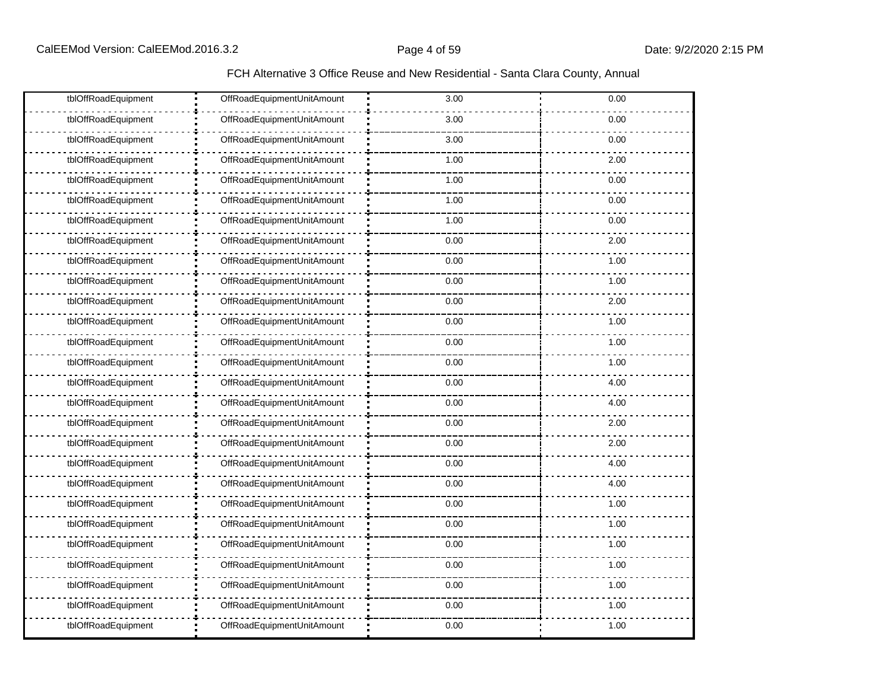| tblOffRoadEquipment | OffRoadEquipmentUnitAmount | 3.00 | 0.00 |
|---------------------|----------------------------|------|------|
| tblOffRoadEquipment | OffRoadEquipmentUnitAmount | 3.00 | 0.00 |
| tblOffRoadEquipment | OffRoadEquipmentUnitAmount | 3.00 | 0.00 |
| tblOffRoadEquipment | OffRoadEquipmentUnitAmount | 1.00 | 2.00 |
| tblOffRoadEquipment | OffRoadEquipmentUnitAmount | 1.00 | 0.00 |
| tblOffRoadEquipment | OffRoadEquipmentUnitAmount | 1.00 | 0.00 |
| tblOffRoadEquipment | OffRoadEquipmentUnitAmount | 1.00 | 0.00 |
| tblOffRoadEquipment | OffRoadEquipmentUnitAmount | 0.00 | 2.00 |
| tblOffRoadEquipment | OffRoadEquipmentUnitAmount | 0.00 | 1.00 |
| tblOffRoadEquipment | OffRoadEquipmentUnitAmount | 0.00 | 1.00 |
| tblOffRoadEquipment | OffRoadEquipmentUnitAmount | 0.00 | 2.00 |
| tblOffRoadEquipment | OffRoadEquipmentUnitAmount | 0.00 | 1.00 |
| tblOffRoadEquipment | OffRoadEquipmentUnitAmount | 0.00 | 1.00 |
| tblOffRoadEquipment | OffRoadEquipmentUnitAmount | 0.00 | 1.00 |
| tblOffRoadEquipment | OffRoadEquipmentUnitAmount | 0.00 | 4.00 |
| tblOffRoadEquipment | OffRoadEquipmentUnitAmount | 0.00 | 4.00 |
| tblOffRoadEquipment | OffRoadEquipmentUnitAmount | 0.00 | 2.00 |
| tblOffRoadEquipment | OffRoadEquipmentUnitAmount | 0.00 | 2.00 |
| tblOffRoadEquipment | OffRoadEquipmentUnitAmount | 0.00 | 4.00 |
| tblOffRoadEquipment | OffRoadEquipmentUnitAmount | 0.00 | 4.00 |
| tblOffRoadEquipment | OffRoadEquipmentUnitAmount | 0.00 | 1.00 |
| tblOffRoadEquipment | OffRoadEquipmentUnitAmount | 0.00 | 1.00 |
| tblOffRoadEquipment | OffRoadEquipmentUnitAmount | 0.00 | 1.00 |
| tblOffRoadEquipment | OffRoadEquipmentUnitAmount | 0.00 | 1.00 |
| tblOffRoadEquipment | OffRoadEquipmentUnitAmount | 0.00 | 1.00 |
| tblOffRoadEquipment | OffRoadEquipmentUnitAmount | 0.00 | 1.00 |
| tblOffRoadEquipment | OffRoadEquipmentUnitAmount | 0.00 | 1.00 |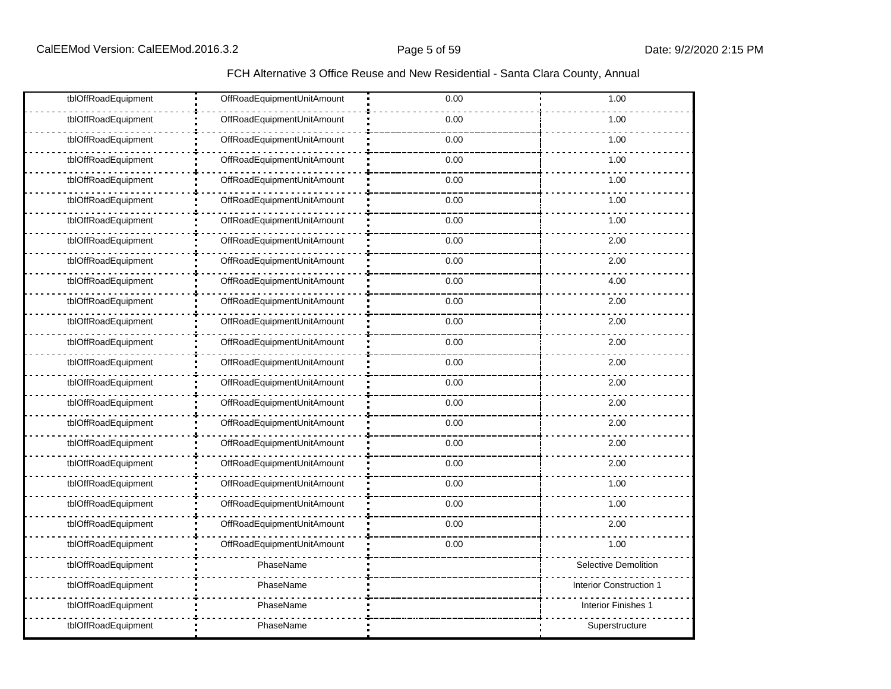| tblOffRoadEquipment | OffRoadEquipmentUnitAmount | 0.00 | 1.00                       |
|---------------------|----------------------------|------|----------------------------|
| tblOffRoadEquipment | OffRoadEquipmentUnitAmount | 0.00 | 1.00                       |
| tblOffRoadEquipment | OffRoadEquipmentUnitAmount | 0.00 | 1.00                       |
| tblOffRoadEquipment | OffRoadEquipmentUnitAmount | 0.00 | 1.00                       |
| tblOffRoadEquipment | OffRoadEquipmentUnitAmount | 0.00 | 1.00                       |
| tblOffRoadEquipment | OffRoadEquipmentUnitAmount | 0.00 | 1.00                       |
| tblOffRoadEquipment | OffRoadEquipmentUnitAmount | 0.00 | 1.00                       |
| tblOffRoadEquipment | OffRoadEquipmentUnitAmount | 0.00 | 2.00                       |
| tblOffRoadEquipment | OffRoadEquipmentUnitAmount | 0.00 | 2.00                       |
| tblOffRoadEquipment | OffRoadEquipmentUnitAmount | 0.00 | 4.00                       |
| tblOffRoadEquipment | OffRoadEquipmentUnitAmount | 0.00 | 2.00                       |
| tblOffRoadEquipment | OffRoadEquipmentUnitAmount | 0.00 | 2.00                       |
| tblOffRoadEquipment | OffRoadEquipmentUnitAmount | 0.00 | 2.00                       |
| tblOffRoadEquipment | OffRoadEquipmentUnitAmount | 0.00 | 2.00                       |
| tblOffRoadEquipment | OffRoadEquipmentUnitAmount | 0.00 | 2.00                       |
| tblOffRoadEquipment | OffRoadEquipmentUnitAmount | 0.00 | 2.00                       |
| tblOffRoadEquipment | OffRoadEquipmentUnitAmount | 0.00 | 2.00                       |
| tblOffRoadEquipment | OffRoadEquipmentUnitAmount | 0.00 | 2.00                       |
| tblOffRoadEquipment | OffRoadEquipmentUnitAmount | 0.00 | 2.00                       |
| tblOffRoadEquipment | OffRoadEquipmentUnitAmount | 0.00 | 1.00                       |
| tblOffRoadEquipment | OffRoadEquipmentUnitAmount | 0.00 | 1.00                       |
| tblOffRoadEquipment | OffRoadEquipmentUnitAmount | 0.00 | 2.00                       |
| tblOffRoadEquipment | OffRoadEquipmentUnitAmount | 0.00 | 1.00                       |
| tblOffRoadEquipment | PhaseName                  |      | Selective Demolition       |
| tblOffRoadEquipment | PhaseName                  |      | Interior Construction 1    |
| tblOffRoadEquipment | PhaseName                  |      | <b>Interior Finishes 1</b> |
| tblOffRoadEquipment | PhaseName                  |      | Superstructure             |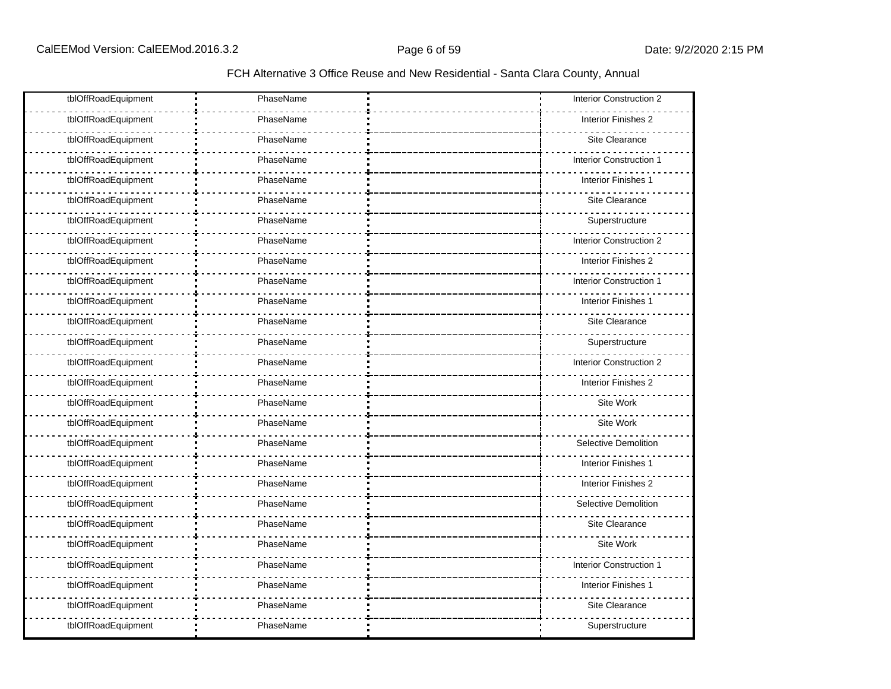| tblOffRoadEquipment | PhaseName | <b>Interior Construction 2</b> |
|---------------------|-----------|--------------------------------|
| tblOffRoadEquipment | PhaseName | Interior Finishes 2            |
| tblOffRoadEquipment | PhaseName | Site Clearance                 |
| tblOffRoadEquipment | PhaseName | <b>Interior Construction 1</b> |
| tblOffRoadEquipment | PhaseName | Interior Finishes 1            |
| tblOffRoadEquipment | PhaseName | Site Clearance                 |
| tblOffRoadEquipment | PhaseName | Superstructure                 |
| tblOffRoadEquipment | PhaseName | <b>Interior Construction 2</b> |
| tblOffRoadEquipment | PhaseName | Interior Finishes 2            |
| tblOffRoadEquipment | PhaseName | Interior Construction 1        |
| tblOffRoadEquipment | PhaseName | Interior Finishes 1            |
| tblOffRoadEquipment | PhaseName | Site Clearance                 |
| tblOffRoadEquipment | PhaseName | Superstructure                 |
| tblOffRoadEquipment | PhaseName | <b>Interior Construction 2</b> |
| tblOffRoadEquipment | PhaseName | Interior Finishes 2            |
| tblOffRoadEquipment | PhaseName | Site Work                      |
| tblOffRoadEquipment | PhaseName | Site Work                      |
| tblOffRoadEquipment | PhaseName | Selective Demolition           |
| tblOffRoadEquipment | PhaseName | Interior Finishes 1            |
| tblOffRoadEquipment | PhaseName | Interior Finishes 2            |
| tblOffRoadEquipment | PhaseName | <b>Selective Demolition</b>    |
| tblOffRoadEquipment | PhaseName | Site Clearance                 |
| tblOffRoadEquipment | PhaseName | Site Work                      |
| tblOffRoadEquipment | PhaseName | Interior Construction '        |
| tblOffRoadEquipment | PhaseName | Interior Finishes 1            |
| tblOffRoadEquipment | PhaseName | Site Clearance                 |
| tblOffRoadEquipment | PhaseName | Superstructure                 |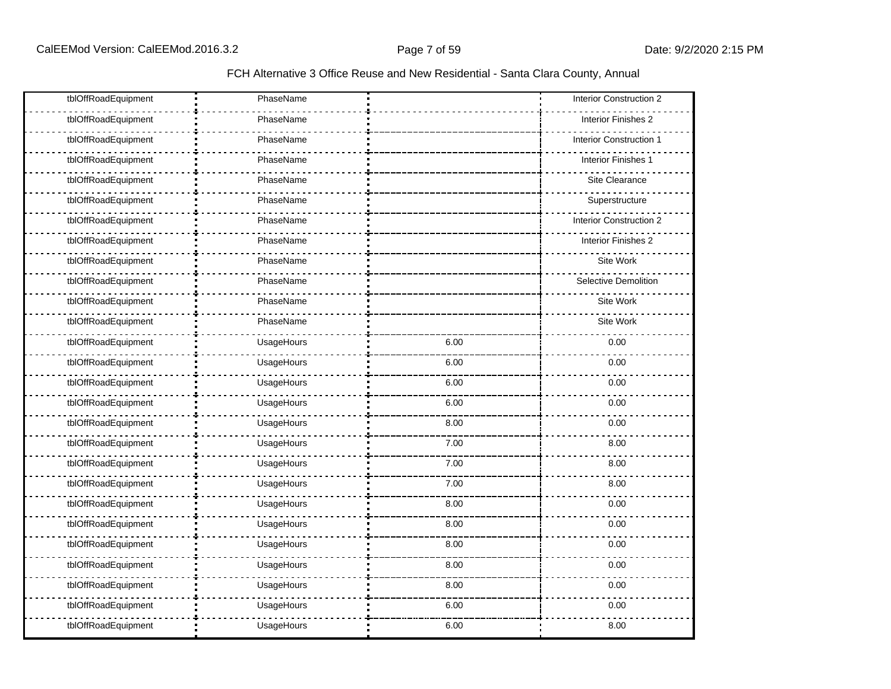| tblOffRoadEquipment | PhaseName  |      | Interior Construction 2     |
|---------------------|------------|------|-----------------------------|
| tblOffRoadEquipment | PhaseName  |      | Interior Finishes 2         |
| tblOffRoadEquipment | PhaseName  |      | Interior Construction       |
| tblOffRoadEquipment | PhaseName  |      | Interior Finishes 1         |
| tblOffRoadEquipment | PhaseName  |      | Site Clearance              |
| tblOffRoadEquipment | PhaseName  |      | Superstructure              |
| tblOffRoadEquipment | PhaseName  |      | Interior Construction 2     |
| tblOffRoadEquipment | PhaseName  |      | Interior Finishes 2         |
| tblOffRoadEquipment | PhaseName  |      | Site Work                   |
| tblOffRoadEquipment | PhaseName  |      | <b>Selective Demolition</b> |
| tblOffRoadEquipment | PhaseName  |      | Site Work                   |
| tblOffRoadEquipment | PhaseName  |      | Site Work                   |
| tblOffRoadEquipment | UsageHours | 6.00 | 0.00                        |
| tblOffRoadEquipment | UsageHours | 6.00 | 0.00                        |
| tblOffRoadEquipment | UsageHours | 6.00 | 0.00                        |
| tblOffRoadEquipment | UsageHours | 6.00 | 0.00                        |
| tblOffRoadEquipment | UsageHours | 8.00 | 0.00                        |
| tblOffRoadEquipment | UsageHours | 7.00 | 8.00                        |
| tblOffRoadEquipment | UsageHours | 7.00 | 8.00                        |
| tblOffRoadEquipment | UsageHours | 7.00 | 8.00                        |
| tblOffRoadEquipment | UsageHours | 8.00 | 0.00                        |
| tblOffRoadEquipment | UsageHours | 8.00 | 0.00                        |
| tblOffRoadEquipment | UsageHours | 8.00 | 0.00                        |
| tblOffRoadEquipment | UsageHours | 8.00 | 0.00                        |
| tblOffRoadEquipment | UsageHours | 8.00 | 0.00                        |
| tblOffRoadEquipment | UsageHours | 6.00 | 0.00                        |
| tblOffRoadEquipment | UsageHours | 6.00 | 8.00                        |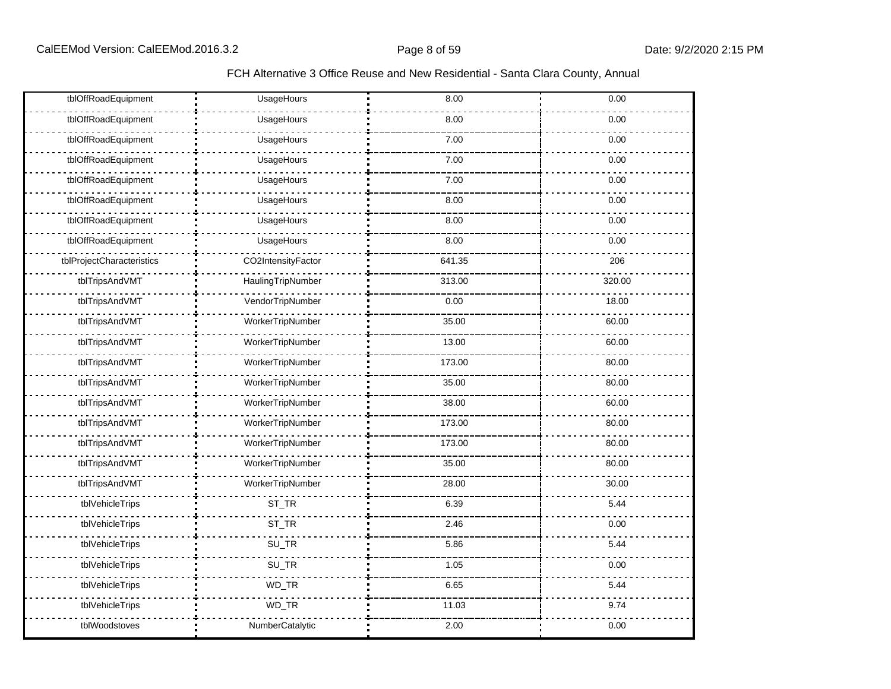| tblOffRoadEquipment       | UsageHours         | 8.00   | 0.00   |
|---------------------------|--------------------|--------|--------|
| tblOffRoadEquipment       | UsageHours         | 8.00   | 0.00   |
| tblOffRoadEquipment       | UsageHours         | 7.00   | 0.00   |
| tblOffRoadEquipment       | UsageHours         | 7.00   | 0.00   |
| tblOffRoadEquipment       | UsageHours         | 7.00   | 0.00   |
| tblOffRoadEquipment       | UsageHours         | 8.00   | 0.00   |
| tblOffRoadEquipment       | UsageHours         | 8.00   | 0.00   |
| tblOffRoadEquipment       | UsageHours         | 8.00   | 0.00   |
| tblProjectCharacteristics | CO2IntensityFactor | 641.35 | 206    |
| tblTripsAndVMT            | HaulingTripNumber  | 313.00 | 320.00 |
| tblTripsAndVMT            | VendorTripNumber   | 0.00   | 18.00  |
| tblTripsAndVMT            | WorkerTripNumber   | 35.00  | 60.00  |
| tblTripsAndVMT            | WorkerTripNumber   | 13.00  | 60.00  |
| tblTripsAndVMT            | WorkerTripNumber   | 173.00 | 80.00  |
| tblTripsAndVMT            | WorkerTripNumber   | 35.00  | 80.00  |
| tblTripsAndVMT            | WorkerTripNumber   | 38.00  | 60.00  |
| tblTripsAndVMT            | WorkerTripNumber   | 173.00 | 80.00  |
| tblTripsAndVMT            | WorkerTripNumber   | 173.00 | 80.00  |
| tblTripsAndVMT            | WorkerTripNumber   | 35.00  | 80.00  |
| tblTripsAndVMT            | WorkerTripNumber   | 28.00  | 30.00  |
| tblVehicleTrips           | ST_TR              | 6.39   | 5.44   |
| tblVehicleTrips           | ST_TR              | 2.46   | 0.00   |
| tblVehicleTrips           | SU_TR              | 5.86   | 5.44   |
| tblVehicleTrips           | SU_TR              | 1.05   | 0.00   |
| tblVehicleTrips           | WD_TR              | 6.65   | 5.44   |
| tblVehicleTrips           | WD_TR              | 11.03  | 9.74   |
| tblWoodstoves             | NumberCatalytic    | 2.00   | 0.00   |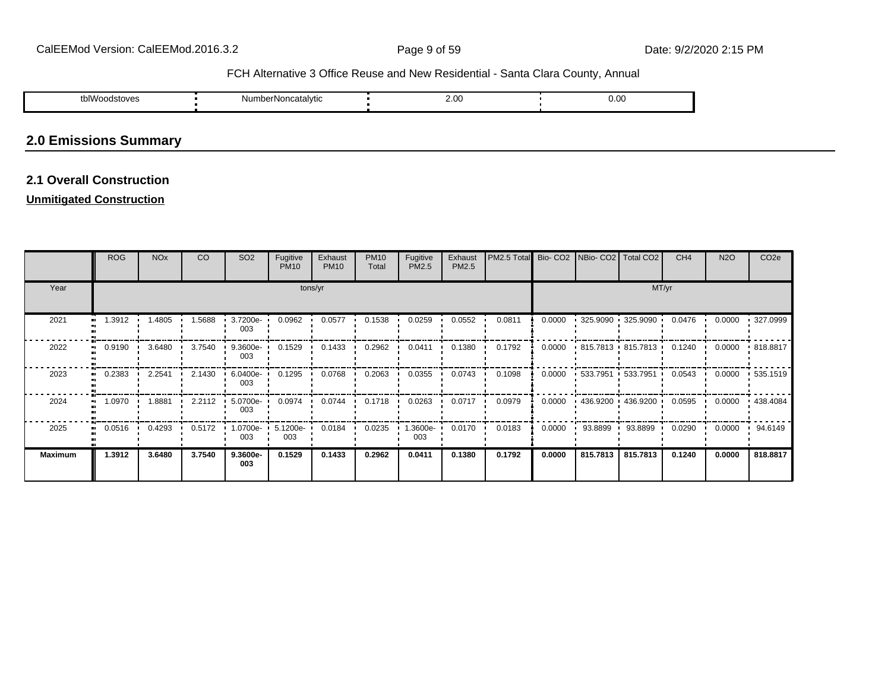| $\cdots$<br>tblWoodstoves | NumberNoncatalvtic | ົດ<br>2.00 | $_{0.00}$ |
|---------------------------|--------------------|------------|-----------|
|                           |                    |            |           |

# **2.0 Emissions Summary**

# **2.1 Overall Construction**

# **Unmitigated Construction**

|                | <b>ROG</b>       | <b>NO<sub>x</sub></b> | CO     | SO <sub>2</sub>    | Fugitive<br><b>PM10</b> | Exhaust<br><b>PM10</b> | <b>PM10</b><br>Total | Fugitive<br>PM2.5 | Exhaust<br>PM2.5 | PM2.5 Total Bio- CO2 NBio- CO2 Total CO2 |        |                                      |                        | CH <sub>4</sub> | <b>N2O</b> | CO <sub>2</sub> e |  |
|----------------|------------------|-----------------------|--------|--------------------|-------------------------|------------------------|----------------------|-------------------|------------------|------------------------------------------|--------|--------------------------------------|------------------------|-----------------|------------|-------------------|--|
| Year           | tons/yr          |                       |        |                    |                         |                        |                      |                   |                  |                                          |        |                                      | MT/yr                  |                 |            |                   |  |
| 2021           | 1.3912           | 1.4805                | 1.5688 | 3.7200e<br>003     | 0.0962                  | 0.0577                 | 0.1538               | 0.0259            | 0.0552           | 0.0811                                   | 0.0000 | $\frac{1}{2}$ 325.9090 $\frac{1}{2}$ | 325.9090               | 0.0476          | 0.0000     | 327.0999          |  |
| 2022           | 0.9190           | 3.6480                | 3.7540 | $9.3600e -$<br>003 | 0.1529                  | 0.1433                 | 0.2962               | 0.0411            | 0.1380           | 0.1792                                   | 0.0000 |                                      | 815.7813 815.7813      | 0.1240          | 0.0000     | .818.8817         |  |
| 2023           | 0.2383           | 2.2541                | 2.1430 | 6.0400e-<br>003    | 0.1295                  | 0.0768                 | 0.2063               | 0.0355            | 0.0743           | 0.1098                                   | 0.0000 |                                      | $-533.7951 - 533.7951$ | 0.0543          | 0.0000     | .535.1519         |  |
| 2024           | 1.0970           | 1.8881                | 2.2112 | 5.0700e-<br>003    | 0.0974                  | $0.0744$ $\cdot$       | 0.1718               | 0.0263            | 0.0717           | 0.0979                                   | 0.0000 |                                      | $+436.9200 + 436.9200$ | 0.0595          | 0.0000     | $+438.4084$       |  |
| 2025           | $0.0516$ $\cdot$ | 0.4293                | 0.5172 | 1.0700e-<br>003    | 5.1200e-<br>003         | 0.0184                 | 0.0235               | .3600e-<br>003    | 0.0170           | 0.0183                                   | 0.0000 | 93.8899<br>$\mathbf{r}$              | 93.8899                | 0.0290          | 0.0000     | 94.6149           |  |
| <b>Maximum</b> | 1.3912           | 3.6480                | 3.7540 | 9.3600e-<br>003    | 0.1529                  | 0.1433                 | 0.2962               | 0.0411            | 0.1380           | 0.1792                                   | 0.0000 | 815.7813                             | 815.7813               | 0.1240          | 0.0000     | 818.8817          |  |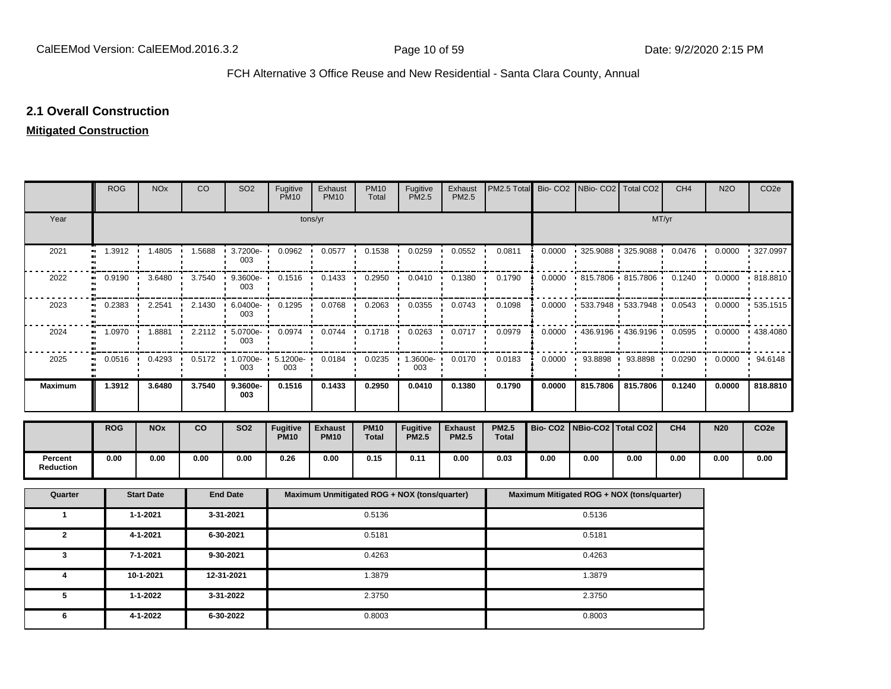# **2.1 Overall Construction**

# **Mitigated Construction**

|                      | <b>ROG</b>                 | <b>NO<sub>x</sub></b> | CO     | SO <sub>2</sub>   | Fugitive<br><b>PM10</b>        | Exhaust<br><b>PM10</b>        | <b>PM10</b><br>Total | Fugitive<br><b>PM2.5</b>                     | Exhaust<br>PM2.5               | PM2.5 Total                  |                     | Bio- CO2   NBio- CO2   Total CO2           |                     | CH <sub>4</sub> | <b>N2O</b> | CO <sub>2e</sub> |
|----------------------|----------------------------|-----------------------|--------|-------------------|--------------------------------|-------------------------------|----------------------|----------------------------------------------|--------------------------------|------------------------------|---------------------|--------------------------------------------|---------------------|-----------------|------------|------------------|
| Year                 |                            |                       |        |                   |                                | tons/yr                       |                      |                                              |                                |                              |                     |                                            |                     | MT/yr           |            |                  |
| 2021                 | 1.3912<br>ш.               | 1.4805                | 1.5688 | 3.7200e-<br>003   | 0.0962                         | 0.0577                        | 0.1538               | 0.0259                                       | 0.0552                         | 0.0811                       | 0.0000              | 325.9088                                   | 325.9088            | 0.0476          | 0.0000     | 327.0997         |
| 2022                 | 0.9190                     | 3.6480                | 3.7540 | 9.3600e-<br>003   | 0.1516                         | 0.1433                        | 0.2950               | 0.0410                                       | 0.1380                         | 0.1790                       | 0.0000              |                                            | 815.7806 + 815.7806 | 0.1240          | 0.0000     | 818.8810         |
| 2023                 | 0.2383                     | 2.2541                | 2.1430 | 6.0400e-<br>003   | 0.1295                         | 0.0768                        | 0.2063               | 0.0355                                       | 0.0743                         | 0.1098                       | 0.0000              |                                            | 533.7948 533.7948   | 0.0543          | 0.0000     | 535.1515         |
| 2024                 | 1.0970                     | 1.8881                | 2.2112 | 5.0700e-<br>003   | 0.0974                         | 0.0744                        | 0.1718               | 0.0263                                       | 0.0717                         | 0.0979                       | 0.0000              |                                            | 436.9196 1 436.9196 | 0.0595          | 0.0000     | 438.4080         |
| 2025                 | 0.0516<br>$\bullet\bullet$ | 0.4293                | 0.5172 | $1.0700e-$<br>003 | 5.1200e-<br>003                | 0.0184                        | 0.0235               | 1.3600e-<br>003                              | 0.0170<br>$\blacksquare$       | 0.0183                       | 0.0000              | 93.8898                                    | 93.8898             | 0.0290          | 0.0000     | 94.6148          |
| <b>Maximum</b>       | 1.3912                     | 3.6480                | 3.7540 | 9.3600e-<br>003   | 0.1516                         | 0.1433                        | 0.2950               | 0.0410                                       | 0.1380                         | 0.1790                       | 0.0000              | 815.7806                                   | 815.7806            | 0.1240          | 0.0000     | 818.8810         |
|                      | <b>ROG</b>                 | <b>NOx</b>            | co     | <b>SO2</b>        | <b>Fugitive</b><br><b>PM10</b> | <b>Exhaust</b><br><b>PM10</b> | <b>PM10</b><br>Total | <b>Fugitive</b><br><b>PM2.5</b>              | <b>Exhaust</b><br><b>PM2.5</b> | <b>PM2.5</b><br><b>Total</b> | Bio-CO <sub>2</sub> | NBio-CO2 Total CO2                         |                     | CH <sub>4</sub> | <b>N20</b> | CO <sub>2e</sub> |
| Percent<br>Reduction | 0.00                       | 0.00                  | 0.00   | 0.00              | 0.26                           | 0.00                          | 0.15                 | 0.11                                         | 0.00                           | 0.03                         | 0.00                | 0.00                                       | 0.00                | 0.00            | 0.00       | 0.00             |
| Quarter              |                            | <b>Start Date</b>     |        | <b>End Date</b>   |                                |                               |                      | Maximum Unmitigated ROG + NOX (tons/quarter) |                                |                              |                     | Maximum Mitigated ROG + NOX (tons/quarter) |                     |                 |            |                  |
| $\mathbf{1}$         |                            | 1-1-2021              |        | 3-31-2021         |                                |                               | 0.5136               |                                              |                                |                              |                     | 0.5136                                     |                     |                 |            |                  |
| $\mathbf{2}$         |                            | 4-1-2021              |        | 6-30-2021         |                                |                               | 0.5181               |                                              |                                |                              |                     | 0.5181                                     |                     |                 |            |                  |
| 3                    |                            | 7-1-2021              |        | 9-30-2021         |                                |                               | 0.4263               |                                              |                                |                              |                     | 0.4263                                     |                     |                 |            |                  |
| 4                    |                            | 10-1-2021             |        | 12-31-2021        |                                |                               | 1.3879               |                                              |                                |                              |                     | 1.3879                                     |                     |                 |            |                  |
| 5                    |                            | 1-1-2022              |        | 3-31-2022         | 2.3750<br>2.3750               |                               |                      |                                              |                                |                              |                     |                                            |                     |                 |            |                  |
| 6                    |                            | 4-1-2022              |        | 6-30-2022         |                                |                               | 0.8003               |                                              |                                |                              |                     | 0.8003                                     |                     |                 |            |                  |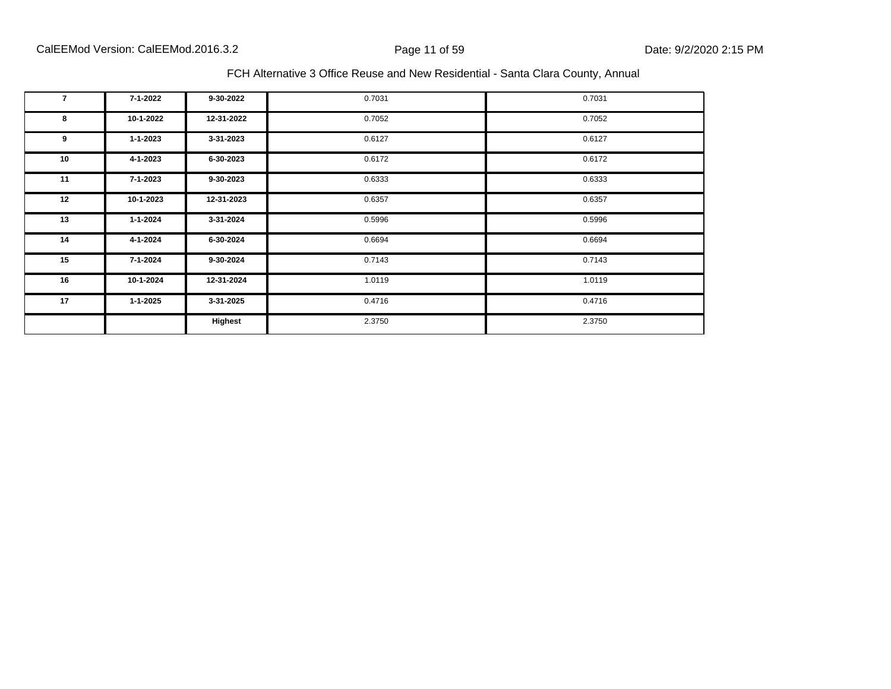| 7  | 7-1-2022       | 9-30-2022  | 0.7031 | 0.7031 |
|----|----------------|------------|--------|--------|
| 8  | 10-1-2022      | 12-31-2022 | 0.7052 | 0.7052 |
| 9  | $1 - 1 - 2023$ | 3-31-2023  | 0.6127 | 0.6127 |
| 10 | 4-1-2023       | 6-30-2023  | 0.6172 | 0.6172 |
| 11 | 7-1-2023       | 9-30-2023  | 0.6333 | 0.6333 |
| 12 | 10-1-2023      | 12-31-2023 | 0.6357 | 0.6357 |
| 13 | $1 - 1 - 2024$ | 3-31-2024  | 0.5996 | 0.5996 |
| 14 | 4-1-2024       | 6-30-2024  | 0.6694 | 0.6694 |
| 15 | 7-1-2024       | 9-30-2024  | 0.7143 | 0.7143 |
| 16 | 10-1-2024      | 12-31-2024 | 1.0119 | 1.0119 |
| 17 | $1 - 1 - 2025$ | 3-31-2025  | 0.4716 | 0.4716 |
|    |                | Highest    | 2.3750 | 2.3750 |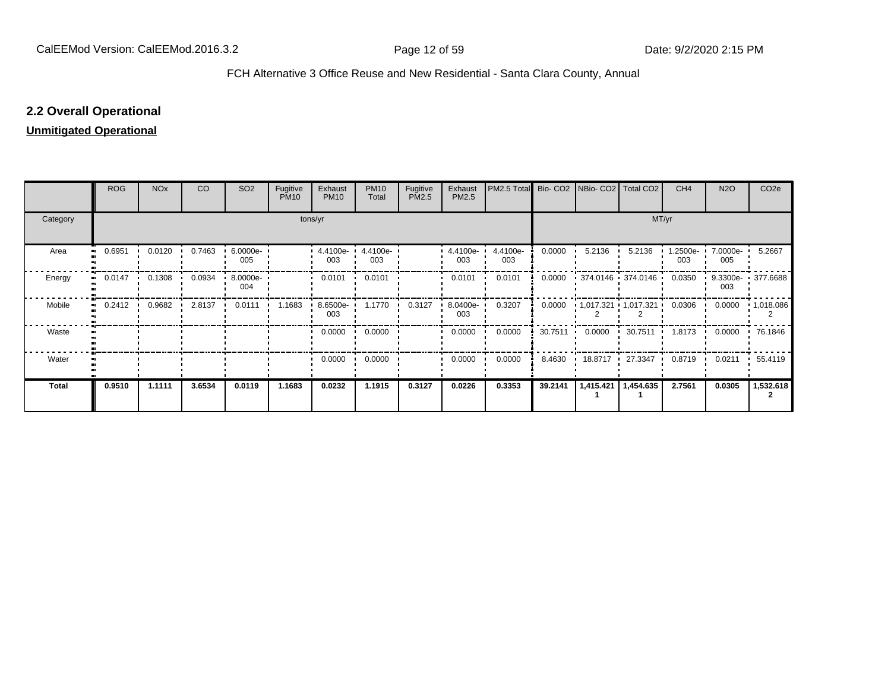# **2.2 Overall Operational**

# **Unmitigated Operational**

|          | <b>ROG</b> | <b>NO<sub>x</sub></b> | CO     | SO <sub>2</sub> | Fugitive<br><b>PM10</b> | Exhaust<br><b>PM10</b> | <b>PM10</b><br>Total | Fugitive<br>PM2.5 | Exhaust<br>PM2.5 | PM2.5 Total     |                   | Bio- CO2   NBio- CO2   Total CO2 |                                              | CH <sub>4</sub> | <b>N2O</b>        | CO <sub>2e</sub>  |  |  |
|----------|------------|-----------------------|--------|-----------------|-------------------------|------------------------|----------------------|-------------------|------------------|-----------------|-------------------|----------------------------------|----------------------------------------------|-----------------|-------------------|-------------------|--|--|
| Category | tons/yr    |                       |        |                 |                         |                        |                      |                   |                  |                 |                   | MT/yr                            |                                              |                 |                   |                   |  |  |
| Area<br> | 0.6951     | 0.0120                | 0.7463 | 6.0000e-<br>005 |                         | 4.4100e-<br>003        | 4.4100e-<br>003      |                   | 4.4100e-<br>003  | 4.4100e-<br>003 | 0.0000            | 5.2136                           | 5.2136                                       | 1.2500e-<br>003 | 7.0000e- '<br>005 | 5.2667            |  |  |
| Energy   | 0.0147<br> | 0.1308                | 0.0934 | 8.0000e-<br>004 |                         | 0.0101                 | 0.0101               |                   | 0.0101           | 0.0101          | 0.0000            |                                  | 374.0146 374.0146                            | 0.0350          | 003               | 9.3300e- 377.6688 |  |  |
| Mobile   | 0.2412<br> | 0.9682                | 2.8137 | 0.0111          | 1.1683                  | 8.6500e-<br>003        | 1.1770               | 0.3127            | 8.0400e-<br>003  | 0.3207          |                   |                                  | $0.0000$ $\cdot$ 1,017.321 $\cdot$ 1,017.321 | 0.0306          | 0.0000            | $\cdot$ 1,018.086 |  |  |
| Waste    |            |                       |        |                 |                         | 0.0000                 | 0.0000               |                   | 0.0000           | 0.0000          | $30.7511$ $\cdot$ | 0.0000                           | 30.7511                                      | 1.8173          | 0.0000            | 76.1846           |  |  |
| Water    |            |                       |        |                 |                         | 0.0000                 | 0.0000               |                   | 0.0000           | 0.0000          | 8.4630            | 18.8717 27.3347                  |                                              | 0.8719          | 0.0211            | 55.4119           |  |  |
| Total    | 0.9510     | 1.1111                | 3.6534 | 0.0119          | 1.1683                  | 0.0232                 | 1.1915               | 0.3127            | 0.0226           | 0.3353          | 39.2141           | 1,415.421                        | 1,454.635                                    | 2.7561          | 0.0305            | 1,532.618         |  |  |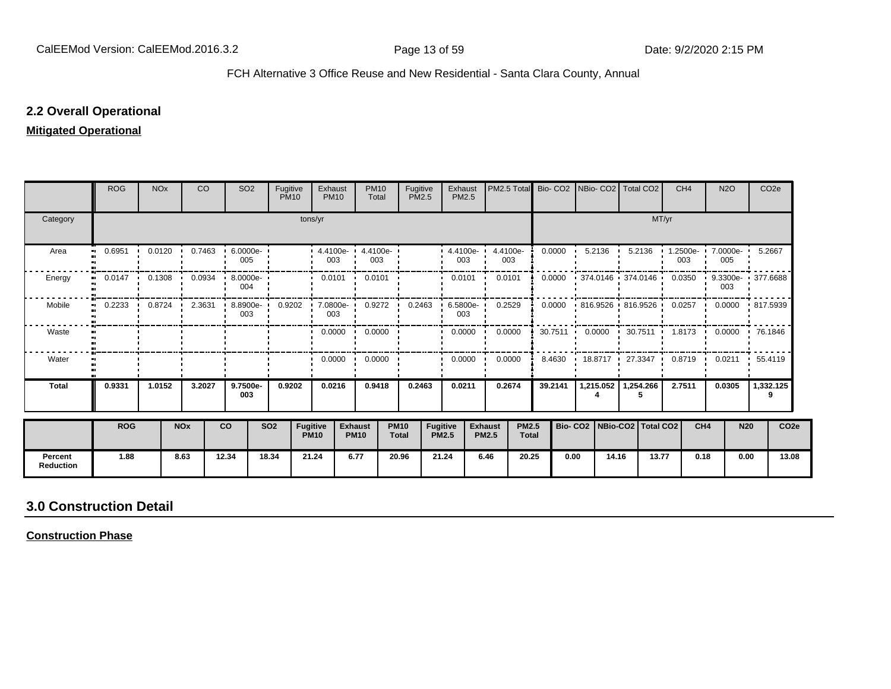# **2.2 Overall Operational**

# **Mitigated Operational**

|                             | <b>ROG</b>                 | <b>NO<sub>x</sub></b> |            | <b>CO</b> | SO <sub>2</sub>   | Fugitive<br><b>PM10</b> |                                | Exhaust<br><b>PM10</b>                             | <b>PM10</b><br>Total            | Fugitive<br>PM2.5           |                                 | Exhaust<br>PM2.5        | PM2.5 Total Bio- CO2           |                              |                   | NBio- CO2   Total CO2           |                       |                   | CH <sub>4</sub>   |                 | <b>N2O</b>        | CO <sub>2e</sub>                                       |                  |
|-----------------------------|----------------------------|-----------------------|------------|-----------|-------------------|-------------------------|--------------------------------|----------------------------------------------------|---------------------------------|-----------------------------|---------------------------------|-------------------------|--------------------------------|------------------------------|-------------------|---------------------------------|-----------------------|-------------------|-------------------|-----------------|-------------------|--------------------------------------------------------|------------------|
| Category                    |                            |                       |            |           |                   |                         | tons/yr                        |                                                    |                                 |                             |                                 |                         |                                |                              |                   |                                 |                       | MT/yr             |                   |                 |                   |                                                        |                  |
| Area                        | 0.6951<br>$\bullet\bullet$ | 0.0120                |            | 0.7463    | 6.0000e<br>005    |                         |                                | $\cdot$ 4.4100e- $\cdot$ 4.4100e- $\cdot$<br>003   | 003                             |                             |                                 | $-4.4100e -$<br>003     | 4.4100e-<br>003                |                              | 0.0000            | 5.2136                          |                       | 5.2136            | $1.2500e-$<br>003 |                 | 7.0000e- •<br>005 | 5.2667                                                 |                  |
| Energy                      | 0.0147                     | 0.1308                |            | 0.0934    | 8.0000e- '<br>004 |                         |                                | 0.0101                                             | 0.0101                          |                             |                                 | 0.0101                  | 0.0101                         |                              | 0.0000            |                                 |                       | 374.0146 374.0146 | 0.0350            | . .             | 003               | 9.3300e- 1 377.6688                                    |                  |
| Mobile                      | 0.2233<br>$\bullet$        |                       | 0.8724     |           | 003               |                         |                                | 2.3631 8.8900e 0.9202 7.0800e 0.9272 0.2463<br>003 |                                 |                             |                                 | 003                     | $6.5800e - 0.2529$             |                              | 0.0000            |                                 |                       |                   |                   |                 |                   | 816.9526 816.9526 0.0257 0.0000 817.5939               |                  |
| Waste                       |                            |                       |            |           |                   |                         |                                |                                                    | $0.0000$ $\cdot$ 0.0000 $\cdot$ |                             |                                 | $0.0000$ $\blacksquare$ | 0.0000                         |                              | $30.7511$ $\cdot$ |                                 |                       |                   |                   |                 |                   | $0.0000$ $\cdot$ 30.7511 1.8173 0.0000 $\cdot$ 76.1846 |                  |
| Water                       |                            |                       |            |           |                   |                         |                                | $0.0000$ $\cdot$                                   | 0.0000                          |                             |                                 | 0.0000                  | 0.0000                         |                              | 8.4630            | 18.8717 •                       |                       | 27.3347           | 0.8719            |                 | 0.0211            | $\cdot$ 55.4119                                        |                  |
| <b>Total</b>                | 0.9331                     | 1.0152                |            | 3.2027    | 9.7500e-<br>003   | 0.9202                  |                                | 0.0216                                             | 0.9418                          | 0.2463                      |                                 | 0.0211                  | 0.2674                         |                              | 39.2141           |                                 | 1,215.052   1,254.266 |                   | 2.7511            |                 | 0.0305            | 1,332.125<br>9                                         |                  |
|                             | <b>ROG</b>                 |                       | <b>NOx</b> |           | <b>CO</b>         | <b>SO2</b>              | <b>Fugitive</b><br><b>PM10</b> |                                                    | <b>Exhaust</b><br><b>PM10</b>   | <b>PM10</b><br><b>Total</b> | <b>Fugitive</b><br><b>PM2.5</b> |                         | <b>Exhaust</b><br><b>PM2.5</b> | <b>PM2.5</b><br><b>Total</b> |                   | Bio- CO2   NBio-CO2   Total CO2 |                       |                   |                   | CH <sub>4</sub> | <b>N20</b>        |                                                        | CO <sub>2e</sub> |
| Percent<br><b>Reduction</b> | 1.88                       |                       | 8.63       |           | 12.34             | 18.34                   | 21.24                          |                                                    | 6.77                            | 20.96                       | 21.24                           |                         | 6.46                           | 20.25                        | 0.00              |                                 | 14.16                 | 13.77             |                   | 0.18            | 0.00              |                                                        | 13.08            |

# **3.0 Construction Detail**

**Construction Phase**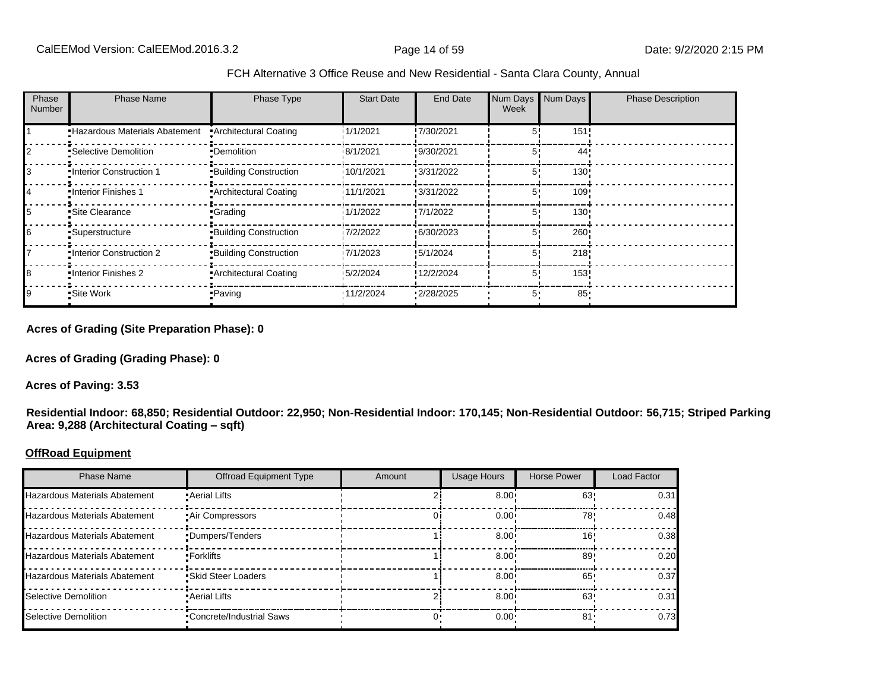| FCH Alternative 3 Office Reuse and New Residential - Santa Clara County, Annual |  |  |  |
|---------------------------------------------------------------------------------|--|--|--|
|---------------------------------------------------------------------------------|--|--|--|

| Phase<br>Number | <b>Phase Name</b>             | Phase Type                   | <b>Start Date</b> | End Date   | Num Days<br>Week | Num Days | <b>Phase Description</b> |
|-----------------|-------------------------------|------------------------------|-------------------|------------|------------------|----------|--------------------------|
|                 | Hazardous Materials Abatement | <b>Architectural Coating</b> | 1/1/2021          | !7/30/2021 | 51               | 151!     |                          |
|                 | •Selective Demolition         | •Demolition                  | 18/1/2021         | !9/30/2021 | 51               | 44'      |                          |
|                 | •Interior Construction 1      | <b>Building Construction</b> | 10/1/2021         | !3/31/2022 | 5'               | 130!     |                          |
|                 | . Interior Finishes 1         | Architectural Coating        | 11/1/2021         | !3/31/2022 | 5 <sup>1</sup>   | 109!     |                          |
|                 | •Site Clearance               | •Grading                     | 1/1/2022          | !7/1/2022  | 5'               | 130!     |                          |
|                 | •Superstructure               | <b>Building Construction</b> | 7/2/2022          | !6/30/2023 | 5!               | 260      |                          |
|                 | . Interior Construction 2     | <b>Building Construction</b> | 7/1/2023          | !5/1/2024  | 5'               | 218      |                          |
|                 | •Interior Finishes 2          | • Architectural Coating      | \$5/2/2024        | !12/2/2024 | 5 <sup>1</sup>   | 153      |                          |
|                 | •Site Work                    | • Paving                     | '11/2/2024        | 12/28/2025 | 5.               | $85 -$   |                          |

**Acres of Grading (Site Preparation Phase): 0**

**Acres of Grading (Grading Phase): 0**

**Acres of Paving: 3.53**

**Residential Indoor: 68,850; Residential Outdoor: 22,950; Non-Residential Indoor: 170,145; Non-Residential Outdoor: 56,715; Striped Parking**  Area: 9,288 (Architectural Coating - sqft)

#### **OffRoad Equipment**

| <b>Phase Name</b>                    | <b>Offroad Equipment Type</b>   | Amount | <b>Usage Hours</b> | <b>Horse Power</b> | <b>Load Factor</b> |
|--------------------------------------|---------------------------------|--------|--------------------|--------------------|--------------------|
| <b>Hazardous Materials Abatement</b> | • Aerial Lifts                  |        | 8.00 <sup>1</sup>  | 63                 | 0.31               |
| <b>Hazardous Materials Abatement</b> | Air Compressors                 |        | 0.00 <sub>1</sub>  | 78'                | 0.48               |
| <b>Hazardous Materials Abatement</b> | •Dumpers/Tenders                |        | 8.00               | 16'                | 0.38               |
| <b>Hazardous Materials Abatement</b> | •Forklifts                      |        | 8.00 <sup>1</sup>  | 89'                | 0.20               |
| <b>Hazardous Materials Abatement</b> | • Skid Steer Loaders            |        | 8.00 <sup>1</sup>  | 65'                | 0.37               |
| Selective Demolition                 | • Aerial Lifts                  |        | 8.00 <sup>1</sup>  | 63                 | 0.31               |
| Selective Demolition                 | <b>Concrete/Industrial Saws</b> |        | $0.00 \cdot$       | 81'                | 0.73               |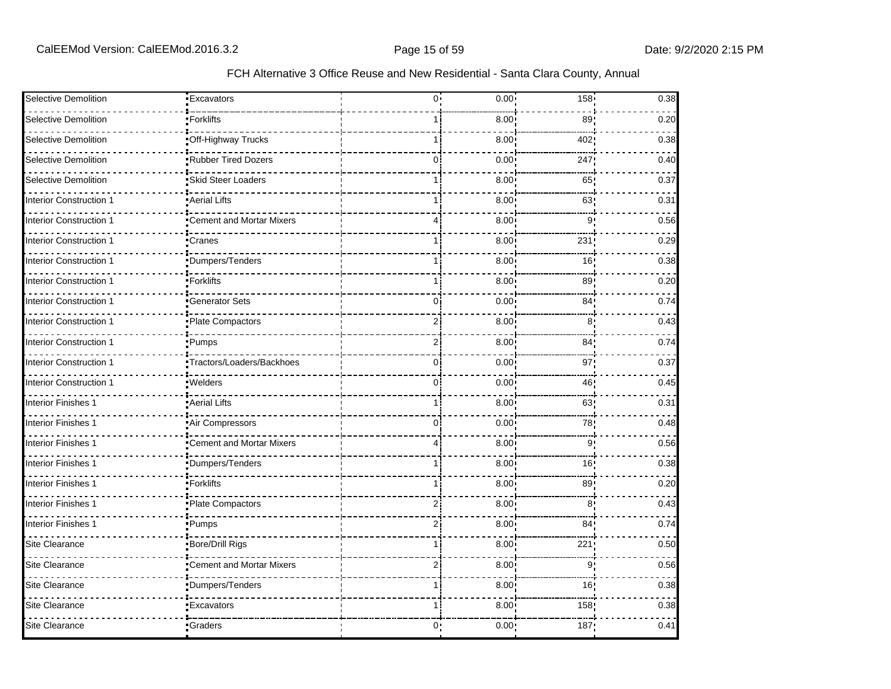| Selective Demolition           | <b>Excavators</b>               | $0^{\circ}$    | 0.00              | 158             | 0.38 |
|--------------------------------|---------------------------------|----------------|-------------------|-----------------|------|
| Selective Demolition           | Forklifts                       |                | 8.00              | 89              | 0.20 |
| <b>Selective Demolition</b>    | Off-Highway Trucks              |                | 8.00              | 402             | 0.38 |
| Selective Demolition           | Rubber Tired Dozers             | $\Omega$       | 0.00              | 247             | 0.40 |
| Selective Demolition           | Skid Steer Loaders              |                | 8.00              | 65              | 0.37 |
| <b>Interior Construction 1</b> | Aerial Lifts                    |                | 8.00              | 63              | 0.31 |
| <b>Interior Construction 1</b> | <b>Cement and Mortar Mixers</b> | 4              | 8.00              | 9               | 0.56 |
| <b>Interior Construction 1</b> | Cranes                          |                | 8.00              | 231             | 0.29 |
| Interior Construction 1        | Dumpers/Tenders                 |                | 8.00              | 16              | 0.38 |
| <b>Interior Construction 1</b> | Forklifts                       |                | 8.00              | 89              | 0.20 |
| <b>Interior Construction 1</b> | Generator Sets                  | 0              | 0.00              | 84 <sub>1</sub> | 0.74 |
| <b>Interior Construction 1</b> | Plate Compactors                | 2              | 8.00              | 8               | 0.43 |
| <b>Interior Construction 1</b> | ∙Pumps                          |                | 8.00              | 84 <sub>1</sub> | 0.74 |
| <b>Interior Construction 1</b> | Tractors/Loaders/Backhoes       | $\mathbf{0}$   | 0.00              | 97 <sub>1</sub> | 0.37 |
| Interior Construction 1        | <b>Welders</b>                  | $\mathbf{0}$   | 0.00              | 46!             | 0.45 |
| <b>Interior Finishes 1</b>     | Aerial Lifts                    |                | 8.00              | 63!             | 0.31 |
| Interior Finishes 1            | Air Compressors                 | 0              | 0.00              | 78              | 0.48 |
| <b>Interior Finishes 1</b>     | Cement and Mortar Mixers        | $\overline{4}$ | 8.00              | 9 <sub>1</sub>  | 0.56 |
| <b>Interior Finishes 1</b>     | Dumpers/Tenders                 | 1 i            | 8.00              | 16!             | 0.38 |
| <b>Interior Finishes 1</b>     | •Forklifts                      | 1              | 8.00              | 89:             | 0.20 |
| <b>Interior Finishes 1</b>     | Plate Compactors                | $\overline{2}$ | 8.00 <sup>1</sup> | 8'              | 0.43 |
| Interior Finishes 1            | Pumps!                          | 2i             | 8.00              | 84 <sub>1</sub> | 0.74 |
| Site Clearance                 | Bore/Drill Rigs                 | 1 i            | 8.00              | 221             | 0.50 |
| <b>Site Clearance</b>          | Cement and Mortar Mixers        | 2              | 8.00              | 9               | 0.56 |
| <b>Site Clearance</b>          | Dumpers/Tenders                 | 1 i            | 8.00              | 16 <sub>1</sub> | 0.38 |
| <b>Site Clearance</b>          | Excavators                      | 1 i            | 8.00 <sub>1</sub> | 158             | 0.38 |
| Site Clearance                 | •Graders                        | 0:             | $0.00 -$          | 187             | 0.41 |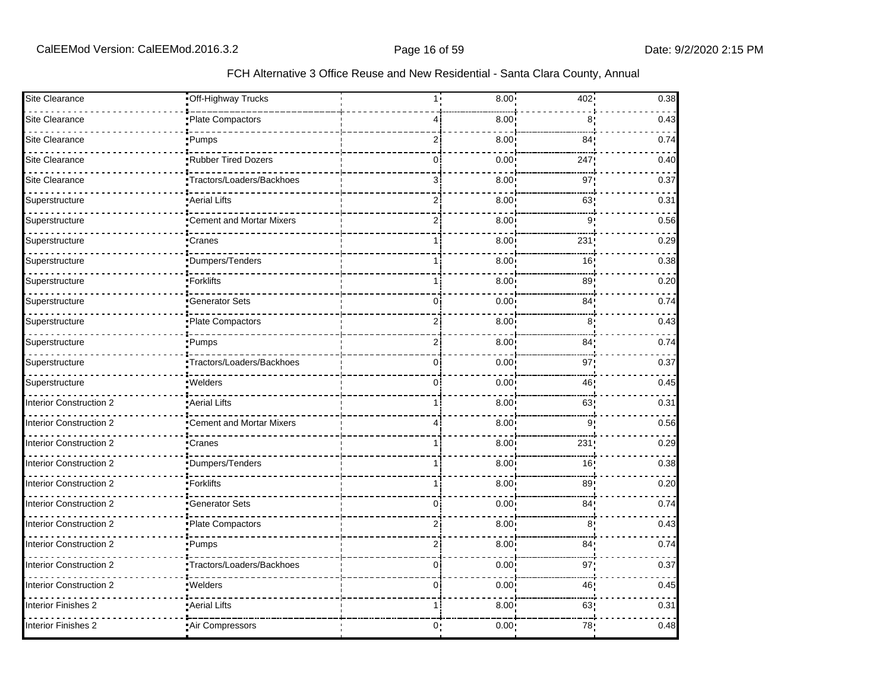| Site Clearance                 | Off-Highway Trucks        | 1 <sub>1</sub> | 8.00 | 402             | 0.38 |
|--------------------------------|---------------------------|----------------|------|-----------------|------|
|                                |                           |                |      |                 |      |
| <b>Site Clearance</b>          | Plate Compactors          | 4              | 8.00 | 8               | 0.43 |
| <b>Site Clearance</b>          | Pumps!                    | 2i             | 8.00 | 84 <sub>1</sub> | 0.74 |
| Site Clearance                 | Rubber Tired Dozers       | $\Omega$       | 0.00 | 247             | 0.40 |
| <b>Site Clearance</b>          | Tractors/Loaders/Backhoes | $\mathcal{E}$  | 8.00 | 97              | 0.37 |
| Superstructure                 | Aerial Lifts              | 2 <sub>i</sub> | 8.00 | 63              | 0.31 |
| Superstructure                 | Cement and Mortar Mixers  | 2 <sub>i</sub> | 8.00 | 9               | 0.56 |
| Superstructure                 | Cranes                    | 11             | 8.00 | 231             | 0.29 |
| Superstructure                 | Dumpers/Tenders           |                | 8.00 | 16              | 0.38 |
| Superstructure                 | Forklifts                 | $\overline{1}$ | 8.00 | 89              | 0.20 |
| Superstructure                 | <b>Generator Sets</b>     | 0i             | 0.00 | 84 <sub>1</sub> | 0.74 |
| Superstructure                 | Plate Compactors          | $\overline{2}$ | 8.00 | 8 <sub>1</sub>  | 0.43 |
| Superstructure                 | ∙Pumps                    | $\overline{2}$ | 8.00 | 84              | 0.74 |
| Superstructure                 | Tractors/Loaders/Backhoes | 0'             | 0.00 | 97              | 0.37 |
| Superstructure                 | <b>Welders</b>            | 0i             | 0.00 | 46              | 0.45 |
| Interior Construction 2        | Aerial Lifts              |                | 8.00 | 63              | 0.31 |
| Interior Construction 2        | Cement and Mortar Mixers  | 4              | 8.00 | 9               | 0.56 |
| <b>Interior Construction 2</b> | Cranes                    | 1              | 8.00 | 231             | 0.29 |
| Interior Construction 2        | Dumpers/Tenders           |                | 8.00 | 16              | 0.38 |
| Interior Construction 2        | <b>Forklifts</b>          | <u>1</u>       | 8.00 | 89 <sub>1</sub> | 0.20 |
| <b>Interior Construction 2</b> | Generator Sets            | $\Omega$       | 0.00 | 84              | 0.74 |
| <b>Interior Construction 2</b> | Plate Compactors          | 2              | 8.00 | 8               | 0.43 |
| Interior Construction 2        | Pumps!                    | 2i             | 8.00 | 84 <sub>1</sub> | 0.74 |
| Interior Construction 2        | Tractors/Loaders/Backhoes | $\Omega$       | 0.00 | 97              | 0.37 |
| <b>Interior Construction 2</b> | ·Welders                  | $\overline{0}$ | 0.00 | 46              | 0.45 |
| <b>Interior Finishes 2</b>     | Aerial Lifts              | 1 i            | 8.00 | 63              | 0.31 |
| <b>Interior Finishes 2</b>     | Air Compressors           | 0:             | 0.00 | 78              | 0.48 |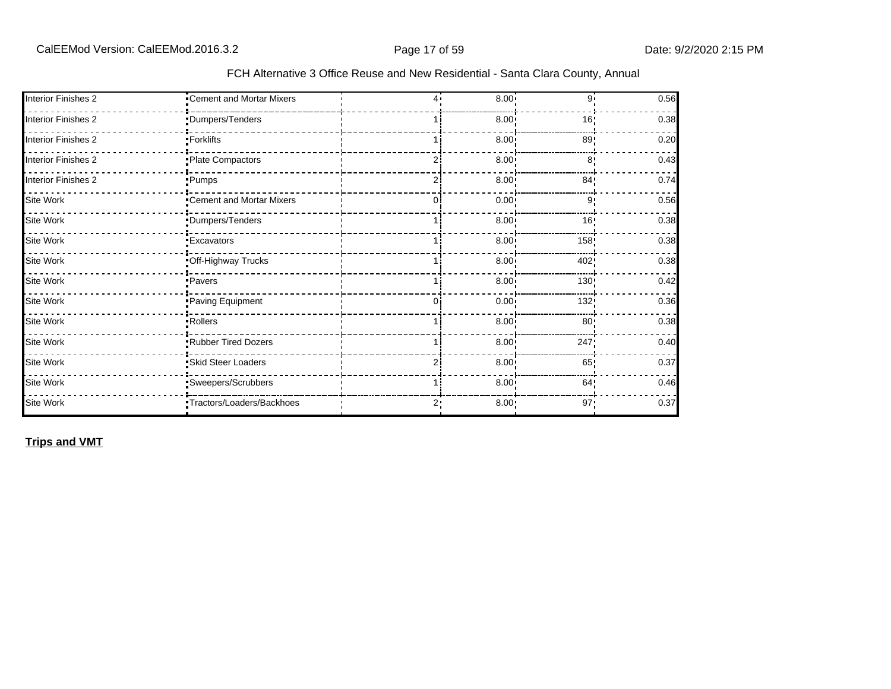| Interior Finishes 2        | •Cement and Mortar Mixers  | 4. | 8.00              | 9.             | 0.56 |
|----------------------------|----------------------------|----|-------------------|----------------|------|
| <b>Interior Finishes 2</b> | Dumpers/Tenders            |    | 8.00              | 16!            | 0.38 |
| <b>Interior Finishes 2</b> | ∙Forklifts_                |    | 8.00 <sub>1</sub> | 89:            | 0.20 |
| <b>Interior Finishes 2</b> | Plate Compactors           |    | 8.00 <sub>1</sub> | 8 <sup>1</sup> | 0.43 |
| <b>Interior Finishes 2</b> | -Pumps                     |    | 8.00 <sup>1</sup> | 84!            | 0.74 |
| Site Work                  | "Cement and Mortar Mixers  | 0  | 0.00 <sub>1</sub> | 9'             | 0.56 |
| Site Work                  | Dumpers/Tenders            |    | $8.00 -$          | 16'            | 0.38 |
| Site Work                  | <b>Excavators</b>          |    | $8.00 -$          | 158            | 0.38 |
| Site Work                  | Off-Highway Trucks         |    | 8.00 <sub>1</sub> | 402!           | 0.38 |
| Site Work                  | <b>Pavers</b>              |    | $8.00 \cdot$      | 130!           | 0.42 |
| Site Work                  | Paving Equipment           |    | 0.00 <sub>1</sub> | 132;           | 0.36 |
| Site Work                  | Rollers                    |    | 8.00 <sub>1</sub> | 80:            | 0.38 |
| Site Work                  | Rubber Tired Dozers        |    | 8.00 <sub>1</sub> | 247!           | 0.40 |
| Site Work                  | Skid Steer Loaders         |    | 8.00 <sub>1</sub> | 65             | 0.37 |
| Site Work                  | Sweepers/Scrubbers         |    | 8.00 <sub>1</sub> | 64!            | 0.46 |
| Site Work                  | -Tractors/Loaders/Backhoes | 2٠ | 8.00              | 97!            | 0.37 |

**Trips and VMT**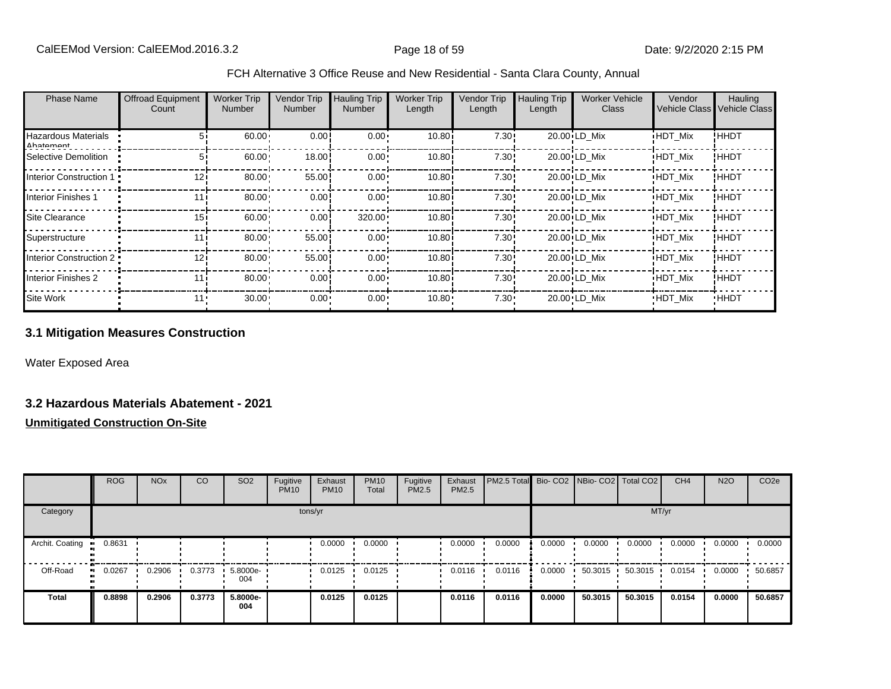| <b>Phase Name</b>                | <b>Offroad Equipment</b><br>Count | <b>Worker Trip</b><br><b>Number</b> | <b>Vendor Trip</b><br>Number | <b>Hauling Trip</b><br><b>Number</b> | <b>Worker Trip</b><br>Length | <b>Vendor Trip</b><br>Length | <b>Hauling Trip</b><br>Length | <b>Worker Vehicle</b><br><b>Class</b> | Vendor<br>Vehicle Class Vehicle Class | Hauling     |
|----------------------------------|-----------------------------------|-------------------------------------|------------------------------|--------------------------------------|------------------------------|------------------------------|-------------------------------|---------------------------------------|---------------------------------------|-------------|
|                                  |                                   |                                     |                              |                                      |                              |                              |                               |                                       |                                       |             |
| Hazardous Materials<br>Ahatamant | 51                                | 60.00                               | 0.00                         | $0.00 \cdot$                         | 10.80i                       | 7.30!                        |                               | 20.00 LD Mix                          | <b>HDT Mix</b>                        | ! ННDТ      |
| Selective Demolition             | 5i                                | 60.00                               | 18.00                        | $0.00 \cdot$                         | 10.80i                       | 7.30!                        |                               | 20.00 LD Mix                          | <b>HDT Mix</b>                        | ! ННDТ      |
| Interior Construction 1 .        | 12i                               | 80.00                               | 55.00                        | $0.00 \cdot$                         | 10.80i                       | 7.30!                        |                               | 20.00 LD Mix                          | <b>HDT Mix</b>                        | ! ННDТ      |
| <b>Interior Finishes 1</b>       | 11 i                              | 80.00                               | 0.00                         | $0.00 \cdot$                         | 10.80i                       | 7.30!                        |                               | 20.00 LD Mix                          | <b>HDT Mix</b>                        | ! ННDТ      |
| Site Clearance                   | 15i                               | 60.00                               | 0.00                         | 320.00                               | 10.80i                       | 7.30!                        |                               | 20.00 LD Mix                          | <b>HDT Mix</b>                        | ! ННDТ      |
| Superstructure                   | 111                               | 80.00                               | 55.00                        | $0.00 \cdot$                         | 10.80i                       | 7.30!                        |                               | 20.00 LD Mix                          | <b>HDT Mix</b>                        | ! ННDТ      |
| Interior Construction 2 .        | 12i                               | 80.00                               | 55.00                        | $0.00 \cdot$                         | 10.80i                       | 7.30!                        |                               | 20.00 LD Mix                          | <b>HDT Mix</b>                        | ! ННDТ      |
| <b>Interior Finishes 2</b>       | 111                               | 80.00                               | 0.00                         | $0.00 \cdot$                         | 10.80i                       | 7.30!                        |                               | 20.00 LD Mix                          | <b>HDT Mix</b>                        | !HHDT       |
| Site Work                        | 11.                               | $30.00 -$                           | $0.00 -$                     | $0.00 \cdot$                         | 10.80                        | $7.30 \cdot$                 |                               | 20.00 LD Mix                          | <b>HDT Mix</b>                        | <b>HHDT</b> |

# **3.1 Mitigation Measures Construction**

Water Exposed Area

#### **3.2 Hazardous Materials Abatement - 2021**

|                        | <b>ROG</b>   | <b>NO<sub>x</sub></b> | CO     | SO <sub>2</sub> | Fugitive<br><b>PM10</b> | Exhaust<br><b>PM10</b> | <b>PM10</b><br>Total | Fugitive<br><b>PM2.5</b> | Exhaust<br><b>PM2.5</b> | PM2.5 Total Bio- CO2 NBio- CO2 Total CO2 |        |         |         | CH <sub>4</sub> | <b>N2O</b> | CO <sub>2e</sub> |
|------------------------|--------------|-----------------------|--------|-----------------|-------------------------|------------------------|----------------------|--------------------------|-------------------------|------------------------------------------|--------|---------|---------|-----------------|------------|------------------|
| Category               |              |                       |        |                 | tons/yr                 |                        |                      |                          |                         |                                          |        |         | MT/yr   |                 |            |                  |
| Archit. Coating<br>-91 | 0.8631       |                       |        |                 |                         | 0.0000                 | 0.0000               |                          | 0.0000                  | 0.0000                                   | 0.0000 | 0.0000  | 0.0000  | 0.0000          | 0.0000     | 0.0000           |
| Off-Road               | 0.0267<br>ш. | 0.2906                | 0.3773 | 5.8000e-<br>004 |                         | 0.0125                 | 0.0125               |                          | 0.0116                  | 0.0116                                   | 0.0000 | 50.3015 | 50.3015 | 0.0154          | 0.0000     | 50.6857          |
| <b>Total</b>           | 0.8898       | 0.2906                | 0.3773 | 5.8000e-<br>004 |                         | 0.0125                 | 0.0125               |                          | 0.0116                  | 0.0116                                   | 0.0000 | 50.3015 | 50.3015 | 0.0154          | 0.0000     | 50.6857          |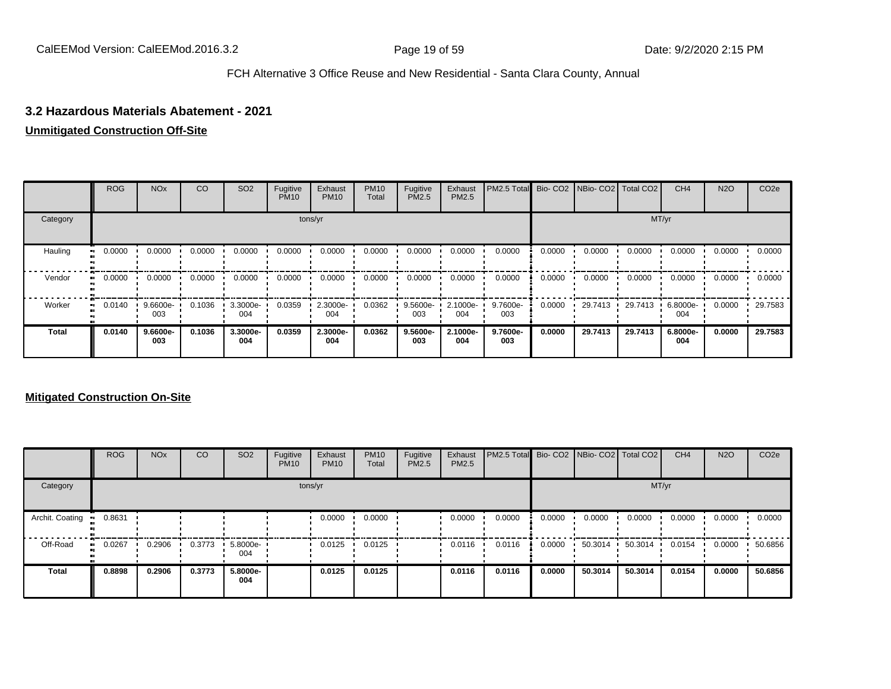## **3.2 Hazardous Materials Abatement - 2021**

## **Unmitigated Construction Off-Site**

|              | <b>ROG</b> | <b>NO<sub>x</sub></b> | CO     | SO <sub>2</sub> | Fugitive<br><b>PM10</b> | Exhaust<br><b>PM10</b> | <b>PM10</b><br>Total | Fugitive<br><b>PM2.5</b> | Exhaust<br>PM2.5 | PM2.5 Total Bio- CO2 NBio- CO2 Total CO2 |        |         |         | CH <sub>4</sub> | <b>N2O</b> | CO <sub>2e</sub> |
|--------------|------------|-----------------------|--------|-----------------|-------------------------|------------------------|----------------------|--------------------------|------------------|------------------------------------------|--------|---------|---------|-----------------|------------|------------------|
| Category     |            |                       |        |                 |                         | tons/yr                |                      |                          |                  |                                          |        |         | MT/yr   |                 |            |                  |
| Hauling      | 0.0000     | 0.0000                | 0.0000 | 0.0000          | 0.0000                  | 0.0000                 | 0.0000               | 0.0000                   | 0.0000           | 0.0000                                   | 0.0000 | 0.0000  | 0.0000  | 0.0000          | 0.0000     | 0.0000           |
| Vendor       | 0.0000     | 0.0000                | 0.0000 | 0.0000          | 0.0000                  | 0.0000                 | 0.0000               | 0.0000                   | 0.0000           | 0.0000                                   | 0.0000 | 0.0000  | 0.0000  | 0.0000          | 0.0000     | 0.0000           |
| Worker       | 0.0140     | 9.6600e-<br>003       | 0.1036 | 3.3000e-<br>004 | 0.0359                  | 2.3000e-<br>004        | 0.0362               | 9.5600e-<br>003          | 2.1000e-<br>004  | 9.7600e-<br>003                          | 0.0000 | 29.7413 | 29.7413 | 6.8000e-<br>004 | 0.0000     | 29.7583          |
| <b>Total</b> | 0.0140     | 9.6600e-<br>003       | 0.1036 | 3.3000e-<br>004 | 0.0359                  | 2.3000e-<br>004        | 0.0362               | 9.5600e-<br>003          | 2.1000e-<br>004  | 9.7600e-<br>003                          | 0.0000 | 29.7413 | 29.7413 | 6.8000e-<br>004 | 0.0000     | 29.7583          |

|                 | <b>ROG</b>   | <b>NO<sub>x</sub></b> | CO     | SO <sub>2</sub>    | Fugitive<br><b>PM10</b> | Exhaust<br><b>PM10</b> | <b>PM10</b><br>Total | Fugitive<br>PM2.5 | Exhaust<br><b>PM2.5</b> | PM2.5 Total Bio- CO2 NBio- CO2 Total CO2 |        |                   |         | CH <sub>4</sub> | <b>N2O</b> | CO <sub>2e</sub> |
|-----------------|--------------|-----------------------|--------|--------------------|-------------------------|------------------------|----------------------|-------------------|-------------------------|------------------------------------------|--------|-------------------|---------|-----------------|------------|------------------|
| Category        |              |                       |        |                    |                         | tons/yr                |                      |                   |                         |                                          |        |                   | MT/yr   |                 |            |                  |
| Archit. Coating | 0.8631       |                       |        |                    |                         | 0.0000                 | 0.0000               |                   | 0.0000                  | 0.0000                                   | 0.0000 | 0.0000            | 0.0000  | 0.0000          | 0.0000     | 0.0000           |
| Off-Road        | 0.0267<br>ш. | 0.2906                | 0.3773 | $5.8000e -$<br>004 |                         | 0.0125                 | 0.0125               |                   | 0.0116                  | 0.0116                                   | 0.0000 | $50.3014$ $\cdot$ | 50.3014 | 0.0154          | 0.0000     | 50.6856          |
| Total           | 0.8898       | 0.2906                | 0.3773 | 5.8000e-<br>004    |                         | 0.0125                 | 0.0125               |                   | 0.0116                  | 0.0116                                   | 0.0000 | 50.3014           | 50.3014 | 0.0154          | 0.0000     | 50.6856          |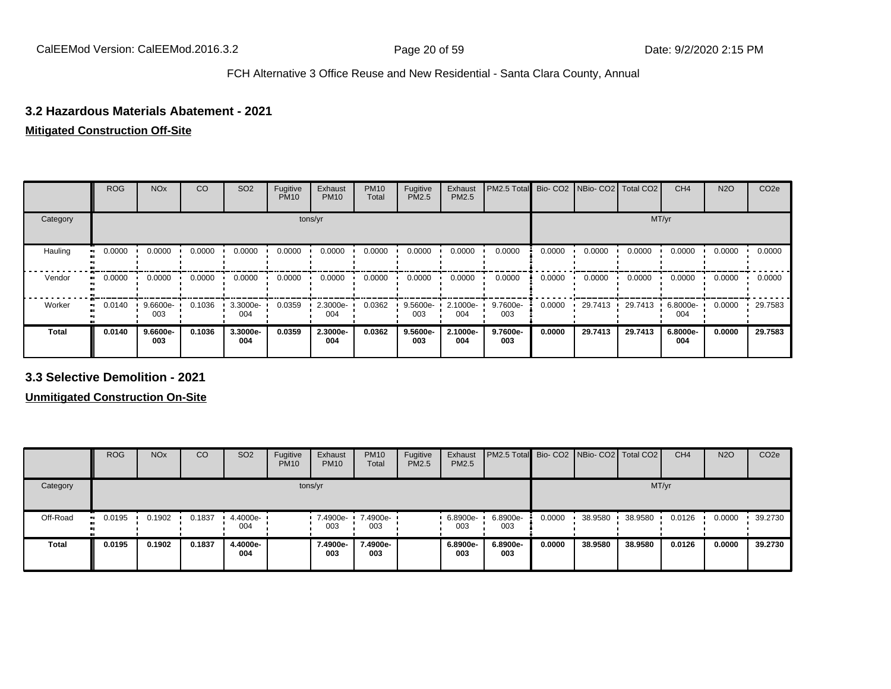## **3.2 Hazardous Materials Abatement - 2021**

### **Mitigated Construction Off-Site**

|          | <b>ROG</b> | <b>NO<sub>x</sub></b> | CO     | SO <sub>2</sub> | Fugitive<br><b>PM10</b> | Exhaust<br><b>PM10</b> | <b>PM10</b><br>Total | Fugitive<br><b>PM2.5</b> | Exhaust<br>PM2.5 | PM2.5 Total Bio- CO2 NBio- CO2 Total CO2 |        |         |         | CH <sub>4</sub> | <b>N2O</b> | CO <sub>2e</sub> |
|----------|------------|-----------------------|--------|-----------------|-------------------------|------------------------|----------------------|--------------------------|------------------|------------------------------------------|--------|---------|---------|-----------------|------------|------------------|
| Category |            |                       |        |                 |                         | tons/yr                |                      |                          |                  |                                          |        |         | MT/yr   |                 |            |                  |
| Hauling  | 0.0000     | 0.0000                | 0.0000 | 0.0000          | 0.0000                  | 0.0000                 | 0.0000               | 0.0000                   | 0.0000           | 0.0000                                   | 0.0000 | 0.0000  | 0.0000  | 0.0000          | 0.0000     | 0.0000           |
| Vendor   | 0.0000     | 0.0000                | 0.0000 | 0.0000          | 0.0000                  | 0.0000                 | 0.0000               | 0.0000                   | 0.0000           | 0.0000                                   | 0.0000 | 0.0000  | 0.0000  | 0.0000          | 0.0000     | 0.0000           |
| Worker   | 0.0140     | 9.6600e-<br>003       | 0.1036 | 3.3000e-<br>004 | 0.0359                  | 2.3000e-<br>004        | 0.0362               | 9.5600e-<br>003          | 2.1000e-<br>004  | 9.7600e-<br>003                          | 0.0000 | 29.7413 | 29.7413 | 6.8000e-<br>004 | 0.0000     | 29.7583          |
| Total    | 0.0140     | 9.6600e-<br>003       | 0.1036 | 3.3000e-<br>004 | 0.0359                  | 2.3000e-<br>004        | 0.0362               | 9.5600e-<br>003          | 2.1000e-<br>004  | 9.7600e-<br>003                          | 0.0000 | 29.7413 | 29.7413 | 6.8000e-<br>004 | 0.0000     | 29.7583          |

**3.3 Selective Demolition - 2021**

|              | <b>ROG</b>  | <b>NO<sub>x</sub></b> | CO     | SO <sub>2</sub>   | Fugitive<br><b>PM10</b> | Exhaust<br><b>PM10</b> | <b>PM10</b><br>Total | Fugitive<br><b>PM2.5</b> | Exhaust<br><b>PM2.5</b> | <b>PM2.5 Total</b> Bio- CO2 NBio- CO2   Total CO2 |        |         |         | CH <sub>4</sub> | <b>N2O</b> | CO <sub>2e</sub> |
|--------------|-------------|-----------------------|--------|-------------------|-------------------------|------------------------|----------------------|--------------------------|-------------------------|---------------------------------------------------|--------|---------|---------|-----------------|------------|------------------|
| Category     |             |                       |        |                   | tons/yr                 |                        |                      |                          |                         |                                                   |        |         | MT/yr   |                 |            |                  |
| Off-Road     | 0.0195<br>. | 0.1902                | 0.1837 | 4.4000e- '<br>004 |                         | 7.4900e-<br>003        | 7.4900e-<br>003      |                          | $.68900e-$<br>003       | 6.8900e-<br>003                                   | 0.0000 | 38.9580 | 38.9580 | 0.0126          | 0.0000     | 39.2730          |
| <b>Total</b> | 0.0195      | 0.1902                | 0.1837 | 4.4000e-<br>004   |                         | 7.4900e-<br>003        | 7.4900e-<br>003      |                          | 6.8900e-<br>003         | 6.8900e-<br>003                                   | 0.0000 | 38.9580 | 38.9580 | 0.0126          | 0.0000     | 39.2730          |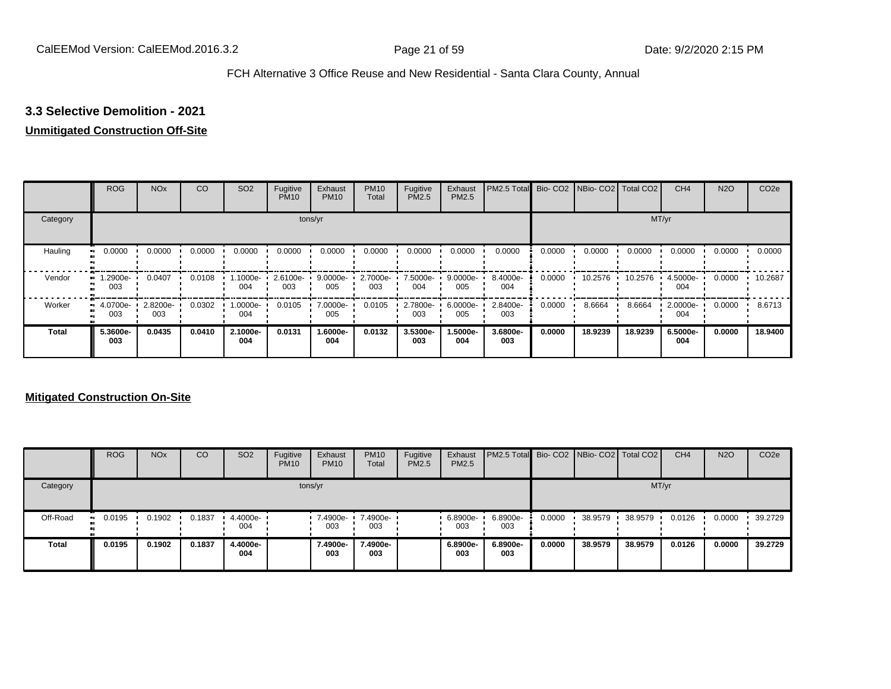# **3.3 Selective Demolition - 2021**

### **Unmitigated Construction Off-Site**

|          | <b>ROG</b>      | <b>NO<sub>x</sub></b> | CO     | SO <sub>2</sub> | Fugitive<br><b>PM10</b> | Exhaust<br><b>PM10</b> | <b>PM10</b><br>Total | Fugitive<br><b>PM2.5</b> | Exhaust<br>PM2.5 | PM2.5 Total Bio- CO2 NBio- CO2 Total CO2 |        |         |         | CH <sub>4</sub> | <b>N2O</b> | CO <sub>2e</sub> |
|----------|-----------------|-----------------------|--------|-----------------|-------------------------|------------------------|----------------------|--------------------------|------------------|------------------------------------------|--------|---------|---------|-----------------|------------|------------------|
| Category |                 |                       |        |                 |                         | tons/yr                |                      |                          |                  |                                          |        |         |         | MT/yr           |            |                  |
| Hauling  | 0.0000          | 0.0000                | 0.0000 | 0.0000          | 0.0000                  | 0.0000                 | 0.0000               | 0.0000                   | 0.0000           | 0.0000                                   | 0.0000 | 0.0000  | 0.0000  | 0.0000          | 0.0000     | 0.0000           |
| Vendor   | 1.2900e-<br>003 | 0.0407                | 0.0108 | 1.1000e-<br>004 | 2.6100e-<br>003         | 9.0000e-<br>005        | 2.7000e-<br>003      | 7.5000e-<br>004          | 9.0000e-<br>005  | 8.4000e-<br>004                          | 0.0000 | 10.2576 | 10.2576 | 4.5000e-<br>004 | 0.0000     | 10.2687          |
| Worker   | 4.0700e-<br>003 | 2.8200e-<br>003       | 0.0302 | -.0000e<br>004  | 0.0105                  | 7.0000e-<br>005        | 0.0105               | 2.7800e-<br>003          | 6.0000e-<br>005  | 2.8400e-<br>003                          | 0.0000 | 8.6664  | 8.6664  | 2.0000e-<br>004 | 0.0000     | 8.6713           |
| Total    | 5.3600e-<br>003 | 0.0435                | 0.0410 | 2.1000e-<br>004 | 0.0131                  | 1.6000e-<br>004        | 0.0132               | 3.5300e-<br>003          | 1.5000e-<br>004  | 3.6800e-<br>003                          | 0.0000 | 18.9239 | 18.9239 | 6.5000e-<br>004 | 0.0000     | 18.9400          |

|              | <b>ROG</b>    | <b>NO<sub>x</sub></b> | CO     | SO <sub>2</sub>                 | Fugitive<br><b>PM10</b> | Exhaust<br><b>PM10</b> | <b>PM10</b><br>Total     | Fugitive<br><b>PM2.5</b> | Exhaust<br><b>PM2.5</b> | PM2.5 Total Bio- CO2 NBio- CO2 Total CO2 |        |         |         | CH <sub>4</sub> | <b>N2O</b> | CO <sub>2e</sub> |
|--------------|---------------|-----------------------|--------|---------------------------------|-------------------------|------------------------|--------------------------|--------------------------|-------------------------|------------------------------------------|--------|---------|---------|-----------------|------------|------------------|
| Category     |               |                       |        |                                 |                         | tons/yr                |                          |                          |                         |                                          |        |         |         | MT/yr           |            |                  |
| Off-Road     | 0.0195<br>. . | 0.1902                | 0.1837 | $\cdot$ 4.4000e- $\cdot$<br>004 |                         | 003                    | 7.4900e- 7.4900e-<br>003 |                          | $.6.8900e-$<br>003      | 6.8900e-<br>003                          | 0.0000 | 38.9579 | 38.9579 | 0.0126          | 0.0000     | 39.2729          |
| <b>Total</b> | 0.0195        | 0.1902                | 0.1837 | 4.4000e-<br>004                 |                         | 7.4900e-<br>003        | 7.4900e-<br>003          |                          | 6.8900e-<br>003         | 6.8900e-<br>003                          | 0.0000 | 38.9579 | 38,9579 | 0.0126          | 0.0000     | 39.2729          |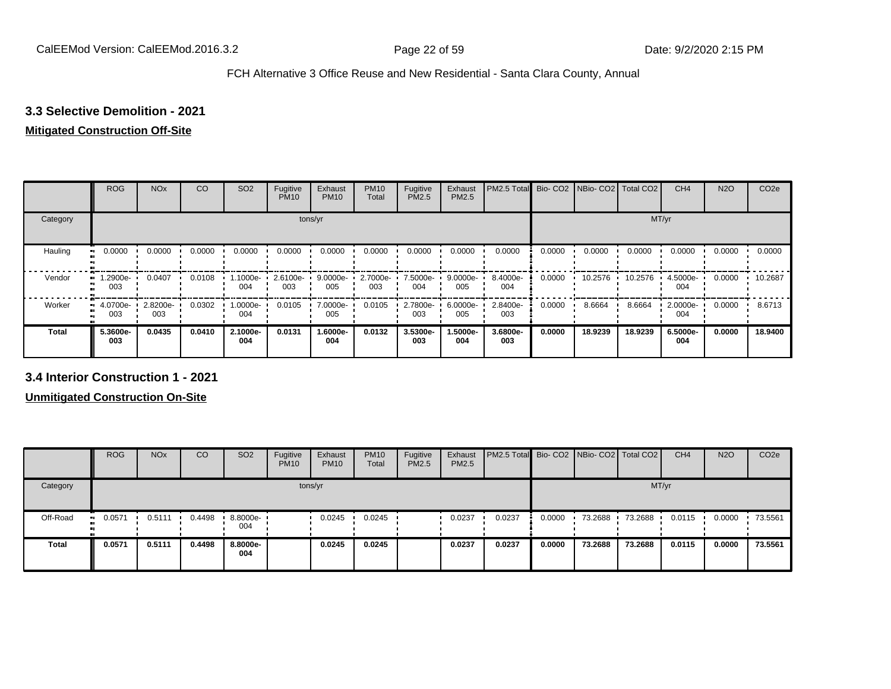## **3.3 Selective Demolition - 2021**

#### **Mitigated Construction Off-Site**

|              | <b>ROG</b>           | <b>NO<sub>x</sub></b> | CO     | SO <sub>2</sub> | Fugitive<br><b>PM10</b> | Exhaust<br><b>PM10</b> | <b>PM10</b><br>Total | Fugitive<br><b>PM2.5</b> | Exhaust<br>PM2.5 | PM2.5 Total Bio- CO2 NBio- CO2 Total CO2 |        |         |         | CH <sub>4</sub> | <b>N2O</b> | CO <sub>2e</sub> |
|--------------|----------------------|-----------------------|--------|-----------------|-------------------------|------------------------|----------------------|--------------------------|------------------|------------------------------------------|--------|---------|---------|-----------------|------------|------------------|
| Category     |                      |                       |        |                 |                         | tons/yr                |                      |                          |                  |                                          |        |         | MT/yr   |                 |            |                  |
| Hauling<br>œ | 0.0000               | 0.0000                | 0.0000 | 0.0000          | 0.0000                  | 0.0000                 | 0.0000               | 0.0000                   | 0.0000           | 0.0000                                   | 0.0000 | 0.0000  | 0.0000  | 0.0000          | 0.0000     | 0.0000           |
| Vendor       | 1.2900e-<br>003      | 0.0407                | 0.0108 | 1000e-<br>004   | 2.6100e-<br>003         | $9.0000e -$<br>005     | 2.7000e-<br>003      | 7.5000e-<br>004          | 9.0000e-<br>005  | 8.4000e-<br>004                          | 0.0000 | 10.2576 | 10.2576 | 4.5000e-<br>004 | 0.0000     | $-10.2687$       |
| Worker       | 4.0700e-<br>ш<br>003 | 2.8200e-<br>003       | 0.0302 | -:0000e<br>004  | 0.0105                  | 7.0000e-<br>005        | 0.0105               | 2.7800e-<br>003          | 6.0000e-<br>005  | 2.8400e-<br>003                          | 0.0000 | 8.6664  | 8.6664  | 2.0000e-<br>004 | 0.0000     | 8.6713           |
| <b>Total</b> | 5.3600e-<br>003      | 0.0435                | 0.0410 | 2.1000e-<br>004 | 0.0131                  | 1.6000e-<br>004        | 0.0132               | 3.5300e-<br>003          | -5000e.<br>004   | 3.6800e-<br>003                          | 0.0000 | 18.9239 | 18.9239 | 6.5000e-<br>004 | 0.0000     | 18.9400          |

**3.4 Interior Construction 1 - 2021**

|              | <b>ROG</b>            | <b>NO<sub>x</sub></b> | CO     | SO <sub>2</sub> | Fugitive<br><b>PM10</b> | Exhaust<br><b>PM10</b> | <b>PM10</b><br>Total | Fugitive<br><b>PM2.5</b> | Exhaust<br>PM2.5 | <b>PM2.5 Total Bio-CO2 NBio-CO2 Total CO2</b> |        |         |         | CH <sub>4</sub> | <b>N2O</b> | CO <sub>2</sub> e |
|--------------|-----------------------|-----------------------|--------|-----------------|-------------------------|------------------------|----------------------|--------------------------|------------------|-----------------------------------------------|--------|---------|---------|-----------------|------------|-------------------|
| Category     |                       |                       |        |                 | tons/yr                 |                        |                      |                          |                  |                                               |        |         |         | MT/yr           |            |                   |
| Off-Road     | 0.0571<br>$\bullet$ : | 0.5111                | 0.4498 | 8.8000e-<br>004 |                         | 0.0245                 | 0.0245               |                          | 0.0237           | 0.0237                                        | 0.0000 | 73.2688 | 73.2688 | 0.0115          | 0.0000     | 73.5561           |
| <b>Total</b> | 0.0571                | 0.5111                | 0.4498 | 8.8000e-<br>004 |                         | 0.0245                 | 0.0245               |                          | 0.0237           | 0.0237                                        | 0.0000 | 73.2688 | 73.2688 | 0.0115          | 0.0000     | 73.5561           |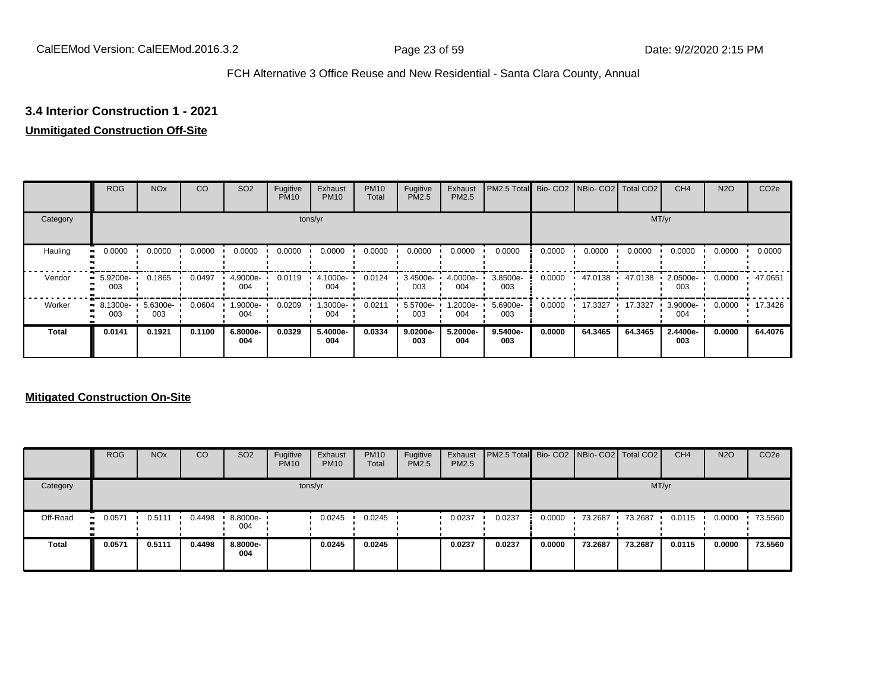# **3.4 Interior Construction 1 - 2021**

# **Unmitigated Construction Off-Site**

|          | <b>ROG</b>      | <b>NO<sub>x</sub></b> | CO     | SO <sub>2</sub> | Fugitive<br><b>PM10</b> | Exhaust<br><b>PM10</b> | <b>PM10</b><br>Total | Fugitive<br><b>PM2.5</b> | Exhaust<br>PM2.5 | PM2.5 Total Bio- CO2 NBio- CO2 Total CO2 |        |         |         | CH <sub>4</sub> | <b>N2O</b> | CO <sub>2e</sub> |
|----------|-----------------|-----------------------|--------|-----------------|-------------------------|------------------------|----------------------|--------------------------|------------------|------------------------------------------|--------|---------|---------|-----------------|------------|------------------|
| Category |                 |                       |        |                 |                         | tons/yr                |                      |                          |                  |                                          |        |         |         | MT/yr           |            |                  |
| Hauling  | 0.0000          | 0.0000                | 0.0000 | 0.0000          | 0.0000                  | 0.0000                 | 0.0000               | 0.0000                   | 0.0000           | 0.0000                                   | 0.0000 | 0.0000  | 0.0000  | 0.0000          | 0.0000     | 0.0000           |
| Vendor   | 5.9200e-<br>003 | 0.1865                | 0.0497 | 4.9000e-<br>004 | 0.0119                  | 4.1000e-<br>004        | 0.0124               | 3.4500e-<br>003          | 4.0000e-<br>004  | 3.8500e-<br>003                          | 0.0000 | 47.0138 | 47.0138 | 2.0500e-<br>003 | 0.0000     | 47.0651          |
| Worker   | 8.1300e-<br>003 | 5.6300e-<br>003       | 0.0604 | .9000e-<br>004  | 0.0209                  | 1.3000e-<br>004        | 0.0211               | 5.5700e-<br>003          | -2000e.<br>004   | 5.6900e-<br>003                          | 0.0000 | 17.3327 | 17.3327 | 3.9000e-<br>004 | 0.0000     | 17.3426          |
| Total    | 0.0141          | 0.1921                | 0.1100 | 6.8000e-<br>004 | 0.0329                  | 5.4000e-<br>004        | 0.0334               | 9.0200e-<br>003          | 5.2000e-<br>004  | 9.5400e-<br>003                          | 0.0000 | 64.3465 | 64.3465 | 2.4400e-<br>003 | 0.0000     | 64.4076          |

|              | <b>ROG</b>    | <b>NO<sub>x</sub></b> | CO     | SO <sub>2</sub> | Fugitive<br><b>PM10</b> | Exhaust<br><b>PM10</b> | <b>PM10</b><br>Total | Fugitive<br><b>PM2.5</b> | Exhaust<br><b>PM2.5</b> | <b>PM2.5 Total</b> Bio- CO2 NBio- CO2 Total CO2 |        |         |         | CH <sub>4</sub> | <b>N2O</b> | CO <sub>2e</sub> |
|--------------|---------------|-----------------------|--------|-----------------|-------------------------|------------------------|----------------------|--------------------------|-------------------------|-------------------------------------------------|--------|---------|---------|-----------------|------------|------------------|
| Category     |               |                       |        |                 |                         | tons/yr                |                      |                          |                         |                                                 |        |         |         | MT/yr           |            |                  |
| Off-Road     | 0.0571<br>. . | 0.5111                | 0.4498 | 8.8000e-<br>004 |                         | 0.0245                 | 0.0245               |                          | 0.0237                  | 0.0237                                          | 0.0000 | 73.2687 | 73.2687 | 0.0115          | 0.0000     | 73.5560          |
| <b>Total</b> | 0.0571        | 0.5111                | 0.4498 | 8.8000e-<br>004 |                         | 0.0245                 | 0.0245               |                          | 0.0237                  | 0.0237                                          | 0.0000 | 73.2687 | 73.2687 | 0.0115          | 0.0000     | 73.5560          |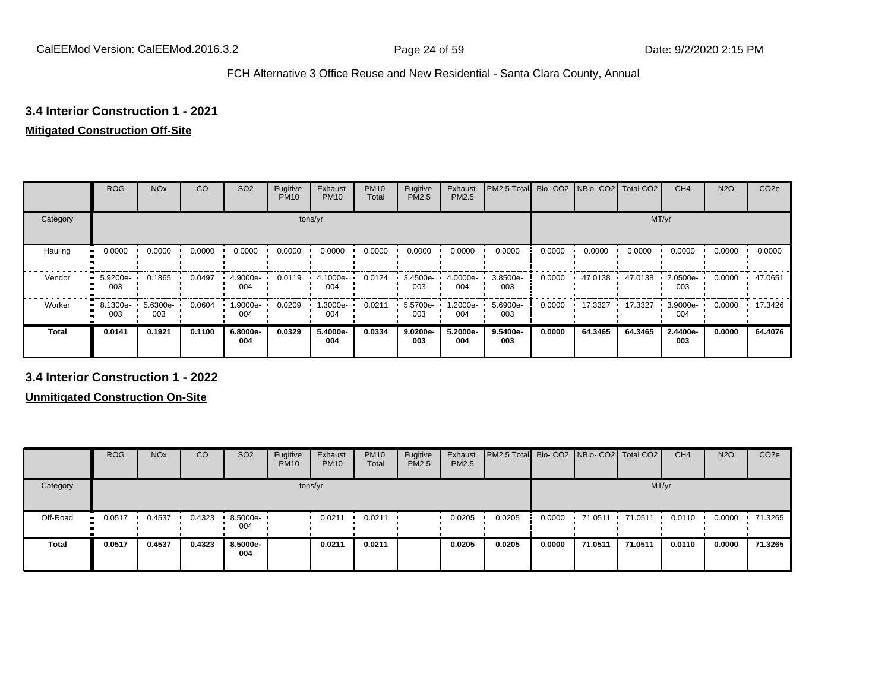# **3.4 Interior Construction 1 - 2021**

# **Mitigated Construction Off-Site**

|              | <b>ROG</b>      | <b>NO<sub>x</sub></b> | CO     | SO <sub>2</sub> | Fugitive<br><b>PM10</b> | Exhaust<br><b>PM10</b> | <b>PM10</b><br>Total | Fugitive<br><b>PM2.5</b> | Exhaust<br>PM2.5 | PM2.5 Total Bio- CO2 NBio- CO2 Total CO2 |        |         |         | CH <sub>4</sub> | <b>N2O</b> | CO <sub>2e</sub> |
|--------------|-----------------|-----------------------|--------|-----------------|-------------------------|------------------------|----------------------|--------------------------|------------------|------------------------------------------|--------|---------|---------|-----------------|------------|------------------|
| Category     |                 |                       |        |                 |                         | tons/yr                |                      |                          |                  |                                          |        |         |         | MT/yr           |            |                  |
| Hauling      | 0.0000          | 0.0000                | 0.0000 | 0.0000          | 0.0000                  | 0.0000                 | 0.0000               | 0.0000                   | 0.0000           | 0.0000                                   | 0.0000 | 0.0000  | 0.0000  | 0.0000          | 0.0000     | 0.0000           |
| Vendor       | 5.9200e-<br>003 | 0.1865                | 0.0497 | 4.9000e-<br>004 | 0.0119                  | 4.1000e-<br>004        | 0.0124               | 3.4500e-<br>003          | 4.0000e-<br>004  | 3.8500e-<br>003                          | 0.0000 | 47.0138 | 47.0138 | 2.0500e-<br>003 | 0.0000     | 47.0651          |
| Worker       | 8.1300e-<br>003 | 5.6300e-<br>003       | 0.0604 | .9000e-<br>004  | 0.0209                  | 1.3000e-<br>004        | 0.0211               | 5.5700e-<br>003          | -2000e.<br>004   | 5.6900e-<br>003                          | 0.0000 | 17.3327 | 17.3327 | 3.9000e-<br>004 | 0.0000     | 17.3426          |
| <b>Total</b> | 0.0141          | 0.1921                | 0.1100 | 6.8000e-<br>004 | 0.0329                  | 5.4000e-<br>004        | 0.0334               | 9.0200e-<br>003          | 5.2000e-<br>004  | 9.5400e-<br>003                          | 0.0000 | 64.3465 | 64.3465 | 2.4400e-<br>003 | 0.0000     | 64.4076          |

**3.4 Interior Construction 1 - 2022**

|              | <b>ROG</b>   | <b>NO<sub>x</sub></b> | CO     | SO <sub>2</sub> | Fugitive<br><b>PM10</b> | Exhaust<br><b>PM10</b> | <b>PM10</b><br>Total | Fugitive<br><b>PM2.5</b> | Exhaust<br>PM2.5 | <b>PM2.5 Total Bio-CO2 NBio-CO2 Total CO2</b> |        |         |         | CH <sub>4</sub> | <b>N2O</b> | CO <sub>2e</sub> |
|--------------|--------------|-----------------------|--------|-----------------|-------------------------|------------------------|----------------------|--------------------------|------------------|-----------------------------------------------|--------|---------|---------|-----------------|------------|------------------|
| Category     |              |                       |        |                 |                         | tons/yr                |                      |                          |                  |                                               |        |         |         | MT/yr           |            |                  |
| Off-Road     | 0.0517<br>ш. | 0.4537                | 0.4323 | 8.5000e-<br>004 |                         | 0.0211                 | 0.0211               |                          | 0.0205           | 0.0205                                        | 0.0000 | 71.0511 | 71.0511 | 0.0110          | 0.0000     | 71.3265          |
| <b>Total</b> | 0.0517       | 0.4537                | 0.4323 | 8.5000e-<br>004 |                         | 0.0211                 | 0.0211               |                          | 0.0205           | 0.0205                                        | 0.0000 | 71.0511 | 71.0511 | 0.0110          | 0.0000     | 71.3265          |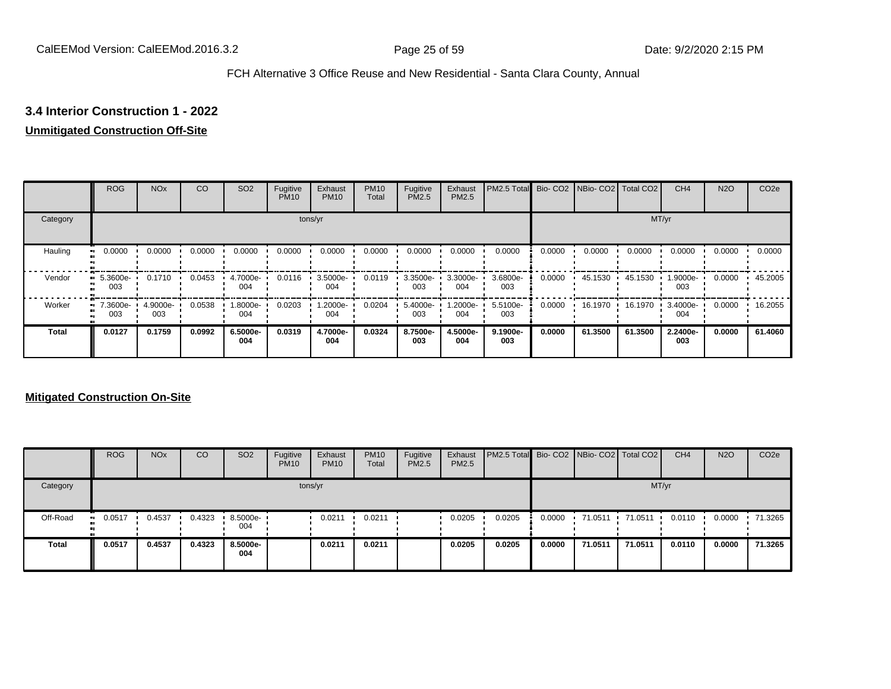# **3.4 Interior Construction 1 - 2022**

## **Unmitigated Construction Off-Site**

|          | <b>ROG</b>      | <b>NO<sub>x</sub></b> | CO     | SO <sub>2</sub> | Fugitive<br><b>PM10</b> | Exhaust<br><b>PM10</b> | <b>PM10</b><br>Total | Fugitive<br><b>PM2.5</b> | Exhaust<br>PM2.5 | PM2.5 Total Bio- CO2 NBio- CO2 Total CO2 |        |         |         | CH <sub>4</sub> | <b>N2O</b> | CO <sub>2e</sub> |
|----------|-----------------|-----------------------|--------|-----------------|-------------------------|------------------------|----------------------|--------------------------|------------------|------------------------------------------|--------|---------|---------|-----------------|------------|------------------|
| Category |                 |                       |        |                 |                         | tons/yr                |                      |                          |                  |                                          |        |         |         | MT/yr           |            |                  |
| Hauling  | 0.0000          | 0.0000                | 0.0000 | 0.0000          | 0.0000                  | 0.0000                 | 0.0000               | 0.0000                   | 0.0000           | 0.0000                                   | 0.0000 | 0.0000  | 0.0000  | 0.0000          | 0.0000     | 0.0000           |
| Vendor   | 5.3600e-<br>003 | 0.1710                | 0.0453 | 4.7000e-<br>004 | 0.0116                  | 3.5000e-<br>004        | 0.0119               | 3.3500e-<br>003          | 3.3000e-<br>004  | 3.6800e-<br>003                          | 0.0000 | 45.1530 | 45.1530 | 1.9000e-<br>003 | 0.0000     | 45.2005          |
| Worker   | 7.3600e-<br>003 | 4.9000e-<br>003       | 0.0538 | -8000e.<br>004  | 0.0203                  | 1.2000e-<br>004        | 0.0204               | 5.4000e-<br>003          | -2000e.<br>004   | 5.5100e-<br>003                          | 0.0000 | 16.1970 | 16.1970 | 3.4000e-<br>004 | 0.0000     | 16.2055          |
| Total    | 0.0127          | 0.1759                | 0.0992 | 6.5000e-<br>004 | 0.0319                  | 4.7000e-<br>004        | 0.0324               | 8.7500e-<br>003          | 4.5000e-<br>004  | 9.1900e-<br>003                          | 0.0000 | 61.3500 | 61.3500 | 2.2400e-<br>003 | 0.0000     | 61.4060          |

|              | <b>ROG</b>    | <b>NO<sub>x</sub></b> | CO     | SO <sub>2</sub>                 | Fugitive<br><b>PM10</b> | Exhaust<br><b>PM10</b> | <b>PM10</b><br>Total | Fugitive<br><b>PM2.5</b> | Exhaust<br><b>PM2.5</b> | <b>PM2.5 Total</b> Bio- CO2 NBio- CO2 Total CO2 |        |         |         | CH <sub>4</sub> | <b>N2O</b> | CO <sub>2e</sub> |
|--------------|---------------|-----------------------|--------|---------------------------------|-------------------------|------------------------|----------------------|--------------------------|-------------------------|-------------------------------------------------|--------|---------|---------|-----------------|------------|------------------|
| Category     |               |                       |        |                                 |                         | tons/yr                |                      |                          |                         |                                                 |        |         |         | MT/yr           |            |                  |
| Off-Road     | 0.0517<br>. . | 0.4537                | 0.4323 | $\cdot$ 8.5000e- $\cdot$<br>004 |                         | 0.0211                 | 0.0211               |                          | 0.0205                  | 0.0205                                          | 0.0000 | 71.0511 | 71.0511 | 0.0110          | 0.0000     | 71.3265          |
| <b>Total</b> | 0.0517        | 0.4537                | 0.4323 | 8.5000e-<br>004                 |                         | 0.0211                 | 0.0211               |                          | 0.0205                  | 0.0205                                          | 0.0000 | 71.0511 | 71.0511 | 0.0110          | 0.0000     | 71.3265          |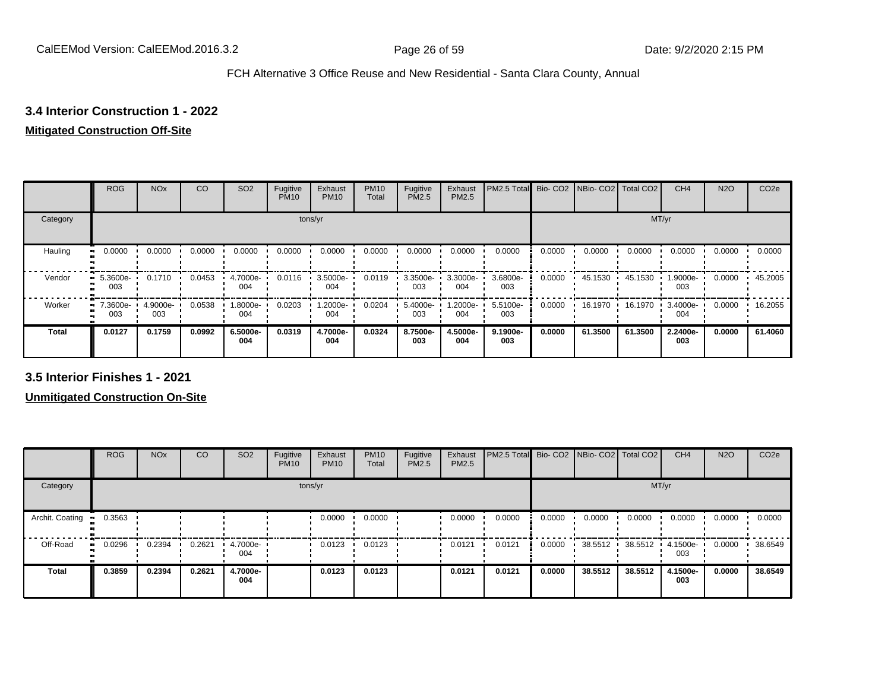# **3.4 Interior Construction 1 - 2022**

# **Mitigated Construction Off-Site**

|          | <b>ROG</b>               | <b>NO<sub>x</sub></b> | CO     | SO <sub>2</sub> | Fugitive<br><b>PM10</b> | Exhaust<br><b>PM10</b> | <b>PM10</b><br>Total | Fugitive<br>PM2.5 | Exhaust<br>PM2.5 | PM2.5 Total     | Bio-CO <sub>2</sub> | NBio- CO2   Total CO2 |         | CH <sub>4</sub>    | <b>N2O</b> | CO <sub>2e</sub> |
|----------|--------------------------|-----------------------|--------|-----------------|-------------------------|------------------------|----------------------|-------------------|------------------|-----------------|---------------------|-----------------------|---------|--------------------|------------|------------------|
| Category |                          |                       |        |                 | tons/yr                 |                        |                      |                   |                  |                 |                     |                       | MT/yr   |                    |            |                  |
| Hauling  | 0.0000<br>$\blacksquare$ | 0.0000                | 0.0000 | 0.0000          | 0.0000                  | 0.0000                 | 0.0000               | 0.0000            | 0.0000           | 0.0000          | 0.0000              | 0.0000                | 0.0000  | 0.0000             | 0.0000     | 0.0000           |
| Vendor   | 5.3600e-<br>.,<br>003    | 0.1710                | 0.0453 | 4.7000e-<br>004 | 0.0116                  | 3.5000e-<br>004        | 0.0119               | 3.3500e-<br>003   | 3.3000e-<br>004  | 3.6800e-<br>003 | 0.0000              | 45.1530               | 45.1530 | 1.9000e-<br>003    | 0.0000     | 45.2005          |
| Worker   | 7.3600e-<br>.,<br>003    | 4.9000e-<br>003       | 0.0538 | .8000e-<br>004  | 0.0203                  | 1.2000e-<br>004        | 0.0204               | 5.4000e-<br>003   | .2000e-<br>004   | 5.5100e-<br>003 | 0.0000              | 16.1970               | 16.1970 | $3.4000e -$<br>004 | 0.0000     | 16.2055          |
| Total    | 0.0127                   | 0.1759                | 0.0992 | 6.5000e-<br>004 | 0.0319                  | 4.7000e-<br>004        | 0.0324               | 8.7500e-<br>003   | 4.5000e-<br>004  | 9.1900e-<br>003 | 0.0000              | 61.3500               | 61.3500 | 2.2400e-<br>003    | 0.0000     | 61.4060          |

**3.5 Interior Finishes 1 - 2021**

|                        | <b>ROG</b>   | <b>NO<sub>x</sub></b> | CO     | SO <sub>2</sub> | Fugitive<br><b>PM10</b> | Exhaust<br><b>PM10</b> | <b>PM10</b><br>Total | Fugitive<br><b>PM2.5</b> | Exhaust<br><b>PM2.5</b> | PM2.5 Total Bio- CO2 NBio- CO2 Total CO2 |        |         |         | CH <sub>4</sub> | <b>N2O</b> | CO <sub>2e</sub> |
|------------------------|--------------|-----------------------|--------|-----------------|-------------------------|------------------------|----------------------|--------------------------|-------------------------|------------------------------------------|--------|---------|---------|-----------------|------------|------------------|
| Category               |              |                       |        |                 |                         | tons/yr                |                      |                          |                         |                                          |        |         | MT/yr   |                 |            |                  |
| Archit. Coating<br>- - | 0.3563       |                       |        |                 |                         | 0.0000                 | 0.0000               |                          | 0.0000                  | 0.0000                                   | 0.0000 | 0.0000  | 0.0000  | 0.0000          | 0.0000     | 0.0000           |
| Off-Road               | 0.0296<br>ш. | 0.2394                | 0.2621 | 4.7000e<br>004  |                         | 0.0123                 | 0.0123               |                          | 0.0121                  | 0.0121                                   | 0.0000 | 38.5512 | 38.5512 | 4.1500e-<br>003 | 0.0000     | 38.6549          |
| <b>Total</b>           | 0.3859       | 0.2394                | 0.2621 | 4.7000e-<br>004 |                         | 0.0123                 | 0.0123               |                          | 0.0121                  | 0.0121                                   | 0.0000 | 38.5512 | 38.5512 | 4.1500e-<br>003 | 0.0000     | 38.6549          |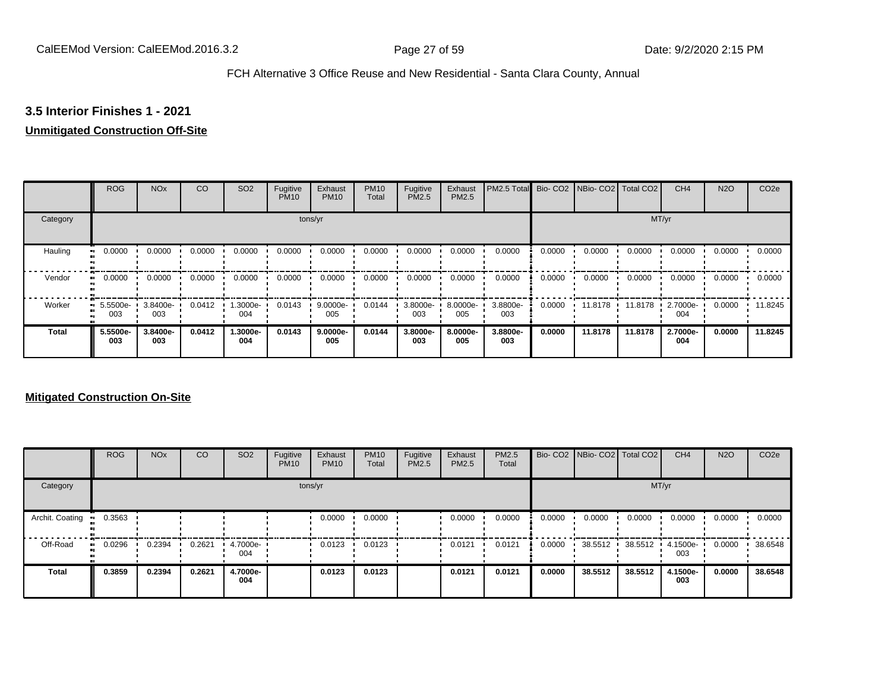# **3.5 Interior Finishes 1 - 2021**

## **Unmitigated Construction Off-Site**

|              | <b>ROG</b>                   | <b>NO<sub>x</sub></b> | CO     | SO <sub>2</sub> | Fugitive<br><b>PM10</b> | Exhaust<br><b>PM10</b> | <b>PM10</b><br>Total | Fugitive<br><b>PM2.5</b> | Exhaust<br>PM2.5 | PM2.5 Total Bio- CO2 NBio- CO2 Total CO2 |        |         |         | CH <sub>4</sub> | <b>N2O</b> | CO <sub>2e</sub> |
|--------------|------------------------------|-----------------------|--------|-----------------|-------------------------|------------------------|----------------------|--------------------------|------------------|------------------------------------------|--------|---------|---------|-----------------|------------|------------------|
| Category     |                              |                       |        |                 |                         | tons/yr                |                      |                          |                  |                                          |        |         | MT/yr   |                 |            |                  |
| Hauling      | 0.0000<br>œ                  | 0.0000                | 0.0000 | 0.0000          | 0.0000                  | 0.0000                 | 0.0000               | 0.0000                   | 0.0000           | 0.0000                                   | 0.0000 | 0.0000  | 0.0000  | 0.0000          | 0.0000     | 0.0000           |
| Vendor       | 0.0000<br>$\bullet$          | 0.0000                | 0.0000 | 0.0000          | 0.0000                  | 0.0000                 | 0.0000               | 0.0000                   | 0.0000           | 0.0000                                   | 0.0000 | 0.0000  | 0.0000  | 0.0000          | 0.0000     | 0.0000           |
| Worker       | 5.5500e-<br>$\bullet$<br>003 | 3.8400e-<br>003       | 0.0412 | -.3000e<br>004  | 0.0143                  | $9.0000e -$<br>005     | 0.0144               | 3.8000e-<br>003          | 8.0000e-<br>005  | 3.8800e-<br>003                          | 0.0000 | 11.8178 | 11.8178 | 2.7000e-<br>004 | 0.0000     | 11.8245          |
| <b>Total</b> | 5.5500e-<br>003              | 3.8400e-<br>003       | 0.0412 | -.3000e<br>004  | 0.0143                  | $9.0000e-$<br>005      | 0.0144               | 3.8000e-<br>003          | 8.0000e-<br>005  | 3.8800e-<br>003                          | 0.0000 | 11.8178 | 11.8178 | 2.7000e-<br>004 | 0.0000     | 11.8245          |

|                 | <b>ROG</b> | <b>NO<sub>x</sub></b> | CO     | SO <sub>2</sub> | Fugitive<br><b>PM10</b> | Exhaust<br><b>PM10</b> | <b>PM10</b><br>Total | Fugitive<br>PM2.5 | Exhaust<br><b>PM2.5</b> | PM2.5<br>Total |        | Bio- CO2   NBio- CO2   Total CO2 |         | CH <sub>4</sub> | <b>N2O</b> | CO <sub>2e</sub> |
|-----------------|------------|-----------------------|--------|-----------------|-------------------------|------------------------|----------------------|-------------------|-------------------------|----------------|--------|----------------------------------|---------|-----------------|------------|------------------|
| Category        |            |                       |        |                 |                         | tons/yr                |                      |                   |                         |                |        |                                  | MT/yr   |                 |            |                  |
| Archit. Coating | 0.3563     |                       |        |                 |                         | 0.0000                 | 0.0000               |                   | 0.0000                  | 0.0000         | 0.0000 | 0.0000                           | 0.0000  | 0.0000          | 0.0000     | 0.0000           |
| Off-Road        | 0.0296<br> | 0.2394                | 0.2621 | 4.7000e-<br>004 |                         | 0.0123                 | 0.0123               |                   | 0.0121                  | 0.0121         | 0.0000 | 38.5512                          | 38.5512 | 4.1500e-<br>003 | 0.0000     | 38.6548          |
| <b>Total</b>    | 0.3859     | 0.2394                | 0.2621 | 4.7000e-<br>004 |                         | 0.0123                 | 0.0123               |                   | 0.0121                  | 0.0121         | 0.0000 | 38.5512                          | 38.5512 | 4.1500e-<br>003 | 0.0000     | 38.6548          |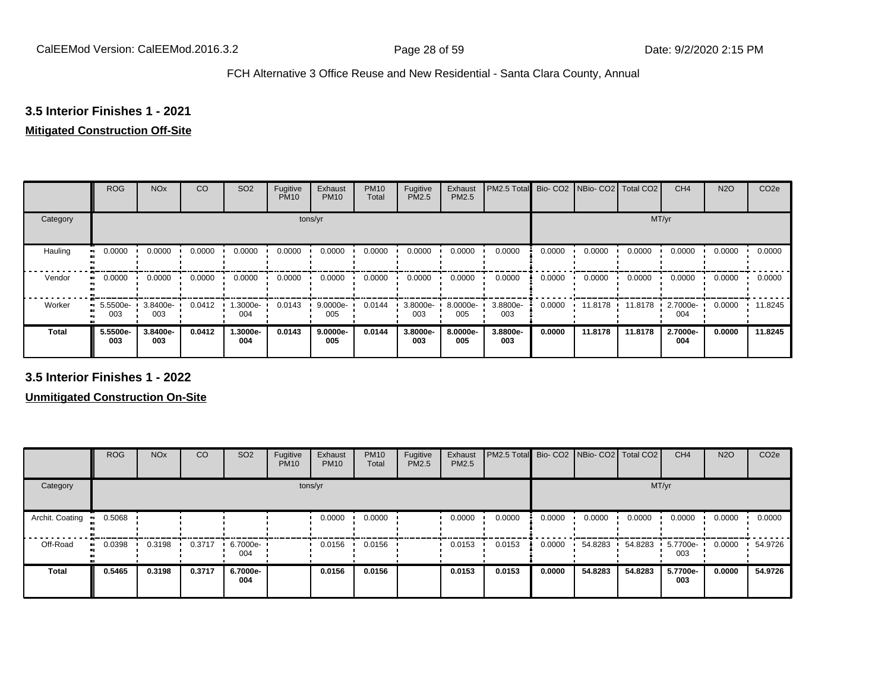# **3.5 Interior Finishes 1 - 2021**

# **Mitigated Construction Off-Site**

|                           | <b>ROG</b>      | <b>NO<sub>x</sub></b> | CO     | SO <sub>2</sub> | Fugitive<br><b>PM10</b> | Exhaust<br><b>PM10</b> | <b>PM10</b><br>Total | Fugitive<br>PM2.5 | Exhaust<br>PM2.5 | PM2.5 Total     |        | Bio- CO2   NBio- CO2   Total CO2 |         | CH <sub>4</sub> | <b>N2O</b> | CO <sub>2e</sub> |
|---------------------------|-----------------|-----------------------|--------|-----------------|-------------------------|------------------------|----------------------|-------------------|------------------|-----------------|--------|----------------------------------|---------|-----------------|------------|------------------|
| Category                  |                 |                       |        |                 | tons/yr                 |                        |                      |                   |                  |                 |        |                                  | MT/yr   |                 |            |                  |
| Hauling<br>$\blacksquare$ | 0.0000          | 0.0000                | 0.0000 | 0.0000          | 0.0000                  | 0.0000                 | 0.0000               | 0.0000            | 0.0000           | 0.0000          | 0.0000 | 0.0000                           | 0.0000  | 0.0000          | 0.0000     | 0.0000           |
| Vendor<br>$\bullet$       | 0.0000          | 0.0000                | 0.0000 | 0.0000          | 0.0000                  | 0.0000                 | 0.0000               | 0.0000            | 0.0000           | 0.0000          | 0.0000 | 0.0000                           | 0.0000  | 0.0000          | 0.0000     | 0.0000           |
| Worker<br>$\bullet$       | 5.5500e-<br>003 | 3.8400e-<br>003       | 0.0412 | 1.3000e-<br>004 | 0.0143                  | $9.0000e -$<br>005     | 0.0144               | 3.8000e-<br>003   | 8.0000e-<br>005  | 3.8800e-<br>003 | 0.0000 | 11.8178                          | 11.8178 | 2.7000e-<br>004 | 0.0000     | 11.8245          |
| <b>Total</b>              | 5.5500e-<br>003 | 3.8400e-<br>003       | 0.0412 | 1.3000e-<br>004 | 0.0143                  | 9.0000e-<br>005        | 0.0144               | 3.8000e-<br>003   | 8.0000e-<br>005  | 3.8800e-<br>003 | 0.0000 | 11.8178                          | 11.8178 | 2.7000e-<br>004 | 0.0000     | 11.8245          |

**3.5 Interior Finishes 1 - 2022**

|                 | <b>ROG</b>          | <b>NO<sub>x</sub></b> | CO     | SO <sub>2</sub> | Fugitive<br><b>PM10</b> | Exhaust<br><b>PM10</b> | <b>PM10</b><br>Total | Fugitive<br><b>PM2.5</b> | Exhaust<br>PM2.5 | PM2.5 Total Bio- CO2 NBio- CO2 Total CO2 |        |         |         | CH <sub>4</sub> | <b>N2O</b> | CO <sub>2e</sub> |
|-----------------|---------------------|-----------------------|--------|-----------------|-------------------------|------------------------|----------------------|--------------------------|------------------|------------------------------------------|--------|---------|---------|-----------------|------------|------------------|
| Category        |                     |                       |        |                 | tons/yr                 |                        |                      |                          |                  |                                          |        |         | MT/yr   |                 |            |                  |
| Archit. Coating | 0.5068              |                       |        |                 |                         | 0.0000                 | 0.0000               |                          | 0.0000           | 0.0000                                   | 0.0000 | 0.0000  | 0.0000  | 0.0000          | 0.0000     | 0.0000           |
| Off-Road        | 0.0398<br>$\bullet$ | 0.3198                | 0.3717 | 6.7000e-<br>004 |                         | 0.0156                 | 0.0156               |                          | 0.0153           | 0.0153                                   | 0.0000 | 54.8283 | 54.8283 | 5.7700e-<br>003 | 0.0000     | 54.9726          |
| Total           | 0.5465              | 0.3198                | 0.3717 | 6.7000e-<br>004 |                         | 0.0156                 | 0.0156               |                          | 0.0153           | 0.0153                                   | 0.0000 | 54.8283 | 54.8283 | 5.7700e-<br>003 | 0.0000     | 54.9726          |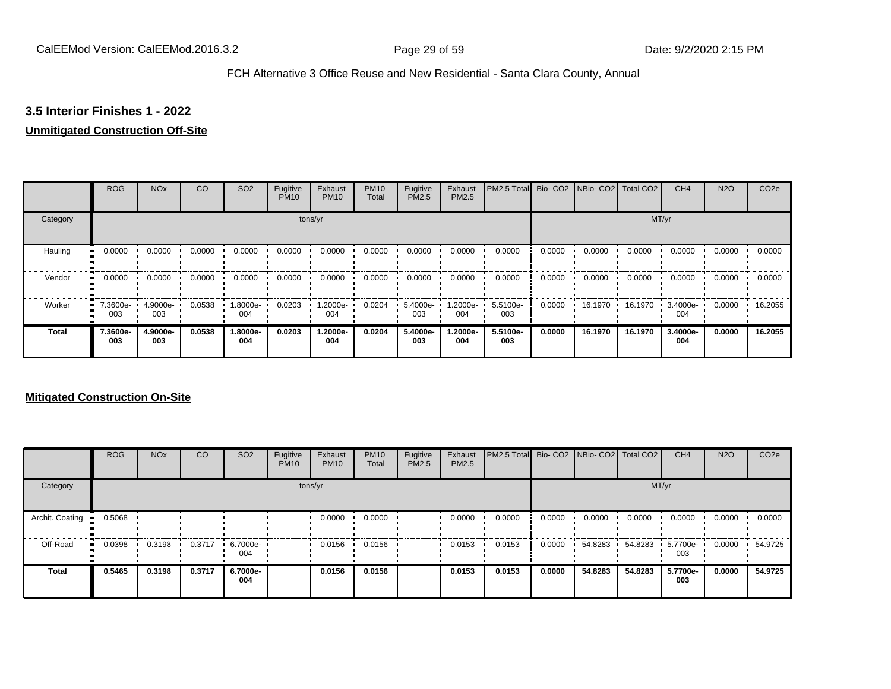## **3.5 Interior Finishes 1 - 2022**

## **Unmitigated Construction Off-Site**

|              | <b>ROG</b>      | <b>NO<sub>x</sub></b> | CO     | SO <sub>2</sub> | Fugitive<br><b>PM10</b> | Exhaust<br><b>PM10</b> | <b>PM10</b><br>Total | Fugitive<br><b>PM2.5</b> | Exhaust<br>PM2.5 | PM2.5 Total Bio- CO2 NBio- CO2 Total CO2 |        |         |         | CH <sub>4</sub> | <b>N2O</b> | CO <sub>2e</sub> |
|--------------|-----------------|-----------------------|--------|-----------------|-------------------------|------------------------|----------------------|--------------------------|------------------|------------------------------------------|--------|---------|---------|-----------------|------------|------------------|
| Category     |                 |                       |        |                 |                         | tons/yr                |                      |                          |                  |                                          |        |         |         | MT/yr           |            |                  |
| Hauling      | 0.0000          | 0.0000                | 0.0000 | 0.0000          | 0.0000                  | 0.0000                 | 0.0000               | 0.0000                   | 0.0000           | 0.0000                                   | 0.0000 | 0.0000  | 0.0000  | 0.0000          | 0.0000     | 0.0000           |
| Vendor       | 0.0000          | 0.0000                | 0.0000 | 0.0000          | 0.0000                  | 0.0000                 | 0.0000               | 0.0000                   | 0.0000           | 0.0000                                   | 0.0000 | 0.0000  | 0.0000  | 0.0000          | 0.0000     | 0.0000           |
| Worker       | 7.3600e-<br>003 | 4.9000e-<br>003       | 0.0538 | .8000e-<br>004  | 0.0203                  | 1.2000e-<br>004        | 0.0204               | 5.4000e-<br>003          | -2000e.<br>004   | 5.5100e-<br>003                          | 0.0000 | 16.1970 | 16.1970 | 3.4000e-<br>004 | 0.0000     | 16.2055          |
| <b>Total</b> | 7.3600e-<br>003 | 4.9000e-<br>003       | 0.0538 | 1.8000e-<br>004 | 0.0203                  | 1.2000e-<br>004        | 0.0204               | 5.4000e-<br>003          | -2000e.<br>004   | 5.5100e-<br>003                          | 0.0000 | 16.1970 | 16.1970 | 3.4000e-<br>004 | 0.0000     | 16.2055          |

|                 | <b>ROG</b>          | <b>NO<sub>x</sub></b> | CO     | SO <sub>2</sub> | Fugitive<br><b>PM10</b> | Exhaust<br><b>PM10</b> | <b>PM10</b><br>Total | Fugitive<br>PM2.5 | Exhaust<br>PM2.5 | PM2.5 Total Bio- CO2 NBio- CO2 Total CO2 |        |         |         | CH <sub>4</sub> | <b>N2O</b> | CO <sub>2e</sub> |
|-----------------|---------------------|-----------------------|--------|-----------------|-------------------------|------------------------|----------------------|-------------------|------------------|------------------------------------------|--------|---------|---------|-----------------|------------|------------------|
| Category        |                     |                       |        |                 | tons/yr                 |                        |                      |                   |                  |                                          |        |         | MT/yr   |                 |            |                  |
| Archit. Coating | 0.5068              |                       |        |                 |                         | 0.0000                 | 0.0000               |                   | 0.0000           | 0.0000                                   | 0.0000 | 0.0000  | 0.0000  | 0.0000          | 0.0000     | 0.0000           |
| Off-Road        | 0.0398<br>$\bullet$ | 0.3198                | 0.3717 | 6.7000e-<br>004 |                         | 0.0156                 | 0.0156               |                   | 0.0153           | 0.0153                                   | 0.0000 | 54.8283 | 54.8283 | 5.7700e-<br>003 | 0.0000     | 54.9725          |
| <b>Total</b>    | 0.5465              | 0.3198                | 0.3717 | 6.7000e-<br>004 |                         | 0.0156                 | 0.0156               |                   | 0.0153           | 0.0153                                   | 0.0000 | 54.8283 | 54.8283 | 5.7700e-<br>003 | 0.0000     | 54.9725          |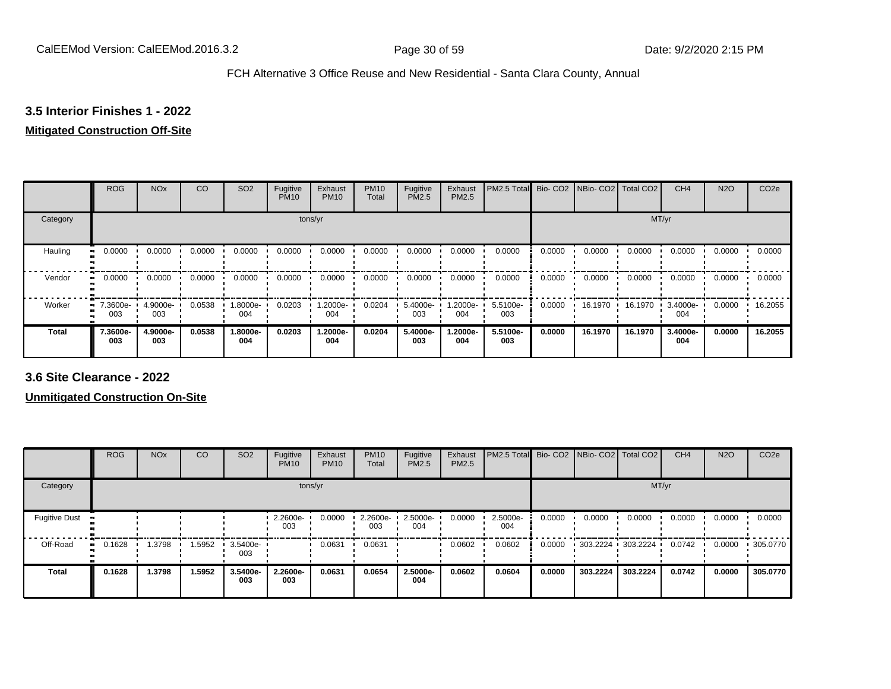# **3.5 Interior Finishes 1 - 2022**

# **Mitigated Construction Off-Site**

|                           | <b>ROG</b>      | <b>NO<sub>x</sub></b> | CO     | SO <sub>2</sub> | Fugitive<br><b>PM10</b> | Exhaust<br><b>PM10</b> | <b>PM10</b><br>Total | Fugitive<br>PM2.5 | Exhaust<br>PM2.5 | PM2.5 Total     |        | Bio- CO2   NBio- CO2   Total CO2 |         | CH <sub>4</sub> | <b>N2O</b> | CO <sub>2e</sub> |
|---------------------------|-----------------|-----------------------|--------|-----------------|-------------------------|------------------------|----------------------|-------------------|------------------|-----------------|--------|----------------------------------|---------|-----------------|------------|------------------|
| Category                  |                 |                       |        |                 | tons/yr                 |                        |                      |                   |                  |                 |        |                                  | MT/yr   |                 |            |                  |
| Hauling<br>$\blacksquare$ | 0.0000          | 0.0000                | 0.0000 | 0.0000          | 0.0000                  | 0.0000                 | 0.0000               | 0.0000            | 0.0000           | 0.0000          | 0.0000 | 0.0000                           | 0.0000  | 0.0000          | 0.0000     | 0.0000           |
| Vendor<br>$\bullet$       | 0.0000          | 0.0000                | 0.0000 | 0.0000          | 0.0000                  | 0.0000                 | 0.0000               | 0.0000            | 0.0000           | 0.0000          | 0.0000 | 0.0000                           | 0.0000  | 0.0000          | 0.0000     | 0.0000           |
| Worker<br>$\bullet$       | 7.3600e-<br>003 | 4.9000e-<br>003       | 0.0538 | 1.8000e-<br>004 | 0.0203                  | 1.2000e-<br>004        | 0.0204               | 5.4000e-<br>003   | .2000e-<br>004   | 5.5100e-<br>003 | 0.0000 | 16.1970                          | 16.1970 | 3.4000e-<br>004 | 0.0000     | 16.2055          |
| <b>Total</b>              | 7.3600e-<br>003 | 4.9000e-<br>003       | 0.0538 | 1.8000e-<br>004 | 0.0203                  | 1.2000e-<br>004        | 0.0204               | 5.4000e-<br>003   | .2000e-<br>004   | 5.5100e-<br>003 | 0.0000 | 16.1970                          | 16.1970 | 3.4000e-<br>004 | 0.0000     | 16.2055          |

**3.6 Site Clearance - 2022**

|                      | <b>ROG</b>   | <b>NO<sub>x</sub></b> | CO     | SO <sub>2</sub> | Fugitive<br><b>PM10</b> | Exhaust<br><b>PM10</b> | <b>PM10</b><br>Total | Fugitive<br><b>PM2.5</b> | Exhaust<br><b>PM2.5</b> | PM2.5 Total Bio- CO2 NBio- CO2   Total CO2 |        |          |                     | CH <sub>4</sub> | <b>N2O</b> | CO <sub>2e</sub> |
|----------------------|--------------|-----------------------|--------|-----------------|-------------------------|------------------------|----------------------|--------------------------|-------------------------|--------------------------------------------|--------|----------|---------------------|-----------------|------------|------------------|
| Category             |              |                       |        |                 | tons/yr                 |                        |                      |                          |                         |                                            |        |          | MT/yr               |                 |            |                  |
| <b>Fugitive Dust</b> |              |                       |        |                 | 2.2600e-<br>003         | 0.0000                 | 2.2600e-<br>003      | 2.5000e-<br>004          | 0.0000                  | 2.5000e-<br>004                            | 0.0000 | 0.0000   | 0.0000              | 0.0000          | 0.0000     | 0.0000           |
| Off-Road             | 0.1628<br>ш. | .3798                 | 1.5952 | 3.5400e-<br>003 |                         | 0.0631                 | 0.0631               |                          | 0.0602                  | 0.0602                                     | 0.0000 |          | 303.2224 303.2224 ' | 0.0742          | 0.0000     | .305.0770        |
| <b>Total</b>         | 0.1628       | 1.3798                | 1.5952 | 3.5400e-<br>003 | 2.2600e-<br>003         | 0.0631                 | 0.0654               | 2.5000e-<br>004          | 0.0602                  | 0.0604                                     | 0.0000 | 303.2224 | 303.2224            | 0.0742          | 0.0000     | 305.0770         |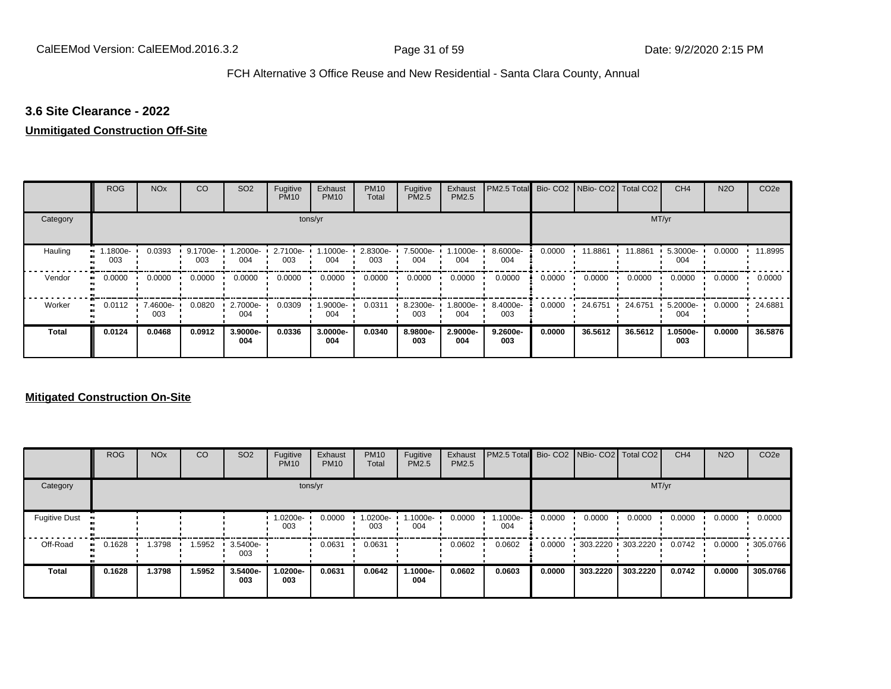## **3.6 Site Clearance - 2022**

## **Unmitigated Construction Off-Site**

|              | <b>ROG</b>     | <b>NO<sub>x</sub></b> | CO              | SO <sub>2</sub> | Fugitive<br><b>PM10</b> | Exhaust<br><b>PM10</b> | <b>PM10</b><br>Total | Fugitive<br>PM2.5 | Exhaust<br><b>PM2.5</b> | PM2.5 Total     |        | Bio- CO2 NBio- CO2 | Total CO <sub>2</sub> | CH <sub>4</sub> | <b>N2O</b> | CO <sub>2e</sub> |
|--------------|----------------|-----------------------|-----------------|-----------------|-------------------------|------------------------|----------------------|-------------------|-------------------------|-----------------|--------|--------------------|-----------------------|-----------------|------------|------------------|
| Category     |                |                       |                 |                 |                         | tons/yr                |                      |                   |                         |                 |        |                    |                       | MT/yr           |            |                  |
| Hauling      | .1800e-<br>003 | 0.0393                | 9.1700e-<br>003 | -2000e.<br>004  | 2.7100e-<br>003         | 1.1000e-<br>004        | 2.8300e-<br>003      | 7.5000e-<br>004   | 1.1000e-<br>004         | 8.6000e-<br>004 | 0.0000 | 11.8861            | 11.8861               | 5.3000e-<br>004 | 0.0000     | 11.8995          |
| Vendor<br>œ  | 0.0000         | 0.0000                | 0.0000          | 0.0000          | 0.0000                  | 0.0000                 | 0.0000               | 0.0000            | 0.0000                  | 0.0000          | 0.0000 | 0.0000             | 0.0000                | 0.0000          | 0.0000     | 0.0000           |
| Worker<br>п. | 0.0112         | 7.4600e-<br>003       | 0.0820          | 2.7000e-<br>004 | 0.0309                  | 1.9000e-<br>004        | 0.0311               | 8.2300e-<br>003   | -8000e.<br>004          | 8.4000e-<br>003 | 0.0000 | 24.6751            | 24.6751               | 5.2000e-<br>004 | 0.0000     | 24.6881          |
| <b>Total</b> | 0.0124         | 0.0468                | 0.0912          | 3.9000e-<br>004 | 0.0336                  | 3.0000e-<br>004        | 0.0340               | 8.9800e-<br>003   | 2.9000e-<br>004         | 9.2600e-<br>003 | 0.0000 | 36.5612            | 36.5612               | 1.0500e-<br>003 | 0.0000     | 36.5876          |

|                      | <b>ROG</b> | <b>NO<sub>x</sub></b> | CO     | SO <sub>2</sub> | Fugitive<br><b>PM10</b> | Exhaust<br><b>PM10</b> | <b>PM10</b><br>Total | Fugitive<br><b>PM2.5</b> | Exhaust<br><b>PM2.5</b> | PM2.5 Total Bio- CO2 NBio- CO2 Total CO2 |        |          |                     | CH <sub>4</sub> | <b>N2O</b> | CO <sub>2e</sub> |
|----------------------|------------|-----------------------|--------|-----------------|-------------------------|------------------------|----------------------|--------------------------|-------------------------|------------------------------------------|--------|----------|---------------------|-----------------|------------|------------------|
| Category             |            |                       |        |                 | tons/yr                 |                        |                      |                          |                         |                                          |        |          | MT/yr               |                 |            |                  |
| <b>Fugitive Dust</b> |            |                       |        |                 | -0200e-<br>003          | 0.0000                 | 1.0200e-<br>003      | $.1000e-$<br>004         | 0.0000                  | 1.1000e-<br>004                          | 0.0000 | 0.0000   | 0.0000              | 0.0000          | 0.0000     | 0.0000           |
| Off-Road             | 0.1628<br> | .3798                 | 1.5952 | 3.5400e-<br>003 |                         | 0.0631                 | 0.0631               |                          | 0.0602                  | 0.0602                                   | 0.0000 |          | 303.2220 303.2220 ' | 0.0742          | 0.0000     | .305.0766        |
| <b>Total</b>         | 0.1628     | 1.3798                | 1.5952 | 3.5400e-<br>003 | 1.0200e-<br>003         | 0.0631                 | 0.0642               | 1.1000e-<br>004          | 0.0602                  | 0.0603                                   | 0.0000 | 303.2220 | 303.2220            | 0.0742          | 0.0000     | 305.0766         |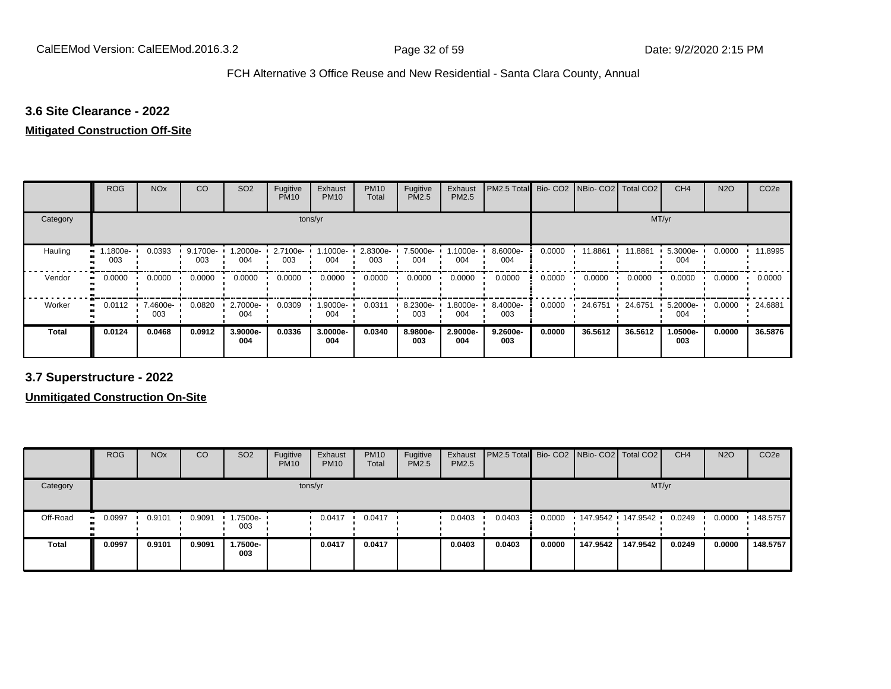# **3.6 Site Clearance - 2022**

### **Mitigated Construction Off-Site**

|                     | <b>ROG</b>     | <b>NO<sub>x</sub></b> | CO              | SO <sub>2</sub> | Fugitive<br><b>PM10</b> | Exhaust<br><b>PM10</b> | <b>PM10</b><br>Total | Fugitive<br>PM2.5 | Exhaust<br>PM2.5 | PM2.5 Total     |        | Bio- CO2 NBio- CO2 Total CO2 |         | CH <sub>4</sub> | <b>N2O</b> | CO <sub>2e</sub> |
|---------------------|----------------|-----------------------|-----------------|-----------------|-------------------------|------------------------|----------------------|-------------------|------------------|-----------------|--------|------------------------------|---------|-----------------|------------|------------------|
| Category            |                |                       |                 |                 | tons/yr                 |                        |                      |                   |                  |                 |        |                              | MT/yr   |                 |            |                  |
| Hauling             | .1800e-<br>003 | 0.0393                | 9.1700e-<br>003 | 1.2000e-<br>004 | 2.7100e-<br>003         | 1.1000e-<br>004        | 2.8300e-<br>003      | 7.5000e-<br>004   | .1000e-<br>004   | 8.6000e-<br>004 | 0.0000 | 11.8861                      | 11.8861 | 5.3000e-<br>004 | 0.0000     | 11.8995          |
| Vendor<br>$\bullet$ | 0.0000         | 0.0000                | 0.0000          | 0.0000          | 0.0000                  | 0.0000                 | 0.0000               | 0.0000            | 0.0000           | 0.0000          | 0.0000 | 0.0000                       | 0.0000  | 0.0000          | 0.0000     | 0.0000           |
| Worker<br>. .       | 0.0112         | 7.4600e-<br>003       | 0.0820          | 2.7000e-<br>004 | 0.0309                  | 1.9000e-<br>004        | 0.0311               | 8.2300e-<br>003   | .8000e-<br>004   | 8.4000e-<br>003 | 0.0000 | 24.6751                      | 24.6751 | 5.2000e-<br>004 | 0.0000     | 24.6881          |
| <b>Total</b>        | 0.0124         | 0.0468                | 0.0912          | 3.9000e-<br>004 | 0.0336                  | 3.0000e-<br>004        | 0.0340               | 8.9800e-<br>003   | 2.9000e-<br>004  | 9.2600e-<br>003 | 0.0000 | 36.5612                      | 36.5612 | 1.0500e-<br>003 | 0.0000     | 36.5876          |

**3.7 Superstructure - 2022**

|              | <b>ROG</b>            | <b>NO<sub>x</sub></b> | CO     | SO <sub>2</sub>         | Fugitive<br><b>PM10</b> | Exhaust<br><b>PM10</b> | <b>PM10</b><br>Total | Fugitive<br><b>PM2.5</b> | Exhaust<br>PM2.5 | <b>PM2.5 Total</b> Bio- CO2 NBio- CO2   Total CO2 |        |                   |          | CH <sub>4</sub> | <b>N2O</b> | CO <sub>2</sub> e |
|--------------|-----------------------|-----------------------|--------|-------------------------|-------------------------|------------------------|----------------------|--------------------------|------------------|---------------------------------------------------|--------|-------------------|----------|-----------------|------------|-------------------|
| Category     |                       |                       |        |                         | tons/yr                 |                        |                      |                          |                  |                                                   |        |                   | MT/yr    |                 |            |                   |
| Off-Road     | 0.0997<br>$\bullet$ : | 0.9101                | 0.9091 | $\cdot$ 1.7500e-<br>003 |                         | 0.0417                 | 0.0417               |                          | 0.0403           | 0.0403                                            | 0.0000 | 147.9542 147.9542 |          | 0.0249          | 0.0000     | .148.5757         |
| <b>Total</b> | 0.0997                | 0.9101                | 0.9091 | 1.7500e-<br>003         |                         | 0.0417                 | 0.0417               |                          | 0.0403           | 0.0403                                            | 0.0000 | 147.9542          | 147.9542 | 0.0249          | 0.0000     | 148.5757          |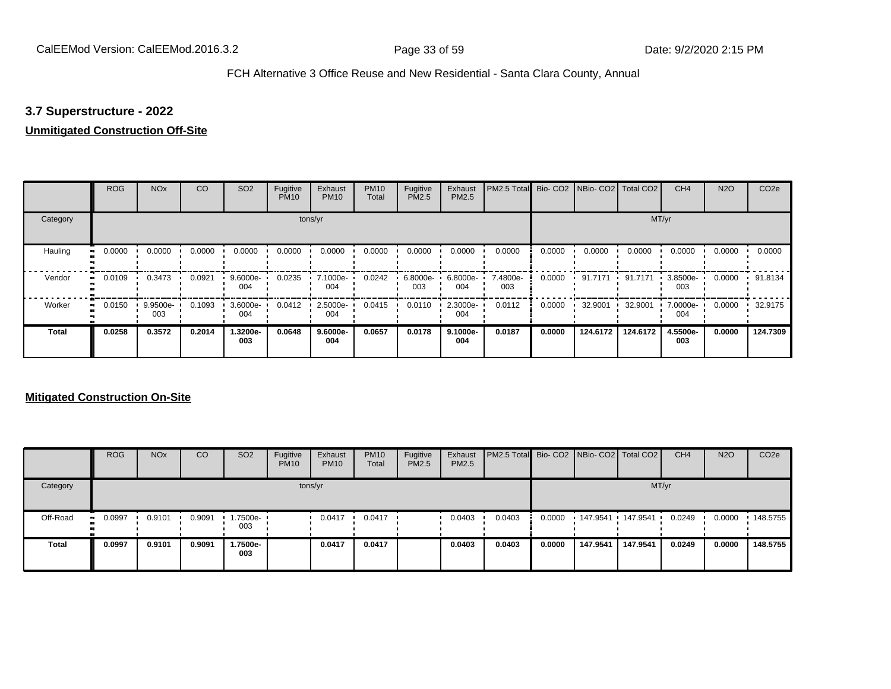# **3.7 Superstructure - 2022**

# **Unmitigated Construction Off-Site**

|          | <b>ROG</b>          | <b>NO<sub>x</sub></b> | CO     | SO <sub>2</sub> | Fugitive<br><b>PM10</b> | Exhaust<br><b>PM10</b> | <b>PM10</b><br>Total | Fugitive<br><b>PM2.5</b> | Exhaust<br>PM2.5 | PM2.5 Total Bio- CO2 NBio- CO2 Total CO2 |        |          |          | CH <sub>4</sub>   | <b>N2O</b> | CO <sub>2e</sub> |
|----------|---------------------|-----------------------|--------|-----------------|-------------------------|------------------------|----------------------|--------------------------|------------------|------------------------------------------|--------|----------|----------|-------------------|------------|------------------|
| Category |                     |                       |        |                 |                         | tons/yr                |                      |                          |                  |                                          |        |          | MT/yr    |                   |            |                  |
| Hauling  | 0.0000<br>œ         | 0.0000                | 0.0000 | 0.0000          | 0.0000                  | 0.0000                 | 0.0000               | 0.0000                   | 0.0000           | 0.0000                                   | 0.0000 | 0.0000   | 0.0000   | 0.0000            | 0.0000     | 0.0000           |
| Vendor   | 0.0109<br>$\bullet$ | 0.3473                | 0.0921 | 9.6000e-<br>004 | 0.0235                  | 7.1000e-<br>004        | 0.0242               | 6.8000e-<br>003          | 6.8000e-<br>004  | 7.4800e-<br>003                          | 0.0000 | 91.7171  | 91.7171  | $3.8500e-$<br>003 | 0.0000     | 91.8134          |
| Worker   | 0.0150<br>$\bullet$ | 9.9500e-<br>003       | 0.1093 | 3.6000e-<br>004 | 0.0412                  | 2.5000e-<br>004        | 0.0415               | 0.0110                   | 2.3000e-<br>004  | 0.0112                                   | 0.0000 | 32.9001  | 32.9001  | 7.0000e-<br>004   | 0.0000     | 32.9175          |
| Total    | 0.0258              | 0.3572                | 0.2014 | 1.3200e-<br>003 | 0.0648                  | $9.6000e-$<br>004      | 0.0657               | 0.0178                   | 9.1000e-<br>004  | 0.0187                                   | 0.0000 | 124.6172 | 124.6172 | 4.5500e-<br>003   | 0.0000     | 124.7309         |

|              | <b>ROG</b>  | <b>NO<sub>x</sub></b> | CO     | SO <sub>2</sub>    | Fugitive<br><b>PM10</b> | Exhaust<br><b>PM10</b> | <b>PM10</b><br>Total | Fugitive<br><b>PM2.5</b> | Exhaust<br><b>PM2.5</b> | PM2.5 Total Bio- CO2 NBio- CO2 Total CO2 |        |          |                     | CH <sub>4</sub> | <b>N2O</b> | CO <sub>2e</sub> |
|--------------|-------------|-----------------------|--------|--------------------|-------------------------|------------------------|----------------------|--------------------------|-------------------------|------------------------------------------|--------|----------|---------------------|-----------------|------------|------------------|
| Category     |             |                       |        |                    |                         | tons/yr                |                      |                          |                         |                                          |        |          |                     | MT/yr           |            |                  |
| Off-Road     | 0.0997<br>. | 0.9101                | 0.9091 | $1.7500e -$<br>003 |                         | 0.0417                 | 0.0417               |                          | 0.0403                  | 0.0403                                   | 0.0000 |          | 147.9541 147.9541 1 | 0.0249          | 0.0000     | $\cdot$ 148.5755 |
| <b>Total</b> | 0.0997      | 0.9101                | 0.9091 | -.7500e<br>003     |                         | 0.0417                 | 0.0417               |                          | 0.0403                  | 0.0403                                   | 0.0000 | 147.9541 | 147.9541            | 0.0249          | 0.0000     | 148.5755         |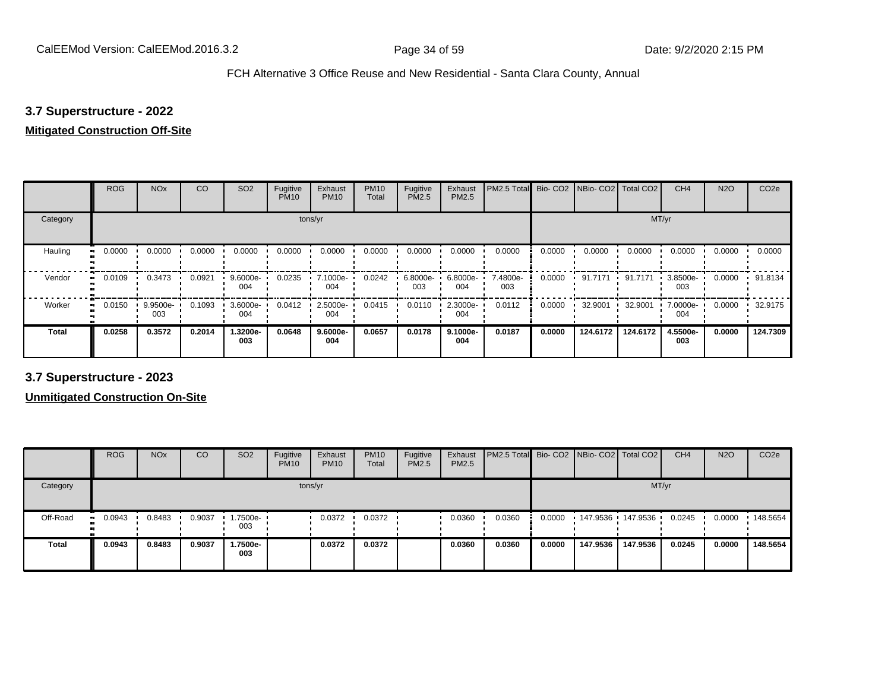# **3.7 Superstructure - 2022**

### **Mitigated Construction Off-Site**

|                     | <b>ROG</b>               | <b>NO<sub>x</sub></b> | CO     | SO <sub>2</sub> | Fugitive<br><b>PM10</b> | Exhaust<br><b>PM10</b> | <b>PM10</b><br>Total | Fugitive<br><b>PM2.5</b> | Exhaust<br>PM2.5 | PM2.5 Total Bio- CO2 NBio- CO2 Total CO2 |        |          |          | CH <sub>4</sub> | <b>N2O</b> | CO <sub>2e</sub> |
|---------------------|--------------------------|-----------------------|--------|-----------------|-------------------------|------------------------|----------------------|--------------------------|------------------|------------------------------------------|--------|----------|----------|-----------------|------------|------------------|
| Category            |                          |                       |        |                 |                         | tons/yr                |                      |                          |                  |                                          |        |          | MT/yr    |                 |            |                  |
| Hauling             | 0.0000<br>$\blacksquare$ | 0.0000                | 0.0000 | 0.0000          | 0.0000                  | 0.0000                 | 0.0000               | 0.0000                   | 0.0000           | 0.0000                                   | 0.0000 | 0.0000   | 0.0000   | 0.0000          | 0.0000     | 0.0000           |
| Vendor              | 0.0109<br>$\bullet$      | 0.3473                | 0.0921 | 9.6000e-<br>004 | 0.0235                  | 7.1000e-<br>004        | 0.0242               | 6.8000e-<br>003          | 6.8000e-<br>004  | 7.4800e-<br>003                          | 0.0000 | 91.7171  | 91.7171  | 3.8500e-<br>003 | 0.0000     | 91.8134          |
| Worker<br>$\bullet$ | 0.0150                   | 9.9500e-<br>003       | 0.1093 | 3.6000e-<br>004 | 0.0412                  | 2.5000e-<br>004        | 0.0415               | 0.0110                   | 2.3000e-<br>004  | 0.0112                                   | 0.0000 | 32.9001  | 32.9001  | 7.0000e-<br>004 | 0.0000     | 32.9175          |
| Total               | 0.0258                   | 0.3572                | 0.2014 | -.3200e<br>003  | 0.0648                  | $9.6000e-$<br>004      | 0.0657               | 0.0178                   | 9.1000e-<br>004  | 0.0187                                   | 0.0000 | 124.6172 | 124.6172 | 4.5500e-<br>003 | 0.0000     | 124.7309         |

**3.7 Superstructure - 2023**

|              | <b>ROG</b>   | <b>NO<sub>x</sub></b> | CO     | SO <sub>2</sub>    | Fugitive<br><b>PM10</b> | Exhaust<br><b>PM10</b> | <b>PM10</b><br>Total | Fugitive<br><b>PM2.5</b> | Exhaust<br>PM2.5 | <b>PM2.5 Total Bio-CO2 NBio-CO2 Total CO2</b> |        |                   |          | CH <sub>4</sub> | <b>N2O</b> | CO <sub>2</sub> e |
|--------------|--------------|-----------------------|--------|--------------------|-------------------------|------------------------|----------------------|--------------------------|------------------|-----------------------------------------------|--------|-------------------|----------|-----------------|------------|-------------------|
| Category     |              |                       |        |                    | tons/yr                 |                        |                      |                          |                  |                                               |        |                   | MT/yr    |                 |            |                   |
| Off-Road     | 0.0943<br>ш. | 0.8483                | 0.9037 | $1.7500e -$<br>003 |                         | 0.0372                 | 0.0372               |                          | 0.0360           | 0.0360                                        | 0.0000 | 147.9536 147.9536 |          | 0.0245          | 0.0000     | $\cdot$ 148.5654  |
| <b>Total</b> | 0.0943       | 0.8483                | 0.9037 | 1.7500e-<br>003    |                         | 0.0372                 | 0.0372               |                          | 0.0360           | 0.0360                                        | 0.0000 | 147.9536          | 147.9536 | 0.0245          | 0.0000     | 148.5654          |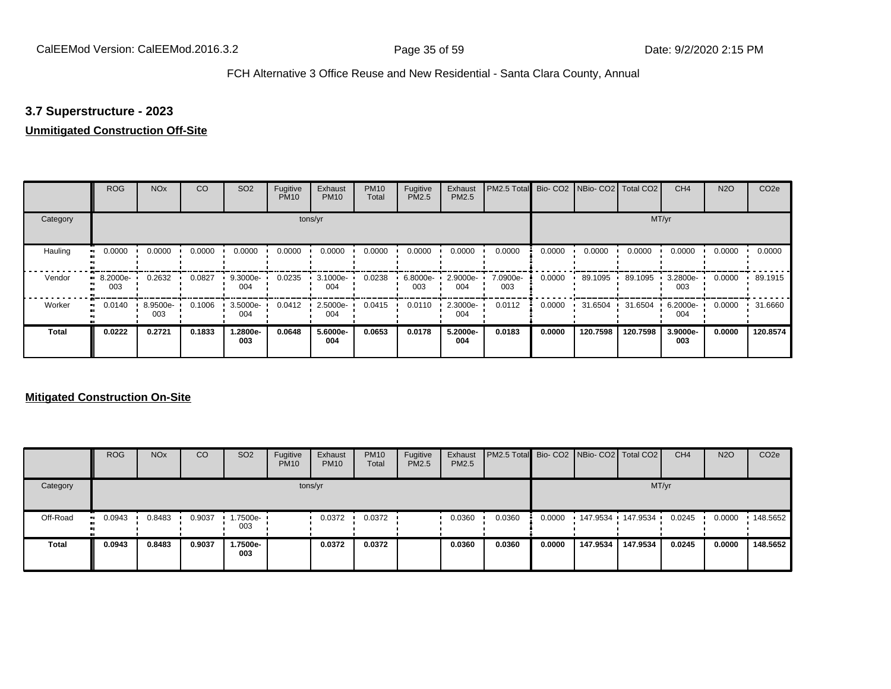# **3.7 Superstructure - 2023**

# **Unmitigated Construction Off-Site**

|              | <b>ROG</b>          | <b>NO<sub>x</sub></b> | CO     | SO <sub>2</sub> | Fugitive<br><b>PM10</b> | Exhaust<br><b>PM10</b> | <b>PM10</b><br>Total | Fugitive<br><b>PM2.5</b> | Exhaust<br>PM2.5 | PM2.5 Total Bio- CO2 NBio- CO2 Total CO2 |        |          |          | CH <sub>4</sub> | <b>N2O</b> | CO <sub>2e</sub> |
|--------------|---------------------|-----------------------|--------|-----------------|-------------------------|------------------------|----------------------|--------------------------|------------------|------------------------------------------|--------|----------|----------|-----------------|------------|------------------|
| Category     |                     |                       |        |                 |                         | tons/yr                |                      |                          |                  |                                          |        |          | MT/yr    |                 |            |                  |
| Hauling      | 0.0000<br>œ         | 0.0000                | 0.0000 | 0.0000          | 0.0000                  | 0.0000                 | 0.0000               | 0.0000                   | 0.0000           | 0.0000                                   | 0.0000 | 0.0000   | 0.0000   | 0.0000          | 0.0000     | 0.0000           |
| Vendor       | 8.2000e-<br>003     | 0.2632                | 0.0827 | 9.3000e-<br>004 | 0.0235                  | 3.1000e-<br>004        | 0.0238               | 6.8000e-<br>003          | 2.9000e-<br>004  | 7.0900e-<br>003                          | 0.0000 | 89.1095  | 89.1095  | 3.2800e-<br>003 | 0.0000     | 89.1915          |
| Worker       | 0.0140<br>$\bullet$ | 8.9500e-<br>003       | 0.1006 | 3.5000e-<br>004 | 0.0412                  | 2.5000e-<br>004        | 0.0415               | 0.0110                   | 2.3000e-<br>004  | 0.0112                                   | 0.0000 | 31.6504  | 31.6504  | 6.2000e-<br>004 | 0.0000     | 31.6660          |
| <b>Total</b> | 0.0222              | 0.2721                | 0.1833 | 1.2800e-<br>003 | 0.0648                  | 5.6000e-<br>004        | 0.0653               | 0.0178                   | 5.2000e-<br>004  | 0.0183                                   | 0.0000 | 120.7598 | 120.7598 | 3.9000e-<br>003 | 0.0000     | 120.8574         |

|              | <b>ROG</b>    | <b>NO<sub>x</sub></b> | CO     | SO <sub>2</sub>   | Fugitive<br><b>PM10</b> | Exhaust<br><b>PM10</b> | <b>PM10</b><br>Total | Fugitive<br><b>PM2.5</b> | Exhaust<br><b>PM2.5</b> | <b>PM2.5 Total</b> Bio- CO2 NBio- CO2 Total CO2 |        |                   |          | CH <sub>4</sub> | <b>N2O</b> | CO <sub>2e</sub> |
|--------------|---------------|-----------------------|--------|-------------------|-------------------------|------------------------|----------------------|--------------------------|-------------------------|-------------------------------------------------|--------|-------------------|----------|-----------------|------------|------------------|
| Category     |               |                       |        |                   |                         | tons/yr                |                      |                          |                         |                                                 |        |                   |          | MT/yr           |            |                  |
| Off-Road     | 0.0943<br>. . | 0.8483                | 0.9037 | 1.7500e- 1<br>003 |                         | 0.0372                 | 0.0372               |                          | 0.0360                  | 0.0360                                          | 0.0000 | 147.9534 147.9534 |          | 0.0245          | 0.0000     | .148.5652        |
| <b>Total</b> | 0.0943        | 0.8483                | 0.9037 | .7500e-<br>003    |                         | 0.0372                 | 0.0372               |                          | 0.0360                  | 0.0360                                          | 0.0000 | 147.9534          | 147.9534 | 0.0245          | 0.0000     | 148.5652         |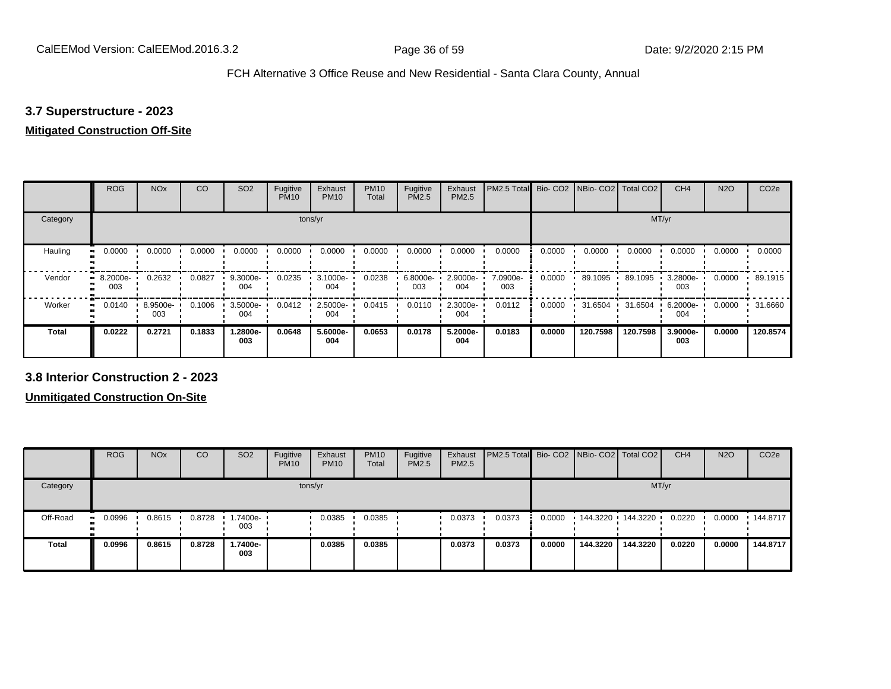# **3.7 Superstructure - 2023**

### **Mitigated Construction Off-Site**

|                           | <b>ROG</b>      | <b>NO<sub>x</sub></b> | CO     | SO <sub>2</sub> | Fugitive<br><b>PM10</b> | Exhaust<br><b>PM10</b> | <b>PM10</b><br>Total | Fugitive<br>PM2.5 | Exhaust<br>PM2.5 | PM2.5 Total     |        | Bio-CO2 NBio-CO2 Total CO2 |          | CH <sub>4</sub> | <b>N2O</b> | CO <sub>2e</sub> |
|---------------------------|-----------------|-----------------------|--------|-----------------|-------------------------|------------------------|----------------------|-------------------|------------------|-----------------|--------|----------------------------|----------|-----------------|------------|------------------|
| Category                  |                 |                       |        |                 | tons/yr                 |                        |                      |                   |                  |                 |        |                            | MT/yr    |                 |            |                  |
| Hauling<br>$\blacksquare$ | 0.0000          | 0.0000                | 0.0000 | 0.0000          | 0.0000                  | 0.0000                 | 0.0000               | 0.0000            | 0.0000           | 0.0000          | 0.0000 | 0.0000                     | 0.0000   | 0.0000          | 0.0000     | 0.0000           |
| Vendor<br>$\mathbf{u}$    | 8.2000e-<br>003 | 0.2632                | 0.0827 | 9.3000e-<br>004 | 0.0235                  | 3.1000e-<br>004        | 0.0238               | 6.8000e-<br>003   | 2.9000e-<br>004  | 7.0900e-<br>003 | 0.0000 | 89.1095                    | 89.1095  | 3.2800e-<br>003 | 0.0000     | 89.1915          |
| Worker<br>$\bullet$       | 0.0140          | 8.9500e-<br>003       | 0.1006 | 3.5000e-<br>004 | 0.0412                  | 2.5000e-<br>004        | 0.0415               | 0.0110            | 2.3000e-<br>004  | 0.0112          | 0.0000 | 31.6504                    | 31.6504  | 6.2000e-<br>004 | 0.0000     | 31.6660          |
| <b>Total</b>              | 0.0222          | 0.2721                | 0.1833 | 1.2800e-<br>003 | 0.0648                  | 5.6000e-<br>004        | 0.0653               | 0.0178            | 5.2000e-<br>004  | 0.0183          | 0.0000 | 120.7598                   | 120.7598 | 3.9000e-<br>003 | 0.0000     | 120.8574         |

**3.8 Interior Construction 2 - 2023**

|                            | <b>ROG</b>    | <b>NO<sub>x</sub></b> | CO     | SO <sub>2</sub> | Fugitive<br><b>PM10</b> | Exhaust<br><b>PM10</b> | <b>PM10</b><br>Total | Fugitive<br><b>PM2.5</b> | Exhaust<br>PM2.5 | PM2.5 Total Bio- CO2 NBio- CO2 Total CO2 |        |                   |          | CH <sub>4</sub> | <b>N2O</b> | CO <sub>2</sub> e |
|----------------------------|---------------|-----------------------|--------|-----------------|-------------------------|------------------------|----------------------|--------------------------|------------------|------------------------------------------|--------|-------------------|----------|-----------------|------------|-------------------|
| Category                   |               |                       |        |                 |                         | tons/yr                |                      |                          |                  |                                          |        |                   | MT/yr    |                 |            |                   |
| Off-Road<br>$\blacksquare$ | 0.0996<br>. . | 0.8615                | 0.8728 | 1.7400e-<br>003 |                         | 0.0385                 | 0.0385               |                          | 0.0373           | 0.0373                                   | 0.0000 | 144.3220 144.3220 |          | 0.0220          | 0.0000     | $\cdot$ 144.8717  |
| <b>Total</b>               | 0.0996        | 0.8615                | 0.8728 | 1.7400e-<br>003 |                         | 0.0385                 | 0.0385               |                          | 0.0373           | 0.0373                                   | 0.0000 | 144.3220          | 144.3220 | 0.0220          | 0.0000     | 144.8717          |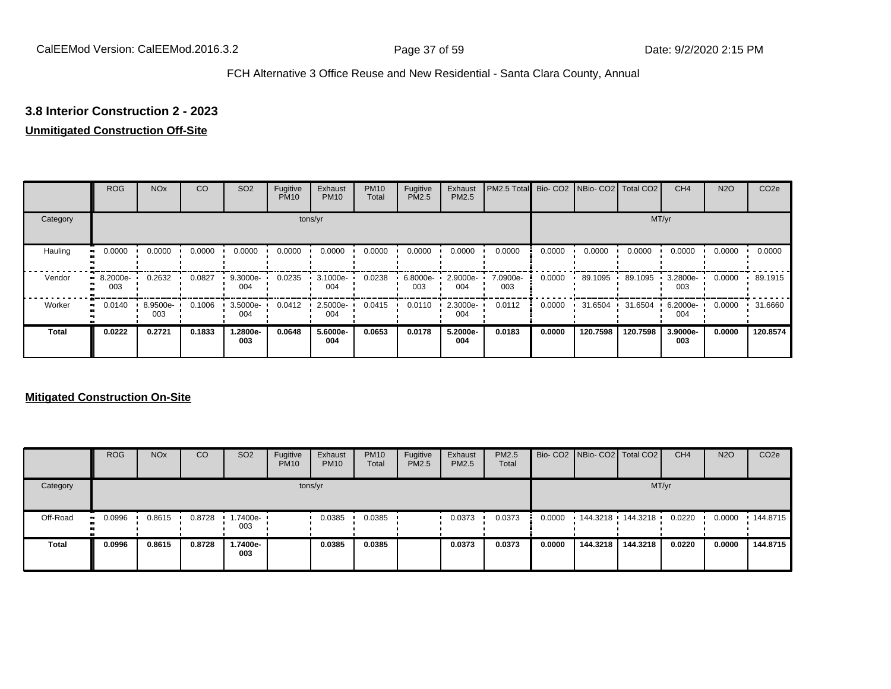# **3.8 Interior Construction 2 - 2023**

## **Unmitigated Construction Off-Site**

|          | <b>ROG</b>      | <b>NO<sub>x</sub></b> | CO     | SO <sub>2</sub> | Fugitive<br><b>PM10</b> | Exhaust<br><b>PM10</b> | <b>PM10</b><br>Total | Fugitive<br><b>PM2.5</b> | Exhaust<br>PM2.5 | PM2.5 Total Bio- CO2 NBio- CO2 Total CO2 |        |          |          | CH <sub>4</sub> | <b>N2O</b> | CO <sub>2e</sub> |
|----------|-----------------|-----------------------|--------|-----------------|-------------------------|------------------------|----------------------|--------------------------|------------------|------------------------------------------|--------|----------|----------|-----------------|------------|------------------|
| Category |                 |                       |        |                 |                         | tons/yr                |                      |                          |                  |                                          |        |          |          | MT/yr           |            |                  |
| Hauling  | 0.0000          | 0.0000                | 0.0000 | 0.0000          | 0.0000                  | 0.0000                 | 0.0000               | 0.0000                   | 0.0000           | 0.0000                                   | 0.0000 | 0.0000   | 0.0000   | 0.0000          | 0.0000     | 0.0000           |
| Vendor   | 8.2000e-<br>003 | 0.2632                | 0.0827 | 9.3000e-<br>004 | 0.0235                  | 3.1000e-<br>004        | 0.0238               | 6.8000e-<br>003          | 2.9000e-<br>004  | 7.0900e-<br>003                          | 0.0000 | 89.1095  | 89.1095  | 3.2800e-<br>003 | 0.0000     | 89.1915          |
| Worker   | 0.0140          | 8.9500e-<br>003       | 0.1006 | 3.5000e-<br>004 | 0.0412                  | 2.5000e-<br>004        | 0.0415               | 0.0110                   | 2.3000e-<br>004  | 0.0112                                   | 0.0000 | 31.6504  | 31.6504  | 6.2000e-<br>004 | 0.0000     | 31.6660          |
| Total    | 0.0222          | 0.2721                | 0.1833 | 1.2800e-<br>003 | 0.0648                  | 5.6000e-<br>004        | 0.0653               | 0.0178                   | 5.2000e-<br>004  | 0.0183                                   | 0.0000 | 120.7598 | 120.7598 | 3.9000e-<br>003 | 0.0000     | 120.8574         |

|              | <b>ROG</b> | <b>NO<sub>x</sub></b> | CO     | SO <sub>2</sub> | Fugitive<br><b>PM10</b> | Exhaust<br><b>PM10</b> | <b>PM10</b><br>Total | Fugitive<br><b>PM2.5</b> | Exhaust<br><b>PM2.5</b> | <b>PM2.5</b><br>Total |        |          | Bio- CO2   NBio- CO2   Total CO2 | CH <sub>4</sub> | <b>N2O</b> | CO <sub>2e</sub> |
|--------------|------------|-----------------------|--------|-----------------|-------------------------|------------------------|----------------------|--------------------------|-------------------------|-----------------------|--------|----------|----------------------------------|-----------------|------------|------------------|
| Category     |            |                       |        |                 |                         | tons/yr                |                      |                          |                         |                       |        |          |                                  | MT/yr           |            |                  |
| Off-Road     | 0.0996     | 0.8615                | 0.8728 | .7400e-<br>003  |                         | 0.0385                 | 0.0385               |                          | 0.0373                  | 0.0373                | 0.0000 | 144.3218 | 144.3218                         | 0.0220          | 0.0000     | 144.8715         |
| <b>Total</b> | 0.0996     | 0.8615                | 0.8728 | 1.7400e-<br>003 |                         | 0.0385                 | 0.0385               |                          | 0.0373                  | 0.0373                | 0.0000 | 144.3218 | 144.3218                         | 0.0220          | 0.0000     | 144.8715         |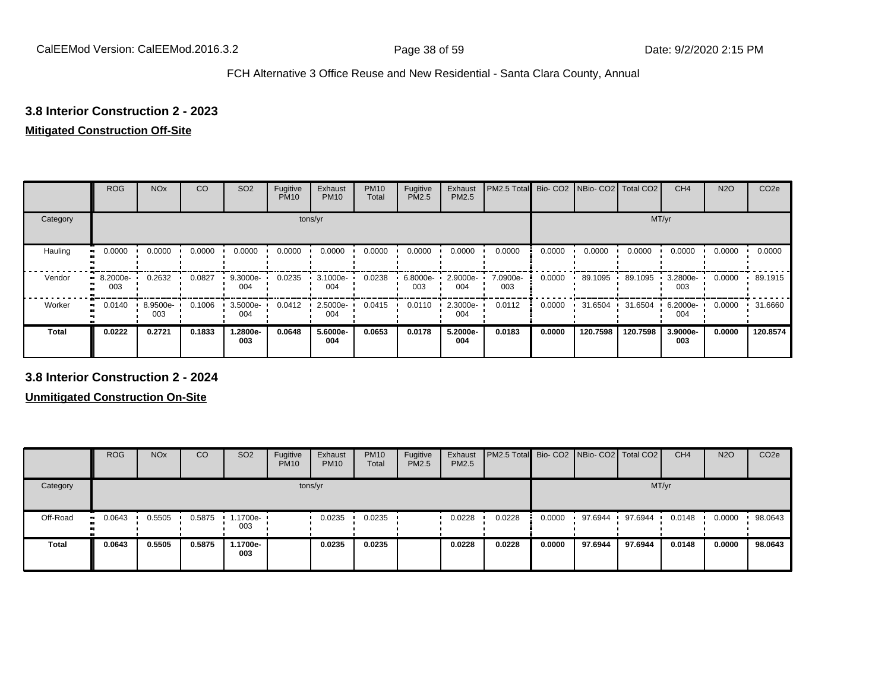# **3.8 Interior Construction 2 - 2023**

# **Mitigated Construction Off-Site**

|              | <b>ROG</b>      | <b>NO<sub>x</sub></b> | CO     | SO <sub>2</sub> | Fugitive<br><b>PM10</b> | Exhaust<br><b>PM10</b> | <b>PM10</b><br>Total | Fugitive<br>PM2.5 | Exhaust<br>PM2.5 | PM2.5 Total     | Bio-CO <sub>2</sub> | NBio- CO2   Total CO2 |          | CH <sub>4</sub> | <b>N2O</b> | CO <sub>2e</sub> |
|--------------|-----------------|-----------------------|--------|-----------------|-------------------------|------------------------|----------------------|-------------------|------------------|-----------------|---------------------|-----------------------|----------|-----------------|------------|------------------|
| Category     |                 |                       |        |                 |                         | tons/yr                |                      |                   |                  |                 |                     |                       | MT/yr    |                 |            |                  |
| Hauling<br>œ | 0.0000          | 0.0000                | 0.0000 | 0.0000          | 0.0000                  | 0.0000                 | 0.0000               | 0.0000            | 0.0000           | 0.0000          | 0.0000              | 0.0000                | 0.0000   | 0.0000          | 0.0000     | 0.0000           |
| Vendor<br>œ  | 8.2000e-<br>003 | 0.2632                | 0.0827 | 9.3000e-<br>004 | 0.0235                  | 3.1000e-<br>004        | 0.0238               | 6.8000e-<br>003   | 2.9000e-<br>004  | 7.0900e-<br>003 | 0.0000              | 89.1095               | 89.1095  | 3.2800e-<br>003 | 0.0000     | 89.1915          |
| Worker<br>п. | 0.0140          | 8.9500e-<br>003       | 0.1006 | 3.5000e-<br>004 | 0.0412                  | 2.5000e-<br>004        | 0.0415               | 0.0110            | 2.3000e-<br>004  | 0.0112          | 0.0000              | 31.6504               | 31.6504  | 6.2000e-<br>004 | 0.0000     | 31.6660          |
| <b>Total</b> | 0.0222          | 0.2721                | 0.1833 | 1.2800e-<br>003 | 0.0648                  | 5.6000e-<br>004        | 0.0653               | 0.0178            | 5.2000e-<br>004  | 0.0183          | 0.0000              | 120.7598              | 120.7598 | 3.9000e-<br>003 | 0.0000     | 120.8574         |

**3.8 Interior Construction 2 - 2024**

|              | <b>ROG</b>          | <b>NO<sub>x</sub></b> | CO     | SO <sub>2</sub>        | Fugitive<br><b>PM10</b> | Exhaust<br><b>PM10</b> | <b>PM10</b><br>Total | Fugitive<br><b>PM2.5</b> | Exhaust<br>PM2.5 | <b>PM2.5 Total Bio-CO2 NBio-CO2 Total CO2</b> |        |         |         | CH <sub>4</sub> | <b>N2O</b> | CO <sub>2e</sub> |
|--------------|---------------------|-----------------------|--------|------------------------|-------------------------|------------------------|----------------------|--------------------------|------------------|-----------------------------------------------|--------|---------|---------|-----------------|------------|------------------|
| Category     |                     |                       |        |                        |                         | tons/yr                |                      |                          |                  |                                               |        |         |         | MT/yr           |            |                  |
| Off-Road     | 0.0643<br>$\bullet$ | 0.5505                |        | 0.5875 1.1700e-<br>003 |                         | 0.0235                 | 0.0235               |                          | 0.0228           | 0.0228                                        | 0.0000 | 97.6944 | 97.6944 | 0.0148          | 0.0000     | 98.0643          |
| <b>Total</b> | 0.0643              | 0.5505                | 0.5875 | 1.1700e-<br>003        |                         | 0.0235                 | 0.0235               |                          | 0.0228           | 0.0228                                        | 0.0000 | 97.6944 | 97.6944 | 0.0148          | 0.0000     | 98.0643          |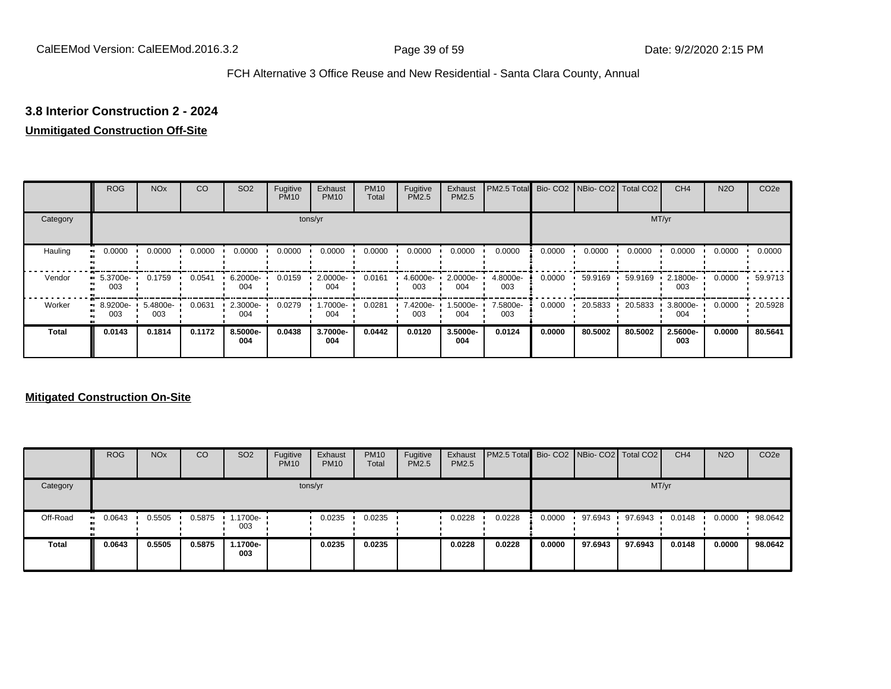# **3.8 Interior Construction 2 - 2024**

## **Unmitigated Construction Off-Site**

|          | <b>ROG</b>      | <b>NO<sub>x</sub></b> | CO     | SO <sub>2</sub> | Fugitive<br><b>PM10</b> | Exhaust<br><b>PM10</b> | <b>PM10</b><br>Total | Fugitive<br><b>PM2.5</b> | Exhaust<br>PM2.5 | PM2.5 Total Bio- CO2 NBio- CO2 Total CO2 |        |         |         | CH <sub>4</sub> | <b>N2O</b> | CO <sub>2e</sub> |
|----------|-----------------|-----------------------|--------|-----------------|-------------------------|------------------------|----------------------|--------------------------|------------------|------------------------------------------|--------|---------|---------|-----------------|------------|------------------|
| Category |                 |                       |        |                 |                         | tons/yr                |                      |                          |                  |                                          |        |         |         | MT/yr           |            |                  |
| Hauling  | 0.0000          | 0.0000                | 0.0000 | 0.0000          | 0.0000                  | 0.0000                 | 0.0000               | 0.0000                   | 0.0000           | 0.0000                                   | 0.0000 | 0.0000  | 0.0000  | 0.0000          | 0.0000     | 0.0000           |
| Vendor   | 5.3700e-<br>003 | 0.1759                | 0.0541 | 6.2000e-<br>004 | 0.0159                  | 2.0000e-<br>004        | 0.0161               | 4.6000e-<br>003          | 2.0000e-<br>004  | 4.8000e-<br>003                          | 0.0000 | 59.9169 | 59.9169 | 2.1800e-<br>003 | 0.0000     | 59.9713          |
| Worker   | 8.9200e-<br>003 | 5.4800e-<br>003       | 0.0631 | 2.3000e-<br>004 | 0.0279                  | 1.7000e-<br>004        | 0.0281               | 7.4200e-<br>003          | 1.5000e-<br>004  | 7.5800e-<br>003                          | 0.0000 | 20.5833 | 20.5833 | 3.8000e-<br>004 | 0.0000     | 20.5928          |
| Total    | 0.0143          | 0.1814                | 0.1172 | 8.5000e-<br>004 | 0.0438                  | 3.7000e-<br>004        | 0.0442               | 0.0120                   | 3.5000e-<br>004  | 0.0124                                   | 0.0000 | 80.5002 | 80.5002 | 2.5600e-<br>003 | 0.0000     | 80.5641          |

|              | <b>ROG</b> | <b>NO<sub>x</sub></b> | CO     | SO <sub>2</sub> | Fugitive<br><b>PM10</b> | Exhaust<br><b>PM10</b> | <b>PM10</b><br>Total | Fugitive<br><b>PM2.5</b> | Exhaust<br><b>PM2.5</b> | <b>PM2.5 Total</b> Bio- CO2 NBio- CO2 Total CO2 |        |         |         | CH <sub>4</sub> | <b>N2O</b> | CO <sub>2e</sub> |
|--------------|------------|-----------------------|--------|-----------------|-------------------------|------------------------|----------------------|--------------------------|-------------------------|-------------------------------------------------|--------|---------|---------|-----------------|------------|------------------|
| Category     | tons/yr    |                       |        |                 |                         |                        |                      |                          |                         | MT/yr                                           |        |         |         |                 |            |                  |
| Off-Road     | 0.0643     | 0.5505                | 0.5875 | .1700e-<br>003  |                         | 0.0235                 | 0.0235               |                          | 0.0228                  | 0.0228                                          | 0.0000 | 97.6943 | 97.6943 | 0.0148          | 0.0000     | 98.0642          |
| <b>Total</b> | 0.0643     | 0.5505                | 0.5875 | 1.1700e-<br>003 |                         | 0.0235                 | 0.0235               |                          | 0.0228                  | 0.0228                                          | 0.0000 | 97.6943 | 97.6943 | 0.0148          | 0.0000     | 98.0642          |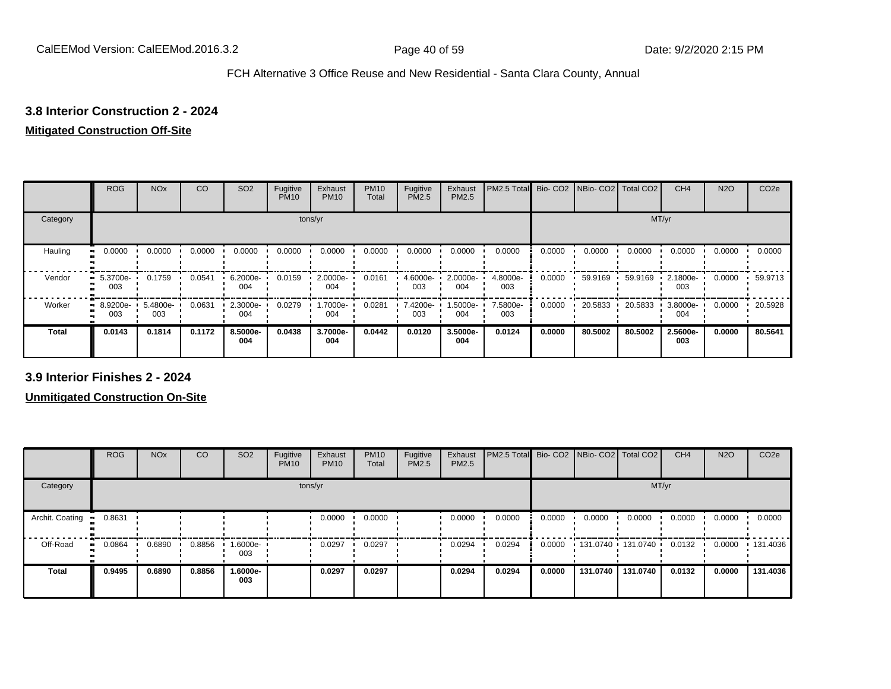## **3.8 Interior Construction 2 - 2024**

# **Mitigated Construction Off-Site**

|              | <b>ROG</b>               | <b>NO<sub>x</sub></b> | CO     | SO <sub>2</sub> | Fugitive<br><b>PM10</b> | Exhaust<br><b>PM10</b> | <b>PM10</b><br>Total | Fugitive<br>PM2.5 | Exhaust<br>PM2.5 | PM2.5 Total     | Bio-CO <sub>2</sub> | NBio- CO2   Total CO2 |         | CH <sub>4</sub> | <b>N2O</b> | CO <sub>2e</sub> |
|--------------|--------------------------|-----------------------|--------|-----------------|-------------------------|------------------------|----------------------|-------------------|------------------|-----------------|---------------------|-----------------------|---------|-----------------|------------|------------------|
| Category     |                          |                       |        |                 | tons/yr                 |                        |                      |                   |                  |                 |                     |                       | MT/yr   |                 |            |                  |
| Hauling      | 0.0000<br>$\blacksquare$ | 0.0000                | 0.0000 | 0.0000          | 0.0000                  | 0.0000                 | 0.0000               | 0.0000            | 0.0000           | 0.0000          | 0.0000              | 0.0000                | 0.0000  | 0.0000          | 0.0000     | 0.0000           |
| Vendor       | $-5.3700e-$<br>003       | 0.1759                | 0.0541 | 6.2000e-<br>004 | 0.0159                  | 2.0000e-<br>004        | 0.0161               | 4.6000e-<br>003   | 2.0000e-<br>004  | 4.8000e-<br>003 | 0.0000              | 59.9169               | 59.9169 | 2.1800e-<br>003 | 0.0000     | 59.9713          |
| Worker       | 8.9200e-<br>ш.<br>003    | 5.4800e-<br>003       | 0.0631 | 2.3000e-<br>004 | 0.0279                  | 1.7000e-<br>004        | 0.0281               | 7.4200e-<br>003   | .5000e-<br>004   | 7.5800e-<br>003 | 0.0000              | 20.5833               | 20.5833 | 3.8000e-<br>004 | 0.0000     | 20.5928          |
| <b>Total</b> | 0.0143                   | 0.1814                | 0.1172 | 8.5000e-<br>004 | 0.0438                  | 3.7000e-<br>004        | 0.0442               | 0.0120            | 3.5000e-<br>004  | 0.0124          | 0.0000              | 80.5002               | 80.5002 | 2.5600e-<br>003 | 0.0000     | 80.5641          |

**3.9 Interior Finishes 2 - 2024**

**Unmitigated Construction On-Site**

|                        | <b>ROG</b>   | <b>NO<sub>x</sub></b> | CO     | SO <sub>2</sub> | Fugitive<br><b>PM10</b> | Exhaust<br><b>PM10</b> | <b>PM10</b><br>Total | Fugitive<br><b>PM2.5</b> | Exhaust<br><b>PM2.5</b> | PM2.5 Total Bio- CO2 NBio- CO2 Total CO2 |        |          |                     | CH <sub>4</sub> | <b>N2O</b> | CO <sub>2e</sub> |
|------------------------|--------------|-----------------------|--------|-----------------|-------------------------|------------------------|----------------------|--------------------------|-------------------------|------------------------------------------|--------|----------|---------------------|-----------------|------------|------------------|
| Category               |              |                       |        |                 |                         | tons/yr                |                      |                          |                         |                                          |        |          | MT/yr               |                 |            |                  |
| Archit. Coating<br>- - | 0.8631       |                       |        |                 |                         | 0.0000                 | 0.0000               |                          | 0.0000                  | 0.0000                                   | 0.0000 | 0.0000   | 0.0000              | 0.0000          | 0.0000     | 0.0000           |
| Off-Road               | 0.0864<br>ш. | 0.6890                | 0.8856 | 1.6000e-<br>003 |                         | 0.0297                 | 0.0297               |                          | 0.0294                  | 0.0294                                   | 0.0000 |          | 131.0740 131.0740 ' | 0.0132          | 0.0000     | .131.4036        |
| <b>Total</b>           | 0.9495       | 0.6890                | 0.8856 | 1.6000e-<br>003 |                         | 0.0297                 | 0.0297               |                          | 0.0294                  | 0.0294                                   | 0.0000 | 131.0740 | 131.0740            | 0.0132          | 0.0000     | 131.4036         |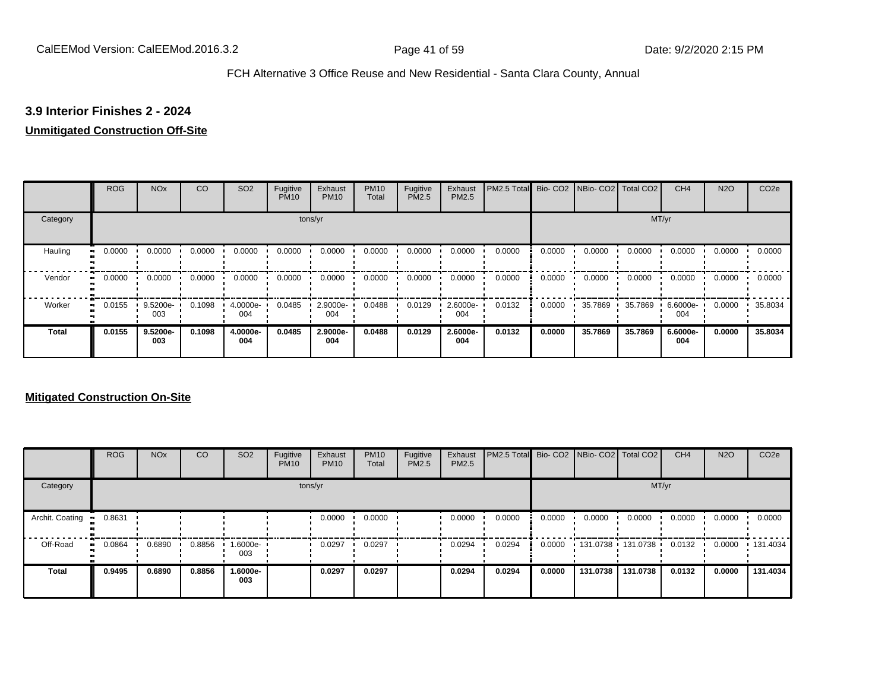# **3.9 Interior Finishes 2 - 2024**

#### **Unmitigated Construction Off-Site**

|                     | <b>ROG</b> | <b>NO<sub>x</sub></b> | CO     | SO <sub>2</sub> | Fugitive<br><b>PM10</b> | Exhaust<br><b>PM10</b> | <b>PM10</b><br>Total | Fugitive<br><b>PM2.5</b> | Exhaust<br>PM2.5 | PM2.5 Total |        | Bio- CO2   NBio- CO2   Total CO2 |         | CH <sub>4</sub> | <b>N2O</b> | CO <sub>2e</sub> |
|---------------------|------------|-----------------------|--------|-----------------|-------------------------|------------------------|----------------------|--------------------------|------------------|-------------|--------|----------------------------------|---------|-----------------|------------|------------------|
| Category            |            |                       |        |                 |                         | tons/yr                |                      |                          |                  |             |        |                                  |         | MT/yr           |            |                  |
| Hauling<br>œ        | 0.0000     | 0.0000                | 0.0000 | 0.0000          | 0.0000                  | 0.0000                 | 0.0000               | 0.0000                   | 0.0000           | 0.0000      | 0.0000 | 0.0000                           | 0.0000  | 0.0000          | 0.0000     | 0.0000           |
| Vendor<br>$\bullet$ | 0.0000     | 0.0000                | 0.0000 | 0.0000          | 0.0000                  | 0.0000                 | 0.0000               | 0.0000                   | 0.0000           | 0.0000      | 0.0000 | 0.0000                           | 0.0000  | 0.0000          | 0.0000     | 0.0000           |
| Worker<br>п.        | 0.0155     | 9.5200e-<br>003       | 0.1098 | 4.0000e-<br>004 | 0.0485                  | 2.9000e-<br>004        | 0.0488               | 0.0129                   | 2.6000e-<br>004  | 0.0132      | 0.0000 | 35.7869                          | 35.7869 | 6.6000e-<br>004 | 0.0000     | 35.8034          |
| <b>Total</b>        | 0.0155     | 9.5200e-<br>003       | 0.1098 | 4.0000e-<br>004 | 0.0485                  | 2.9000e-<br>004        | 0.0488               | 0.0129                   | 2.6000e-<br>004  | 0.0132      | 0.0000 | 35.7869                          | 35.7869 | 6.6000e-<br>004 | 0.0000     | 35,8034          |

## **Mitigated Construction On-Site**

|                 | <b>ROG</b> | <b>NO<sub>x</sub></b> | CO     | SO <sub>2</sub> | Fugitive<br><b>PM10</b> | Exhaust<br><b>PM10</b> | <b>PM10</b><br>Total | Fugitive<br><b>PM2.5</b> | Exhaust<br><b>PM2.5</b> | PM2.5 Total Bio- CO2 NBio- CO2 Total CO2 |        |                     |          | CH <sub>4</sub> | <b>N2O</b> | CO <sub>2e</sub> |
|-----------------|------------|-----------------------|--------|-----------------|-------------------------|------------------------|----------------------|--------------------------|-------------------------|------------------------------------------|--------|---------------------|----------|-----------------|------------|------------------|
| Category        |            |                       |        |                 |                         | tons/yr                |                      |                          |                         |                                          |        |                     | MT/yr    |                 |            |                  |
| Archit. Coating | 0.8631     |                       |        |                 |                         | 0.0000                 | 0.0000               |                          | 0.0000                  | 0.0000                                   | 0.0000 | 0.0000              | 0.0000   | 0.0000          | 0.0000     | 0.0000           |
| Off-Road        | 0.0864     | 0.6890                | 0.8856 | .6000e-<br>003  |                         | 0.0297                 | 0.0297               |                          | 0.0294                  | 0.0294                                   | 0.0000 | 131.0738 131.0738 1 |          | 0.0132          | 0.0000     | $\cdot$ 131.4034 |
| Total           | 0.9495     | 0.6890                | 0.8856 | -.6000e<br>003  |                         | 0.0297                 | 0.0297               |                          | 0.0294                  | 0.0294                                   | 0.0000 | 131.0738            | 131.0738 | 0.0132          | 0.0000     | 131.4034         |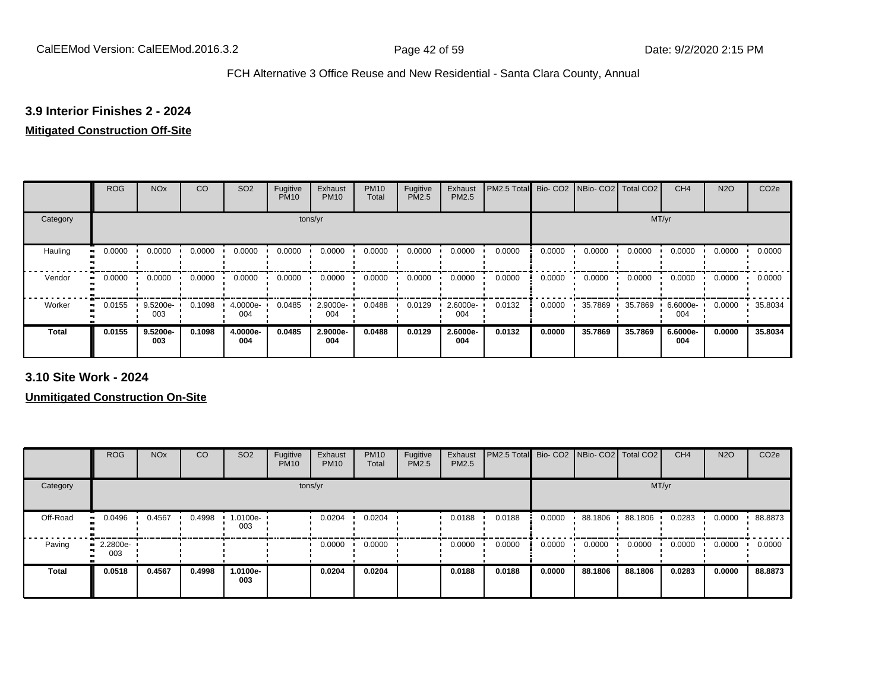# **3.9 Interior Finishes 2 - 2024**

# **Mitigated Construction Off-Site**

|                           | <b>ROG</b> | <b>NO<sub>x</sub></b> | CO     | SO <sub>2</sub> | Fugitive<br><b>PM10</b> | Exhaust<br><b>PM10</b> | <b>PM10</b><br>Total | Fugitive<br>PM2.5 | Exhaust<br>PM2.5 | PM2.5 Total |        | Bio- CO2   NBio- CO2   Total CO2 |         | CH <sub>4</sub> | <b>N2O</b> | CO <sub>2e</sub> |
|---------------------------|------------|-----------------------|--------|-----------------|-------------------------|------------------------|----------------------|-------------------|------------------|-------------|--------|----------------------------------|---------|-----------------|------------|------------------|
| Category                  |            |                       |        |                 | tons/yr                 |                        |                      |                   |                  |             |        |                                  | MT/yr   |                 |            |                  |
| Hauling<br>$\blacksquare$ | 0.0000     | 0.0000                | 0.0000 | 0.0000          | 0.0000                  | 0.0000                 | 0.0000               | 0.0000            | 0.0000           | 0.0000      | 0.0000 | 0.0000                           | 0.0000  | 0.0000          | 0.0000     | 0.0000           |
| Vendor<br>$\bullet$       | 0.0000     | 0.0000                | 0.0000 | 0.0000          | 0.0000                  | 0.0000                 | 0.0000               | 0.0000            | 0.0000           | 0.0000      | 0.0000 | 0.0000                           | 0.0000  | 0.0000          | 0.0000     | 0.0000           |
| Worker<br>$\bullet$       | 0.0155     | 9.5200e-<br>003       | 0.1098 | 4.0000e-<br>004 | 0.0485                  | 2.9000e-<br>004        | 0.0488               | 0.0129            | 2.6000e-<br>004  | 0.0132      | 0.0000 | 35.7869                          | 35.7869 | 6.6000e-<br>004 | 0.0000     | 35.8034          |
| <b>Total</b>              | 0.0155     | 9.5200e-<br>003       | 0.1098 | 4.0000e-<br>004 | 0.0485                  | 2.9000e-<br>004        | 0.0488               | 0.0129            | 2.6000e-<br>004  | 0.0132      | 0.0000 | 35.7869                          | 35.7869 | 6.6000e-<br>004 | 0.0000     | 35.8034          |

**3.10 Site Work - 2024**

**Unmitigated Construction On-Site**

|              | <b>ROG</b>                     | <b>NO<sub>x</sub></b> | CO     | SO <sub>2</sub> | Fugitive<br><b>PM10</b> | Exhaust<br><b>PM10</b> | <b>PM10</b><br>Total | Fugitive<br><b>PM2.5</b> | Exhaust<br><b>PM2.5</b> | PM2.5 Total Bio- CO2 NBio- CO2 Total CO2 |        |         |         | CH <sub>4</sub> | <b>N2O</b> | CO <sub>2e</sub> |
|--------------|--------------------------------|-----------------------|--------|-----------------|-------------------------|------------------------|----------------------|--------------------------|-------------------------|------------------------------------------|--------|---------|---------|-----------------|------------|------------------|
| Category     |                                |                       |        |                 |                         | tons/yr                |                      |                          |                         |                                          |        |         | MT/yr   |                 |            |                  |
| Off-Road     | 0.0496                         | 0.4567                | 0.4998 | 1.0100e-<br>003 |                         | 0.0204                 | 0.0204               |                          | 0.0188                  | 0.0188                                   | 0.0000 | 88.1806 | 88.1806 | 0.0283          | 0.0000     | 88.8873          |
| Paving       | $\blacksquare$ 2.2800e-<br>003 |                       |        |                 |                         | 0.0000                 | 0.0000               |                          | 0.0000                  | 0.0000                                   | 0.0000 | 0.0000  | 0.0000  | 0.0000          | 0.0000     | 0.0000           |
| <b>Total</b> | 0.0518                         | 0.4567                | 0.4998 | 1.0100e-<br>003 |                         | 0.0204                 | 0.0204               |                          | 0.0188                  | 0.0188                                   | 0.0000 | 88.1806 | 88.1806 | 0.0283          | 0.0000     | 88.8873          |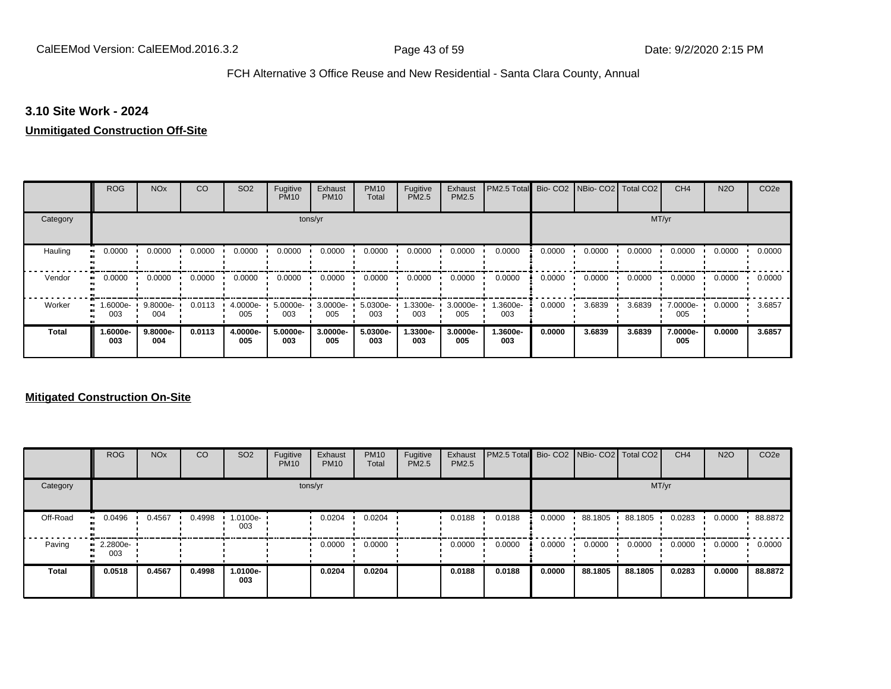#### **3.10 Site Work - 2024**

# **Unmitigated Construction Off-Site**

|                     | <b>ROG</b>          | <b>NO<sub>x</sub></b> | CO     | SO <sub>2</sub> | Fugitive<br><b>PM10</b> | Exhaust<br><b>PM10</b> | <b>PM10</b><br>Total | Fugitive<br><b>PM2.5</b> | Exhaust<br>PM2.5 | PM2.5 Total     |        | Bio- CO2   NBio- CO2   Total CO2 |        | CH <sub>4</sub> | <b>N2O</b> | CO <sub>2e</sub> |
|---------------------|---------------------|-----------------------|--------|-----------------|-------------------------|------------------------|----------------------|--------------------------|------------------|-----------------|--------|----------------------------------|--------|-----------------|------------|------------------|
| Category            |                     |                       |        |                 |                         | tons/yr                |                      |                          |                  |                 |        |                                  |        | MT/yr           |            |                  |
| Hauling             | 0.0000              | 0.0000                | 0.0000 | 0.0000          | 0.0000                  | 0.0000                 | 0.0000               | 0.0000                   | 0.0000           | 0.0000          | 0.0000 | 0.0000                           | 0.0000 | 0.0000          | 0.0000     | 0.0000           |
| Vendor              | 0.0000<br>$\bullet$ | 0.0000                | 0.0000 | 0.0000          | 0.0000                  | 0.0000                 | 0.0000               | 0.0000                   | 0.0000           | 0.0000          | 0.0000 | 0.0000                           | 0.0000 | 0.0000          | 0.0000     | 0.0000           |
| Worker<br>$\bullet$ | 1.6000e-<br>003     | 9.8000e-<br>004       | 0.0113 | 4.0000e-<br>005 | 5.0000e-<br>003         | 3.0000e-<br>005        | 5.0300e-<br>003      | -.3300e<br>003           | 3.0000e-<br>005  | 1.3600e-<br>003 | 0.0000 | 3.6839                           | 3.6839 | 7.0000e-<br>005 | 0.0000     | 3.6857           |
| <b>Total</b>        | -.6000e<br>003      | 9.8000e-<br>004       | 0.0113 | 4.0000e-<br>005 | 5.0000e-<br>003         | 3.0000e-<br>005        | 5.0300e-<br>003      | 1.3300e-<br>003          | 3.0000e-<br>005  | 1.3600e-<br>003 | 0.0000 | 3.6839                           | 3.6839 | 7.0000e-<br>005 | 0.0000     | 3.6857           |

## **Mitigated Construction On-Site**

|              | <b>ROG</b>                     | <b>NO<sub>x</sub></b> | CO     | SO <sub>2</sub> | Fugitive<br><b>PM10</b> | Exhaust<br><b>PM10</b> | <b>PM10</b><br>Total | Fugitive<br><b>PM2.5</b> | Exhaust<br><b>PM2.5</b> | <b>PM2.5 Total</b> Bio- CO2 NBio- CO2 Total CO2 |        |         |         | CH <sub>4</sub> | <b>N2O</b> | CO <sub>2e</sub> |
|--------------|--------------------------------|-----------------------|--------|-----------------|-------------------------|------------------------|----------------------|--------------------------|-------------------------|-------------------------------------------------|--------|---------|---------|-----------------|------------|------------------|
| Category     |                                |                       |        |                 |                         | tons/yr                |                      |                          |                         |                                                 |        |         | MT/yr   |                 |            |                  |
| Off-Road     | 0.0496                         | 0.4567                | 0.4998 | 1.0100e-<br>003 |                         | 0.0204                 | 0.0204               |                          | 0.0188                  | 0.0188                                          | 0.0000 | 88.1805 | 88.1805 | 0.0283          | 0.0000     | 88.8872          |
| Paving       | $\blacksquare$ 2.2800e-<br>003 |                       |        |                 |                         | 0.0000                 | 0.0000               |                          | 0.0000                  | 0.0000                                          | 0.0000 | 0.0000  | 0.0000  | 0.0000          | 0.0000     | 0.0000           |
| <b>Total</b> | 0.0518                         | 0.4567                | 0.4998 | 1.0100e-<br>003 |                         | 0.0204                 | 0.0204               |                          | 0.0188                  | 0.0188                                          | 0.0000 | 88.1805 | 88.1805 | 0.0283          | 0.0000     | 88.8872          |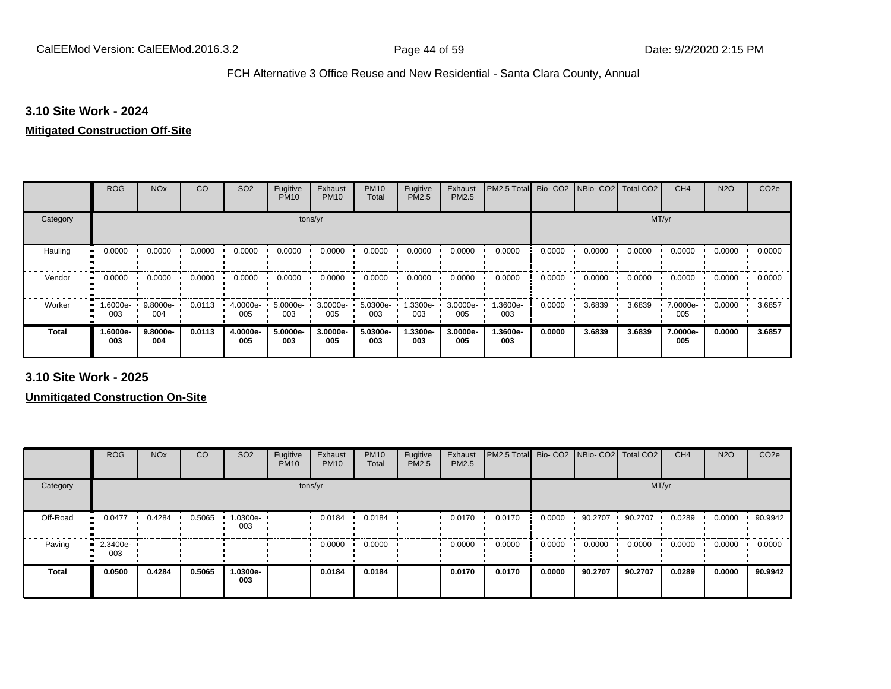#### **3.10 Site Work - 2024**

#### **Mitigated Construction Off-Site**

|              | <b>ROG</b>        | <b>NO<sub>x</sub></b> | CO     | SO <sub>2</sub> | Fugitive<br><b>PM10</b> | Exhaust<br><b>PM10</b> | <b>PM10</b><br>Total | Fugitive<br><b>PM2.5</b> | Exhaust<br>PM2.5 | PM2.5 Total Bio- CO2 NBio- CO2 Total CO2 |        |        |        | CH <sub>4</sub> | <b>N2O</b> | CO <sub>2e</sub> |
|--------------|-------------------|-----------------------|--------|-----------------|-------------------------|------------------------|----------------------|--------------------------|------------------|------------------------------------------|--------|--------|--------|-----------------|------------|------------------|
| Category     |                   |                       |        |                 | tons/yr                 |                        |                      |                          |                  |                                          |        |        | MT/yr  |                 |            |                  |
| Hauling      | 0.0000            | 0.0000                | 0.0000 | 0.0000          | 0.0000                  | 0.0000                 | 0.0000               | 0.0000                   | 0.0000           | 0.0000                                   | 0.0000 | 0.0000 | 0.0000 | 0.0000          | 0.0000     | 0.0000           |
| Vendor       | 0.0000            | 0.0000                | 0.0000 | 0.0000          | 0.0000                  | 0.0000                 | 0.0000               | 0.0000                   | 0.0000           | 0.0000                                   | 0.0000 | 0.0000 | 0.0000 | 0.0000          | 0.0000     | 0.0000           |
| Worker<br>œ  | l.6000e- ∎<br>003 | 9.8000e-<br>004       | 0.0113 | 4.0000e-<br>005 | 5.0000e-<br>003         | 3.0000e-<br>005        | 5.0300e-<br>003      | 1.3300e-<br>003          | 3.0000e-<br>005  | 1.3600e-<br>003                          | 0.0000 | 3.6839 | 3.6839 | 7.0000e-<br>005 | 0.0000     | 3.6857           |
| <b>Total</b> | -.6000e<br>003    | $9.8000e -$<br>004    | 0.0113 | 4.0000e-<br>005 | 5.0000e-<br>003         | 3.0000e-<br>005        | 5.0300e-<br>003      | 1.3300e-<br>003          | 3.0000e-<br>005  | 1.3600e-<br>003                          | 0.0000 | 3.6839 | 3.6839 | 7.0000e-<br>005 | 0.0000     | 3.6857           |

**3.10 Site Work - 2025**

**Unmitigated Construction On-Site**

|              | <b>ROG</b>              | <b>NO<sub>x</sub></b> | CO     | SO <sub>2</sub>  | Fugitive<br><b>PM10</b> | Exhaust<br><b>PM10</b> | <b>PM10</b><br>Total | Fugitive<br><b>PM2.5</b> | Exhaust<br><b>PM2.5</b> | PM2.5 Total Bio- CO2 NBio- CO2 Total CO2 |        |         |         | CH <sub>4</sub> | <b>N2O</b> | CO <sub>2e</sub> |
|--------------|-------------------------|-----------------------|--------|------------------|-------------------------|------------------------|----------------------|--------------------------|-------------------------|------------------------------------------|--------|---------|---------|-----------------|------------|------------------|
| Category     |                         |                       |        |                  |                         | tons/yr                |                      |                          |                         |                                          |        |         | MT/yr   |                 |            |                  |
| Off-Road     | 0.0477                  | 0.4284                | 0.5065 | --0300e.l<br>003 |                         | 0.0184                 | 0.0184               |                          | 0.0170                  | 0.0170                                   | 0.0000 | 90.2707 | 90.2707 | 0.0289          | 0.0000     | 90.9942          |
| Paving       | $\cdot$ 2.3400e-<br>003 |                       |        |                  |                         | 0.0000                 | 0.0000               |                          | 0.0000                  | 0.0000                                   | 0.0000 | 0.0000  | 0.0000  | 0.0000          | 0.0000     | 0.0000           |
| <b>Total</b> | 0.0500                  | 0.4284                | 0.5065 | 1.0300e-<br>003  |                         | 0.0184                 | 0.0184               |                          | 0.0170                  | 0.0170                                   | 0.0000 | 90.2707 | 90.2707 | 0.0289          | 0.0000     | 90.9942          |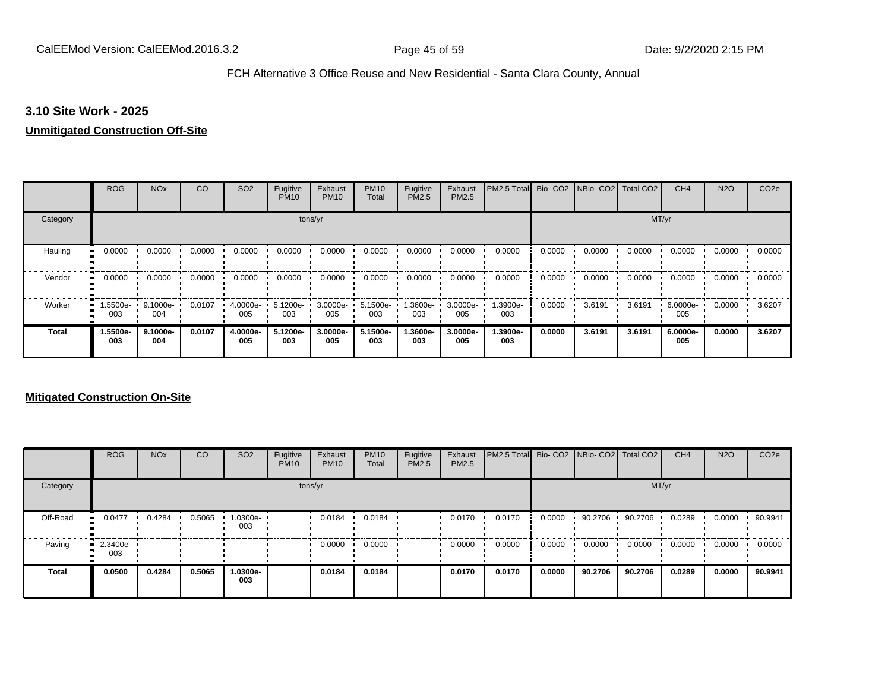#### **3.10 Site Work - 2025**

# **Unmitigated Construction Off-Site**

|              | <b>ROG</b>                   | <b>NO<sub>x</sub></b> | CO     | SO <sub>2</sub> | Fugitive<br><b>PM10</b> | Exhaust<br><b>PM10</b> | <b>PM10</b><br>Total | Fugitive<br><b>PM2.5</b> | Exhaust<br>PM2.5 | PM2.5 Total     |        | Bio- CO2   NBio- CO2   Total CO2 |        | CH <sub>4</sub> | <b>N2O</b> | CO <sub>2e</sub> |
|--------------|------------------------------|-----------------------|--------|-----------------|-------------------------|------------------------|----------------------|--------------------------|------------------|-----------------|--------|----------------------------------|--------|-----------------|------------|------------------|
| Category     |                              |                       |        |                 |                         | tons/yr                |                      |                          |                  |                 |        |                                  |        | MT/yr           |            |                  |
| Hauling      | 0.0000                       | 0.0000                | 0.0000 | 0.0000          | 0.0000                  | 0.0000                 | 0.0000               | 0.0000                   | 0.0000           | 0.0000          | 0.0000 | 0.0000                           | 0.0000 | 0.0000          | 0.0000     | 0.0000           |
| Vendor       | 0.0000<br>$\bullet$          | 0.0000                | 0.0000 | 0.0000          | 0.0000                  | 0.0000                 | 0.0000               | 0.0000                   | 0.0000           | 0.0000          | 0.0000 | 0.0000                           | 0.0000 | 0.0000          | 0.0000     | 0.0000           |
| Worker       | 1.5500e-<br>$\bullet$<br>003 | 9.1000e-<br>004       | 0.0107 | 4.0000e-<br>005 | 5.1200e-<br>003         | 3.0000e-<br>005        | 5.1500e-<br>003      | -3600e.<br>003           | 3.0000e-<br>005  | 1.3900e-<br>003 | 0.0000 | 3.6191                           | 3.6191 | 6.0000e-<br>005 | 0.0000     | 3.6207           |
| <b>Total</b> | 1.5500e-<br>003              | 9.1000e-<br>004       | 0.0107 | 4.0000e-<br>005 | 5.1200e-<br>003         | 3.0000e-<br>005        | 5.1500e-<br>003      | 1.3600e-<br>003          | 3.0000e-<br>005  | 1.3900e-<br>003 | 0.0000 | 3.6191                           | 3.6191 | 6.0000e-<br>005 | 0.0000     | 3.6207           |

## **Mitigated Construction On-Site**

|              | <b>ROG</b>                     | <b>NO<sub>x</sub></b> | CO     | SO <sub>2</sub> | Fugitive<br><b>PM10</b> | Exhaust<br><b>PM10</b> | <b>PM10</b><br>Total | Fugitive<br><b>PM2.5</b> | Exhaust<br><b>PM2.5</b> | PM2.5 Total Bio- CO2 NBio- CO2 Total CO2 |        |           |         | CH <sub>4</sub> | <b>N2O</b> | CO <sub>2e</sub> |
|--------------|--------------------------------|-----------------------|--------|-----------------|-------------------------|------------------------|----------------------|--------------------------|-------------------------|------------------------------------------|--------|-----------|---------|-----------------|------------|------------------|
| Category     |                                |                       |        |                 |                         | tons/yr                |                      |                          |                         |                                          |        |           | MT/yr   |                 |            |                  |
| Off-Road     | 0.0477<br>. .                  | 0.4284                | 0.5065 | -0300e.<br>003  |                         | 0.0184                 | 0.0184               |                          | 0.0170                  | 0.0170                                   | 0.0000 | 90.2706 · | 90.2706 | 0.0289          | 0.0000     | 90.9941          |
| Paving       | $\blacksquare$ 2.3400e-<br>003 |                       |        |                 |                         | 0.0000                 | 0.0000               |                          | 0.0000                  | 0.0000                                   | 0.0000 | 0.0000    | 0.0000  | 0.0000          | 0.0000     | 0.0000           |
| <b>Total</b> | 0.0500                         | 0.4284                | 0.5065 | -.0300e<br>003  |                         | 0.0184                 | 0.0184               |                          | 0.0170                  | 0.0170                                   | 0.0000 | 90.2706   | 90.2706 | 0.0289          | 0.0000     | 90.9941          |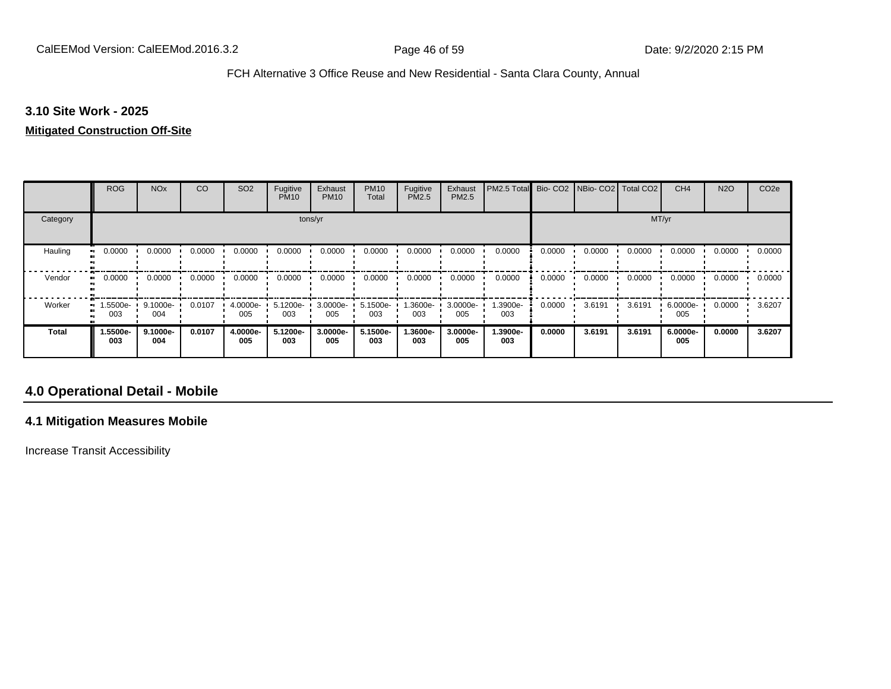#### **3.10 Site Work - 2025**

#### **Mitigated Construction Off-Site**

|              | <b>ROG</b>          | <b>NO<sub>x</sub></b> | CO     | SO <sub>2</sub> | Fugitive<br><b>PM10</b> | Exhaust<br><b>PM10</b> | <b>PM10</b><br>Total | Fugitive<br>PM2.5 | Exhaust<br>PM2.5 | PM2.5 Total     | Bio-CO <sub>2</sub> | NBio-CO2   Total CO2 |        | CH <sub>4</sub> | <b>N2O</b> | CO <sub>2e</sub> |
|--------------|---------------------|-----------------------|--------|-----------------|-------------------------|------------------------|----------------------|-------------------|------------------|-----------------|---------------------|----------------------|--------|-----------------|------------|------------------|
| Category     |                     |                       |        |                 | tons/yr                 |                        |                      |                   |                  |                 |                     | MT/yr                |        |                 |            |                  |
| Hauling<br>œ | 0.0000              | 0.0000                | 0.0000 | 0.0000          | 0.0000                  | 0.0000                 | 0.0000               | 0.0000            | 0.0000           | 0.0000          | 0.0000              | 0.0000               | 0.0000 | 0.0000          | 0.0000     | 0.0000           |
| Vendor       | 0.0000<br>$\bullet$ | 0.0000                | 0.0000 | 0.0000          | 0.0000                  | 0.0000                 | 0.0000               | 0.0000            | 0.0000           | 0.0000          | 0.0000              | 0.0000               | 0.0000 | 0.0000          | 0.0000     | 0.0000           |
| Worker       | 1.5500e-<br>003     | 9.1000e-<br>004       | 0.0107 | 4.0000e-<br>005 | 5.1200e-<br>003         | 3.0000e-<br>005        | 5.1500e-<br>003      | 1.3600e-<br>003   | 3.0000e-<br>005  | 1.3900e-<br>003 | 0.0000              | 3.6191               | 3.6191 | 6.0000e-<br>005 | 0.0000     | 3.6207           |
| Total        | 1.5500e-<br>003     | 9.1000e-<br>004       | 0.0107 | 4.0000e-<br>005 | 5.1200e-<br>003         | 3.0000e-<br>005        | 5.1500e-<br>003      | 1.3600e-<br>003   | 3.0000e-<br>005  | 1.3900e-<br>003 | 0.0000              | 3.6191               | 3.6191 | 6.0000e-<br>005 | 0.0000     | 3.6207           |

# **4.0 Operational Detail - Mobile**

## **4.1 Mitigation Measures Mobile**

Increase Transit Accessibility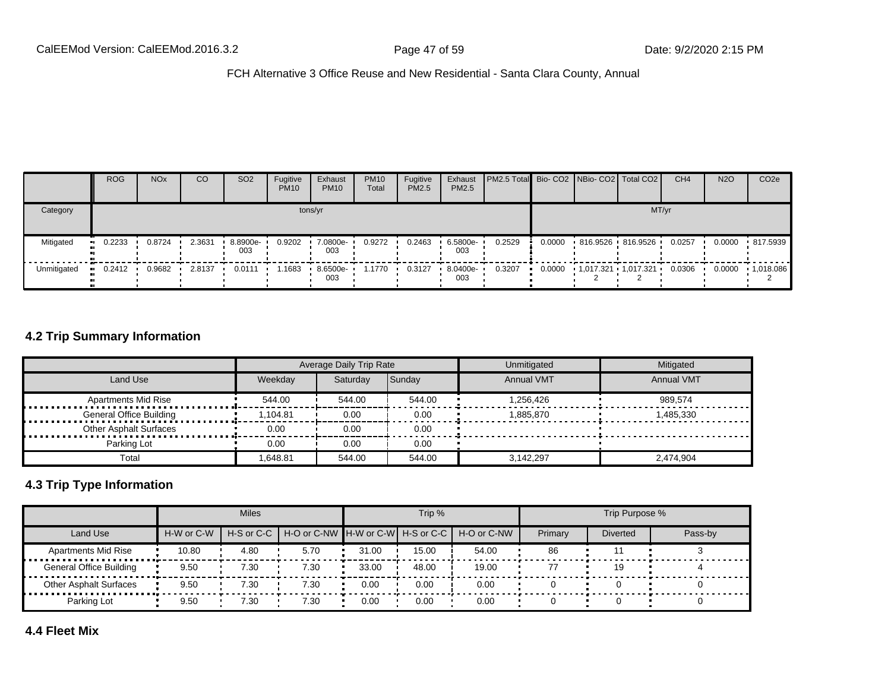|             | <b>ROG</b> | <b>NO<sub>x</sub></b> | CO     | SO <sub>2</sub> | Fugitive<br><b>PM10</b> | Exhaust<br><b>PM10</b> | <b>PM10</b><br>Total | Fugitive<br>PM2.5 | Exhaust<br>PM2.5   | <b>PM2.5 Total</b> Bio- CO2 NBio- CO2 Total CO2 |        |                   | CH <sub>4</sub> | <b>N2O</b> | CO <sub>2e</sub> |
|-------------|------------|-----------------------|--------|-----------------|-------------------------|------------------------|----------------------|-------------------|--------------------|-------------------------------------------------|--------|-------------------|-----------------|------------|------------------|
| Category    |            | tons/yr               |        |                 |                         |                        |                      |                   |                    |                                                 |        |                   | MT/yr           |            |                  |
| Mitigated   | $-0.2233$  | 0.8724                | 2.3631 | 8.8900e-<br>003 | 0.9202                  | 7.0800e-<br>003        | 0.9272               | 0.2463            | 6.5800e-<br>003    | 0.2529                                          | 0.0000 | 816.9526 816.9526 | 0.0257          | 0.0000     | .817.5939        |
| Unmitigated | $-0.2412$  | 0.9682                | 2.8137 | 0.0111          | 1.1683                  | 8.6500e-<br>003        | 1.1770               | 0.3127            | $-8.0400e-$<br>003 | 0.3207                                          |        |                   | 0.0306          | 0.0000     | .1,018.086       |

## **4.2 Trip Summary Information**

|                                     |         | Average Daily Trip Rate |        | Unmitigated       | Mitigated         |
|-------------------------------------|---------|-------------------------|--------|-------------------|-------------------|
| Land Use                            | Weekdav | Saturdav                | Sunday | <b>Annual VMT</b> | <b>Annual VMT</b> |
| <b>Apartments Mid Rise</b>          | 544.00  | 544.00                  | 544.00 | 1.256.426         | 989.574           |
| <b>General Office Building</b><br>. | .104.81 | 0.00                    | 0.00   | 1.885.870         | 1.485.330         |
| <b>Other Asphalt Surfaces</b>       | 0.00    | 0.00                    | 0.00   |                   |                   |
| Parking Lot                         | 0.00    | 0.00                    | 0.00   |                   |                   |
| Total                               | .648.81 | 544.00                  | 544.00 | 3.142.297         | 2,474,904         |

# **4.3 Trip Type Information**

|                                |            | <b>Miles</b> |                                                          |       | Trip % |       |         | Trip Purpose %  |         |
|--------------------------------|------------|--------------|----------------------------------------------------------|-------|--------|-------|---------|-----------------|---------|
| Land Use                       | H-W or C-W |              | H-S or C-C H-O or C-NW H-W or C-W H-S or C-C H-O or C-NW |       |        |       | Primary | <b>Diverted</b> | Pass-by |
| <b>Apartments Mid Rise</b>     | 10.80      | 4.80         | 5.70                                                     | 31.00 | 15.00  | 54.00 | 86      |                 |         |
| <b>General Office Building</b> | 9.50       | 7.30         | 7.30                                                     | 33.00 | 48.00  | 19.00 |         |                 |         |
| <b>Other Asphalt Surfaces</b>  | 9.50       | 7.30         | 7.30                                                     | 0.00  | 0.00   | 0.00  |         |                 |         |
| Parking Lot                    | 9.50       | 7.30         | 7.30                                                     | 0.00  | 0.00   | 0.00  |         |                 |         |

**4.4 Fleet Mix**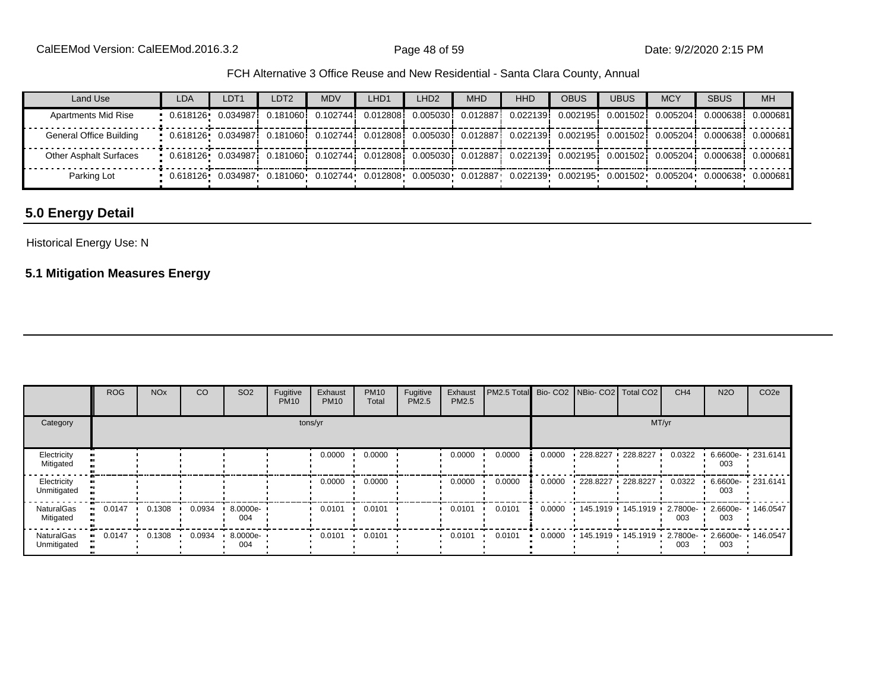| Land Use                      | <b>LDA</b>                                                                                                             | LDT <sub>1</sub> | LDT <sub>2</sub> | <b>MDV</b> | LHD <sub>1</sub> | LHD <sub>2</sub> | <b>MHD</b> | <b>HHD</b> | <b>OBUS</b> | <b>UBUS</b> | <b>MCY</b> | <b>SBUS</b>                                                                                                                                    | <b>MH</b> |
|-------------------------------|------------------------------------------------------------------------------------------------------------------------|------------------|------------------|------------|------------------|------------------|------------|------------|-------------|-------------|------------|------------------------------------------------------------------------------------------------------------------------------------------------|-----------|
| <b>Apartments Mid Rise</b>    |                                                                                                                        |                  |                  |            |                  |                  |            |            |             |             |            | 0.618126 0.034987 0.181060 0.102744 0.012808 0.005030 0.012887 0.022139 0.002195 0.001502 0.005204 0.000638                                    | 0.000681  |
| General Office Building       | . 0.618126 0.034987 0.181060 0.102744 0.012808 0.005030 0.012887 0.022139 0.002195 0.001502 0.005204 0.000638 0.000681 |                  |                  |            |                  |                  |            |            |             |             |            |                                                                                                                                                |           |
| <b>Other Asphalt Surfaces</b> |                                                                                                                        |                  |                  |            |                  |                  |            |            |             |             |            | 0.618126 0.034987 0.181060 0.102744 0.012808 0.005030 0.012887 0.022139 0.002195 0.001502 0.005204 0.000638                                    | 0.000681  |
| Parking Lot                   |                                                                                                                        |                  |                  |            |                  |                  |            |            |             |             |            | $0.618126$ $0.034987$ $0.181060$ $0.102744$ $0.012808$ $0.005030$ $0.012887$ $0.022139$ $0.002195$ $0.001502$ $0.005204$ $0.000638$ $0.000681$ |           |

# **5.0 Energy Detail**

## Historical Energy Use: N

# **5.1 Mitigation Measures Energy**

|                            | <b>ROG</b> | <b>NO<sub>x</sub></b> | CO     | SO <sub>2</sub>    | Fugitive<br><b>PM10</b> | Exhaust<br><b>PM10</b> | <b>PM10</b><br>Total | Fugitive<br>PM2.5 | Exhaust<br>PM2.5 | PM2.5 Total Bio- CO2 NBio- CO2 Total CO2 |        |                   |                   | CH <sub>4</sub> | <b>N2O</b>                        | CO <sub>2e</sub> |
|----------------------------|------------|-----------------------|--------|--------------------|-------------------------|------------------------|----------------------|-------------------|------------------|------------------------------------------|--------|-------------------|-------------------|-----------------|-----------------------------------|------------------|
| Category                   |            |                       |        |                    |                         | tons/yr                |                      |                   |                  |                                          |        |                   |                   | MT/yr           |                                   |                  |
| Electricity<br>Mitigated   |            |                       |        |                    |                         | 0.0000                 | 0.0000               |                   | 0.0000           | 0.0000                                   | 0.0000 | 228.8227 228.8227 |                   | 0.0322          | 6.6600e-<br>003                   | .231.6141        |
| Electricity<br>Unmitigated |            |                       |        |                    |                         | 0.0000                 | 0.0000               |                   | 0.0000           | 0.0000                                   | 0.0000 |                   | 228.8227 228.8227 | 0.0322          | 6.6600e- 1 231.6141<br>003        |                  |
| NaturalGas<br>Mitigated    | 0.0147     | 0.1308                | 0.0934 | 8.0000e-<br>004    |                         | 0.0101                 | 0.0101               |                   | 0.0101           | 0.0101                                   | 0.0000 | 145.1919 145.1919 |                   | 2.7800e-<br>003 | $2.6600e -$<br>003                | 146.0547         |
| NaturalGas<br>Unmitigated  | 0.0147     | 0.1308                | 0.0934 | $.80000e -$<br>004 |                         | 0.0101                 | 0.0101               |                   | 0.0101           | 0.0101                                   | 0.0000 |                   | 145.1919 145.1919 | 003             | 2.7800e- 2.6600e- 146.0547<br>003 |                  |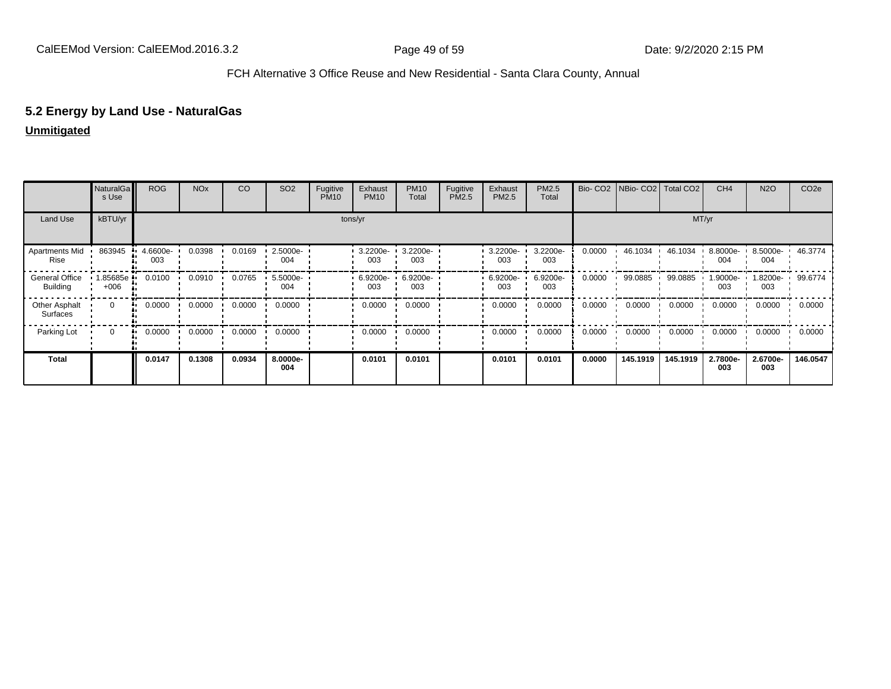# **5.2 Energy by Land Use - NaturalGas**

|                                          | NaturalGa<br>s Use   | <b>ROG</b>      | <b>NO<sub>x</sub></b> | CO     | SO <sub>2</sub> | Fugitive<br><b>PM10</b> | Exhaust<br><b>PM10</b> | <b>PM10</b><br>Total | Fugitive<br>PM2.5 | Exhaust<br>PM2.5 | PM2.5<br>Total  | Bio-CO <sub>2</sub> | NBio-CO2   Total CO2 |          | CH <sub>4</sub>  | <b>N2O</b>      | CO <sub>2e</sub> |
|------------------------------------------|----------------------|-----------------|-----------------------|--------|-----------------|-------------------------|------------------------|----------------------|-------------------|------------------|-----------------|---------------------|----------------------|----------|------------------|-----------------|------------------|
| Land Use                                 | kBTU/yr              |                 |                       |        |                 |                         | tons/yr                |                      |                   |                  |                 |                     |                      |          | MT/yr            |                 |                  |
| Apartments Mid<br>Rise                   | 863945               | 4.6600e-<br>003 | 0.0398                | 0.0169 | 2.5000e-<br>004 |                         | 3.2200e-<br>003        | 3.2200e-<br>003      |                   | 3.2200e-<br>003  | 3.2200e-<br>003 | 0.0000              | 46.1034              | 46.1034  | 8.8000e-<br>004  | 8.5000e-<br>004 | 46.3774          |
| <b>General Office</b><br><b>Building</b> | 1.85685e ·<br>$+006$ | 0.0100          | 0.0910                | 0.0765 | 5.5000e-<br>004 |                         | 6.9200e-<br>003        | 6.9200e-<br>003      |                   | 6.9200e-<br>003  | 6.9200e-<br>003 | 0.0000              | 99.0885              | 99.0885  | $.9000e-$<br>003 | 1.8200e-<br>003 | 99.6774          |
| Other Asphalt<br>Surfaces                | $\Omega$             | 0.0000<br>      | 0.0000                | 0.0000 | 0.0000          |                         | 0.0000                 | 0.0000               |                   | 0.0000           | 0.0000          | 0.0000              | 0.0000               | 0.0000   | 0.0000           | 0.0000          | 0.0000           |
| Parking Lot                              | $\mathbf{0}$         | 0.0000<br>      | 0.0000                | 0.0000 | 0.0000          |                         | 0.0000                 | 0.0000               |                   | 0.0000           | 0.0000          | 0.0000              | 0.0000               | 0.0000   | 0.0000           | 0.0000          | 0.0000           |
| <b>Total</b>                             |                      | 0.0147          | 0.1308                | 0.0934 | 8.0000e-<br>004 |                         | 0.0101                 | 0.0101               |                   | 0.0101           | 0.0101          | 0.0000              | 145.1919             | 145.1919 | 2.7800e-<br>003  | 2.6700e-<br>003 | 146.0547         |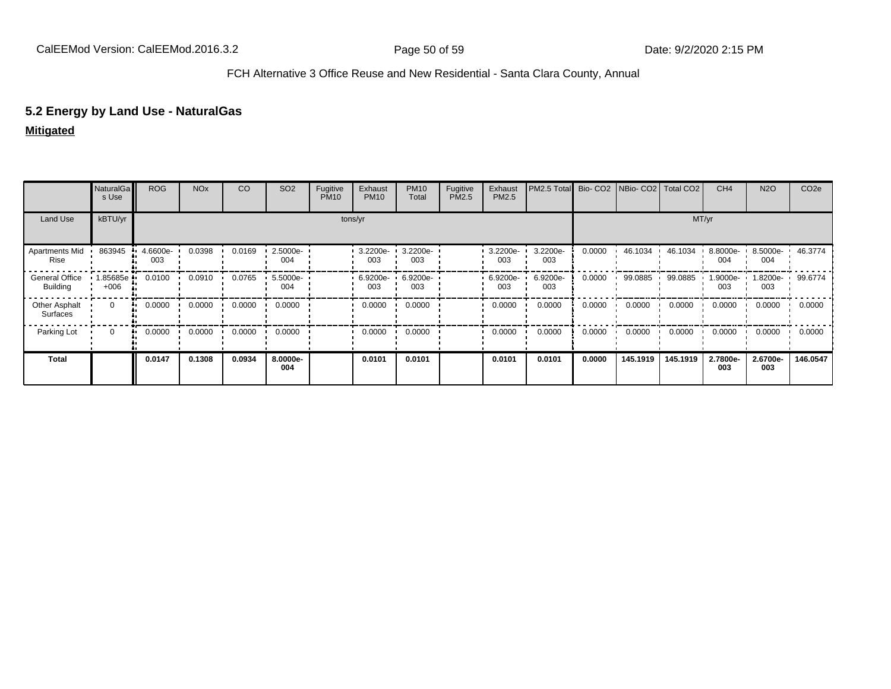## **5.2 Energy by Land Use - NaturalGas**

**Mitigated**

|                                          | NaturalGa<br>s Use   | <b>ROG</b>      | <b>NO<sub>x</sub></b> | CO     | SO <sub>2</sub> | Fugitive<br><b>PM10</b> | Exhaust<br><b>PM10</b> | <b>PM10</b><br>Total | Fugitive<br>PM2.5 | Exhaust<br>PM2.5 | PM2.5 Total     |        | Bio- CO <sub>2</sub> NBio- CO <sub>2</sub> | Total CO <sub>2</sub> | CH <sub>4</sub>    | <b>N2O</b>                | CO <sub>2</sub> e |
|------------------------------------------|----------------------|-----------------|-----------------------|--------|-----------------|-------------------------|------------------------|----------------------|-------------------|------------------|-----------------|--------|--------------------------------------------|-----------------------|--------------------|---------------------------|-------------------|
| Land Use                                 | kBTU/yr              |                 |                       |        |                 |                         | tons/yr                |                      |                   |                  |                 |        |                                            |                       | MT/yr              |                           |                   |
| Apartments Mid<br>Rise                   | 863945               | 4.6600e-<br>003 | 0.0398                | 0.0169 | 2.5000e-<br>004 |                         | 3.2200e-<br>003        | 3.2200e-<br>003      |                   | 3.2200e-<br>003  | 3.2200e-<br>003 | 0.0000 | 46.1034                                    | 46.1034               | $8.8000e -$<br>004 | 8.5000e- 1 46.3774<br>004 |                   |
| <b>General Office</b><br><b>Building</b> | l.85685e ·<br>$+006$ | 0.0100          | 0.0910                | 0.0765 | 5.5000e-<br>004 |                         | 6.9200e-<br>003        | 6.9200e-<br>003      |                   | 6.9200e-<br>003  | 6.9200e-<br>003 | 0.0000 | 99.0885                                    | 99.0885               | .9000e-<br>003     | 1.8200e- '<br>003         | 99.6774           |
| Other Asphalt<br>Surfaces                | $\Omega$             | 0.0000<br>      | 0.0000                | 0.0000 | 0.0000          |                         | 0.0000                 | 0.0000               |                   | 0.0000           | 0.0000          | 0.0000 | 0.0000                                     | 0.0000                | 0.0000             | 0.0000                    | 0.0000            |
| Parking Lot                              | $\Omega$             | 0.0000<br>      | 0.0000                | 0.0000 | 0.0000          |                         | 0.0000                 | 0.0000               |                   | 0.0000           | 0.0000          | 0.0000 | 0.0000                                     | 0.0000                | 0.0000             | 0.0000                    | 0.0000            |
| Total                                    |                      | 0.0147          | 0.1308                | 0.0934 | 8.0000e-<br>004 |                         | 0.0101                 | 0.0101               |                   | 0.0101           | 0.0101          | 0.0000 | 145.1919                                   | 145.1919              | 2.7800e-<br>003    | 2.6700e-<br>003           | 146.0547          |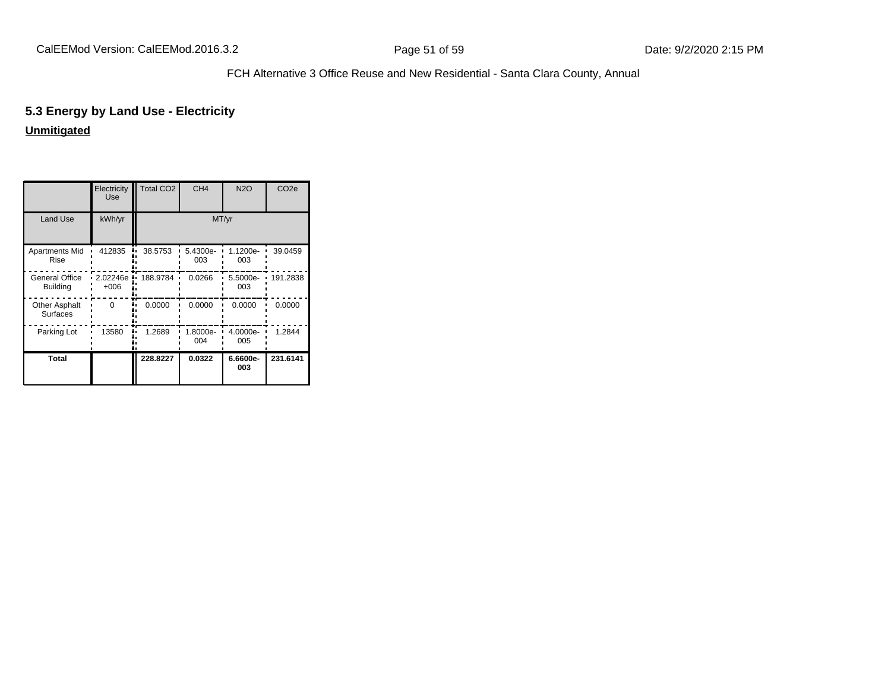# **5.3 Energy by Land Use - Electricity**

|                                          | Electricity<br>Use | <b>Total CO2</b> | CH <sub>4</sub> | <b>N2O</b>      | CO <sub>2e</sub> |
|------------------------------------------|--------------------|------------------|-----------------|-----------------|------------------|
| Land Use                                 | kWh/yr             |                  |                 | MT/yr           |                  |
| Apartments Mid<br>Rise                   | 412835             | 38.5753          | 5.4300e-<br>003 | 1.1200e-<br>003 | 39.0459          |
| <b>General Office</b><br><b>Building</b> | 2.02246e<br>$+006$ | 188.9784         | 0.0266          | 5.5000e-<br>003 | 191.2838         |
| <b>Other Asphalt</b><br>Surfaces         | $\Omega$           | 0.0000           | 0.0000          | 0.0000          | 0.0000           |
| Parking Lot                              | 13580              | 1.2689           | 1.8000e-<br>004 | 4.0000e-<br>005 | 1.2844           |
| <b>Total</b>                             |                    | 228.8227         | 0.0322          | 6.6600e-<br>003 | 231.6141         |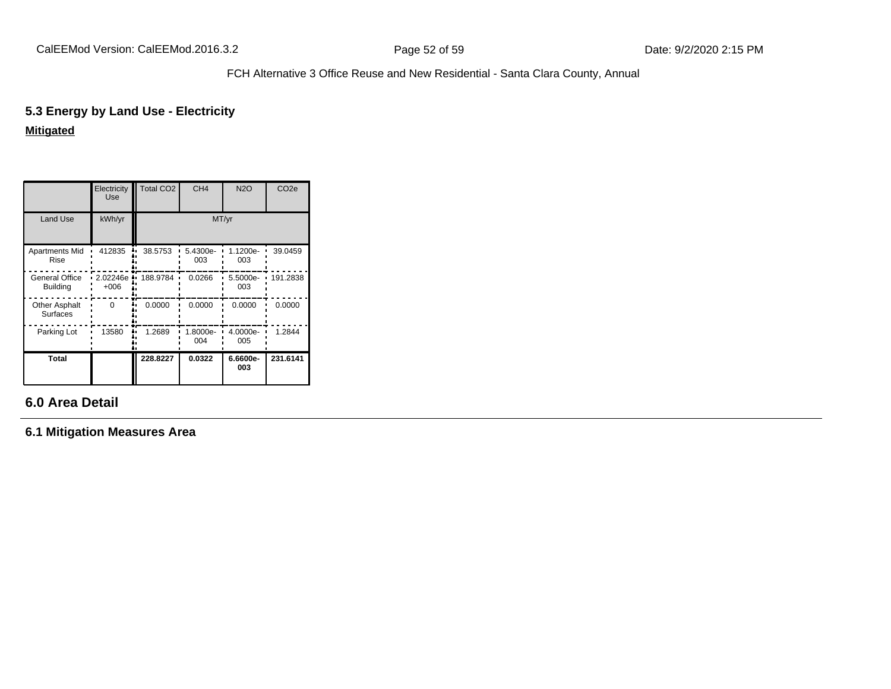# **5.3 Energy by Land Use - Electricity**

**Mitigated**

|                                   | Electricity<br>Use | <b>Total CO2</b> | CH <sub>4</sub> | <b>N2O</b>      | CO <sub>2e</sub> |
|-----------------------------------|--------------------|------------------|-----------------|-----------------|------------------|
| <b>Land Use</b>                   | kWh/yr             |                  | MT/yr           |                 |                  |
| Apartments Mid<br>Rise            | 412835             | 38.5753          | 5.4300e-<br>003 | 1.1200e-<br>003 | 39.0459          |
| General Office<br><b>Building</b> | 2.02246e<br>$+006$ | 188.9784         | 0.0266          | 5.5000e-<br>003 | 191.2838         |
| <b>Other Asphalt</b><br>Surfaces  | $\Omega$           | 0.0000           | 0.0000          | 0.0000          | 0.0000           |
| Parking Lot                       | 13580<br>٠.        | 1.2689           | 1.8000e-<br>004 | 4.0000e-<br>005 | 1.2844           |
| Total                             |                    | 228.8227         | 0.0322          | 6.6600e-<br>003 | 231.6141         |

# **6.0 Area Detail**

**6.1 Mitigation Measures Area**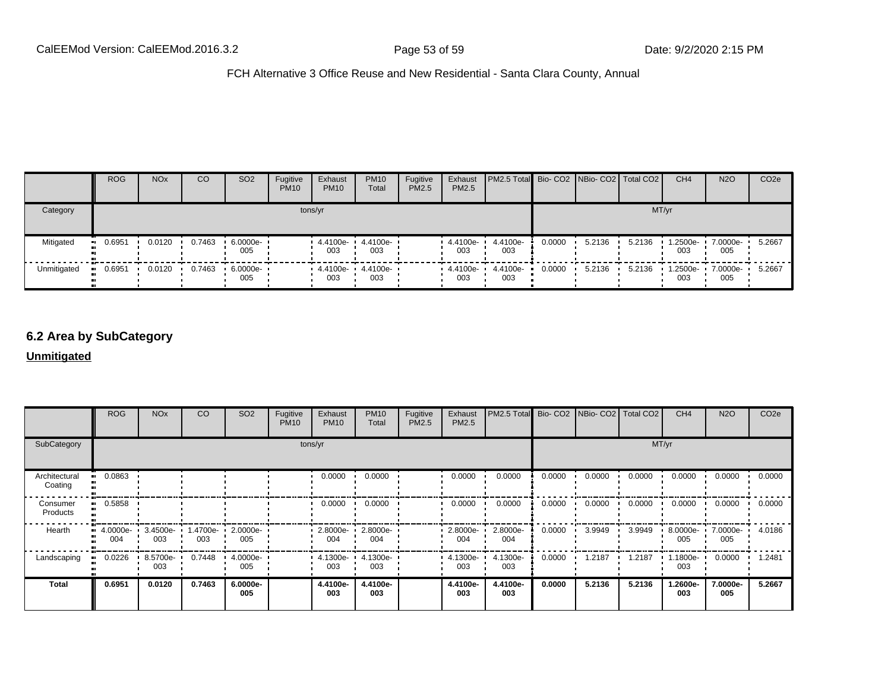|             | <b>ROG</b> | <b>NO<sub>x</sub></b> | CO     | SO <sub>2</sub>    | Fugitive<br><b>PM10</b> | Exhaust<br><b>PM10</b> | <b>PM10</b><br>Total | Fugitive<br>PM2.5 | Exhaust<br>PM2.5 | PM2.5 Total Bio- CO2 NBio- CO2 Total CO2 |        |        |        | CH <sub>4</sub> | <b>N2O</b>      | CO <sub>2</sub> e |
|-------------|------------|-----------------------|--------|--------------------|-------------------------|------------------------|----------------------|-------------------|------------------|------------------------------------------|--------|--------|--------|-----------------|-----------------|-------------------|
| Category    |            |                       |        |                    |                         | tons/yr                |                      |                   |                  |                                          |        |        | MT/yr  |                 |                 |                   |
| Mitigated   | 0.6951     | 0.0120                | 0.7463 | $6.0000e -$<br>005 |                         | 4.4100e-<br>003        | 4.4100e-<br>003      |                   | 4.4100e-<br>003  | 4.4100e-<br>003                          | 0.0000 | 5.2136 | 5.2136 | 1.2500e-<br>003 | 7.0000e-<br>005 | 5.2667            |
| Unmitigated | 0.6951     | 0.0120                | 0.7463 | 6.0000e ·<br>005   |                         | 4.4100e- •<br>003      | 4.4100e-<br>003      |                   | 4.4100e-<br>003  | 4.4100e-<br>003                          | 0.0000 | 5.2136 | 5.2136 | 1.2500e-<br>003 | 7.0000e-<br>005 | 5.2667            |

# **6.2 Area by SubCategory**

|                          | <b>ROG</b>                         | <b>NO<sub>x</sub></b> | CO              | SO <sub>2</sub>    | Fugitive<br><b>PM10</b> | Exhaust<br><b>PM10</b> | <b>PM10</b><br>Total       | Fugitive<br>PM2.5 | Exhaust<br>PM2.5   | PM2.5 Total Bio- CO2 NBio- CO2 Total CO2 |        |        |        | CH <sub>4</sub> | <b>N2O</b>      | CO <sub>2</sub> e |
|--------------------------|------------------------------------|-----------------------|-----------------|--------------------|-------------------------|------------------------|----------------------------|-------------------|--------------------|------------------------------------------|--------|--------|--------|-----------------|-----------------|-------------------|
| SubCategory              |                                    |                       |                 |                    |                         | tons/yr                |                            |                   |                    |                                          |        |        |        | MT/yr           |                 |                   |
| Architectural<br>Coating | 0.0863                             |                       |                 |                    |                         | 0.0000                 | 0.0000                     |                   | 0.0000             | 0.0000                                   | 0.0000 | 0.0000 | 0.0000 | 0.0000          | 0.0000          | 0.0000            |
| Consumer<br>Products     | 0.5858                             |                       |                 |                    |                         | 0.0000                 | 0.0000                     |                   | 0.0000             | 0.0000                                   | 0.0000 | 0.0000 | 0.0000 | 0.0000          | 0.0000          | 0.0000            |
| Hearth                   | $\bullet$ 4.0000e- 3.4500e-<br>004 | 003                   | 1.4700e-<br>003 | $2.0000e -$<br>005 |                         | 004                    | 2.8000e- 1 2.8000e-<br>004 |                   | $2.8000e -$<br>004 | 2.8000e-<br>004                          | 0.0000 | 3.9949 | 3.9949 | 8.0000e-<br>005 | 7.0000e-<br>005 | 4.0186            |
| Landscaping              | 0.0226                             | 8.5700e- ·<br>003     | 0.7448          | 4.0000e-<br>005    |                         | $4.1300e -$<br>003     | 4.1300e-<br>003            |                   | 4.1300e-<br>003    | 4.1300e-<br>003                          | 0.0000 | 1.2187 | 1.2187 | 1.1800e-<br>003 | 0.0000          | 1.2481            |
| <b>Total</b>             | 0.6951                             | 0.0120                | 0.7463          | 6.0000e-<br>005    |                         | 4.4100e-<br>003        | 4.4100e-<br>003            |                   | 4.4100e-<br>003    | 4.4100e-<br>003                          | 0.0000 | 5.2136 | 5.2136 | 1.2600e-<br>003 | 7.0000e-<br>005 | 5.2667            |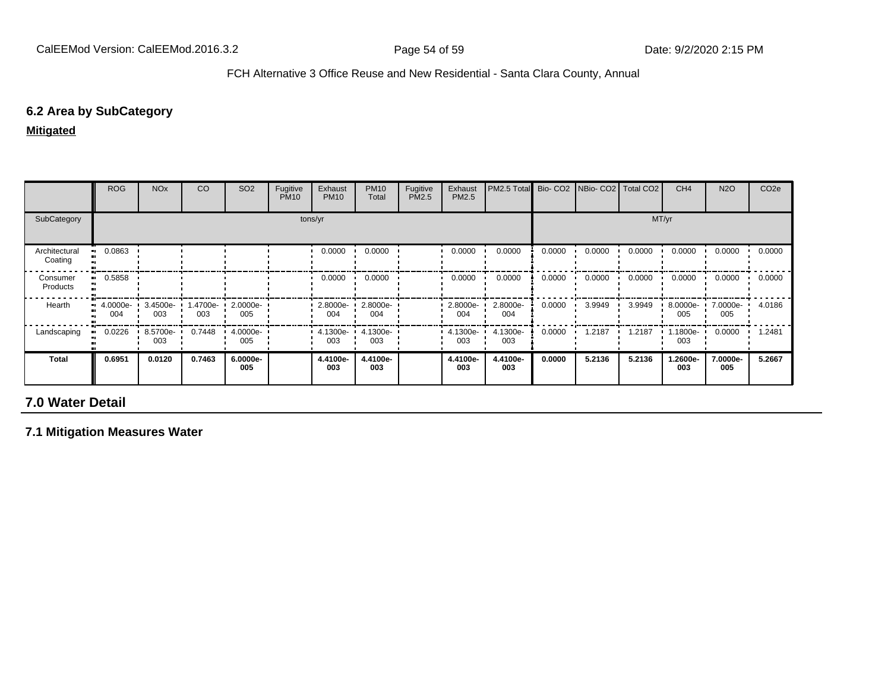# **6.2 Area by SubCategory**

**Mitigated**

|                          | ROG                                           | <b>NO<sub>x</sub></b> | CO              | SO <sub>2</sub> | Fugitive<br><b>PM10</b> | Exhaust<br><b>PM10</b> | <b>PM10</b><br>Total | Fugitive<br>PM2.5 | Exhaust<br>PM2.5 | PM2.5 Total     |        | Bio- CO2 NBio- CO2 Total CO2 |        | CH <sub>4</sub> | <b>N2O</b>      | CO <sub>2</sub> e |
|--------------------------|-----------------------------------------------|-----------------------|-----------------|-----------------|-------------------------|------------------------|----------------------|-------------------|------------------|-----------------|--------|------------------------------|--------|-----------------|-----------------|-------------------|
| SubCategory              |                                               |                       |                 |                 |                         | tons/yr                |                      |                   |                  |                 |        |                              |        | MT/yr           |                 |                   |
| Architectural<br>Coating | 0.0863                                        |                       |                 |                 |                         | 0.0000                 | 0.0000               |                   | 0.0000           | 0.0000          | 0.0000 | 0.0000                       | 0.0000 | 0.0000          | 0.0000          | 0.0000            |
| Consumer<br>Products     | 0.5858                                        |                       |                 |                 |                         | 0.0000                 | 0.0000               |                   | 0.0000           | 0.0000          | 0.0000 | 0.0000                       | 0.0000 | 0.0000          | 0.0000          | 0.0000            |
| Hearth                   | $\blacksquare$ 4.0000e- $\blacksquare$<br>004 | 3.4500e-<br>003       | 1.4700e-<br>003 | 2.0000e-<br>005 |                         | $2.8000e-$<br>004      | 2.8000e-<br>004      |                   | 2.8000e-<br>004  | 2.8000e-<br>004 | 0.0000 | 3.9949                       | 3.9949 | 8.0000e-<br>005 | 7.0000e-<br>005 | 4.0186            |
| Landscaping              | 0.0226                                        | 8.5700e-<br>003       | 0.7448          | 4.0000e-<br>005 |                         | $4.1300e -$<br>003     | 4.1300e-<br>003      |                   | 4.1300e-<br>003  | 4.1300e-<br>003 | 0.0000 | 1.2187                       | 1.2187 | 1.1800e-<br>003 | 0.0000          | 1.2481            |
| Total                    | 0.6951                                        | 0.0120                | 0.7463          | 6.0000e-<br>005 |                         | 4.4100e-<br>003        | 4.4100e-<br>003      |                   | 4.4100e-<br>003  | 4.4100e-<br>003 | 0.0000 | 5.2136                       | 5.2136 | 1.2600e-<br>003 | 7.0000e-<br>005 | 5.2667            |

# **7.0 Water Detail**

**7.1 Mitigation Measures Water**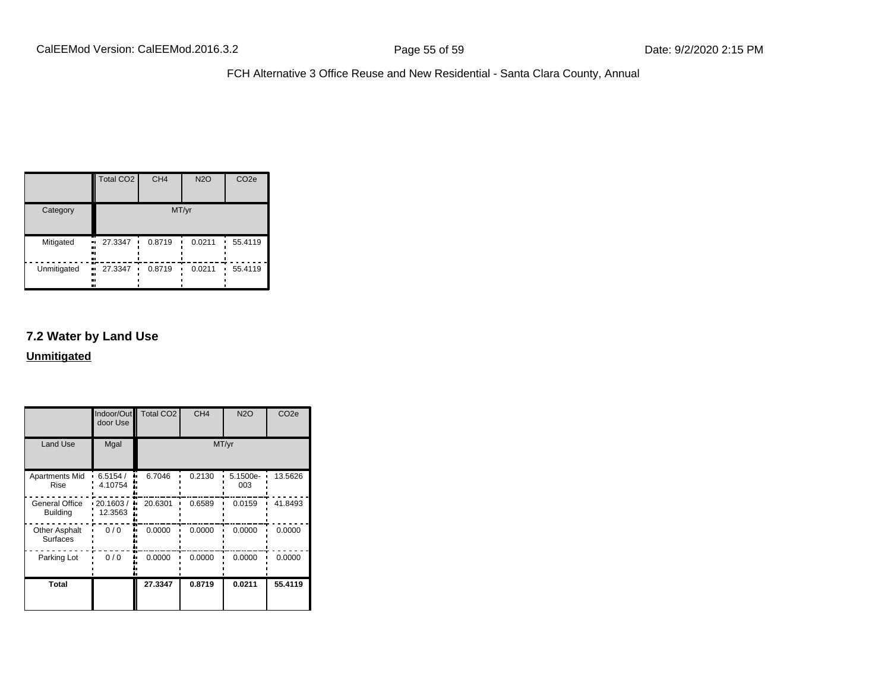|             | Total CO <sub>2</sub>           | CH <sub>4</sub> | <b>N2O</b> | CO <sub>2e</sub> |  |  |
|-------------|---------------------------------|-----------------|------------|------------------|--|--|
| Category    | MT/yr                           |                 |            |                  |  |  |
| Mitigated   | 27.3347<br>.,<br><br><br>       | 0.8719          | 0.0211     | 55.4119          |  |  |
| Unmitigated | 27.3347<br>ш,<br>٠<br><br><br>ш | 0.8719          | 0.0211     | 55.4119          |  |  |

## **7.2 Water by Land Use**

|                                         | Indoor/Out<br>door Use | <b>Total CO2</b> | CH <sub>4</sub> | <b>N2O</b>      | CO <sub>2e</sub> |
|-----------------------------------------|------------------------|------------------|-----------------|-----------------|------------------|
| <b>Land Use</b>                         | Mgal                   |                  |                 | MT/yr           |                  |
| Apartments Mid<br>Rise                  | 6.5154/<br>4.10754     | 6.7046<br>۰.     | 0.2130          | 5.1500e-<br>003 | 13.5626          |
| General Office<br><b>Building</b>       | 20.1603/<br>12.3563    | 20.6301          | 0.6589          | 0.0159          | 41.8493          |
| <b>Other Asphalt</b><br><b>Surfaces</b> | 0/0                    | 0.0000           | 0.0000          | 0.0000          | 0.0000           |
| Parking Lot                             | 0/0                    | 0.0000           | 0.0000          | 0.0000          | 0.0000           |
| <b>Total</b>                            |                        | 27.3347          | 0.8719          | 0.0211          | 55.4119          |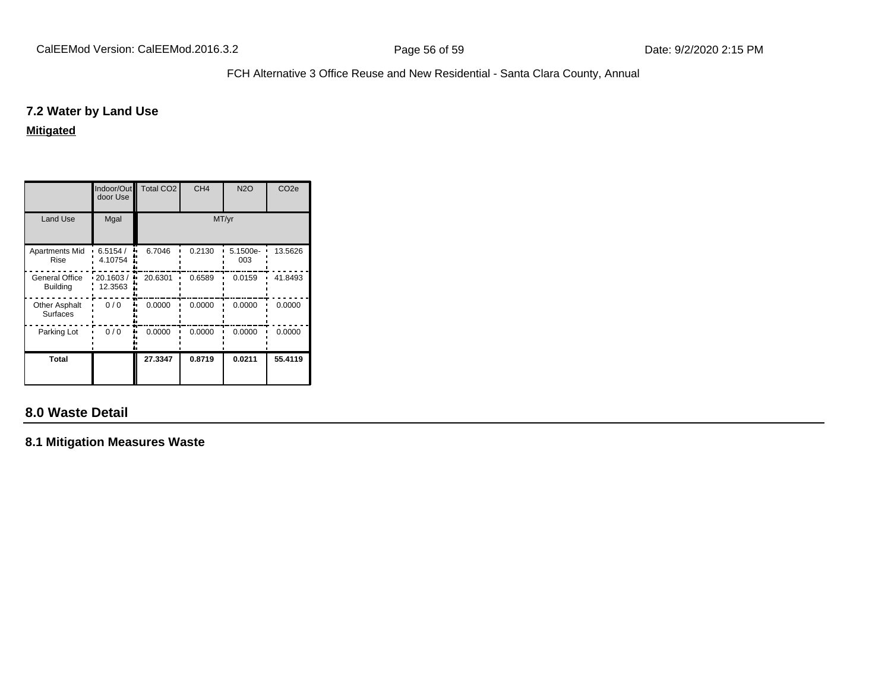## **7.2 Water by Land Use**

**Mitigated**

|                                   | Indoor/Out<br>door Use | <b>Total CO2</b> | CH <sub>4</sub> | <b>N2O</b>      | CO <sub>2e</sub> |
|-----------------------------------|------------------------|------------------|-----------------|-----------------|------------------|
| <b>Land Use</b>                   | Mgal                   |                  |                 | MT/yr           |                  |
| <b>Apartments Mid</b><br>Rise     | 6.5154/<br>4.10754     | 6.7046           | 0.2130          | 5.1500e-<br>003 | 13.5626          |
| General Office<br><b>Building</b> | 20.1603/<br>12.3563    | 20.6301          | 0.6589          | 0.0159          | 41.8493          |
| <b>Other Asphalt</b><br>Surfaces  | 0/0                    | 0.0000           | 0.0000          | 0.0000          | 0.0000           |
| Parking Lot                       | 0/0                    | 0.0000           | 0.0000          | 0.0000          | 0.0000           |
| Total                             |                        | 27.3347          | 0.8719          | 0.0211          | 55.4119          |

# **8.0 Waste Detail**

**8.1 Mitigation Measures Waste**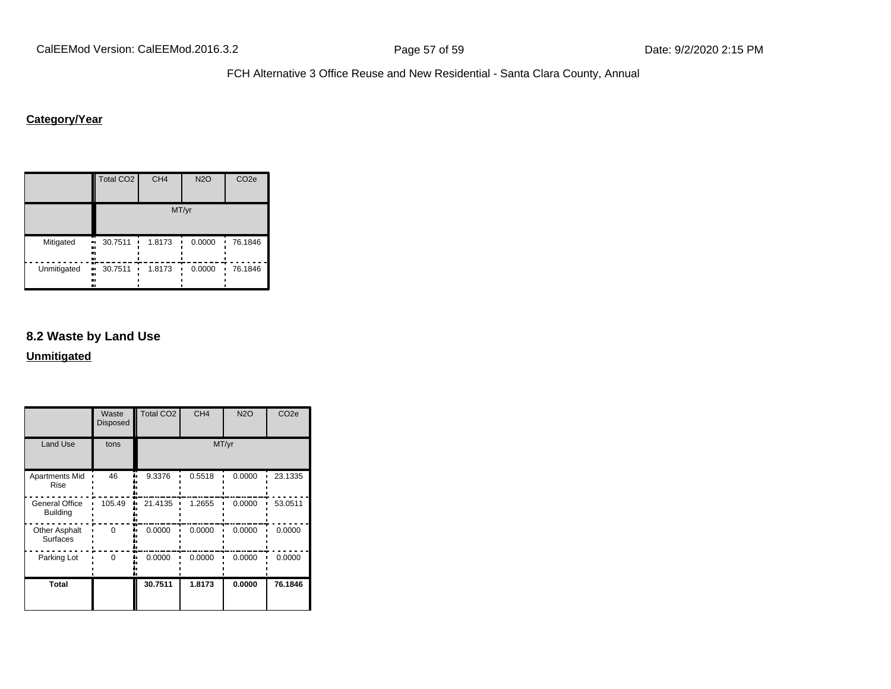# **Category/Year**

|             | <b>Total CO2</b>                 | CH <sub>4</sub> | <b>N2O</b>  | CO <sub>2e</sub> |  |  |  |  |
|-------------|----------------------------------|-----------------|-------------|------------------|--|--|--|--|
|             | MT/yr                            |                 |             |                  |  |  |  |  |
| Mitigated   | 30.7511<br>٠<br>.,<br><br><br>ш  | 1.8173          | 0.0000      | 76.1846          |  |  |  |  |
| Unmitigated | 30.7511<br>ш,<br>٠<br><br><br>., | 1.8173          | 0.0000<br>п | 76.1846          |  |  |  |  |

## **8.2 Waste by Land Use**

|                                          | Waste<br><b>Disposed</b> | Total CO <sub>2</sub> | CH <sub>4</sub> | <b>N2O</b> | CO <sub>2e</sub> |
|------------------------------------------|--------------------------|-----------------------|-----------------|------------|------------------|
| <b>Land Use</b>                          | tons                     |                       |                 | MT/yr      |                  |
| <b>Apartments Mid</b><br>Rise            | 46                       | 9.3376                | 0.5518          | 0.0000     | 23.1335          |
| <b>General Office</b><br><b>Building</b> | 105.49                   | 21.4135               | 1.2655          | 0.0000     | 53.0511          |
| Other Asphalt<br>Surfaces                | $\Omega$                 | 0.0000                | 0.0000          | 0.0000     | 0.0000           |
| Parking Lot                              | 0                        | 0.0000                | 0.0000          | 0.0000     | 0.0000           |
| <b>Total</b>                             |                          | 30.7511               | 1.8173          | 0.0000     | 76.1846          |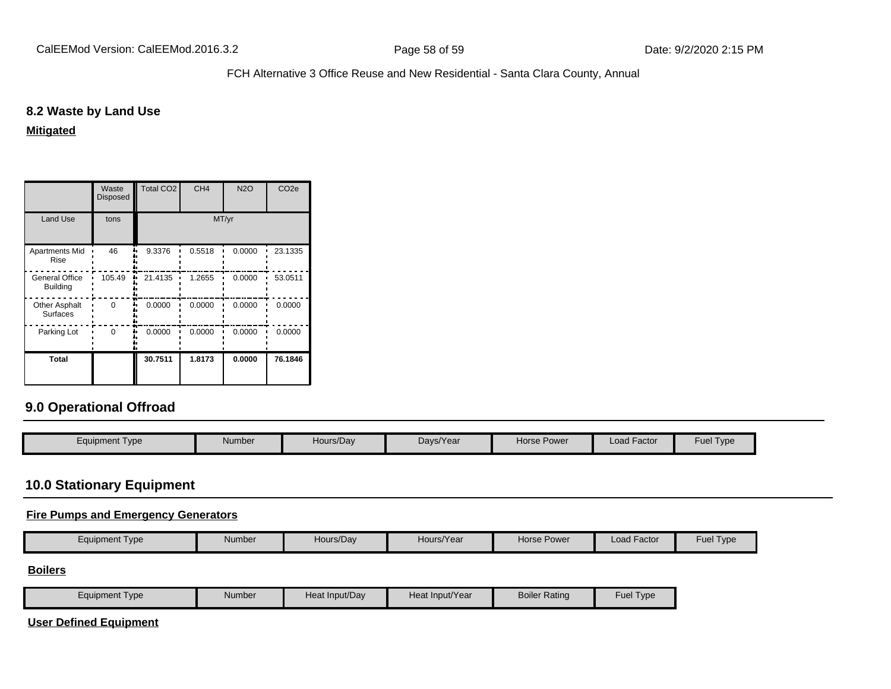## **8.2 Waste by Land Use**

**Mitigated**

|                                          | Waste<br><b>Disposed</b> | <b>Total CO2</b> | CH <sub>4</sub> | <b>N2O</b> | CO <sub>2e</sub> |
|------------------------------------------|--------------------------|------------------|-----------------|------------|------------------|
| <b>Land Use</b>                          | tons                     |                  |                 | MT/yr      |                  |
| <b>Apartments Mid</b><br>Rise            | 46                       | 9.3376           | 0.5518          | 0.0000     | 23.1335          |
| <b>General Office</b><br><b>Building</b> | 105.49                   | 21.4135          | 1.2655          | 0.0000     | 53.0511          |
| <b>Other Asphalt</b><br><b>Surfaces</b>  | U                        | 0.0000           | 0.0000          | 0.0000     | 0.0000           |
| Parking Lot                              | $\Omega$                 | 0.0000           | 0.0000          | 0.0000     | 0.0000           |
| Total                                    |                          | 30.7511          | 1.8173          | 0.0000     | 76.1846          |

# **9.0 Operational Offroad**

| Equipment Type | <b>Number</b> | Hours/Dav | Davs/Year | Horse Power | Load Factor | Fuel $T$<br>Type |
|----------------|---------------|-----------|-----------|-------------|-------------|------------------|
|                |               |           |           |             |             |                  |

# **10.0 Stationary Equipment**

## **Fire Pumps and Emergency Generators**

|  | Equipment Type | Number | Hours/Dav | Hours/Year | Horse Power | . .<br>Load Factor | <b>Fuel Type</b> |
|--|----------------|--------|-----------|------------|-------------|--------------------|------------------|
|--|----------------|--------|-----------|------------|-------------|--------------------|------------------|

#### **Boilers**

| Equipment Type | Number | Heat Input/Dav | Heat Input/Year | <b>Boiler Rating</b> | Fuel<br>Type |
|----------------|--------|----------------|-----------------|----------------------|--------------|
|----------------|--------|----------------|-----------------|----------------------|--------------|

**User Defined Equipment**